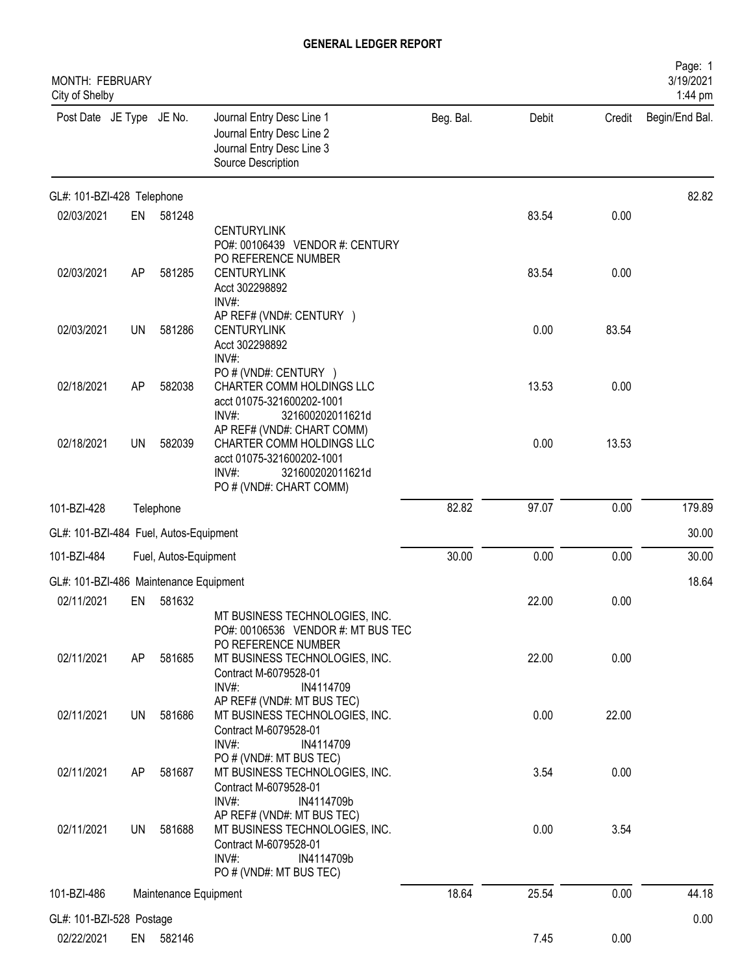| MONTH: FEBRUARY<br>City of Shelby      |           |                       |                                                                                                                                                 |           |       |        | Page: 1<br>3/19/2021<br>1:44 pm |
|----------------------------------------|-----------|-----------------------|-------------------------------------------------------------------------------------------------------------------------------------------------|-----------|-------|--------|---------------------------------|
| Post Date JE Type JE No.               |           |                       | Journal Entry Desc Line 1<br>Journal Entry Desc Line 2<br>Journal Entry Desc Line 3<br>Source Description                                       | Beg. Bal. | Debit | Credit | Begin/End Bal.                  |
| GL#: 101-BZI-428 Telephone             |           |                       |                                                                                                                                                 |           |       |        | 82.82                           |
| 02/03/2021                             | EN        | 581248                | <b>CENTURYLINK</b><br>PO#: 00106439 VENDOR #: CENTURY                                                                                           |           | 83.54 | 0.00   |                                 |
| 02/03/2021                             | AP        | 581285                | PO REFERENCE NUMBER<br><b>CENTURYLINK</b><br>Acct 302298892<br>$INV#$ :                                                                         |           | 83.54 | 0.00   |                                 |
| 02/03/2021                             | UN        | 581286                | AP REF# (VND#: CENTURY )<br><b>CENTURYLINK</b><br>Acct 302298892<br>INV#:                                                                       |           | 0.00  | 83.54  |                                 |
| 02/18/2021                             | AP        | 582038                | PO # (VND#: CENTURY )<br>CHARTER COMM HOLDINGS LLC<br>acct 01075-321600202-1001<br>INV#:<br>321600202011621d                                    |           | 13.53 | 0.00   |                                 |
| 02/18/2021                             | <b>UN</b> | 582039                | AP REF# (VND#: CHART COMM)<br>CHARTER COMM HOLDINGS LLC<br>acct 01075-321600202-1001<br>$INV#$ :<br>321600202011621d<br>PO # (VND#: CHART COMM) |           | 0.00  | 13.53  |                                 |
| 101-BZI-428                            |           | Telephone             |                                                                                                                                                 | 82.82     | 97.07 | 0.00   | 179.89                          |
| GL#: 101-BZI-484 Fuel, Autos-Equipment |           |                       |                                                                                                                                                 |           |       |        | 30.00                           |
| 101-BZI-484                            |           | Fuel, Autos-Equipment |                                                                                                                                                 | 30.00     | 0.00  | 0.00   | 30.00                           |
| GL#: 101-BZI-486 Maintenance Equipment |           |                       |                                                                                                                                                 |           |       |        | 18.64                           |
| 02/11/2021                             | EN        | 581632                | MT BUSINESS TECHNOLOGIES, INC.<br>PO#: 00106536 VENDOR #: MT BUS TEC                                                                            |           | 22.00 | 0.00   |                                 |
| 02/11/2021                             | AP        | 581685                | PO REFERENCE NUMBER<br>MT BUSINESS TECHNOLOGIES, INC.<br>Contract M-6079528-01<br>INV#:<br>IN4114709                                            |           | 22.00 | 0.00   |                                 |
| 02/11/2021                             | <b>UN</b> | 581686                | AP REF# (VND#: MT BUS TEC)<br>MT BUSINESS TECHNOLOGIES, INC.<br>Contract M-6079528-01<br>$INV#$ :<br>IN4114709                                  |           | 0.00  | 22.00  |                                 |
| 02/11/2021                             | AP        | 581687                | PO#(VND#: MT BUS TEC)<br>MT BUSINESS TECHNOLOGIES, INC.<br>Contract M-6079528-01<br>INV#:<br>IN4114709b                                         |           | 3.54  | 0.00   |                                 |
| 02/11/2021                             | UN        | 581688                | AP REF# (VND#: MT BUS TEC)<br>MT BUSINESS TECHNOLOGIES, INC.<br>Contract M-6079528-01<br>$INV#$ :<br>IN4114709b<br>PO # (VND#: MT BUS TEC)      |           | 0.00  | 3.54   |                                 |
| 101-BZI-486                            |           | Maintenance Equipment |                                                                                                                                                 | 18.64     | 25.54 | 0.00   | 44.18                           |
| GL#: 101-BZI-528 Postage               |           |                       |                                                                                                                                                 |           |       |        | 0.00                            |
| 02/22/2021                             |           | EN 582146             |                                                                                                                                                 |           | 7.45  | 0.00   |                                 |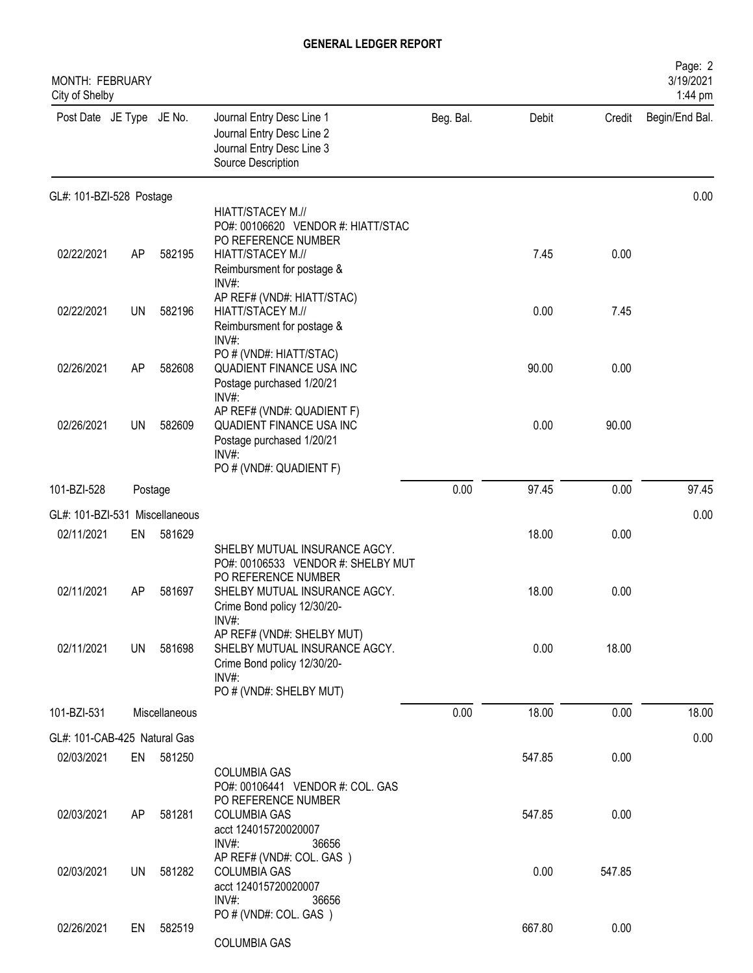| MONTH: FEBRUARY<br>City of Shelby |           |               |                                                                                                                                        |           |        |        | Page: 2<br>3/19/2021<br>1:44 pm |
|-----------------------------------|-----------|---------------|----------------------------------------------------------------------------------------------------------------------------------------|-----------|--------|--------|---------------------------------|
| Post Date JE Type JE No.          |           |               | Journal Entry Desc Line 1<br>Journal Entry Desc Line 2<br>Journal Entry Desc Line 3<br>Source Description                              | Beg. Bal. | Debit  | Credit | Begin/End Bal.                  |
| GL#: 101-BZI-528 Postage          |           |               |                                                                                                                                        |           |        |        | 0.00                            |
|                                   |           |               | HIATT/STACEY M.//<br>PO#: 00106620 VENDOR #: HIATT/STAC                                                                                |           |        |        |                                 |
| 02/22/2021                        | AP        | 582195        | PO REFERENCE NUMBER<br>HIATT/STACEY M.//<br>Reimbursment for postage &<br>$INV#$ :                                                     |           | 7.45   | 0.00   |                                 |
| 02/22/2021                        | <b>UN</b> | 582196        | AP REF# (VND#: HIATT/STAC)<br>HIATT/STACEY M.//<br>Reimbursment for postage &<br>INV#:                                                 |           | 0.00   | 7.45   |                                 |
| 02/26/2021                        | AP        | 582608        | PO # (VND#: HIATT/STAC)<br>QUADIENT FINANCE USA INC<br>Postage purchased 1/20/21<br>INV#:                                              |           | 90.00  | 0.00   |                                 |
| 02/26/2021                        | <b>UN</b> | 582609        | AP REF# (VND#: QUADIENT F)<br>QUADIENT FINANCE USA INC<br>Postage purchased 1/20/21<br>INV#:<br>PO # (VND#: QUADIENT F)                |           | 0.00   | 90.00  |                                 |
| 101-BZI-528                       | Postage   |               |                                                                                                                                        | 0.00      | 97.45  | 0.00   | 97.45                           |
| GL#: 101-BZI-531                  |           | Miscellaneous |                                                                                                                                        |           |        |        | 0.00                            |
| 02/11/2021                        | EN        | 581629        | SHELBY MUTUAL INSURANCE AGCY.                                                                                                          |           | 18.00  | 0.00   |                                 |
| 02/11/2021                        | AP        | 581697        | PO#: 00106533 VENDOR #: SHELBY MUT<br>PO REFERENCE NUMBER<br>SHELBY MUTUAL INSURANCE AGCY.<br>Crime Bond policy 12/30/20-              |           | 18.00  | 0.00   |                                 |
| 02/11/2021                        | <b>UN</b> | 581698        | INV#<br>AP REF# (VND#: SHELBY MUT)<br>SHELBY MUTUAL INSURANCE AGCY.<br>Crime Bond policy 12/30/20-<br>INV#:<br>PO # (VND#: SHELBY MUT) |           | 0.00   | 18.00  |                                 |
| 101-BZI-531                       |           | Miscellaneous |                                                                                                                                        | 0.00      | 18.00  | 0.00   | 18.00                           |
| GL#: 101-CAB-425 Natural Gas      |           |               |                                                                                                                                        |           |        |        | 0.00                            |
| 02/03/2021                        |           | EN 581250     |                                                                                                                                        |           | 547.85 | 0.00   |                                 |
|                                   |           |               | <b>COLUMBIA GAS</b><br>PO#: 00106441 VENDOR #: COL. GAS<br>PO REFERENCE NUMBER                                                         |           |        |        |                                 |
| 02/03/2021                        | AP        | 581281        | <b>COLUMBIA GAS</b><br>acct 124015720020007<br>INV#:<br>36656                                                                          |           | 547.85 | 0.00   |                                 |
| 02/03/2021                        | UN.       | 581282        | AP REF# (VND#: COL. GAS)<br><b>COLUMBIA GAS</b><br>acct 124015720020007<br>$INV#$ :<br>36656                                           |           | 0.00   | 547.85 |                                 |
| 02/26/2021                        | EN        | 582519        | PO # (VND#: COL. GAS)<br>COLUMBIA GAS                                                                                                  |           | 667.80 | 0.00   |                                 |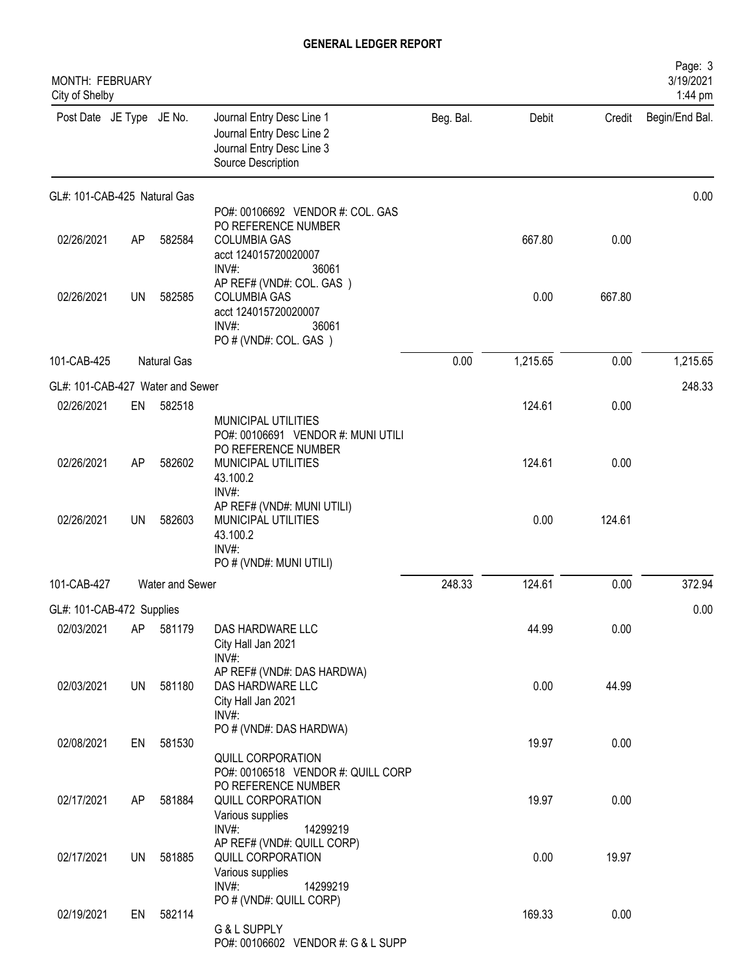| MONTH: FEBRUARY<br>City of Shelby       |           |                 |                                                                                                                          |           |          |        | Page: 3<br>3/19/2021<br>1:44 pm |
|-----------------------------------------|-----------|-----------------|--------------------------------------------------------------------------------------------------------------------------|-----------|----------|--------|---------------------------------|
| Post Date JE Type JE No.                |           |                 | Journal Entry Desc Line 1<br>Journal Entry Desc Line 2<br>Journal Entry Desc Line 3<br>Source Description                | Beg. Bal. | Debit    | Credit | Begin/End Bal.                  |
| GL#: 101-CAB-425 Natural Gas            |           |                 |                                                                                                                          |           |          |        | 0.00                            |
| 02/26/2021                              | AP        | 582584          | PO#: 00106692 VENDOR #: COL. GAS<br>PO REFERENCE NUMBER<br><b>COLUMBIA GAS</b><br>acct 124015720020007<br>INV#:<br>36061 |           | 667.80   | 0.00   |                                 |
| 02/26/2021                              | <b>UN</b> | 582585          | AP REF# (VND#: COL. GAS)<br><b>COLUMBIA GAS</b><br>acct 124015720020007<br>$INV#$ :<br>36061<br>PO # (VND#: COL. GAS)    |           | 0.00     | 667.80 |                                 |
| 101-CAB-425                             |           | Natural Gas     |                                                                                                                          | 0.00      | 1,215.65 | 0.00   | 1,215.65                        |
| GL#: 101-CAB-427 Water and Sewer        |           |                 |                                                                                                                          |           |          |        | 248.33                          |
| 02/26/2021                              | EN        | 582518          |                                                                                                                          |           | 124.61   | 0.00   |                                 |
|                                         |           |                 | MUNICIPAL UTILITIES<br>PO#: 00106691 VENDOR #: MUNI UTILI<br>PO REFERENCE NUMBER                                         |           |          |        |                                 |
| 02/26/2021                              | AP        | 582602          | MUNICIPAL UTILITIES<br>43.100.2<br>INV#:                                                                                 |           | 124.61   | 0.00   |                                 |
| 02/26/2021                              | <b>UN</b> | 582603          | AP REF# (VND#: MUNI UTILI)<br>MUNICIPAL UTILITIES<br>43.100.2<br>INV#:<br>PO # (VND#: MUNI UTILI)                        |           | 0.00     | 124.61 |                                 |
| 101-CAB-427                             |           | Water and Sewer |                                                                                                                          | 248.33    | 124.61   | 0.00   | 372.94                          |
|                                         |           |                 |                                                                                                                          |           |          |        |                                 |
| GL#: 101-CAB-472 Supplies<br>02/03/2021 | AP        | 581179          | DAS HARDWARE LLC<br>City Hall Jan 2021                                                                                   |           | 44.99    | 0.00   | 0.00                            |
| 02/03/2021                              | UN        | 581180          | INV#:<br>AP REF# (VND#: DAS HARDWA)<br>DAS HARDWARE LLC<br>City Hall Jan 2021<br>INV#:                                   |           | 0.00     | 44.99  |                                 |
| 02/08/2021                              | EN        | 581530          | PO # (VND#: DAS HARDWA)<br>QUILL CORPORATION                                                                             |           | 19.97    | 0.00   |                                 |
| 02/17/2021                              | AP        | 581884          | PO#: 00106518 VENDOR #: QUILL CORP<br>PO REFERENCE NUMBER<br>QUILL CORPORATION<br>Various supplies                       |           | 19.97    | 0.00   |                                 |
| 02/17/2021                              | <b>UN</b> | 581885          | INV#:<br>14299219<br>AP REF# (VND#: QUILL CORP)<br>QUILL CORPORATION<br>Various supplies                                 |           | 0.00     | 19.97  |                                 |
| 02/19/2021                              | EN        | 582114          | $INV#$ :<br>14299219<br>PO # (VND#: QUILL CORP)<br>G & L SUPPLY<br>PO#: 00106602 VENDOR #: G & L SUPP                    |           | 169.33   | 0.00   |                                 |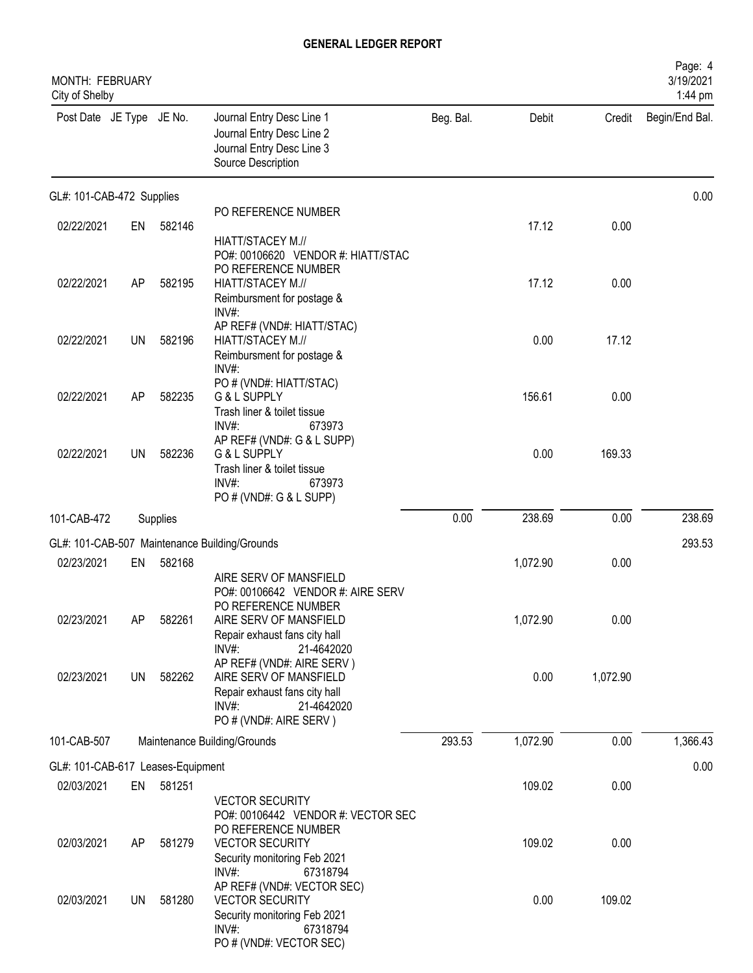| MONTH: FEBRUARY<br>City of Shelby |           |          |                                                                                                                                               |           |          |          | Page: 4<br>3/19/2021<br>1:44 pm |
|-----------------------------------|-----------|----------|-----------------------------------------------------------------------------------------------------------------------------------------------|-----------|----------|----------|---------------------------------|
| Post Date JE Type JE No.          |           |          | Journal Entry Desc Line 1<br>Journal Entry Desc Line 2<br>Journal Entry Desc Line 3<br>Source Description                                     | Beg. Bal. | Debit    | Credit   | Begin/End Bal.                  |
| GL#: 101-CAB-472 Supplies         |           |          |                                                                                                                                               |           |          |          | 0.00                            |
| 02/22/2021                        | EN        | 582146   | PO REFERENCE NUMBER                                                                                                                           |           | 17.12    | 0.00     |                                 |
|                                   |           |          | HIATT/STACEY M.//<br>PO#: 00106620 VENDOR #: HIATT/STAC<br>PO REFERENCE NUMBER                                                                |           |          |          |                                 |
| 02/22/2021                        | AP        | 582195   | HIATT/STACEY M.//<br>Reimbursment for postage &<br>INV#:                                                                                      |           | 17.12    | 0.00     |                                 |
| 02/22/2021                        | <b>UN</b> | 582196   | AP REF# (VND#: HIATT/STAC)<br>HIATT/STACEY M.//<br>Reimbursment for postage &<br>INV#:                                                        |           | 0.00     | 17.12    |                                 |
| 02/22/2021                        | AP        | 582235   | PO # (VND#: HIATT/STAC)<br>G & L SUPPLY<br>Trash liner & toilet tissue                                                                        |           | 156.61   | 0.00     |                                 |
| 02/22/2021                        | <b>UN</b> | 582236   | INV#:<br>673973<br>AP REF# (VND#: G & L SUPP)<br>G & L SUPPLY<br>Trash liner & toilet tissue<br>$INV#$ :<br>673973<br>PO # (VND#: G & L SUPP) |           | 0.00     | 169.33   |                                 |
| 101-CAB-472                       |           | Supplies |                                                                                                                                               | 0.00      | 238.69   | 0.00     | 238.69                          |
|                                   |           |          | GL#: 101-CAB-507 Maintenance Building/Grounds                                                                                                 |           |          |          | 293.53                          |
| 02/23/2021                        | EN        | 582168   |                                                                                                                                               |           | 1,072.90 | 0.00     |                                 |
|                                   |           |          | AIRE SERV OF MANSFIELD<br>PO#: 00106642 VENDOR #: AIRE SERV<br>PO REFERENCE NUMBER                                                            |           |          |          |                                 |
| 02/23/2021                        | AP        | 582261   | AIRE SERV OF MANSFIELD<br>Repair exhaust fans city hall<br>$INV#$ :<br>21-4642020                                                             |           | 1,072.90 | 0.00     |                                 |
| 02/23/2021                        | <b>UN</b> | 582262   | AP REF# (VND#: AIRE SERV)<br>AIRE SERV OF MANSFIELD<br>Repair exhaust fans city hall<br>$INV#$ :<br>21-4642020<br>PO # (VND#: AIRE SERV)      |           | 0.00     | 1,072.90 |                                 |
| 101-CAB-507                       |           |          | Maintenance Building/Grounds                                                                                                                  | 293.53    | 1,072.90 | 0.00     | 1,366.43                        |
| GL#: 101-CAB-617 Leases-Equipment |           |          |                                                                                                                                               |           |          |          | 0.00                            |
| 02/03/2021                        | EN        | 581251   | <b>VECTOR SECURITY</b><br>PO#: 00106442 VENDOR #: VECTOR SEC                                                                                  |           | 109.02   | 0.00     |                                 |
| 02/03/2021                        | AP        | 581279   | PO REFERENCE NUMBER<br><b>VECTOR SECURITY</b><br>Security monitoring Feb 2021<br>$INV#$ :<br>67318794                                         |           | 109.02   | 0.00     |                                 |
| 02/03/2021                        | UN        | 581280   | AP REF# (VND#: VECTOR SEC)<br><b>VECTOR SECURITY</b><br>Security monitoring Feb 2021<br>$INV#$ :<br>67318794<br>PO # (VND#: VECTOR SEC)       |           | 0.00     | 109.02   |                                 |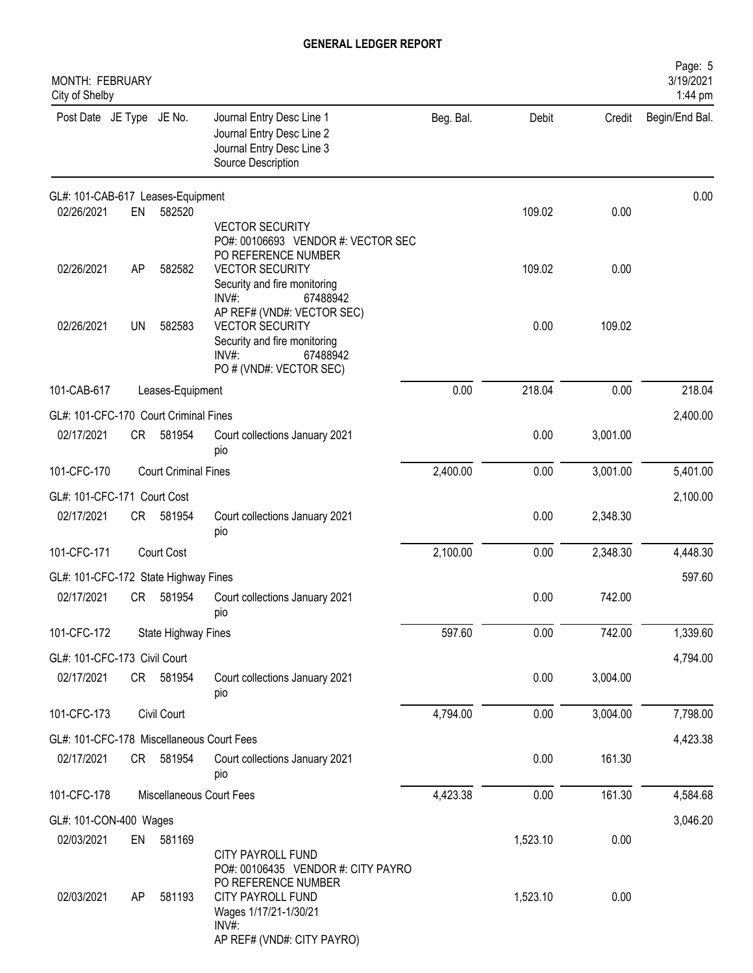| MONTH: FEBRUARY<br>City of Shelby         |           |                             |                                                                                                                                                                                      |           |          |          | Page: 5<br>3/19/2021<br>1:44 pm |
|-------------------------------------------|-----------|-----------------------------|--------------------------------------------------------------------------------------------------------------------------------------------------------------------------------------|-----------|----------|----------|---------------------------------|
| Post Date JE Type JE No.                  |           |                             | Journal Entry Desc Line 1<br>Journal Entry Desc Line 2<br>Journal Entry Desc Line 3<br>Source Description                                                                            | Beg. Bal. | Debit    | Credit   | Begin/End Bal.                  |
| GL#: 101-CAB-617 Leases-Equipment         |           |                             |                                                                                                                                                                                      |           |          |          | 0.00                            |
| 02/26/2021                                | EN        | 582520                      | <b>VECTOR SECURITY</b><br>PO#: 00106693 VENDOR #: VECTOR SEC<br>PO REFERENCE NUMBER                                                                                                  |           | 109.02   | 0.00     |                                 |
| 02/26/2021                                | AP        | 582582                      | <b>VECTOR SECURITY</b><br>Security and fire monitoring<br>$INV#$ :<br>67488942                                                                                                       |           | 109.02   | 0.00     |                                 |
| 02/26/2021                                | <b>UN</b> | 582583                      | AP REF# (VND#: VECTOR SEC)<br><b>VECTOR SECURITY</b><br>Security and fire monitoring<br>$INV#$ :<br>67488942<br>PO # (VND#: VECTOR SEC)                                              |           | 0.00     | 109.02   |                                 |
| 101-CAB-617                               |           | Leases-Equipment            |                                                                                                                                                                                      | 0.00      | 218.04   | 0.00     | 218.04                          |
| GL#: 101-CFC-170 Court Criminal Fines     |           |                             |                                                                                                                                                                                      |           |          |          | 2,400.00                        |
| 02/17/2021                                | CR        | 581954                      | Court collections January 2021<br>pio                                                                                                                                                |           | 0.00     | 3,001.00 |                                 |
| 101-CFC-170                               |           | <b>Court Criminal Fines</b> |                                                                                                                                                                                      | 2,400.00  | 0.00     | 3,001.00 | 5,401.00                        |
| GL#: 101-CFC-171 Court Cost               |           |                             |                                                                                                                                                                                      |           |          |          | 2,100.00                        |
| 02/17/2021                                | CR        | 581954                      | Court collections January 2021<br>pio                                                                                                                                                |           | 0.00     | 2,348.30 |                                 |
| 101-CFC-171                               |           | Court Cost                  |                                                                                                                                                                                      | 2,100.00  | 0.00     | 2,348.30 | 4,448.30                        |
| GL#: 101-CFC-172 State Highway Fines      |           |                             |                                                                                                                                                                                      |           |          |          | 597.60                          |
| 02/17/2021                                | CR        | 581954                      | Court collections January 2021<br>pio                                                                                                                                                |           | 0.00     | 742.00   |                                 |
| 101-CFC-172                               |           | State Highway Fines         |                                                                                                                                                                                      | 597.60    | 0.00     | 742.00   | 1,339.60                        |
| GL#: 101-CFC-173 Civil Court              |           |                             |                                                                                                                                                                                      |           |          |          | 4,794.00                        |
| 02/17/2021                                | CR        | 581954                      | Court collections January 2021<br>pio                                                                                                                                                |           | 0.00     | 3,004.00 |                                 |
| 101-CFC-173                               |           | Civil Court                 |                                                                                                                                                                                      | 4,794.00  | 0.00     | 3,004.00 | 7,798.00                        |
| GL#: 101-CFC-178 Miscellaneous Court Fees |           |                             |                                                                                                                                                                                      |           |          |          | 4,423.38                        |
| 02/17/2021                                | CR        | 581954                      | Court collections January 2021<br>pio                                                                                                                                                |           | 0.00     | 161.30   |                                 |
| 101-CFC-178                               |           |                             | Miscellaneous Court Fees                                                                                                                                                             | 4,423.38  | 0.00     | 161.30   | 4,584.68                        |
| GL#: 101-CON-400 Wages                    |           |                             |                                                                                                                                                                                      |           |          |          | 3,046.20                        |
| 02/03/2021                                | EN        | 581169                      |                                                                                                                                                                                      |           | 1,523.10 | 0.00     |                                 |
| 02/03/2021                                | AP        | 581193                      | <b>CITY PAYROLL FUND</b><br>PO#: 00106435 VENDOR #: CITY PAYRO<br>PO REFERENCE NUMBER<br><b>CITY PAYROLL FUND</b><br>Wages 1/17/21-1/30/21<br>$INV#$ :<br>AP REF# (VND#: CITY PAYRO) |           | 1,523.10 | 0.00     |                                 |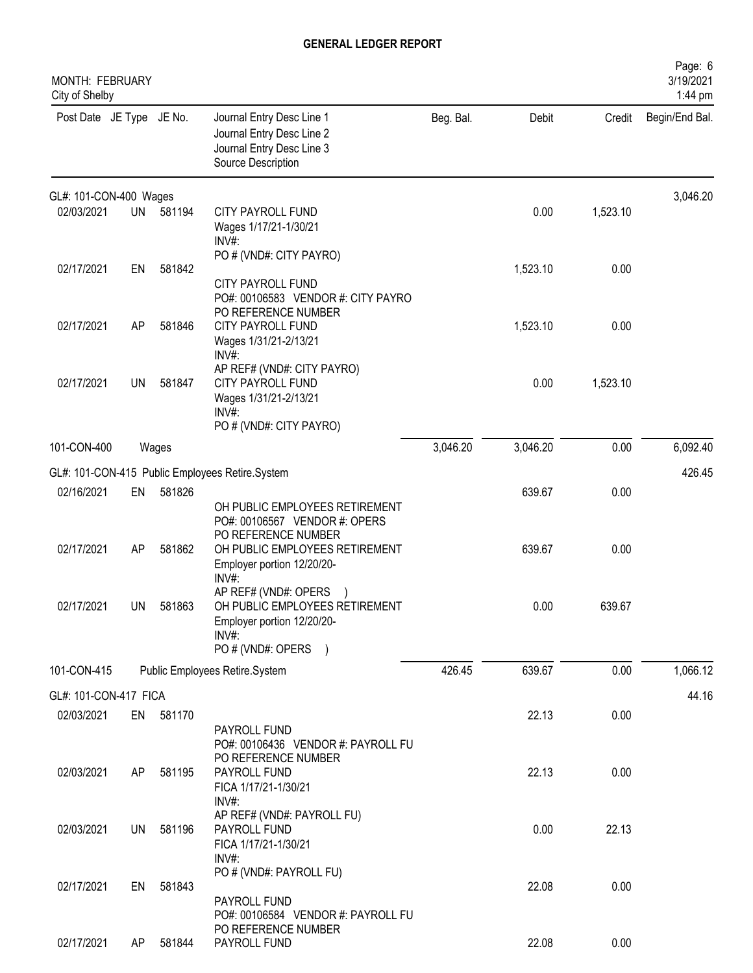| <b>MONTH: FEBRUARY</b><br>City of Shelby |    |           |                                                                                                                               |           |          |          | Page: 6<br>3/19/2021<br>1:44 pm |
|------------------------------------------|----|-----------|-------------------------------------------------------------------------------------------------------------------------------|-----------|----------|----------|---------------------------------|
| Post Date JE Type JE No.                 |    |           | Journal Entry Desc Line 1<br>Journal Entry Desc Line 2<br>Journal Entry Desc Line 3<br>Source Description                     | Beg. Bal. | Debit    | Credit   | Begin/End Bal.                  |
| GL#: 101-CON-400 Wages                   |    |           |                                                                                                                               |           |          |          | 3,046.20                        |
| 02/03/2021                               | UN | 581194    | CITY PAYROLL FUND<br>Wages 1/17/21-1/30/21<br>INV#:                                                                           |           | 0.00     | 1,523.10 |                                 |
| 02/17/2021                               | EN | 581842    | PO # (VND#: CITY PAYRO)<br><b>CITY PAYROLL FUND</b><br>PO#: 00106583 VENDOR #: CITY PAYRO                                     |           | 1,523.10 | 0.00     |                                 |
| 02/17/2021                               | AP | 581846    | PO REFERENCE NUMBER<br><b>CITY PAYROLL FUND</b><br>Wages 1/31/21-2/13/21<br>INV#                                              |           | 1,523.10 | 0.00     |                                 |
| 02/17/2021                               | UN | 581847    | AP REF# (VND#: CITY PAYRO)<br><b>CITY PAYROLL FUND</b><br>Wages 1/31/21-2/13/21<br>INV#:<br>PO # (VND#: CITY PAYRO)           |           | 0.00     | 1,523.10 |                                 |
| 101-CON-400                              |    | Wages     |                                                                                                                               | 3,046.20  | 3,046.20 | 0.00     | 6,092.40                        |
|                                          |    |           | GL#: 101-CON-415 Public Employees Retire.System                                                                               |           |          |          | 426.45                          |
| 02/16/2021                               | EN | 581826    | OH PUBLIC EMPLOYEES RETIREMENT                                                                                                |           | 639.67   | 0.00     |                                 |
| 02/17/2021                               | AP | 581862    | PO#: 00106567 VENDOR #: OPERS<br>PO REFERENCE NUMBER<br>OH PUBLIC EMPLOYEES RETIREMENT<br>Employer portion 12/20/20-<br>INV#: |           | 639.67   | 0.00     |                                 |
| 02/17/2021                               | UN | 581863    | AP REF# (VND#: OPERS<br>OH PUBLIC EMPLOYEES RETIREMENT<br>Employer portion 12/20/20-<br>$INV#$ :                              |           | 0.00     | 639.67   |                                 |
|                                          |    |           | PO # (VND#: OPERS<br>$\lambda$                                                                                                |           |          |          |                                 |
| 101-CON-415                              |    |           | Public Employees Retire.System                                                                                                | 426.45    | 639.67   | 0.00     | 1,066.12                        |
| GL#: 101-CON-417 FICA                    |    |           |                                                                                                                               |           |          |          | 44.16                           |
| 02/03/2021                               |    | EN 581170 | PAYROLL FUND<br>PO#: 00106436 VENDOR #: PAYROLL FU<br>PO REFERENCE NUMBER                                                     |           | 22.13    | 0.00     |                                 |
| 02/03/2021                               | AP | 581195    | PAYROLL FUND<br>FICA 1/17/21-1/30/21<br>INV#:                                                                                 |           | 22.13    | 0.00     |                                 |
| 02/03/2021                               | UN | 581196    | AP REF# (VND#: PAYROLL FU)<br>PAYROLL FUND<br>FICA 1/17/21-1/30/21<br>$INV#$ :                                                |           | 0.00     | 22.13    |                                 |
| 02/17/2021                               | EN | 581843    | PO # (VND#: PAYROLL FU)<br>PAYROLL FUND                                                                                       |           | 22.08    | 0.00     |                                 |
| 02/17/2021                               | AP | 581844    | PO#: 00106584 VENDOR #: PAYROLL FU<br>PO REFERENCE NUMBER<br>PAYROLL FUND                                                     |           | 22.08    | 0.00     |                                 |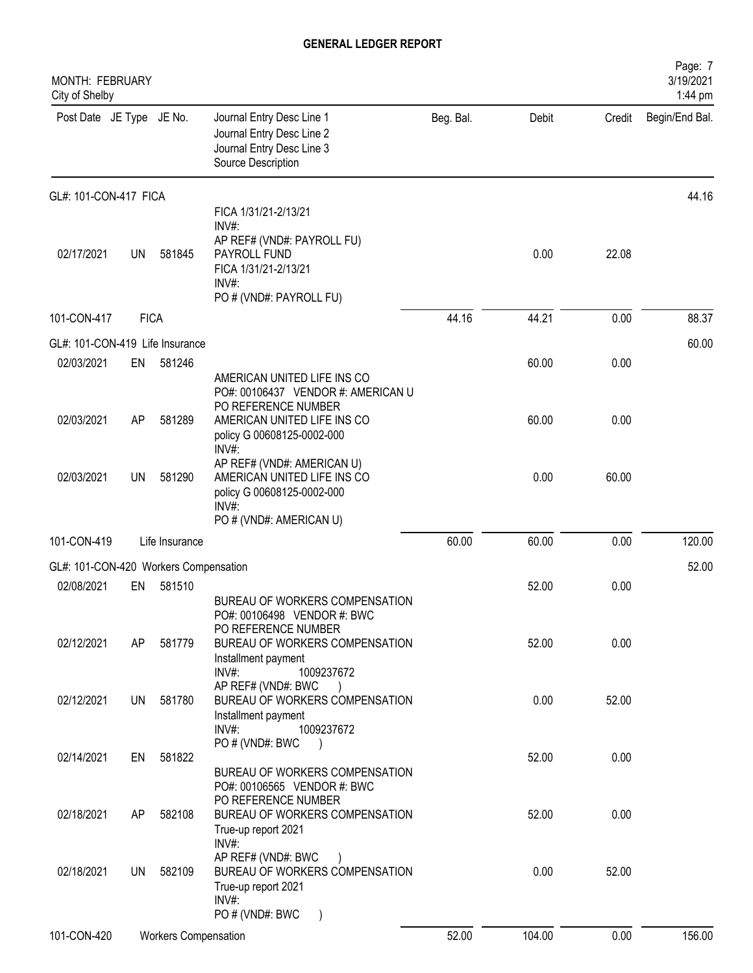| <b>MONTH: FEBRUARY</b><br>City of Shelby |             |                             |                                                                                                                                         |           |        |        | Page: 7<br>3/19/2021<br>1:44 pm |
|------------------------------------------|-------------|-----------------------------|-----------------------------------------------------------------------------------------------------------------------------------------|-----------|--------|--------|---------------------------------|
| Post Date JE Type JE No.                 |             |                             | Journal Entry Desc Line 1<br>Journal Entry Desc Line 2<br>Journal Entry Desc Line 3<br>Source Description                               | Beg. Bal. | Debit  | Credit | Begin/End Bal.                  |
| GL#: 101-CON-417 FICA                    |             |                             |                                                                                                                                         |           |        |        | 44.16                           |
| 02/17/2021                               | UN          | 581845                      | FICA 1/31/21-2/13/21<br>INV#:<br>AP REF# (VND#: PAYROLL FU)<br>PAYROLL FUND<br>FICA 1/31/21-2/13/21<br>INV#:<br>PO # (VND#: PAYROLL FU) |           | 0.00   | 22.08  |                                 |
| 101-CON-417                              | <b>FICA</b> |                             |                                                                                                                                         | 44.16     | 44.21  | 0.00   | 88.37                           |
| GL#: 101-CON-419 Life Insurance          |             |                             |                                                                                                                                         |           |        |        | 60.00                           |
| 02/03/2021                               | EN          | 581246                      | AMERICAN UNITED LIFE INS CO<br>PO#: 00106437 VENDOR #: AMERICAN U                                                                       |           | 60.00  | 0.00   |                                 |
| 02/03/2021                               | AP          | 581289                      | PO REFERENCE NUMBER<br>AMERICAN UNITED LIFE INS CO<br>policy G 00608125-0002-000<br>INV#:                                               |           | 60.00  | 0.00   |                                 |
| 02/03/2021                               | UN          | 581290                      | AP REF# (VND#: AMERICAN U)<br>AMERICAN UNITED LIFE INS CO<br>policy G 00608125-0002-000<br>INV#:<br>PO # (VND#: AMERICAN U)             |           | 0.00   | 60.00  |                                 |
| 101-CON-419                              |             | Life Insurance              |                                                                                                                                         | 60.00     | 60.00  | 0.00   | 120.00                          |
| GL#: 101-CON-420 Workers Compensation    |             |                             |                                                                                                                                         |           |        |        | 52.00                           |
| 02/08/2021                               | EN          | 581510                      | BUREAU OF WORKERS COMPENSATION<br>PO#: 00106498 VENDOR #: BWC                                                                           |           | 52.00  | 0.00   |                                 |
| 02/12/2021                               | AP          | 581779                      | PO REFERENCE NUMBER<br>BUREAU OF WORKERS COMPENSATION<br>Installment payment<br>INV#:<br>1009237672                                     |           | 52.00  | 0.00   |                                 |
| 02/12/2021                               | UN          | 581780                      | AP REF# (VND#: BWC<br>$\lambda$<br>BUREAU OF WORKERS COMPENSATION<br>Installment payment<br>1009237672<br>INV#:                         |           | 0.00   | 52.00  |                                 |
| 02/14/2021                               | EN          | 581822                      | PO # (VND#: BWC                                                                                                                         |           | 52.00  | 0.00   |                                 |
|                                          |             |                             | BUREAU OF WORKERS COMPENSATION<br>PO#: 00106565 VENDOR #: BWC<br>PO REFERENCE NUMBER                                                    |           |        |        |                                 |
| 02/18/2021                               | AP          | 582108                      | BUREAU OF WORKERS COMPENSATION<br>True-up report 2021<br>INV#:                                                                          |           | 52.00  | 0.00   |                                 |
| 02/18/2021                               | UN.         | 582109                      | AP REF# (VND#: BWC<br>BUREAU OF WORKERS COMPENSATION<br>True-up report 2021<br>INV#:<br>PO # (VND#: BWC<br>$\rightarrow$                |           | 0.00   | 52.00  |                                 |
| 101-CON-420                              |             | <b>Workers Compensation</b> |                                                                                                                                         | 52.00     | 104.00 | 0.00   | 156.00                          |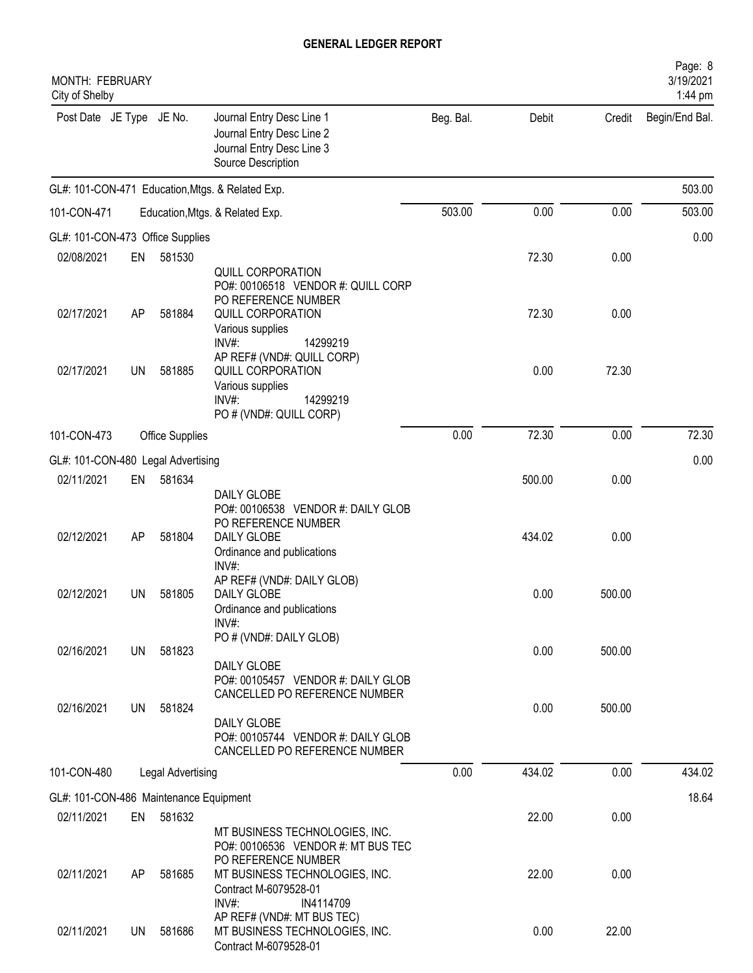| <b>MONTH: FEBRUARY</b><br>City of Shelby |           |                   |                                                                                                           |           |        |        | Page: 8<br>3/19/2021<br>1:44 pm |
|------------------------------------------|-----------|-------------------|-----------------------------------------------------------------------------------------------------------|-----------|--------|--------|---------------------------------|
| Post Date JE Type JE No.                 |           |                   | Journal Entry Desc Line 1<br>Journal Entry Desc Line 2<br>Journal Entry Desc Line 3<br>Source Description | Beg. Bal. | Debit  | Credit | Begin/End Bal.                  |
|                                          |           |                   | GL#: 101-CON-471 Education, Mtgs. & Related Exp.                                                          |           |        |        | 503.00                          |
| 101-CON-471                              |           |                   | Education, Mtgs. & Related Exp.                                                                           | 503.00    | 0.00   | 0.00   | 503.00                          |
| GL#: 101-CON-473 Office Supplies         |           |                   |                                                                                                           |           |        |        | 0.00                            |
| 02/08/2021                               | EN        | 581530            |                                                                                                           |           | 72.30  | 0.00   |                                 |
|                                          |           |                   | QUILL CORPORATION                                                                                         |           |        |        |                                 |
|                                          |           |                   | PO#: 00106518 VENDOR #: QUILL CORP                                                                        |           |        |        |                                 |
| 02/17/2021                               | AP        | 581884            | PO REFERENCE NUMBER<br>QUILL CORPORATION                                                                  |           | 72.30  | 0.00   |                                 |
|                                          |           |                   | Various supplies                                                                                          |           |        |        |                                 |
|                                          |           |                   | $INV#$ :<br>14299219                                                                                      |           |        |        |                                 |
| 02/17/2021                               | UN        | 581885            | AP REF# (VND#: QUILL CORP)<br>QUILL CORPORATION                                                           |           | 0.00   | 72.30  |                                 |
|                                          |           |                   | Various supplies                                                                                          |           |        |        |                                 |
|                                          |           |                   | $INV#$ :<br>14299219<br>PO # (VND#: QUILL CORP)                                                           |           |        |        |                                 |
| 101-CON-473                              |           | Office Supplies   |                                                                                                           | 0.00      | 72.30  | 0.00   | 72.30                           |
|                                          |           |                   |                                                                                                           |           |        |        |                                 |
| GL#: 101-CON-480 Legal Advertising       |           |                   |                                                                                                           |           |        |        | 0.00                            |
| 02/11/2021                               | EN        | 581634            | <b>DAILY GLOBE</b>                                                                                        |           | 500.00 | 0.00   |                                 |
|                                          |           |                   | PO#: 00106538 VENDOR #: DAILY GLOB                                                                        |           |        |        |                                 |
|                                          |           |                   | PO REFERENCE NUMBER                                                                                       |           |        |        |                                 |
| 02/12/2021                               | AP        | 581804            | DAILY GLOBE<br>Ordinance and publications                                                                 |           | 434.02 | 0.00   |                                 |
|                                          |           |                   | INV#:                                                                                                     |           |        |        |                                 |
|                                          |           |                   | AP REF# (VND#: DAILY GLOB)                                                                                |           |        |        |                                 |
| 02/12/2021                               | UN        | 581805            | DAILY GLOBE<br>Ordinance and publications                                                                 |           | 0.00   | 500.00 |                                 |
|                                          |           |                   | INV#                                                                                                      |           |        |        |                                 |
|                                          |           |                   | PO # (VND#: DAILY GLOB)                                                                                   |           |        |        |                                 |
| 02/16/2021                               | <b>UN</b> | 581823            | DAILY GLOBE                                                                                               |           | 0.00   | 500.00 |                                 |
|                                          |           |                   | PO#: 00105457 VENDOR #: DAILY GLOB                                                                        |           |        |        |                                 |
| 02/16/2021                               | UN        | 581824            | CANCELLED PO REFERENCE NUMBER                                                                             |           | 0.00   | 500.00 |                                 |
|                                          |           |                   | DAILY GLOBE                                                                                               |           |        |        |                                 |
|                                          |           |                   | PO#: 00105744 VENDOR #: DAILY GLOB                                                                        |           |        |        |                                 |
|                                          |           |                   | CANCELLED PO REFERENCE NUMBER                                                                             |           |        |        |                                 |
| 101-CON-480                              |           | Legal Advertising |                                                                                                           | 0.00      | 434.02 | 0.00   | 434.02                          |
| GL#: 101-CON-486 Maintenance Equipment   |           |                   |                                                                                                           |           |        |        | 18.64                           |
| 02/11/2021                               | EN        | 581632            |                                                                                                           |           | 22.00  | 0.00   |                                 |
|                                          |           |                   | MT BUSINESS TECHNOLOGIES, INC.<br>PO#: 00106536 VENDOR #: MT BUS TEC                                      |           |        |        |                                 |
|                                          |           |                   | PO REFERENCE NUMBER                                                                                       |           |        |        |                                 |
| 02/11/2021                               | AP        | 581685            | MT BUSINESS TECHNOLOGIES, INC.                                                                            |           | 22.00  | 0.00   |                                 |
|                                          |           |                   | Contract M-6079528-01<br>INV#:<br>IN4114709                                                               |           |        |        |                                 |
|                                          |           |                   | AP REF# (VND#: MT BUS TEC)                                                                                |           |        |        |                                 |
| 02/11/2021                               | UN        | 581686            | MT BUSINESS TECHNOLOGIES, INC.                                                                            |           | 0.00   | 22.00  |                                 |
|                                          |           |                   | Contract M-6079528-01                                                                                     |           |        |        |                                 |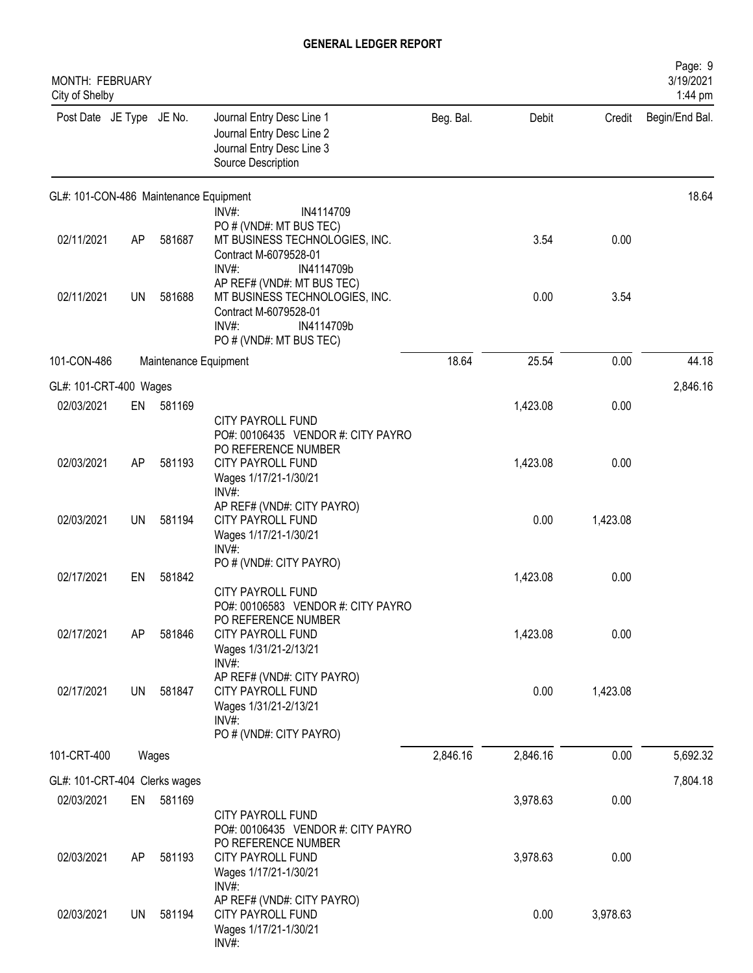| MONTH: FEBRUARY<br>City of Shelby      |           |                       |                                                                                                                                            |           |          |          | Page: 9<br>3/19/2021<br>1:44 pm |
|----------------------------------------|-----------|-----------------------|--------------------------------------------------------------------------------------------------------------------------------------------|-----------|----------|----------|---------------------------------|
| Post Date JE Type JE No.               |           |                       | Journal Entry Desc Line 1<br>Journal Entry Desc Line 2<br>Journal Entry Desc Line 3<br>Source Description                                  | Beg. Bal. | Debit    | Credit   | Begin/End Bal.                  |
| GL#: 101-CON-486 Maintenance Equipment |           |                       |                                                                                                                                            |           |          |          | 18.64                           |
| 02/11/2021                             | AP        | 581687                | $INV#$ :<br>IN4114709<br>PO # (VND#: MT BUS TEC)<br>MT BUSINESS TECHNOLOGIES, INC.<br>Contract M-6079528-01<br>INV#:<br>IN4114709b         |           | 3.54     | 0.00     |                                 |
| 02/11/2021                             | <b>UN</b> | 581688                | AP REF# (VND#: MT BUS TEC)<br>MT BUSINESS TECHNOLOGIES, INC.<br>Contract M-6079528-01<br>$INV#$ :<br>IN4114709b<br>PO # (VND#: MT BUS TEC) |           | 0.00     | 3.54     |                                 |
| 101-CON-486                            |           | Maintenance Equipment |                                                                                                                                            | 18.64     | 25.54    | 0.00     | 44.18                           |
| GL#: 101-CRT-400 Wages                 |           |                       |                                                                                                                                            |           |          |          | 2,846.16                        |
| 02/03/2021                             | EN        | 581169                |                                                                                                                                            |           | 1,423.08 | 0.00     |                                 |
| 02/03/2021                             | AP        | 581193                | CITY PAYROLL FUND<br>PO#: 00106435 VENDOR #: CITY PAYRO<br>PO REFERENCE NUMBER<br>CITY PAYROLL FUND<br>Wages 1/17/21-1/30/21               |           | 1,423.08 | 0.00     |                                 |
| 02/03/2021                             | <b>UN</b> | 581194                | INV#:<br>AP REF# (VND#: CITY PAYRO)<br>CITY PAYROLL FUND<br>Wages 1/17/21-1/30/21<br>INV#:                                                 |           | 0.00     | 1,423.08 |                                 |
| 02/17/2021                             | EN        | 581842                | PO # (VND#: CITY PAYRO)<br><b>CITY PAYROLL FUND</b>                                                                                        |           | 1,423.08 | 0.00     |                                 |
| 02/17/2021                             | AP        | 581846                | PO#: 00106583 VENDOR #: CITY PAYRO<br>PO REFERENCE NUMBER<br>CITY PAYROLL FUND<br>Wages 1/31/21-2/13/21<br>$INV#$ :                        |           | 1,423.08 | 0.00     |                                 |
| 02/17/2021                             | <b>UN</b> | 581847                | AP REF# (VND#: CITY PAYRO)<br>CITY PAYROLL FUND<br>Wages 1/31/21-2/13/21<br>$INV#$ :                                                       |           | 0.00     | 1,423.08 |                                 |
| 101-CRT-400                            |           | Wages                 | PO # (VND#: CITY PAYRO)                                                                                                                    | 2,846.16  | 2,846.16 | 0.00     | 5,692.32                        |
| GL#: 101-CRT-404 Clerks wages          |           |                       |                                                                                                                                            |           |          |          | 7,804.18                        |
| 02/03/2021                             | EN        | 581169                |                                                                                                                                            |           | 3,978.63 | 0.00     |                                 |
| 02/03/2021                             | AP        | 581193                | CITY PAYROLL FUND<br>PO#: 00106435 VENDOR #: CITY PAYRO<br>PO REFERENCE NUMBER<br>CITY PAYROLL FUND<br>Wages 1/17/21-1/30/21<br>$INV#$ :   |           | 3,978.63 | 0.00     |                                 |
| 02/03/2021                             | <b>UN</b> | 581194                | AP REF# (VND#: CITY PAYRO)<br><b>CITY PAYROLL FUND</b><br>Wages 1/17/21-1/30/21<br>INV#:                                                   |           | 0.00     | 3,978.63 |                                 |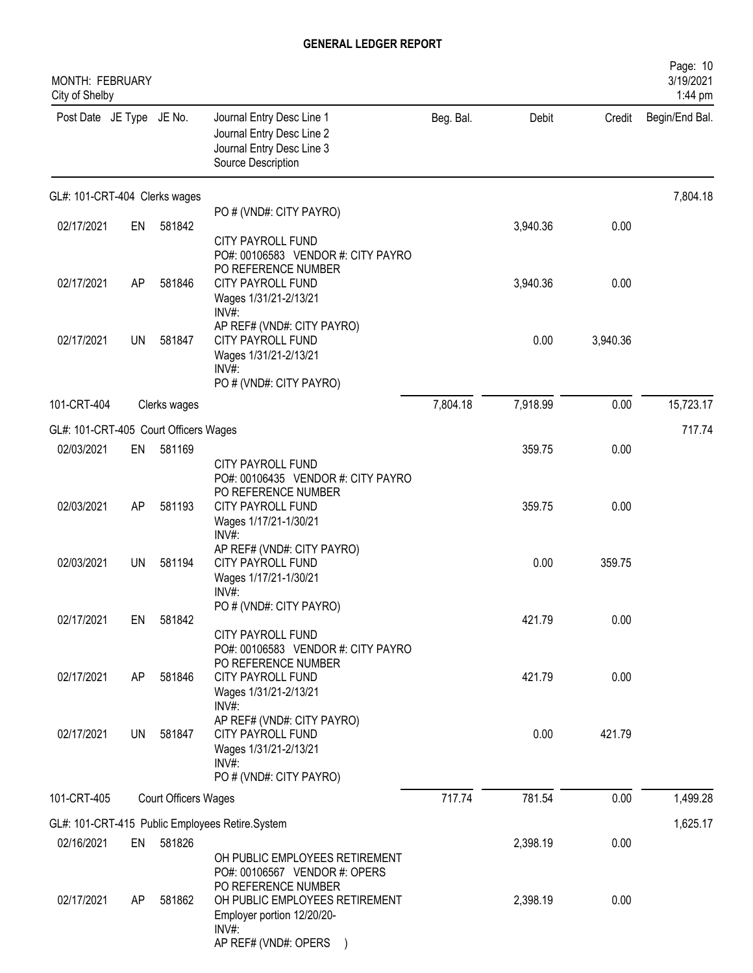| MONTH: FEBRUARY<br>City of Shelby     |           |                             |                                                                                                                                          |           |          |          | Page: 10<br>3/19/2021<br>1:44 pm |
|---------------------------------------|-----------|-----------------------------|------------------------------------------------------------------------------------------------------------------------------------------|-----------|----------|----------|----------------------------------|
| Post Date JE Type JE No.              |           |                             | Journal Entry Desc Line 1<br>Journal Entry Desc Line 2<br>Journal Entry Desc Line 3<br>Source Description                                | Beg. Bal. | Debit    | Credit   | Begin/End Bal.                   |
| GL#: 101-CRT-404 Clerks wages         |           |                             |                                                                                                                                          |           |          |          | 7,804.18                         |
| 02/17/2021                            | EN        | 581842                      | PO # (VND#: CITY PAYRO)<br><b>CITY PAYROLL FUND</b>                                                                                      |           | 3,940.36 | 0.00     |                                  |
| 02/17/2021                            | AP        | 581846                      | PO#: 00106583 VENDOR #: CITY PAYRO<br>PO REFERENCE NUMBER<br>CITY PAYROLL FUND<br>Wages 1/31/21-2/13/21<br>$INV#$ :                      |           | 3,940.36 | 0.00     |                                  |
| 02/17/2021                            | <b>UN</b> | 581847                      | AP REF# (VND#: CITY PAYRO)<br><b>CITY PAYROLL FUND</b><br>Wages 1/31/21-2/13/21<br>$INV#$ :<br>PO # (VND#: CITY PAYRO)                   |           | 0.00     | 3,940.36 |                                  |
| 101-CRT-404                           |           | Clerks wages                |                                                                                                                                          | 7,804.18  | 7,918.99 | 0.00     | 15,723.17                        |
| GL#: 101-CRT-405 Court Officers Wages |           |                             |                                                                                                                                          |           |          |          | 717.74                           |
| 02/03/2021                            | EN        | 581169                      |                                                                                                                                          |           | 359.75   | 0.00     |                                  |
| 02/03/2021                            | AP        | 581193                      | CITY PAYROLL FUND<br>PO#: 00106435 VENDOR #: CITY PAYRO<br>PO REFERENCE NUMBER<br>CITY PAYROLL FUND<br>Wages 1/17/21-1/30/21<br>$INV#$ : |           | 359.75   | 0.00     |                                  |
| 02/03/2021                            | <b>UN</b> | 581194                      | AP REF# (VND#: CITY PAYRO)<br>CITY PAYROLL FUND<br>Wages 1/17/21-1/30/21<br>INV#:                                                        |           | 0.00     | 359.75   |                                  |
| 02/17/2021                            | EN        | 581842                      | PO # (VND#: CITY PAYRO)                                                                                                                  |           | 421.79   | 0.00     |                                  |
| 02/17/2021                            | AP        | 581846                      | CITY PAYROLL FUND<br>PO#: 00106583 VENDOR #: CITY PAYRO<br>PO REFERENCE NUMBER<br><b>CITY PAYROLL FUND</b>                               |           | 421.79   | 0.00     |                                  |
|                                       |           |                             | Wages 1/31/21-2/13/21<br>$INV#$ :<br>AP REF# (VND#: CITY PAYRO)                                                                          |           |          |          |                                  |
| 02/17/2021                            | UN        | 581847                      | <b>CITY PAYROLL FUND</b><br>Wages 1/31/21-2/13/21<br>$INV#$ :<br>PO # (VND#: CITY PAYRO)                                                 |           | 0.00     | 421.79   |                                  |
| 101-CRT-405                           |           | <b>Court Officers Wages</b> |                                                                                                                                          | 717.74    | 781.54   | 0.00     | 1,499.28                         |
|                                       |           |                             | GL#: 101-CRT-415 Public Employees Retire.System                                                                                          |           |          |          | 1,625.17                         |
| 02/16/2021                            | EN        | 581826                      | OH PUBLIC EMPLOYEES RETIREMENT<br>PO#: 00106567 VENDOR #: OPERS                                                                          |           | 2,398.19 | 0.00     |                                  |
| 02/17/2021                            | AP        | 581862                      | PO REFERENCE NUMBER<br>OH PUBLIC EMPLOYEES RETIREMENT<br>Employer portion 12/20/20-<br>$INV#$ :<br>AP REF# (VND#: OPERS                  |           | 2,398.19 | 0.00     |                                  |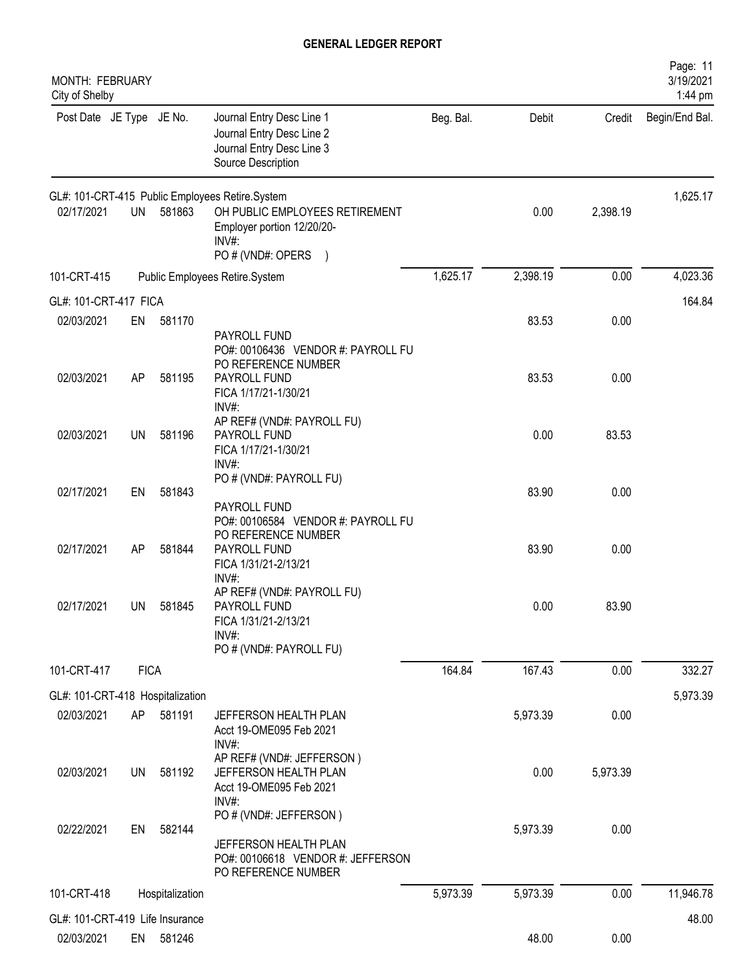| MONTH: FEBRUARY<br>City of Shelby             |             |                 |                                                                                                           |           |          |          | Page: 11<br>3/19/2021<br>1:44 pm |
|-----------------------------------------------|-------------|-----------------|-----------------------------------------------------------------------------------------------------------|-----------|----------|----------|----------------------------------|
| Post Date JE Type JE No.                      |             |                 | Journal Entry Desc Line 1<br>Journal Entry Desc Line 2<br>Journal Entry Desc Line 3<br>Source Description | Beg. Bal. | Debit    | Credit   | Begin/End Bal.                   |
|                                               |             |                 | GL#: 101-CRT-415 Public Employees Retire.System                                                           |           |          |          | 1,625.17                         |
| 02/17/2021                                    | UN          | 581863          | OH PUBLIC EMPLOYEES RETIREMENT<br>Employer portion 12/20/20-<br>INV#:                                     |           | 0.00     | 2,398.19 |                                  |
|                                               |             |                 | PO # (VND#: OPERS<br>$\left( \right)$                                                                     |           |          |          |                                  |
| 101-CRT-415                                   |             |                 | Public Employees Retire.System                                                                            | 1,625.17  | 2,398.19 | 0.00     | 4,023.36                         |
| GL#: 101-CRT-417 FICA                         |             |                 |                                                                                                           |           |          |          | 164.84                           |
| 02/03/2021                                    | EN          | 581170          | PAYROLL FUND<br>PO#: 00106436 VENDOR #: PAYROLL FU<br>PO REFERENCE NUMBER                                 |           | 83.53    | 0.00     |                                  |
| 02/03/2021                                    | AP          | 581195          | PAYROLL FUND<br>FICA 1/17/21-1/30/21<br>$INV#$ :                                                          |           | 83.53    | 0.00     |                                  |
| 02/03/2021                                    | UN          | 581196          | AP REF# (VND#: PAYROLL FU)<br>PAYROLL FUND<br>FICA 1/17/21-1/30/21<br>INV#:                               |           | 0.00     | 83.53    |                                  |
| 02/17/2021                                    | EN          | 581843          | PO # (VND#: PAYROLL FU)<br>PAYROLL FUND<br>PO#: 00106584 VENDOR #: PAYROLL FU                             |           | 83.90    | 0.00     |                                  |
| 02/17/2021                                    | AP          | 581844          | PO REFERENCE NUMBER<br>PAYROLL FUND<br>FICA 1/31/21-2/13/21<br>INV#:                                      |           | 83.90    | 0.00     |                                  |
| 02/17/2021                                    | UN –        | 581845          | AP REF# (VND#: PAYROLL FU)<br>PAYROLL FUND<br>FICA 1/31/21-2/13/21<br>$INV#$ :<br>PO # (VND#: PAYROLL FU) |           | 0.00     | 83.90    |                                  |
| 101-CRT-417                                   | <b>FICA</b> |                 |                                                                                                           | 164.84    | 167.43   | 0.00     | 332.27                           |
| GL#: 101-CRT-418 Hospitalization              |             |                 |                                                                                                           |           |          |          | 5,973.39                         |
| 02/03/2021                                    | AP          | 581191          | JEFFERSON HEALTH PLAN<br>Acct 19-OME095 Feb 2021<br>INV#:                                                 |           | 5,973.39 | 0.00     |                                  |
| 02/03/2021                                    | <b>UN</b>   | 581192          | AP REF# (VND#: JEFFERSON)<br>JEFFERSON HEALTH PLAN<br>Acct 19-OME095 Feb 2021<br>INV#:                    |           | 0.00     | 5,973.39 |                                  |
| 02/22/2021                                    | EN          | 582144          | PO # (VND#: JEFFERSON)<br>JEFFERSON HEALTH PLAN<br>PO#: 00106618 VENDOR #: JEFFERSON                      |           | 5,973.39 | 0.00     |                                  |
| 101-CRT-418                                   |             | Hospitalization | PO REFERENCE NUMBER                                                                                       | 5,973.39  | 5,973.39 | 0.00     | 11,946.78                        |
|                                               |             |                 |                                                                                                           |           |          |          |                                  |
| GL#: 101-CRT-419 Life Insurance<br>02/03/2021 |             | EN 581246       |                                                                                                           |           | 48.00    | 0.00     | 48.00                            |
|                                               |             |                 |                                                                                                           |           |          |          |                                  |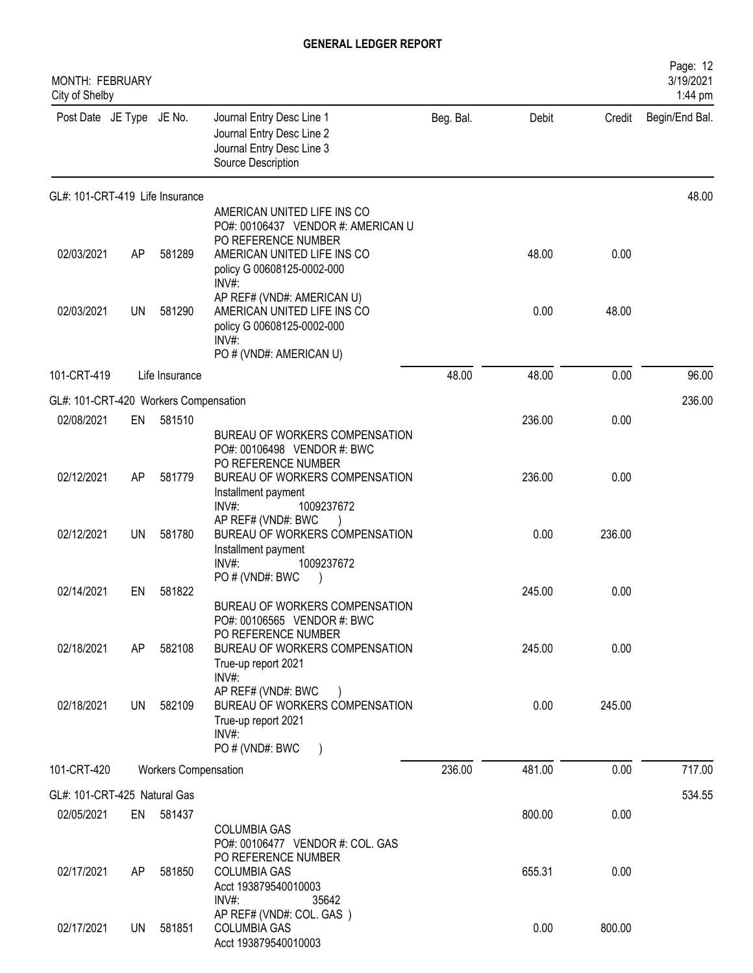| <b>MONTH: FEBRUARY</b><br>City of Shelby |           |                             |                                                                                                                                                       |           |        |        | Page: 12<br>3/19/2021<br>1:44 pm |
|------------------------------------------|-----------|-----------------------------|-------------------------------------------------------------------------------------------------------------------------------------------------------|-----------|--------|--------|----------------------------------|
| Post Date JE Type JE No.                 |           |                             | Journal Entry Desc Line 1<br>Journal Entry Desc Line 2<br>Journal Entry Desc Line 3<br>Source Description                                             | Beg. Bal. | Debit  | Credit | Begin/End Bal.                   |
| GL#: 101-CRT-419 Life Insurance          |           |                             |                                                                                                                                                       |           |        |        | 48.00                            |
| 02/03/2021                               | AP        | 581289                      | AMERICAN UNITED LIFE INS CO<br>PO#: 00106437 VENDOR #: AMERICAN U<br>PO REFERENCE NUMBER<br>AMERICAN UNITED LIFE INS CO<br>policy G 00608125-0002-000 |           | 48.00  | 0.00   |                                  |
| 02/03/2021                               | <b>UN</b> | 581290                      | INV#:<br>AP REF# (VND#: AMERICAN U)<br>AMERICAN UNITED LIFE INS CO<br>policy G 00608125-0002-000<br>INV#                                              |           | 0.00   | 48.00  |                                  |
| 101-CRT-419                              |           | Life Insurance              | PO # (VND#: AMERICAN U)                                                                                                                               | 48.00     | 48.00  | 0.00   | 96.00                            |
| GL#: 101-CRT-420 Workers Compensation    |           |                             |                                                                                                                                                       |           |        |        | 236.00                           |
| 02/08/2021                               | EN        | 581510                      |                                                                                                                                                       |           | 236.00 | 0.00   |                                  |
|                                          |           |                             | BUREAU OF WORKERS COMPENSATION<br>PO#: 00106498 VENDOR #: BWC<br>PO REFERENCE NUMBER                                                                  |           |        |        |                                  |
| 02/12/2021                               | AP        | 581779                      | BUREAU OF WORKERS COMPENSATION<br>Installment payment<br>INV#:<br>1009237672                                                                          |           | 236.00 | 0.00   |                                  |
| 02/12/2021                               | <b>UN</b> | 581780                      | AP REF# (VND#: BWC<br>BUREAU OF WORKERS COMPENSATION<br>Installment payment<br>1009237672<br>$INV#$ :                                                 |           | 0.00   | 236.00 |                                  |
| 02/14/2021                               | EN        | 581822                      | PO # (VND#: BWC                                                                                                                                       |           | 245.00 | 0.00   |                                  |
|                                          |           |                             | BUREAU OF WORKERS COMPENSATION<br>PO#: 00106565 VENDOR #: BWC<br>PO REFERENCE NUMBER                                                                  |           |        |        |                                  |
| 02/18/2021                               | AP        | 582108                      | BUREAU OF WORKERS COMPENSATION<br>True-up report 2021<br>INV#:                                                                                        |           | 245.00 | 0.00   |                                  |
| 02/18/2021                               | UN        | 582109                      | AP REF# (VND#: BWC<br>BUREAU OF WORKERS COMPENSATION<br>True-up report 2021<br>INV#:<br>PO # (VND#: BWC                                               |           | 0.00   | 245.00 |                                  |
| 101-CRT-420                              |           | <b>Workers Compensation</b> |                                                                                                                                                       | 236.00    | 481.00 | 0.00   | 717.00                           |
| GL#: 101-CRT-425 Natural Gas             |           |                             |                                                                                                                                                       |           |        |        | 534.55                           |
| 02/05/2021                               | EN        | 581437                      | <b>COLUMBIA GAS</b><br>PO#: 00106477 VENDOR #: COL. GAS                                                                                               |           | 800.00 | 0.00   |                                  |
| 02/17/2021                               | AP        | 581850                      | PO REFERENCE NUMBER<br><b>COLUMBIA GAS</b><br>Acct 193879540010003<br>$INV#$ :<br>35642                                                               |           | 655.31 | 0.00   |                                  |
| 02/17/2021                               | UN.       | 581851                      | AP REF# (VND#: COL. GAS)<br><b>COLUMBIA GAS</b><br>Acct 193879540010003                                                                               |           | 0.00   | 800.00 |                                  |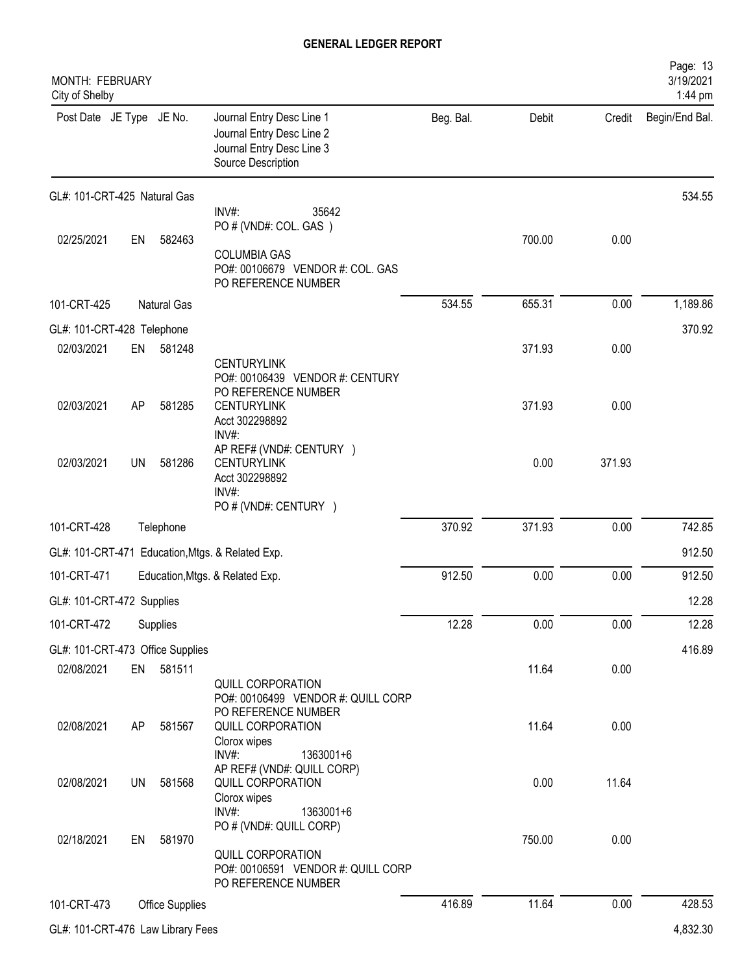| MONTH: FEBRUARY<br>City of Shelby |           |                        |                                                                                                           |           |        |        | Page: 13<br>3/19/2021<br>1:44 pm |
|-----------------------------------|-----------|------------------------|-----------------------------------------------------------------------------------------------------------|-----------|--------|--------|----------------------------------|
| Post Date JE Type JE No.          |           |                        | Journal Entry Desc Line 1<br>Journal Entry Desc Line 2<br>Journal Entry Desc Line 3<br>Source Description | Beg. Bal. | Debit  | Credit | Begin/End Bal.                   |
| GL#: 101-CRT-425 Natural Gas      |           |                        |                                                                                                           |           |        |        | 534.55                           |
|                                   |           |                        | INV#:<br>35642<br>PO # (VND#: COL. GAS)                                                                   |           |        |        |                                  |
| 02/25/2021                        | EN        | 582463                 |                                                                                                           |           | 700.00 | 0.00   |                                  |
|                                   |           |                        | <b>COLUMBIA GAS</b><br>PO#: 00106679 VENDOR #: COL. GAS<br>PO REFERENCE NUMBER                            |           |        |        |                                  |
| 101-CRT-425                       |           | <b>Natural Gas</b>     |                                                                                                           | 534.55    | 655.31 | 0.00   | 1,189.86                         |
| GL#: 101-CRT-428 Telephone        |           |                        |                                                                                                           |           |        |        | 370.92                           |
| 02/03/2021                        | EN        | 581248                 |                                                                                                           |           | 371.93 | 0.00   |                                  |
| 02/03/2021                        | AP        | 581285                 | <b>CENTURYLINK</b><br>PO#: 00106439 VENDOR #: CENTURY<br>PO REFERENCE NUMBER<br><b>CENTURYLINK</b>        |           | 371.93 | 0.00   |                                  |
|                                   |           |                        | Acct 302298892                                                                                            |           |        |        |                                  |
| 02/03/2021                        | <b>UN</b> | 581286                 | INV#:<br>AP REF# (VND#: CENTURY )<br><b>CENTURYLINK</b><br>Acct 302298892<br>$INV#$ :                     |           | 0.00   | 371.93 |                                  |
|                                   |           |                        | PO # (VND#: CENTURY )                                                                                     |           |        |        |                                  |
| 101-CRT-428                       |           | Telephone              |                                                                                                           | 370.92    | 371.93 | 0.00   | 742.85                           |
|                                   |           |                        | GL#: 101-CRT-471 Education, Mtgs. & Related Exp.                                                          |           |        |        | 912.50                           |
| 101-CRT-471                       |           |                        | Education, Mtgs. & Related Exp.                                                                           | 912.50    | 0.00   | 0.00   | 912.50                           |
| GL#: 101-CRT-472 Supplies         |           |                        |                                                                                                           |           |        |        | 12.28                            |
| 101-CRT-472                       |           | Supplies               |                                                                                                           | 12.28     | 0.00   | 0.00   | 12.28                            |
| GL#: 101-CRT-473 Office Supplies  |           |                        |                                                                                                           |           |        |        | 416.89                           |
| 02/08/2021                        | EN        | 581511                 |                                                                                                           |           | 11.64  | 0.00   |                                  |
|                                   |           |                        | <b>QUILL CORPORATION</b><br>PO#: 00106499 VENDOR #: QUILL CORP<br>PO REFERENCE NUMBER                     |           |        |        |                                  |
| 02/08/2021                        | AP        | 581567                 | QUILL CORPORATION<br>Clorox wipes<br>$INV#$ :<br>1363001+6                                                |           | 11.64  | 0.00   |                                  |
| 02/08/2021                        | UN        | 581568                 | AP REF# (VND#: QUILL CORP)<br>QUILL CORPORATION                                                           |           | 0.00   | 11.64  |                                  |
|                                   |           |                        | Clorox wipes<br>INV#:<br>1363001+6<br>PO # (VND#: QUILL CORP)                                             |           |        |        |                                  |
| 02/18/2021                        | EN        | 581970                 | QUILL CORPORATION<br>PO#: 00106591 VENDOR #: QUILL CORP                                                   |           | 750.00 | 0.00   |                                  |
|                                   |           |                        | PO REFERENCE NUMBER                                                                                       |           |        |        |                                  |
| 101-CRT-473                       |           | <b>Office Supplies</b> |                                                                                                           | 416.89    | 11.64  | 0.00   | 428.53                           |
| GL#: 101-CRT-476 Law Library Fees |           |                        |                                                                                                           |           |        |        | 4,832.30                         |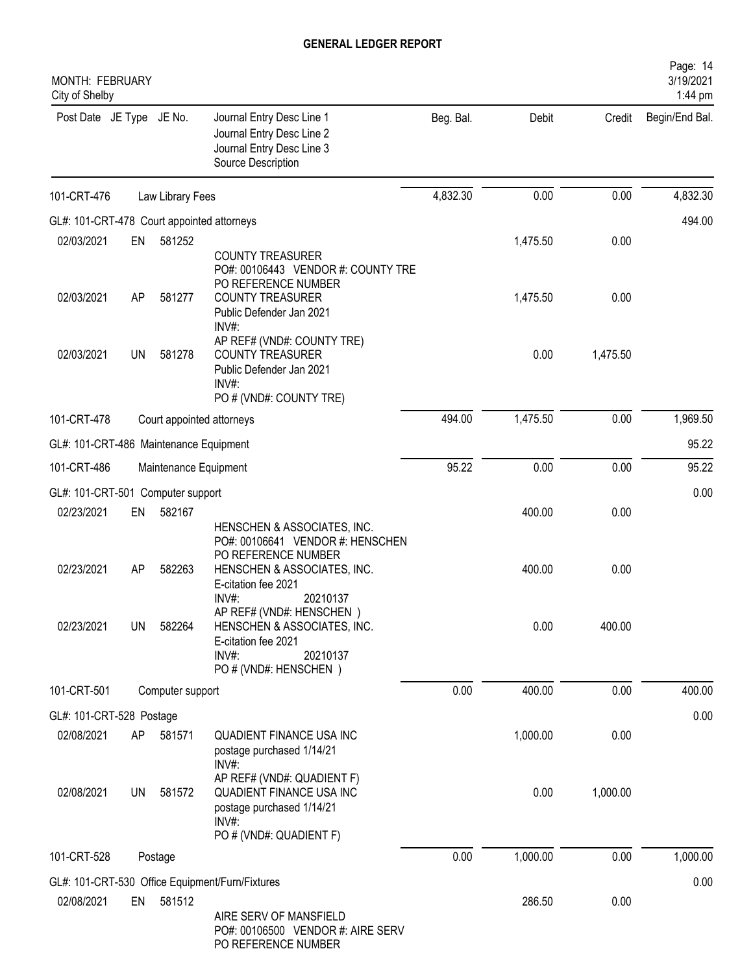| MONTH: FEBRUARY<br>City of Shelby          |    |                       |                                                                                                                                                         |           |          |          | Page: 14<br>3/19/2021<br>1:44 pm |
|--------------------------------------------|----|-----------------------|---------------------------------------------------------------------------------------------------------------------------------------------------------|-----------|----------|----------|----------------------------------|
| Post Date JE Type JE No.                   |    |                       | Journal Entry Desc Line 1<br>Journal Entry Desc Line 2<br>Journal Entry Desc Line 3<br>Source Description                                               | Beg. Bal. | Debit    | Credit   | Begin/End Bal.                   |
| 101-CRT-476                                |    | Law Library Fees      |                                                                                                                                                         | 4,832.30  | 0.00     | 0.00     | 4,832.30                         |
| GL#: 101-CRT-478 Court appointed attorneys |    |                       |                                                                                                                                                         |           |          |          | 494.00                           |
| 02/03/2021                                 | EN | 581252                |                                                                                                                                                         |           | 1,475.50 | 0.00     |                                  |
| 02/03/2021                                 | AP | 581277                | <b>COUNTY TREASURER</b><br>PO#: 00106443 VENDOR #: COUNTY TRE<br>PO REFERENCE NUMBER<br><b>COUNTY TREASURER</b><br>Public Defender Jan 2021             |           | 1,475.50 | 0.00     |                                  |
| 02/03/2021                                 | UN | 581278                | INV#<br>AP REF# (VND#: COUNTY TRE)<br><b>COUNTY TREASURER</b><br>Public Defender Jan 2021<br>INV#:<br>PO # (VND#: COUNTY TRE)                           |           | 0.00     | 1,475.50 |                                  |
| 101-CRT-478                                |    |                       | Court appointed attorneys                                                                                                                               | 494.00    | 1,475.50 | 0.00     | 1,969.50                         |
| GL#: 101-CRT-486 Maintenance Equipment     |    |                       |                                                                                                                                                         |           |          |          | 95.22                            |
| 101-CRT-486                                |    | Maintenance Equipment |                                                                                                                                                         | 95.22     | 0.00     | 0.00     | 95.22                            |
| GL#: 101-CRT-501 Computer support          |    |                       |                                                                                                                                                         |           |          |          | 0.00                             |
| 02/23/2021                                 | EN | 582167                | HENSCHEN & ASSOCIATES, INC.<br>PO#: 00106641 VENDOR #: HENSCHEN                                                                                         |           | 400.00   | 0.00     |                                  |
| 02/23/2021                                 | AP | 582263                | PO REFERENCE NUMBER<br>HENSCHEN & ASSOCIATES, INC.<br>E-citation fee 2021                                                                               |           | 400.00   | 0.00     |                                  |
| 02/23/2021                                 | UN | 582264                | $INV#$ :<br>20210137<br>AP REF# (VND#: HENSCHEN)<br>HENSCHEN & ASSOCIATES, INC.<br>E-citation fee 2021<br>$INV#$ :<br>20210137<br>PO # (VND#: HENSCHEN) |           | 0.00     | 400.00   |                                  |
| 101-CRT-501                                |    | Computer support      |                                                                                                                                                         | 0.00      | 400.00   | 0.00     | 400.00                           |
| GL#: 101-CRT-528 Postage                   |    |                       |                                                                                                                                                         |           |          |          | 0.00                             |
| 02/08/2021                                 | AP | 581571                | <b>QUADIENT FINANCE USA INC</b><br>postage purchased 1/14/21<br>$INV#$ :                                                                                |           | 1,000.00 | 0.00     |                                  |
| 02/08/2021                                 | UN | 581572                | AP REF# (VND#: QUADIENT F)<br>QUADIENT FINANCE USA INC<br>postage purchased 1/14/21<br>$INV#$ :                                                         |           | 0.00     | 1,000.00 |                                  |
| 101-CRT-528                                |    | Postage               | PO # (VND#: QUADIENT F)                                                                                                                                 | 0.00      | 1,000.00 | 0.00     | 1,000.00                         |
|                                            |    |                       |                                                                                                                                                         |           |          |          |                                  |
| 02/08/2021                                 | EN | 581512                | GL#: 101-CRT-530 Office Equipment/Furn/Fixtures<br>AIRE SERV OF MANSFIELD<br>PO#: 00106500 VENDOR #: AIRE SERV                                          |           | 286.50   | 0.00     | 0.00                             |
|                                            |    |                       | PO REFERENCE NUMBER                                                                                                                                     |           |          |          |                                  |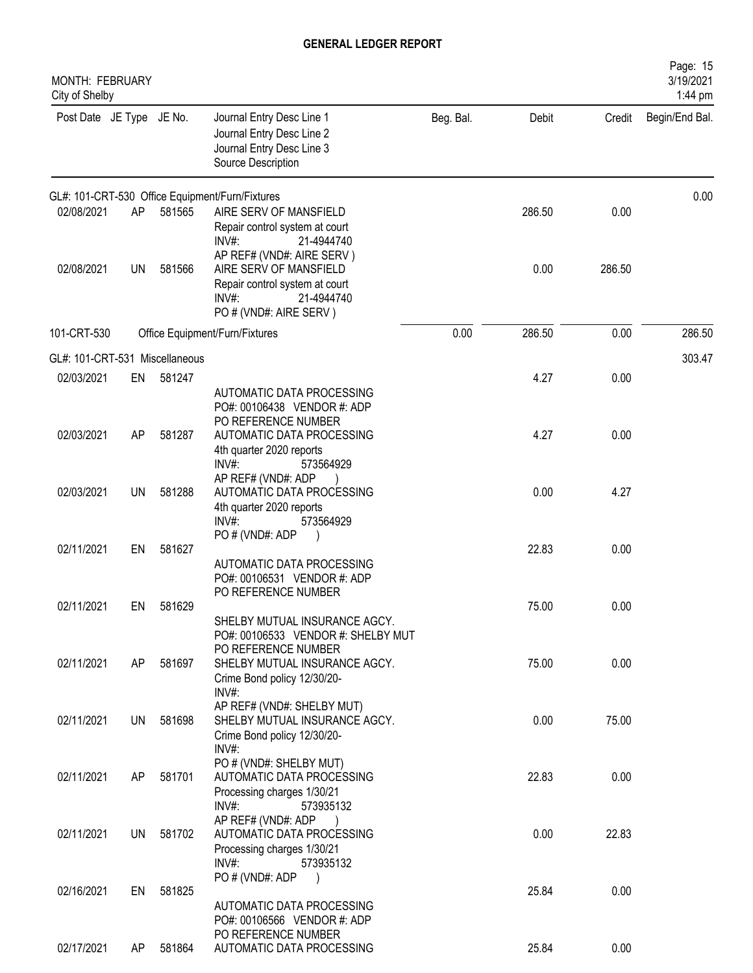| MONTH: FEBRUARY<br>City of Shelby |           |        |                                                                                                                                           |           |        |        | Page: 15<br>3/19/2021<br>1:44 pm |
|-----------------------------------|-----------|--------|-------------------------------------------------------------------------------------------------------------------------------------------|-----------|--------|--------|----------------------------------|
| Post Date JE Type JE No.          |           |        | Journal Entry Desc Line 1<br>Journal Entry Desc Line 2<br>Journal Entry Desc Line 3<br>Source Description                                 | Beg. Bal. | Debit  | Credit | Begin/End Bal.                   |
|                                   |           |        | GL#: 101-CRT-530 Office Equipment/Furn/Fixtures                                                                                           |           |        |        | 0.00                             |
| 02/08/2021                        | AP        | 581565 | AIRE SERV OF MANSFIELD<br>Repair control system at court<br>$INV#$ :<br>21-4944740                                                        |           | 286.50 | 0.00   |                                  |
| 02/08/2021                        | <b>UN</b> | 581566 | AP REF# (VND#: AIRE SERV)<br>AIRE SERV OF MANSFIELD<br>Repair control system at court<br>$INV#$ :<br>21-4944740<br>PO # (VND#: AIRE SERV) |           | 0.00   | 286.50 |                                  |
| 101-CRT-530                       |           |        | Office Equipment/Furn/Fixtures                                                                                                            | 0.00      | 286.50 | 0.00   | 286.50                           |
| GL#: 101-CRT-531 Miscellaneous    |           |        |                                                                                                                                           |           |        |        | 303.47                           |
| 02/03/2021                        | EN        | 581247 | AUTOMATIC DATA PROCESSING                                                                                                                 |           | 4.27   | 0.00   |                                  |
| 02/03/2021                        | AP        | 581287 | PO#: 00106438 VENDOR #: ADP<br>PO REFERENCE NUMBER<br>AUTOMATIC DATA PROCESSING<br>4th quarter 2020 reports                               |           | 4.27   | 0.00   |                                  |
| 02/03/2021                        | UN        | 581288 | INV#:<br>573564929<br>AP REF# (VND#: ADP<br>AUTOMATIC DATA PROCESSING<br>4th quarter 2020 reports                                         |           | 0.00   | 4.27   |                                  |
| 02/11/2021                        |           | 581627 | INV#:<br>573564929<br>PO # (VND#: ADP                                                                                                     |           | 22.83  | 0.00   |                                  |
|                                   | EN        |        | AUTOMATIC DATA PROCESSING<br>PO#: 00106531 VENDOR #: ADP<br>PO REFERENCE NUMBER                                                           |           |        |        |                                  |
| 02/11/2021                        | EN        | 581629 | SHELBY MUTUAL INSURANCE AGCY.                                                                                                             |           | 75.00  | 0.00   |                                  |
| 02/11/2021                        | AP        | 581697 | PO#: 00106533 VENDOR #: SHELBY MUT<br>PO REFERENCE NUMBER<br>SHELBY MUTUAL INSURANCE AGCY.<br>Crime Bond policy 12/30/20-<br>INV#:        |           | 75.00  | 0.00   |                                  |
| 02/11/2021                        | <b>UN</b> | 581698 | AP REF# (VND#: SHELBY MUT)<br>SHELBY MUTUAL INSURANCE AGCY.<br>Crime Bond policy 12/30/20-<br>INV#:                                       |           | 0.00   | 75.00  |                                  |
| 02/11/2021                        | AP        | 581701 | PO # (VND#: SHELBY MUT)<br>AUTOMATIC DATA PROCESSING<br>Processing charges 1/30/21<br>INV#:<br>573935132                                  |           | 22.83  | 0.00   |                                  |
| 02/11/2021                        | UN        | 581702 | AP REF# (VND#: ADP<br>AUTOMATIC DATA PROCESSING<br>Processing charges 1/30/21<br>$INV#$ :<br>573935132                                    |           | 0.00   | 22.83  |                                  |
| 02/16/2021                        | EN        | 581825 | PO # (VND#: ADP<br>AUTOMATIC DATA PROCESSING<br>PO#: 00106566 VENDOR #: ADP                                                               |           | 25.84  | 0.00   |                                  |
| 02/17/2021                        | AP        | 581864 | PO REFERENCE NUMBER<br>AUTOMATIC DATA PROCESSING                                                                                          |           | 25.84  | 0.00   |                                  |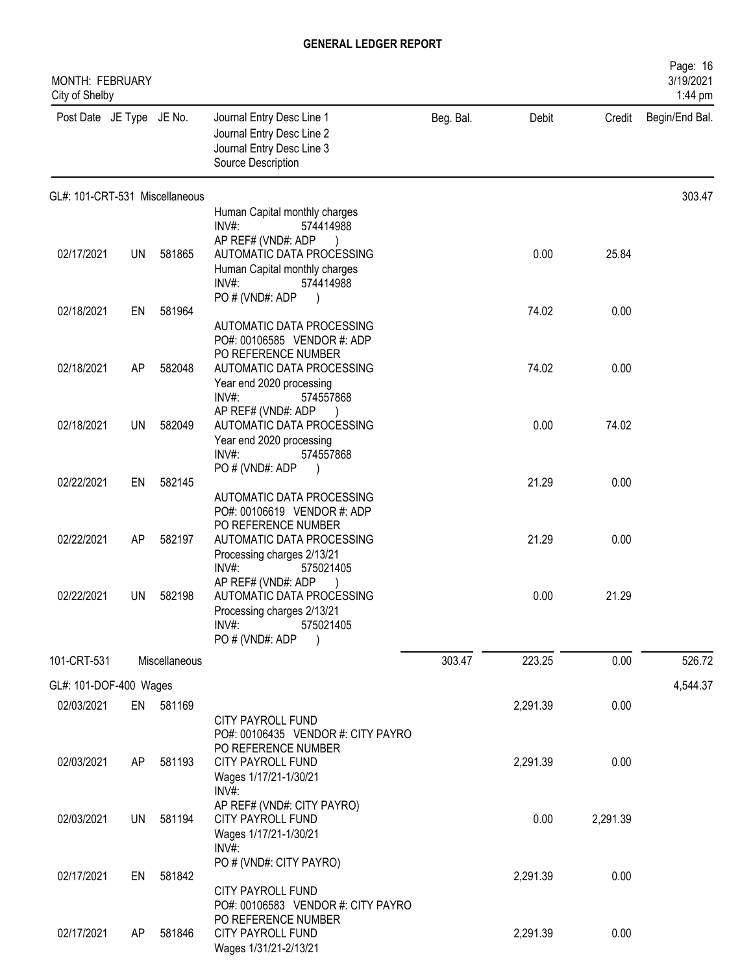| MONTH: FEBRUARY<br>City of Shelby |           |               |                                                                                                           |           |          |          | Page: 16<br>3/19/2021<br>1:44 pm |
|-----------------------------------|-----------|---------------|-----------------------------------------------------------------------------------------------------------|-----------|----------|----------|----------------------------------|
| Post Date JE Type JE No.          |           |               | Journal Entry Desc Line 1<br>Journal Entry Desc Line 2<br>Journal Entry Desc Line 3<br>Source Description | Beg. Bal. | Debit    | Credit   | Begin/End Bal.                   |
| GL#: 101-CRT-531 Miscellaneous    |           |               |                                                                                                           |           |          |          | 303.47                           |
|                                   |           |               | Human Capital monthly charges<br>INV#:<br>574414988                                                       |           |          |          |                                  |
|                                   |           |               | AP REF# (VND#: ADP                                                                                        |           |          |          |                                  |
| 02/17/2021                        | <b>UN</b> | 581865        | AUTOMATIC DATA PROCESSING                                                                                 |           | 0.00     | 25.84    |                                  |
|                                   |           |               | Human Capital monthly charges<br>$INV#$ :<br>574414988                                                    |           |          |          |                                  |
|                                   |           |               | PO # (VND#: ADP                                                                                           |           |          |          |                                  |
| 02/18/2021                        | EN        | 581964        |                                                                                                           |           | 74.02    | 0.00     |                                  |
|                                   |           |               | AUTOMATIC DATA PROCESSING<br>PO#: 00106585 VENDOR #: ADP                                                  |           |          |          |                                  |
|                                   |           |               | PO REFERENCE NUMBER                                                                                       |           |          |          |                                  |
| 02/18/2021                        | AP        | 582048        | AUTOMATIC DATA PROCESSING                                                                                 |           | 74.02    | 0.00     |                                  |
|                                   |           |               | Year end 2020 processing<br>INV#:<br>574557868                                                            |           |          |          |                                  |
|                                   |           |               | AP REF# (VND#: ADP                                                                                        |           |          |          |                                  |
| 02/18/2021                        | <b>UN</b> | 582049        | AUTOMATIC DATA PROCESSING                                                                                 |           | 0.00     | 74.02    |                                  |
|                                   |           |               | Year end 2020 processing<br>INV#:<br>574557868                                                            |           |          |          |                                  |
|                                   |           |               | PO # (VND#: ADP                                                                                           |           |          |          |                                  |
| 02/22/2021                        | EN        | 582145        |                                                                                                           |           | 21.29    | 0.00     |                                  |
|                                   |           |               | AUTOMATIC DATA PROCESSING<br>PO#: 00106619 VENDOR #: ADP                                                  |           |          |          |                                  |
|                                   |           |               | PO REFERENCE NUMBER                                                                                       |           |          |          |                                  |
| 02/22/2021                        | AP        | 582197        | AUTOMATIC DATA PROCESSING                                                                                 |           | 21.29    | 0.00     |                                  |
|                                   |           |               | Processing charges 2/13/21<br>INV#<br>575021405                                                           |           |          |          |                                  |
|                                   |           |               | AP REF# (VND#: ADP                                                                                        |           |          |          |                                  |
| 02/22/2021                        | UN        | 582198        | AUTOMATIC DATA PROCESSING                                                                                 |           | 0.00     | 21.29    |                                  |
|                                   |           |               | Processing charges 2/13/21<br>INV#:<br>575021405                                                          |           |          |          |                                  |
|                                   |           |               | PO # (VND#: ADP<br>$\lambda$                                                                              |           |          |          |                                  |
| 101-CRT-531                       |           | Miscellaneous |                                                                                                           | 303.47    | 223.25   | 0.00     | 526.72                           |
| GL#: 101-DOF-400 Wages            |           |               |                                                                                                           |           |          |          | 4,544.37                         |
| 02/03/2021                        |           | EN 581169     |                                                                                                           |           | 2,291.39 | 0.00     |                                  |
|                                   |           |               | <b>CITY PAYROLL FUND</b>                                                                                  |           |          |          |                                  |
|                                   |           |               | PO#: 00106435 VENDOR #: CITY PAYRO<br>PO REFERENCE NUMBER                                                 |           |          |          |                                  |
| 02/03/2021                        | AP        | 581193        | CITY PAYROLL FUND                                                                                         |           | 2,291.39 | 0.00     |                                  |
|                                   |           |               | Wages 1/17/21-1/30/21                                                                                     |           |          |          |                                  |
|                                   |           |               | INV#:<br>AP REF# (VND#: CITY PAYRO)                                                                       |           |          |          |                                  |
| 02/03/2021                        | UN        | 581194        | <b>CITY PAYROLL FUND</b>                                                                                  |           | 0.00     | 2,291.39 |                                  |
|                                   |           |               | Wages 1/17/21-1/30/21                                                                                     |           |          |          |                                  |
|                                   |           |               | $INV#$ :<br>PO # (VND#: CITY PAYRO)                                                                       |           |          |          |                                  |
| 02/17/2021                        | EN        | 581842        |                                                                                                           |           | 2,291.39 | 0.00     |                                  |
|                                   |           |               | CITY PAYROLL FUND                                                                                         |           |          |          |                                  |
|                                   |           |               | PO#: 00106583 VENDOR #: CITY PAYRO<br>PO REFERENCE NUMBER                                                 |           |          |          |                                  |
| 02/17/2021                        | AP        | 581846        | CITY PAYROLL FUND                                                                                         |           | 2,291.39 | 0.00     |                                  |
|                                   |           |               | Wages 1/31/21-2/13/21                                                                                     |           |          |          |                                  |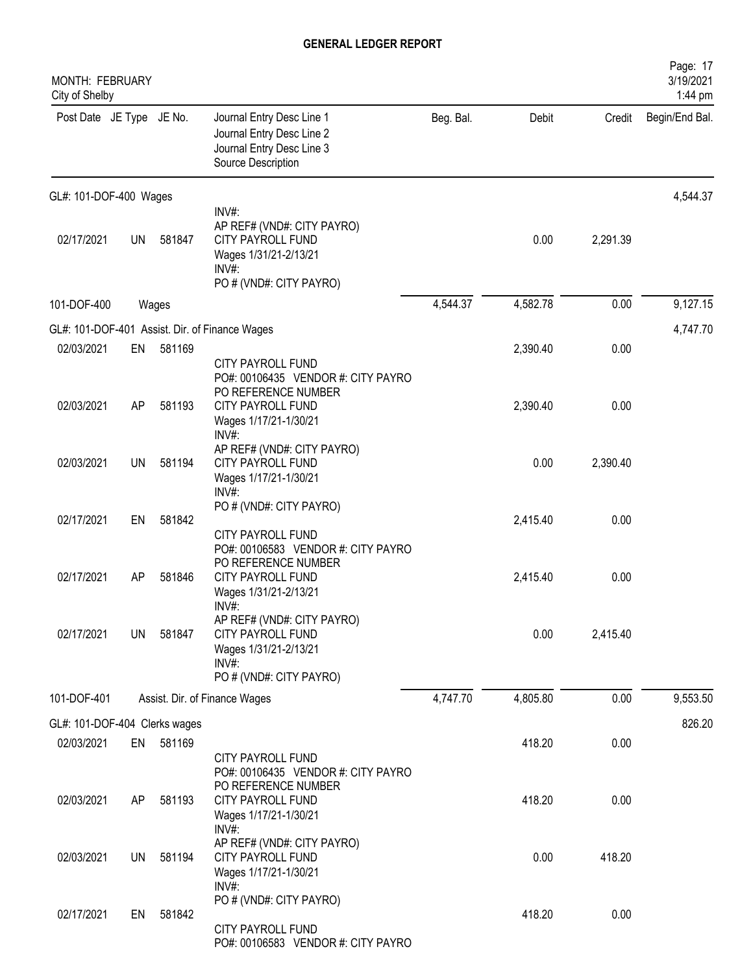| MONTH: FEBRUARY<br>City of Shelby |           |        |                                                                                                                       |           |          |          | Page: 17<br>3/19/2021<br>1:44 pm |
|-----------------------------------|-----------|--------|-----------------------------------------------------------------------------------------------------------------------|-----------|----------|----------|----------------------------------|
| Post Date JE Type JE No.          |           |        | Journal Entry Desc Line 1<br>Journal Entry Desc Line 2<br>Journal Entry Desc Line 3<br>Source Description             | Beg. Bal. | Debit    | Credit   | Begin/End Bal.                   |
| GL#: 101-DOF-400 Wages            |           |        |                                                                                                                       |           |          |          | 4,544.37                         |
| 02/17/2021                        | <b>UN</b> | 581847 | INV#:<br>AP REF# (VND#: CITY PAYRO)<br>CITY PAYROLL FUND<br>Wages 1/31/21-2/13/21<br>INV#:<br>PO # (VND#: CITY PAYRO) |           | 0.00     | 2,291.39 |                                  |
| 101-DOF-400                       |           | Wages  |                                                                                                                       | 4,544.37  | 4,582.78 | 0.00     | 9,127.15                         |
|                                   |           |        | GL#: 101-DOF-401 Assist. Dir. of Finance Wages                                                                        |           |          |          | 4,747.70                         |
| 02/03/2021                        | EN        | 581169 | CITY PAYROLL FUND<br>PO#: 00106435 VENDOR #: CITY PAYRO                                                               |           | 2,390.40 | 0.00     |                                  |
| 02/03/2021                        | AP        | 581193 | PO REFERENCE NUMBER<br><b>CITY PAYROLL FUND</b><br>Wages 1/17/21-1/30/21<br>INV#:                                     |           | 2,390.40 | 0.00     |                                  |
| 02/03/2021                        | UN        | 581194 | AP REF# (VND#: CITY PAYRO)<br>CITY PAYROLL FUND<br>Wages 1/17/21-1/30/21<br>INV#:                                     |           | 0.00     | 2,390.40 |                                  |
| 02/17/2021                        | EN        | 581842 | PO # (VND#: CITY PAYRO)<br><b>CITY PAYROLL FUND</b>                                                                   |           | 2,415.40 | 0.00     |                                  |
| 02/17/2021                        | AP        | 581846 | PO#: 00106583 VENDOR #: CITY PAYRO<br>PO REFERENCE NUMBER<br>CITY PAYROLL FUND<br>Wages 1/31/21-2/13/21<br>INV#       |           | 2,415.40 | 0.00     |                                  |
| 02/17/2021                        | UN        | 581847 | AP REF# (VND#: CITY PAYRO)<br><b>CITY PAYROLL FUND</b><br>Wages 1/31/21-2/13/21<br>INV#:<br>PO # (VND#: CITY PAYRO)   |           | 0.00     | 2,415.40 |                                  |
| 101-DOF-401                       |           |        | Assist. Dir. of Finance Wages                                                                                         | 4,747.70  | 4,805.80 | 0.00     | 9,553.50                         |
| GL#: 101-DOF-404 Clerks wages     |           |        |                                                                                                                       |           |          |          | 826.20                           |
| 02/03/2021                        | EN        | 581169 | CITY PAYROLL FUND                                                                                                     |           | 418.20   | 0.00     |                                  |
| 02/03/2021                        | AP        | 581193 | PO#: 00106435 VENDOR #: CITY PAYRO<br>PO REFERENCE NUMBER<br>CITY PAYROLL FUND<br>Wages 1/17/21-1/30/21<br>INV#:      |           | 418.20   | 0.00     |                                  |
| 02/03/2021                        | UN.       | 581194 | AP REF# (VND#: CITY PAYRO)<br><b>CITY PAYROLL FUND</b><br>Wages 1/17/21-1/30/21<br>$INV#$ :                           |           | 0.00     | 418.20   |                                  |
| 02/17/2021                        | EN        | 581842 | PO # (VND#: CITY PAYRO)<br>CITY PAYROLL FUND<br>PO#: 00106583 VENDOR #: CITY PAYRO                                    |           | 418.20   | 0.00     |                                  |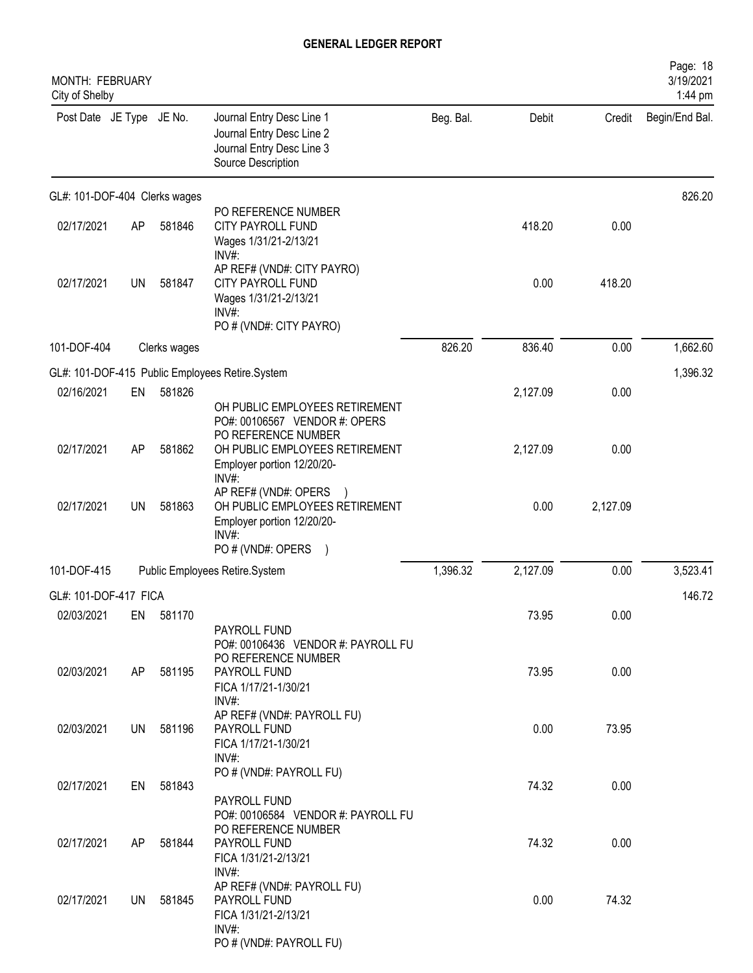| MONTH: FEBRUARY<br>City of Shelby |           |              |                                                                                                                                                |           |          |          | Page: 18<br>3/19/2021<br>1:44 pm |
|-----------------------------------|-----------|--------------|------------------------------------------------------------------------------------------------------------------------------------------------|-----------|----------|----------|----------------------------------|
| Post Date JE Type JE No.          |           |              | Journal Entry Desc Line 1<br>Journal Entry Desc Line 2<br>Journal Entry Desc Line 3<br>Source Description                                      | Beg. Bal. | Debit    | Credit   | Begin/End Bal.                   |
| GL#: 101-DOF-404 Clerks wages     |           |              |                                                                                                                                                |           |          |          | 826.20                           |
| 02/17/2021                        | AP        | 581846       | PO REFERENCE NUMBER<br>CITY PAYROLL FUND<br>Wages 1/31/21-2/13/21<br>INV#:                                                                     |           | 418.20   | 0.00     |                                  |
| 02/17/2021                        | <b>UN</b> | 581847       | AP REF# (VND#: CITY PAYRO)<br>CITY PAYROLL FUND<br>Wages 1/31/21-2/13/21<br>INV#:<br>PO # (VND#: CITY PAYRO)                                   |           | 0.00     | 418.20   |                                  |
| 101-DOF-404                       |           | Clerks wages |                                                                                                                                                | 826.20    | 836.40   | 0.00     | 1,662.60                         |
|                                   |           |              | GL#: 101-DOF-415 Public Employees Retire.System                                                                                                |           |          |          | 1,396.32                         |
| 02/16/2021                        | EN        | 581826       |                                                                                                                                                |           | 2,127.09 | 0.00     |                                  |
|                                   |           |              | OH PUBLIC EMPLOYEES RETIREMENT<br>PO#: 00106567 VENDOR #: OPERS<br>PO REFERENCE NUMBER                                                         |           |          |          |                                  |
| 02/17/2021                        | AP        | 581862       | OH PUBLIC EMPLOYEES RETIREMENT<br>Employer portion 12/20/20-<br>INV#:                                                                          |           | 2,127.09 | 0.00     |                                  |
| 02/17/2021                        | UN        | 581863       | AP REF# (VND#: OPERS<br>OH PUBLIC EMPLOYEES RETIREMENT<br>Employer portion 12/20/20-<br>INV#:<br>PO # (VND#: OPERS<br>$\overline{\phantom{a}}$ |           | 0.00     | 2,127.09 |                                  |
| 101-DOF-415                       |           |              | Public Employees Retire.System                                                                                                                 | 1,396.32  | 2,127.09 | 0.00     | 3,523.41                         |
| GL#: 101-DOF-417 FICA             |           |              |                                                                                                                                                |           |          |          | 146.72                           |
| 02/03/2021                        | EN        | 581170       |                                                                                                                                                |           | 73.95    | 0.00     |                                  |
|                                   |           |              | PAYROLL FUND<br>PO#: 00106436 VENDOR #: PAYROLL FU<br>PO REFERENCE NUMBER                                                                      |           |          |          |                                  |
| 02/03/2021                        | AP        | 581195       | PAYROLL FUND<br>FICA 1/17/21-1/30/21<br>INV#:                                                                                                  |           | 73.95    | 0.00     |                                  |
| 02/03/2021                        | UN        | 581196       | AP REF# (VND#: PAYROLL FU)<br>PAYROLL FUND<br>FICA 1/17/21-1/30/21<br>INV#:                                                                    |           | 0.00     | 73.95    |                                  |
| 02/17/2021                        | EN        | 581843       | PO # (VND#: PAYROLL FU)                                                                                                                        |           | 74.32    | 0.00     |                                  |
|                                   |           |              | PAYROLL FUND<br>PO#: 00106584 VENDOR #: PAYROLL FU<br>PO REFERENCE NUMBER                                                                      |           |          |          |                                  |
| 02/17/2021                        | AP.       | 581844       | PAYROLL FUND<br>FICA 1/31/21-2/13/21<br>INV#:                                                                                                  |           | 74.32    | 0.00     |                                  |
| 02/17/2021                        | UN        | 581845       | AP REF# (VND#: PAYROLL FU)<br>PAYROLL FUND<br>FICA 1/31/21-2/13/21<br>INV#:<br>PO # (VND#: PAYROLL FU)                                         |           | 0.00     | 74.32    |                                  |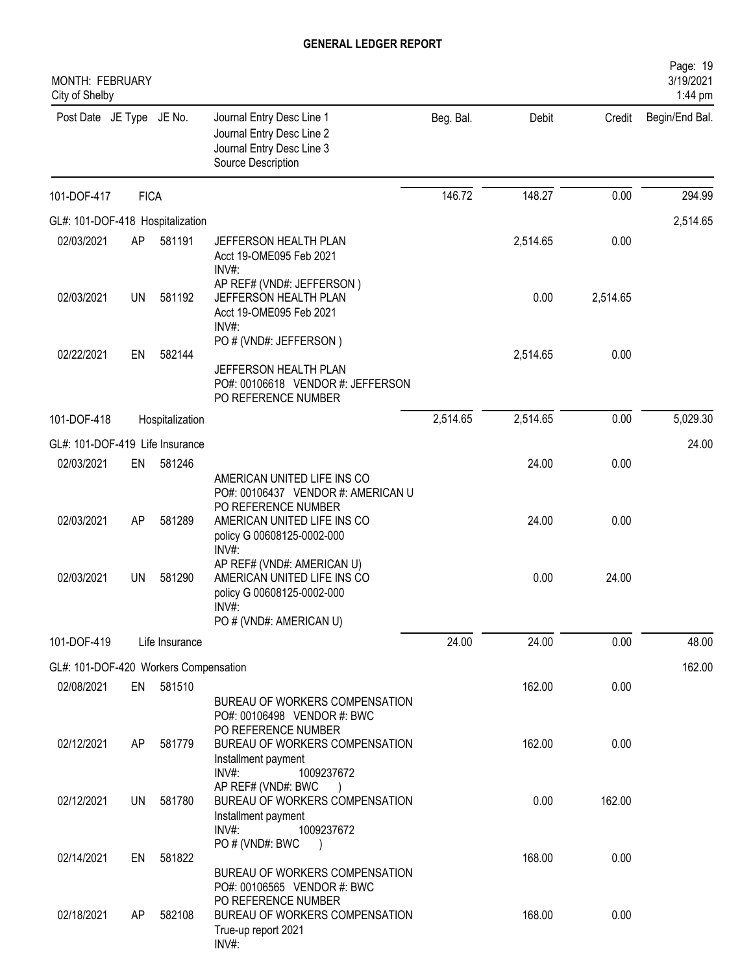| MONTH: FEBRUARY<br>City of Shelby     |             |                 |                                                                                                                             |           |          |          | Page: 19<br>3/19/2021<br>1:44 pm |
|---------------------------------------|-------------|-----------------|-----------------------------------------------------------------------------------------------------------------------------|-----------|----------|----------|----------------------------------|
| Post Date JE Type JE No.              |             |                 | Journal Entry Desc Line 1<br>Journal Entry Desc Line 2<br>Journal Entry Desc Line 3<br>Source Description                   | Beg. Bal. | Debit    | Credit   | Begin/End Bal.                   |
| 101-DOF-417                           | <b>FICA</b> |                 |                                                                                                                             | 146.72    | 148.27   | 0.00     | 294.99                           |
| GL#: 101-DOF-418 Hospitalization      |             |                 |                                                                                                                             |           |          |          | 2,514.65                         |
| 02/03/2021                            | AP          | 581191          | JEFFERSON HEALTH PLAN<br>Acct 19-OME095 Feb 2021<br>INV#:                                                                   |           | 2,514.65 | 0.00     |                                  |
| 02/03/2021                            | <b>UN</b>   | 581192          | AP REF# (VND#: JEFFERSON)<br>JEFFERSON HEALTH PLAN<br>Acct 19-OME095 Feb 2021<br>INV#:                                      |           | 0.00     | 2,514.65 |                                  |
| 02/22/2021                            | EN          | 582144          | PO # (VND#: JEFFERSON)<br>JEFFERSON HEALTH PLAN<br>PO#: 00106618 VENDOR #: JEFFERSON                                        |           | 2,514.65 | 0.00     |                                  |
|                                       |             |                 | PO REFERENCE NUMBER                                                                                                         |           |          |          |                                  |
| 101-DOF-418                           |             | Hospitalization |                                                                                                                             | 2,514.65  | 2,514.65 | 0.00     | 5,029.30                         |
| GL#: 101-DOF-419 Life Insurance       |             |                 |                                                                                                                             |           |          |          | 24.00                            |
| 02/03/2021                            | EN          | 581246          | AMERICAN UNITED LIFE INS CO<br>PO#: 00106437 VENDOR #: AMERICAN U                                                           |           | 24.00    | 0.00     |                                  |
| 02/03/2021                            | AP          | 581289          | PO REFERENCE NUMBER<br>AMERICAN UNITED LIFE INS CO<br>policy G 00608125-0002-000<br>INV#:                                   |           | 24.00    | 0.00     |                                  |
| 02/03/2021                            | <b>UN</b>   | 581290          | AP REF# (VND#: AMERICAN U)<br>AMERICAN UNITED LIFE INS CO<br>policy G 00608125-0002-000<br>INV#:<br>PO # (VND#: AMERICAN U) |           | 0.00     | 24.00    |                                  |
| 101-DOF-419                           |             | Life Insurance  |                                                                                                                             | 24.00     | 24.00    | 0.00     | 48.00                            |
| GL#: 101-DOF-420 Workers Compensation |             |                 |                                                                                                                             |           |          |          | 162.00                           |
| 02/08/2021                            | EN          | 581510          | BUREAU OF WORKERS COMPENSATION<br>PO#: 00106498 VENDOR #: BWC                                                               |           | 162.00   | 0.00     |                                  |
| 02/12/2021                            | AP          | 581779          | PO REFERENCE NUMBER<br>BUREAU OF WORKERS COMPENSATION<br>Installment payment                                                |           | 162.00   | 0.00     |                                  |
| 02/12/2021                            | UN          | 581780          | INV#:<br>1009237672<br>AP REF# (VND#: BWC<br>BUREAU OF WORKERS COMPENSATION<br>Installment payment<br>INV#:<br>1009237672   |           | 0.00     | 162.00   |                                  |
| 02/14/2021                            | EN          | 581822          | PO # (VND#: BWC<br>BUREAU OF WORKERS COMPENSATION                                                                           |           | 168.00   | 0.00     |                                  |
| 02/18/2021                            | AP          | 582108          | PO#: 00106565 VENDOR #: BWC<br>PO REFERENCE NUMBER<br>BUREAU OF WORKERS COMPENSATION<br>True-up report 2021<br>INV#:        |           | 168.00   | 0.00     |                                  |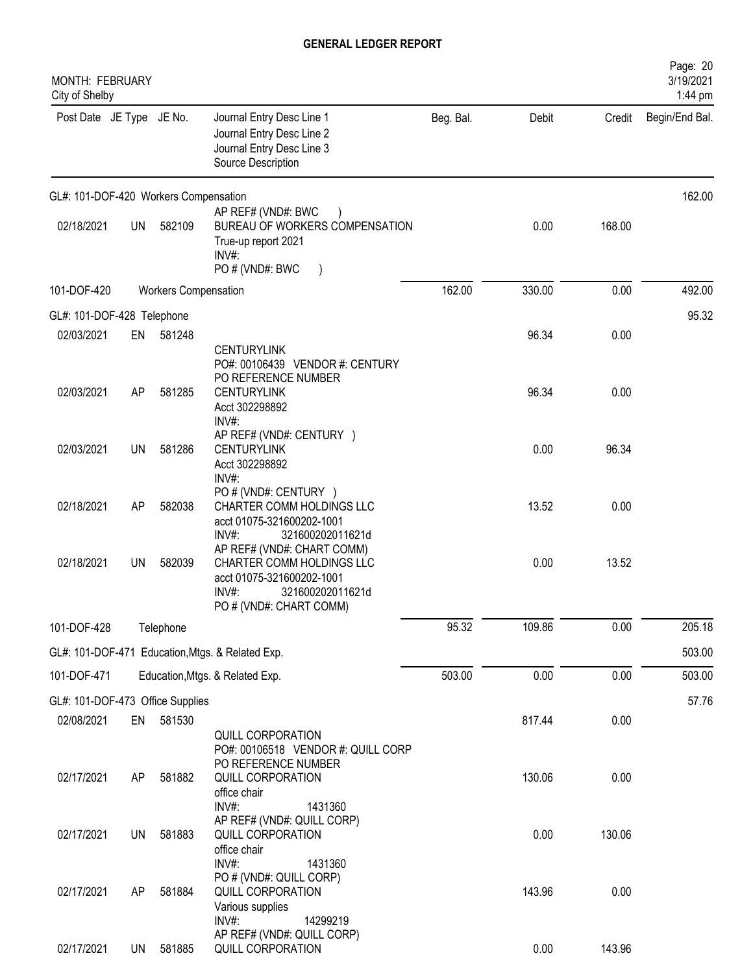| <b>MONTH: FEBRUARY</b><br>City of Shelby |           |                             |                                                                                                                                                                  |           |        |        | Page: 20<br>3/19/2021<br>1:44 pm |
|------------------------------------------|-----------|-----------------------------|------------------------------------------------------------------------------------------------------------------------------------------------------------------|-----------|--------|--------|----------------------------------|
| Post Date JE Type JE No.                 |           |                             | Journal Entry Desc Line 1<br>Journal Entry Desc Line 2<br>Journal Entry Desc Line 3<br>Source Description                                                        | Beg. Bal. | Debit  | Credit | Begin/End Bal.                   |
| GL#: 101-DOF-420 Workers Compensation    |           |                             |                                                                                                                                                                  |           |        |        | 162.00                           |
| 02/18/2021                               | <b>UN</b> | 582109                      | AP REF# (VND#: BWC<br>BUREAU OF WORKERS COMPENSATION<br>True-up report 2021<br>INV#:<br>PO # (VND#: BWC                                                          |           | 0.00   | 168.00 |                                  |
| 101-DOF-420                              |           | <b>Workers Compensation</b> |                                                                                                                                                                  | 162.00    | 330.00 | 0.00   | 492.00                           |
| GL#: 101-DOF-428 Telephone               |           |                             |                                                                                                                                                                  |           |        |        | 95.32                            |
| 02/03/2021                               | EN        | 581248                      |                                                                                                                                                                  |           | 96.34  | 0.00   |                                  |
| 02/03/2021                               | AP        | 581285                      | <b>CENTURYLINK</b><br>PO#: 00106439 VENDOR #: CENTURY<br>PO REFERENCE NUMBER<br><b>CENTURYLINK</b><br>Acct 302298892                                             |           | 96.34  | 0.00   |                                  |
| 02/03/2021                               | <b>UN</b> | 581286                      | INV#:<br>AP REF# (VND#: CENTURY )<br><b>CENTURYLINK</b><br>Acct 302298892                                                                                        |           | 0.00   | 96.34  |                                  |
| 02/18/2021                               | AP        | 582038                      | INV#:<br>PO # (VND#: CENTURY )<br>CHARTER COMM HOLDINGS LLC<br>acct 01075-321600202-1001<br>INV#:                                                                |           | 13.52  | 0.00   |                                  |
| 02/18/2021                               | <b>UN</b> | 582039                      | 321600202011621d<br>AP REF# (VND#: CHART COMM)<br>CHARTER COMM HOLDINGS LLC<br>acct 01075-321600202-1001<br>321600202011621d<br>INV#:<br>PO # (VND#: CHART COMM) |           | 0.00   | 13.52  |                                  |
| 101-DOF-428                              |           | Telephone                   |                                                                                                                                                                  | 95.32     | 109.86 | 0.00   | 205.18                           |
|                                          |           |                             | GL#: 101-DOF-471 Education, Mtgs. & Related Exp.                                                                                                                 |           |        |        | 503.00                           |
| 101-DOF-471                              |           |                             | Education, Mtgs. & Related Exp.                                                                                                                                  | 503.00    | 0.00   | 0.00   | 503.00                           |
| GL#: 101-DOF-473 Office Supplies         |           |                             |                                                                                                                                                                  |           |        |        | 57.76                            |
| 02/08/2021                               | EN        | 581530                      | <b>QUILL CORPORATION</b><br>PO#: 00106518 VENDOR #: QUILL CORP                                                                                                   |           | 817.44 | 0.00   |                                  |
| 02/17/2021                               | AP        | 581882                      | PO REFERENCE NUMBER<br>QUILL CORPORATION<br>office chair<br>INV#:<br>1431360                                                                                     |           | 130.06 | 0.00   |                                  |
| 02/17/2021                               | <b>UN</b> | 581883                      | AP REF# (VND#: QUILL CORP)<br>QUILL CORPORATION<br>office chair                                                                                                  |           | 0.00   | 130.06 |                                  |
| 02/17/2021                               | AP        | 581884                      | INV#:<br>1431360<br>PO # (VND#: QUILL CORP)<br>QUILL CORPORATION<br>Various supplies                                                                             |           | 143.96 | 0.00   |                                  |
| 02/17/2021                               | <b>UN</b> | 581885                      | INV#:<br>14299219<br>AP REF# (VND#: QUILL CORP)<br>QUILL CORPORATION                                                                                             |           | 0.00   | 143.96 |                                  |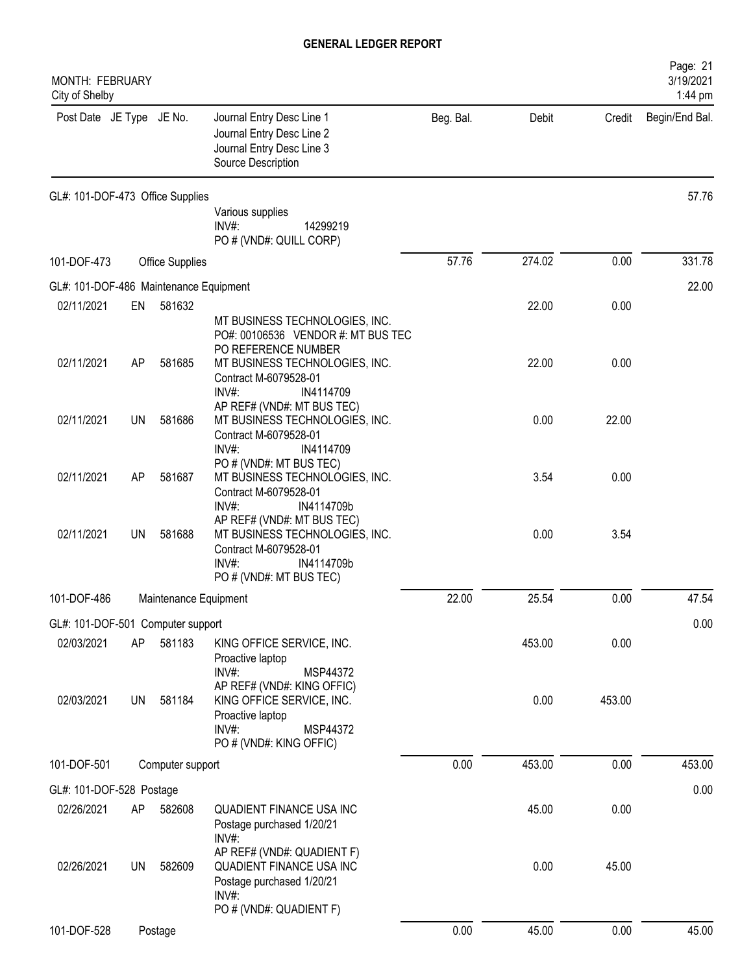| <b>MONTH: FEBRUARY</b><br>City of Shelby |    |                        |                                                                                                                                                               |           |        |        | Page: 21<br>3/19/2021<br>1:44 pm |
|------------------------------------------|----|------------------------|---------------------------------------------------------------------------------------------------------------------------------------------------------------|-----------|--------|--------|----------------------------------|
| Post Date JE Type JE No.                 |    |                        | Journal Entry Desc Line 1<br>Journal Entry Desc Line 2<br>Journal Entry Desc Line 3<br>Source Description                                                     | Beg. Bal. | Debit  | Credit | Begin/End Bal.                   |
| GL#: 101-DOF-473 Office Supplies         |    |                        |                                                                                                                                                               |           |        |        | 57.76                            |
|                                          |    |                        | Various supplies<br>INV#:<br>14299219<br>PO # (VND#: QUILL CORP)                                                                                              |           |        |        |                                  |
| 101-DOF-473                              |    | <b>Office Supplies</b> |                                                                                                                                                               | 57.76     | 274.02 | 0.00   | 331.78                           |
| GL#: 101-DOF-486 Maintenance Equipment   |    |                        |                                                                                                                                                               |           |        |        | 22.00                            |
| 02/11/2021                               | EN | 581632                 | MT BUSINESS TECHNOLOGIES, INC.<br>PO#: 00106536 VENDOR #: MT BUS TEC                                                                                          |           | 22.00  | 0.00   |                                  |
| 02/11/2021                               | AP | 581685                 | PO REFERENCE NUMBER<br>MT BUSINESS TECHNOLOGIES, INC.<br>Contract M-6079528-01<br>INV#:<br>IN4114709                                                          |           | 22.00  | 0.00   |                                  |
| 02/11/2021                               | UN | 581686                 | AP REF# (VND#: MT BUS TEC)<br>MT BUSINESS TECHNOLOGIES, INC.<br>Contract M-6079528-01<br>INV#:<br>IN4114709                                                   |           | 0.00   | 22.00  |                                  |
| 02/11/2021                               | AP | 581687                 | PO # (VND#: MT BUS TEC)<br>MT BUSINESS TECHNOLOGIES, INC.<br>Contract M-6079528-01                                                                            |           | 3.54   | 0.00   |                                  |
| 02/11/2021                               | UN | 581688                 | INV#:<br>IN4114709b<br>AP REF# (VND#: MT BUS TEC)<br>MT BUSINESS TECHNOLOGIES, INC.<br>Contract M-6079528-01<br>IN4114709b<br>INV#<br>PO # (VND#: MT BUS TEC) |           | 0.00   | 3.54   |                                  |
| 101-DOF-486                              |    | Maintenance Equipment  |                                                                                                                                                               | 22.00     | 25.54  | 0.00   | 47.54                            |
| GL#: 101-DOF-501 Computer support        |    |                        |                                                                                                                                                               |           |        |        | 0.00                             |
| 02/03/2021                               | AP | 581183                 | KING OFFICE SERVICE, INC.<br>Proactive laptop<br>$INV#$ :<br>MSP44372                                                                                         |           | 453.00 | 0.00   |                                  |
| 02/03/2021                               | UN | 581184                 | AP REF# (VND#: KING OFFIC)<br>KING OFFICE SERVICE, INC.<br>Proactive laptop<br>$INV#$ :<br>MSP44372<br>PO # (VND#: KING OFFIC)                                |           | 0.00   | 453.00 |                                  |
| 101-DOF-501                              |    | Computer support       |                                                                                                                                                               | 0.00      | 453.00 | 0.00   | 453.00                           |
| GL#: 101-DOF-528 Postage                 |    |                        |                                                                                                                                                               |           |        |        | 0.00                             |
| 02/26/2021                               | AP | 582608                 | QUADIENT FINANCE USA INC<br>Postage purchased 1/20/21<br>$INV#$ :                                                                                             |           | 45.00  | 0.00   |                                  |
| 02/26/2021                               | UN | 582609                 | AP REF# (VND#: QUADIENT F)<br>QUADIENT FINANCE USA INC<br>Postage purchased 1/20/21<br>INV#:<br>PO # (VND#: QUADIENT F)                                       |           | 0.00   | 45.00  |                                  |
| 101-DOF-528                              |    | Postage                |                                                                                                                                                               | 0.00      | 45.00  | 0.00   | 45.00                            |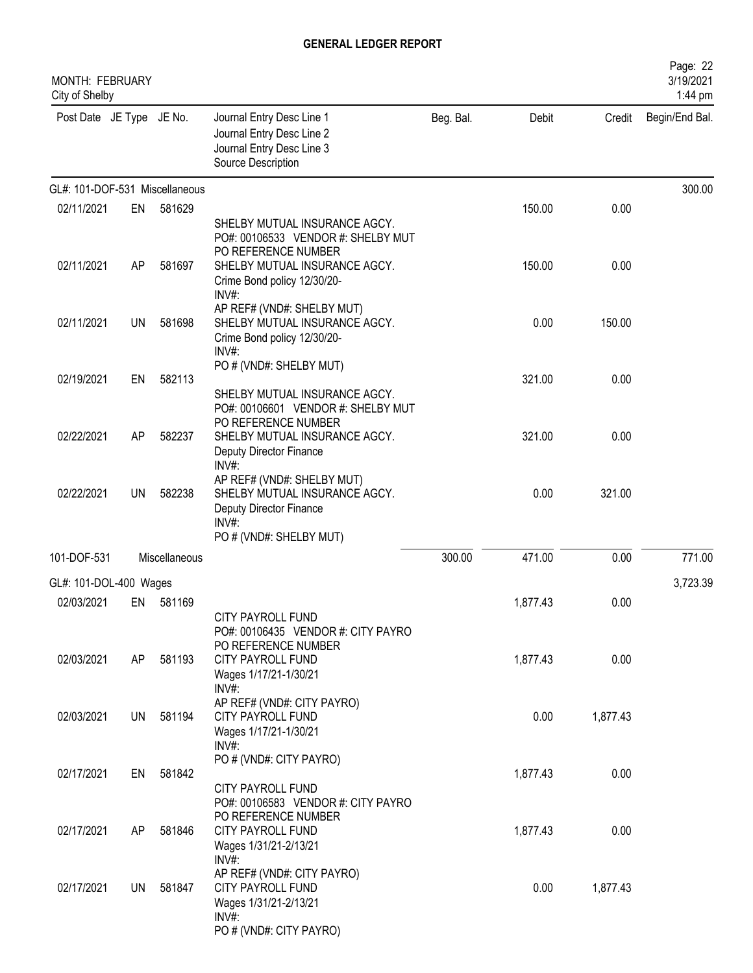| <b>MONTH: FEBRUARY</b><br>City of Shelby |           |               |                                                                                                                               |           |          |          | Page: 22<br>3/19/2021<br>1:44 pm |
|------------------------------------------|-----------|---------------|-------------------------------------------------------------------------------------------------------------------------------|-----------|----------|----------|----------------------------------|
| Post Date JE Type JE No.                 |           |               | Journal Entry Desc Line 1<br>Journal Entry Desc Line 2<br>Journal Entry Desc Line 3<br>Source Description                     | Beg. Bal. | Debit    | Credit   | Begin/End Bal.                   |
| GL#: 101-DOF-531 Miscellaneous           |           |               |                                                                                                                               |           |          |          | 300.00                           |
| 02/11/2021                               | EN        | 581629        | SHELBY MUTUAL INSURANCE AGCY.<br>PO#: 00106533 VENDOR #: SHELBY MUT                                                           |           | 150.00   | 0.00     |                                  |
| 02/11/2021                               | <b>AP</b> | 581697        | PO REFERENCE NUMBER<br>SHELBY MUTUAL INSURANCE AGCY.<br>Crime Bond policy 12/30/20-<br>INV#:                                  |           | 150.00   | 0.00     |                                  |
| 02/11/2021                               | UN        | 581698        | AP REF# (VND#: SHELBY MUT)<br>SHELBY MUTUAL INSURANCE AGCY.<br>Crime Bond policy 12/30/20-<br>INV#:                           |           | 0.00     | 150.00   |                                  |
| 02/19/2021                               | EN        | 582113        | PO # (VND#: SHELBY MUT)<br>SHELBY MUTUAL INSURANCE AGCY.<br>PO#: 00106601 VENDOR #: SHELBY MUT                                |           | 321.00   | 0.00     |                                  |
| 02/22/2021                               | AP        | 582237        | PO REFERENCE NUMBER<br>SHELBY MUTUAL INSURANCE AGCY.<br>Deputy Director Finance<br>INV#:                                      |           | 321.00   | 0.00     |                                  |
| 02/22/2021                               | UN        | 582238        | AP REF# (VND#: SHELBY MUT)<br>SHELBY MUTUAL INSURANCE AGCY.<br>Deputy Director Finance<br>$INV#$ :<br>PO # (VND#: SHELBY MUT) |           | 0.00     | 321.00   |                                  |
| 101-DOF-531                              |           | Miscellaneous |                                                                                                                               | 300.00    | 471.00   | 0.00     | 771.00                           |
| GL#: 101-DOL-400 Wages                   |           |               |                                                                                                                               |           |          |          | 3,723.39                         |
| 02/03/2021                               | EN        | 581169        | CITY PAYROLL FUND<br>PO#: 00106435 VENDOR #: CITY PAYRO                                                                       |           | 1,877.43 | 0.00     |                                  |
| 02/03/2021                               | AP        | 581193        | PO REFERENCE NUMBER<br><b>CITY PAYROLL FUND</b><br>Wages 1/17/21-1/30/21                                                      |           | 1,877.43 | 0.00     |                                  |
| 02/03/2021                               | <b>UN</b> | 581194        | INV#:<br>AP REF# (VND#: CITY PAYRO)<br><b>CITY PAYROLL FUND</b><br>Wages 1/17/21-1/30/21<br>$INV#$ :                          |           | 0.00     | 1,877.43 |                                  |
| 02/17/2021                               | EN        | 581842        | PO # (VND#: CITY PAYRO)<br>CITY PAYROLL FUND                                                                                  |           | 1,877.43 | 0.00     |                                  |
| 02/17/2021                               | AP        | 581846        | PO#: 00106583 VENDOR #: CITY PAYRO<br>PO REFERENCE NUMBER<br>CITY PAYROLL FUND<br>Wages 1/31/21-2/13/21<br>INV#:              |           | 1,877.43 | 0.00     |                                  |
| 02/17/2021                               | UN.       | 581847        | AP REF# (VND#: CITY PAYRO)<br>CITY PAYROLL FUND<br>Wages 1/31/21-2/13/21<br>INV#:<br>PO # (VND#: CITY PAYRO)                  |           | 0.00     | 1,877.43 |                                  |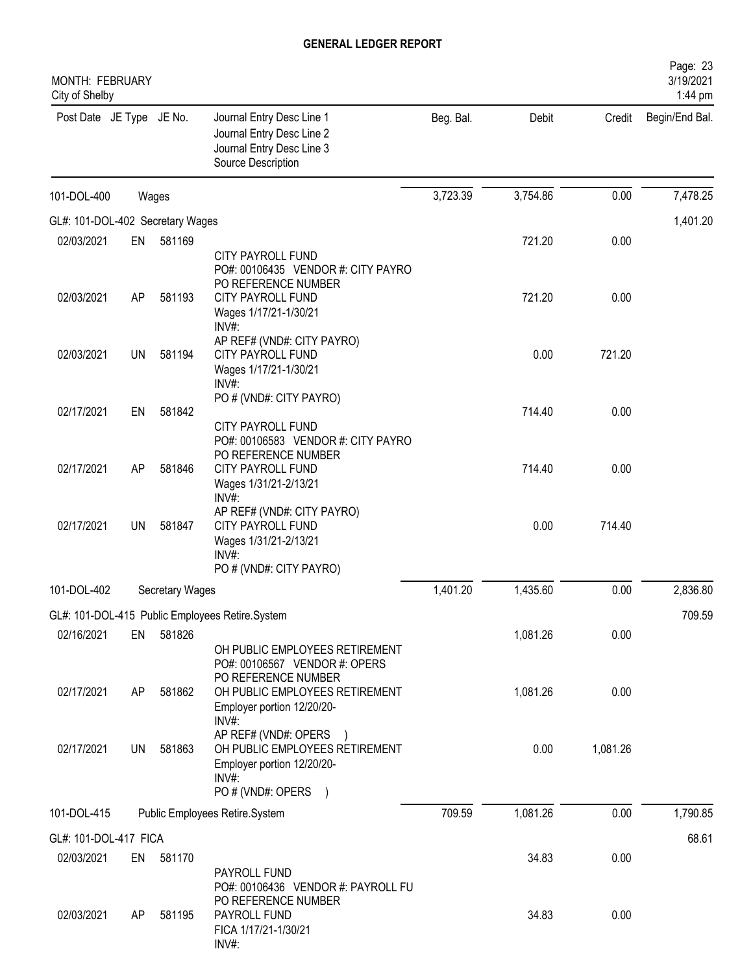| <b>MONTH: FEBRUARY</b><br>City of Shelby |           |                 |                                                                                                                                            |           |          |          | Page: 23<br>3/19/2021<br>1:44 pm |
|------------------------------------------|-----------|-----------------|--------------------------------------------------------------------------------------------------------------------------------------------|-----------|----------|----------|----------------------------------|
| Post Date JE Type JE No.                 |           |                 | Journal Entry Desc Line 1<br>Journal Entry Desc Line 2<br>Journal Entry Desc Line 3<br>Source Description                                  | Beg. Bal. | Debit    | Credit   | Begin/End Bal.                   |
| 101-DOL-400                              |           | Wages           |                                                                                                                                            | 3,723.39  | 3,754.86 | 0.00     | 7,478.25                         |
| GL#: 101-DOL-402 Secretary Wages         |           |                 |                                                                                                                                            |           |          |          | 1,401.20                         |
| 02/03/2021                               | EN        | 581169          |                                                                                                                                            |           | 721.20   | 0.00     |                                  |
| 02/03/2021                               | AP        | 581193          | <b>CITY PAYROLL FUND</b><br>PO#: 00106435 VENDOR #: CITY PAYRO<br>PO REFERENCE NUMBER<br><b>CITY PAYROLL FUND</b><br>Wages 1/17/21-1/30/21 |           | 721.20   | 0.00     |                                  |
| 02/03/2021                               | <b>UN</b> | 581194          | INV#:<br>AP REF# (VND#: CITY PAYRO)<br><b>CITY PAYROLL FUND</b><br>Wages 1/17/21-1/30/21<br>INV#:                                          |           | 0.00     | 721.20   |                                  |
| 02/17/2021                               | EN        | 581842          | PO # (VND#: CITY PAYRO)<br><b>CITY PAYROLL FUND</b>                                                                                        |           | 714.40   | 0.00     |                                  |
| 02/17/2021                               | AP        | 581846          | PO#: 00106583 VENDOR #: CITY PAYRO<br>PO REFERENCE NUMBER<br><b>CITY PAYROLL FUND</b><br>Wages 1/31/21-2/13/21<br>INV#:                    |           | 714.40   | 0.00     |                                  |
| 02/17/2021                               | UN        | 581847          | AP REF# (VND#: CITY PAYRO)<br><b>CITY PAYROLL FUND</b><br>Wages 1/31/21-2/13/21<br>INV#                                                    |           | 0.00     | 714.40   |                                  |
| 101-DOL-402                              |           |                 | PO # (VND#: CITY PAYRO)                                                                                                                    | 1,401.20  | 1,435.60 | 0.00     | 2,836.80                         |
|                                          |           | Secretary Wages |                                                                                                                                            |           |          |          |                                  |
|                                          |           |                 | GL#: 101-DOL-415 Public Employees Retire.System                                                                                            |           |          |          | 709.59                           |
| 02/16/2021                               | EN        | 581826          | OH PUBLIC EMPLOYEES RETIREMENT<br>PO#: 00106567 VENDOR #: OPERS                                                                            |           | 1,081.26 | 0.00     |                                  |
| 02/17/2021                               | AP        | 581862          | PO REFERENCE NUMBER<br>OH PUBLIC EMPLOYEES RETIREMENT<br>Employer portion 12/20/20-<br>$INV#$ :                                            |           | 1,081.26 | 0.00     |                                  |
| 02/17/2021                               | UN        | 581863          | AP REF# (VND#: OPERS<br>OH PUBLIC EMPLOYEES RETIREMENT<br>Employer portion 12/20/20-<br>INV#:<br>PO # (VND#: OPERS                         |           | 0.00     | 1,081.26 |                                  |
| 101-DOL-415                              |           |                 | Public Employees Retire.System                                                                                                             | 709.59    | 1,081.26 | 0.00     | 1,790.85                         |
| GL#: 101-DOL-417 FICA                    |           |                 |                                                                                                                                            |           |          |          | 68.61                            |
| 02/03/2021                               | EN        | 581170          |                                                                                                                                            |           | 34.83    | 0.00     |                                  |
|                                          |           |                 | PAYROLL FUND<br>PO#: 00106436 VENDOR #: PAYROLL FU<br>PO REFERENCE NUMBER                                                                  |           |          |          |                                  |
| 02/03/2021                               | AP        | 581195          | PAYROLL FUND<br>FICA 1/17/21-1/30/21<br>INV#:                                                                                              |           | 34.83    | 0.00     |                                  |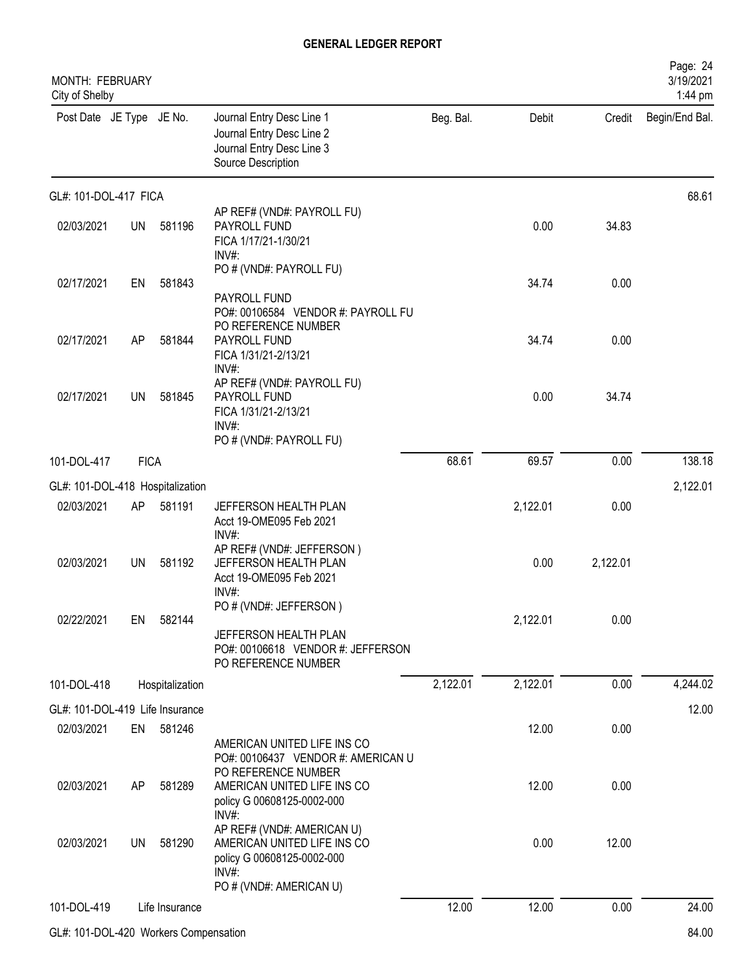| MONTH: FEBRUARY<br>City of Shelby |             |                 |                                                                                                             |           |          |          | Page: 24<br>3/19/2021<br>1:44 pm |
|-----------------------------------|-------------|-----------------|-------------------------------------------------------------------------------------------------------------|-----------|----------|----------|----------------------------------|
| Post Date JE Type JE No.          |             |                 | Journal Entry Desc Line 1<br>Journal Entry Desc Line 2<br>Journal Entry Desc Line 3<br>Source Description   | Beg. Bal. | Debit    | Credit   | Begin/End Bal.                   |
| GL#: 101-DOL-417 FICA             |             |                 |                                                                                                             |           |          |          | 68.61                            |
| 02/03/2021                        | <b>UN</b>   | 581196          | AP REF# (VND#: PAYROLL FU)<br>PAYROLL FUND<br>FICA 1/17/21-1/30/21<br>INV#:                                 |           | 0.00     | 34.83    |                                  |
| 02/17/2021                        | EN          | 581843          | PO # (VND#: PAYROLL FU)<br>PAYROLL FUND<br>PO#: 00106584 VENDOR #: PAYROLL FU                               |           | 34.74    | 0.00     |                                  |
| 02/17/2021                        | AP          | 581844          | PO REFERENCE NUMBER<br>PAYROLL FUND<br>FICA 1/31/21-2/13/21<br>INV#:                                        |           | 34.74    | 0.00     |                                  |
| 02/17/2021                        | UN          | 581845          | AP REF# (VND#: PAYROLL FU)<br>PAYROLL FUND<br>FICA 1/31/21-2/13/21<br>INV#:<br>PO # (VND#: PAYROLL FU)      |           | 0.00     | 34.74    |                                  |
| 101-DOL-417                       | <b>FICA</b> |                 |                                                                                                             | 68.61     | 69.57    | 0.00     | 138.18                           |
| GL#: 101-DOL-418 Hospitalization  |             |                 |                                                                                                             |           |          |          | 2,122.01                         |
| 02/03/2021                        | AP          | 581191          | JEFFERSON HEALTH PLAN<br>Acct 19-OME095 Feb 2021<br>INV#:                                                   |           | 2,122.01 | 0.00     |                                  |
| 02/03/2021                        | <b>UN</b>   | 581192          | AP REF# (VND#: JEFFERSON)<br>JEFFERSON HEALTH PLAN<br>Acct 19-OME095 Feb 2021<br>INV#:                      |           | 0.00     | 2,122.01 |                                  |
| 02/22/2021                        | EN          | 582144          | PO # (VND#: JEFFERSON)<br>JEFFERSON HEALTH PLAN<br>PO#: 00106618 VENDOR #: JEFFERSON<br>PO REFERENCE NUMBER |           | 2,122.01 | 0.00     |                                  |
| 101-DOL-418                       |             | Hospitalization |                                                                                                             | 2,122.01  | 2,122.01 | 0.00     | 4,244.02                         |
| GL#: 101-DOL-419 Life Insurance   |             |                 |                                                                                                             |           |          |          | 12.00                            |
| 02/03/2021                        | EN          | 581246          | AMERICAN UNITED LIFE INS CO<br>PO#: 00106437 VENDOR #: AMERICAN U                                           |           | 12.00    | 0.00     |                                  |
| 02/03/2021                        | AP          | 581289          | PO REFERENCE NUMBER<br>AMERICAN UNITED LIFE INS CO<br>policy G 00608125-0002-000<br>INV#:                   |           | 12.00    | 0.00     |                                  |
| 02/03/2021                        | <b>UN</b>   | 581290          | AP REF# (VND#: AMERICAN U)<br>AMERICAN UNITED LIFE INS CO<br>policy G 00608125-0002-000<br>INV#:            |           | 0.00     | 12.00    |                                  |
|                                   |             |                 | PO # (VND#: AMERICAN U)                                                                                     |           |          |          |                                  |
| 101-DOL-419                       |             | Life Insurance  |                                                                                                             | 12.00     | 12.00    | 0.00     | 24.00                            |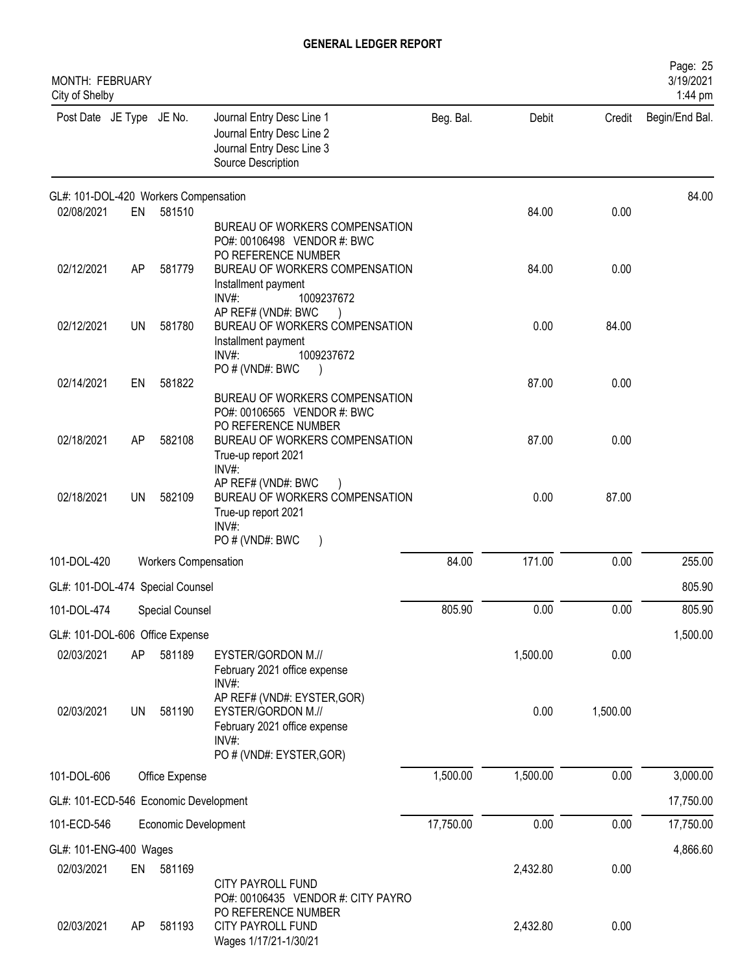| <b>MONTH: FEBRUARY</b><br>City of Shelby |           |                             |                                                                                                                                     |           |          |          | Page: 25<br>3/19/2021<br>1:44 pm |
|------------------------------------------|-----------|-----------------------------|-------------------------------------------------------------------------------------------------------------------------------------|-----------|----------|----------|----------------------------------|
| Post Date JE Type JE No.                 |           |                             | Journal Entry Desc Line 1<br>Journal Entry Desc Line 2<br>Journal Entry Desc Line 3<br>Source Description                           | Beg. Bal. | Debit    | Credit   | Begin/End Bal.                   |
| GL#: 101-DOL-420 Workers Compensation    |           |                             |                                                                                                                                     |           |          |          | 84.00                            |
| 02/08/2021                               | EN        | 581510                      | BUREAU OF WORKERS COMPENSATION<br>PO#: 00106498 VENDOR #: BWC<br>PO REFERENCE NUMBER                                                |           | 84.00    | 0.00     |                                  |
| 02/12/2021                               | AP        | 581779                      | BUREAU OF WORKERS COMPENSATION<br>Installment payment<br>$INV#$ :<br>1009237672                                                     |           | 84.00    | 0.00     |                                  |
| 02/12/2021                               | UN        | 581780                      | AP REF# (VND#: BWC<br>BUREAU OF WORKERS COMPENSATION<br>Installment payment<br>1009237672<br>INV#<br>PO#(VND#: BWC                  |           | 0.00     | 84.00    |                                  |
| 02/14/2021                               | EN        | 581822                      | BUREAU OF WORKERS COMPENSATION<br>PO#: 00106565 VENDOR #: BWC                                                                       |           | 87.00    | 0.00     |                                  |
| 02/18/2021                               | AP        | 582108                      | PO REFERENCE NUMBER<br>BUREAU OF WORKERS COMPENSATION<br>True-up report 2021<br>INV#:                                               |           | 87.00    | 0.00     |                                  |
| 02/18/2021                               | UN        | 582109                      | AP REF# (VND#: BWC<br>BUREAU OF WORKERS COMPENSATION<br>True-up report 2021<br>$INV#$ :<br>PO # (VND#: BWC<br>$\big)$               |           | 0.00     | 87.00    |                                  |
| 101-DOL-420                              |           | <b>Workers Compensation</b> |                                                                                                                                     | 84.00     | 171.00   | 0.00     | 255.00                           |
| GL#: 101-DOL-474 Special Counsel         |           |                             |                                                                                                                                     |           |          |          | 805.90                           |
| 101-DOL-474 Special Counsel              |           |                             |                                                                                                                                     | 805.90    | 0.00     | 0.00     | 805.90                           |
| GL#: 101-DOL-606 Office Expense          |           |                             |                                                                                                                                     |           |          |          | 1,500.00                         |
| 02/03/2021                               | AP        | 581189                      | EYSTER/GORDON M.//<br>February 2021 office expense<br>$INV#$ :                                                                      |           | 1,500.00 | 0.00     |                                  |
| 02/03/2021                               | <b>UN</b> | 581190                      | AP REF# (VND#: EYSTER, GOR)<br>EYSTER/GORDON M.//<br>February 2021 office expense<br>$INV#$ :<br>PO # (VND#: EYSTER, GOR)           |           | 0.00     | 1,500.00 |                                  |
| 101-DOL-606                              |           | Office Expense              |                                                                                                                                     | 1,500.00  | 1,500.00 | 0.00     | 3,000.00                         |
| GL#: 101-ECD-546 Economic Development    |           |                             |                                                                                                                                     |           |          |          | 17,750.00                        |
| 101-ECD-546                              |           | Economic Development        |                                                                                                                                     | 17,750.00 | 0.00     | 0.00     | 17,750.00                        |
| GL#: 101-ENG-400 Wages                   |           |                             |                                                                                                                                     |           |          |          | 4,866.60                         |
| 02/03/2021                               | EN        | 581169                      |                                                                                                                                     |           | 2,432.80 | 0.00     |                                  |
| 02/03/2021                               | AP        | 581193                      | <b>CITY PAYROLL FUND</b><br>PO#: 00106435 VENDOR #: CITY PAYRO<br>PO REFERENCE NUMBER<br>CITY PAYROLL FUND<br>Wages 1/17/21-1/30/21 |           | 2,432.80 | 0.00     |                                  |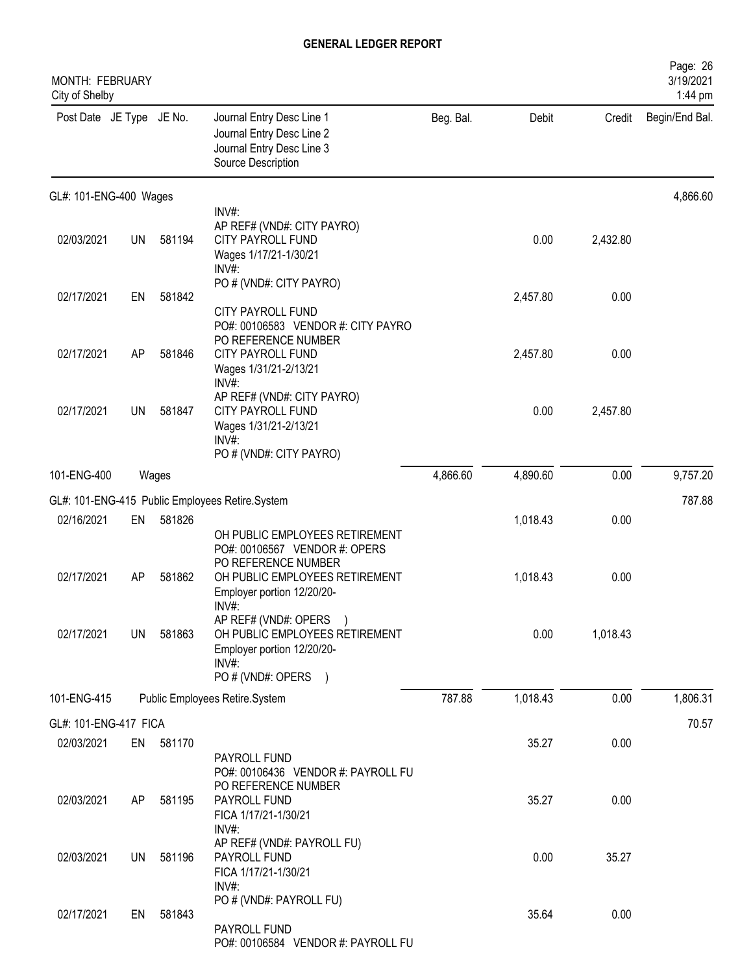| MONTH: FEBRUARY<br>City of Shelby |           |        |                                                                                                                                     |           |          |          | Page: 26<br>3/19/2021<br>1:44 pm |
|-----------------------------------|-----------|--------|-------------------------------------------------------------------------------------------------------------------------------------|-----------|----------|----------|----------------------------------|
| Post Date JE Type JE No.          |           |        | Journal Entry Desc Line 1<br>Journal Entry Desc Line 2<br>Journal Entry Desc Line 3<br>Source Description                           | Beg. Bal. | Debit    | Credit   | Begin/End Bal.                   |
| GL#: 101-ENG-400 Wages            |           |        |                                                                                                                                     |           |          |          | 4,866.60                         |
| 02/03/2021                        | <b>UN</b> | 581194 | INV#:<br>AP REF# (VND#: CITY PAYRO)<br><b>CITY PAYROLL FUND</b><br>Wages 1/17/21-1/30/21<br>INV#:                                   |           | 0.00     | 2,432.80 |                                  |
| 02/17/2021                        | EN        | 581842 | PO # (VND#: CITY PAYRO)<br><b>CITY PAYROLL FUND</b>                                                                                 |           | 2,457.80 | 0.00     |                                  |
| 02/17/2021                        | AP        | 581846 | PO#: 00106583 VENDOR #: CITY PAYRO<br>PO REFERENCE NUMBER<br><b>CITY PAYROLL FUND</b><br>Wages 1/31/21-2/13/21<br>INV#:             |           | 2,457.80 | 0.00     |                                  |
| 02/17/2021                        | UN        | 581847 | AP REF# (VND#: CITY PAYRO)<br><b>CITY PAYROLL FUND</b><br>Wages 1/31/21-2/13/21<br>INV#:<br>PO # (VND#: CITY PAYRO)                 |           | 0.00     | 2,457.80 |                                  |
| 101-ENG-400                       |           | Wages  |                                                                                                                                     | 4,866.60  | 4,890.60 | 0.00     | 9,757.20                         |
|                                   |           |        | GL#: 101-ENG-415 Public Employees Retire.System                                                                                     |           |          |          | 787.88                           |
| 02/16/2021                        | EN        | 581826 | OH PUBLIC EMPLOYEES RETIREMENT<br>PO#: 00106567 VENDOR #: OPERS                                                                     |           | 1,018.43 | 0.00     |                                  |
| 02/17/2021                        | <b>AP</b> | 581862 | PO REFERENCE NUMBER<br>OH PUBLIC EMPLOYEES RETIREMENT<br>Employer portion 12/20/20-<br>$INV#$ :                                     |           | 1,018.43 | 0.00     |                                  |
| 02/17/2021                        | <b>UN</b> | 581863 | AP REF# (VND#: OPERS<br>OH PUBLIC EMPLOYEES RETIREMENT<br>Employer portion 12/20/20-<br>INV#:<br>PO # (VND#: OPERS<br>$\rightarrow$ |           | 0.00     | 1,018.43 |                                  |
| 101-ENG-415                       |           |        | Public Employees Retire.System                                                                                                      | 787.88    | 1,018.43 | 0.00     | 1,806.31                         |
| GL#: 101-ENG-417 FICA             |           |        |                                                                                                                                     |           |          |          | 70.57                            |
| 02/03/2021                        | EN        | 581170 | PAYROLL FUND                                                                                                                        |           | 35.27    | 0.00     |                                  |
| 02/03/2021                        | AP        | 581195 | PO#: 00106436 VENDOR #: PAYROLL FU<br>PO REFERENCE NUMBER<br>PAYROLL FUND<br>FICA 1/17/21-1/30/21<br>INV#:                          |           | 35.27    | 0.00     |                                  |
| 02/03/2021                        | UN.       | 581196 | AP REF# (VND#: PAYROLL FU)<br>PAYROLL FUND<br>FICA 1/17/21-1/30/21<br>INV#:                                                         |           | 0.00     | 35.27    |                                  |
| 02/17/2021                        | EN        | 581843 | PO # (VND#: PAYROLL FU)<br>PAYROLL FUND<br>PO#: 00106584 VENDOR #: PAYROLL FU                                                       |           | 35.64    | 0.00     |                                  |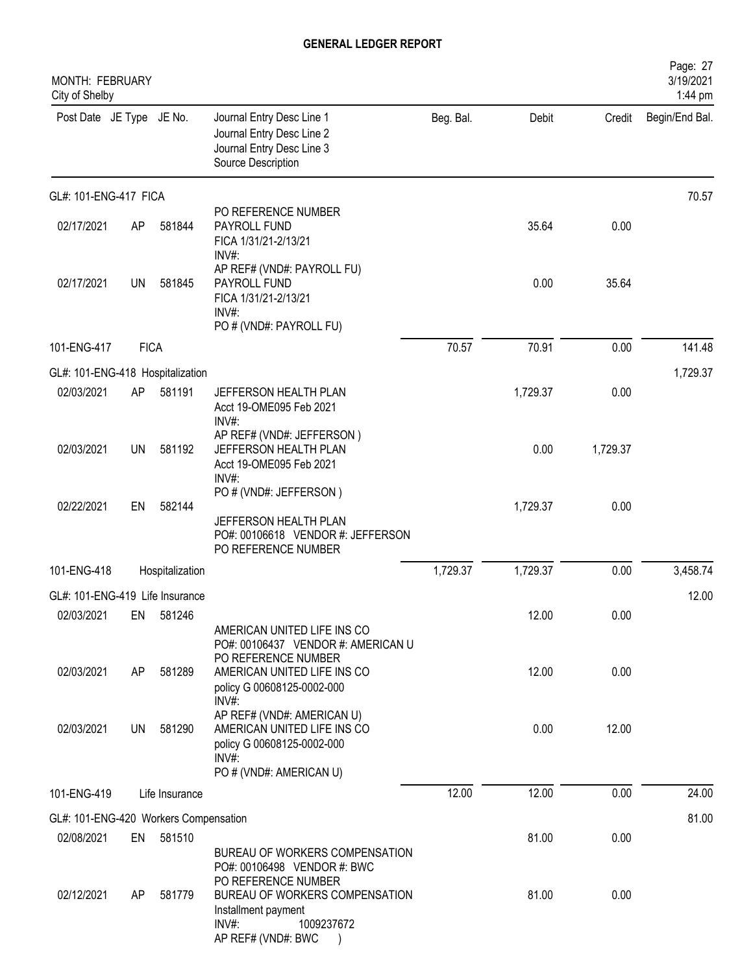| <b>MONTH: FEBRUARY</b><br>City of Shelby            |           |                 |                                                                                                                                                       |           |          |          | Page: 27<br>3/19/2021<br>1:44 pm |
|-----------------------------------------------------|-----------|-----------------|-------------------------------------------------------------------------------------------------------------------------------------------------------|-----------|----------|----------|----------------------------------|
| Post Date JE Type JE No.                            |           |                 | Journal Entry Desc Line 1<br>Journal Entry Desc Line 2<br>Journal Entry Desc Line 3<br>Source Description                                             | Beg. Bal. | Debit    | Credit   | Begin/End Bal.                   |
| GL#: 101-ENG-417 FICA                               |           |                 |                                                                                                                                                       |           |          |          | 70.57                            |
| 02/17/2021                                          | AP        | 581844          | PO REFERENCE NUMBER<br>PAYROLL FUND<br>FICA 1/31/21-2/13/21<br>INV#:                                                                                  |           | 35.64    | 0.00     |                                  |
| 02/17/2021                                          | <b>UN</b> | 581845          | AP REF# (VND#: PAYROLL FU)<br>PAYROLL FUND<br>FICA 1/31/21-2/13/21<br>INV#<br>PO # (VND#: PAYROLL FU)                                                 |           | 0.00     | 35.64    |                                  |
| 101-ENG-417                                         |           | <b>FICA</b>     |                                                                                                                                                       | 70.57     | 70.91    | 0.00     | 141.48                           |
| GL#: 101-ENG-418 Hospitalization                    |           |                 |                                                                                                                                                       |           |          |          | 1,729.37                         |
| 02/03/2021                                          | AP        | 581191          | JEFFERSON HEALTH PLAN<br>Acct 19-OME095 Feb 2021<br>INV#:                                                                                             |           | 1,729.37 | 0.00     |                                  |
| 02/03/2021                                          | UN        | 581192          | AP REF# (VND#: JEFFERSON)<br>JEFFERSON HEALTH PLAN<br>Acct 19-OME095 Feb 2021<br>INV#:                                                                |           | 0.00     | 1,729.37 |                                  |
| 02/22/2021                                          | EN        | 582144          | PO # (VND#: JEFFERSON)<br>JEFFERSON HEALTH PLAN<br>PO#: 00106618 VENDOR #: JEFFERSON<br>PO REFERENCE NUMBER                                           |           | 1,729.37 | 0.00     |                                  |
| 101-ENG-418                                         |           | Hospitalization |                                                                                                                                                       | 1,729.37  | 1,729.37 | 0.00     | 3,458.74                         |
| GL#: 101-ENG-419 Life Insurance                     |           |                 |                                                                                                                                                       |           |          |          | 12.00                            |
| 02/03/2021                                          | EN        | 581246          |                                                                                                                                                       |           | 12.00    | 0.00     |                                  |
| 02/03/2021                                          | AP        | 581289          | AMERICAN UNITED LIFE INS CO<br>PO#: 00106437 VENDOR #: AMERICAN U<br>PO REFERENCE NUMBER<br>AMERICAN UNITED LIFE INS CO<br>policy G 00608125-0002-000 |           | 12.00    | 0.00     |                                  |
| 02/03/2021                                          | UN        | 581290          | INV#:<br>AP REF# (VND#: AMERICAN U)<br>AMERICAN UNITED LIFE INS CO<br>policy G 00608125-0002-000<br>INV#<br>PO # (VND#: AMERICAN U)                   |           | 0.00     | 12.00    |                                  |
| 101-ENG-419                                         |           | Life Insurance  |                                                                                                                                                       | 12.00     | 12.00    | 0.00     | 24.00                            |
|                                                     |           |                 |                                                                                                                                                       |           |          |          |                                  |
| GL#: 101-ENG-420 Workers Compensation<br>02/08/2021 | EN        | 581510          |                                                                                                                                                       |           | 81.00    | 0.00     | 81.00                            |
| 02/12/2021                                          | AP        | 581779          | BUREAU OF WORKERS COMPENSATION<br>PO#: 00106498 VENDOR #: BWC<br>PO REFERENCE NUMBER<br>BUREAU OF WORKERS COMPENSATION<br>Installment payment         |           | 81.00    | 0.00     |                                  |
|                                                     |           |                 | INV#:<br>1009237672<br>AP REF# (VND#: BWC                                                                                                             |           |          |          |                                  |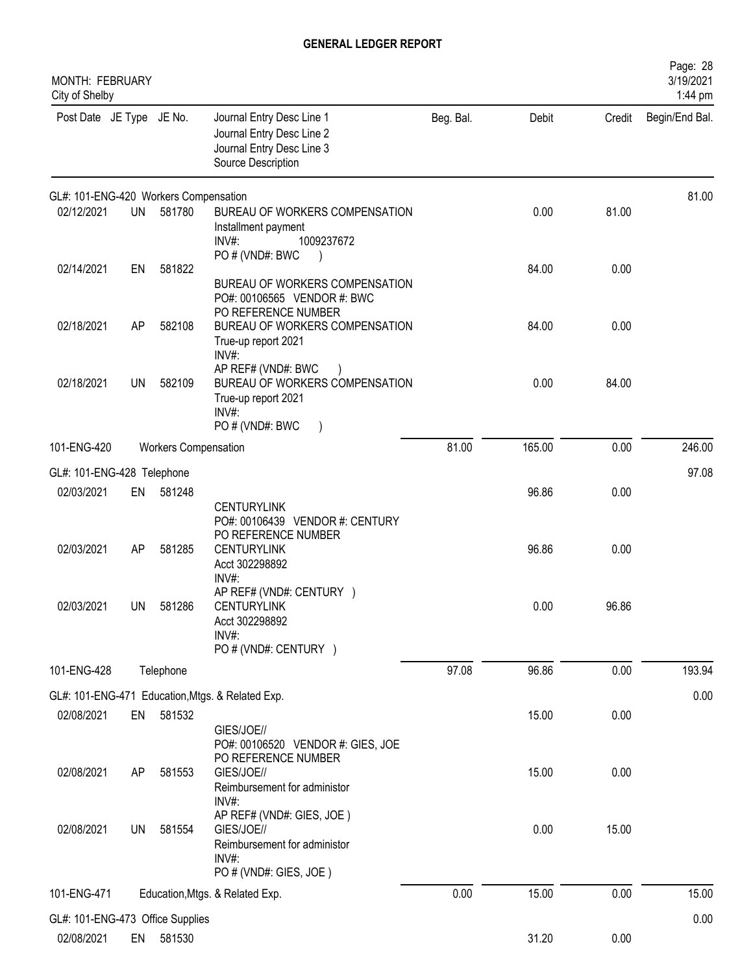| MONTH: FEBRUARY<br>City of Shelby     |           |                             |                                                                                                               |           |        |        | Page: 28<br>3/19/2021<br>1:44 pm |
|---------------------------------------|-----------|-----------------------------|---------------------------------------------------------------------------------------------------------------|-----------|--------|--------|----------------------------------|
| Post Date JE Type JE No.              |           |                             | Journal Entry Desc Line 1<br>Journal Entry Desc Line 2<br>Journal Entry Desc Line 3<br>Source Description     | Beg. Bal. | Debit  | Credit | Begin/End Bal.                   |
| GL#: 101-ENG-420 Workers Compensation |           |                             |                                                                                                               |           |        |        | 81.00                            |
| 02/12/2021                            | UN        | 581780                      | BUREAU OF WORKERS COMPENSATION<br>Installment payment<br>INV#:<br>1009237672<br>PO # (VND#: BWC               |           | 0.00   | 81.00  |                                  |
| 02/14/2021                            | EN        | 581822                      | BUREAU OF WORKERS COMPENSATION<br>PO#: 00106565 VENDOR #: BWC<br>PO REFERENCE NUMBER                          |           | 84.00  | 0.00   |                                  |
| 02/18/2021                            | AP        | 582108                      | BUREAU OF WORKERS COMPENSATION<br>True-up report 2021<br>INV#:<br>AP REF# (VND#: BWC                          |           | 84.00  | 0.00   |                                  |
| 02/18/2021                            | <b>UN</b> | 582109                      | BUREAU OF WORKERS COMPENSATION<br>True-up report 2021<br>INV#:<br>PO#(VND#: BWC<br>$\rightarrow$              |           | 0.00   | 84.00  |                                  |
| 101-ENG-420                           |           | <b>Workers Compensation</b> |                                                                                                               | 81.00     | 165.00 | 0.00   | 246.00                           |
| GL#: 101-ENG-428 Telephone            |           |                             |                                                                                                               |           |        |        | 97.08                            |
| 02/03/2021                            | EN        | 581248                      | <b>CENTURYLINK</b><br>PO#: 00106439 VENDOR #: CENTURY                                                         |           | 96.86  | 0.00   |                                  |
| 02/03/2021                            | AP        | 581285                      | PO REFERENCE NUMBER<br><b>CENTURYLINK</b><br>Acct 302298892<br>INV#:                                          |           | 96.86  | 0.00   |                                  |
| 02/03/2021                            | UN 1      | 581286                      | AP REF# (VND#: CENTURY )<br><b>CENTURYLINK</b><br>Acct 302298892<br>INV#:<br>PO # (VND#: CENTURY )            |           | 0.00   | 96.86  |                                  |
| 101-ENG-428                           |           | Telephone                   |                                                                                                               | 97.08     | 96.86  | 0.00   | 193.94                           |
|                                       |           |                             | GL#: 101-ENG-471 Education, Mtgs. & Related Exp.                                                              |           |        |        | 0.00                             |
| 02/08/2021                            | EN        | 581532                      | GIES/JOE//<br>PO#: 00106520 VENDOR #: GIES, JOE<br>PO REFERENCE NUMBER                                        |           | 15.00  | 0.00   |                                  |
| 02/08/2021                            | AP        | 581553                      | GIES/JOE//<br>Reimbursement for administor<br>INV#:                                                           |           | 15.00  | 0.00   |                                  |
| 02/08/2021                            | UN.       | 581554                      | AP REF# (VND#: GIES, JOE)<br>GIES/JOE//<br>Reimbursement for administor<br>$INV#$ :<br>PO # (VND#: GIES, JOE) |           | 0.00   | 15.00  |                                  |
| 101-ENG-471                           |           |                             | Education, Mtgs. & Related Exp.                                                                               | 0.00      | 15.00  | 0.00   | 15.00                            |
| GL#: 101-ENG-473 Office Supplies      |           |                             |                                                                                                               |           |        |        | 0.00                             |
| 02/08/2021                            | EN        | 581530                      |                                                                                                               |           | 31.20  | 0.00   |                                  |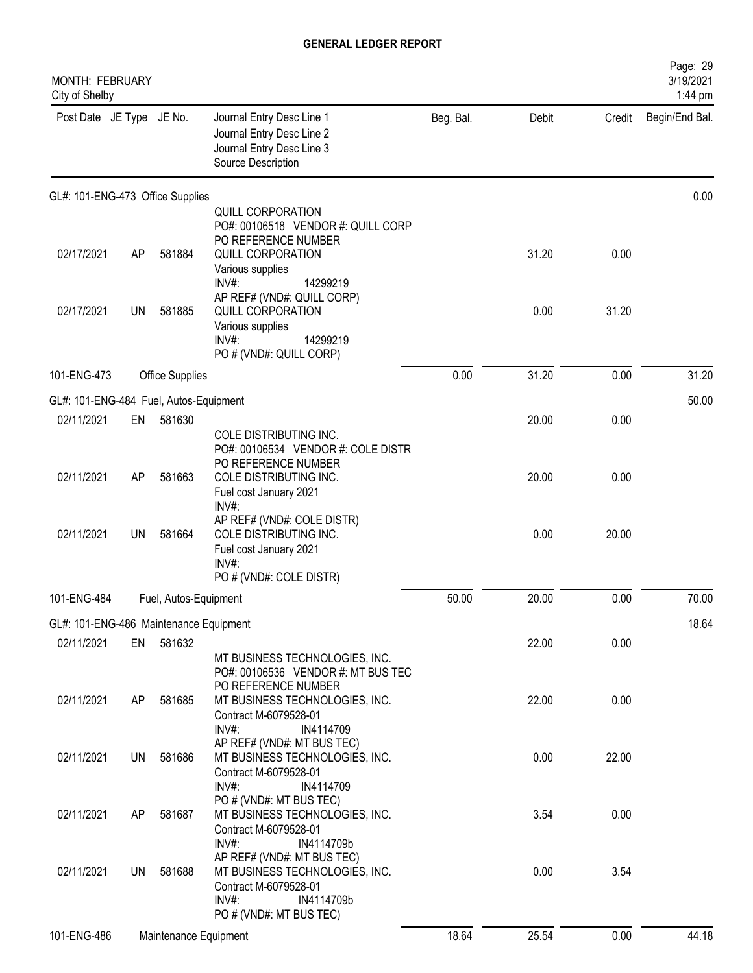| <b>MONTH: FEBRUARY</b><br>City of Shelby |           |                       |                                                                                                                                                                   |           |       |        | Page: 29<br>3/19/2021<br>1:44 pm |
|------------------------------------------|-----------|-----------------------|-------------------------------------------------------------------------------------------------------------------------------------------------------------------|-----------|-------|--------|----------------------------------|
| Post Date JE Type JE No.                 |           |                       | Journal Entry Desc Line 1<br>Journal Entry Desc Line 2<br>Journal Entry Desc Line 3<br>Source Description                                                         | Beg. Bal. | Debit | Credit | Begin/End Bal.                   |
| GL#: 101-ENG-473 Office Supplies         |           |                       |                                                                                                                                                                   |           |       |        | 0.00                             |
| 02/17/2021                               | AP        | 581884                | QUILL CORPORATION<br>PO#: 00106518 VENDOR #: QUILL CORP<br>PO REFERENCE NUMBER<br>QUILL CORPORATION<br>Various supplies                                           |           | 31.20 | 0.00   |                                  |
| 02/17/2021                               | <b>UN</b> | 581885                | $INV#$ :<br>14299219<br>AP REF# (VND#: QUILL CORP)<br><b>QUILL CORPORATION</b><br>Various supplies<br>INV#:<br>14299219<br>PO # (VND#: QUILL CORP)                |           | 0.00  | 31.20  |                                  |
| 101-ENG-473                              |           | Office Supplies       |                                                                                                                                                                   | 0.00      | 31.20 | 0.00   | 31.20                            |
| GL#: 101-ENG-484 Fuel, Autos-Equipment   |           |                       |                                                                                                                                                                   |           |       |        | 50.00                            |
| 02/11/2021                               | EN        | 581630                | COLE DISTRIBUTING INC.<br>PO#: 00106534 VENDOR #: COLE DISTR                                                                                                      |           | 20.00 | 0.00   |                                  |
| 02/11/2021                               | AP        | 581663                | PO REFERENCE NUMBER<br>COLE DISTRIBUTING INC.<br>Fuel cost January 2021                                                                                           |           | 20.00 | 0.00   |                                  |
| 02/11/2021                               | <b>UN</b> | 581664                | INV#:<br>AP REF# (VND#: COLE DISTR)<br>COLE DISTRIBUTING INC.<br>Fuel cost January 2021<br>INV#:<br>PO # (VND#: COLE DISTR)                                       |           | 0.00  | 20.00  |                                  |
| 101-ENG-484                              |           | Fuel, Autos-Equipment |                                                                                                                                                                   | 50.00     | 20.00 | 0.00   | 70.00                            |
| GL#: 101-ENG-486 Maintenance Equipment   |           |                       |                                                                                                                                                                   |           |       |        | 18.64                            |
| 02/11/2021                               | EN        | 581632                | MT BUSINESS TECHNOLOGIES, INC.<br>PO#: 00106536 VENDOR #: MT BUS TEC                                                                                              |           | 22.00 | 0.00   |                                  |
| 02/11/2021                               | AP        | 581685                | PO REFERENCE NUMBER<br>MT BUSINESS TECHNOLOGIES, INC.<br>Contract M-6079528-01<br>INV#:<br>IN4114709                                                              |           | 22.00 | 0.00   |                                  |
| 02/11/2021                               | UN        | 581686                | AP REF# (VND#: MT BUS TEC)<br>MT BUSINESS TECHNOLOGIES, INC.<br>Contract M-6079528-01                                                                             |           | 0.00  | 22.00  |                                  |
| 02/11/2021                               | AP.       | 581687                | INV#:<br>IN4114709<br>PO # (VND#: MT BUS TEC)<br>MT BUSINESS TECHNOLOGIES, INC.<br>Contract M-6079528-01                                                          |           | 3.54  | 0.00   |                                  |
| 02/11/2021                               | UN        | 581688                | $INV#$ :<br>IN4114709b<br>AP REF# (VND#: MT BUS TEC)<br>MT BUSINESS TECHNOLOGIES, INC.<br>Contract M-6079528-01<br>INV#:<br>IN4114709b<br>PO # (VND#: MT BUS TEC) |           | 0.00  | 3.54   |                                  |
| 101-ENG-486                              |           | Maintenance Equipment |                                                                                                                                                                   | 18.64     | 25.54 | 0.00   | 44.18                            |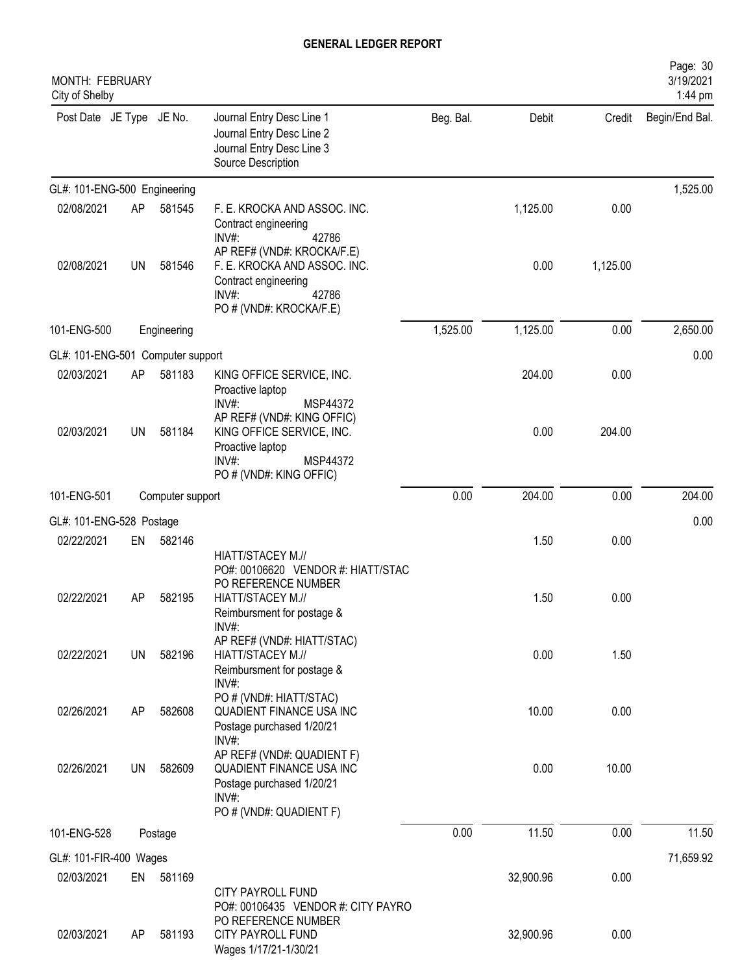| MONTH: FEBRUARY<br>City of Shelby |           |                  |                                                                                                                                                  |           |           |          | Page: 30<br>3/19/2021<br>1:44 pm |
|-----------------------------------|-----------|------------------|--------------------------------------------------------------------------------------------------------------------------------------------------|-----------|-----------|----------|----------------------------------|
| Post Date JE Type JE No.          |           |                  | Journal Entry Desc Line 1<br>Journal Entry Desc Line 2<br>Journal Entry Desc Line 3<br>Source Description                                        | Beg. Bal. | Debit     | Credit   | Begin/End Bal.                   |
| GL#: 101-ENG-500 Engineering      |           |                  |                                                                                                                                                  |           |           |          | 1,525.00                         |
| 02/08/2021                        | AP        | 581545           | F. E. KROCKA AND ASSOC. INC.<br>Contract engineering<br>INV#:<br>42786                                                                           |           | 1,125.00  | 0.00     |                                  |
| 02/08/2021                        | UN        | 581546           | AP REF# (VND#: KROCKA/F.E)<br>F. E. KROCKA AND ASSOC. INC.<br>Contract engineering<br>INV#:<br>42786<br>PO # (VND#: KROCKA/F.E)                  |           | 0.00      | 1,125.00 |                                  |
| 101-ENG-500                       |           | Engineering      |                                                                                                                                                  | 1,525.00  | 1,125.00  | 0.00     | 2,650.00                         |
| GL#: 101-ENG-501 Computer support |           |                  |                                                                                                                                                  |           |           |          | 0.00                             |
| 02/03/2021                        | AP        | 581183           | KING OFFICE SERVICE, INC.<br>Proactive laptop                                                                                                    |           | 204.00    | 0.00     |                                  |
| 02/03/2021                        | <b>UN</b> | 581184           | INV#:<br>MSP44372<br>AP REF# (VND#: KING OFFIC)<br>KING OFFICE SERVICE, INC.<br>Proactive laptop<br>INV#:<br>MSP44372<br>PO # (VND#: KING OFFIC) |           | 0.00      | 204.00   |                                  |
| 101-ENG-501                       |           | Computer support |                                                                                                                                                  | 0.00      | 204.00    | 0.00     | 204.00                           |
| GL#: 101-ENG-528 Postage          |           |                  |                                                                                                                                                  |           |           |          | 0.00                             |
| 02/22/2021                        | EN        | 582146           | HIATT/STACEY M.//                                                                                                                                |           | 1.50      | 0.00     |                                  |
| 02/22/2021                        | AP        | 582195           | PO#: 00106620 VENDOR #: HIATT/STAC<br>PO REFERENCE NUMBER<br>HIATT/STACEY M.//<br>Reimbursment for postage &<br>INV#:                            |           | 1.50      | 0.00     |                                  |
| 02/22/2021                        | UN        | 582196           | AP REF# (VND#: HIATT/STAC)<br>HIATT/STACEY M.//<br>Reimbursment for postage &<br>INV#:                                                           |           | 0.00      | 1.50     |                                  |
| 02/26/2021                        | AP        | 582608           | PO # (VND#: HIATT/STAC)<br>QUADIENT FINANCE USA INC<br>Postage purchased 1/20/21<br>INV#:                                                        |           | 10.00     | 0.00     |                                  |
| 02/26/2021                        | UN        | 582609           | AP REF# (VND#: QUADIENT F)<br>QUADIENT FINANCE USA INC<br>Postage purchased 1/20/21<br>$INV#$ :<br>PO # (VND#: QUADIENT F)                       |           | 0.00      | 10.00    |                                  |
| 101-ENG-528                       |           | Postage          |                                                                                                                                                  | 0.00      | 11.50     | 0.00     | 11.50                            |
| GL#: 101-FIR-400 Wages            |           |                  |                                                                                                                                                  |           |           |          | 71,659.92                        |
| 02/03/2021                        | EN        | 581169           |                                                                                                                                                  |           | 32,900.96 | 0.00     |                                  |
|                                   |           |                  | <b>CITY PAYROLL FUND</b><br>PO#: 00106435 VENDOR #: CITY PAYRO<br>PO REFERENCE NUMBER                                                            |           |           |          |                                  |
| 02/03/2021                        | AP        | 581193           | CITY PAYROLL FUND<br>Wages 1/17/21-1/30/21                                                                                                       |           | 32,900.96 | 0.00     |                                  |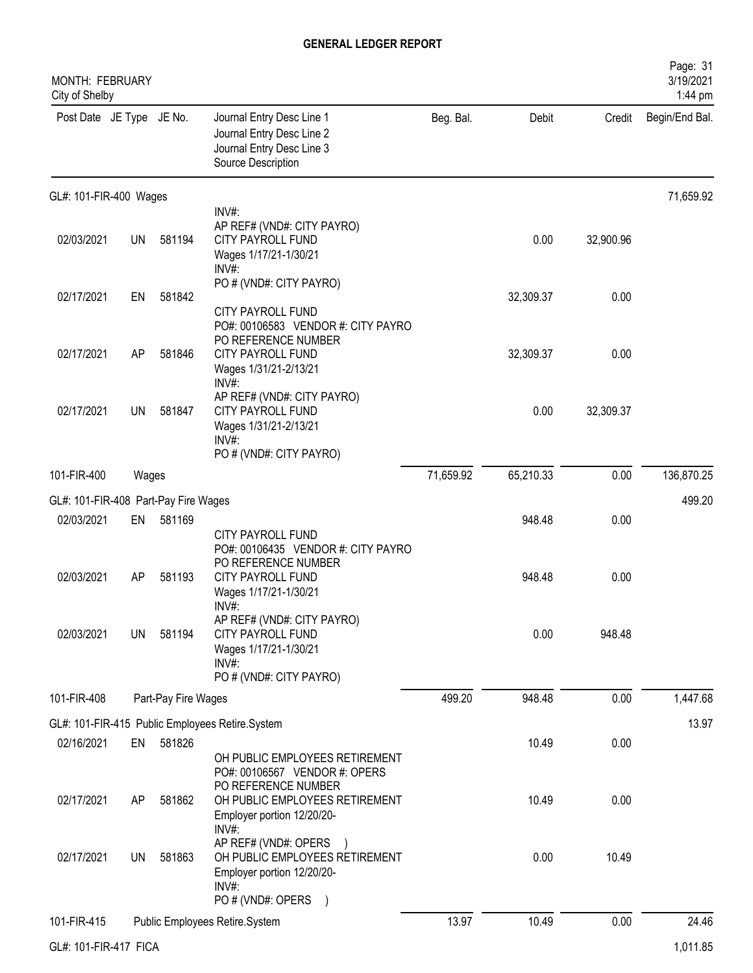| MONTH: FEBRUARY<br>City of Shelby    |           |                     |                                                                                                                                                                            |           |           |           | Page: 31<br>3/19/2021<br>1:44 pm |
|--------------------------------------|-----------|---------------------|----------------------------------------------------------------------------------------------------------------------------------------------------------------------------|-----------|-----------|-----------|----------------------------------|
| Post Date JE Type JE No.             |           |                     | Journal Entry Desc Line 1<br>Journal Entry Desc Line 2<br>Journal Entry Desc Line 3<br>Source Description                                                                  | Beg. Bal. | Debit     | Credit    | Begin/End Bal.                   |
| GL#: 101-FIR-400 Wages               |           |                     |                                                                                                                                                                            |           |           |           | 71,659.92                        |
| 02/03/2021                           | <b>UN</b> | 581194              | INV#:<br>AP REF# (VND#: CITY PAYRO)<br><b>CITY PAYROLL FUND</b><br>Wages 1/17/21-1/30/21<br>$INV#$ :                                                                       |           | 0.00      | 32,900.96 |                                  |
| 02/17/2021                           | EN        | 581842              | PO # (VND#: CITY PAYRO)                                                                                                                                                    |           | 32,309.37 | 0.00      |                                  |
| 02/17/2021                           | AP        | 581846              | <b>CITY PAYROLL FUND</b><br>PO#: 00106583 VENDOR #: CITY PAYRO<br>PO REFERENCE NUMBER<br><b>CITY PAYROLL FUND</b><br>Wages 1/31/21-2/13/21<br>INV#                         |           | 32,309.37 | 0.00      |                                  |
| 02/17/2021                           | <b>UN</b> | 581847              | AP REF# (VND#: CITY PAYRO)<br><b>CITY PAYROLL FUND</b><br>Wages 1/31/21-2/13/21<br>INV#:<br>PO # (VND#: CITY PAYRO)                                                        |           | 0.00      | 32,309.37 |                                  |
| 101-FIR-400                          | Wages     |                     |                                                                                                                                                                            | 71,659.92 | 65,210.33 | 0.00      | 136,870.25                       |
| GL#: 101-FIR-408 Part-Pay Fire Wages |           |                     |                                                                                                                                                                            |           |           |           | 499.20                           |
| 02/03/2021                           | EN        | 581169              |                                                                                                                                                                            |           | 948.48    | 0.00      |                                  |
| 02/03/2021                           | AP        | 581193              | <b>CITY PAYROLL FUND</b><br>PO#: 00106435 VENDOR #: CITY PAYRO<br>PO REFERENCE NUMBER<br>CITY PAYROLL FUND<br>Wages 1/17/21-1/30/21<br>INV#:<br>AP REF# (VND#: CITY PAYRO) |           | 948.48    | 0.00      |                                  |
| 02/03/2021                           | <b>UN</b> | 581194              | <b>CITY PAYROLL FUND</b><br>Wages 1/17/21-1/30/21<br>INV#<br>PO # (VND#: CITY PAYRO)                                                                                       |           | 0.00      | 948.48    |                                  |
| 101-FIR-408                          |           | Part-Pay Fire Wages |                                                                                                                                                                            | 499.20    | 948.48    | 0.00      | 1,447.68                         |
|                                      |           |                     | GL#: 101-FIR-415 Public Employees Retire.System                                                                                                                            |           |           |           | 13.97                            |
| 02/16/2021                           | EN        | 581826              | OH PUBLIC EMPLOYEES RETIREMENT                                                                                                                                             |           | 10.49     | 0.00      |                                  |
| 02/17/2021                           | AP        | 581862              | PO#: 00106567 VENDOR #: OPERS<br>PO REFERENCE NUMBER<br>OH PUBLIC EMPLOYEES RETIREMENT<br>Employer portion 12/20/20-<br>$INV#$ :                                           |           | 10.49     | 0.00      |                                  |
| 02/17/2021                           | <b>UN</b> | 581863              | AP REF# (VND#: OPERS<br>OH PUBLIC EMPLOYEES RETIREMENT<br>Employer portion 12/20/20-<br>$INV#$ :<br>PO # (VND#: OPERS<br>$\lambda$                                         |           | 0.00      | 10.49     |                                  |
| 101-FIR-415                          |           |                     | Public Employees Retire.System                                                                                                                                             | 13.97     | 10.49     | 0.00      | 24.46                            |
| GL#: 101-FIR-417 FICA                |           |                     |                                                                                                                                                                            |           |           |           | 1,011.85                         |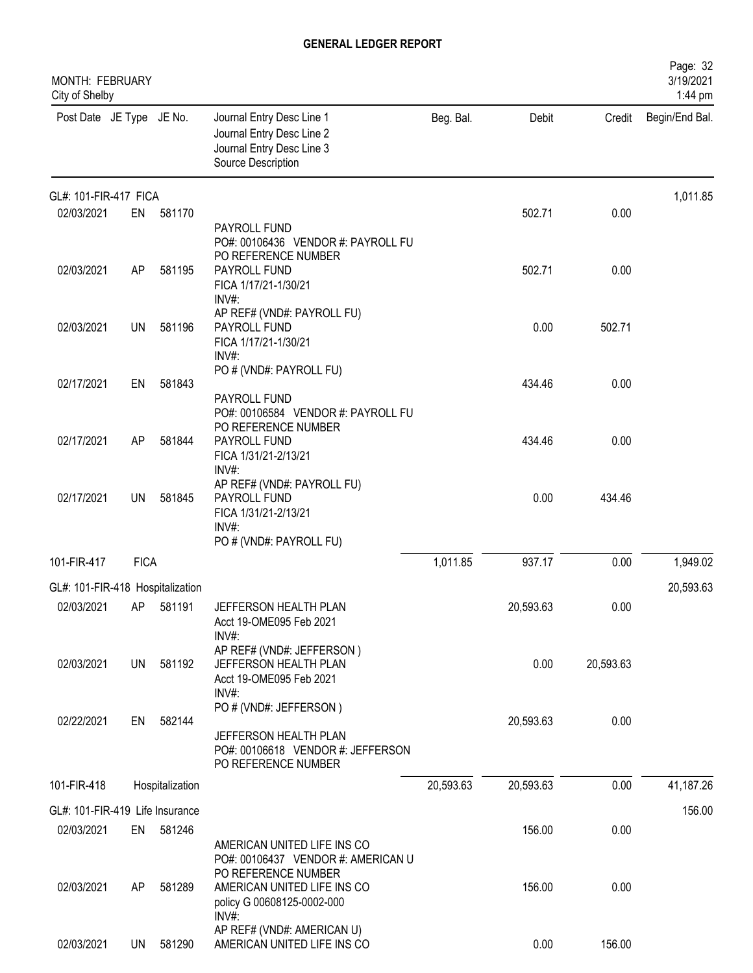| MONTH: FEBRUARY<br>City of Shelby |             |                 |                                                                                                             |           |           |           | Page: 32<br>3/19/2021<br>1:44 pm |
|-----------------------------------|-------------|-----------------|-------------------------------------------------------------------------------------------------------------|-----------|-----------|-----------|----------------------------------|
| Post Date JE Type JE No.          |             |                 | Journal Entry Desc Line 1<br>Journal Entry Desc Line 2<br>Journal Entry Desc Line 3<br>Source Description   | Beg. Bal. | Debit     | Credit    | Begin/End Bal.                   |
| GL#: 101-FIR-417 FICA             |             |                 |                                                                                                             |           |           |           | 1,011.85                         |
| 02/03/2021                        | EN          | 581170          | PAYROLL FUND<br>PO#: 00106436 VENDOR #: PAYROLL FU<br>PO REFERENCE NUMBER                                   |           | 502.71    | 0.00      |                                  |
| 02/03/2021                        | AP          | 581195          | PAYROLL FUND<br>FICA 1/17/21-1/30/21<br>INV#:                                                               |           | 502.71    | 0.00      |                                  |
| 02/03/2021                        | UN          | 581196          | AP REF# (VND#: PAYROLL FU)<br>PAYROLL FUND<br>FICA 1/17/21-1/30/21<br>$INV#$ :                              |           | 0.00      | 502.71    |                                  |
| 02/17/2021                        | EN          | 581843          | PO # (VND#: PAYROLL FU)<br>PAYROLL FUND<br>PO#: 00106584 VENDOR #: PAYROLL FU                               |           | 434.46    | 0.00      |                                  |
| 02/17/2021                        | AP          | 581844          | PO REFERENCE NUMBER<br>PAYROLL FUND<br>FICA 1/31/21-2/13/21<br>INV#:                                        |           | 434.46    | 0.00      |                                  |
| 02/17/2021                        | <b>UN</b>   | 581845          | AP REF# (VND#: PAYROLL FU)<br>PAYROLL FUND<br>FICA 1/31/21-2/13/21<br>$INV#$ :<br>PO # (VND#: PAYROLL FU)   |           | 0.00      | 434.46    |                                  |
| 101-FIR-417                       | <b>FICA</b> |                 |                                                                                                             | 1,011.85  | 937.17    | 0.00      | 1,949.02                         |
| GL#: 101-FIR-418 Hospitalization  |             |                 |                                                                                                             |           |           |           | 20,593.63                        |
| 02/03/2021                        |             | AP 581191       | JEFFERSON HEALTH PLAN<br>Acct 19-OME095 Feb 2021<br>$INV#$ :                                                |           | 20,593.63 | 0.00      |                                  |
| 02/03/2021                        |             | UN 581192       | AP REF# (VND#: JEFFERSON)<br>JEFFERSON HEALTH PLAN<br>Acct 19-OME095 Feb 2021<br>$INV#$ :                   |           | 0.00      | 20,593.63 |                                  |
| 02/22/2021                        | EN          | 582144          | PO # (VND#: JEFFERSON)<br>JEFFERSON HEALTH PLAN<br>PO#: 00106618 VENDOR #: JEFFERSON<br>PO REFERENCE NUMBER |           | 20,593.63 | 0.00      |                                  |
| 101-FIR-418                       |             | Hospitalization |                                                                                                             | 20,593.63 | 20,593.63 | 0.00      | 41,187.26                        |
| GL#: 101-FIR-419 Life Insurance   |             |                 |                                                                                                             |           |           |           | 156.00                           |
| 02/03/2021                        |             | EN 581246       | AMERICAN UNITED LIFE INS CO<br>PO#: 00106437 VENDOR #: AMERICAN U                                           |           | 156.00    | 0.00      |                                  |
| 02/03/2021                        | AP          | 581289          | PO REFERENCE NUMBER<br>AMERICAN UNITED LIFE INS CO<br>policy G 00608125-0002-000<br>$INV#$ :                |           | 156.00    | 0.00      |                                  |
| 02/03/2021                        | UN I        | 581290          | AP REF# (VND#: AMERICAN U)<br>AMERICAN UNITED LIFE INS CO                                                   |           | 0.00      | 156.00    |                                  |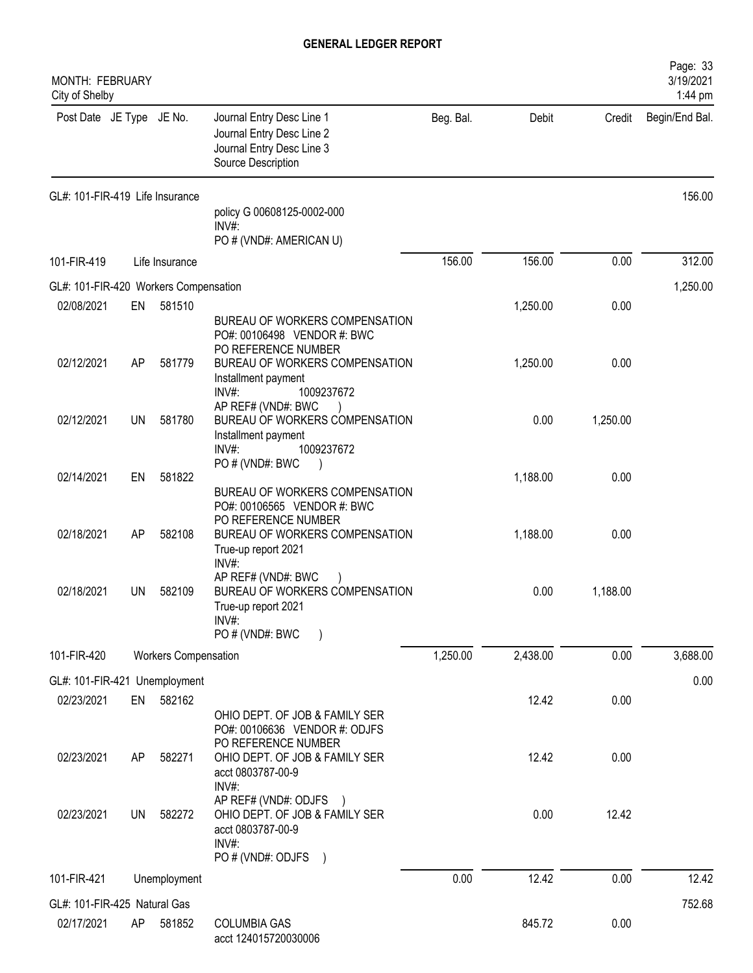| <b>MONTH: FEBRUARY</b><br>City of Shelby |           |                             |                                                                                                             |           |          |          | Page: 33<br>3/19/2021<br>1:44 pm |
|------------------------------------------|-----------|-----------------------------|-------------------------------------------------------------------------------------------------------------|-----------|----------|----------|----------------------------------|
| Post Date JE Type JE No.                 |           |                             | Journal Entry Desc Line 1<br>Journal Entry Desc Line 2<br>Journal Entry Desc Line 3<br>Source Description   | Beg. Bal. | Debit    |          | Credit Begin/End Bal.            |
| GL#: 101-FIR-419 Life Insurance          |           |                             |                                                                                                             |           |          |          | 156.00                           |
|                                          |           |                             | policy G 00608125-0002-000<br>$INV#$ :<br>PO # (VND#: AMERICAN U)                                           |           |          |          |                                  |
| 101-FIR-419                              |           | Life Insurance              |                                                                                                             | 156.00    | 156.00   | 0.00     | 312.00                           |
| GL#: 101-FIR-420 Workers Compensation    |           |                             |                                                                                                             |           |          |          | 1,250.00                         |
| 02/08/2021                               | EN        | 581510                      |                                                                                                             |           | 1,250.00 | 0.00     |                                  |
|                                          |           |                             | BUREAU OF WORKERS COMPENSATION<br>PO#: 00106498 VENDOR #: BWC<br>PO REFERENCE NUMBER                        |           |          |          |                                  |
| 02/12/2021                               | AP        | 581779                      | BUREAU OF WORKERS COMPENSATION<br>Installment payment<br>$INV#$ :<br>1009237672                             |           | 1,250.00 | 0.00     |                                  |
| 02/12/2021                               | UN        | 581780                      | AP REF# (VND#: BWC<br>BUREAU OF WORKERS COMPENSATION<br>Installment payment<br>INV#:<br>1009237672          |           | 0.00     | 1,250.00 |                                  |
| 02/14/2021                               | EN        | 581822                      | PO # (VND#: BWC                                                                                             |           | 1,188.00 | 0.00     |                                  |
|                                          |           |                             | BUREAU OF WORKERS COMPENSATION<br>PO#: 00106565 VENDOR #: BWC<br>PO REFERENCE NUMBER                        |           |          |          |                                  |
| 02/18/2021                               | AP        | 582108                      | BUREAU OF WORKERS COMPENSATION<br>True-up report 2021<br>INV#:                                              |           | 1,188.00 | 0.00     |                                  |
| 02/18/2021                               | <b>UN</b> | 582109                      | AP REF# (VND#: BWC<br>BUREAU OF WORKERS COMPENSATION<br>True-up report 2021<br>INV#:<br>PO # (VND#: BWC     |           | 0.00     | 1,188.00 |                                  |
| 101-FIR-420                              |           | <b>Workers Compensation</b> |                                                                                                             | 1,250.00  | 2,438.00 | 0.00     | 3,688.00                         |
| GL#: 101-FIR-421 Unemployment            |           |                             |                                                                                                             |           |          |          | 0.00                             |
| 02/23/2021                               | EN        | 582162                      |                                                                                                             |           | 12.42    | 0.00     |                                  |
|                                          |           |                             | OHIO DEPT. OF JOB & FAMILY SER<br>PO#: 00106636 VENDOR #: ODJFS<br>PO REFERENCE NUMBER                      |           |          |          |                                  |
| 02/23/2021                               | AP        | 582271                      | OHIO DEPT. OF JOB & FAMILY SER<br>acct 0803787-00-9<br>INV#:                                                |           | 12.42    | 0.00     |                                  |
| 02/23/2021                               | <b>UN</b> | 582272                      | AP REF# (VND#: ODJFS )<br>OHIO DEPT. OF JOB & FAMILY SER<br>acct 0803787-00-9<br>INV#:<br>PO # (VND#: ODJFS |           | 0.00     | 12.42    |                                  |
| 101-FIR-421                              |           | Unemployment                |                                                                                                             | 0.00      | 12.42    | 0.00     | 12.42                            |
| GL#: 101-FIR-425 Natural Gas             |           |                             |                                                                                                             |           |          |          | 752.68                           |
| 02/17/2021                               | AP        | 581852                      | <b>COLUMBIA GAS</b><br>acct 124015720030006                                                                 |           | 845.72   | 0.00     |                                  |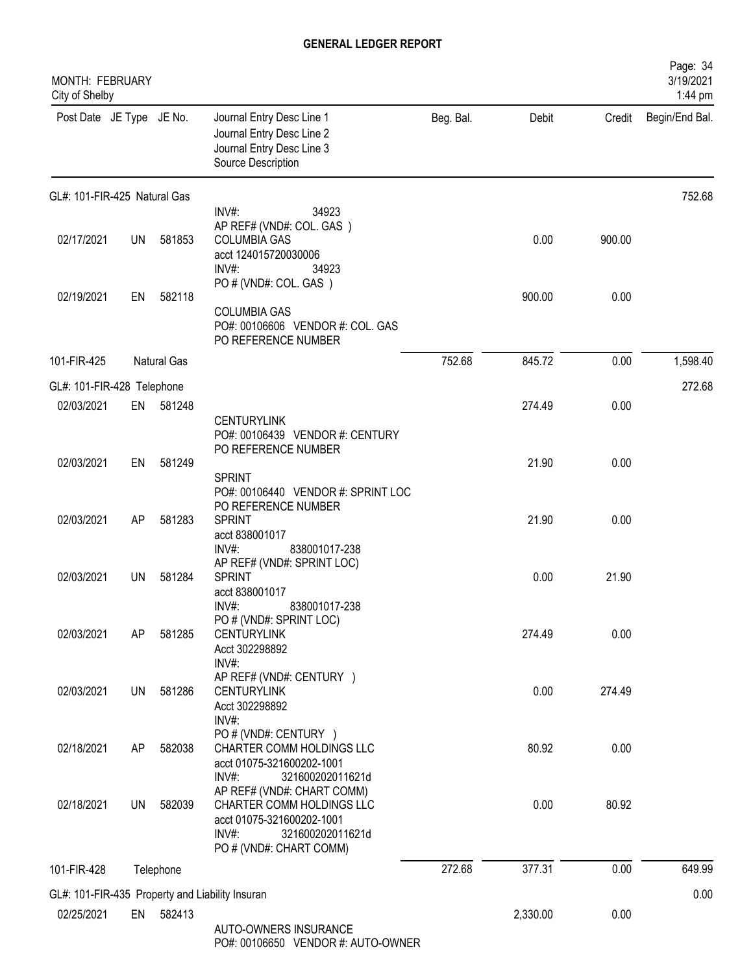| MONTH: FEBRUARY<br>City of Shelby |           |             |                                                                                                                                                                              |           |          |        | Page: 34<br>3/19/2021<br>1:44 pm |
|-----------------------------------|-----------|-------------|------------------------------------------------------------------------------------------------------------------------------------------------------------------------------|-----------|----------|--------|----------------------------------|
| Post Date JE Type JE No.          |           |             | Journal Entry Desc Line 1<br>Journal Entry Desc Line 2<br>Journal Entry Desc Line 3<br>Source Description                                                                    | Beg. Bal. | Debit    | Credit | Begin/End Bal.                   |
| GL#: 101-FIR-425 Natural Gas      |           |             |                                                                                                                                                                              |           |          |        | 752.68                           |
| 02/17/2021                        | <b>UN</b> | 581853      | INV#:<br>34923<br>AP REF# (VND#: COL. GAS)<br><b>COLUMBIA GAS</b><br>acct 124015720030006<br>$INV#$ :<br>34923                                                               |           | 0.00     | 900.00 |                                  |
| 02/19/2021                        | EN        | 582118      | PO # (VND#: COL. GAS)<br><b>COLUMBIA GAS</b><br>PO#: 00106606 VENDOR #: COL. GAS<br>PO REFERENCE NUMBER                                                                      |           | 900.00   | 0.00   |                                  |
| 101-FIR-425                       |           | Natural Gas |                                                                                                                                                                              | 752.68    | 845.72   | 0.00   | 1,598.40                         |
| GL#: 101-FIR-428 Telephone        |           |             |                                                                                                                                                                              |           |          |        | 272.68                           |
| 02/03/2021                        | EN        | 581248      | <b>CENTURYLINK</b><br>PO#: 00106439 VENDOR #: CENTURY<br>PO REFERENCE NUMBER                                                                                                 |           | 274.49   | 0.00   |                                  |
| 02/03/2021                        | EN        | 581249      | <b>SPRINT</b><br>PO#: 00106440 VENDOR #: SPRINT LOC                                                                                                                          |           | 21.90    | 0.00   |                                  |
| 02/03/2021                        | AP        | 581283      | PO REFERENCE NUMBER<br><b>SPRINT</b><br>acct 838001017<br>$INV#$ :<br>838001017-238                                                                                          |           | 21.90    | 0.00   |                                  |
| 02/03/2021                        | <b>UN</b> | 581284      | AP REF# (VND#: SPRINT LOC)<br><b>SPRINT</b><br>acct 838001017<br>INV#:<br>838001017-238                                                                                      |           | 0.00     | 21.90  |                                  |
| 02/03/2021                        | AP        | 581285      | PO # (VND#: SPRINT LOC)<br><b>CENTURYLINK</b><br>Acct 302298892<br>$INV#$ :                                                                                                  |           | 274.49   | 0.00   |                                  |
| 02/03/2021                        | <b>UN</b> | 581286      | AP REF# (VND#: CENTURY )<br><b>CENTURYLINK</b><br>Acct 302298892<br>INV#:                                                                                                    |           | 0.00     | 274.49 |                                  |
| 02/18/2021                        | AP        | 582038      | PO # (VND#: CENTURY )<br>CHARTER COMM HOLDINGS LLC<br>acct 01075-321600202-1001                                                                                              |           | 80.92    | 0.00   |                                  |
| 02/18/2021                        | <b>UN</b> | 582039      | $INV#$ :<br>321600202011621d<br>AP REF# (VND#: CHART COMM)<br>CHARTER COMM HOLDINGS LLC<br>acct 01075-321600202-1001<br>INV#:<br>321600202011621d<br>PO # (VND#: CHART COMM) |           | 0.00     | 80.92  |                                  |
| 101-FIR-428                       |           | Telephone   |                                                                                                                                                                              | 272.68    | 377.31   | 0.00   | 649.99                           |
|                                   |           |             | GL#: 101-FIR-435 Property and Liability Insuran                                                                                                                              |           |          |        | 0.00                             |
| 02/25/2021                        |           | EN 582413   | AUTO-OWNERS INSURANCE<br>PO#: 00106650 VENDOR #: AUTO-OWNER                                                                                                                  |           | 2,330.00 | 0.00   |                                  |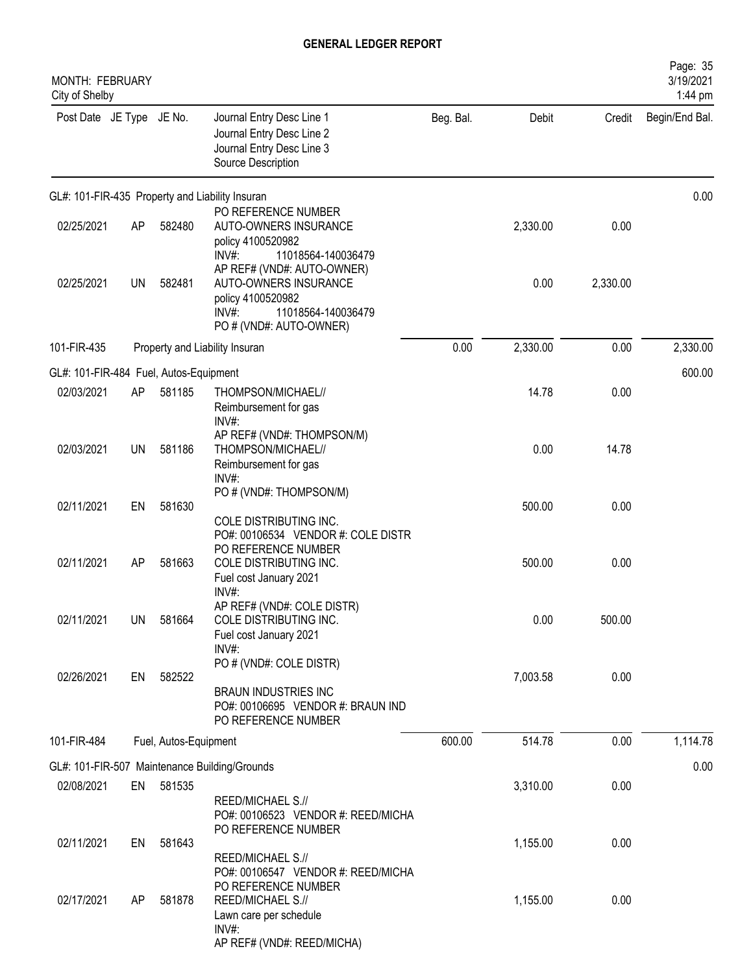| <b>MONTH: FEBRUARY</b><br>City of Shelby |           |                       |                                                                                                                                                |           |          |          | Page: 35<br>3/19/2021<br>1:44 pm |
|------------------------------------------|-----------|-----------------------|------------------------------------------------------------------------------------------------------------------------------------------------|-----------|----------|----------|----------------------------------|
| Post Date JE Type JE No.                 |           |                       | Journal Entry Desc Line 1<br>Journal Entry Desc Line 2<br>Journal Entry Desc Line 3<br>Source Description                                      | Beg. Bal. | Debit    | Credit   | Begin/End Bal.                   |
|                                          |           |                       | GL#: 101-FIR-435 Property and Liability Insuran                                                                                                |           |          |          | 0.00                             |
| 02/25/2021                               | AP        | 582480                | PO REFERENCE NUMBER<br>AUTO-OWNERS INSURANCE<br>policy 4100520982<br>11018564-140036479<br>INV#:                                               |           | 2,330.00 | 0.00     |                                  |
| 02/25/2021                               | <b>UN</b> | 582481                | AP REF# (VND#: AUTO-OWNER)<br>AUTO-OWNERS INSURANCE<br>policy 4100520982<br>11018564-140036479<br>INV#:<br>PO # (VND#: AUTO-OWNER)             |           | 0.00     | 2,330.00 |                                  |
| 101-FIR-435                              |           |                       | Property and Liability Insuran                                                                                                                 | 0.00      | 2,330.00 | 0.00     | 2,330.00                         |
| GL#: 101-FIR-484 Fuel, Autos-Equipment   |           |                       |                                                                                                                                                |           |          |          | 600.00                           |
| 02/03/2021                               | AP        | 581185                | THOMPSON/MICHAEL//<br>Reimbursement for gas<br>INV#:                                                                                           |           | 14.78    | 0.00     |                                  |
| 02/03/2021                               | UN        | 581186                | AP REF# (VND#: THOMPSON/M)<br>THOMPSON/MICHAEL//<br>Reimbursement for gas<br>INV#:                                                             |           | 0.00     | 14.78    |                                  |
| 02/11/2021                               | EN        | 581630                | PO # (VND#: THOMPSON/M)<br>COLE DISTRIBUTING INC.                                                                                              |           | 500.00   | 0.00     |                                  |
| 02/11/2021                               | AP        | 581663                | PO#: 00106534 VENDOR #: COLE DISTR<br>PO REFERENCE NUMBER<br>COLE DISTRIBUTING INC.<br>Fuel cost January 2021<br>INV#:                         |           | 500.00   | 0.00     |                                  |
| 02/11/2021                               | <b>UN</b> | 581664                | AP REF# (VND#: COLE DISTR)<br>COLE DISTRIBUTING INC.<br>Fuel cost January 2021<br>INV#:                                                        |           | 0.00     | 500.00   |                                  |
| 02/26/2021                               | EN        | 582522                | PO # (VND#: COLE DISTR)<br><b>BRAUN INDUSTRIES INC</b><br>PO#: 00106695 VENDOR #: BRAUN IND<br>PO REFERENCE NUMBER                             |           | 7,003.58 | 0.00     |                                  |
| 101-FIR-484                              |           | Fuel, Autos-Equipment |                                                                                                                                                | 600.00    | 514.78   | 0.00     | 1,114.78                         |
|                                          |           |                       | GL#: 101-FIR-507 Maintenance Building/Grounds                                                                                                  |           |          |          | 0.00                             |
| 02/08/2021                               | EN        | 581535                | REED/MICHAEL S.//<br>PO#: 00106523 VENDOR #: REED/MICHA                                                                                        |           | 3,310.00 | 0.00     |                                  |
| 02/11/2021                               | EN        | 581643                | PO REFERENCE NUMBER<br>REED/MICHAEL S.//                                                                                                       |           | 1,155.00 | 0.00     |                                  |
| 02/17/2021                               | AP        | 581878                | PO#: 00106547 VENDOR #: REED/MICHA<br>PO REFERENCE NUMBER<br>REED/MICHAEL S.//<br>Lawn care per schedule<br>INV#<br>AP REF# (VND#: REED/MICHA) |           | 1,155.00 | 0.00     |                                  |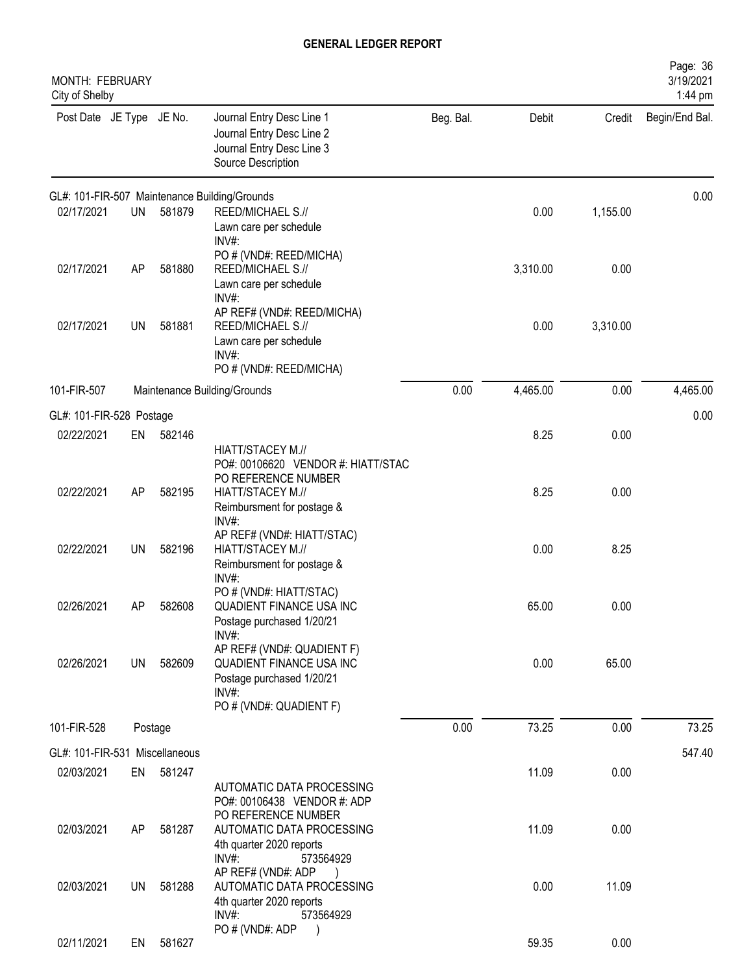| Journal Entry Desc Line 1<br>Beg. Bal.<br>Post Date JE Type JE No.<br>Debit<br>Credit<br>Begin/End Bal.<br>Journal Entry Desc Line 2<br>Journal Entry Desc Line 3 |
|-------------------------------------------------------------------------------------------------------------------------------------------------------------------|
| Source Description                                                                                                                                                |
| 0.00<br>GL#: 101-FIR-507 Maintenance Building/Grounds                                                                                                             |
| 02/17/2021<br>0.00<br><b>UN</b><br>581879<br>REED/MICHAEL S.//<br>1,155.00<br>Lawn care per schedule<br>$INV#$ :                                                  |
| PO # (VND#: REED/MICHA)<br>3,310.00<br>02/17/2021<br>581880<br>REED/MICHAEL S.//<br>0.00<br>AP<br>Lawn care per schedule<br>$INV#$ :                              |
| AP REF# (VND#: REED/MICHA)<br>02/17/2021<br><b>UN</b><br>581881<br>0.00<br>3,310.00<br>REED/MICHAEL S.//<br>Lawn care per schedule<br>$INV#$ :                    |
| PO # (VND#: REED/MICHA)                                                                                                                                           |
| 0.00<br>4,465.00<br>0.00<br>4,465.00<br>101-FIR-507<br>Maintenance Building/Grounds                                                                               |
| 0.00<br>GL#: 101-FIR-528 Postage<br>8.25<br>02/22/2021<br>582146<br>0.00<br>EN                                                                                    |
| HIATT/STACEY M.//<br>PO#: 00106620 VENDOR #: HIATT/STAC<br>PO REFERENCE NUMBER                                                                                    |
| 8.25<br>02/22/2021<br>HIATT/STACEY M.//<br>0.00<br>AP<br>582195<br>Reimbursment for postage &<br>INV#:                                                            |
| AP REF# (VND#: HIATT/STAC)<br>0.00<br>8.25<br>02/22/2021<br><b>UN</b><br>582196<br>HIATT/STACEY M.//<br>Reimbursment for postage &<br>$INV#$ :                    |
| PO # (VND#: HIATT/STAC)<br>02/26/2021<br>65.00<br>0.00<br>AΡ<br>582608<br>QUADIENT FINANCE USA INC<br>Postage purchased 1/20/21<br>INV#:                          |
| AP REF# (VND#: QUADIENT F)<br>0.00<br>02/26/2021<br>582609<br>QUADIENT FINANCE USA INC<br>65.00<br><b>UN</b><br>Postage purchased 1/20/21<br>INV#:                |
| PO # (VND#: QUADIENT F)<br>0.00<br>73.25<br>73.25<br>0.00<br>101-FIR-528<br>Postage                                                                               |
| GL#: 101-FIR-531 Miscellaneous<br>547.40                                                                                                                          |
| 581247<br>11.09<br>0.00<br>02/03/2021<br>EN<br>AUTOMATIC DATA PROCESSING<br>PO#: 00106438 VENDOR #: ADP                                                           |
| PO REFERENCE NUMBER<br>11.09<br>02/03/2021<br>581287<br>AUTOMATIC DATA PROCESSING<br>0.00<br>AP<br>4th quarter 2020 reports<br>INV#:<br>573564929                 |
| AP REF# (VND#: ADP<br>11.09<br>02/03/2021<br>AUTOMATIC DATA PROCESSING<br>0.00<br>UN<br>581288<br>4th quarter 2020 reports<br>INV#:<br>573564929                  |
| PO # (VND#: ADP<br>02/11/2021<br>581627<br>59.35<br>0.00<br>EN                                                                                                    |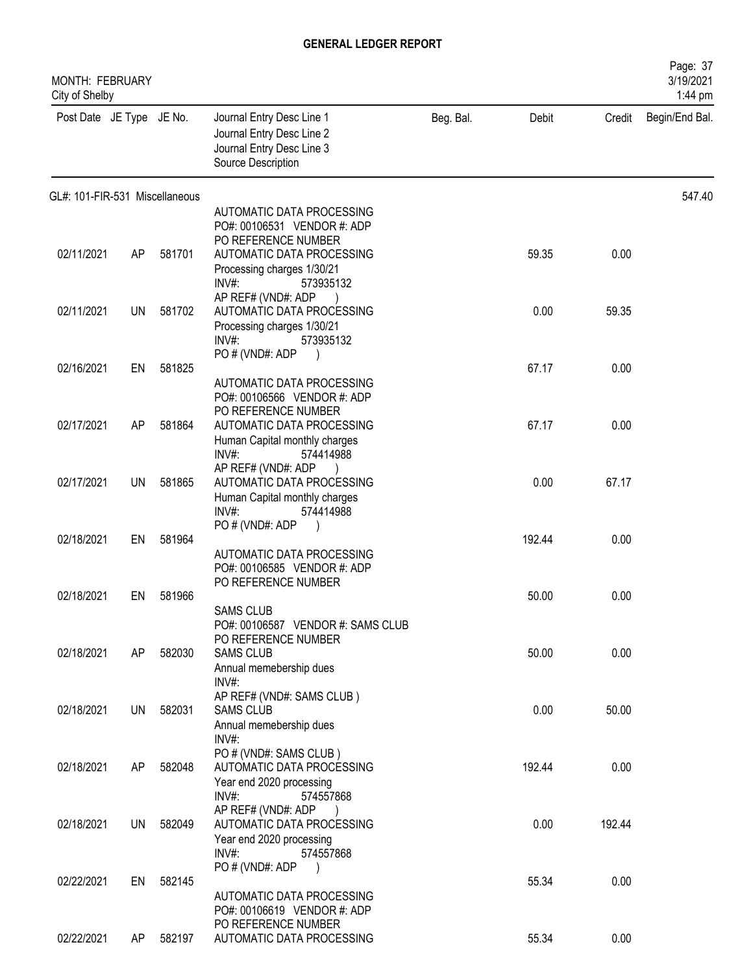| MONTH: FEBRUARY<br>City of Shelby |           |        |                                                                                                           |           |        |        | Page: 37<br>3/19/2021<br>1:44 pm |
|-----------------------------------|-----------|--------|-----------------------------------------------------------------------------------------------------------|-----------|--------|--------|----------------------------------|
| Post Date JE Type JE No.          |           |        | Journal Entry Desc Line 1<br>Journal Entry Desc Line 2<br>Journal Entry Desc Line 3<br>Source Description | Beg. Bal. | Debit  | Credit | Begin/End Bal.                   |
| GL#: 101-FIR-531 Miscellaneous    |           |        |                                                                                                           |           |        |        | 547.40                           |
|                                   |           |        | AUTOMATIC DATA PROCESSING<br>PO#: 00106531 VENDOR #: ADP                                                  |           |        |        |                                  |
|                                   |           |        | PO REFERENCE NUMBER                                                                                       |           |        |        |                                  |
| 02/11/2021                        | AP        | 581701 | AUTOMATIC DATA PROCESSING<br>Processing charges 1/30/21                                                   |           | 59.35  | 0.00   |                                  |
|                                   |           |        | $INV#$ :<br>573935132                                                                                     |           |        |        |                                  |
| 02/11/2021                        | <b>UN</b> | 581702 | AP REF# (VND#: ADP<br>AUTOMATIC DATA PROCESSING                                                           |           | 0.00   | 59.35  |                                  |
|                                   |           |        | Processing charges 1/30/21                                                                                |           |        |        |                                  |
|                                   |           |        | $INV#$ :<br>573935132<br>PO # (VND#: ADP                                                                  |           |        |        |                                  |
| 02/16/2021                        | EN        | 581825 |                                                                                                           |           | 67.17  | 0.00   |                                  |
|                                   |           |        | AUTOMATIC DATA PROCESSING<br>PO#: 00106566 VENDOR #: ADP                                                  |           |        |        |                                  |
|                                   |           |        | PO REFERENCE NUMBER                                                                                       |           |        |        |                                  |
| 02/17/2021                        | AP        | 581864 | AUTOMATIC DATA PROCESSING                                                                                 |           | 67.17  | 0.00   |                                  |
|                                   |           |        | Human Capital monthly charges<br>INV#:<br>574414988                                                       |           |        |        |                                  |
| 02/17/2021                        | UN        | 581865 | AP REF# (VND#: ADP<br>AUTOMATIC DATA PROCESSING                                                           |           | 0.00   | 67.17  |                                  |
|                                   |           |        | Human Capital monthly charges                                                                             |           |        |        |                                  |
|                                   |           |        | $INV#$ :<br>574414988                                                                                     |           |        |        |                                  |
| 02/18/2021                        | EN        | 581964 | PO#(VND#: ADP                                                                                             |           | 192.44 | 0.00   |                                  |
|                                   |           |        | AUTOMATIC DATA PROCESSING                                                                                 |           |        |        |                                  |
|                                   |           |        | PO#: 00106585 VENDOR #: ADP<br>PO REFERENCE NUMBER                                                        |           |        |        |                                  |
| 02/18/2021                        | EN.       | 581966 |                                                                                                           |           | 50.00  | 0.00   |                                  |
|                                   |           |        | <b>SAMS CLUB</b><br>PO#: 00106587 VENDOR #: SAMS CLUB                                                     |           |        |        |                                  |
|                                   |           |        | PO REFERENCE NUMBER                                                                                       |           |        |        |                                  |
| 02/18/2021                        | AP        | 582030 | <b>SAMS CLUB</b><br>Annual memebership dues                                                               |           | 50.00  | 0.00   |                                  |
|                                   |           |        | INV#:                                                                                                     |           |        |        |                                  |
| 02/18/2021                        | UN        | 582031 | AP REF# (VND#: SAMS CLUB)<br><b>SAMS CLUB</b>                                                             |           | 0.00   | 50.00  |                                  |
|                                   |           |        | Annual memebership dues                                                                                   |           |        |        |                                  |
|                                   |           |        | $INV#$ :<br>PO # (VND#: SAMS CLUB)                                                                        |           |        |        |                                  |
| 02/18/2021                        | AP        | 582048 | AUTOMATIC DATA PROCESSING                                                                                 |           | 192.44 | 0.00   |                                  |
|                                   |           |        | Year end 2020 processing<br>INV#:<br>574557868                                                            |           |        |        |                                  |
|                                   |           |        | AP REF# (VND#: ADP                                                                                        |           |        |        |                                  |
| 02/18/2021                        | UN        | 582049 | AUTOMATIC DATA PROCESSING<br>Year end 2020 processing                                                     |           | 0.00   | 192.44 |                                  |
|                                   |           |        | INV#:<br>574557868                                                                                        |           |        |        |                                  |
| 02/22/2021                        | EN        | 582145 | PO # (VND#: ADP                                                                                           |           | 55.34  | 0.00   |                                  |
|                                   |           |        | AUTOMATIC DATA PROCESSING                                                                                 |           |        |        |                                  |
|                                   |           |        | PO#: 00106619 VENDOR #: ADP<br>PO REFERENCE NUMBER                                                        |           |        |        |                                  |
| 02/22/2021                        | AP.       | 582197 | AUTOMATIC DATA PROCESSING                                                                                 |           | 55.34  | 0.00   |                                  |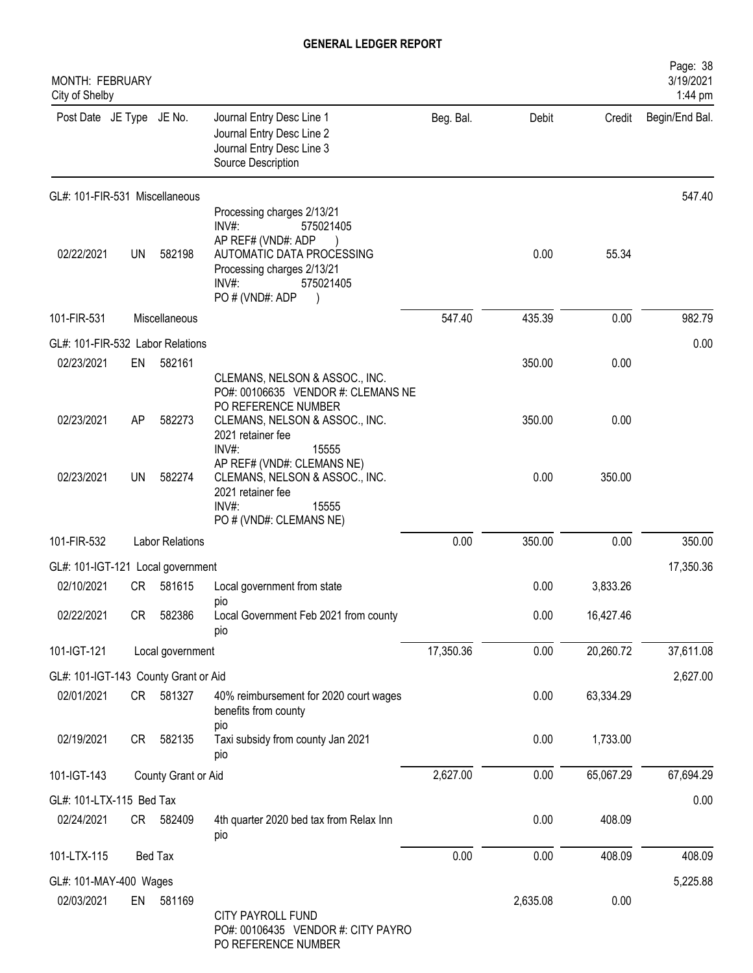| MONTH: FEBRUARY<br>City of Shelby    |    |                        |                                                                                                                                                                               |           |          |           | Page: 38<br>3/19/2021<br>1:44 pm |
|--------------------------------------|----|------------------------|-------------------------------------------------------------------------------------------------------------------------------------------------------------------------------|-----------|----------|-----------|----------------------------------|
| Post Date JE Type JE No.             |    |                        | Journal Entry Desc Line 1<br>Journal Entry Desc Line 2<br>Journal Entry Desc Line 3<br>Source Description                                                                     | Beg. Bal. | Debit    | Credit    | Begin/End Bal.                   |
| GL#: 101-FIR-531 Miscellaneous       |    |                        |                                                                                                                                                                               |           |          |           | 547.40                           |
| 02/22/2021                           | UN | 582198                 | Processing charges 2/13/21<br>INV#:<br>575021405<br>AP REF# (VND#: ADP<br>AUTOMATIC DATA PROCESSING<br>Processing charges 2/13/21<br>$INV#$ :<br>575021405<br>PO # (VND#: ADP |           | 0.00     | 55.34     |                                  |
| 101-FIR-531                          |    | Miscellaneous          |                                                                                                                                                                               | 547.40    | 435.39   | 0.00      | 982.79                           |
| GL#: 101-FIR-532 Labor Relations     |    |                        |                                                                                                                                                                               |           |          |           | 0.00                             |
| 02/23/2021                           | EN | 582161                 | CLEMANS, NELSON & ASSOC., INC.<br>PO#: 00106635 VENDOR #: CLEMANS NE<br>PO REFERENCE NUMBER                                                                                   |           | 350.00   | 0.00      |                                  |
| 02/23/2021                           | AP | 582273                 | CLEMANS, NELSON & ASSOC., INC.<br>2021 retainer fee<br>INV#:<br>15555                                                                                                         |           | 350.00   | 0.00      |                                  |
| 02/23/2021                           | UN | 582274                 | AP REF# (VND#: CLEMANS NE)<br>CLEMANS, NELSON & ASSOC., INC.<br>2021 retainer fee<br>INV#:<br>15555<br>PO # (VND#: CLEMANS NE)                                                |           | 0.00     | 350.00    |                                  |
| 101-FIR-532                          |    | <b>Labor Relations</b> |                                                                                                                                                                               | 0.00      | 350.00   | 0.00      | 350.00                           |
| GL#: 101-IGT-121 Local government    |    |                        |                                                                                                                                                                               |           |          |           | 17,350.36                        |
| 02/10/2021                           | CR | 581615                 | Local government from state                                                                                                                                                   |           | 0.00     | 3,833.26  |                                  |
| 02/22/2021                           | CR | 582386                 | pio<br>Local Government Feb 2021 from county<br>pio                                                                                                                           |           | 0.00     | 16,427.46 |                                  |
| 101-IGT-121                          |    | Local government       |                                                                                                                                                                               | 17,350.36 | 0.00     | 20,260.72 | 37,611.08                        |
| GL#: 101-IGT-143 County Grant or Aid |    |                        |                                                                                                                                                                               |           |          |           | 2,627.00                         |
| 02/01/2021                           |    | CR 581327              | 40% reimbursement for 2020 court wages<br>benefits from county<br>pio                                                                                                         |           | 0.00     | 63,334.29 |                                  |
| 02/19/2021                           | CR | 582135                 | Taxi subsidy from county Jan 2021<br>pio                                                                                                                                      |           | 0.00     | 1,733.00  |                                  |
| 101-IGT-143                          |    | County Grant or Aid    |                                                                                                                                                                               | 2,627.00  | 0.00     | 65,067.29 | 67,694.29                        |
| GL#: 101-LTX-115 Bed Tax             |    |                        |                                                                                                                                                                               |           |          |           | 0.00                             |
| 02/24/2021                           |    | CR 582409              | 4th quarter 2020 bed tax from Relax Inn<br>pio                                                                                                                                |           | 0.00     | 408.09    |                                  |
| 101-LTX-115                          |    | Bed Tax                |                                                                                                                                                                               | 0.00      | 0.00     | 408.09    | 408.09                           |
| GL#: 101-MAY-400 Wages               |    |                        |                                                                                                                                                                               |           |          |           | 5,225.88                         |
| 02/03/2021                           |    | EN 581169              | CITY PAYROLL FUND<br>PO#: 00106435 VENDOR #: CITY PAYRO<br>PO REFERENCE NUMBER                                                                                                |           | 2,635.08 | 0.00      |                                  |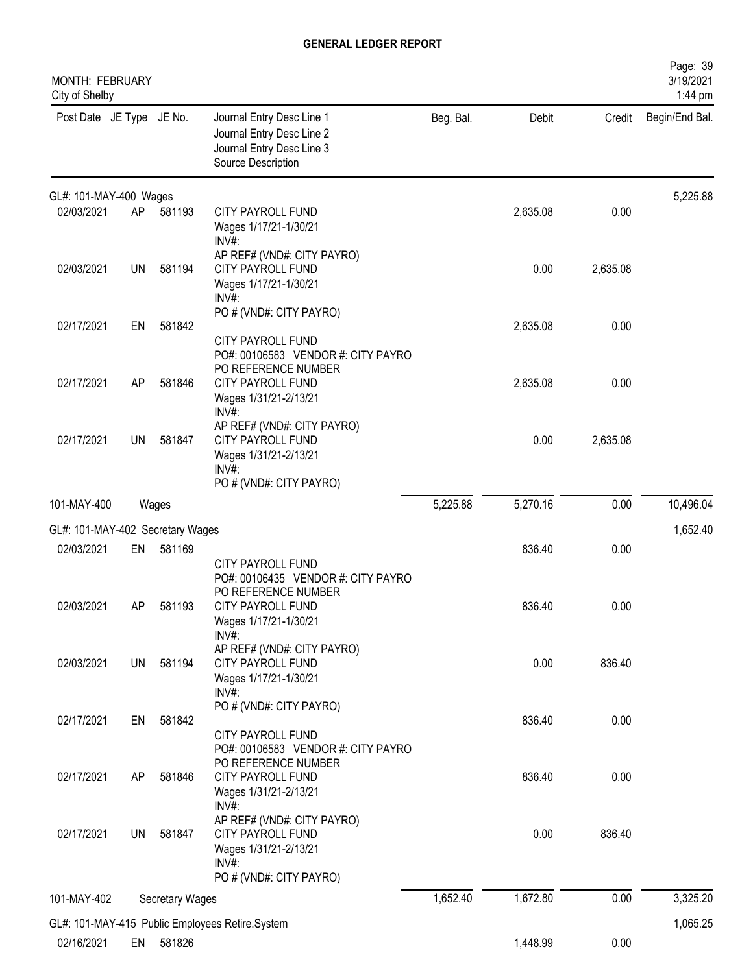| MONTH: FEBRUARY<br>City of Shelby |           |                        |                                                                                                                 |           |          |          | Page: 39<br>3/19/2021<br>1:44 pm |
|-----------------------------------|-----------|------------------------|-----------------------------------------------------------------------------------------------------------------|-----------|----------|----------|----------------------------------|
| Post Date JE Type JE No.          |           |                        | Journal Entry Desc Line 1<br>Journal Entry Desc Line 2<br>Journal Entry Desc Line 3<br>Source Description       | Beg. Bal. | Debit    | Credit   | Begin/End Bal.                   |
| GL#: 101-MAY-400 Wages            |           |                        |                                                                                                                 |           |          |          | 5,225.88                         |
| 02/03/2021                        | AP        | 581193                 | CITY PAYROLL FUND<br>Wages 1/17/21-1/30/21<br>INV#:                                                             |           | 2,635.08 | 0.00     |                                  |
| 02/03/2021                        | <b>UN</b> | 581194                 | AP REF# (VND#: CITY PAYRO)<br>CITY PAYROLL FUND<br>Wages 1/17/21-1/30/21<br>INV#:                               |           | 0.00     | 2,635.08 |                                  |
| 02/17/2021                        | EN        | 581842                 | PO # (VND#: CITY PAYRO)<br>CITY PAYROLL FUND<br>PO#: 00106583 VENDOR #: CITY PAYRO                              |           | 2,635.08 | 0.00     |                                  |
| 02/17/2021                        | AP        | 581846                 | PO REFERENCE NUMBER<br>CITY PAYROLL FUND<br>Wages 1/31/21-2/13/21<br>INV#:                                      |           | 2,635.08 | 0.00     |                                  |
| 02/17/2021                        | <b>UN</b> | 581847                 | AP REF# (VND#: CITY PAYRO)<br>CITY PAYROLL FUND<br>Wages 1/31/21-2/13/21<br>INV#<br>PO # (VND#: CITY PAYRO)     |           | 0.00     | 2,635.08 |                                  |
| 101-MAY-400                       |           | Wages                  |                                                                                                                 | 5,225.88  | 5,270.16 | 0.00     | 10,496.04                        |
| GL#: 101-MAY-402 Secretary Wages  |           |                        |                                                                                                                 |           |          |          | 1,652.40                         |
| 02/03/2021                        | EN        | 581169                 | <b>CITY PAYROLL FUND</b><br>PO#: 00106435 VENDOR #: CITY PAYRO<br>PO REFERENCE NUMBER                           |           | 836.40   | 0.00     |                                  |
| 02/03/2021                        | AΡ        | 581193                 | CITY PAYROLL FUND<br>Wages 1/17/21-1/30/21<br>$INV#$ :                                                          |           | 836.40   | 0.00     |                                  |
| 02/03/2021                        | <b>UN</b> | 581194                 | AP REF# (VND#: CITY PAYRO)<br>CITY PAYROLL FUND<br>Wages 1/17/21-1/30/21<br>INV#:                               |           | 0.00     | 836.40   |                                  |
| 02/17/2021                        | EN        | 581842                 | PO # (VND#: CITY PAYRO)<br>CITY PAYROLL FUND<br>PO#: 00106583 VENDOR #: CITY PAYRO                              |           | 836.40   | 0.00     |                                  |
| 02/17/2021                        | AP        | 581846                 | PO REFERENCE NUMBER<br>CITY PAYROLL FUND<br>Wages 1/31/21-2/13/21<br>INV#:                                      |           | 836.40   | 0.00     |                                  |
| 02/17/2021                        | <b>UN</b> | 581847                 | AP REF# (VND#: CITY PAYRO)<br>CITY PAYROLL FUND<br>Wages 1/31/21-2/13/21<br>$INV#$ :<br>PO # (VND#: CITY PAYRO) |           | 0.00     | 836.40   |                                  |
| 101-MAY-402                       |           | <b>Secretary Wages</b> |                                                                                                                 | 1,652.40  | 1,672.80 | 0.00     | 3,325.20                         |
|                                   |           |                        | GL#: 101-MAY-415 Public Employees Retire.System                                                                 |           |          |          | 1,065.25                         |
| 02/16/2021                        |           | EN 581826              |                                                                                                                 |           | 1,448.99 | 0.00     |                                  |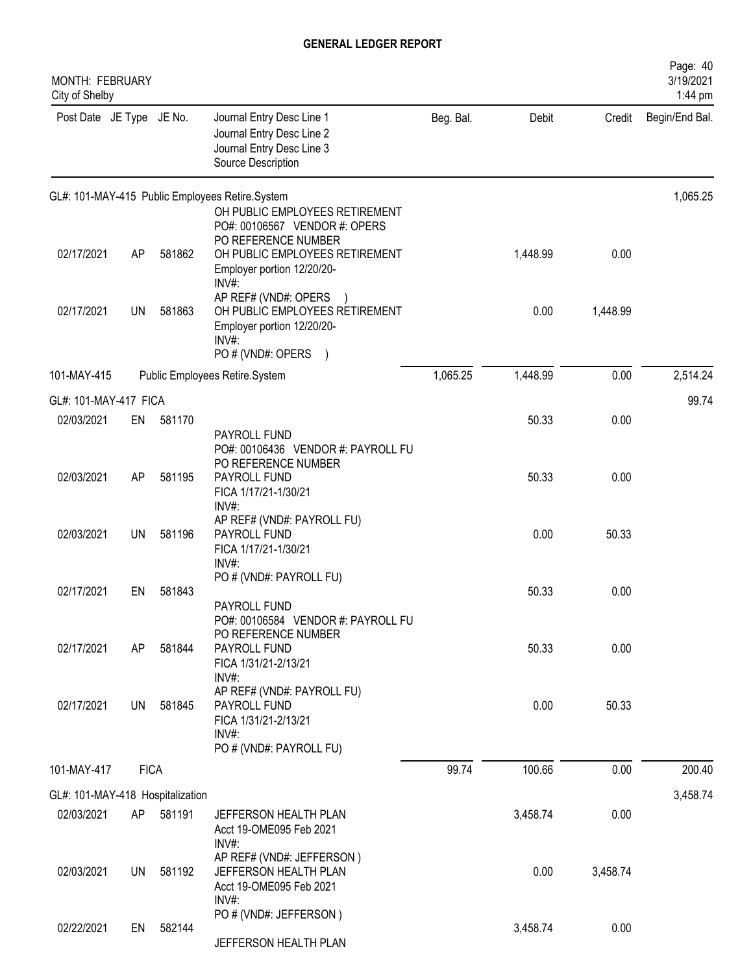| MONTH: FEBRUARY<br>City of Shelby |             |        |                                                                                                                                    |           |          |          | Page: 40<br>3/19/2021<br>1:44 pm |
|-----------------------------------|-------------|--------|------------------------------------------------------------------------------------------------------------------------------------|-----------|----------|----------|----------------------------------|
| Post Date JE Type JE No.          |             |        | Journal Entry Desc Line 1<br>Journal Entry Desc Line 2<br>Journal Entry Desc Line 3<br>Source Description                          | Beg. Bal. | Debit    | Credit   | Begin/End Bal.                   |
|                                   |             |        | GL#: 101-MAY-415 Public Employees Retire.System<br>OH PUBLIC EMPLOYEES RETIREMENT<br>PO#: 00106567 VENDOR #: OPERS                 |           |          |          | 1,065.25                         |
| 02/17/2021                        | AP          | 581862 | PO REFERENCE NUMBER<br>OH PUBLIC EMPLOYEES RETIREMENT<br>Employer portion 12/20/20-<br>INV#:                                       |           | 1,448.99 | 0.00     |                                  |
| 02/17/2021                        | UN          | 581863 | AP REF# (VND#: OPERS<br>OH PUBLIC EMPLOYEES RETIREMENT<br>Employer portion 12/20/20-<br>$INV#$ :<br>PO # (VND#: OPERS<br>$\lambda$ |           | 0.00     | 1,448.99 |                                  |
| 101-MAY-415                       |             |        | Public Employees Retire.System                                                                                                     | 1,065.25  | 1,448.99 | 0.00     | 2,514.24                         |
| GL#: 101-MAY-417 FICA             |             |        |                                                                                                                                    |           |          |          | 99.74                            |
| 02/03/2021                        | EN          | 581170 |                                                                                                                                    |           | 50.33    | 0.00     |                                  |
|                                   |             |        | PAYROLL FUND<br>PO#: 00106436 VENDOR #: PAYROLL FU<br>PO REFERENCE NUMBER                                                          |           |          |          |                                  |
| 02/03/2021                        | AP          | 581195 | PAYROLL FUND<br>FICA 1/17/21-1/30/21<br>INV#:                                                                                      |           | 50.33    | 0.00     |                                  |
| 02/03/2021                        | <b>UN</b>   | 581196 | AP REF# (VND#: PAYROLL FU)<br>PAYROLL FUND<br>FICA 1/17/21-1/30/21<br>$INV#$ :                                                     |           | 0.00     | 50.33    |                                  |
|                                   |             |        | PO # (VND#: PAYROLL FU)                                                                                                            |           |          |          |                                  |
| 02/17/2021                        | EN          | 581843 | PAYROLL FUND<br>PO#: 00106584 VENDOR #: PAYROLL FU                                                                                 |           | 50.33    | 0.00     |                                  |
| 02/17/2021                        | AP          | 581844 | PO REFERENCE NUMBER<br>PAYROLL FUND<br>FICA 1/31/21-2/13/21                                                                        |           | 50.33    | 0.00     |                                  |
|                                   |             |        | INV#:<br>AP REF# (VND#: PAYROLL FU)                                                                                                |           |          |          |                                  |
| 02/17/2021                        | <b>UN</b>   | 581845 | PAYROLL FUND<br>FICA 1/31/21-2/13/21<br>INV#:                                                                                      |           | 0.00     | 50.33    |                                  |
|                                   |             |        | PO # (VND#: PAYROLL FU)                                                                                                            |           |          |          |                                  |
| 101-MAY-417                       | <b>FICA</b> |        |                                                                                                                                    | 99.74     | 100.66   | 0.00     | 200.40                           |
| GL#: 101-MAY-418 Hospitalization  |             |        |                                                                                                                                    |           |          |          | 3,458.74                         |
| 02/03/2021                        | AP          | 581191 | JEFFERSON HEALTH PLAN<br>Acct 19-OME095 Feb 2021<br>$INV#$ :                                                                       |           | 3,458.74 | 0.00     |                                  |
| 02/03/2021                        | UN          | 581192 | AP REF# (VND#: JEFFERSON)<br>JEFFERSON HEALTH PLAN<br>Acct 19-OME095 Feb 2021<br>$INV#$ :                                          |           | 0.00     | 3,458.74 |                                  |
| 02/22/2021                        | EN          | 582144 | PO # (VND#: JEFFERSON)<br>JEFFERSON HEALTH PLAN                                                                                    |           | 3,458.74 | 0.00     |                                  |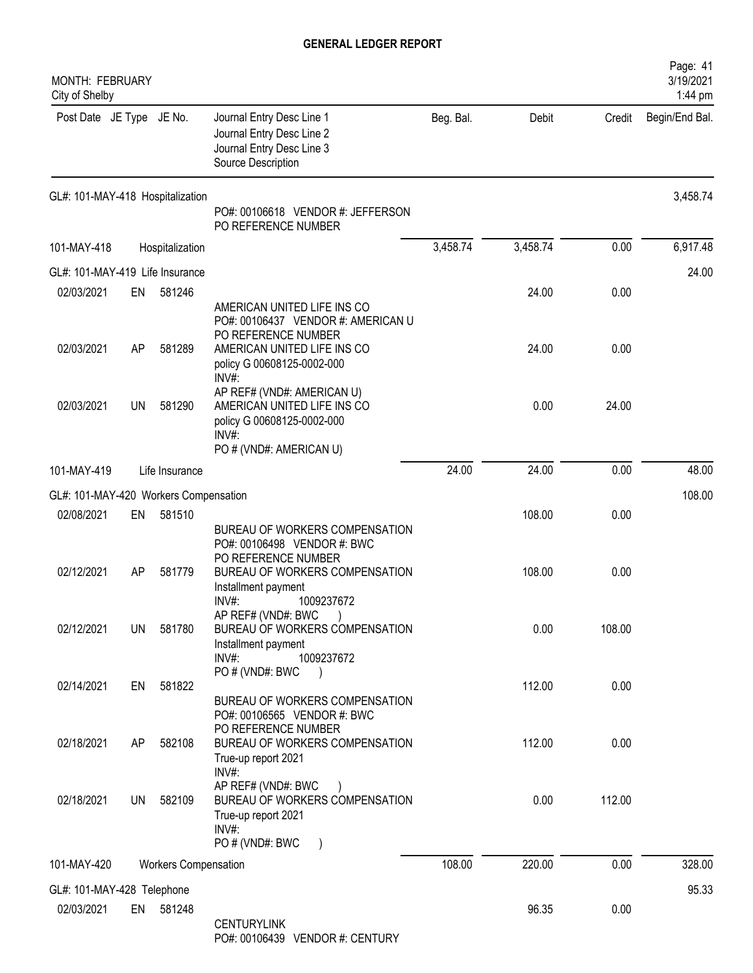| MONTH: FEBRUARY<br>City of Shelby     |           |                             |                                                                                                                                |           |          |        | Page: 41<br>3/19/2021<br>1:44 pm |
|---------------------------------------|-----------|-----------------------------|--------------------------------------------------------------------------------------------------------------------------------|-----------|----------|--------|----------------------------------|
| Post Date JE Type JE No.              |           |                             | Journal Entry Desc Line 1<br>Journal Entry Desc Line 2<br>Journal Entry Desc Line 3<br>Source Description                      | Beg. Bal. | Debit    | Credit | Begin/End Bal.                   |
| GL#: 101-MAY-418 Hospitalization      |           |                             | PO#: 00106618 VENDOR #: JEFFERSON<br>PO REFERENCE NUMBER                                                                       |           |          |        | 3,458.74                         |
| 101-MAY-418                           |           | Hospitalization             |                                                                                                                                | 3,458.74  | 3,458.74 | 0.00   | 6,917.48                         |
| GL#: 101-MAY-419 Life Insurance       |           |                             |                                                                                                                                |           |          |        | 24.00                            |
| 02/03/2021                            | EN        | 581246                      |                                                                                                                                |           | 24.00    | 0.00   |                                  |
|                                       |           |                             | AMERICAN UNITED LIFE INS CO<br>PO#: 00106437 VENDOR #: AMERICAN U<br>PO REFERENCE NUMBER                                       |           |          |        |                                  |
| 02/03/2021                            | AP        | 581289                      | AMERICAN UNITED LIFE INS CO<br>policy G 00608125-0002-000<br>$INV#$ :                                                          |           | 24.00    | 0.00   |                                  |
| 02/03/2021                            | <b>UN</b> | 581290                      | AP REF# (VND#: AMERICAN U)<br>AMERICAN UNITED LIFE INS CO<br>policy G 00608125-0002-000<br>$INV#$ :<br>PO # (VND#: AMERICAN U) |           | 0.00     | 24.00  |                                  |
| 101-MAY-419                           |           | Life Insurance              |                                                                                                                                | 24.00     | 24.00    | 0.00   | 48.00                            |
| GL#: 101-MAY-420 Workers Compensation |           |                             |                                                                                                                                |           |          |        | 108.00                           |
| 02/08/2021                            | EN        | 581510                      |                                                                                                                                |           | 108.00   | 0.00   |                                  |
| 02/12/2021                            | AP        | 581779                      | BUREAU OF WORKERS COMPENSATION<br>PO#: 00106498 VENDOR #: BWC<br>PO REFERENCE NUMBER<br>BUREAU OF WORKERS COMPENSATION         |           | 108.00   | 0.00   |                                  |
| 02/12/2021                            | UN        | 581780                      | Installment payment<br>INV#:<br>1009237672<br>AP REF# (VND#: BWC<br>BUREAU OF WORKERS COMPENSATION                             |           | 0.00     | 108.00 |                                  |
|                                       |           |                             | Installment payment<br>$INV#$ :<br>1009237672<br>PO # (VND#: BWC<br>$\overline{\phantom{a}}$                                   |           |          |        |                                  |
| 02/14/2021                            | EN        | 581822                      | BUREAU OF WORKERS COMPENSATION<br>PO#: 00106565 VENDOR #: BWC                                                                  |           | 112.00   | 0.00   |                                  |
| 02/18/2021                            | AP        | 582108                      | PO REFERENCE NUMBER<br>BUREAU OF WORKERS COMPENSATION<br>True-up report 2021<br>INV#:                                          |           | 112.00   | 0.00   |                                  |
| 02/18/2021                            | UN        | 582109                      | AP REF# (VND#: BWC<br>BUREAU OF WORKERS COMPENSATION<br>True-up report 2021<br>INV#:<br>PO # (VND#: BWC                        |           | 0.00     | 112.00 |                                  |
| 101-MAY-420                           |           | <b>Workers Compensation</b> |                                                                                                                                | 108.00    | 220.00   | 0.00   | 328.00                           |
|                                       |           |                             |                                                                                                                                |           |          |        |                                  |
| GL#: 101-MAY-428 Telephone            |           |                             |                                                                                                                                |           | 96.35    |        | 95.33                            |
| 02/03/2021                            | EN        | 581248                      | <b>CENTURYLINK</b><br>PO#: 00106439 VENDOR #: CENTURY                                                                          |           |          | 0.00   |                                  |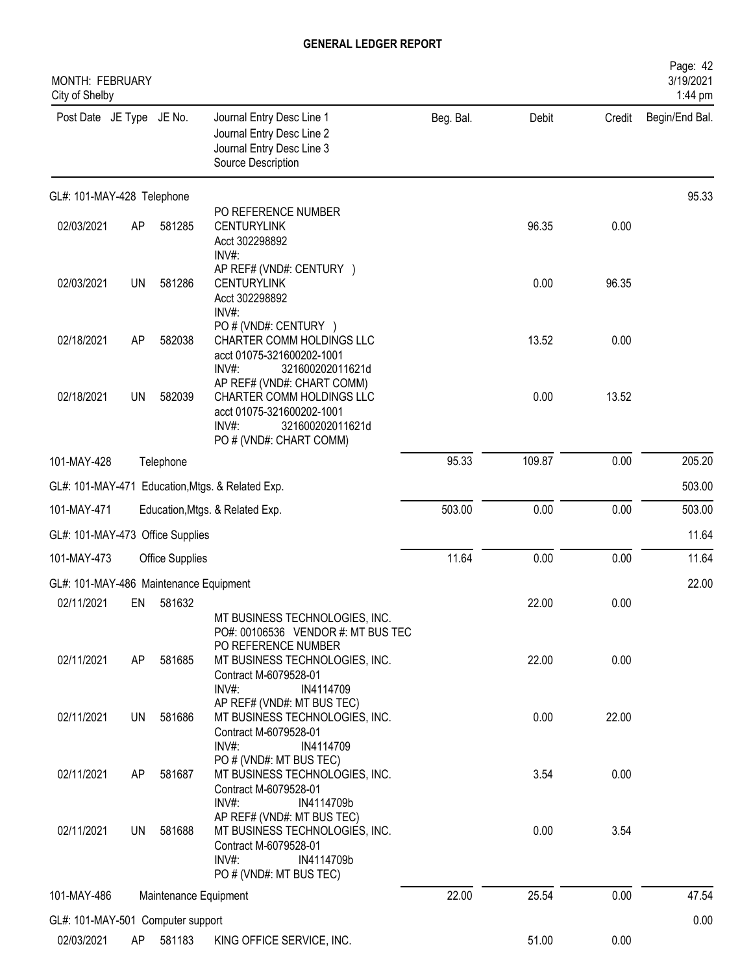| MONTH: FEBRUARY<br>City of Shelby      |           |                        |                                                                                                                                                 |           |        |        | Page: 42<br>3/19/2021<br>1:44 pm |
|----------------------------------------|-----------|------------------------|-------------------------------------------------------------------------------------------------------------------------------------------------|-----------|--------|--------|----------------------------------|
| Post Date JE Type JE No.               |           |                        | Journal Entry Desc Line 1<br>Journal Entry Desc Line 2<br>Journal Entry Desc Line 3<br>Source Description                                       | Beg. Bal. | Debit  | Credit | Begin/End Bal.                   |
| GL#: 101-MAY-428 Telephone             |           |                        |                                                                                                                                                 |           |        |        | 95.33                            |
| 02/03/2021                             | AP        | 581285                 | PO REFERENCE NUMBER<br><b>CENTURYLINK</b><br>Acct 302298892<br>INV#:                                                                            |           | 96.35  | 0.00   |                                  |
| 02/03/2021                             | <b>UN</b> | 581286                 | AP REF# (VND#: CENTURY )<br><b>CENTURYLINK</b><br>Acct 302298892<br>INV#:                                                                       |           | 0.00   | 96.35  |                                  |
| 02/18/2021                             | AP        | 582038                 | PO # (VND#: CENTURY )<br>CHARTER COMM HOLDINGS LLC<br>acct 01075-321600202-1001<br>INV#<br>321600202011621d                                     |           | 13.52  | 0.00   |                                  |
| 02/18/2021                             | <b>UN</b> | 582039                 | AP REF# (VND#: CHART COMM)<br>CHARTER COMM HOLDINGS LLC<br>acct 01075-321600202-1001<br>$INV#$ :<br>321600202011621d<br>PO # (VND#: CHART COMM) |           | 0.00   | 13.52  |                                  |
| 101-MAY-428                            |           | Telephone              |                                                                                                                                                 | 95.33     | 109.87 | 0.00   | 205.20                           |
|                                        |           |                        | GL#: 101-MAY-471 Education, Mtgs. & Related Exp.                                                                                                |           |        |        | 503.00                           |
| 101-MAY-471                            |           |                        | Education, Mtgs. & Related Exp.                                                                                                                 | 503.00    | 0.00   | 0.00   | 503.00                           |
| GL#: 101-MAY-473 Office Supplies       |           |                        |                                                                                                                                                 |           |        |        | 11.64                            |
| 101-MAY-473                            |           | <b>Office Supplies</b> |                                                                                                                                                 | 11.64     | 0.00   | 0.00   | 11.64                            |
| GL#: 101-MAY-486 Maintenance Equipment |           |                        |                                                                                                                                                 |           |        |        | 22.00                            |
| 02/11/2021                             | EN        | 581632                 | MT BUSINESS TECHNOLOGIES, INC.<br>PO#: 00106536 VENDOR #: MT BUS TEC                                                                            |           | 22.00  | 0.00   |                                  |
| 02/11/2021                             | AP        | 581685                 | PO REFERENCE NUMBER<br>MT BUSINESS TECHNOLOGIES, INC.<br>Contract M-6079528-01<br>INV#:<br>IN4114709                                            |           | 22.00  | 0.00   |                                  |
| 02/11/2021                             | UN        | 581686                 | AP REF# (VND#: MT BUS TEC)<br>MT BUSINESS TECHNOLOGIES, INC.<br>Contract M-6079528-01<br>$INV#$ :<br>IN4114709                                  |           | 0.00   | 22.00  |                                  |
| 02/11/2021                             | AP        | 581687                 | PO#(VND#: MT BUS TEC)<br>MT BUSINESS TECHNOLOGIES, INC.<br>Contract M-6079528-01<br>$INV#$ :<br>IN4114709b                                      |           | 3.54   | 0.00   |                                  |
| 02/11/2021                             | UN        | 581688                 | AP REF# (VND#: MT BUS TEC)<br>MT BUSINESS TECHNOLOGIES, INC.<br>Contract M-6079528-01<br>INV#:<br>IN4114709b<br>PO # (VND#: MT BUS TEC)         |           | 0.00   | 3.54   |                                  |
| 101-MAY-486                            |           | Maintenance Equipment  |                                                                                                                                                 | 22.00     | 25.54  | 0.00   | 47.54                            |
| GL#: 101-MAY-501 Computer support      |           |                        |                                                                                                                                                 |           |        |        | 0.00                             |
| 02/03/2021                             | AP        | 581183                 | KING OFFICE SERVICE, INC.                                                                                                                       |           | 51.00  | 0.00   |                                  |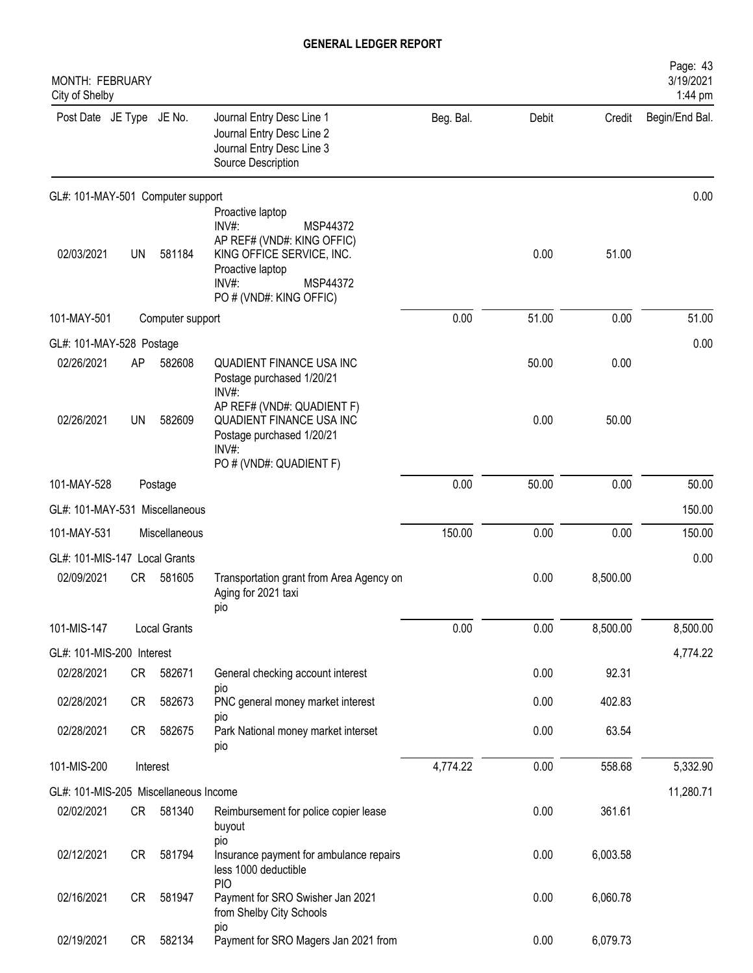| MONTH: FEBRUARY<br>City of Shelby     |           |                     |                                                                                                                                                                            |           |       |          | Page: 43<br>3/19/2021<br>1:44 pm |
|---------------------------------------|-----------|---------------------|----------------------------------------------------------------------------------------------------------------------------------------------------------------------------|-----------|-------|----------|----------------------------------|
| Post Date JE Type JE No.              |           |                     | Journal Entry Desc Line 1<br>Journal Entry Desc Line 2<br>Journal Entry Desc Line 3<br>Source Description                                                                  | Beg. Bal. | Debit | Credit   | Begin/End Bal.                   |
| GL#: 101-MAY-501 Computer support     |           |                     |                                                                                                                                                                            |           |       |          | 0.00                             |
| 02/03/2021                            | UN        | 581184              | Proactive laptop<br>$INV#$ :<br>MSP44372<br>AP REF# (VND#: KING OFFIC)<br>KING OFFICE SERVICE, INC.<br>Proactive laptop<br>$INV#$ :<br>MSP44372<br>PO # (VND#: KING OFFIC) |           | 0.00  | 51.00    |                                  |
| 101-MAY-501                           |           | Computer support    |                                                                                                                                                                            | 0.00      | 51.00 | 0.00     | 51.00                            |
| GL#: 101-MAY-528 Postage              |           |                     |                                                                                                                                                                            |           |       |          | 0.00                             |
| 02/26/2021                            | AP        | 582608              | QUADIENT FINANCE USA INC<br>Postage purchased 1/20/21<br>INV#:                                                                                                             |           | 50.00 | 0.00     |                                  |
| 02/26/2021                            | <b>UN</b> | 582609              | AP REF# (VND#: QUADIENT F)<br>QUADIENT FINANCE USA INC<br>Postage purchased 1/20/21<br>INV#:                                                                               |           | 0.00  | 50.00    |                                  |
|                                       |           |                     | PO # (VND#: QUADIENT F)                                                                                                                                                    |           |       |          |                                  |
| 101-MAY-528                           |           | Postage             |                                                                                                                                                                            | 0.00      | 50.00 | 0.00     | 50.00                            |
| GL#: 101-MAY-531 Miscellaneous        |           |                     |                                                                                                                                                                            |           |       |          | 150.00                           |
| 101-MAY-531                           |           | Miscellaneous       |                                                                                                                                                                            | 150.00    | 0.00  | 0.00     | 150.00                           |
| GL#: 101-MIS-147 Local Grants         |           |                     |                                                                                                                                                                            |           |       |          | 0.00                             |
| 02/09/2021                            | CR        | 581605              | Transportation grant from Area Agency on<br>Aging for 2021 taxi<br><b>DIO</b>                                                                                              |           | 0.00  | 8,500.00 |                                  |
| 101-MIS-147                           |           | <b>Local Grants</b> |                                                                                                                                                                            | 0.00      | 0.00  | 8,500.00 | 8,500.00                         |
| GL#: 101-MIS-200 Interest             |           |                     |                                                                                                                                                                            |           |       |          | 4,774.22                         |
| 02/28/2021                            | CR        | 582671              | General checking account interest                                                                                                                                          |           | 0.00  | 92.31    |                                  |
| 02/28/2021                            | CR        | 582673              | pio<br>PNC general money market interest                                                                                                                                   |           | 0.00  | 402.83   |                                  |
| 02/28/2021                            | CR        | 582675              | pio<br>Park National money market interset<br>pio                                                                                                                          |           | 0.00  | 63.54    |                                  |
| 101-MIS-200                           |           | Interest            |                                                                                                                                                                            | 4,774.22  | 0.00  | 558.68   | 5,332.90                         |
| GL#: 101-MIS-205 Miscellaneous Income |           |                     |                                                                                                                                                                            |           |       |          | 11,280.71                        |
| 02/02/2021                            | CR        | 581340              | Reimbursement for police copier lease<br>buyout                                                                                                                            |           | 0.00  | 361.61   |                                  |
| 02/12/2021                            | CR        | 581794              | pio<br>Insurance payment for ambulance repairs<br>less 1000 deductible                                                                                                     |           | 0.00  | 6,003.58 |                                  |
| 02/16/2021                            | CR        | 581947              | <b>PIO</b><br>Payment for SRO Swisher Jan 2021<br>from Shelby City Schools                                                                                                 |           | 0.00  | 6,060.78 |                                  |
| 02/19/2021                            | CR        | 582134              | pio<br>Payment for SRO Magers Jan 2021 from                                                                                                                                |           | 0.00  | 6,079.73 |                                  |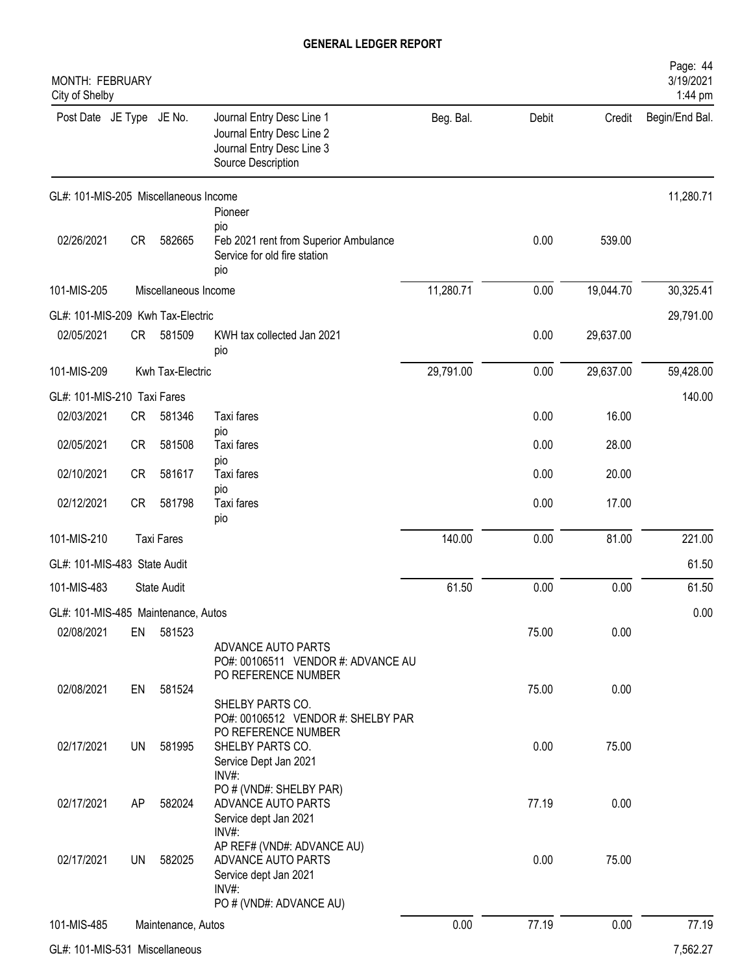| MONTH: FEBRUARY<br>City of Shelby     |           |                      |                                                                                                           |           |       |           | Page: 44<br>3/19/2021<br>1:44 pm |
|---------------------------------------|-----------|----------------------|-----------------------------------------------------------------------------------------------------------|-----------|-------|-----------|----------------------------------|
| Post Date JE Type JE No.              |           |                      | Journal Entry Desc Line 1<br>Journal Entry Desc Line 2<br>Journal Entry Desc Line 3<br>Source Description | Beg. Bal. | Debit | Credit    | Begin/End Bal.                   |
| GL#: 101-MIS-205 Miscellaneous Income |           |                      |                                                                                                           |           |       |           | 11,280.71                        |
| 02/26/2021                            | <b>CR</b> | 582665               | Pioneer<br>pio<br>Feb 2021 rent from Superior Ambulance<br>Service for old fire station<br>pio            |           | 0.00  | 539.00    |                                  |
| 101-MIS-205                           |           | Miscellaneous Income |                                                                                                           | 11,280.71 | 0.00  | 19,044.70 | 30,325.41                        |
| GL#: 101-MIS-209 Kwh Tax-Electric     |           |                      |                                                                                                           |           |       |           | 29,791.00                        |
| 02/05/2021                            | <b>CR</b> | 581509               | KWH tax collected Jan 2021<br>pio                                                                         |           | 0.00  | 29,637.00 |                                  |
| 101-MIS-209                           |           | Kwh Tax-Electric     |                                                                                                           | 29,791.00 | 0.00  | 29,637.00 | 59,428.00                        |
| GL#: 101-MIS-210 Taxi Fares           |           |                      |                                                                                                           |           |       |           | 140.00                           |
| 02/03/2021                            | <b>CR</b> | 581346               | Taxi fares                                                                                                |           | 0.00  | 16.00     |                                  |
| 02/05/2021                            | <b>CR</b> | 581508               | pio<br>Taxi fares<br>pio                                                                                  |           | 0.00  | 28.00     |                                  |
| 02/10/2021                            | <b>CR</b> | 581617               | Taxi fares                                                                                                |           | 0.00  | 20.00     |                                  |
| 02/12/2021                            | <b>CR</b> | 581798               | pio<br>Taxi fares<br>pio                                                                                  |           | 0.00  | 17.00     |                                  |
| 101-MIS-210                           |           | <b>Taxi Fares</b>    |                                                                                                           | 140.00    | 0.00  | 81.00     | 221.00                           |
| GL#: 101-MIS-483 State Audit          |           |                      |                                                                                                           |           |       |           | 61.50                            |
| 101-MIS-483                           |           | <b>State Audit</b>   |                                                                                                           | 61.50     | 0.00  | 0.00      | 61.50                            |
| GL#: 101-MIS-485 Maintenance, Autos   |           |                      |                                                                                                           |           |       |           | 0.00                             |
| 02/08/2021                            | EN        | 581523               |                                                                                                           |           | 75.00 | 0.00      |                                  |
| 02/08/2021                            | EN        | 581524               | ADVANCE AUTO PARTS<br>PO#: 00106511 VENDOR #: ADVANCE AU<br>PO REFERENCE NUMBER                           |           | 75.00 | 0.00      |                                  |
|                                       |           |                      | SHELBY PARTS CO.<br>PO#: 00106512 VENDOR #: SHELBY PAR<br>PO REFERENCE NUMBER                             |           |       |           |                                  |
| 02/17/2021                            | <b>UN</b> | 581995               | SHELBY PARTS CO.<br>Service Dept Jan 2021<br>$INV#$ :                                                     |           | 0.00  | 75.00     |                                  |
| 02/17/2021                            | AP        | 582024               | PO # (VND#: SHELBY PAR)<br>ADVANCE AUTO PARTS<br>Service dept Jan 2021<br>INV#:                           |           | 77.19 | 0.00      |                                  |
| 02/17/2021                            | <b>UN</b> | 582025               | AP REF# (VND#: ADVANCE AU)<br>ADVANCE AUTO PARTS<br>Service dept Jan 2021<br>INV#:                        |           | 0.00  | 75.00     |                                  |
|                                       |           |                      | PO # (VND#: ADVANCE AU)                                                                                   |           |       |           |                                  |
| 101-MIS-485                           |           | Maintenance, Autos   |                                                                                                           | 0.00      | 77.19 | 0.00      | 77.19                            |
|                                       |           |                      |                                                                                                           |           |       |           |                                  |

GL#: 101-MIS-531 Miscellaneous 7,562.27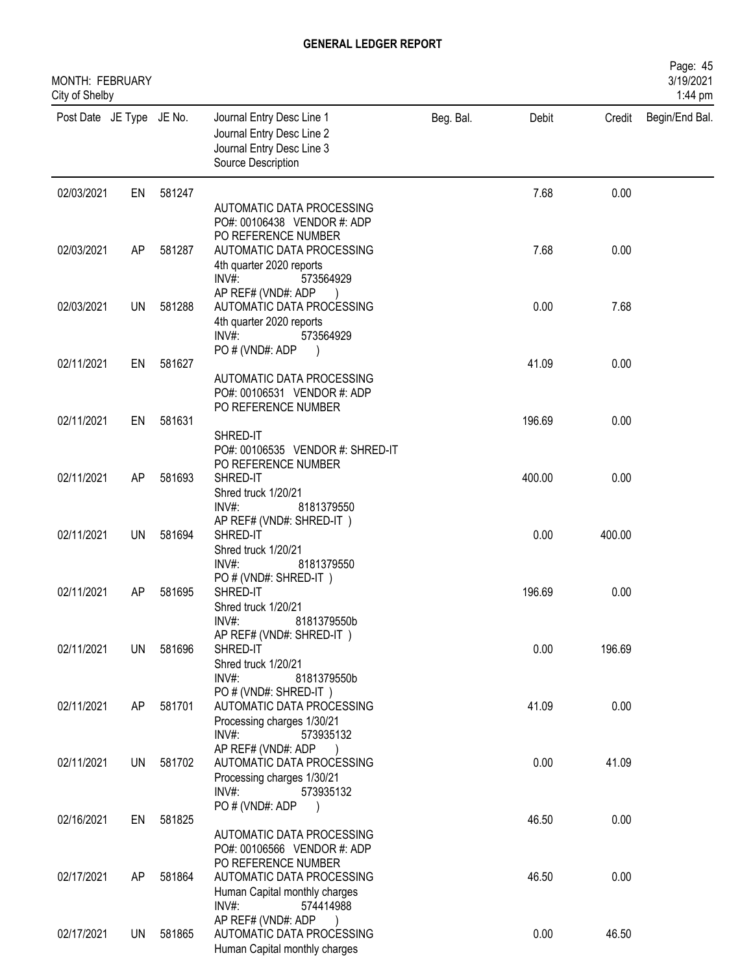| MONTH: FEBRUARY<br>City of Shelby |           |        |                                                                                                           |           |        |        | Page: 45<br>3/19/2021<br>1:44 pm |
|-----------------------------------|-----------|--------|-----------------------------------------------------------------------------------------------------------|-----------|--------|--------|----------------------------------|
| Post Date JE Type JE No.          |           |        | Journal Entry Desc Line 1<br>Journal Entry Desc Line 2<br>Journal Entry Desc Line 3<br>Source Description | Beg. Bal. | Debit  | Credit | Begin/End Bal.                   |
| 02/03/2021                        | EN        | 581247 |                                                                                                           |           | 7.68   | 0.00   |                                  |
|                                   |           |        | AUTOMATIC DATA PROCESSING<br>PO#: 00106438 VENDOR #: ADP                                                  |           |        |        |                                  |
|                                   |           |        | PO REFERENCE NUMBER                                                                                       |           |        |        |                                  |
| 02/03/2021                        | AP        | 581287 | AUTOMATIC DATA PROCESSING<br>4th quarter 2020 reports                                                     |           | 7.68   | 0.00   |                                  |
|                                   |           |        | INV#:<br>573564929                                                                                        |           |        |        |                                  |
|                                   |           |        | AP REF# (VND#: ADP                                                                                        |           |        |        |                                  |
| 02/03/2021                        | UN        | 581288 | AUTOMATIC DATA PROCESSING                                                                                 |           | 0.00   | 7.68   |                                  |
|                                   |           |        | 4th quarter 2020 reports<br>INV#:<br>573564929                                                            |           |        |        |                                  |
|                                   |           |        | PO # (VND#: ADP<br>$\big)$                                                                                |           |        |        |                                  |
| 02/11/2021                        | EN        | 581627 |                                                                                                           |           | 41.09  | 0.00   |                                  |
|                                   |           |        | AUTOMATIC DATA PROCESSING<br>PO#: 00106531 VENDOR #: ADP                                                  |           |        |        |                                  |
|                                   |           |        | PO REFERENCE NUMBER                                                                                       |           |        |        |                                  |
| 02/11/2021                        | EN        | 581631 |                                                                                                           |           | 196.69 | 0.00   |                                  |
|                                   |           |        | SHRED-IT<br>PO#: 00106535 VENDOR #: SHRED-IT                                                              |           |        |        |                                  |
|                                   |           |        | PO REFERENCE NUMBER                                                                                       |           |        |        |                                  |
| 02/11/2021                        | AP        | 581693 | SHRED-IT                                                                                                  |           | 400.00 | 0.00   |                                  |
|                                   |           |        | Shred truck 1/20/21<br>INV#:<br>8181379550                                                                |           |        |        |                                  |
|                                   |           |        | AP REF# (VND#: SHRED-IT)                                                                                  |           |        |        |                                  |
| 02/11/2021                        | <b>UN</b> | 581694 | SHRED-IT                                                                                                  |           | 0.00   | 400.00 |                                  |
|                                   |           |        | Shred truck 1/20/21<br>$INV#$ :<br>8181379550                                                             |           |        |        |                                  |
|                                   |           |        | PO # (VND#: SHRED-IT)                                                                                     |           |        |        |                                  |
| 02/11/2021                        | AP        | 581695 | SHRED-IT                                                                                                  |           | 196.69 | 0.00   |                                  |
|                                   |           |        | Shred truck 1/20/21<br>INV#:                                                                              |           |        |        |                                  |
|                                   |           |        | 8181379550b<br>AP REF# (VND#: SHRED-IT)                                                                   |           |        |        |                                  |
| 02/11/2021                        | UN        | 581696 | SHRED-IT                                                                                                  |           | 0.00   | 196.69 |                                  |
|                                   |           |        | Shred truck 1/20/21<br>INV#:<br>8181379550b                                                               |           |        |        |                                  |
|                                   |           |        | PO # (VND#: SHRED-IT)                                                                                     |           |        |        |                                  |
| 02/11/2021                        | AP        | 581701 | AUTOMATIC DATA PROCESSING                                                                                 |           | 41.09  | 0.00   |                                  |
|                                   |           |        | Processing charges 1/30/21<br>INV#:                                                                       |           |        |        |                                  |
|                                   |           |        | 573935132<br>AP REF# (VND#: ADP                                                                           |           |        |        |                                  |
| 02/11/2021                        | UN        | 581702 | AUTOMATIC DATA PROCESSING                                                                                 |           | 0.00   | 41.09  |                                  |
|                                   |           |        | Processing charges 1/30/21<br>INV#:                                                                       |           |        |        |                                  |
|                                   |           |        | 573935132<br>PO # (VND#: ADP<br>$\overline{\phantom{a}}$                                                  |           |        |        |                                  |
| 02/16/2021                        | EN        | 581825 |                                                                                                           |           | 46.50  | 0.00   |                                  |
|                                   |           |        | AUTOMATIC DATA PROCESSING                                                                                 |           |        |        |                                  |
|                                   |           |        | PO#: 00106566 VENDOR #: ADP<br>PO REFERENCE NUMBER                                                        |           |        |        |                                  |
| 02/17/2021                        | AP        | 581864 | AUTOMATIC DATA PROCESSING                                                                                 |           | 46.50  | 0.00   |                                  |
|                                   |           |        | Human Capital monthly charges<br>INV#:                                                                    |           |        |        |                                  |
|                                   |           |        | 574414988<br>AP REF# (VND#: ADP                                                                           |           |        |        |                                  |
| 02/17/2021                        | UN        | 581865 | AUTOMATIC DATA PROCESSING                                                                                 |           | 0.00   | 46.50  |                                  |
|                                   |           |        | Human Capital monthly charges                                                                             |           |        |        |                                  |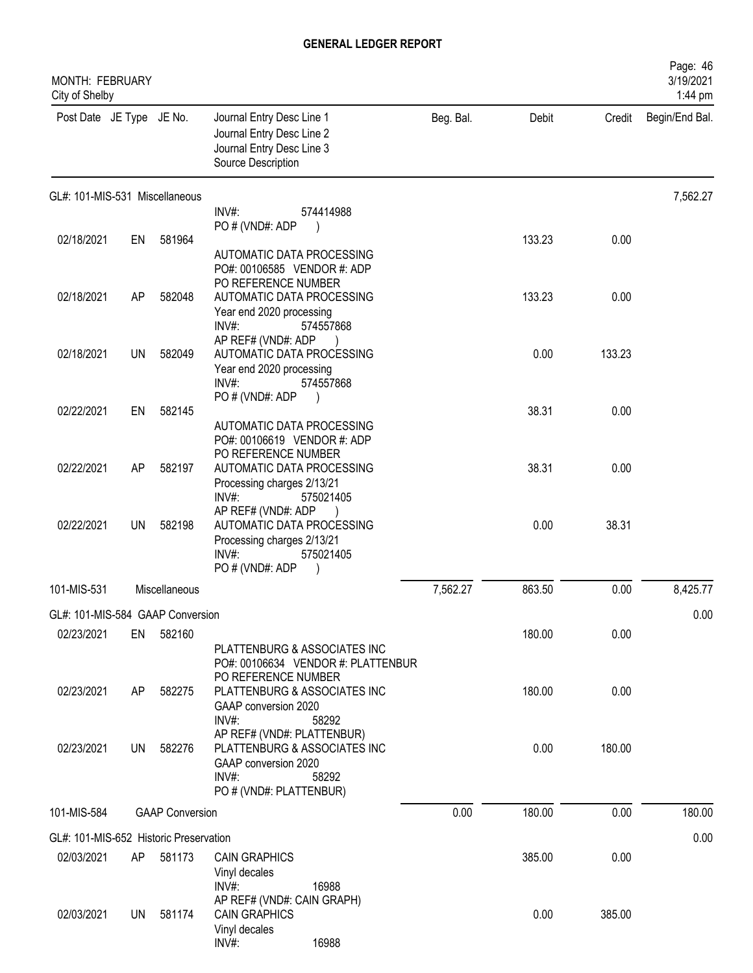| <b>MONTH: FEBRUARY</b><br>City of Shelby |           |                        |                                                                                                                                    |           |        |        | Page: 46<br>3/19/2021<br>1:44 pm |
|------------------------------------------|-----------|------------------------|------------------------------------------------------------------------------------------------------------------------------------|-----------|--------|--------|----------------------------------|
| Post Date JE Type JE No.                 |           |                        | Journal Entry Desc Line 1<br>Journal Entry Desc Line 2<br>Journal Entry Desc Line 3<br>Source Description                          | Beg. Bal. | Debit  | Credit | Begin/End Bal.                   |
| GL#: 101-MIS-531 Miscellaneous           |           |                        | INV#:<br>574414988<br>PO#(VND#: ADP                                                                                                |           |        |        | 7,562.27                         |
| 02/18/2021                               | EN        | 581964                 |                                                                                                                                    |           | 133.23 | 0.00   |                                  |
|                                          |           |                        | AUTOMATIC DATA PROCESSING<br>PO#: 00106585 VENDOR #: ADP<br>PO REFERENCE NUMBER                                                    |           |        |        |                                  |
| 02/18/2021                               | AP        | 582048                 | AUTOMATIC DATA PROCESSING<br>Year end 2020 processing<br>$INV#$ :<br>574557868                                                     |           | 133.23 | 0.00   |                                  |
| 02/18/2021                               | <b>UN</b> | 582049                 | AP REF# (VND#: ADP<br>AUTOMATIC DATA PROCESSING<br>Year end 2020 processing<br>$INV#$ :<br>574557868<br>PO # (VND#: ADP            |           | 0.00   | 133.23 |                                  |
| 02/22/2021                               | EN        | 582145                 |                                                                                                                                    |           | 38.31  | 0.00   |                                  |
| 02/22/2021                               | <b>AP</b> | 582197                 | AUTOMATIC DATA PROCESSING<br>PO#: 00106619 VENDOR #: ADP<br>PO REFERENCE NUMBER<br>AUTOMATIC DATA PROCESSING                       |           | 38.31  | 0.00   |                                  |
|                                          |           |                        | Processing charges 2/13/21<br>$INV#$ :<br>575021405<br>AP REF# (VND#: ADP                                                          |           |        |        |                                  |
| 02/22/2021                               | UN.       | 582198                 | AUTOMATIC DATA PROCESSING<br>Processing charges 2/13/21<br>INV#:<br>575021405<br>PO#(VND#: ADP                                     |           | 0.00   | 38.31  |                                  |
| 101-MIS-531                              |           | Miscellaneous          |                                                                                                                                    | 7,562.27  | 863.50 | 0.00   | 8,425.77                         |
| GL#: 101-MIS-584 GAAP Conversion         |           |                        |                                                                                                                                    |           |        |        | 0.00                             |
| 02/23/2021                               | EN        | 582160                 |                                                                                                                                    |           | 180.00 | 0.00   |                                  |
|                                          |           |                        | PLATTENBURG & ASSOCIATES INC<br>PO#: 00106634 VENDOR #: PLATTENBUR<br>PO REFERENCE NUMBER                                          |           |        |        |                                  |
| 02/23/2021                               | AP        | 582275                 | PLATTENBURG & ASSOCIATES INC<br>GAAP conversion 2020<br>INV#:<br>58292                                                             |           | 180.00 | 0.00   |                                  |
| 02/23/2021                               | UN.       | 582276                 | AP REF# (VND#: PLATTENBUR)<br>PLATTENBURG & ASSOCIATES INC<br>GAAP conversion 2020<br>$INV#$ :<br>58292<br>PO # (VND#: PLATTENBUR) |           | 0.00   | 180.00 |                                  |
| 101-MIS-584                              |           | <b>GAAP Conversion</b> |                                                                                                                                    | 0.00      | 180.00 | 0.00   | 180.00                           |
| GL#: 101-MIS-652 Historic Preservation   |           |                        |                                                                                                                                    |           |        |        | 0.00                             |
| 02/03/2021                               | AP        | 581173                 | <b>CAIN GRAPHICS</b>                                                                                                               |           | 385.00 | 0.00   |                                  |
|                                          |           |                        | Vinyl decales<br>$INV#$ :<br>16988<br>AP REF# (VND#: CAIN GRAPH)                                                                   |           |        |        |                                  |
| 02/03/2021                               | UN.       | 581174                 | <b>CAIN GRAPHICS</b><br>Vinyl decales<br>INV#:<br>16988                                                                            |           | 0.00   | 385.00 |                                  |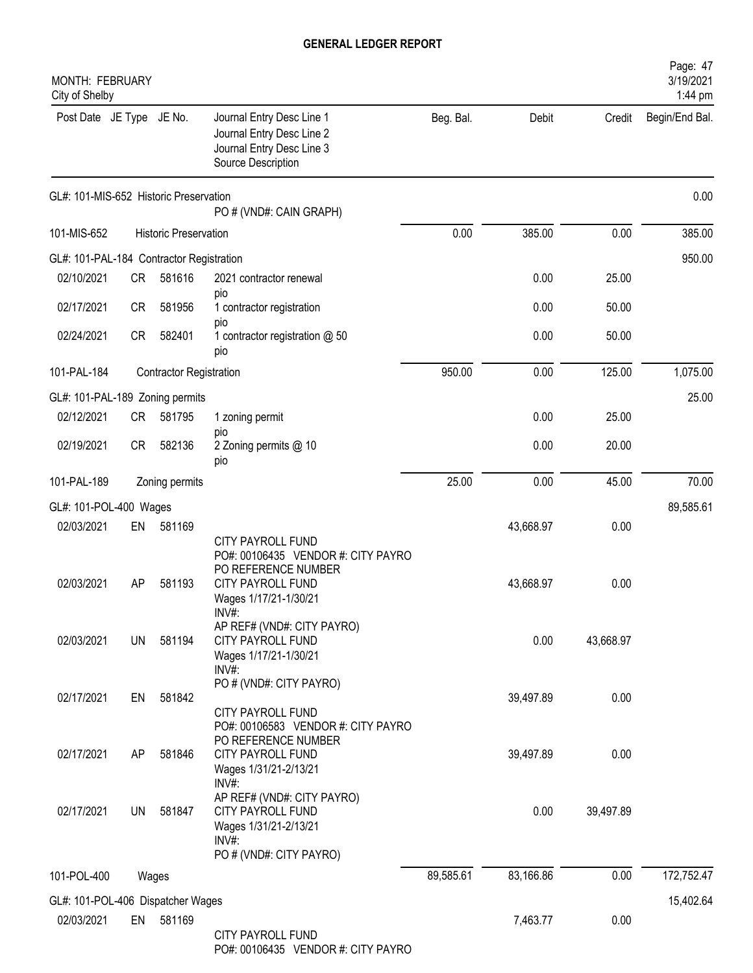| <b>MONTH: FEBRUARY</b><br>City of Shelby |           |                                |                                                                                                                                             |           |           |           | Page: 47<br>3/19/2021<br>1:44 pm |
|------------------------------------------|-----------|--------------------------------|---------------------------------------------------------------------------------------------------------------------------------------------|-----------|-----------|-----------|----------------------------------|
| Post Date JE Type JE No.                 |           |                                | Journal Entry Desc Line 1<br>Journal Entry Desc Line 2<br>Journal Entry Desc Line 3<br>Source Description                                   | Beg. Bal. | Debit     | Credit    | Begin/End Bal.                   |
| GL#: 101-MIS-652 Historic Preservation   |           |                                | PO # (VND#: CAIN GRAPH)                                                                                                                     |           |           |           | 0.00                             |
| 101-MIS-652                              |           | <b>Historic Preservation</b>   |                                                                                                                                             | 0.00      | 385.00    | 0.00      | 385.00                           |
| GL#: 101-PAL-184 Contractor Registration |           |                                |                                                                                                                                             |           |           |           | 950.00                           |
| 02/10/2021                               | <b>CR</b> | 581616                         | 2021 contractor renewal                                                                                                                     |           | 0.00      | 25.00     |                                  |
| 02/17/2021                               | <b>CR</b> | 581956                         | pio<br>1 contractor registration<br>pio                                                                                                     |           | 0.00      | 50.00     |                                  |
| 02/24/2021                               | <b>CR</b> | 582401                         | 1 contractor registration @ 50<br>pio                                                                                                       |           | 0.00      | 50.00     |                                  |
| 101-PAL-184                              |           | <b>Contractor Registration</b> |                                                                                                                                             | 950.00    | 0.00      | 125.00    | 1,075.00                         |
| GL#: 101-PAL-189 Zoning permits          |           |                                |                                                                                                                                             |           |           |           | 25.00                            |
| 02/12/2021                               | <b>CR</b> | 581795                         | 1 zoning permit                                                                                                                             |           | 0.00      | 25.00     |                                  |
| 02/19/2021                               | <b>CR</b> | 582136                         | pio<br>2 Zoning permits @ 10<br>pio                                                                                                         |           | 0.00      | 20.00     |                                  |
| 101-PAL-189                              |           | Zoning permits                 |                                                                                                                                             | 25.00     | 0.00      | 45.00     | 70.00                            |
| GL#: 101-POL-400 Wages                   |           |                                |                                                                                                                                             |           |           |           | 89,585.61                        |
| 02/03/2021                               | EN        | 581169                         |                                                                                                                                             |           | 43,668.97 | 0.00      |                                  |
| 02/03/2021                               | AP        | 581193                         | <b>CITY PAYROLL FUND</b><br>PO#: 00106435 VENDOR #: CITY PAYRO<br>PO REFERENCE NUMBER<br>CITY PAYROLL FUND<br>Wages 1/17/21-1/30/21<br>INV# |           | 43,668.97 | 0.00      |                                  |
| 02/03/2021                               | UN        | 581194                         | AP REF# (VND#: CITY PAYRO)<br><b>CITY PAYROLL FUND</b><br>Wages 1/17/21-1/30/21<br>INV#:                                                    |           | 0.00      | 43,668.97 |                                  |
| 02/17/2021                               | EN        | 581842                         | PO # (VND#: CITY PAYRO)<br><b>CITY PAYROLL FUND</b>                                                                                         |           | 39,497.89 | 0.00      |                                  |
| 02/17/2021                               | AP        | 581846                         | PO#: 00106583 VENDOR #: CITY PAYRO<br>PO REFERENCE NUMBER<br><b>CITY PAYROLL FUND</b><br>Wages 1/31/21-2/13/21<br>INV#:                     |           | 39,497.89 | 0.00      |                                  |
| 02/17/2021                               | UN        | 581847                         | AP REF# (VND#: CITY PAYRO)<br>CITY PAYROLL FUND<br>Wages 1/31/21-2/13/21<br>$INV#$ :<br>PO # (VND#: CITY PAYRO)                             |           | 0.00      | 39,497.89 |                                  |
| 101-POL-400                              |           | Wages                          |                                                                                                                                             | 89,585.61 | 83,166.86 | 0.00      | 172,752.47                       |
| GL#: 101-POL-406 Dispatcher Wages        |           |                                |                                                                                                                                             |           |           |           | 15,402.64                        |
| 02/03/2021                               | EN        | 581169                         | <b>CITY PAYROLL FUND</b><br>PO#: 00106435 VENDOR #: CITY PAYRO                                                                              |           | 7,463.77  | 0.00      |                                  |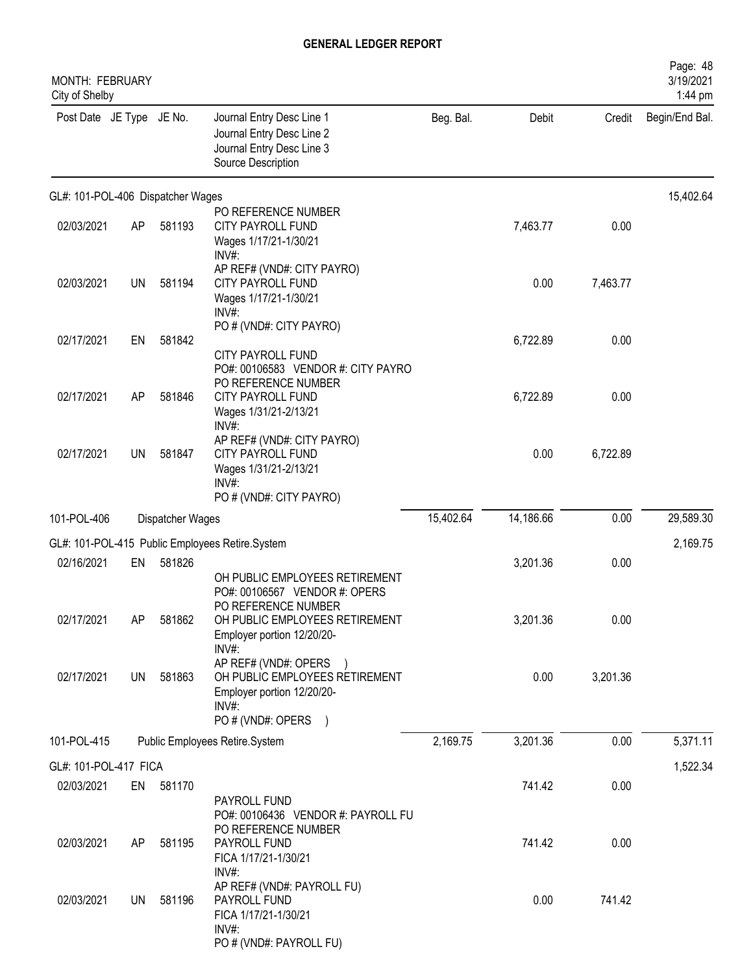| MONTH: FEBRUARY<br>City of Shelby |           |                  |                                                                                                                         |           |           |          | Page: 48<br>3/19/2021<br>1:44 pm |
|-----------------------------------|-----------|------------------|-------------------------------------------------------------------------------------------------------------------------|-----------|-----------|----------|----------------------------------|
| Post Date JE Type JE No.          |           |                  | Journal Entry Desc Line 1<br>Journal Entry Desc Line 2<br>Journal Entry Desc Line 3<br>Source Description               | Beg. Bal. | Debit     | Credit   | Begin/End Bal.                   |
| GL#: 101-POL-406 Dispatcher Wages |           |                  |                                                                                                                         |           |           |          | 15,402.64                        |
| 02/03/2021                        | AP        | 581193           | PO REFERENCE NUMBER<br>CITY PAYROLL FUND<br>Wages 1/17/21-1/30/21<br>INV#:                                              |           | 7,463.77  | 0.00     |                                  |
| 02/03/2021                        | <b>UN</b> | 581194           | AP REF# (VND#: CITY PAYRO)<br>CITY PAYROLL FUND<br>Wages 1/17/21-1/30/21<br>$INV#$ :                                    |           | 0.00      | 7,463.77 |                                  |
| 02/17/2021                        | EN        | 581842           | PO # (VND#: CITY PAYRO)<br>CITY PAYROLL FUND                                                                            |           | 6,722.89  | 0.00     |                                  |
| 02/17/2021                        | AP        | 581846           | PO#: 00106583 VENDOR #: CITY PAYRO<br>PO REFERENCE NUMBER<br><b>CITY PAYROLL FUND</b><br>Wages 1/31/21-2/13/21<br>INV#: |           | 6,722.89  | 0.00     |                                  |
| 02/17/2021                        | <b>UN</b> | 581847           | AP REF# (VND#: CITY PAYRO)<br>CITY PAYROLL FUND<br>Wages 1/31/21-2/13/21<br>$INV#$ :                                    |           | 0.00      | 6,722.89 |                                  |
| 101-POL-406                       |           | Dispatcher Wages | PO # (VND#: CITY PAYRO)                                                                                                 | 15,402.64 | 14,186.66 | 0.00     | 29,589.30                        |
|                                   |           |                  | GL#: 101-POL-415 Public Employees Retire.System                                                                         |           |           |          | 2,169.75                         |
| 02/16/2021                        | EN        | 581826           |                                                                                                                         |           | 3,201.36  | 0.00     |                                  |
|                                   |           |                  | OH PUBLIC EMPLOYEES RETIREMENT<br>PO#: 00106567 VENDOR #: OPERS<br>PO REFERENCE NUMBER                                  |           |           |          |                                  |
| 02/17/2021                        | AP        | 581862           | OH PUBLIC EMPLOYEES RETIREMENT<br>Employer portion 12/20/20-<br>INV#:                                                   |           | 3,201.36  | 0.00     |                                  |
| 02/17/2021                        | UN        | 581863           | AP REF# (VND#: OPERS<br>OH PUBLIC EMPLOYEES RETIREMENT<br>Employer portion 12/20/20-<br>INV#:<br>PO # (VND#: OPERS )    |           | 0.00      | 3,201.36 |                                  |
| 101-POL-415                       |           |                  | Public Employees Retire.System                                                                                          | 2,169.75  | 3,201.36  | 0.00     | 5,371.11                         |
| GL#: 101-POL-417 FICA             |           |                  |                                                                                                                         |           |           |          | 1,522.34                         |
| 02/03/2021                        | EN        | 581170           | PAYROLL FUND                                                                                                            |           | 741.42    | 0.00     |                                  |
| 02/03/2021                        | AP        | 581195           | PO#: 00106436 VENDOR #: PAYROLL FU<br>PO REFERENCE NUMBER<br>PAYROLL FUND<br>FICA 1/17/21-1/30/21<br>$INV#$ :           |           | 741.42    | 0.00     |                                  |
| 02/03/2021                        | UN        | 581196           | AP REF# (VND#: PAYROLL FU)<br>PAYROLL FUND<br>FICA 1/17/21-1/30/21<br>INV#:<br>PO # (VND#: PAYROLL FU)                  |           | 0.00      | 741.42   |                                  |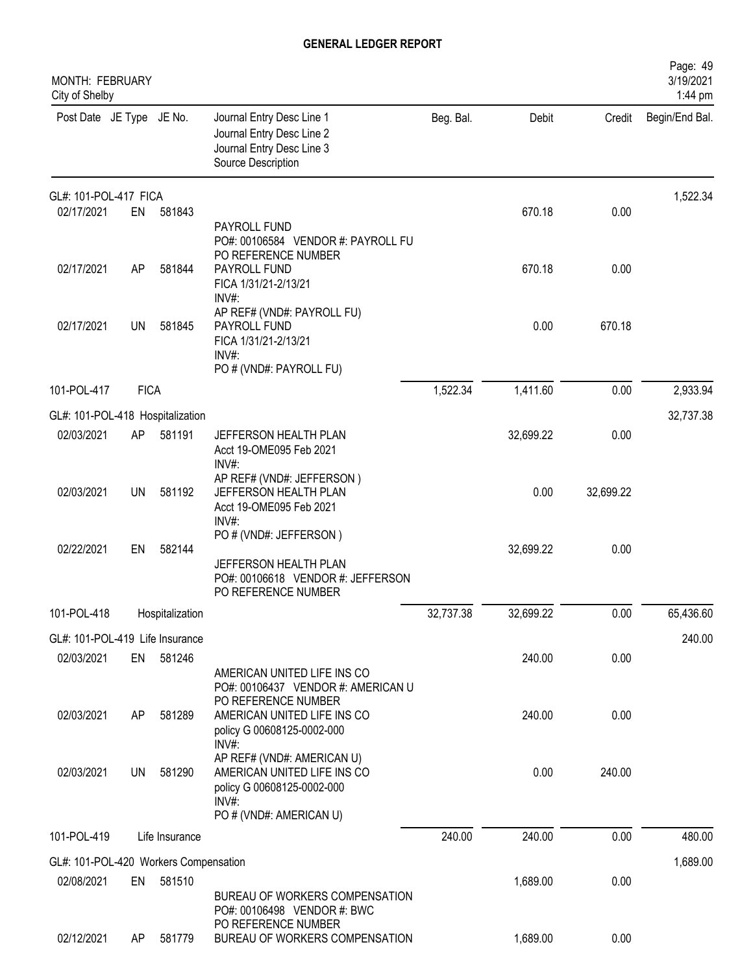| MONTH: FEBRUARY<br>City of Shelby     |             |                 |                                                                                                                                |           |           |           | Page: 49<br>3/19/2021<br>1:44 pm |
|---------------------------------------|-------------|-----------------|--------------------------------------------------------------------------------------------------------------------------------|-----------|-----------|-----------|----------------------------------|
| Post Date JE Type JE No.              |             |                 | Journal Entry Desc Line 1<br>Journal Entry Desc Line 2<br>Journal Entry Desc Line 3<br>Source Description                      | Beg. Bal. | Debit     | Credit    | Begin/End Bal.                   |
| GL#: 101-POL-417 FICA                 |             |                 |                                                                                                                                |           |           |           | 1,522.34                         |
| 02/17/2021                            | EN          | 581843          | PAYROLL FUND<br>PO#: 00106584 VENDOR #: PAYROLL FU<br>PO REFERENCE NUMBER                                                      |           | 670.18    | 0.00      |                                  |
| 02/17/2021                            | AP          | 581844          | PAYROLL FUND<br>FICA 1/31/21-2/13/21<br>INV#:                                                                                  |           | 670.18    | 0.00      |                                  |
| 02/17/2021                            | <b>UN</b>   | 581845          | AP REF# (VND#: PAYROLL FU)<br>PAYROLL FUND<br>FICA 1/31/21-2/13/21<br>$INV#$ :<br>PO # (VND#: PAYROLL FU)                      |           | 0.00      | 670.18    |                                  |
| 101-POL-417                           | <b>FICA</b> |                 |                                                                                                                                | 1,522.34  | 1,411.60  | 0.00      | 2,933.94                         |
| GL#: 101-POL-418 Hospitalization      |             |                 |                                                                                                                                |           |           |           | 32,737.38                        |
| 02/03/2021                            | AP          | 581191          | JEFFERSON HEALTH PLAN<br>Acct 19-OME095 Feb 2021<br>INV#:                                                                      |           | 32,699.22 | 0.00      |                                  |
| 02/03/2021                            | UN          | 581192          | AP REF# (VND#: JEFFERSON)<br>JEFFERSON HEALTH PLAN<br>Acct 19-OME095 Feb 2021<br>$INV#$ :                                      |           | 0.00      | 32,699.22 |                                  |
| 02/22/2021                            | EN          | 582144          | PO # (VND#: JEFFERSON)<br>JEFFERSON HEALTH PLAN<br>PO#: 00106618 VENDOR #: JEFFERSON<br>PO REFERENCE NUMBER                    |           | 32,699.22 | 0.00      |                                  |
| 101-POL-418                           |             | Hospitalization |                                                                                                                                | 32,737.38 | 32,699.22 | 0.00      | 65,436.60                        |
| GL#: 101-POL-419 Life Insurance       |             |                 |                                                                                                                                |           |           |           | 240.00                           |
| 02/03/2021                            | EN          | 581246          | AMERICAN UNITED LIFE INS CO<br>PO#: 00106437 VENDOR #: AMERICAN U<br>PO REFERENCE NUMBER                                       |           | 240.00    | 0.00      |                                  |
| 02/03/2021                            | AP          | 581289          | AMERICAN UNITED LIFE INS CO<br>policy G 00608125-0002-000<br>INV#                                                              |           | 240.00    | 0.00      |                                  |
| 02/03/2021                            | UN          | 581290          | AP REF# (VND#: AMERICAN U)<br>AMERICAN UNITED LIFE INS CO<br>policy G 00608125-0002-000<br>$INV#$ :<br>PO # (VND#: AMERICAN U) |           | 0.00      | 240.00    |                                  |
| 101-POL-419                           |             | Life Insurance  |                                                                                                                                | 240.00    | 240.00    | 0.00      | 480.00                           |
| GL#: 101-POL-420 Workers Compensation |             |                 |                                                                                                                                |           |           |           | 1,689.00                         |
| 02/08/2021                            | EN          | 581510          | BUREAU OF WORKERS COMPENSATION<br>PO#: 00106498 VENDOR #: BWC                                                                  |           | 1,689.00  | 0.00      |                                  |
| 02/12/2021                            | AP          | 581779          | PO REFERENCE NUMBER<br>BUREAU OF WORKERS COMPENSATION                                                                          |           | 1,689.00  | 0.00      |                                  |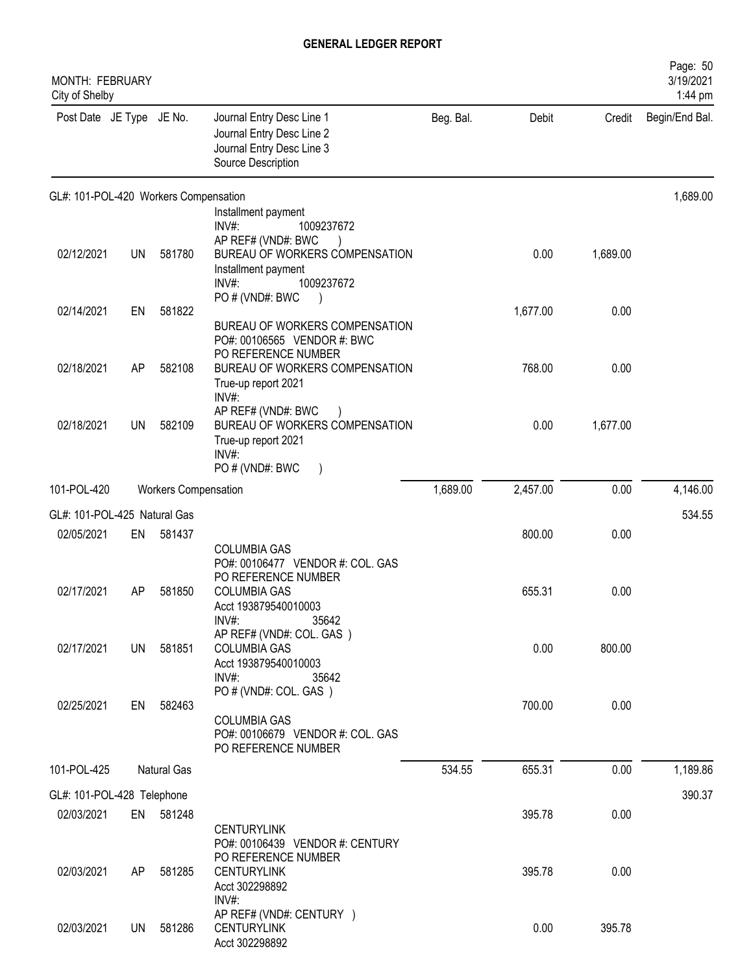| MONTH: FEBRUARY<br>City of Shelby     |           |                             |                                                                                                           |           |          |          | Page: 50<br>3/19/2021<br>1:44 pm |
|---------------------------------------|-----------|-----------------------------|-----------------------------------------------------------------------------------------------------------|-----------|----------|----------|----------------------------------|
| Post Date JE Type JE No.              |           |                             | Journal Entry Desc Line 1<br>Journal Entry Desc Line 2<br>Journal Entry Desc Line 3<br>Source Description | Beg. Bal. | Debit    | Credit   | Begin/End Bal.                   |
| GL#: 101-POL-420 Workers Compensation |           |                             |                                                                                                           |           |          |          | 1,689.00                         |
|                                       |           |                             | Installment payment<br>INV#:<br>1009237672                                                                |           |          |          |                                  |
| 02/12/2021                            | <b>UN</b> | 581780                      | AP REF# (VND#: BWC<br>BUREAU OF WORKERS COMPENSATION<br>Installment payment<br>$INV#$ :<br>1009237672     |           | 0.00     | 1,689.00 |                                  |
| 02/14/2021                            | EN        | 581822                      | PO # (VND#: BWC                                                                                           |           | 1,677.00 | 0.00     |                                  |
|                                       |           |                             | BUREAU OF WORKERS COMPENSATION<br>PO#: 00106565 VENDOR #: BWC<br>PO REFERENCE NUMBER                      |           |          |          |                                  |
| 02/18/2021                            | AP        | 582108                      | BUREAU OF WORKERS COMPENSATION<br>True-up report 2021<br>INV#:                                            |           | 768.00   | 0.00     |                                  |
| 02/18/2021                            | <b>UN</b> | 582109                      | AP REF# (VND#: BWC<br>BUREAU OF WORKERS COMPENSATION<br>True-up report 2021<br>INV#:<br>PO#(VND#: BWC     |           | 0.00     | 1,677.00 |                                  |
| 101-POL-420                           |           | <b>Workers Compensation</b> |                                                                                                           | 1,689.00  | 2,457.00 | 0.00     | 4,146.00                         |
| GL#: 101-POL-425 Natural Gas          |           |                             |                                                                                                           |           |          |          | 534.55                           |
| 02/05/2021                            | EN        | 581437                      |                                                                                                           |           | 800.00   | 0.00     |                                  |
|                                       |           |                             | <b>COLUMBIA GAS</b><br>PO#: 00106477 VENDOR #: COL. GAS<br>PO REFERENCE NUMBER                            |           |          |          |                                  |
| 02/17/2021                            | AP        | 581850                      | <b>COLUMBIA GAS</b><br>Acct 193879540010003<br>$INV#$ :<br>35642                                          |           | 655.31   | 0.00     |                                  |
| 02/17/2021                            | <b>UN</b> | 581851                      | AP REF# (VND#: COL. GAS)<br><b>COLUMBIA GAS</b><br>Acct 193879540010003<br>$INV#$ :<br>35642              |           | 0.00     | 800.00   |                                  |
| 02/25/2021                            | EN        | 582463                      | PO # (VND#: COL. GAS)<br><b>COLUMBIA GAS</b><br>PO#: 00106679 VENDOR #: COL. GAS                          |           | 700.00   | 0.00     |                                  |
|                                       |           |                             | PO REFERENCE NUMBER                                                                                       |           |          |          |                                  |
| 101-POL-425                           |           | Natural Gas                 |                                                                                                           | 534.55    | 655.31   | 0.00     | 1,189.86                         |
| GL#: 101-POL-428 Telephone            |           |                             |                                                                                                           |           |          |          | 390.37                           |
| 02/03/2021                            |           | EN 581248                   | <b>CENTURYLINK</b><br>PO#: 00106439 VENDOR #: CENTURY                                                     |           | 395.78   | 0.00     |                                  |
| 02/03/2021                            | AP.       | 581285                      | PO REFERENCE NUMBER<br><b>CENTURYLINK</b><br>Acct 302298892<br>$INV#$ :                                   |           | 395.78   | 0.00     |                                  |
| 02/03/2021                            | UN.       | 581286                      | AP REF# (VND#: CENTURY )<br><b>CENTURYLINK</b><br>Acct 302298892                                          |           | 0.00     | 395.78   |                                  |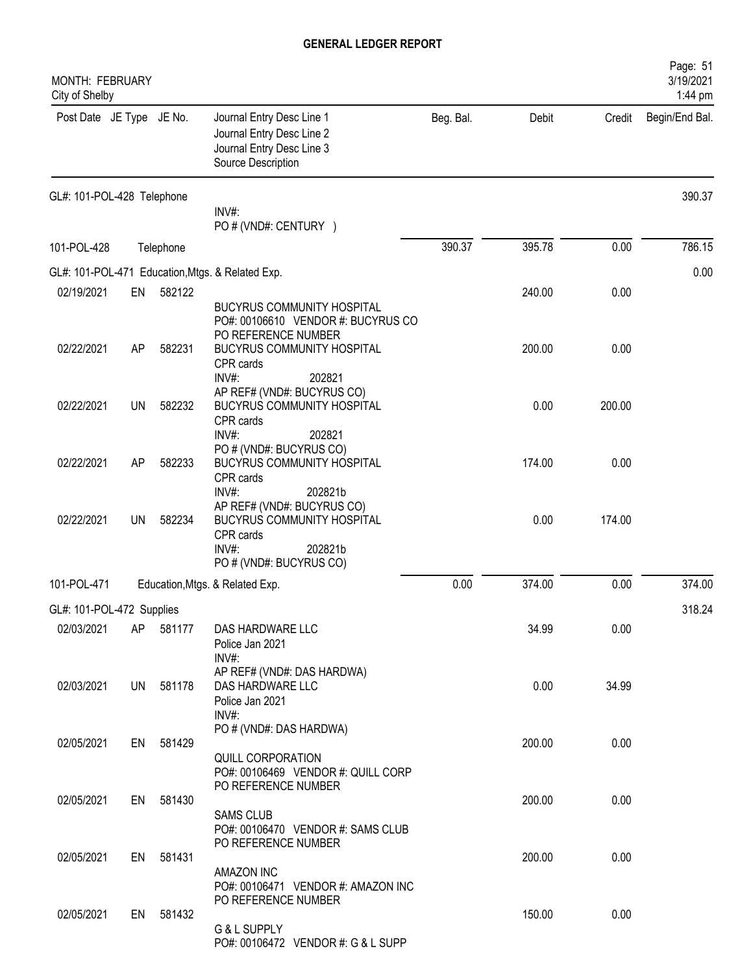| MONTH: FEBRUARY<br>City of Shelby |           |           |                                                                                                                         |           |        |        | Page: 51<br>3/19/2021<br>1:44 pm |
|-----------------------------------|-----------|-----------|-------------------------------------------------------------------------------------------------------------------------|-----------|--------|--------|----------------------------------|
| Post Date JE Type JE No.          |           |           | Journal Entry Desc Line 1<br>Journal Entry Desc Line 2<br>Journal Entry Desc Line 3<br>Source Description               | Beg. Bal. | Debit  | Credit | Begin/End Bal.                   |
| GL#: 101-POL-428 Telephone        |           |           | INV#:<br>PO # (VND#: CENTURY )                                                                                          |           |        |        | 390.37                           |
| 101-POL-428                       |           | Telephone |                                                                                                                         | 390.37    | 395.78 | 0.00   | 786.15                           |
|                                   |           |           | GL#: 101-POL-471 Education, Mtgs. & Related Exp.                                                                        |           |        |        | 0.00                             |
| 02/19/2021                        | EN        | 582122    | <b>BUCYRUS COMMUNITY HOSPITAL</b><br>PO#: 00106610 VENDOR #: BUCYRUS CO<br>PO REFERENCE NUMBER                          |           | 240.00 | 0.00   |                                  |
| 02/22/2021                        | AP        | 582231    | <b>BUCYRUS COMMUNITY HOSPITAL</b><br>CPR cards<br>$INV#$ :<br>202821                                                    |           | 200.00 | 0.00   |                                  |
| 02/22/2021                        | <b>UN</b> | 582232    | AP REF# (VND#: BUCYRUS CO)<br><b>BUCYRUS COMMUNITY HOSPITAL</b><br>CPR cards<br>INV#:<br>202821                         |           | 0.00   | 200.00 |                                  |
| 02/22/2021                        | AP        | 582233    | PO # (VND#: BUCYRUS CO)<br>BUCYRUS COMMUNITY HOSPITAL<br>CPR cards<br>INV#:<br>202821b                                  |           | 174.00 | 0.00   |                                  |
| 02/22/2021                        | <b>UN</b> | 582234    | AP REF# (VND#: BUCYRUS CO)<br>BUCYRUS COMMUNITY HOSPITAL<br>CPR cards<br>$INV#$ :<br>202821b<br>PO # (VND#: BUCYRUS CO) |           | 0.00   | 174.00 |                                  |
| 101-POL-471                       |           |           | Education, Mtgs. & Related Exp.                                                                                         | 0.00      | 374.00 | 0.00   | 374.00                           |
| GL#: 101-POL-472 Supplies         |           |           |                                                                                                                         |           |        |        | 318.24                           |
| 02/03/2021                        | AP        | 581177    | DAS HARDWARE LLC<br>Police Jan 2021<br>INV#:                                                                            |           | 34.99  | 0.00   |                                  |
| 02/03/2021                        |           | UN 581178 | AP REF# (VND#: DAS HARDWA)<br>DAS HARDWARE LLC<br>Police Jan 2021<br>$INV#$ :                                           |           | 0.00   | 34.99  |                                  |
| 02/05/2021                        |           | EN 581429 | PO # (VND#: DAS HARDWA)<br>QUILL CORPORATION<br>PO#: 00106469 VENDOR #: QUILL CORP                                      |           | 200.00 | 0.00   |                                  |
| 02/05/2021                        |           | EN 581430 | PO REFERENCE NUMBER<br><b>SAMS CLUB</b><br>PO#: 00106470 VENDOR #: SAMS CLUB                                            |           | 200.00 | 0.00   |                                  |
| 02/05/2021                        |           | EN 581431 | PO REFERENCE NUMBER<br>AMAZON INC<br>PO#: 00106471 VENDOR #: AMAZON INC                                                 |           | 200.00 | 0.00   |                                  |
| 02/05/2021                        | EN        | 581432    | PO REFERENCE NUMBER<br>G & L SUPPLY<br>PO#: 00106472 VENDOR #: G & L SUPP                                               |           | 150.00 | 0.00   |                                  |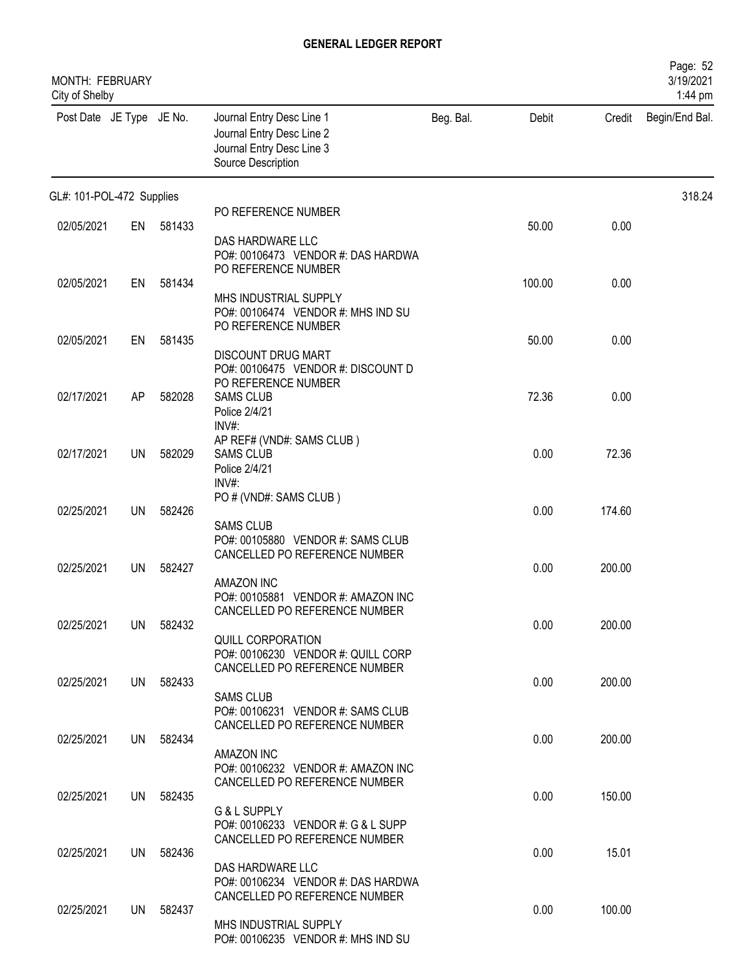| MONTH: FEBRUARY<br>City of Shelby |           |           |                                                                                                           |           |        |        | Page: 52<br>3/19/2021<br>1:44 pm |
|-----------------------------------|-----------|-----------|-----------------------------------------------------------------------------------------------------------|-----------|--------|--------|----------------------------------|
| Post Date JE Type JE No.          |           |           | Journal Entry Desc Line 1<br>Journal Entry Desc Line 2<br>Journal Entry Desc Line 3<br>Source Description | Beg. Bal. | Debit  | Credit | Begin/End Bal.                   |
| GL#: 101-POL-472 Supplies         |           |           |                                                                                                           |           |        |        | 318.24                           |
| 02/05/2021                        | EN        | 581433    | PO REFERENCE NUMBER                                                                                       |           | 50.00  | 0.00   |                                  |
|                                   |           |           | DAS HARDWARE LLC<br>PO#: 00106473 VENDOR #: DAS HARDWA<br>PO REFERENCE NUMBER                             |           |        |        |                                  |
| 02/05/2021                        | EN        | 581434    | MHS INDUSTRIAL SUPPLY<br>PO#: 00106474 VENDOR #: MHS IND SU<br>PO REFERENCE NUMBER                        |           | 100.00 | 0.00   |                                  |
| 02/05/2021                        | EN        | 581435    | <b>DISCOUNT DRUG MART</b><br>PO#: 00106475 VENDOR #: DISCOUNT D                                           |           | 50.00  | 0.00   |                                  |
| 02/17/2021                        | AP        | 582028    | PO REFERENCE NUMBER<br><b>SAMS CLUB</b><br>Police 2/4/21<br>INV#:                                         |           | 72.36  | 0.00   |                                  |
| 02/17/2021                        | <b>UN</b> | 582029    | AP REF# (VND#: SAMS CLUB)<br><b>SAMS CLUB</b><br>Police 2/4/21<br>INV#:                                   |           | 0.00   | 72.36  |                                  |
| 02/25/2021                        | UN        | 582426    | PO # (VND#: SAMS CLUB)<br><b>SAMS CLUB</b><br>PO#: 00105880 VENDOR #: SAMS CLUB                           |           | 0.00   | 174.60 |                                  |
| 02/25/2021                        | UN        | 582427    | CANCELLED PO REFERENCE NUMBER<br><b>AMAZON INC</b><br>PO#: 00105881 VENDOR #: AMAZON INC                  |           | 0.00   | 200.00 |                                  |
| 02/25/2021                        |           | UN 582432 | CANCELLED PO REFERENCE NUMBER<br><b>QUILL CORPORATION</b><br>PO#: 00106230 VENDOR #: QUILL CORP           |           | 0.00   | 200.00 |                                  |
| 02/25/2021                        |           | UN 582433 | CANCELLED PO REFERENCE NUMBER<br><b>SAMS CLUB</b><br>PO#: 00106231 VENDOR #: SAMS CLUB                    |           | 0.00   | 200.00 |                                  |
| 02/25/2021                        |           | UN 582434 | CANCELLED PO REFERENCE NUMBER<br>AMAZON INC<br>PO#: 00106232 VENDOR #: AMAZON INC                         |           | 0.00   | 200.00 |                                  |
| 02/25/2021                        |           | UN 582435 | CANCELLED PO REFERENCE NUMBER<br>G & L SUPPLY                                                             |           | 0.00   | 150.00 |                                  |
| 02/25/2021                        |           | UN 582436 | PO#: 00106233 VENDOR #: G & L SUPP<br>CANCELLED PO REFERENCE NUMBER                                       |           | 0.00   | 15.01  |                                  |
|                                   |           |           | DAS HARDWARE LLC<br>PO#: 00106234 VENDOR #: DAS HARDWA<br>CANCELLED PO REFERENCE NUMBER                   |           |        |        |                                  |
| 02/25/2021                        | UN        | 582437    | MHS INDUSTRIAL SUPPLY<br>PO#: 00106235 VENDOR #: MHS IND SU                                               |           | 0.00   | 100.00 |                                  |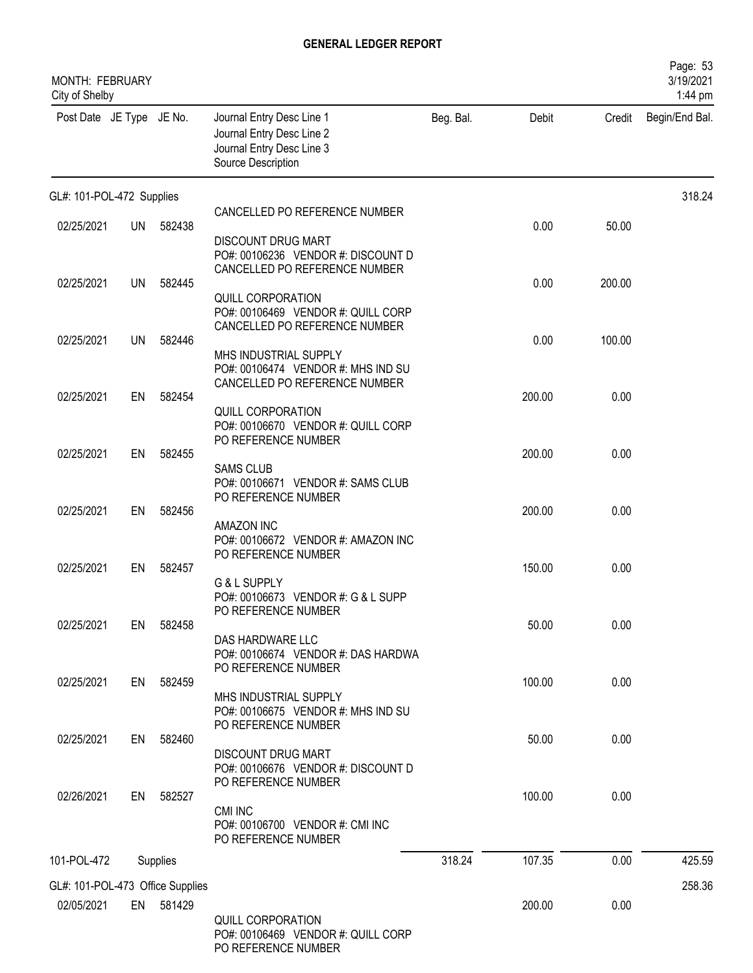| MONTH: FEBRUARY<br>City of Shelby |           |          |                                                                                                           |           |        |        | Page: 53<br>3/19/2021<br>1:44 pm |
|-----------------------------------|-----------|----------|-----------------------------------------------------------------------------------------------------------|-----------|--------|--------|----------------------------------|
| Post Date JE Type JE No.          |           |          | Journal Entry Desc Line 1<br>Journal Entry Desc Line 2<br>Journal Entry Desc Line 3<br>Source Description | Beg. Bal. | Debit  | Credit | Begin/End Bal.                   |
| GL#: 101-POL-472 Supplies         |           |          |                                                                                                           |           |        |        | 318.24                           |
| 02/25/2021                        | <b>UN</b> | 582438   | CANCELLED PO REFERENCE NUMBER                                                                             |           | 0.00   | 50.00  |                                  |
|                                   |           |          | <b>DISCOUNT DRUG MART</b><br>PO#: 00106236 VENDOR #: DISCOUNT D<br>CANCELLED PO REFERENCE NUMBER          |           |        |        |                                  |
| 02/25/2021                        | <b>UN</b> | 582445   |                                                                                                           |           | 0.00   | 200.00 |                                  |
|                                   |           |          | QUILL CORPORATION<br>PO#: 00106469 VENDOR #: QUILL CORP<br>CANCELLED PO REFERENCE NUMBER                  |           |        |        |                                  |
| 02/25/2021                        | <b>UN</b> | 582446   | MHS INDUSTRIAL SUPPLY                                                                                     |           | 0.00   | 100.00 |                                  |
| 02/25/2021                        | EN        | 582454   | PO#: 00106474 VENDOR #: MHS IND SU<br>CANCELLED PO REFERENCE NUMBER                                       |           | 200.00 | 0.00   |                                  |
|                                   |           |          | QUILL CORPORATION                                                                                         |           |        |        |                                  |
| 02/25/2021                        | EN        | 582455   | PO#: 00106670 VENDOR #: QUILL CORP<br>PO REFERENCE NUMBER                                                 |           | 200.00 | 0.00   |                                  |
|                                   |           |          | <b>SAMS CLUB</b><br>PO#: 00106671 VENDOR #: SAMS CLUB                                                     |           |        |        |                                  |
|                                   |           |          | PO REFERENCE NUMBER                                                                                       |           | 200.00 |        |                                  |
| 02/25/2021                        | EN        | 582456   | AMAZON INC<br>PO#: 00106672 VENDOR #: AMAZON INC                                                          |           |        | 0.00   |                                  |
| 02/25/2021                        | EN        | 582457   | PO REFERENCE NUMBER                                                                                       |           | 150.00 | 0.00   |                                  |
|                                   |           |          | G & L SUPPLY<br>PO#: 00106673 VENDOR #: G & L SUPP<br>PO REFERENCE NUMBER                                 |           |        |        |                                  |
| 02/25/2021                        | EN        | 582458   |                                                                                                           |           | 50.00  | 0.00   |                                  |
|                                   |           |          | DAS HARDWARE LLC<br>PO#: 00106674 VENDOR #: DAS HARDWA<br>PO REFERENCE NUMBER                             |           |        |        |                                  |
| 02/25/2021                        | EN        | 582459   | MHS INDUSTRIAL SUPPLY                                                                                     |           | 100.00 | 0.00   |                                  |
|                                   |           |          | PO#: 00106675 VENDOR #: MHS IND SU<br>PO REFERENCE NUMBER                                                 |           |        |        |                                  |
| 02/25/2021                        | EN        | 582460   | <b>DISCOUNT DRUG MART</b><br>PO#: 00106676 VENDOR #: DISCOUNT D                                           |           | 50.00  | 0.00   |                                  |
| 02/26/2021                        | EN        | 582527   | PO REFERENCE NUMBER                                                                                       |           | 100.00 | 0.00   |                                  |
|                                   |           |          | CMI INC<br>PO#: 00106700 VENDOR #: CMI INC<br>PO REFERENCE NUMBER                                         |           |        |        |                                  |
| 101-POL-472                       |           | Supplies |                                                                                                           | 318.24    | 107.35 | 0.00   | 425.59                           |
| GL#: 101-POL-473 Office Supplies  |           |          |                                                                                                           |           |        |        | 258.36                           |
| 02/05/2021                        | EN        | 581429   |                                                                                                           |           | 200.00 | 0.00   |                                  |
|                                   |           |          | QUILL CORPORATION<br>PO#: 00106469 VENDOR #: QUILL CORP<br>PO REFERENCE NUMBER                            |           |        |        |                                  |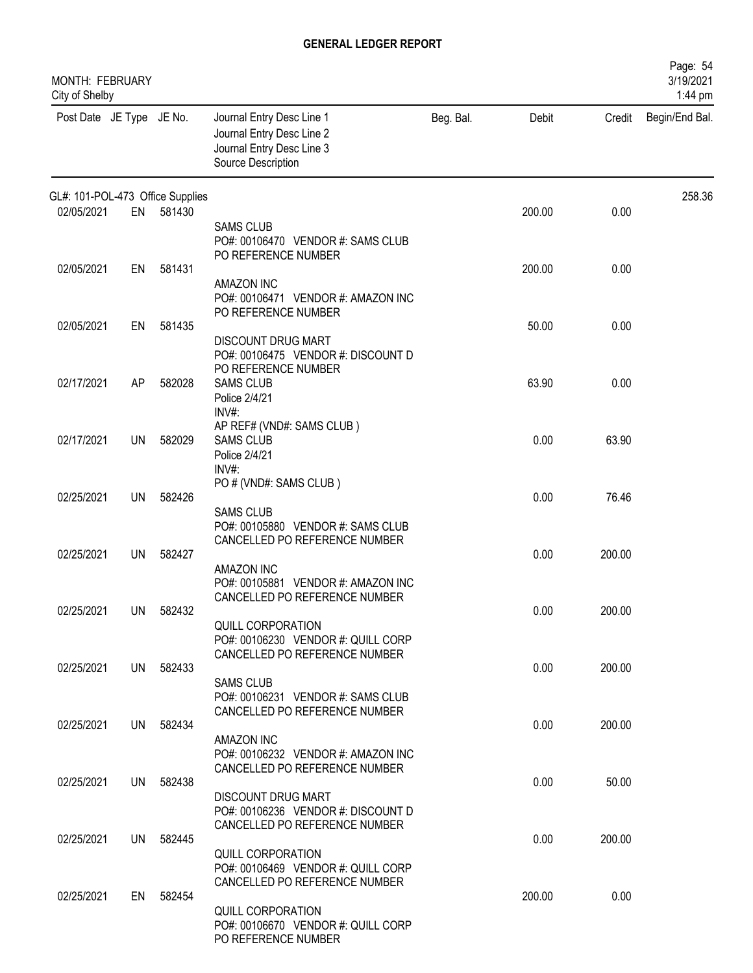| MONTH: FEBRUARY<br>City of Shelby |           |           |                                                                                                                                  |           |        |        | Page: 54<br>3/19/2021<br>1:44 pm |
|-----------------------------------|-----------|-----------|----------------------------------------------------------------------------------------------------------------------------------|-----------|--------|--------|----------------------------------|
| Post Date JE Type JE No.          |           |           | Journal Entry Desc Line 1<br>Journal Entry Desc Line 2<br>Journal Entry Desc Line 3<br>Source Description                        | Beg. Bal. | Debit  | Credit | Begin/End Bal.                   |
| GL#: 101-POL-473 Office Supplies  |           |           |                                                                                                                                  |           |        |        | 258.36                           |
| 02/05/2021                        | EN        | 581430    | <b>SAMS CLUB</b><br>PO#: 00106470 VENDOR #: SAMS CLUB<br>PO REFERENCE NUMBER                                                     |           | 200.00 | 0.00   |                                  |
| 02/05/2021                        | EN        | 581431    | <b>AMAZON INC</b><br>PO#: 00106471 VENDOR #: AMAZON INC<br>PO REFERENCE NUMBER                                                   |           | 200.00 | 0.00   |                                  |
| 02/05/2021                        | EN        | 581435    | <b>DISCOUNT DRUG MART</b><br>PO#: 00106475 VENDOR #: DISCOUNT D<br>PO REFERENCE NUMBER                                           |           | 50.00  | 0.00   |                                  |
| 02/17/2021                        | AP        | 582028    | <b>SAMS CLUB</b><br>Police 2/4/21<br>INV#:                                                                                       |           | 63.90  | 0.00   |                                  |
| 02/17/2021                        | <b>UN</b> | 582029    | AP REF# (VND#: SAMS CLUB)<br><b>SAMS CLUB</b><br>Police 2/4/21<br>INV#:                                                          |           | 0.00   | 63.90  |                                  |
| 02/25/2021                        | UN        | 582426    | PO # (VND#: SAMS CLUB)<br><b>SAMS CLUB</b><br>PO#: 00105880 VENDOR #: SAMS CLUB                                                  |           | 0.00   | 76.46  |                                  |
| 02/25/2021                        | <b>UN</b> | 582427    | CANCELLED PO REFERENCE NUMBER<br><b>AMAZON INC</b><br>PO#: 00105881 VENDOR #: AMAZON INC                                         |           | 0.00   | 200.00 |                                  |
| 02/25/2021                        | UN        | 582432    | CANCELLED PO REFERENCE NUMBER<br>QUILL CORPORATION<br>PO#: 00106230 VENDOR #: QUILL CORP                                         |           | 0.00   | 200.00 |                                  |
| 02/25/2021                        |           | UN 582433 | CANCELLED PO REFERENCE NUMBER<br><b>SAMS CLUB</b><br>PO#: 00106231 VENDOR #: SAMS CLUB<br>CANCELLED PO REFERENCE NUMBER          |           | 0.00   | 200.00 |                                  |
| 02/25/2021                        |           | UN 582434 | AMAZON INC<br>PO#: 00106232 VENDOR #: AMAZON INC<br>CANCELLED PO REFERENCE NUMBER                                                |           | 0.00   | 200.00 |                                  |
| 02/25/2021                        |           | UN 582438 | <b>DISCOUNT DRUG MART</b><br>PO#: 00106236 VENDOR #: DISCOUNT D                                                                  |           | 0.00   | 50.00  |                                  |
| 02/25/2021                        |           | UN 582445 | CANCELLED PO REFERENCE NUMBER<br><b>QUILL CORPORATION</b><br>PO#: 00106469 VENDOR #: QUILL CORP<br>CANCELLED PO REFERENCE NUMBER |           | 0.00   | 200.00 |                                  |
| 02/25/2021                        | EN        | 582454    | QUILL CORPORATION<br>PO#: 00106670 VENDOR #: QUILL CORP<br>PO REFERENCE NUMBER                                                   |           | 200.00 | 0.00   |                                  |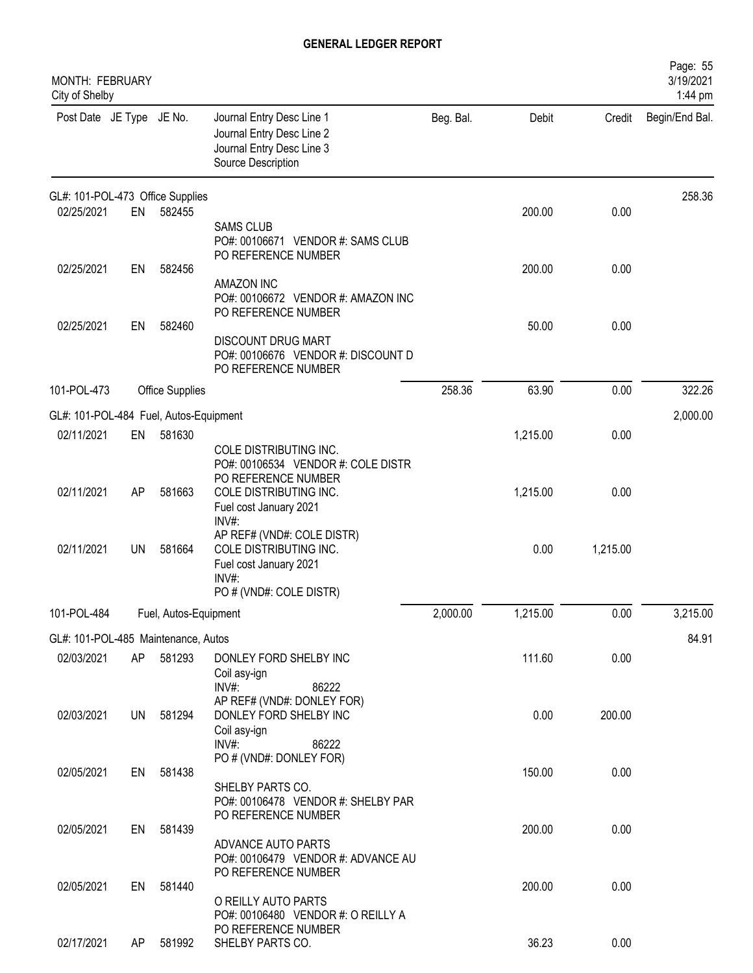| <b>MONTH: FEBRUARY</b><br>City of Shelby |           |                        |                                                                                                                    |           |          |          | Page: 55<br>3/19/2021<br>1:44 pm |
|------------------------------------------|-----------|------------------------|--------------------------------------------------------------------------------------------------------------------|-----------|----------|----------|----------------------------------|
| Post Date JE Type JE No.                 |           |                        | Journal Entry Desc Line 1<br>Journal Entry Desc Line 2<br>Journal Entry Desc Line 3<br>Source Description          | Beg. Bal. | Debit    | Credit   | Begin/End Bal.                   |
| GL#: 101-POL-473 Office Supplies         |           |                        |                                                                                                                    |           |          |          | 258.36                           |
| 02/25/2021                               | EN        | 582455                 | <b>SAMS CLUB</b><br>PO#: 00106671 VENDOR #: SAMS CLUB<br>PO REFERENCE NUMBER                                       |           | 200.00   | 0.00     |                                  |
| 02/25/2021                               | EN        | 582456                 | <b>AMAZON INC</b><br>PO#: 00106672 VENDOR #: AMAZON INC<br>PO REFERENCE NUMBER                                     |           | 200.00   | 0.00     |                                  |
| 02/25/2021                               | EN        | 582460                 | <b>DISCOUNT DRUG MART</b><br>PO#: 00106676 VENDOR #: DISCOUNT D<br>PO REFERENCE NUMBER                             |           | 50.00    | 0.00     |                                  |
| 101-POL-473                              |           | <b>Office Supplies</b> |                                                                                                                    | 258.36    | 63.90    | 0.00     | 322.26                           |
| GL#: 101-POL-484 Fuel, Autos-Equipment   |           |                        |                                                                                                                    |           |          |          | 2,000.00                         |
| 02/11/2021                               | EN        | 581630                 | COLE DISTRIBUTING INC.<br>PO#: 00106534 VENDOR #: COLE DISTR<br>PO REFERENCE NUMBER                                |           | 1,215.00 | 0.00     |                                  |
| 02/11/2021                               | AP        | 581663                 | COLE DISTRIBUTING INC.<br>Fuel cost January 2021<br>INV#:                                                          |           | 1,215.00 | 0.00     |                                  |
| 02/11/2021                               | <b>UN</b> | 581664                 | AP REF# (VND#: COLE DISTR)<br>COLE DISTRIBUTING INC.<br>Fuel cost January 2021<br>INV#:<br>PO # (VND#: COLE DISTR) |           | 0.00     | 1,215.00 |                                  |
| 101-POL-484                              |           | Fuel, Autos-Equipment  |                                                                                                                    | 2,000.00  | 1,215.00 | 0.00     | 3,215.00                         |
| GL#: 101-POL-485 Maintenance, Autos      |           |                        |                                                                                                                    |           |          |          | 84.91                            |
| 02/03/2021                               | AP        | 581293                 | DONLEY FORD SHELBY INC<br>Coil asy-ign<br>$INV#$ :<br>86222                                                        |           | 111.60   | 0.00     |                                  |
| 02/03/2021                               | UN        | 581294                 | AP REF# (VND#: DONLEY FOR)<br>DONLEY FORD SHELBY INC<br>Coil asy-ign<br>$INV#$ :<br>86222                          |           | 0.00     | 200.00   |                                  |
| 02/05/2021                               | EN        | 581438                 | PO # (VND#: DONLEY FOR)<br>SHELBY PARTS CO.<br>PO#: 00106478 VENDOR #: SHELBY PAR                                  |           | 150.00   | 0.00     |                                  |
| 02/05/2021                               | EN        | 581439                 | PO REFERENCE NUMBER<br>ADVANCE AUTO PARTS<br>PO#: 00106479 VENDOR #: ADVANCE AU                                    |           | 200.00   | 0.00     |                                  |
| 02/05/2021                               | EN        | 581440                 | PO REFERENCE NUMBER<br>O REILLY AUTO PARTS<br>PO#: 00106480 VENDOR #: O REILLY A                                   |           | 200.00   | 0.00     |                                  |
| 02/17/2021                               | AP        | 581992                 | PO REFERENCE NUMBER<br>SHELBY PARTS CO.                                                                            |           | 36.23    | 0.00     |                                  |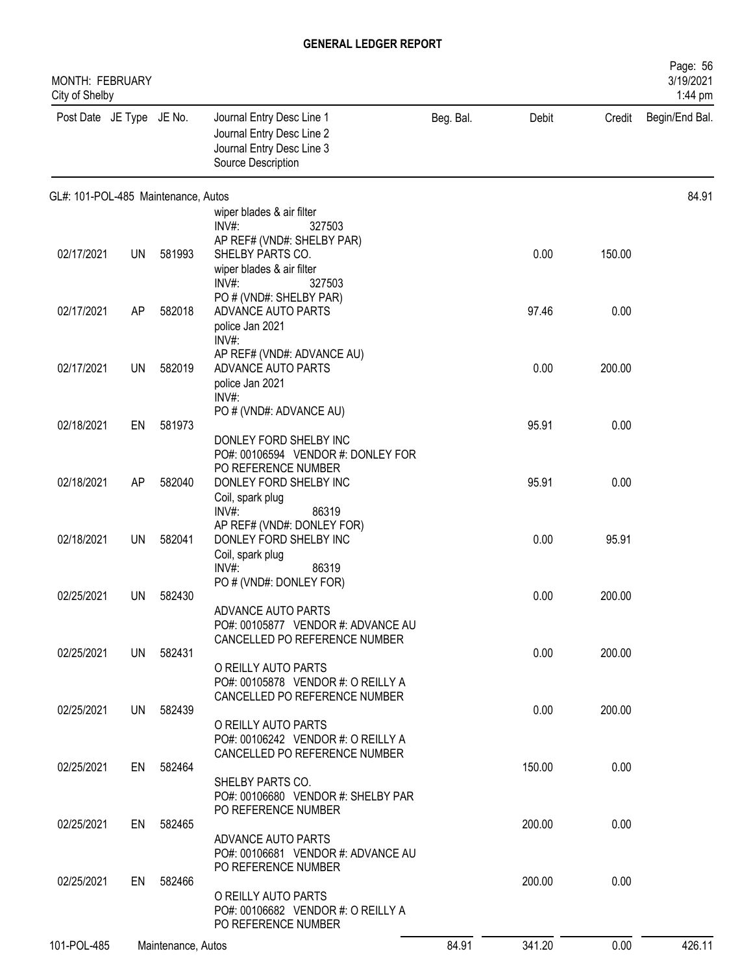| MONTH: FEBRUARY<br>City of Shelby   |           |                    |                                                                                                           |           |        |        | Page: 56<br>3/19/2021<br>1:44 pm |
|-------------------------------------|-----------|--------------------|-----------------------------------------------------------------------------------------------------------|-----------|--------|--------|----------------------------------|
| Post Date JE Type JE No.            |           |                    | Journal Entry Desc Line 1<br>Journal Entry Desc Line 2<br>Journal Entry Desc Line 3<br>Source Description | Beg. Bal. | Debit  | Credit | Begin/End Bal.                   |
| GL#: 101-POL-485 Maintenance, Autos |           |                    |                                                                                                           |           |        |        | 84.91                            |
|                                     |           |                    | wiper blades & air filter                                                                                 |           |        |        |                                  |
|                                     |           |                    | $INV#$ :<br>327503                                                                                        |           |        |        |                                  |
| 02/17/2021                          | <b>UN</b> | 581993             | AP REF# (VND#: SHELBY PAR)<br>SHELBY PARTS CO.                                                            |           | 0.00   | 150.00 |                                  |
|                                     |           |                    | wiper blades & air filter                                                                                 |           |        |        |                                  |
|                                     |           |                    | INV#<br>327503                                                                                            |           |        |        |                                  |
| 02/17/2021                          | AP        | 582018             | PO # (VND#: SHELBY PAR)                                                                                   |           | 97.46  | 0.00   |                                  |
|                                     |           |                    | ADVANCE AUTO PARTS<br>police Jan 2021                                                                     |           |        |        |                                  |
|                                     |           |                    | $INV#$ :                                                                                                  |           |        |        |                                  |
|                                     |           |                    | AP REF# (VND#: ADVANCE AU)                                                                                |           |        |        |                                  |
| 02/17/2021                          | <b>UN</b> | 582019             | ADVANCE AUTO PARTS<br>police Jan 2021                                                                     |           | 0.00   | 200.00 |                                  |
|                                     |           |                    | $INV#$ :                                                                                                  |           |        |        |                                  |
|                                     |           |                    | PO # (VND#: ADVANCE AU)                                                                                   |           |        |        |                                  |
| 02/18/2021                          | EN        | 581973             |                                                                                                           |           | 95.91  | 0.00   |                                  |
|                                     |           |                    | DONLEY FORD SHELBY INC<br>PO#: 00106594 VENDOR #: DONLEY FOR                                              |           |        |        |                                  |
|                                     |           |                    | PO REFERENCE NUMBER                                                                                       |           |        |        |                                  |
| 02/18/2021                          | AP        | 582040             | DONLEY FORD SHELBY INC                                                                                    |           | 95.91  | 0.00   |                                  |
|                                     |           |                    | Coil, spark plug<br>INV#<br>86319                                                                         |           |        |        |                                  |
|                                     |           |                    | AP REF# (VND#: DONLEY FOR)                                                                                |           |        |        |                                  |
| 02/18/2021                          | <b>UN</b> | 582041             | DONLEY FORD SHELBY INC                                                                                    |           | 0.00   | 95.91  |                                  |
|                                     |           |                    | Coil, spark plug                                                                                          |           |        |        |                                  |
|                                     |           |                    | $INV#$ :<br>86319<br>PO # (VND#: DONLEY FOR)                                                              |           |        |        |                                  |
| 02/25/2021                          | <b>UN</b> | 582430             |                                                                                                           |           | 0.00   | 200.00 |                                  |
|                                     |           |                    | ADVANCE AUTO PARTS                                                                                        |           |        |        |                                  |
|                                     |           |                    | PO#: 00105877 VENDOR #: ADVANCE AU<br>CANCELLED PO REFERENCE NUMBER                                       |           |        |        |                                  |
| 02/25/2021                          |           | UN 582431          |                                                                                                           |           | 0.00   | 200.00 |                                  |
|                                     |           |                    | O REILLY AUTO PARTS                                                                                       |           |        |        |                                  |
|                                     |           |                    | PO#: 00105878 VENDOR #: O REILLY A<br>CANCELLED PO REFERENCE NUMBER                                       |           |        |        |                                  |
| 02/25/2021                          | UN        | 582439             |                                                                                                           |           | 0.00   | 200.00 |                                  |
|                                     |           |                    | O REILLY AUTO PARTS                                                                                       |           |        |        |                                  |
|                                     |           |                    | PO#: 00106242 VENDOR #: O REILLY A                                                                        |           |        |        |                                  |
| 02/25/2021                          | EN        | 582464             | CANCELLED PO REFERENCE NUMBER                                                                             |           | 150.00 | 0.00   |                                  |
|                                     |           |                    | SHELBY PARTS CO.                                                                                          |           |        |        |                                  |
|                                     |           |                    | PO#: 00106680 VENDOR #: SHELBY PAR                                                                        |           |        |        |                                  |
| 02/25/2021                          | EN        | 582465             | PO REFERENCE NUMBER                                                                                       |           | 200.00 | 0.00   |                                  |
|                                     |           |                    | ADVANCE AUTO PARTS                                                                                        |           |        |        |                                  |
|                                     |           |                    | PO#: 00106681 VENDOR #: ADVANCE AU                                                                        |           |        |        |                                  |
| 02/25/2021                          | EN        | 582466             | PO REFERENCE NUMBER                                                                                       |           | 200.00 | 0.00   |                                  |
|                                     |           |                    | O REILLY AUTO PARTS                                                                                       |           |        |        |                                  |
|                                     |           |                    | PO#: 00106682 VENDOR #: O REILLY A                                                                        |           |        |        |                                  |
|                                     |           |                    | PO REFERENCE NUMBER                                                                                       |           |        |        |                                  |
| 101-POL-485                         |           | Maintenance, Autos |                                                                                                           | 84.91     | 341.20 | 0.00   | 426.11                           |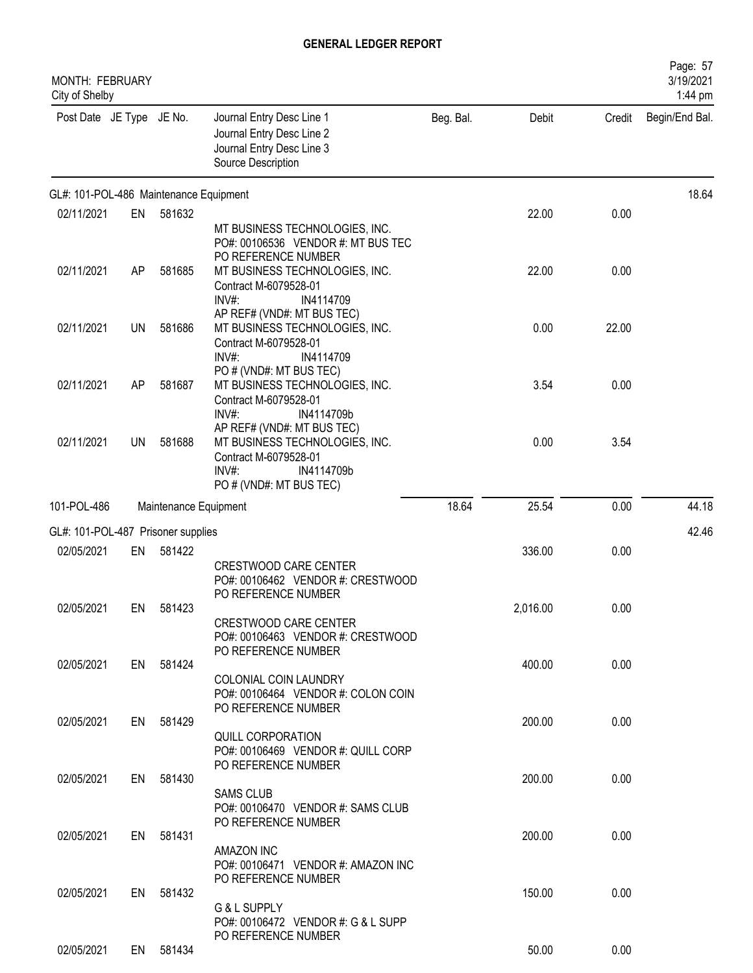| MONTH: FEBRUARY<br>City of Shelby      |    |                       |                                                                                                                                          |           |          |        | Page: 57<br>3/19/2021<br>1:44 pm |
|----------------------------------------|----|-----------------------|------------------------------------------------------------------------------------------------------------------------------------------|-----------|----------|--------|----------------------------------|
| Post Date JE Type JE No.               |    |                       | Journal Entry Desc Line 1<br>Journal Entry Desc Line 2<br>Journal Entry Desc Line 3<br>Source Description                                | Beg. Bal. | Debit    | Credit | Begin/End Bal.                   |
| GL#: 101-POL-486 Maintenance Equipment |    |                       |                                                                                                                                          |           |          |        | 18.64                            |
| 02/11/2021                             | EN | 581632                | MT BUSINESS TECHNOLOGIES, INC.<br>PO#: 00106536 VENDOR #: MT BUS TEC<br>PO REFERENCE NUMBER                                              |           | 22.00    | 0.00   |                                  |
| 02/11/2021                             | AP | 581685                | MT BUSINESS TECHNOLOGIES, INC.<br>Contract M-6079528-01<br>$INV#$ :<br>IN4114709                                                         |           | 22.00    | 0.00   |                                  |
| 02/11/2021                             | UN | 581686                | AP REF# (VND#: MT BUS TEC)<br>MT BUSINESS TECHNOLOGIES, INC.<br>Contract M-6079528-01<br>INV#:<br>IN4114709                              |           | 0.00     | 22.00  |                                  |
| 02/11/2021                             | AP | 581687                | PO # (VND#: MT BUS TEC)<br>MT BUSINESS TECHNOLOGIES, INC.<br>Contract M-6079528-01<br>$INV#$ :<br>IN4114709b                             |           | 3.54     | 0.00   |                                  |
| 02/11/2021                             | UN | 581688                | AP REF# (VND#: MT BUS TEC)<br>MT BUSINESS TECHNOLOGIES, INC.<br>Contract M-6079528-01<br>IN4114709b<br>$INV#$ :<br>PO#(VND#: MT BUS TEC) |           | 0.00     | 3.54   |                                  |
| 101-POL-486                            |    | Maintenance Equipment |                                                                                                                                          | 18.64     | 25.54    | 0.00   | 44.18                            |
| GL#: 101-POL-487 Prisoner supplies     |    |                       |                                                                                                                                          |           |          |        | 42.46                            |
| 02/05/2021                             | EN | 581422                | <b>CRESTWOOD CARE CENTER</b><br>PO#: 00106462 VENDOR #: CRESTWOOD<br>PO REFERENCE NUMBER                                                 |           | 336.00   | 0.00   |                                  |
| 02/05/2021                             |    | EN 581423             | <b>CRESTWOOD CARE CENTER</b><br>PO#: 00106463 VENDOR #: CRESTWOOD<br>PO REFERENCE NUMBER                                                 |           | 2,016.00 | 0.00   |                                  |
| 02/05/2021                             |    | EN 581424             | COLONIAL COIN LAUNDRY<br>PO#: 00106464 VENDOR #: COLON COIN<br>PO REFERENCE NUMBER                                                       |           | 400.00   | 0.00   |                                  |
| 02/05/2021                             |    | EN 581429             | QUILL CORPORATION<br>PO#: 00106469 VENDOR #: QUILL CORP<br>PO REFERENCE NUMBER                                                           |           | 200.00   | 0.00   |                                  |
| 02/05/2021                             |    | EN 581430             | <b>SAMS CLUB</b><br>PO#: 00106470 VENDOR #: SAMS CLUB                                                                                    |           | 200.00   | 0.00   |                                  |
| 02/05/2021                             |    | EN 581431             | PO REFERENCE NUMBER<br>AMAZON INC<br>PO#: 00106471 VENDOR #: AMAZON INC                                                                  |           | 200.00   | 0.00   |                                  |
| 02/05/2021                             | EN | 581432                | PO REFERENCE NUMBER<br>G & L SUPPLY<br>PO#: 00106472 VENDOR #: G & L SUPP                                                                |           | 150.00   | 0.00   |                                  |
| 02/05/2021                             |    | EN 581434             | PO REFERENCE NUMBER                                                                                                                      |           | 50.00    | 0.00   |                                  |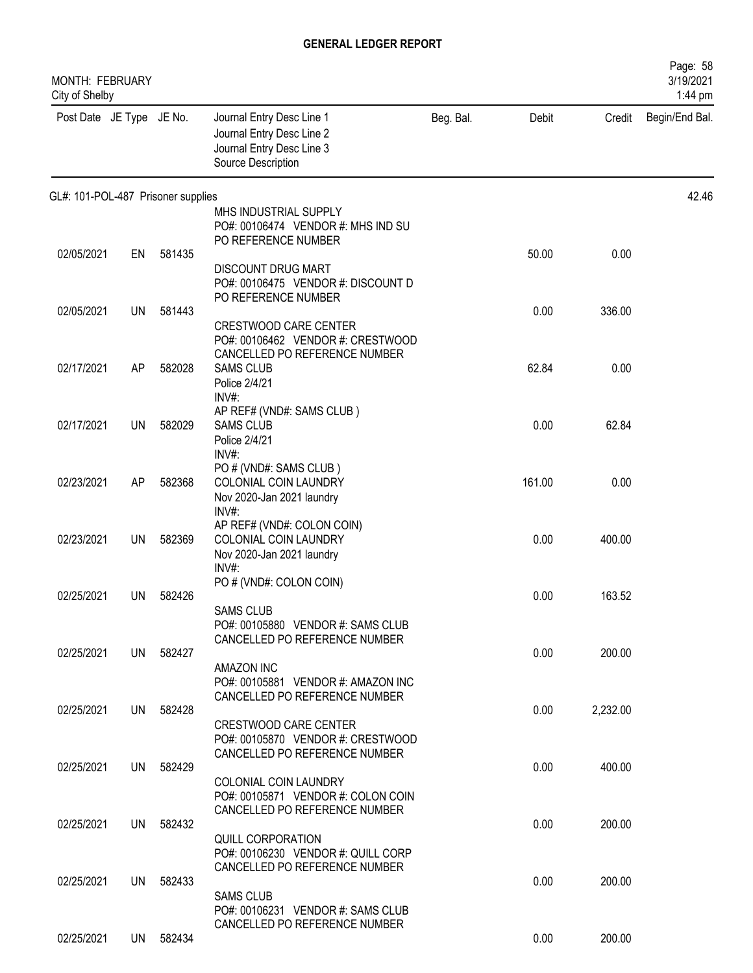| MONTH: FEBRUARY<br>City of Shelby  |           |           |                                                                                                           |           |        |          | Page: 58<br>3/19/2021<br>1:44 pm |
|------------------------------------|-----------|-----------|-----------------------------------------------------------------------------------------------------------|-----------|--------|----------|----------------------------------|
| Post Date JE Type JE No.           |           |           | Journal Entry Desc Line 1<br>Journal Entry Desc Line 2<br>Journal Entry Desc Line 3<br>Source Description | Beg. Bal. | Debit  | Credit   | Begin/End Bal.                   |
| GL#: 101-POL-487 Prisoner supplies |           |           |                                                                                                           |           |        |          | 42.46                            |
|                                    |           |           | MHS INDUSTRIAL SUPPLY<br>PO#: 00106474 VENDOR #: MHS IND SU<br>PO REFERENCE NUMBER                        |           |        |          |                                  |
| 02/05/2021                         | EN        | 581435    | <b>DISCOUNT DRUG MART</b><br>PO#: 00106475 VENDOR #: DISCOUNT D                                           |           | 50.00  | 0.00     |                                  |
| 02/05/2021                         | UN        | 581443    | PO REFERENCE NUMBER                                                                                       |           | 0.00   | 336.00   |                                  |
|                                    |           |           | <b>CRESTWOOD CARE CENTER</b><br>PO#: 00106462 VENDOR #: CRESTWOOD<br>CANCELLED PO REFERENCE NUMBER        |           |        |          |                                  |
| 02/17/2021                         | AP        | 582028    | <b>SAMS CLUB</b><br>Police 2/4/21<br>INV#:                                                                |           | 62.84  | 0.00     |                                  |
| 02/17/2021                         | <b>UN</b> | 582029    | AP REF# (VND#: SAMS CLUB)<br><b>SAMS CLUB</b><br>Police 2/4/21<br>INV#:                                   |           | 0.00   | 62.84    |                                  |
| 02/23/2021                         | AP        | 582368    | PO # (VND#: SAMS CLUB)<br>COLONIAL COIN LAUNDRY<br>Nov 2020-Jan 2021 laundry                              |           | 161.00 | 0.00     |                                  |
| 02/23/2021                         | UN        | 582369    | $INV#$ :<br>AP REF# (VND#: COLON COIN)<br>COLONIAL COIN LAUNDRY<br>Nov 2020-Jan 2021 laundry<br>$INV#$ :  |           | 0.00   | 400.00   |                                  |
| 02/25/2021                         | UN        | 582426    | PO # (VND#: COLON COIN)<br><b>SAMS CLUB</b>                                                               |           | 0.00   | 163.52   |                                  |
| 02/25/2021                         |           | UN 582427 | PO#: 00105880 VENDOR #: SAMS CLUB<br>CANCELLED PO REFERENCE NUMBER                                        |           | 0.00   | 200.00   |                                  |
| 02/25/2021                         |           | UN 582428 | AMAZON INC<br>PO#: 00105881 VENDOR #: AMAZON INC<br>CANCELLED PO REFERENCE NUMBER                         |           | 0.00   | 2,232.00 |                                  |
|                                    |           |           | CRESTWOOD CARE CENTER<br>PO#: 00105870 VENDOR #: CRESTWOOD<br>CANCELLED PO REFERENCE NUMBER               |           |        |          |                                  |
| 02/25/2021                         |           | UN 582429 | COLONIAL COIN LAUNDRY<br>PO#: 00105871 VENDOR #: COLON COIN                                               |           | 0.00   | 400.00   |                                  |
| 02/25/2021                         | UN        | 582432    | CANCELLED PO REFERENCE NUMBER                                                                             |           | 0.00   | 200.00   |                                  |
|                                    |           |           | <b>QUILL CORPORATION</b><br>PO#: 00106230 VENDOR #: QUILL CORP<br>CANCELLED PO REFERENCE NUMBER           |           |        |          |                                  |
| 02/25/2021                         | UN        | 582433    | <b>SAMS CLUB</b><br>PO#: 00106231 VENDOR #: SAMS CLUB                                                     |           | 0.00   | 200.00   |                                  |
| 02/25/2021                         |           | UN 582434 | CANCELLED PO REFERENCE NUMBER                                                                             |           | 0.00   | 200.00   |                                  |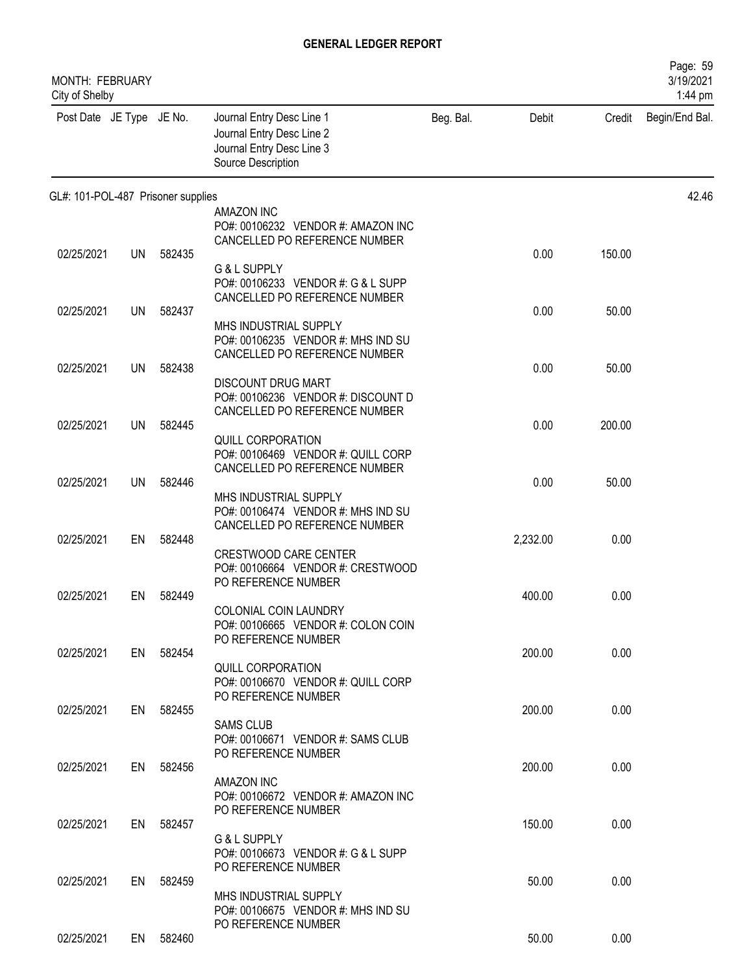| <b>MONTH: FEBRUARY</b><br>City of Shelby |           |           |                                                                                                           |           |          |        | Page: 59<br>3/19/2021<br>1:44 pm |
|------------------------------------------|-----------|-----------|-----------------------------------------------------------------------------------------------------------|-----------|----------|--------|----------------------------------|
| Post Date JE Type JE No.                 |           |           | Journal Entry Desc Line 1<br>Journal Entry Desc Line 2<br>Journal Entry Desc Line 3<br>Source Description | Beg. Bal. | Debit    | Credit | Begin/End Bal.                   |
| GL#: 101-POL-487 Prisoner supplies       |           |           |                                                                                                           |           |          |        | 42.46                            |
|                                          |           |           | <b>AMAZON INC</b><br>PO#: 00106232 VENDOR #: AMAZON INC<br>CANCELLED PO REFERENCE NUMBER                  |           |          |        |                                  |
| 02/25/2021                               | <b>UN</b> | 582435    | G & L SUPPLY<br>PO#: 00106233 VENDOR #: G & L SUPP                                                        |           | 0.00     | 150.00 |                                  |
| 02/25/2021                               | <b>UN</b> | 582437    | CANCELLED PO REFERENCE NUMBER                                                                             |           | 0.00     | 50.00  |                                  |
|                                          |           |           | MHS INDUSTRIAL SUPPLY<br>PO#: 00106235 VENDOR #: MHS IND SU<br>CANCELLED PO REFERENCE NUMBER              |           |          |        |                                  |
| 02/25/2021                               | <b>UN</b> | 582438    | <b>DISCOUNT DRUG MART</b><br>PO#: 00106236 VENDOR #: DISCOUNT D<br>CANCELLED PO REFERENCE NUMBER          |           | 0.00     | 50.00  |                                  |
| 02/25/2021                               | <b>UN</b> | 582445    |                                                                                                           |           | 0.00     | 200.00 |                                  |
|                                          |           |           | QUILL CORPORATION<br>PO#: 00106469 VENDOR #: QUILL CORP<br>CANCELLED PO REFERENCE NUMBER                  |           |          |        |                                  |
| 02/25/2021                               | UN        | 582446    |                                                                                                           |           | 0.00     | 50.00  |                                  |
| 02/25/2021                               | EN        | 582448    | MHS INDUSTRIAL SUPPLY<br>PO#: 00106474 VENDOR #: MHS IND SU<br>CANCELLED PO REFERENCE NUMBER              |           | 2,232.00 | 0.00   |                                  |
|                                          |           |           | <b>CRESTWOOD CARE CENTER</b><br>PO#: 00106664 VENDOR #: CRESTWOOD<br>PO REFERENCE NUMBER                  |           |          |        |                                  |
| 02/25/2021                               | EN        | 582449    |                                                                                                           |           | 400.00   | 0.00   |                                  |
| 02/25/2021                               |           | EN 582454 | COLONIAL COIN LAUNDRY<br>PO#: 00106665 VENDOR #: COLON COIN<br>PO REFERENCE NUMBER                        |           | 200.00   | 0.00   |                                  |
|                                          |           |           | QUILL CORPORATION<br>PO#: 00106670 VENDOR #: QUILL CORP<br>PO REFERENCE NUMBER                            |           |          |        |                                  |
| 02/25/2021                               |           | EN 582455 |                                                                                                           |           | 200.00   | 0.00   |                                  |
|                                          |           |           | <b>SAMS CLUB</b><br>PO#: 00106671 VENDOR #: SAMS CLUB<br>PO REFERENCE NUMBER                              |           |          |        |                                  |
| 02/25/2021                               |           | EN 582456 | AMAZON INC<br>PO#: 00106672 VENDOR #: AMAZON INC                                                          |           | 200.00   | 0.00   |                                  |
| 02/25/2021                               |           | EN 582457 | PO REFERENCE NUMBER                                                                                       |           | 150.00   | 0.00   |                                  |
|                                          |           |           | G & L SUPPLY<br>PO#: 00106673 VENDOR #: G & L SUPP<br>PO REFERENCE NUMBER                                 |           |          |        |                                  |
| 02/25/2021                               | EN        | 582459    |                                                                                                           |           | 50.00    | 0.00   |                                  |
|                                          |           |           | MHS INDUSTRIAL SUPPLY<br>PO#: 00106675 VENDOR #: MHS IND SU<br>PO REFERENCE NUMBER                        |           |          |        |                                  |
| 02/25/2021                               |           | EN 582460 |                                                                                                           |           | 50.00    | 0.00   |                                  |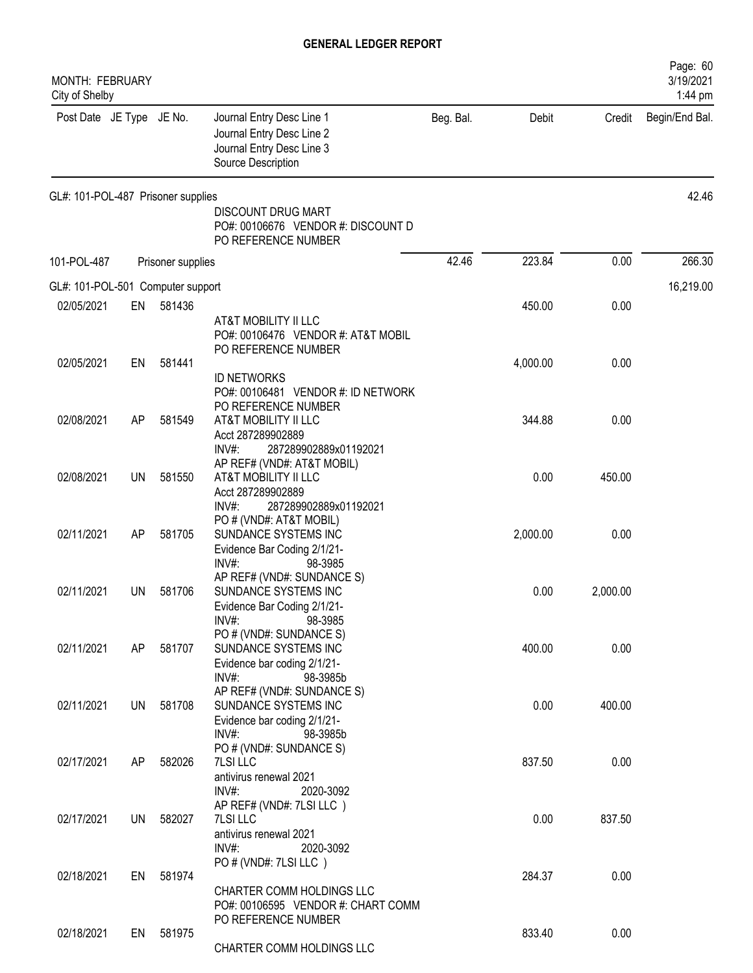| MONTH: FEBRUARY<br>City of Shelby  |           |                   |                                                                                                           |           |          |          | Page: 60<br>3/19/2021<br>1:44 pm |
|------------------------------------|-----------|-------------------|-----------------------------------------------------------------------------------------------------------|-----------|----------|----------|----------------------------------|
| Post Date JE Type JE No.           |           |                   | Journal Entry Desc Line 1<br>Journal Entry Desc Line 2<br>Journal Entry Desc Line 3<br>Source Description | Beg. Bal. | Debit    | Credit   | Begin/End Bal.                   |
| GL#: 101-POL-487 Prisoner supplies |           |                   | <b>DISCOUNT DRUG MART</b><br>PO#: 00106676 VENDOR #: DISCOUNT D<br>PO REFERENCE NUMBER                    |           |          |          | 42.46                            |
| 101-POL-487                        |           | Prisoner supplies |                                                                                                           | 42.46     | 223.84   | 0.00     | 266.30                           |
|                                    |           |                   |                                                                                                           |           |          |          |                                  |
| GL#: 101-POL-501 Computer support  |           |                   |                                                                                                           |           |          |          | 16,219.00                        |
| 02/05/2021                         | EN        | 581436            | AT&T MOBILITY II LLC<br>PO#: 00106476 VENDOR #: AT&T MOBIL<br>PO REFERENCE NUMBER                         |           | 450.00   | 0.00     |                                  |
| 02/05/2021                         | EN        | 581441            | <b>ID NETWORKS</b><br>PO#: 00106481 VENDOR #: ID NETWORK<br>PO REFERENCE NUMBER                           |           | 4,000.00 | 0.00     |                                  |
| 02/08/2021                         | AP        | 581549            | AT&T MOBILITY II LLC<br>Acct 287289902889<br>INV#:<br>287289902889x01192021                               |           | 344.88   | 0.00     |                                  |
| 02/08/2021                         | <b>UN</b> | 581550            | AP REF# (VND#: AT&T MOBIL)<br>AT&T MOBILITY II LLC<br>Acct 287289902889<br>INV#:<br>287289902889x01192021 |           | 0.00     | 450.00   |                                  |
| 02/11/2021                         | AP        | 581705            | PO # (VND#: AT&T MOBIL)<br>SUNDANCE SYSTEMS INC<br>Evidence Bar Coding 2/1/21-<br>$INV#$ :<br>98-3985     |           | 2,000.00 | 0.00     |                                  |
| 02/11/2021                         | UN        | 581706            | AP REF# (VND#: SUNDANCE S)<br>SUNDANCE SYSTEMS INC<br>Evidence Bar Coding 2/1/21-<br>$INV#$ :<br>98-3985  |           | 0.00     | 2,000.00 |                                  |
| 02/11/2021                         | AP        | 581707            | PO # (VND#: SUNDANCE S)<br>SUNDANCE SYSTEMS INC<br>Evidence bar coding 2/1/21-<br>INV#:<br>98-3985b       |           | 400.00   | 0.00     |                                  |
| 02/11/2021                         | <b>UN</b> | 581708            | AP REF# (VND#: SUNDANCE S)<br>SUNDANCE SYSTEMS INC<br>Evidence bar coding 2/1/21-<br>$INV#$ :<br>98-3985b |           | 0.00     | 400.00   |                                  |
| 02/17/2021                         | AP        | 582026            | PO # (VND#: SUNDANCE S)<br>7LSI LLC<br>antivirus renewal 2021<br>$INV#$ :<br>2020-3092                    |           | 837.50   | 0.00     |                                  |
| 02/17/2021                         | <b>UN</b> | 582027            | AP REF# (VND#: 7LSI LLC)<br>7LSI LLC<br>antivirus renewal 2021<br>INV#:<br>2020-3092                      |           | 0.00     | 837.50   |                                  |
| 02/18/2021                         | EN        | 581974            | PO # (VND#: 7LSI LLC)<br>CHARTER COMM HOLDINGS LLC<br>PO#: 00106595 VENDOR #: CHART COMM                  |           | 284.37   | 0.00     |                                  |
| 02/18/2021                         | EN        | 581975            | PO REFERENCE NUMBER<br>CHARTER COMM HOLDINGS LLC                                                          |           | 833.40   | 0.00     |                                  |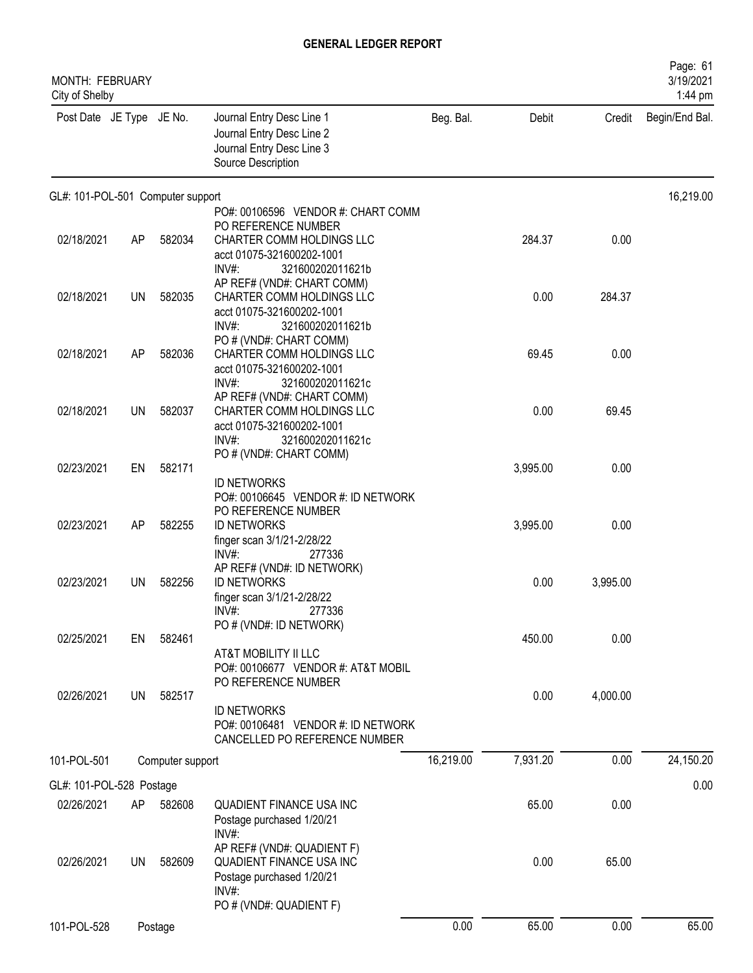| MONTH: FEBRUARY<br>City of Shelby |           |                  |                                                                                                                                                |           |          |          | Page: 61<br>3/19/2021<br>1:44 pm |
|-----------------------------------|-----------|------------------|------------------------------------------------------------------------------------------------------------------------------------------------|-----------|----------|----------|----------------------------------|
| Post Date JE Type JE No.          |           |                  | Journal Entry Desc Line 1<br>Journal Entry Desc Line 2<br>Journal Entry Desc Line 3<br>Source Description                                      | Beg. Bal. | Debit    | Credit   | Begin/End Bal.                   |
| GL#: 101-POL-501 Computer support |           |                  |                                                                                                                                                |           |          |          | 16,219.00                        |
|                                   |           |                  | PO#: 00106596 VENDOR #: CHART COMM<br>PO REFERENCE NUMBER                                                                                      |           |          |          |                                  |
| 02/18/2021                        | AP        | 582034           | CHARTER COMM HOLDINGS LLC<br>acct 01075-321600202-1001<br>INV#:<br>321600202011621b                                                            |           | 284.37   | 0.00     |                                  |
| 02/18/2021                        | <b>UN</b> | 582035           | AP REF# (VND#: CHART COMM)<br>CHARTER COMM HOLDINGS LLC<br>acct 01075-321600202-1001<br>INV#:<br>321600202011621b                              |           | 0.00     | 284.37   |                                  |
| 02/18/2021                        | <b>AP</b> | 582036           | PO # (VND#: CHART COMM)<br>CHARTER COMM HOLDINGS LLC<br>acct 01075-321600202-1001                                                              |           | 69.45    | 0.00     |                                  |
| 02/18/2021                        | UN        | 582037           | INV#:<br>321600202011621c<br>AP REF# (VND#: CHART COMM)<br>CHARTER COMM HOLDINGS LLC<br>acct 01075-321600202-1001<br>INV#:<br>321600202011621c |           | 0.00     | 69.45    |                                  |
|                                   |           |                  | PO # (VND#: CHART COMM)                                                                                                                        |           |          |          |                                  |
| 02/23/2021                        | EN        | 582171           | <b>ID NETWORKS</b><br>PO#: 00106645 VENDOR #: ID NETWORK<br>PO REFERENCE NUMBER                                                                |           | 3,995.00 | 0.00     |                                  |
| 02/23/2021                        | AP        | 582255           | <b>ID NETWORKS</b><br>finger scan 3/1/21-2/28/22<br>INV#<br>277336                                                                             |           | 3,995.00 | 0.00     |                                  |
| 02/23/2021                        | UN        | 582256           | AP REF# (VND#: ID NETWORK)<br><b>ID NETWORKS</b><br>finger scan 3/1/21-2/28/22<br>INV#:<br>277336                                              |           | 0.00     | 3,995.00 |                                  |
|                                   |           |                  | PO # (VND#: ID NETWORK)                                                                                                                        |           |          |          |                                  |
| 02/25/2021                        | EN        | 582461           | AT&T MOBILITY II LLC<br>PO#: 00106677 VENDOR #: AT&T MOBIL                                                                                     |           | 450.00   | 0.00     |                                  |
| 02/26/2021                        | <b>UN</b> | 582517           | PO REFERENCE NUMBER<br><b>ID NETWORKS</b><br>PO#: 00106481 VENDOR #: ID NETWORK<br>CANCELLED PO REFERENCE NUMBER                               |           | 0.00     | 4,000.00 |                                  |
| 101-POL-501                       |           | Computer support |                                                                                                                                                | 16,219.00 | 7,931.20 | 0.00     | 24,150.20                        |
| GL#: 101-POL-528 Postage          |           |                  |                                                                                                                                                |           |          |          | 0.00                             |
| 02/26/2021                        | AP        | 582608           | QUADIENT FINANCE USA INC<br>Postage purchased 1/20/21<br>$INV#$ :                                                                              |           | 65.00    | 0.00     |                                  |
| 02/26/2021                        | <b>UN</b> | 582609           | AP REF# (VND#: QUADIENT F)<br>QUADIENT FINANCE USA INC<br>Postage purchased 1/20/21<br>INV#:<br>PO # (VND#: QUADIENT F)                        |           | 0.00     | 65.00    |                                  |
| 101-POL-528                       |           | Postage          |                                                                                                                                                | 0.00      | 65.00    | 0.00     | 65.00                            |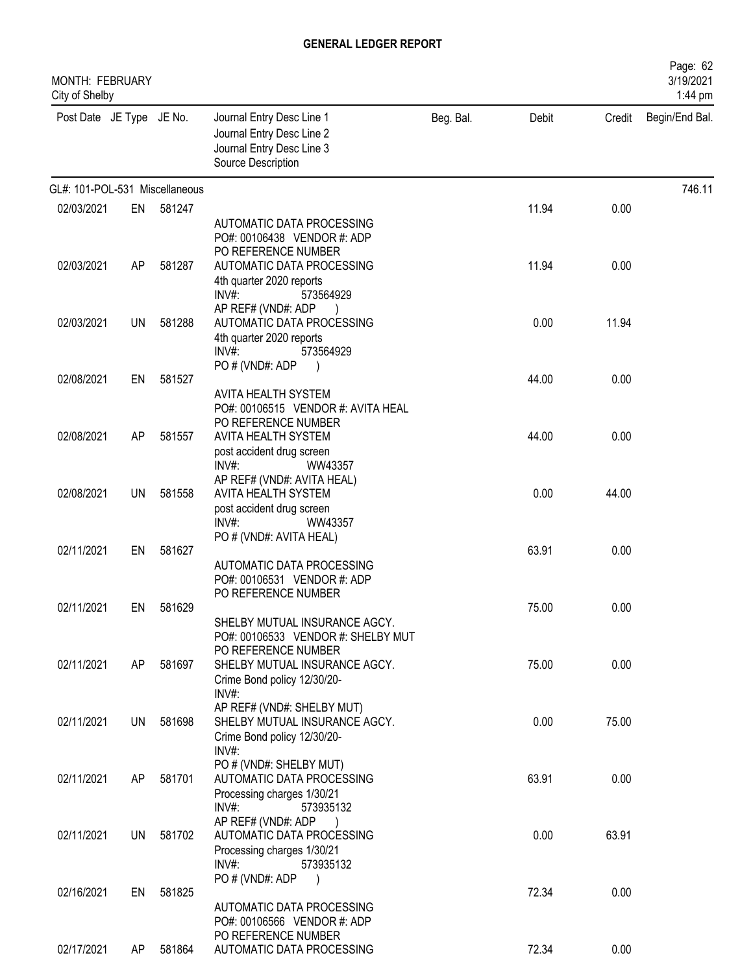| <b>MONTH: FEBRUARY</b><br>City of Shelby |     |        |                                                                                                              |           |       |        | Page: 62<br>3/19/2021<br>1:44 pm |
|------------------------------------------|-----|--------|--------------------------------------------------------------------------------------------------------------|-----------|-------|--------|----------------------------------|
| Post Date JE Type JE No.                 |     |        | Journal Entry Desc Line 1<br>Journal Entry Desc Line 2<br>Journal Entry Desc Line 3<br>Source Description    | Beg. Bal. | Debit | Credit | Begin/End Bal.                   |
| GL#: 101-POL-531 Miscellaneous           |     |        |                                                                                                              |           |       |        | 746.11                           |
| 02/03/2021                               | EN  | 581247 |                                                                                                              |           | 11.94 | 0.00   |                                  |
| 02/03/2021                               | AP  | 581287 | AUTOMATIC DATA PROCESSING<br>PO#: 00106438 VENDOR #: ADP<br>PO REFERENCE NUMBER<br>AUTOMATIC DATA PROCESSING |           | 11.94 | 0.00   |                                  |
|                                          |     |        | 4th quarter 2020 reports<br>$INV#$ :<br>573564929<br>AP REF# (VND#: ADP                                      |           |       |        |                                  |
| 02/03/2021                               | UN  | 581288 | AUTOMATIC DATA PROCESSING<br>4th quarter 2020 reports<br>$INV#$ :<br>573564929<br>PO # (VND#: ADP            |           | 0.00  | 11.94  |                                  |
| 02/08/2021                               | EN  | 581527 | AVITA HEALTH SYSTEM<br>PO#: 00106515 VENDOR #: AVITA HEAL                                                    |           | 44.00 | 0.00   |                                  |
| 02/08/2021                               | AP  | 581557 | PO REFERENCE NUMBER<br>AVITA HEALTH SYSTEM<br>post accident drug screen<br>$INV#$ :<br>WW43357               |           | 44.00 | 0.00   |                                  |
| 02/08/2021                               | UN  | 581558 | AP REF# (VND#: AVITA HEAL)<br>AVITA HEALTH SYSTEM<br>post accident drug screen<br>INV#<br>WW43357            |           | 0.00  | 44.00  |                                  |
| 02/11/2021                               | EN  | 581627 | PO # (VND#: AVITA HEAL)<br>AUTOMATIC DATA PROCESSING<br>PO#: 00106531 VENDOR #: ADP<br>PO REFERENCE NUMBER   |           | 63.91 | 0.00   |                                  |
| 02/11/2021                               | EN  | 581629 | SHELBY MUTUAL INSURANCE AGCY.<br>PO#: 00106533 VENDOR #: SHELBY MUT                                          |           | 75.00 | 0.00   |                                  |
| 02/11/2021                               | AP  | 581697 | PO REFERENCE NUMBER<br>SHELBY MUTUAL INSURANCE AGCY.<br>Crime Bond policy 12/30/20-<br>$INV#$ :              |           | 75.00 | 0.00   |                                  |
| 02/11/2021                               | UN  | 581698 | AP REF# (VND#: SHELBY MUT)<br>SHELBY MUTUAL INSURANCE AGCY.<br>Crime Bond policy 12/30/20-<br>INV#:          |           | 0.00  | 75.00  |                                  |
| 02/11/2021                               | AP  | 581701 | PO # (VND#: SHELBY MUT)<br>AUTOMATIC DATA PROCESSING<br>Processing charges 1/30/21<br>INV#:<br>573935132     |           | 63.91 | 0.00   |                                  |
| 02/11/2021                               | UN  | 581702 | AP REF# (VND#: ADP<br>AUTOMATIC DATA PROCESSING<br>Processing charges 1/30/21<br>$INV#$ :<br>573935132       |           | 0.00  | 63.91  |                                  |
| 02/16/2021                               | EN  | 581825 | PO # (VND#: ADP<br>AUTOMATIC DATA PROCESSING<br>PO#: 00106566 VENDOR #: ADP                                  |           | 72.34 | 0.00   |                                  |
| 02/17/2021                               | AP. | 581864 | PO REFERENCE NUMBER<br>AUTOMATIC DATA PROCESSING                                                             |           | 72.34 | 0.00   |                                  |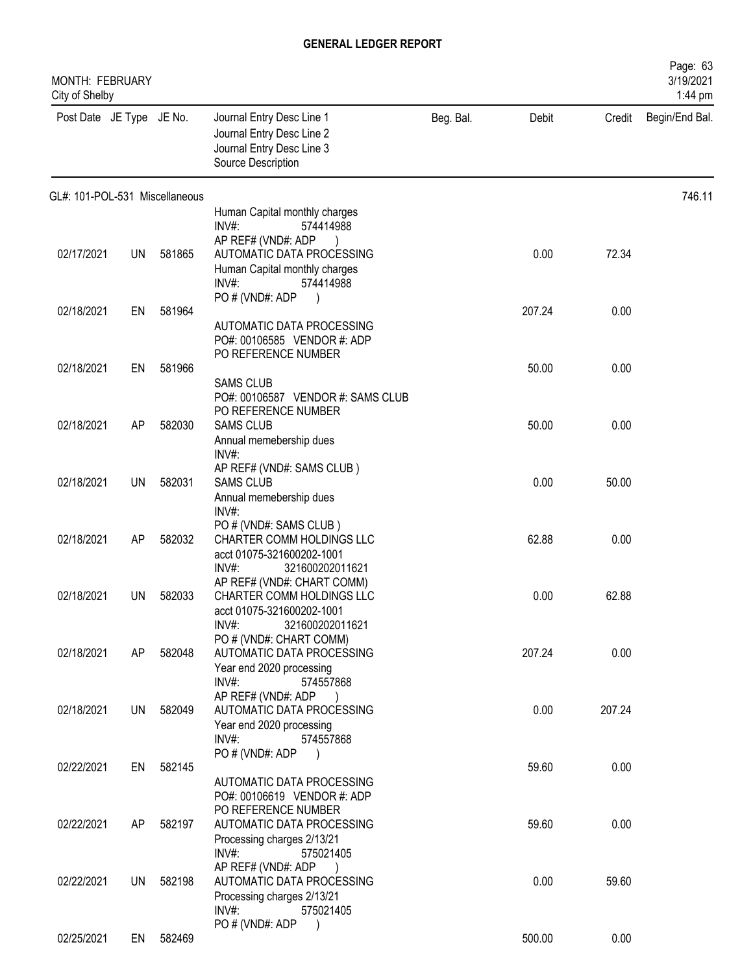| <b>MONTH: FEBRUARY</b><br>City of Shelby |           |        |                                                                                                                              |           |        |        | Page: 63<br>3/19/2021<br>1:44 pm |
|------------------------------------------|-----------|--------|------------------------------------------------------------------------------------------------------------------------------|-----------|--------|--------|----------------------------------|
| Post Date JE Type JE No.                 |           |        | Journal Entry Desc Line 1<br>Journal Entry Desc Line 2<br>Journal Entry Desc Line 3<br>Source Description                    | Beg. Bal. | Debit  | Credit | Begin/End Bal.                   |
| GL#: 101-POL-531 Miscellaneous           |           |        |                                                                                                                              |           |        |        | 746.11                           |
|                                          |           |        | Human Capital monthly charges<br>INV#:<br>574414988                                                                          |           |        |        |                                  |
| 02/17/2021                               | <b>UN</b> | 581865 | AP REF# (VND#: ADP<br>AUTOMATIC DATA PROCESSING<br>Human Capital monthly charges<br>$INV#$ :<br>574414988<br>PO # (VND#: ADP |           | 0.00   | 72.34  |                                  |
| 02/18/2021                               | EN        | 581964 |                                                                                                                              |           | 207.24 | 0.00   |                                  |
|                                          |           |        | AUTOMATIC DATA PROCESSING<br>PO#: 00106585 VENDOR #: ADP<br>PO REFERENCE NUMBER                                              |           |        |        |                                  |
| 02/18/2021                               | EN        | 581966 | <b>SAMS CLUB</b>                                                                                                             |           | 50.00  | 0.00   |                                  |
| 02/18/2021                               | AP        | 582030 | PO#: 00106587 VENDOR #: SAMS CLUB<br>PO REFERENCE NUMBER<br><b>SAMS CLUB</b><br>Annual memebership dues                      |           | 50.00  | 0.00   |                                  |
| 02/18/2021                               | UN        | 582031 | INV#:<br>AP REF# (VND#: SAMS CLUB)<br><b>SAMS CLUB</b>                                                                       |           | 0.00   | 50.00  |                                  |
|                                          |           |        | Annual memebership dues<br>$INV#$ :                                                                                          |           |        |        |                                  |
| 02/18/2021                               | AP        | 582032 | PO # (VND#: SAMS CLUB)<br>CHARTER COMM HOLDINGS LLC<br>acct 01075-321600202-1001<br>INV#<br>321600202011621                  |           | 62.88  | 0.00   |                                  |
| 02/18/2021                               | UN        | 582033 | AP REF# (VND#: CHART COMM)<br>CHARTER COMM HOLDINGS LLC<br>acct 01075-321600202-1001                                         |           | 0.00   | 62.88  |                                  |
| 02/18/2021                               | AP        | 582048 | INV#:<br>321600202011621<br>PO # (VND#: CHART COMM)<br>AUTOMATIC DATA PROCESSING<br>Year end 2020 processing                 |           | 207.24 | 0.00   |                                  |
| 02/18/2021                               | UN        | 582049 | INV#:<br>574557868<br>AP REF# (VND#: ADP<br>AUTOMATIC DATA PROCESSING<br>Year end 2020 processing<br>$INV#$ :<br>574557868   |           | 0.00   | 207.24 |                                  |
|                                          |           |        | PO # (VND#: ADP<br>$\cdot$                                                                                                   |           |        |        |                                  |
| 02/22/2021                               | EN        | 582145 | AUTOMATIC DATA PROCESSING<br>PO#: 00106619 VENDOR #: ADP                                                                     |           | 59.60  | 0.00   |                                  |
| 02/22/2021                               | AP        | 582197 | PO REFERENCE NUMBER<br>AUTOMATIC DATA PROCESSING<br>Processing charges 2/13/21<br>INV#:<br>575021405                         |           | 59.60  | 0.00   |                                  |
| 02/22/2021                               | UN        | 582198 | AP REF# (VND#: ADP<br>AUTOMATIC DATA PROCESSING<br>Processing charges 2/13/21<br>$INV#$ :<br>575021405                       |           | 0.00   | 59.60  |                                  |
| 02/25/2021                               | EN        | 582469 | PO # (VND#: ADP                                                                                                              |           | 500.00 | 0.00   |                                  |
|                                          |           |        |                                                                                                                              |           |        |        |                                  |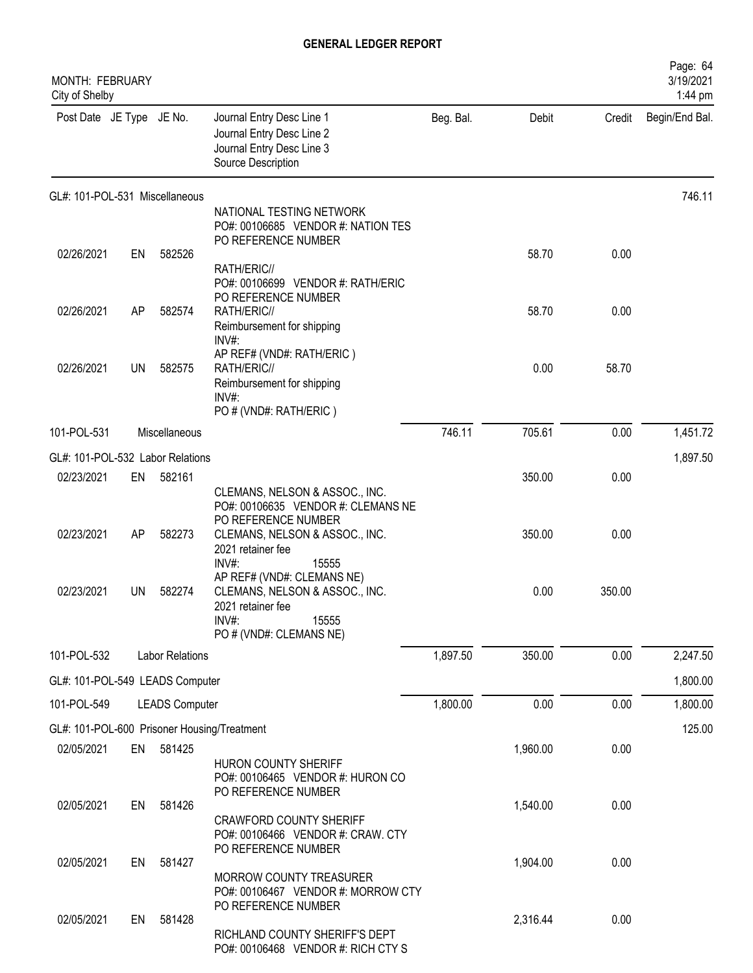| <b>MONTH: FEBRUARY</b><br>City of Shelby |           |                        |                                                                                                                                   |           |          |        | Page: 64<br>3/19/2021<br>1:44 pm |
|------------------------------------------|-----------|------------------------|-----------------------------------------------------------------------------------------------------------------------------------|-----------|----------|--------|----------------------------------|
| Post Date JE Type JE No.                 |           |                        | Journal Entry Desc Line 1<br>Journal Entry Desc Line 2<br>Journal Entry Desc Line 3<br>Source Description                         | Beg. Bal. | Debit    | Credit | Begin/End Bal.                   |
| GL#: 101-POL-531 Miscellaneous           |           |                        |                                                                                                                                   |           |          |        | 746.11                           |
|                                          |           |                        | NATIONAL TESTING NETWORK<br>PO#: 00106685 VENDOR #: NATION TES<br>PO REFERENCE NUMBER                                             |           |          |        |                                  |
| 02/26/2021                               | EN        | 582526                 | RATH/ERIC//<br>PO#: 00106699 VENDOR #: RATH/ERIC<br>PO REFERENCE NUMBER                                                           |           | 58.70    | 0.00   |                                  |
| 02/26/2021                               | AP        | 582574                 | RATH/ERIC//<br>Reimbursement for shipping<br>INV#:                                                                                |           | 58.70    | 0.00   |                                  |
| 02/26/2021                               | <b>UN</b> | 582575                 | AP REF# (VND#: RATH/ERIC)<br>RATH/ERIC//<br>Reimbursement for shipping<br>$INV#$ :<br>PO # (VND#: RATH/ERIC)                      |           | 0.00     | 58.70  |                                  |
| 101-POL-531                              |           | Miscellaneous          |                                                                                                                                   | 746.11    | 705.61   | 0.00   | 1,451.72                         |
| GL#: 101-POL-532 Labor Relations         |           |                        |                                                                                                                                   |           |          |        | 1,897.50                         |
| 02/23/2021                               | EN        | 582161                 | CLEMANS, NELSON & ASSOC., INC.<br>PO#: 00106635 VENDOR #: CLEMANS NE<br>PO REFERENCE NUMBER                                       |           | 350.00   | 0.00   |                                  |
| 02/23/2021                               | AP        | 582273                 | CLEMANS, NELSON & ASSOC., INC.<br>2021 retainer fee<br>INV#:<br>15555                                                             |           | 350.00   | 0.00   |                                  |
| 02/23/2021                               | UN        | 582274                 | AP REF# (VND#: CLEMANS NE)<br>CLEMANS, NELSON & ASSOC., INC.<br>2021 retainer fee<br>15555<br>$INV#$ :<br>PO # (VND#: CLEMANS NE) |           | 0.00     | 350.00 |                                  |
| 101-POL-532                              |           | <b>Labor Relations</b> |                                                                                                                                   | 1,897.50  | 350.00   | 0.00   | 2,247.50                         |
| GL#: 101-POL-549 LEADS Computer          |           |                        |                                                                                                                                   |           |          |        | 1,800.00                         |
| 101-POL-549                              |           | <b>LEADS Computer</b>  |                                                                                                                                   | 1,800.00  | 0.00     | 0.00   | 1,800.00                         |
|                                          |           |                        | GL#: 101-POL-600 Prisoner Housing/Treatment                                                                                       |           |          |        | 125.00                           |
| 02/05/2021                               | EN        | 581425                 | HURON COUNTY SHERIFF<br>PO#: 00106465 VENDOR #: HURON CO<br>PO REFERENCE NUMBER                                                   |           | 1,960.00 | 0.00   |                                  |
| 02/05/2021                               | EN        | 581426                 | <b>CRAWFORD COUNTY SHERIFF</b><br>PO#: 00106466 VENDOR #: CRAW. CTY<br>PO REFERENCE NUMBER                                        |           | 1,540.00 | 0.00   |                                  |
| 02/05/2021                               | EN        | 581427                 | MORROW COUNTY TREASURER<br>PO#: 00106467 VENDOR #: MORROW CTY<br>PO REFERENCE NUMBER                                              |           | 1,904.00 | 0.00   |                                  |
| 02/05/2021                               | EN        | 581428                 | RICHLAND COUNTY SHERIFF'S DEPT<br>PO#: 00106468 VENDOR #: RICH CTY S                                                              |           | 2,316.44 | 0.00   |                                  |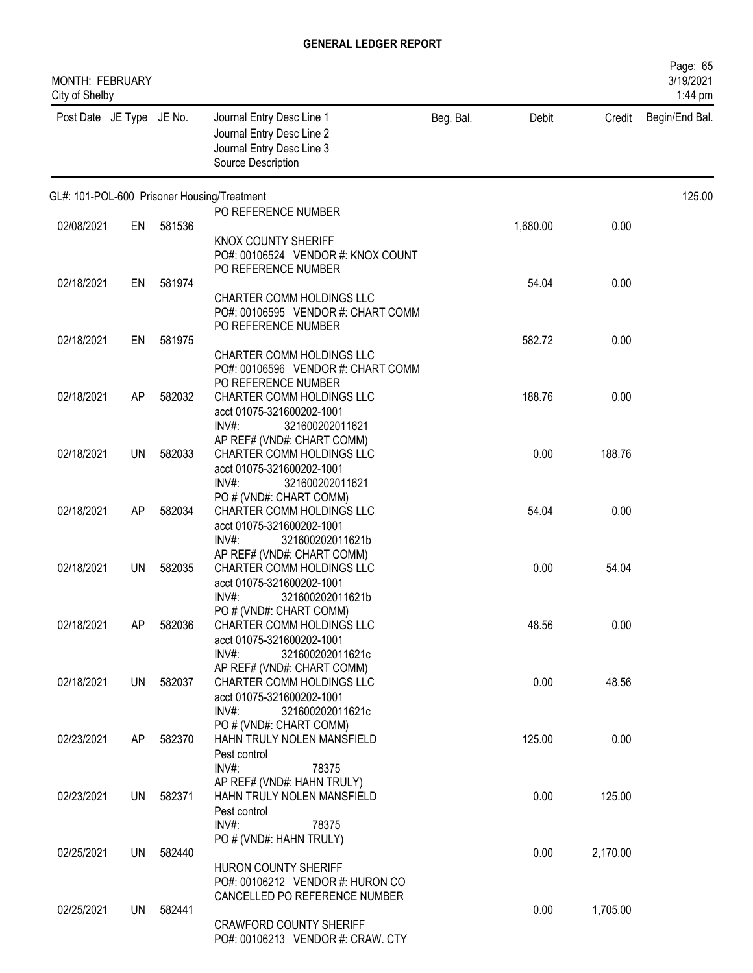| <b>MONTH: FEBRUARY</b><br>City of Shelby |           |        |                                                                                                           |           |          |          | Page: 65<br>3/19/2021<br>1:44 pm |
|------------------------------------------|-----------|--------|-----------------------------------------------------------------------------------------------------------|-----------|----------|----------|----------------------------------|
| Post Date JE Type JE No.                 |           |        | Journal Entry Desc Line 1<br>Journal Entry Desc Line 2<br>Journal Entry Desc Line 3<br>Source Description | Beg. Bal. | Debit    | Credit   | Begin/End Bal.                   |
|                                          |           |        | GL#: 101-POL-600 Prisoner Housing/Treatment<br>PO REFERENCE NUMBER                                        |           |          |          | 125.00                           |
| 02/08/2021                               | EN        | 581536 |                                                                                                           |           | 1,680.00 | 0.00     |                                  |
|                                          |           |        | KNOX COUNTY SHERIFF<br>PO#: 00106524 VENDOR #: KNOX COUNT<br>PO REFERENCE NUMBER                          |           |          |          |                                  |
| 02/18/2021                               | EN        | 581974 | CHARTER COMM HOLDINGS LLC                                                                                 |           | 54.04    | 0.00     |                                  |
|                                          |           |        | PO#: 00106595 VENDOR #: CHART COMM<br>PO REFERENCE NUMBER                                                 |           |          |          |                                  |
| 02/18/2021                               | EN        | 581975 | CHARTER COMM HOLDINGS LLC                                                                                 |           | 582.72   | 0.00     |                                  |
|                                          |           |        | PO#: 00106596 VENDOR #: CHART COMM                                                                        |           |          |          |                                  |
| 02/18/2021                               | AP        | 582032 | PO REFERENCE NUMBER<br>CHARTER COMM HOLDINGS LLC                                                          |           | 188.76   | 0.00     |                                  |
|                                          |           |        | acct 01075-321600202-1001<br>$INV#$ :<br>321600202011621                                                  |           |          |          |                                  |
| 02/18/2021                               | <b>UN</b> | 582033 | AP REF# (VND#: CHART COMM)<br>CHARTER COMM HOLDINGS LLC                                                   |           | 0.00     | 188.76   |                                  |
|                                          |           |        | acct 01075-321600202-1001                                                                                 |           |          |          |                                  |
|                                          |           |        | INV#:<br>321600202011621<br>PO # (VND#: CHART COMM)                                                       |           |          |          |                                  |
| 02/18/2021                               | AP        | 582034 | CHARTER COMM HOLDINGS LLC<br>acct 01075-321600202-1001                                                    |           | 54.04    | 0.00     |                                  |
|                                          |           |        | $INV#$ :<br>321600202011621b                                                                              |           |          |          |                                  |
| 02/18/2021                               | UN        | 582035 | AP REF# (VND#: CHART COMM)<br>CHARTER COMM HOLDINGS LLC                                                   |           | 0.00     | 54.04    |                                  |
|                                          |           |        | acct 01075-321600202-1001<br>INV#:                                                                        |           |          |          |                                  |
|                                          |           |        | 321600202011621b<br>PO # (VND#: CHART COMM)                                                               |           |          |          |                                  |
| 02/18/2021                               | AP        | 582036 | CHARTER COMM HOLDINGS LLC<br>acct 01075-321600202-1001                                                    |           | 48.56    | 0.00     |                                  |
|                                          |           |        | $INV#$ :<br>321600202011621c<br>AP REF# (VND#: CHART COMM)                                                |           |          |          |                                  |
| 02/18/2021                               | UN        | 582037 | CHARTER COMM HOLDINGS LLC                                                                                 |           | 0.00     | 48.56    |                                  |
|                                          |           |        | acct 01075-321600202-1001<br>$INV#$ :<br>321600202011621c                                                 |           |          |          |                                  |
| 02/23/2021                               | AP        | 582370 | PO # (VND#: CHART COMM)<br>HAHN TRULY NOLEN MANSFIELD                                                     |           | 125.00   | 0.00     |                                  |
|                                          |           |        | Pest control                                                                                              |           |          |          |                                  |
|                                          |           |        | $INV#$ :<br>78375<br>AP REF# (VND#: HAHN TRULY)                                                           |           |          |          |                                  |
| 02/23/2021                               | UN        | 582371 | HAHN TRULY NOLEN MANSFIELD<br>Pest control                                                                |           | 0.00     | 125.00   |                                  |
|                                          |           |        | $INV#$ :<br>78375                                                                                         |           |          |          |                                  |
| 02/25/2021                               | UN        | 582440 | PO # (VND#: HAHN TRULY)                                                                                   |           | 0.00     | 2,170.00 |                                  |
|                                          |           |        | <b>HURON COUNTY SHERIFF</b><br>PO#: 00106212 VENDOR #: HURON CO                                           |           |          |          |                                  |
|                                          |           |        | CANCELLED PO REFERENCE NUMBER                                                                             |           |          |          |                                  |
| 02/25/2021                               | UN        | 582441 | <b>CRAWFORD COUNTY SHERIFF</b>                                                                            |           | 0.00     | 1,705.00 |                                  |
|                                          |           |        | PO#: 00106213 VENDOR #: CRAW. CTY                                                                         |           |          |          |                                  |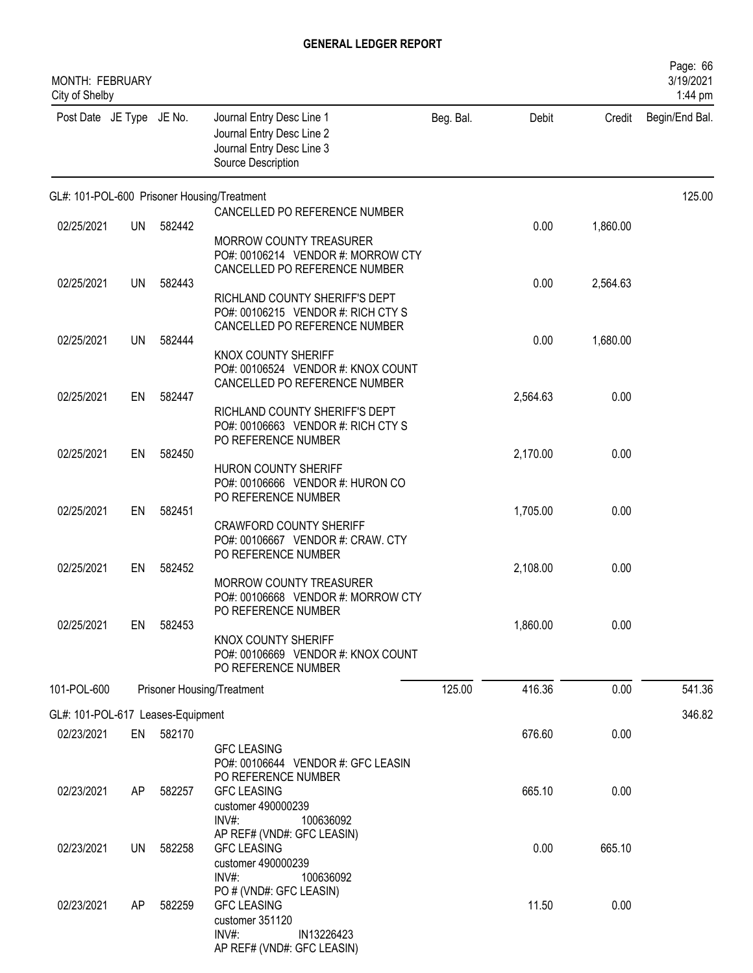| MONTH: FEBRUARY<br>City of Shelby |           |           |                                                                                                                          |           |          |          | Page: 66<br>3/19/2021<br>1:44 pm |
|-----------------------------------|-----------|-----------|--------------------------------------------------------------------------------------------------------------------------|-----------|----------|----------|----------------------------------|
| Post Date JE Type JE No.          |           |           | Journal Entry Desc Line 1<br>Journal Entry Desc Line 2<br>Journal Entry Desc Line 3<br>Source Description                | Beg. Bal. | Debit    | Credit   | Begin/End Bal.                   |
|                                   |           |           | GL#: 101-POL-600 Prisoner Housing/Treatment                                                                              |           |          |          | 125.00                           |
| 02/25/2021                        | UN        | 582442    | CANCELLED PO REFERENCE NUMBER<br>MORROW COUNTY TREASURER<br>PO#: 00106214 VENDOR #: MORROW CTY                           |           | 0.00     | 1,860.00 |                                  |
| 02/25/2021                        | <b>UN</b> | 582443    | CANCELLED PO REFERENCE NUMBER<br>RICHLAND COUNTY SHERIFF'S DEPT                                                          |           | 0.00     | 2,564.63 |                                  |
| 02/25/2021                        | <b>UN</b> | 582444    | PO#: 00106215 VENDOR #: RICH CTY S<br>CANCELLED PO REFERENCE NUMBER                                                      |           | 0.00     | 1,680.00 |                                  |
|                                   |           |           | KNOX COUNTY SHERIFF<br>PO#: 00106524 VENDOR #: KNOX COUNT<br>CANCELLED PO REFERENCE NUMBER                               |           |          |          |                                  |
| 02/25/2021                        | EN        | 582447    | RICHLAND COUNTY SHERIFF'S DEPT<br>PO#: 00106663 VENDOR #: RICH CTY S                                                     |           | 2,564.63 | 0.00     |                                  |
| 02/25/2021                        | EN        | 582450    | PO REFERENCE NUMBER<br>HURON COUNTY SHERIFF<br>PO#: 00106666 VENDOR #: HURON CO                                          |           | 2,170.00 | 0.00     |                                  |
| 02/25/2021                        | EN        | 582451    | PO REFERENCE NUMBER<br><b>CRAWFORD COUNTY SHERIFF</b><br>PO#: 00106667 VENDOR #: CRAW. CTY                               |           | 1,705.00 | 0.00     |                                  |
| 02/25/2021                        | EN        | 582452    | PO REFERENCE NUMBER<br>MORROW COUNTY TREASURER                                                                           |           | 2,108.00 | 0.00     |                                  |
| 02/25/2021                        | EN        | 582453    | PO#: 00106668 VENDOR #: MORROW CTY<br>PO REFERENCE NUMBER<br>KNOX COUNTY SHERIFF                                         |           | 1,860.00 | 0.00     |                                  |
|                                   |           |           | PO#: 00106669 VENDOR #: KNOX COUNT<br>PO REFERENCE NUMBER                                                                |           |          |          |                                  |
| 101-POL-600                       |           |           | Prisoner Housing/Treatment                                                                                               | 125.00    | 416.36   | 0.00     | 541.36                           |
| GL#: 101-POL-617 Leases-Equipment |           |           |                                                                                                                          |           |          |          | 346.82                           |
| 02/23/2021                        |           | EN 582170 | <b>GFC LEASING</b><br>PO#: 00106644 VENDOR #: GFC LEASIN                                                                 |           | 676.60   | 0.00     |                                  |
| 02/23/2021                        | AP        | 582257    | PO REFERENCE NUMBER<br><b>GFC LEASING</b><br>customer 490000239<br>$INV#$ :<br>100636092                                 |           | 665.10   | 0.00     |                                  |
| 02/23/2021                        | <b>UN</b> | 582258    | AP REF# (VND#: GFC LEASIN)<br><b>GFC LEASING</b><br>customer 490000239<br>$INV#$ :<br>100636092                          |           | 0.00     | 665.10   |                                  |
| 02/23/2021                        | AP        | 582259    | PO # (VND#: GFC LEASIN)<br><b>GFC LEASING</b><br>customer 351120<br>$INV#$ :<br>IN13226423<br>AP REF# (VND#: GFC LEASIN) |           | 11.50    | 0.00     |                                  |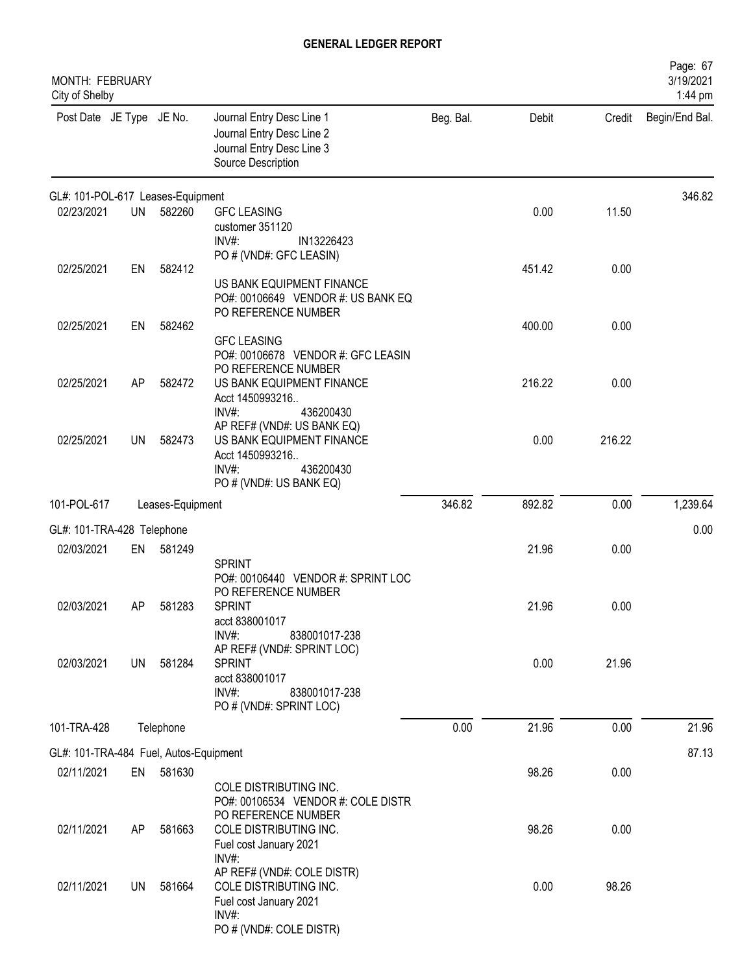| MONTH: FEBRUARY<br>City of Shelby      |           |                  |                                                                                                                                                                                                             |           |               |               | Page: 67<br>3/19/2021<br>1:44 pm |
|----------------------------------------|-----------|------------------|-------------------------------------------------------------------------------------------------------------------------------------------------------------------------------------------------------------|-----------|---------------|---------------|----------------------------------|
| Post Date JE Type JE No.               |           |                  | Journal Entry Desc Line 1<br>Journal Entry Desc Line 2<br>Journal Entry Desc Line 3<br>Source Description                                                                                                   | Beg. Bal. | Debit         | Credit        | Begin/End Bal.                   |
| GL#: 101-POL-617 Leases-Equipment      |           |                  |                                                                                                                                                                                                             |           |               |               | 346.82                           |
| 02/23/2021                             | <b>UN</b> | 582260           | <b>GFC LEASING</b><br>customer 351120<br>$INV#$ :<br>IN13226423<br>PO # (VND#: GFC LEASIN)                                                                                                                  |           | 0.00          | 11.50         |                                  |
| 02/25/2021                             | EN        | 582412           | US BANK EQUIPMENT FINANCE<br>PO#: 00106649 VENDOR #: US BANK EQ<br>PO REFERENCE NUMBER                                                                                                                      |           | 451.42        | 0.00          |                                  |
| 02/25/2021                             | EN        | 582462           | <b>GFC LEASING</b><br>PO#: 00106678 VENDOR #: GFC LEASIN                                                                                                                                                    |           | 400.00        | 0.00          |                                  |
| 02/25/2021                             | AP        | 582472           | PO REFERENCE NUMBER<br>US BANK EQUIPMENT FINANCE<br>Acct 1450993216<br>$INV#$ :<br>436200430                                                                                                                |           | 216.22        | 0.00          |                                  |
| 02/25/2021                             | <b>UN</b> | 582473           | AP REF# (VND#: US BANK EQ)<br>US BANK EQUIPMENT FINANCE<br>Acct 1450993216<br>$INV#$ :<br>436200430<br>PO # (VND#: US BANK EQ)                                                                              |           | 0.00          | 216.22        |                                  |
| 101-POL-617                            |           | Leases-Equipment |                                                                                                                                                                                                             | 346.82    | 892.82        | 0.00          | 1,239.64                         |
| GL#: 101-TRA-428 Telephone             |           |                  |                                                                                                                                                                                                             |           |               |               | 0.00                             |
| 02/03/2021                             | EN        | 581249           |                                                                                                                                                                                                             |           | 21.96         | 0.00          |                                  |
| 02/03/2021<br>02/03/2021               | AΡ<br>UN  | 581283<br>581284 | <b>SPRINT</b><br>PO#: 00106440 VENDOR #: SPRINT LOC<br>PO REFERENCE NUMBER<br><b>SPRINT</b><br>acct 838001017<br>$INV#$ :<br>838001017-238<br>AP REF# (VND#: SPRINT LOC)<br><b>SPRINT</b><br>acct 838001017 |           | 21.96<br>0.00 | 0.00<br>21.96 |                                  |
|                                        |           |                  | INV#:<br>838001017-238<br>PO # (VND#: SPRINT LOC)                                                                                                                                                           |           |               |               |                                  |
| 101-TRA-428                            |           | Telephone        |                                                                                                                                                                                                             | 0.00      | 21.96         | 0.00          | 21.96                            |
| GL#: 101-TRA-484 Fuel, Autos-Equipment |           |                  |                                                                                                                                                                                                             |           |               |               | 87.13                            |
| 02/11/2021                             | EN        | 581630           | COLE DISTRIBUTING INC.<br>PO#: 00106534 VENDOR #: COLE DISTR                                                                                                                                                |           | 98.26         | 0.00          |                                  |
| 02/11/2021                             | AP        | 581663           | PO REFERENCE NUMBER<br>COLE DISTRIBUTING INC.<br>Fuel cost January 2021<br>$INV#$ :                                                                                                                         |           | 98.26         | 0.00          |                                  |
| 02/11/2021                             | UN        | 581664           | AP REF# (VND#: COLE DISTR)<br>COLE DISTRIBUTING INC.<br>Fuel cost January 2021<br>INV#:<br>PO # (VND#: COLE DISTR)                                                                                          |           | 0.00          | 98.26         |                                  |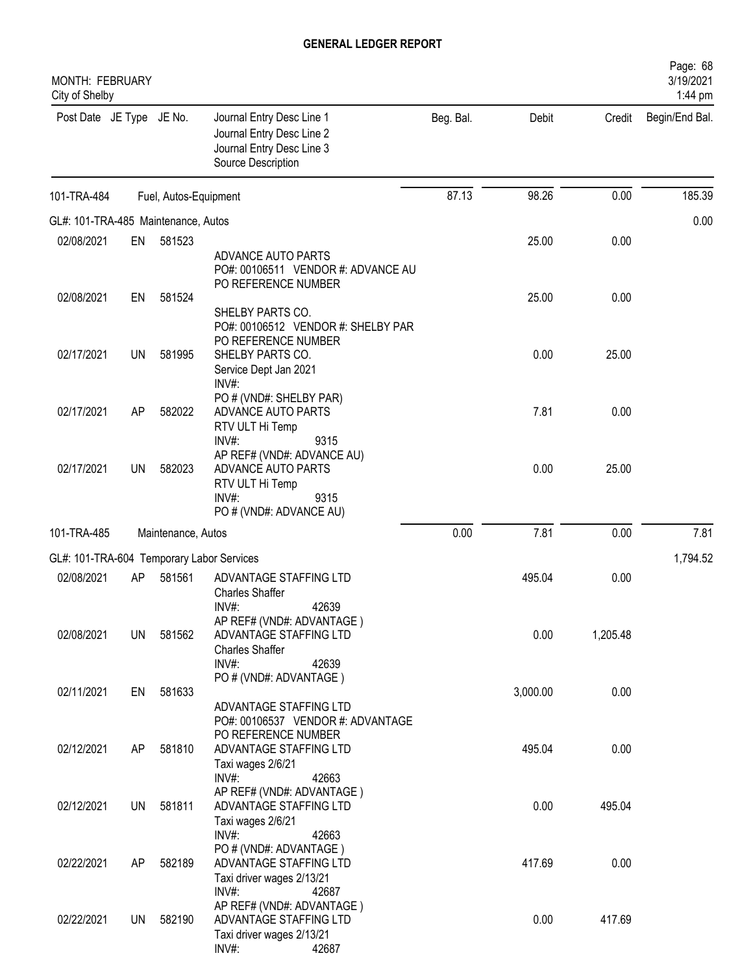| MONTH: FEBRUARY<br>City of Shelby         |           |                       |                                                                                                                                  |           |          |          | Page: 68<br>3/19/2021<br>1:44 pm |
|-------------------------------------------|-----------|-----------------------|----------------------------------------------------------------------------------------------------------------------------------|-----------|----------|----------|----------------------------------|
| Post Date JE Type JE No.                  |           |                       | Journal Entry Desc Line 1<br>Journal Entry Desc Line 2<br>Journal Entry Desc Line 3<br>Source Description                        | Beg. Bal. | Debit    | Credit   | Begin/End Bal.                   |
| 101-TRA-484                               |           | Fuel, Autos-Equipment |                                                                                                                                  | 87.13     | 98.26    | 0.00     | 185.39                           |
| GL#: 101-TRA-485 Maintenance, Autos       |           |                       |                                                                                                                                  |           |          |          | 0.00                             |
| 02/08/2021                                | EN        | 581523                |                                                                                                                                  |           | 25.00    | 0.00     |                                  |
|                                           |           |                       | ADVANCE AUTO PARTS<br>PO#: 00106511 VENDOR #: ADVANCE AU<br>PO REFERENCE NUMBER                                                  |           |          |          |                                  |
| 02/08/2021                                | EN        | 581524                | SHELBY PARTS CO.<br>PO#: 00106512 VENDOR #: SHELBY PAR                                                                           |           | 25.00    | 0.00     |                                  |
| 02/17/2021                                | UN        | 581995                | PO REFERENCE NUMBER<br>SHELBY PARTS CO.<br>Service Dept Jan 2021<br>INV#:                                                        |           | 0.00     | 25.00    |                                  |
| 02/17/2021                                | AP        | 582022                | PO # (VND#: SHELBY PAR)<br>ADVANCE AUTO PARTS<br>RTV ULT Hi Temp                                                                 |           | 7.81     | 0.00     |                                  |
| 02/17/2021                                | UN        | 582023                | INV#:<br>9315<br>AP REF# (VND#: ADVANCE AU)<br>ADVANCE AUTO PARTS<br>RTV ULT Hi Temp<br>INV#:<br>9315<br>PO # (VND#: ADVANCE AU) |           | 0.00     | 25.00    |                                  |
| 101-TRA-485                               |           | Maintenance, Autos    |                                                                                                                                  | 0.00      | 7.81     | 0.00     | 7.81                             |
|                                           |           |                       |                                                                                                                                  |           |          |          |                                  |
| GL#: 101-TRA-604 Temporary Labor Services |           |                       |                                                                                                                                  |           |          |          | 1,794.52                         |
| 02/08/2021                                | AP        | 581561                | ADVANTAGE STAFFING LTD<br><b>Charles Shaffer</b><br>42639<br>INV#                                                                |           | 495.04   | 0.00     |                                  |
| 02/08/2021                                | <b>UN</b> | 581562                | AP REF# (VND#: ADVANTAGE)<br>ADVANTAGE STAFFING LTD<br><b>Charles Shaffer</b><br>INV#:<br>42639                                  |           | 0.00     | 1,205.48 |                                  |
| 02/11/2021                                | EN        | 581633                | PO # (VND#: ADVANTAGE)                                                                                                           |           | 3,000.00 | 0.00     |                                  |
|                                           |           |                       | ADVANTAGE STAFFING LTD<br>PO#: 00106537 VENDOR #: ADVANTAGE<br>PO REFERENCE NUMBER                                               |           |          |          |                                  |
| 02/12/2021                                | AP        | 581810                | ADVANTAGE STAFFING LTD<br>Taxi wages 2/6/21<br>INV#:<br>42663                                                                    |           | 495.04   | 0.00     |                                  |
| 02/12/2021                                | UN        | 581811                | AP REF# (VND#: ADVANTAGE)<br>ADVANTAGE STAFFING LTD<br>Taxi wages 2/6/21                                                         |           | 0.00     | 495.04   |                                  |
| 02/22/2021                                | AP        | 582189                | INV#:<br>42663<br>PO # (VND#: ADVANTAGE)<br>ADVANTAGE STAFFING LTD<br>Taxi driver wages 2/13/21                                  |           | 417.69   | 0.00     |                                  |
| 02/22/2021                                | UN        | 582190                | INV#:<br>42687<br>AP REF# (VND#: ADVANTAGE)<br>ADVANTAGE STAFFING LTD<br>Taxi driver wages 2/13/21<br>INV#:<br>42687             |           | 0.00     | 417.69   |                                  |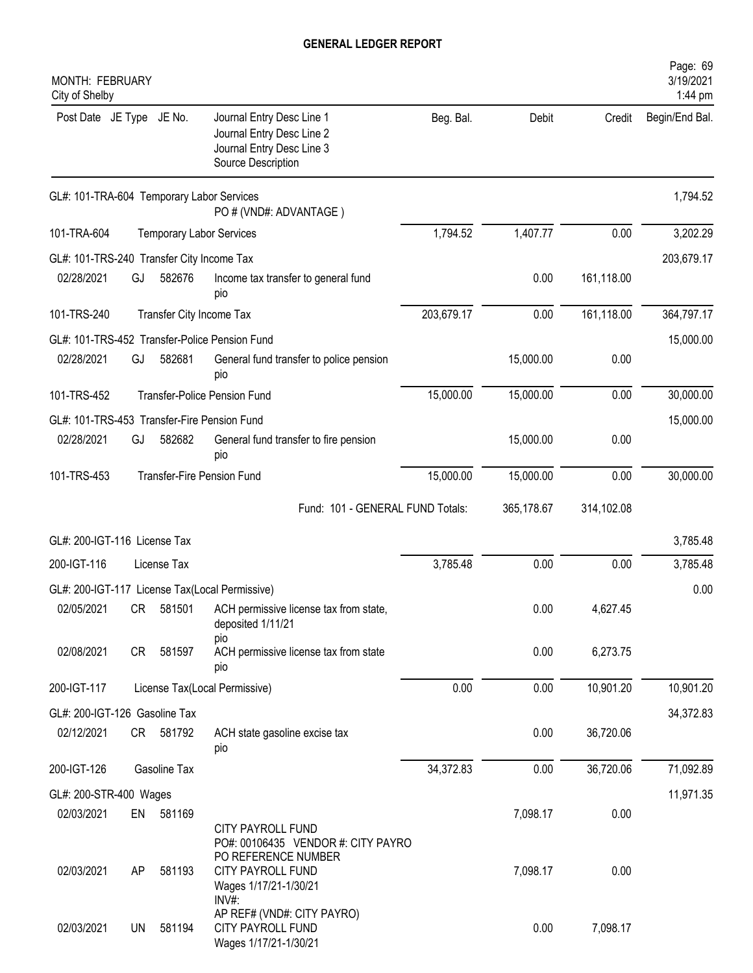| MONTH: FEBRUARY<br>City of Shelby           |    |                          |                                                                                                           |            |            |            | Page: 69<br>3/19/2021<br>1:44 pm |
|---------------------------------------------|----|--------------------------|-----------------------------------------------------------------------------------------------------------|------------|------------|------------|----------------------------------|
| Post Date JE Type JE No.                    |    |                          | Journal Entry Desc Line 1<br>Journal Entry Desc Line 2<br>Journal Entry Desc Line 3<br>Source Description | Beg. Bal.  | Debit      | Credit     | Begin/End Bal.                   |
| GL#: 101-TRA-604 Temporary Labor Services   |    |                          | PO # (VND#: ADVANTAGE)                                                                                    |            |            |            | 1,794.52                         |
| 101-TRA-604                                 |    |                          | <b>Temporary Labor Services</b>                                                                           | 1,794.52   | 1,407.77   | 0.00       | 3,202.29                         |
| GL#: 101-TRS-240 Transfer City Income Tax   |    |                          |                                                                                                           |            |            |            | 203,679.17                       |
| 02/28/2021                                  | GJ | 582676                   | Income tax transfer to general fund<br>pio                                                                |            | 0.00       | 161,118.00 |                                  |
| 101-TRS-240                                 |    | Transfer City Income Tax |                                                                                                           | 203,679.17 | 0.00       | 161,118.00 | 364,797.17                       |
|                                             |    |                          | GL#: 101-TRS-452 Transfer-Police Pension Fund                                                             |            |            |            | 15,000.00                        |
| 02/28/2021                                  | GJ | 582681                   | General fund transfer to police pension<br>pio                                                            |            | 15,000.00  | 0.00       |                                  |
| 101-TRS-452                                 |    |                          | <b>Transfer-Police Pension Fund</b>                                                                       | 15,000.00  | 15,000.00  | 0.00       | 30,000.00                        |
| GL#: 101-TRS-453 Transfer-Fire Pension Fund |    |                          |                                                                                                           |            |            |            | 15,000.00                        |
| 02/28/2021                                  | GJ | 582682                   | General fund transfer to fire pension<br>pio                                                              |            | 15,000.00  | 0.00       |                                  |
| 101-TRS-453                                 |    |                          | <b>Transfer-Fire Pension Fund</b>                                                                         | 15,000.00  | 15,000.00  | 0.00       | 30,000.00                        |
|                                             |    |                          | Fund: 101 - GENERAL FUND Totals:                                                                          |            | 365,178.67 | 314,102.08 |                                  |
| GL#: 200-IGT-116 License Tax                |    |                          |                                                                                                           |            |            |            | 3,785.48                         |
| 200-IGT-116                                 |    | License Tax              |                                                                                                           | 3,785.48   | 0.00       | 0.00       | 3,785.48                         |
|                                             |    |                          | GL#: 200-IGT-117 License Tax(Local Permissive)                                                            |            |            |            | 0.00                             |
|                                             |    |                          | 02/05/2021 CR 581501 ACH permissive license tax from state,<br>deposited 1/11/21                          |            | 0.00       | 4,627.45   |                                  |
| 02/08/2021                                  | CR | 581597                   | pio<br>ACH permissive license tax from state<br>pio                                                       |            | 0.00       | 6,273.75   |                                  |
| 200-IGT-117                                 |    |                          | License Tax(Local Permissive)                                                                             | 0.00       | 0.00       | 10,901.20  | 10,901.20                        |
| GL#: 200-IGT-126 Gasoline Tax               |    |                          |                                                                                                           |            |            |            | 34,372.83                        |
| 02/12/2021                                  |    | CR 581792                | ACH state gasoline excise tax<br>pio                                                                      |            | 0.00       | 36,720.06  |                                  |
| 200-IGT-126                                 |    | Gasoline Tax             |                                                                                                           | 34,372.83  | 0.00       | 36,720.06  | 71,092.89                        |
| GL#: 200-STR-400 Wages                      |    |                          |                                                                                                           |            |            |            | 11,971.35                        |
| 02/03/2021                                  |    | EN 581169                | <b>CITY PAYROLL FUND</b><br>PO#: 00106435 VENDOR #: CITY PAYRO                                            |            | 7,098.17   | 0.00       |                                  |
| 02/03/2021                                  | AP | 581193                   | PO REFERENCE NUMBER<br><b>CITY PAYROLL FUND</b><br>Wages 1/17/21-1/30/21<br>$INV#$ :                      |            | 7,098.17   | 0.00       |                                  |
| 02/03/2021                                  | UN | 581194                   | AP REF# (VND#: CITY PAYRO)<br><b>CITY PAYROLL FUND</b><br>Wages 1/17/21-1/30/21                           |            | 0.00       | 7,098.17   |                                  |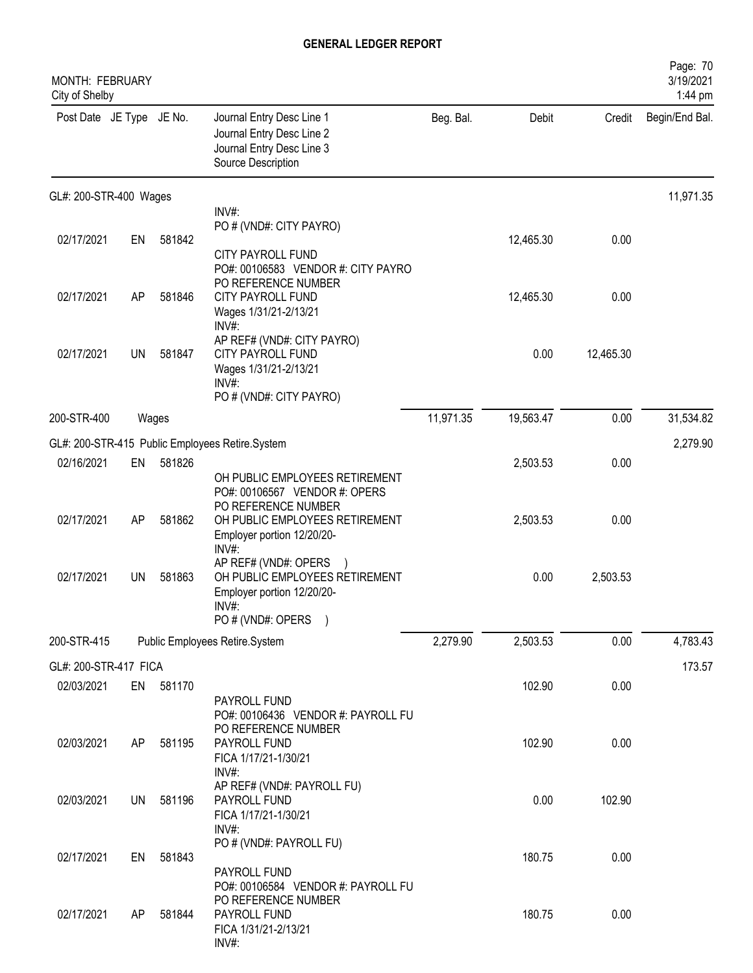| MONTH: FEBRUARY<br>City of Shelby |           |           |                                                                                                                                |           |           |           | Page: 70<br>3/19/2021<br>1:44 pm |
|-----------------------------------|-----------|-----------|--------------------------------------------------------------------------------------------------------------------------------|-----------|-----------|-----------|----------------------------------|
| Post Date JE Type JE No.          |           |           | Journal Entry Desc Line 1<br>Journal Entry Desc Line 2<br>Journal Entry Desc Line 3<br>Source Description                      | Beg. Bal. | Debit     | Credit    | Begin/End Bal.                   |
| GL#: 200-STR-400 Wages            |           |           |                                                                                                                                |           |           |           | 11,971.35                        |
|                                   |           |           | INV#:                                                                                                                          |           |           |           |                                  |
| 02/17/2021                        | EN        | 581842    | PO # (VND#: CITY PAYRO)                                                                                                        |           | 12,465.30 | 0.00      |                                  |
|                                   |           |           | <b>CITY PAYROLL FUND</b><br>PO#: 00106583 VENDOR #: CITY PAYRO<br>PO REFERENCE NUMBER                                          |           |           |           |                                  |
| 02/17/2021                        | AP        | 581846    | CITY PAYROLL FUND<br>Wages 1/31/21-2/13/21<br>$INV#$ :                                                                         |           | 12,465.30 | 0.00      |                                  |
| 02/17/2021                        | <b>UN</b> | 581847    | AP REF# (VND#: CITY PAYRO)<br><b>CITY PAYROLL FUND</b><br>Wages 1/31/21-2/13/21<br>$INV#$ :<br>PO # (VND#: CITY PAYRO)         |           | 0.00      | 12,465.30 |                                  |
| 200-STR-400                       |           | Wages     |                                                                                                                                | 11,971.35 | 19,563.47 | 0.00      | 31,534.82                        |
|                                   |           |           | GL#: 200-STR-415 Public Employees Retire.System                                                                                |           |           |           | 2,279.90                         |
| 02/16/2021                        | EN        | 581826    |                                                                                                                                |           | 2,503.53  | 0.00      |                                  |
|                                   |           |           | OH PUBLIC EMPLOYEES RETIREMENT<br>PO#: 00106567 VENDOR #: OPERS<br>PO REFERENCE NUMBER                                         |           |           |           |                                  |
| 02/17/2021                        | AP        | 581862    | OH PUBLIC EMPLOYEES RETIREMENT<br>Employer portion 12/20/20-<br>INV#:                                                          |           | 2,503.53  | 0.00      |                                  |
| 02/17/2021                        | <b>UN</b> | 581863    | AP REF# (VND#: OPERS<br>OH PUBLIC EMPLOYEES RETIREMENT<br>Employer portion 12/20/20-<br>INV#<br>PO # (VND#: OPERS<br>$\lambda$ |           | 0.00      | 2,503.53  |                                  |
| 200-STR-415                       |           |           | Public Employees Retire.System                                                                                                 | 2,279.90  | 2,503.53  | 0.00      | 4,783.43                         |
| GL#: 200-STR-417 FICA             |           |           |                                                                                                                                |           |           |           | 173.57                           |
| 02/03/2021                        |           | EN 581170 |                                                                                                                                |           | 102.90    | 0.00      |                                  |
|                                   |           |           | PAYROLL FUND<br>PO#: 00106436 VENDOR #: PAYROLL FU<br>PO REFERENCE NUMBER                                                      |           |           |           |                                  |
| 02/03/2021                        | AP        | 581195    | PAYROLL FUND<br>FICA 1/17/21-1/30/21<br>INV#:                                                                                  |           | 102.90    | 0.00      |                                  |
| 02/03/2021                        | <b>UN</b> | 581196    | AP REF# (VND#: PAYROLL FU)<br>PAYROLL FUND<br>FICA 1/17/21-1/30/21<br>INV#:                                                    |           | 0.00      | 102.90    |                                  |
| 02/17/2021                        | EN        | 581843    | PO # (VND#: PAYROLL FU)<br>PAYROLL FUND                                                                                        |           | 180.75    | 0.00      |                                  |
| 02/17/2021                        | AP.       | 581844    | PO#: 00106584 VENDOR #: PAYROLL FU<br>PO REFERENCE NUMBER<br>PAYROLL FUND<br>FICA 1/31/21-2/13/21<br>INV#:                     |           | 180.75    | 0.00      |                                  |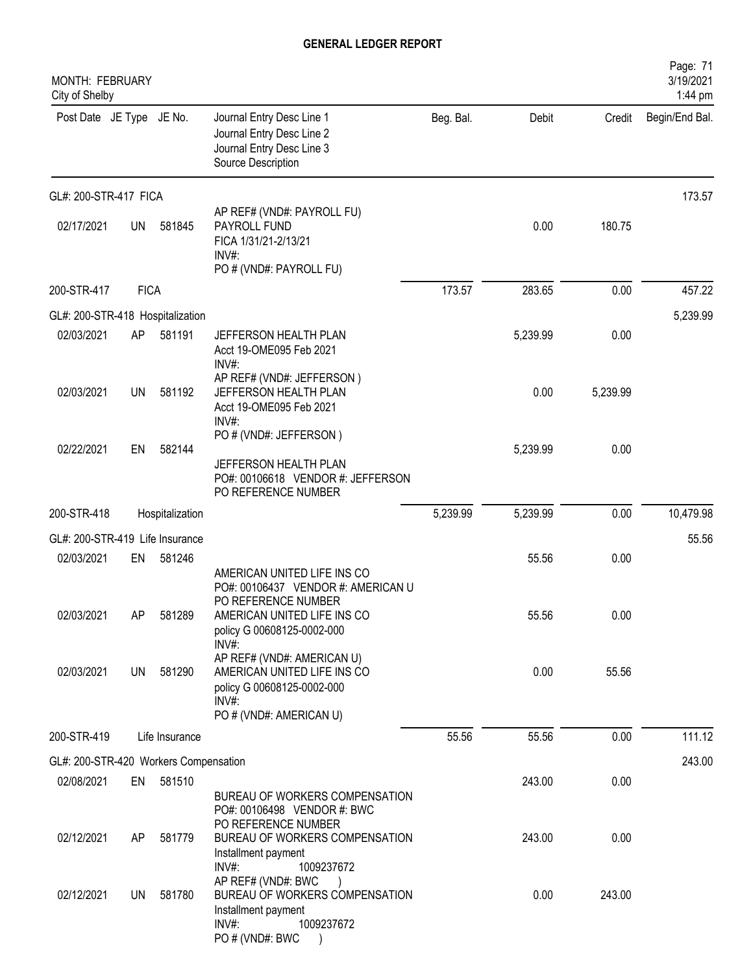| MONTH: FEBRUARY<br>City of Shelby     |             |                  |                                                                                                                                                                                                                                |           |               |               | Page: 71<br>3/19/2021<br>1:44 pm |
|---------------------------------------|-------------|------------------|--------------------------------------------------------------------------------------------------------------------------------------------------------------------------------------------------------------------------------|-----------|---------------|---------------|----------------------------------|
| Post Date JE Type JE No.              |             |                  | Journal Entry Desc Line 1<br>Journal Entry Desc Line 2<br>Journal Entry Desc Line 3<br>Source Description                                                                                                                      | Beg. Bal. | Debit         | Credit        | Begin/End Bal.                   |
| GL#: 200-STR-417 FICA                 |             |                  |                                                                                                                                                                                                                                |           |               |               | 173.57                           |
| 02/17/2021                            | <b>UN</b>   | 581845           | AP REF# (VND#: PAYROLL FU)<br>PAYROLL FUND<br>FICA 1/31/21-2/13/21<br>INV#:<br>PO # (VND#: PAYROLL FU)                                                                                                                         |           | 0.00          | 180.75        |                                  |
| 200-STR-417                           | <b>FICA</b> |                  |                                                                                                                                                                                                                                | 173.57    | 283.65        | 0.00          | 457.22                           |
| GL#: 200-STR-418 Hospitalization      |             |                  |                                                                                                                                                                                                                                |           |               |               | 5,239.99                         |
| 02/03/2021                            | AP          | 581191           | JEFFERSON HEALTH PLAN<br>Acct 19-OME095 Feb 2021<br>$INV#$ :                                                                                                                                                                   |           | 5,239.99      | 0.00          |                                  |
| 02/03/2021                            | UN          | 581192           | AP REF# (VND#: JEFFERSON)<br>JEFFERSON HEALTH PLAN<br>Acct 19-OME095 Feb 2021<br>$INV#$ :                                                                                                                                      |           | 0.00          | 5,239.99      |                                  |
| 02/22/2021                            | EN          | 582144           | PO # (VND#: JEFFERSON)<br>JEFFERSON HEALTH PLAN<br>PO#: 00106618 VENDOR #: JEFFERSON<br>PO REFERENCE NUMBER                                                                                                                    |           | 5,239.99      | 0.00          |                                  |
| 200-STR-418                           |             | Hospitalization  |                                                                                                                                                                                                                                | 5,239.99  | 5,239.99      | 0.00          | 10,479.98                        |
| GL#: 200-STR-419 Life Insurance       |             |                  |                                                                                                                                                                                                                                |           |               |               | 55.56                            |
| 02/03/2021                            | EN          | 581246           |                                                                                                                                                                                                                                |           | 55.56         | 0.00          |                                  |
| 02/03/2021<br>02/03/2021              | AP<br>UN    | 581289<br>581290 | AMERICAN UNITED LIFE INS CO<br>PO#: 00106437 VENDOR #: AMERICAN U<br>PO REFERENCE NUMBER<br>AMERICAN UNITED LIFE INS CO<br>policy G 00608125-0002-000<br>$INV#$ :<br>AP REF# (VND#: AMERICAN U)<br>AMERICAN UNITED LIFE INS CO |           | 55.56<br>0.00 | 0.00<br>55.56 |                                  |
|                                       |             |                  | policy G 00608125-0002-000<br>$INV#$ :<br>PO # (VND#: AMERICAN U)                                                                                                                                                              |           |               |               |                                  |
| 200-STR-419                           |             | Life Insurance   |                                                                                                                                                                                                                                | 55.56     | 55.56         | 0.00          | 111.12                           |
| GL#: 200-STR-420 Workers Compensation |             |                  |                                                                                                                                                                                                                                |           |               |               | 243.00                           |
| 02/08/2021                            | EN          | 581510           |                                                                                                                                                                                                                                |           | 243.00        | 0.00          |                                  |
| 02/12/2021                            | AP          | 581779           | BUREAU OF WORKERS COMPENSATION<br>PO#: 00106498 VENDOR #: BWC<br>PO REFERENCE NUMBER<br>BUREAU OF WORKERS COMPENSATION<br>Installment payment<br>INV#:<br>1009237672<br>AP REF# (VND#: BWC<br>$\lambda$                        |           | 243.00        | 0.00          |                                  |
| 02/12/2021                            | UN          | 581780           | BUREAU OF WORKERS COMPENSATION<br>Installment payment<br>$INV#$ :<br>1009237672<br>PO#(VND#: BWC                                                                                                                               |           | 0.00          | 243.00        |                                  |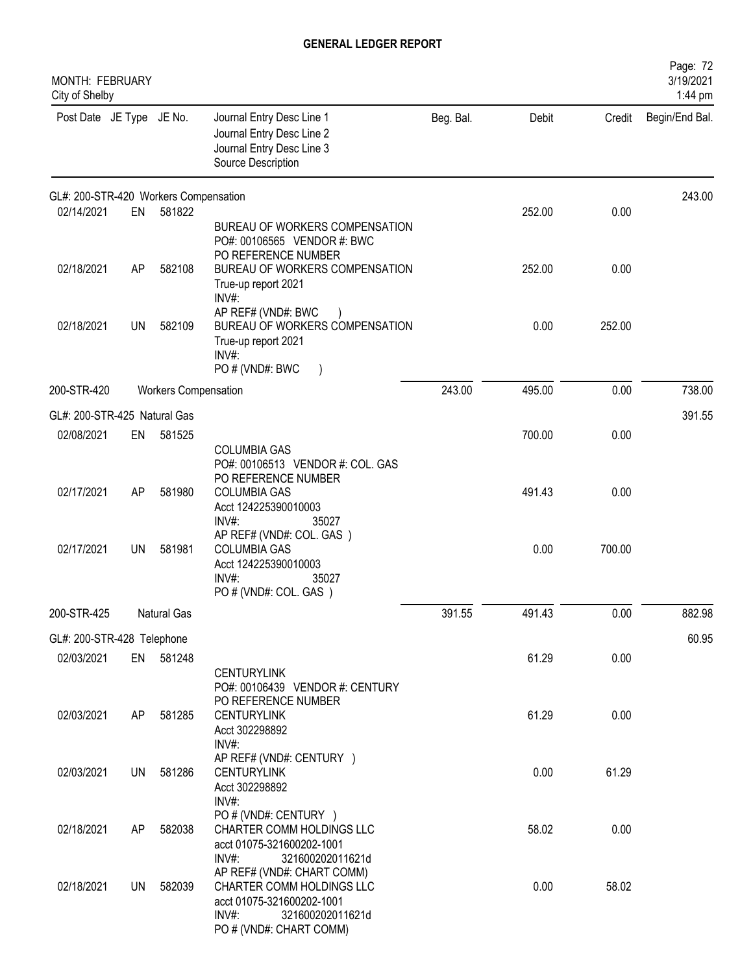| <b>MONTH: FEBRUARY</b><br>City of Shelby |           |                             |                                                                                                                                                 |           |        |        | Page: 72<br>3/19/2021<br>1:44 pm |
|------------------------------------------|-----------|-----------------------------|-------------------------------------------------------------------------------------------------------------------------------------------------|-----------|--------|--------|----------------------------------|
| Post Date JE Type JE No.                 |           |                             | Journal Entry Desc Line 1<br>Journal Entry Desc Line 2<br>Journal Entry Desc Line 3<br>Source Description                                       | Beg. Bal. | Debit  | Credit | Begin/End Bal.                   |
| GL#: 200-STR-420 Workers Compensation    |           |                             |                                                                                                                                                 |           |        |        | 243.00                           |
| 02/14/2021                               | EN        | 581822                      | BUREAU OF WORKERS COMPENSATION<br>PO#: 00106565 VENDOR #: BWC<br>PO REFERENCE NUMBER                                                            |           | 252.00 | 0.00   |                                  |
| 02/18/2021                               | AP        | 582108                      | BUREAU OF WORKERS COMPENSATION<br>True-up report 2021<br>INV#:                                                                                  |           | 252.00 | 0.00   |                                  |
| 02/18/2021                               | <b>UN</b> | 582109                      | AP REF# (VND#: BWC<br>BUREAU OF WORKERS COMPENSATION<br>True-up report 2021<br>INV#<br>PO # (VND#: BWC<br>$\rightarrow$                         |           | 0.00   | 252.00 |                                  |
| 200-STR-420                              |           | <b>Workers Compensation</b> |                                                                                                                                                 | 243.00    | 495.00 | 0.00   | 738.00                           |
| GL#: 200-STR-425 Natural Gas             |           |                             |                                                                                                                                                 |           |        |        | 391.55                           |
| 02/08/2021                               | EN        | 581525                      | <b>COLUMBIA GAS</b><br>PO#: 00106513 VENDOR #: COL. GAS                                                                                         |           | 700.00 | 0.00   |                                  |
| 02/17/2021                               | AP        | 581980                      | PO REFERENCE NUMBER<br><b>COLUMBIA GAS</b><br>Acct 124225390010003<br>INV#:<br>35027                                                            |           | 491.43 | 0.00   |                                  |
| 02/17/2021                               | <b>UN</b> | 581981                      | AP REF# (VND#: COL. GAS)<br><b>COLUMBIA GAS</b><br>Acct 124225390010003<br>INV#:<br>35027<br>PO # (VND#: COL. GAS)                              |           | 0.00   | 700.00 |                                  |
| 200-STR-425                              |           | Natural Gas                 |                                                                                                                                                 | 391.55    | 491.43 | 0.00   | 882.98                           |
| GL#: 200-STR-428 Telephone               |           |                             |                                                                                                                                                 |           |        |        | 60.95                            |
| 02/03/2021                               |           | EN 581248                   | <b>CENTURYLINK</b><br>PO#: 00106439 VENDOR #: CENTURY                                                                                           |           | 61.29  | 0.00   |                                  |
| 02/03/2021                               | AP        | 581285                      | PO REFERENCE NUMBER<br><b>CENTURYLINK</b><br>Acct 302298892<br>INV#:                                                                            |           | 61.29  | 0.00   |                                  |
| 02/03/2021                               | UN.       | 581286                      | AP REF# (VND#: CENTURY )<br><b>CENTURYLINK</b><br>Acct 302298892<br>$INV#$ :                                                                    |           | 0.00   | 61.29  |                                  |
| 02/18/2021                               | AP        | 582038                      | PO # (VND#: CENTURY )<br>CHARTER COMM HOLDINGS LLC<br>acct 01075-321600202-1001<br>$INV#$ :<br>321600202011621d                                 |           | 58.02  | 0.00   |                                  |
| 02/18/2021                               | UN        | 582039                      | AP REF# (VND#: CHART COMM)<br>CHARTER COMM HOLDINGS LLC<br>acct 01075-321600202-1001<br>$INV#$ :<br>321600202011621d<br>PO # (VND#: CHART COMM) |           | 0.00   | 58.02  |                                  |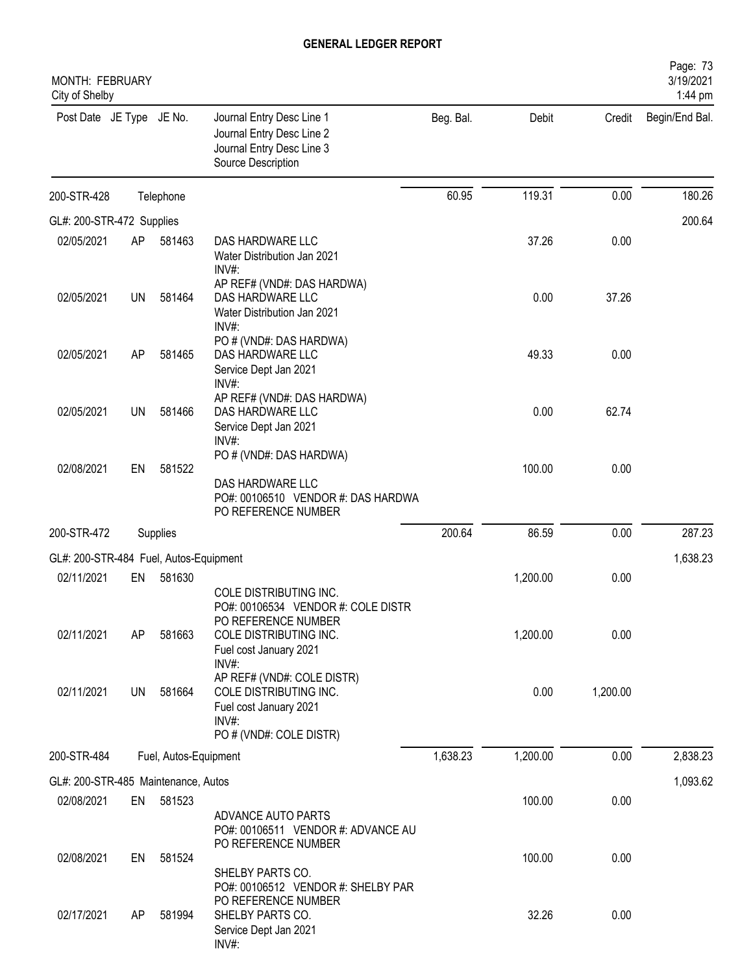| MONTH: FEBRUARY<br>City of Shelby      |           |                       |                                                                                                                                                  |           |          |          | Page: 73<br>3/19/2021<br>1:44 pm |
|----------------------------------------|-----------|-----------------------|--------------------------------------------------------------------------------------------------------------------------------------------------|-----------|----------|----------|----------------------------------|
| Post Date JE Type JE No.               |           |                       | Journal Entry Desc Line 1<br>Journal Entry Desc Line 2<br>Journal Entry Desc Line 3<br>Source Description                                        | Beg. Bal. | Debit    | Credit   | Begin/End Bal.                   |
| 200-STR-428                            |           | Telephone             |                                                                                                                                                  | 60.95     | 119.31   | 0.00     | 180.26                           |
| GL#: 200-STR-472 Supplies              |           |                       |                                                                                                                                                  |           |          |          | 200.64                           |
| 02/05/2021                             | AP        | 581463                | DAS HARDWARE LLC<br>Water Distribution Jan 2021<br>INV#:                                                                                         |           | 37.26    | 0.00     |                                  |
| 02/05/2021                             | <b>UN</b> | 581464                | AP REF# (VND#: DAS HARDWA)<br>DAS HARDWARE LLC<br>Water Distribution Jan 2021<br>$INV#$ :                                                        |           | 0.00     | 37.26    |                                  |
| 02/05/2021                             | AP        | 581465                | PO # (VND#: DAS HARDWA)<br>DAS HARDWARE LLC<br>Service Dept Jan 2021<br>INV#:                                                                    |           | 49.33    | 0.00     |                                  |
| 02/05/2021                             | UN        | 581466                | AP REF# (VND#: DAS HARDWA)<br>DAS HARDWARE LLC<br>Service Dept Jan 2021                                                                          |           | 0.00     | 62.74    |                                  |
| 02/08/2021                             | EN        | 581522                | INV#:<br>PO # (VND#: DAS HARDWA)<br>DAS HARDWARE LLC<br>PO#: 00106510 VENDOR #: DAS HARDWA<br>PO REFERENCE NUMBER                                |           | 100.00   | 0.00     |                                  |
| 200-STR-472                            |           | Supplies              |                                                                                                                                                  | 200.64    | 86.59    | 0.00     | 287.23                           |
| GL#: 200-STR-484 Fuel, Autos-Equipment |           |                       |                                                                                                                                                  |           |          |          | 1,638.23                         |
| 02/11/2021                             | EN        | 581630                |                                                                                                                                                  |           | 1,200.00 | 0.00     |                                  |
| 02/11/2021                             | AP        | 581663                | COLE DISTRIBUTING INC.<br>PO#: 00106534 VENDOR #: COLE DISTR<br>PO REFERENCE NUMBER<br>COLE DISTRIBUTING INC.<br>Fuel cost January 2021<br>INV#: |           | 1,200.00 | 0.00     |                                  |
| 02/11/2021                             | UN        | 581664                | AP REF# (VND#: COLE DISTR)<br>COLE DISTRIBUTING INC.<br>Fuel cost January 2021<br>INV#:<br>PO # (VND#: COLE DISTR)                               |           | 0.00     | 1,200.00 |                                  |
| 200-STR-484                            |           | Fuel, Autos-Equipment |                                                                                                                                                  | 1,638.23  | 1,200.00 | 0.00     | 2,838.23                         |
| GL#: 200-STR-485 Maintenance, Autos    |           |                       |                                                                                                                                                  |           |          |          | 1,093.62                         |
| 02/08/2021                             | EN        | 581523                | ADVANCE AUTO PARTS<br>PO#: 00106511 VENDOR #: ADVANCE AU<br>PO REFERENCE NUMBER                                                                  |           | 100.00   | 0.00     |                                  |
| 02/08/2021                             | EN        | 581524                | SHELBY PARTS CO.<br>PO#: 00106512 VENDOR #: SHELBY PAR                                                                                           |           | 100.00   | 0.00     |                                  |
| 02/17/2021                             | AP.       | 581994                | PO REFERENCE NUMBER<br>SHELBY PARTS CO.<br>Service Dept Jan 2021<br>INV#:                                                                        |           | 32.26    | 0.00     |                                  |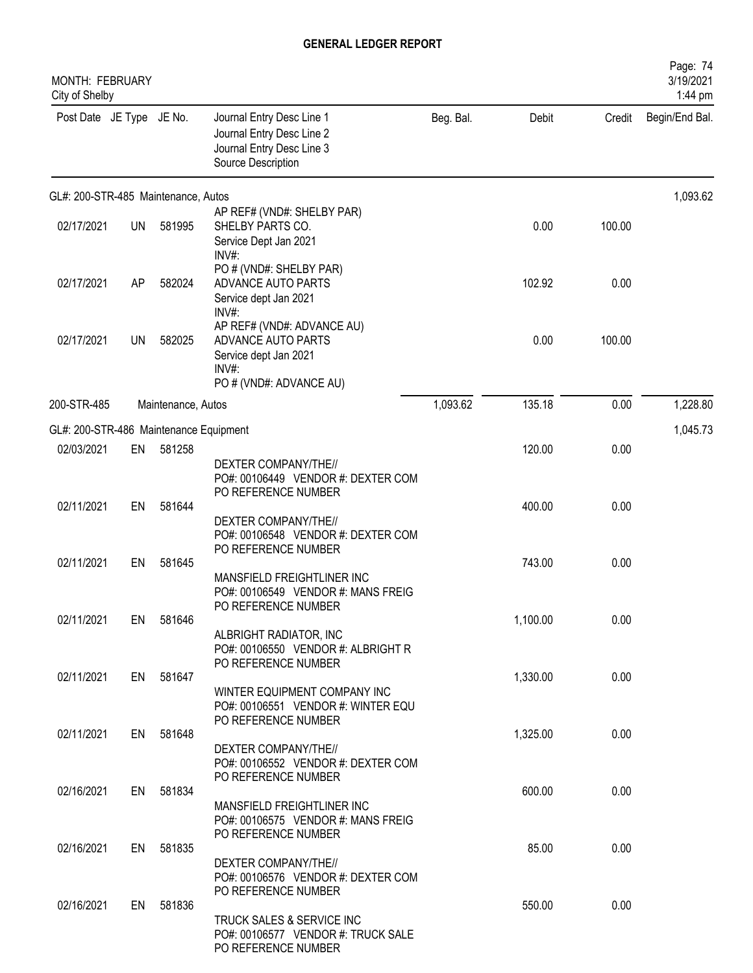| MONTH: FEBRUARY<br>City of Shelby      |           |                    |                                                                                                                                                 |           |          |        | Page: 74<br>3/19/2021<br>1:44 pm |
|----------------------------------------|-----------|--------------------|-------------------------------------------------------------------------------------------------------------------------------------------------|-----------|----------|--------|----------------------------------|
| Post Date JE Type JE No.               |           |                    | Journal Entry Desc Line 1<br>Journal Entry Desc Line 2<br>Journal Entry Desc Line 3<br>Source Description                                       | Beg. Bal. | Debit    | Credit | Begin/End Bal.                   |
| GL#: 200-STR-485 Maintenance, Autos    |           |                    |                                                                                                                                                 |           |          |        | 1,093.62                         |
| 02/17/2021                             | <b>UN</b> | 581995             | AP REF# (VND#: SHELBY PAR)<br>SHELBY PARTS CO.<br>Service Dept Jan 2021<br>$INV#$ :                                                             |           | 0.00     | 100.00 |                                  |
| 02/17/2021                             | AP        | 582024             | PO # (VND#: SHELBY PAR)<br>ADVANCE AUTO PARTS<br>Service dept Jan 2021<br>$INV#$ :                                                              |           | 102.92   | 0.00   |                                  |
| 02/17/2021                             | <b>UN</b> | 582025             | AP REF# (VND#: ADVANCE AU)<br>ADVANCE AUTO PARTS<br>Service dept Jan 2021<br>$INV#$ :<br>PO # (VND#: ADVANCE AU)                                |           | 0.00     | 100.00 |                                  |
| 200-STR-485                            |           | Maintenance, Autos |                                                                                                                                                 | 1,093.62  | 135.18   | 0.00   | 1,228.80                         |
| GL#: 200-STR-486 Maintenance Equipment |           |                    |                                                                                                                                                 |           |          |        | 1,045.73                         |
| 02/03/2021                             | EN        | 581258             |                                                                                                                                                 |           | 120.00   | 0.00   |                                  |
| 02/11/2021                             | EN        | 581644             | DEXTER COMPANY/THE//<br>PO#: 00106449 VENDOR #: DEXTER COM<br>PO REFERENCE NUMBER<br>DEXTER COMPANY/THE//<br>PO#: 00106548 VENDOR #: DEXTER COM |           | 400.00   | 0.00   |                                  |
| 02/11/2021                             | EN        | 581645             | PO REFERENCE NUMBER                                                                                                                             |           | 743.00   | 0.00   |                                  |
|                                        |           |                    | MANSFIELD FREIGHTLINER INC<br>PO#: 00106549 VENDOR #: MANS FREIG<br>PO REFERENCE NUMBER                                                         |           |          |        |                                  |
| 02/11/2021                             |           | EN 581646          | ALBRIGHT RADIATOR, INC<br>PO#: 00106550 VENDOR #: ALBRIGHT R<br>PO REFERENCE NUMBER                                                             |           | 1,100.00 | 0.00   |                                  |
| 02/11/2021                             |           | EN 581647          |                                                                                                                                                 |           | 1,330.00 | 0.00   |                                  |
|                                        |           |                    | WINTER EQUIPMENT COMPANY INC<br>PO#: 00106551 VENDOR #: WINTER EQU<br>PO REFERENCE NUMBER                                                       |           |          |        |                                  |
| 02/11/2021                             | EN        | 581648             | DEXTER COMPANY/THE//<br>PO#: 00106552 VENDOR #: DEXTER COM<br>PO REFERENCE NUMBER                                                               |           | 1,325.00 | 0.00   |                                  |
| 02/16/2021                             |           | EN 581834          | MANSFIELD FREIGHTLINER INC<br>PO#: 00106575 VENDOR #: MANS FREIG                                                                                |           | 600.00   | 0.00   |                                  |
| 02/16/2021                             |           | EN 581835          | PO REFERENCE NUMBER                                                                                                                             |           | 85.00    | 0.00   |                                  |
|                                        |           |                    | DEXTER COMPANY/THE//<br>PO#: 00106576 VENDOR #: DEXTER COM<br>PO REFERENCE NUMBER                                                               |           |          |        |                                  |
| 02/16/2021                             |           | EN 581836          | TRUCK SALES & SERVICE INC<br>PO#: 00106577 VENDOR #: TRUCK SALE<br>PO REFERENCE NUMBER                                                          |           | 550.00   | 0.00   |                                  |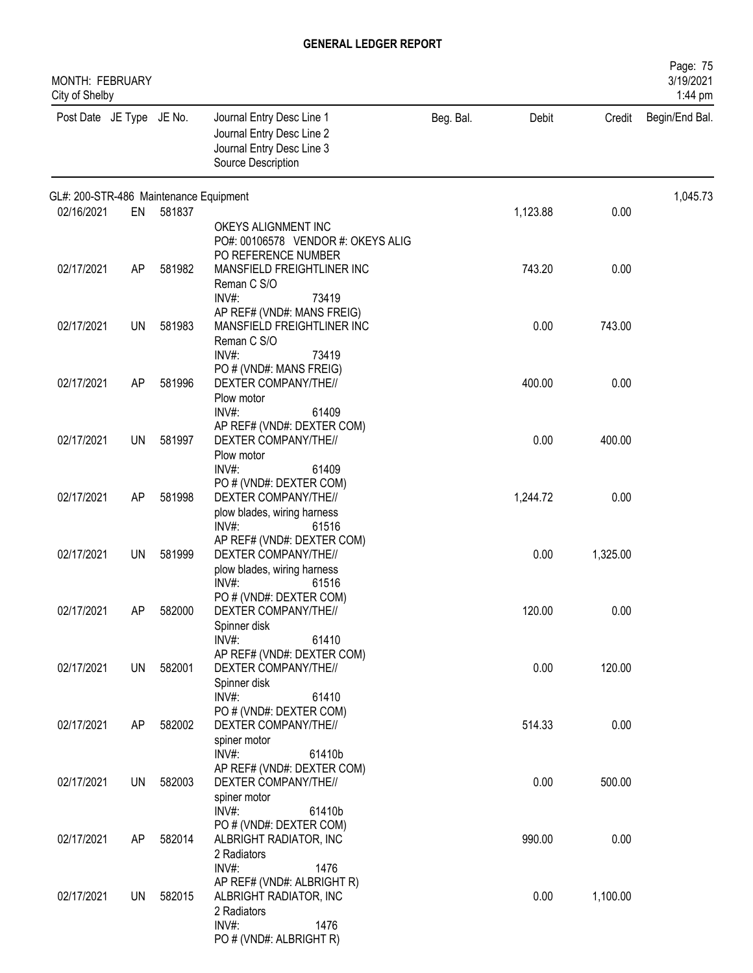| MONTH: FEBRUARY<br>City of Shelby      |           |        |                                                                                                                                                 |           |          |          | Page: 75<br>3/19/2021<br>1:44 pm |
|----------------------------------------|-----------|--------|-------------------------------------------------------------------------------------------------------------------------------------------------|-----------|----------|----------|----------------------------------|
| Post Date JE Type JE No.               |           |        | Journal Entry Desc Line 1<br>Journal Entry Desc Line 2<br>Journal Entry Desc Line 3<br>Source Description                                       | Beg. Bal. | Debit    | Credit   | Begin/End Bal.                   |
| GL#: 200-STR-486 Maintenance Equipment |           |        |                                                                                                                                                 |           |          |          | 1,045.73                         |
| 02/16/2021                             | EN        | 581837 | OKEYS ALIGNMENT INC<br>PO#: 00106578 VENDOR #: OKEYS ALIG<br>PO REFERENCE NUMBER                                                                |           | 1,123.88 | 0.00     |                                  |
| 02/17/2021                             | AP        | 581982 | MANSFIELD FREIGHTLINER INC<br>Reman C S/O<br>$INV#$ :<br>73419                                                                                  |           | 743.20   | 0.00     |                                  |
| 02/17/2021                             | <b>UN</b> | 581983 | AP REF# (VND#: MANS FREIG)<br>MANSFIELD FREIGHTLINER INC<br>Reman C S/O<br>INV#:<br>73419                                                       |           | 0.00     | 743.00   |                                  |
| 02/17/2021                             | AP        | 581996 | PO # (VND#: MANS FREIG)<br>DEXTER COMPANY/THE//<br>Plow motor<br>INV#:<br>61409                                                                 |           | 400.00   | 0.00     |                                  |
| 02/17/2021                             | UN        | 581997 | AP REF# (VND#: DEXTER COM)<br>DEXTER COMPANY/THE//<br>Plow motor                                                                                |           | 0.00     | 400.00   |                                  |
| 02/17/2021                             | AP        | 581998 | INV#:<br>61409<br>PO # (VND#: DEXTER COM)<br>DEXTER COMPANY/THE//<br>plow blades, wiring harness                                                |           | 1,244.72 | 0.00     |                                  |
| 02/17/2021                             | UN        | 581999 | $INV#$ :<br>61516<br>AP REF# (VND#: DEXTER COM)<br>DEXTER COMPANY/THE//<br>plow blades, wiring harness                                          |           | 0.00     | 1,325.00 |                                  |
| 02/17/2021                             | AP        | 582000 | $INV#$ :<br>61516<br>PO # (VND#: DEXTER COM)<br>DEXTER COMPANY/THE//<br>Spinner disk                                                            |           | 120.00   | 0.00     |                                  |
| 02/17/2021                             | UN        | 582001 | INV#:<br>61410<br>AP REF# (VND#: DEXTER COM)<br>DEXTER COMPANY/THE//                                                                            |           | 0.00     | 120.00   |                                  |
| 02/17/2021                             | AP        | 582002 | Spinner disk<br>$INV#$ :<br>61410<br>PO # (VND#: DEXTER COM)<br>DEXTER COMPANY/THE//                                                            |           | 514.33   | 0.00     |                                  |
| 02/17/2021                             | UN        | 582003 | spiner motor<br>$INV#$ :<br>61410b<br>AP REF# (VND#: DEXTER COM)<br>DEXTER COMPANY/THE//                                                        |           | 0.00     | 500.00   |                                  |
| 02/17/2021                             | AP        | 582014 | spiner motor<br>$INV#$ :<br>61410b<br>PO # (VND#: DEXTER COM)<br>ALBRIGHT RADIATOR, INC                                                         |           | 990.00   | 0.00     |                                  |
| 02/17/2021                             | UN        | 582015 | 2 Radiators<br>INV#:<br>1476<br>AP REF# (VND#: ALBRIGHT R)<br>ALBRIGHT RADIATOR, INC<br>2 Radiators<br>INV#:<br>1476<br>PO # (VND#: ALBRIGHT R) |           | 0.00     | 1,100.00 |                                  |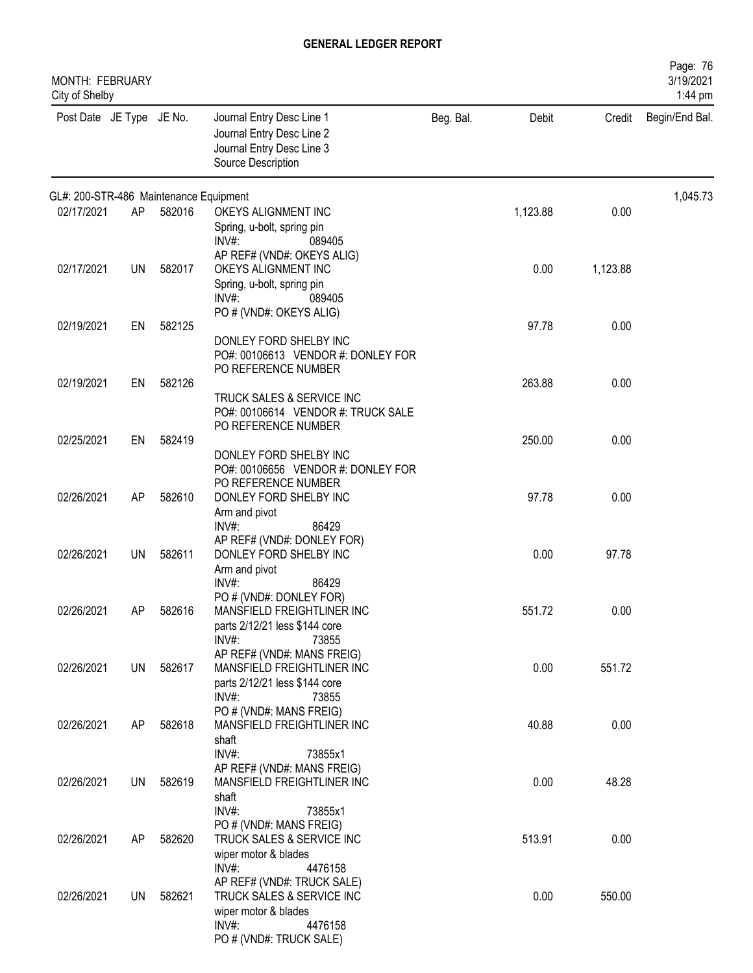| MONTH: FEBRUARY<br>City of Shelby      |           |        |                                                                                                                                                       |           |          |          | Page: 76<br>3/19/2021<br>1:44 pm |
|----------------------------------------|-----------|--------|-------------------------------------------------------------------------------------------------------------------------------------------------------|-----------|----------|----------|----------------------------------|
| Post Date JE Type JE No.               |           |        | Journal Entry Desc Line 1<br>Journal Entry Desc Line 2<br>Journal Entry Desc Line 3<br>Source Description                                             | Beg. Bal. | Debit    | Credit   | Begin/End Bal.                   |
| GL#: 200-STR-486 Maintenance Equipment |           |        |                                                                                                                                                       |           |          |          | 1,045.73                         |
| 02/17/2021                             | AP        | 582016 | OKEYS ALIGNMENT INC<br>Spring, u-bolt, spring pin<br>$INV#$ :<br>089405                                                                               |           | 1,123.88 | 0.00     |                                  |
| 02/17/2021                             | UN        | 582017 | AP REF# (VND#: OKEYS ALIG)<br>OKEYS ALIGNMENT INC<br>Spring, u-bolt, spring pin<br>$INV#$ :<br>089405                                                 |           | 0.00     | 1,123.88 |                                  |
| 02/19/2021                             | EN        | 582125 | PO # (VND#: OKEYS ALIG)<br>DONLEY FORD SHELBY INC<br>PO#: 00106613 VENDOR #: DONLEY FOR<br>PO REFERENCE NUMBER                                        |           | 97.78    | 0.00     |                                  |
| 02/19/2021                             | EN        | 582126 | TRUCK SALES & SERVICE INC<br>PO#: 00106614 VENDOR #: TRUCK SALE<br>PO REFERENCE NUMBER                                                                |           | 263.88   | 0.00     |                                  |
| 02/25/2021                             | EN        | 582419 | DONLEY FORD SHELBY INC<br>PO#: 00106656 VENDOR #: DONLEY FOR<br>PO REFERENCE NUMBER                                                                   |           | 250.00   | 0.00     |                                  |
| 02/26/2021                             | AP        | 582610 | DONLEY FORD SHELBY INC<br>Arm and pivot<br>$INV#$ :<br>86429                                                                                          |           | 97.78    | 0.00     |                                  |
| 02/26/2021                             | UN        | 582611 | AP REF# (VND#: DONLEY FOR)<br>DONLEY FORD SHELBY INC<br>Arm and pivot<br>$INV#$ :<br>86429                                                            |           | 0.00     | 97.78    |                                  |
| 02/26/2021                             | AP        | 582616 | PO # (VND#: DONLEY FOR)<br>MANSFIELD FREIGHTLINER INC<br>parts 2/12/21 less \$144 core<br>$INV#$ :<br>73855                                           |           | 551.72   | 0.00     |                                  |
| 02/26/2021                             | UN        | 582617 | AP REF# (VND#: MANS FREIG)<br>MANSFIELD FREIGHTLINER INC<br>parts 2/12/21 less \$144 core<br>$INV#$ :<br>73855                                        |           | 0.00     | 551.72   |                                  |
| 02/26/2021                             | AP        | 582618 | PO # (VND#: MANS FREIG)<br>MANSFIELD FREIGHTLINER INC<br>shaft                                                                                        |           | 40.88    | 0.00     |                                  |
| 02/26/2021                             | UN        | 582619 | $INV#$ :<br>73855x1<br>AP REF# (VND#: MANS FREIG)<br>MANSFIELD FREIGHTLINER INC<br>shaft                                                              |           | 0.00     | 48.28    |                                  |
| 02/26/2021                             | AP        | 582620 | INV#:<br>73855x1<br>PO # (VND#: MANS FREIG)<br>TRUCK SALES & SERVICE INC<br>wiper motor & blades                                                      |           | 513.91   | 0.00     |                                  |
| 02/26/2021                             | <b>UN</b> | 582621 | INV#:<br>4476158<br>AP REF# (VND#: TRUCK SALE)<br>TRUCK SALES & SERVICE INC<br>wiper motor & blades<br>$INV#$ :<br>4476158<br>PO # (VND#: TRUCK SALE) |           | 0.00     | 550.00   |                                  |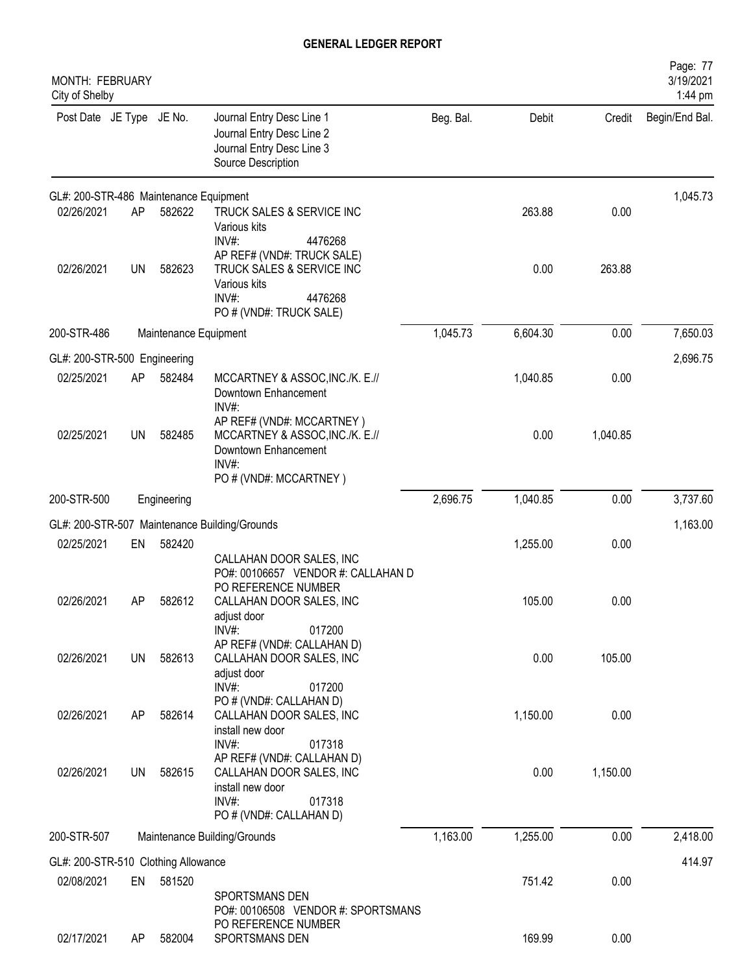| <b>MONTH: FEBRUARY</b><br>City of Shelby |           |                       |                                                                                                                        |           |          |          | Page: 77<br>3/19/2021<br>1:44 pm |
|------------------------------------------|-----------|-----------------------|------------------------------------------------------------------------------------------------------------------------|-----------|----------|----------|----------------------------------|
| Post Date JE Type JE No.                 |           |                       | Journal Entry Desc Line 1<br>Journal Entry Desc Line 2<br>Journal Entry Desc Line 3<br>Source Description              | Beg. Bal. | Debit    | Credit   | Begin/End Bal.                   |
| GL#: 200-STR-486 Maintenance Equipment   |           |                       |                                                                                                                        |           |          |          | 1,045.73                         |
| 02/26/2021                               | AP        | 582622                | TRUCK SALES & SERVICE INC<br>Various kits<br>INV#:<br>4476268                                                          |           | 263.88   | 0.00     |                                  |
| 02/26/2021                               | <b>UN</b> | 582623                | AP REF# (VND#: TRUCK SALE)<br>TRUCK SALES & SERVICE INC<br>Various kits<br>INV#:<br>4476268<br>PO # (VND#: TRUCK SALE) |           | 0.00     | 263.88   |                                  |
| 200-STR-486                              |           | Maintenance Equipment |                                                                                                                        | 1,045.73  | 6,604.30 | 0.00     | 7,650.03                         |
| GL#: 200-STR-500 Engineering             |           |                       |                                                                                                                        |           |          |          | 2,696.75                         |
| 02/25/2021                               | AP        | 582484                | MCCARTNEY & ASSOC, INC./K. E.//<br>Downtown Enhancement<br>INV#:                                                       |           | 1,040.85 | 0.00     |                                  |
| 02/25/2021                               | UN        | 582485                | AP REF# (VND#: MCCARTNEY)<br>MCCARTNEY & ASSOC, INC./K. E.//<br>Downtown Enhancement<br>INV#:                          |           | 0.00     | 1,040.85 |                                  |
|                                          |           |                       | PO # (VND#: MCCARTNEY)                                                                                                 |           |          |          |                                  |
| 200-STR-500                              |           | Engineering           |                                                                                                                        | 2,696.75  | 1,040.85 | 0.00     | 3,737.60                         |
|                                          |           |                       | GL#: 200-STR-507 Maintenance Building/Grounds                                                                          |           |          |          | 1,163.00                         |
| 02/25/2021                               | EN        | 582420                | CALLAHAN DOOR SALES, INC<br>PO#: 00106657 VENDOR #: CALLAHAN D                                                         |           | 1,255.00 | 0.00     |                                  |
| 02/26/2021                               | AP        | 582612                | PO REFERENCE NUMBER<br>CALLAHAN DOOR SALES, INC<br>adjust door<br>$INV#$ :<br>017200                                   |           | 105.00   | 0.00     |                                  |
| 02/26/2021                               | <b>UN</b> | 582613                | AP REF# (VND#: CALLAHAN D)<br>CALLAHAN DOOR SALES, INC<br>adjust door<br>INV#:<br>017200                               |           | 0.00     | 105.00   |                                  |
| 02/26/2021                               | AP        | 582614                | PO # (VND#: CALLAHAN D)<br>CALLAHAN DOOR SALES, INC<br>install new door<br>017318<br>INV#:                             |           | 1,150.00 | 0.00     |                                  |
| 02/26/2021                               | <b>UN</b> | 582615                | AP REF# (VND#: CALLAHAN D)<br>CALLAHAN DOOR SALES, INC<br>install new door<br>INV#:<br>017318                          |           | 0.00     | 1,150.00 |                                  |
| 200-STR-507                              |           |                       | PO # (VND#: CALLAHAN D)<br>Maintenance Building/Grounds                                                                | 1,163.00  | 1,255.00 | 0.00     | 2,418.00                         |
| GL#: 200-STR-510 Clothing Allowance      |           |                       |                                                                                                                        |           |          |          | 414.97                           |
| 02/08/2021                               | EN        | 581520                |                                                                                                                        |           | 751.42   | 0.00     |                                  |
|                                          |           |                       | SPORTSMANS DEN<br>PO#: 00106508 VENDOR #: SPORTSMANS<br>PO REFERENCE NUMBER                                            |           |          |          |                                  |
| 02/17/2021                               | AP        | 582004                | SPORTSMANS DEN                                                                                                         |           | 169.99   | 0.00     |                                  |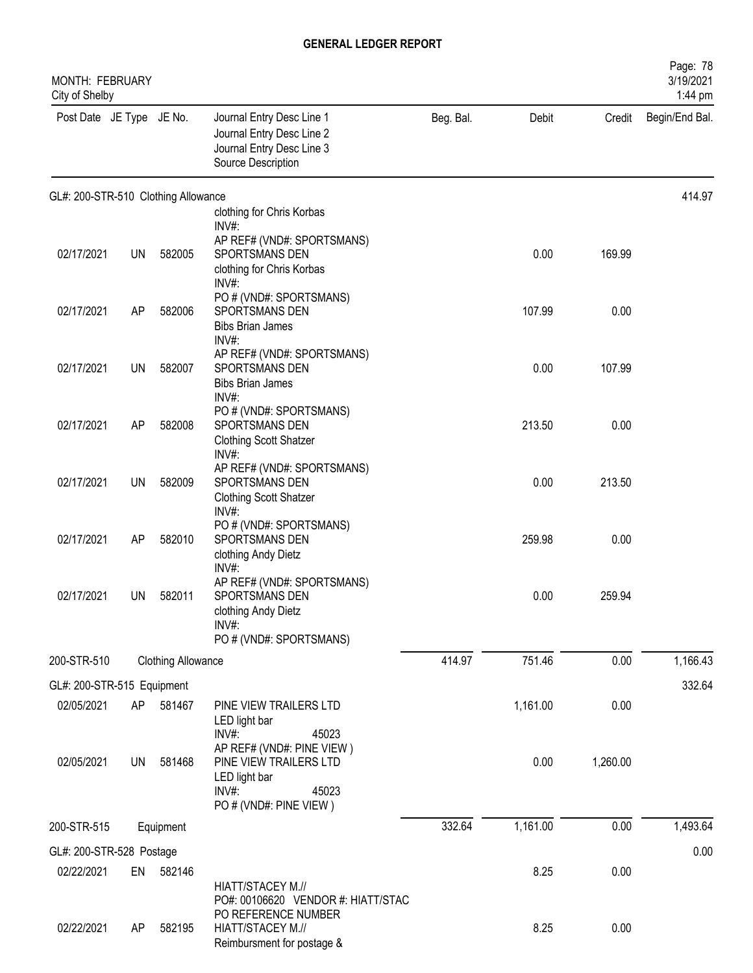| MONTH: FEBRUARY<br>City of Shelby   |           |                           |                                                                                                                     |           |          |          | Page: 78<br>3/19/2021<br>1:44 pm |
|-------------------------------------|-----------|---------------------------|---------------------------------------------------------------------------------------------------------------------|-----------|----------|----------|----------------------------------|
| Post Date JE Type JE No.            |           |                           | Journal Entry Desc Line 1<br>Journal Entry Desc Line 2<br>Journal Entry Desc Line 3<br>Source Description           | Beg. Bal. | Debit    | Credit   | Begin/End Bal.                   |
| GL#: 200-STR-510 Clothing Allowance |           |                           |                                                                                                                     |           |          |          | 414.97                           |
|                                     |           |                           | clothing for Chris Korbas<br>INV#:                                                                                  |           |          |          |                                  |
| 02/17/2021                          | UN        | 582005                    | AP REF# (VND#: SPORTSMANS)<br>SPORTSMANS DEN<br>clothing for Chris Korbas<br>$INV#$ :                               |           | 0.00     | 169.99   |                                  |
| 02/17/2021                          | AP        | 582006                    | PO # (VND#: SPORTSMANS)<br>SPORTSMANS DEN<br><b>Bibs Brian James</b>                                                |           | 107.99   | 0.00     |                                  |
| 02/17/2021                          | <b>UN</b> | 582007                    | INV#:<br>AP REF# (VND#: SPORTSMANS)<br>SPORTSMANS DEN<br><b>Bibs Brian James</b>                                    |           | 0.00     | 107.99   |                                  |
| 02/17/2021                          | AP        | 582008                    | INV#:<br>PO # (VND#: SPORTSMANS)<br>SPORTSMANS DEN<br><b>Clothing Scott Shatzer</b>                                 |           | 213.50   | 0.00     |                                  |
| 02/17/2021                          | <b>UN</b> | 582009                    | INV#:<br>AP REF# (VND#: SPORTSMANS)<br>SPORTSMANS DEN<br><b>Clothing Scott Shatzer</b>                              |           | 0.00     | 213.50   |                                  |
| 02/17/2021                          | AP        | 582010                    | INV#:<br>PO # (VND#: SPORTSMANS)<br>SPORTSMANS DEN<br>clothing Andy Dietz                                           |           | 259.98   | 0.00     |                                  |
| 02/17/2021                          | UN        | 582011                    | INV#:<br>AP REF# (VND#: SPORTSMANS)<br>SPORTSMANS DEN<br>clothing Andy Dietz<br>$INV#$ :<br>PO # (VND#: SPORTSMANS) |           | 0.00     | 259.94   |                                  |
| 200-STR-510                         |           | <b>Clothing Allowance</b> |                                                                                                                     | 414.97    | 751.46   | 0.00     | 1,166.43                         |
| GL#: 200-STR-515 Equipment          |           |                           |                                                                                                                     |           |          |          | 332.64                           |
| 02/05/2021                          | AP        | 581467                    | PINE VIEW TRAILERS LTD<br>LED light bar<br>INV#:<br>45023                                                           |           | 1,161.00 | 0.00     |                                  |
| 02/05/2021                          | UN        | 581468                    | AP REF# (VND#: PINE VIEW)<br>PINE VIEW TRAILERS LTD<br>LED light bar<br>INV#:<br>45023<br>PO # (VND#: PINE VIEW)    |           | 0.00     | 1,260.00 |                                  |
| 200-STR-515                         |           | Equipment                 |                                                                                                                     | 332.64    | 1,161.00 | 0.00     | 1,493.64                         |
| GL#: 200-STR-528 Postage            |           |                           |                                                                                                                     |           |          |          | 0.00                             |
| 02/22/2021                          | EN        | 582146                    | HIATT/STACEY M.//<br>PO#: 00106620 VENDOR #: HIATT/STAC                                                             |           | 8.25     | 0.00     |                                  |
| 02/22/2021                          | AP        | 582195                    | PO REFERENCE NUMBER<br>HIATT/STACEY M.//<br>Reimbursment for postage &                                              |           | 8.25     | 0.00     |                                  |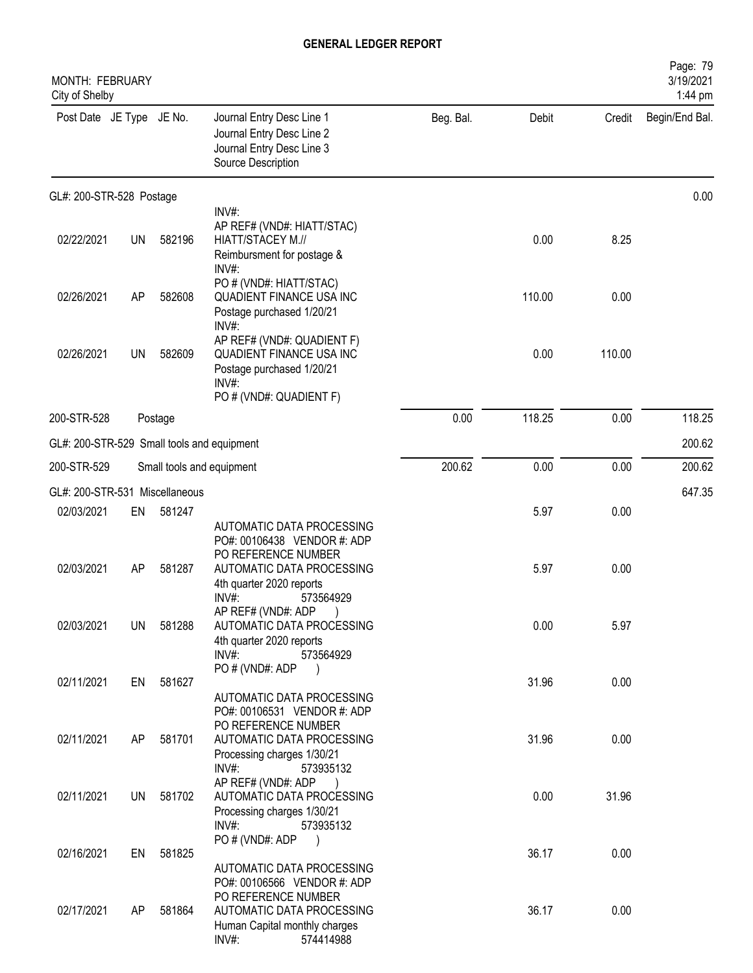| MONTH: FEBRUARY<br>City of Shelby          |           |           |                                                                                                                                                                     |           |        |        | Page: 79<br>3/19/2021<br>1:44 pm |
|--------------------------------------------|-----------|-----------|---------------------------------------------------------------------------------------------------------------------------------------------------------------------|-----------|--------|--------|----------------------------------|
| Post Date JE Type JE No.                   |           |           | Journal Entry Desc Line 1<br>Journal Entry Desc Line 2<br>Journal Entry Desc Line 3<br>Source Description                                                           | Beg. Bal. | Debit  | Credit | Begin/End Bal.                   |
| GL#: 200-STR-528 Postage                   |           |           |                                                                                                                                                                     |           |        |        | 0.00                             |
| 02/22/2021                                 | <b>UN</b> | 582196    | INV#:<br>AP REF# (VND#: HIATT/STAC)<br>HIATT/STACEY M.//<br>Reimbursment for postage &<br>INV#:                                                                     |           | 0.00   | 8.25   |                                  |
| 02/26/2021                                 | AP        | 582608    | PO # (VND#: HIATT/STAC)<br><b>QUADIENT FINANCE USA INC</b><br>Postage purchased 1/20/21                                                                             |           | 110.00 | 0.00   |                                  |
| 02/26/2021                                 | UN        | 582609    | INV#:<br>AP REF# (VND#: QUADIENT F)<br>QUADIENT FINANCE USA INC<br>Postage purchased 1/20/21<br>$INV#$ :<br>PO # (VND#: QUADIENT F)                                 |           | 0.00   | 110.00 |                                  |
| 200-STR-528                                |           | Postage   |                                                                                                                                                                     | 0.00      | 118.25 | 0.00   | 118.25                           |
| GL#: 200-STR-529 Small tools and equipment |           |           |                                                                                                                                                                     |           |        |        | 200.62                           |
| 200-STR-529                                |           |           | Small tools and equipment                                                                                                                                           | 200.62    | 0.00   | 0.00   | 200.62                           |
| GL#: 200-STR-531 Miscellaneous             |           |           |                                                                                                                                                                     |           |        |        | 647.35                           |
| 02/03/2021                                 | EN        | 581247    | AUTOMATIC DATA PROCESSING<br>PO#: 00106438 VENDOR #: ADP                                                                                                            |           | 5.97   | 0.00   |                                  |
| 02/03/2021                                 | AP        | 581287    | PO REFERENCE NUMBER<br>AUTOMATIC DATA PROCESSING<br>4th quarter 2020 reports<br>$INV#$ :<br>573564929                                                               |           | 5.97   | 0.00   |                                  |
| 02/03/2021                                 | UN.       | 581288    | AP REF# (VND#: ADP)<br>AUTOMATIC DATA PROCESSING<br>4th quarter 2020 reports<br>$INV#$ :<br>573564929                                                               |           | 0.00   | 5.97   |                                  |
| 02/11/2021                                 |           | EN 581627 | PO # (VND#: ADP<br>$\left( \begin{array}{c} \end{array} \right)$<br>AUTOMATIC DATA PROCESSING<br>PO#: 00106531 VENDOR #: ADP                                        |           | 31.96  | 0.00   |                                  |
| 02/11/2021                                 | AP        | 581701    | PO REFERENCE NUMBER<br>AUTOMATIC DATA PROCESSING<br>Processing charges 1/30/21<br>$INV#$ :<br>573935132                                                             |           | 31.96  | 0.00   |                                  |
| 02/11/2021                                 |           | UN 581702 | AP REF# (VND#: ADP<br>AUTOMATIC DATA PROCESSING<br>Processing charges 1/30/21<br>$INV#$ :<br>573935132                                                              |           | 0.00   | 31.96  |                                  |
| 02/16/2021                                 | EN        | 581825    | PO#(VND#: ADP                                                                                                                                                       |           | 36.17  | 0.00   |                                  |
| 02/17/2021                                 | AP        | 581864    | AUTOMATIC DATA PROCESSING<br>PO#: 00106566 VENDOR #: ADP<br>PO REFERENCE NUMBER<br>AUTOMATIC DATA PROCESSING<br>Human Capital monthly charges<br>INV#:<br>574414988 |           | 36.17  | 0.00   |                                  |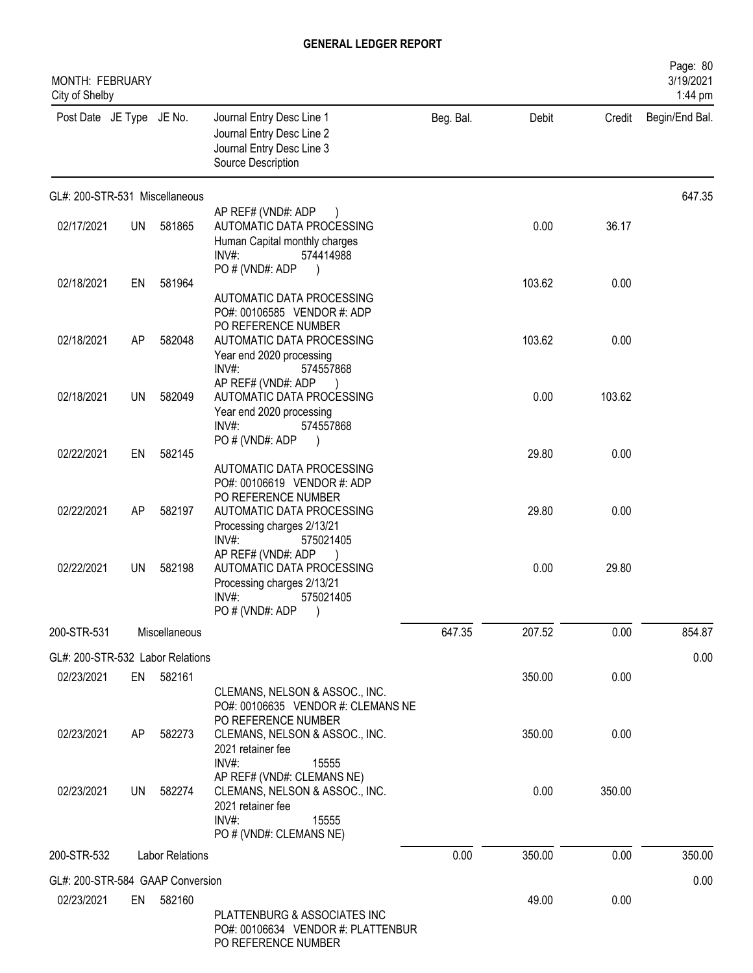| MONTH: FEBRUARY<br>City of Shelby |           |                        |                                                                                                                          |           |        |        | Page: 80<br>3/19/2021<br>1:44 pm |
|-----------------------------------|-----------|------------------------|--------------------------------------------------------------------------------------------------------------------------|-----------|--------|--------|----------------------------------|
| Post Date JE Type JE No.          |           |                        | Journal Entry Desc Line 1<br>Journal Entry Desc Line 2<br>Journal Entry Desc Line 3<br>Source Description                | Beg. Bal. | Debit  | Credit | Begin/End Bal.                   |
| GL#: 200-STR-531 Miscellaneous    |           |                        |                                                                                                                          |           |        |        | 647.35                           |
| 02/17/2021                        | <b>UN</b> | 581865                 | AP REF# (VND#: ADP<br>AUTOMATIC DATA PROCESSING<br>Human Capital monthly charges<br>$INV#$ :<br>574414988                |           | 0.00   | 36.17  |                                  |
| 02/18/2021                        | EN        | 581964                 | PO # (VND#: ADP<br>AUTOMATIC DATA PROCESSING<br>PO#: 00106585 VENDOR #: ADP                                              |           | 103.62 | 0.00   |                                  |
| 02/18/2021                        | AP        | 582048                 | PO REFERENCE NUMBER<br>AUTOMATIC DATA PROCESSING<br>Year end 2020 processing<br>INV#:<br>574557868<br>AP REF# (VND#: ADP |           | 103.62 | 0.00   |                                  |
| 02/18/2021                        | UN.       | 582049                 | AUTOMATIC DATA PROCESSING<br>Year end 2020 processing<br>INV#:<br>574557868<br>PO # (VND#: ADP                           |           | 0.00   | 103.62 |                                  |
| 02/22/2021                        | EN        | 582145                 | AUTOMATIC DATA PROCESSING<br>PO#: 00106619 VENDOR #: ADP<br>PO REFERENCE NUMBER                                          |           | 29.80  | 0.00   |                                  |
| 02/22/2021                        | AP        | 582197                 | AUTOMATIC DATA PROCESSING<br>Processing charges 2/13/21<br>INV#<br>575021405                                             |           | 29.80  | 0.00   |                                  |
| 02/22/2021                        | UN.       | 582198                 | AP REF# (VND#: ADP<br>AUTOMATIC DATA PROCESSING<br>Processing charges 2/13/21<br>INV#:<br>575021405<br>PO # (VND#: ADP   |           | 0.00   | 29.80  |                                  |
| 200-STR-531                       |           | Miscellaneous          |                                                                                                                          | 647.35    | 207.52 | 0.00   | 854.87                           |
| GL#: 200-STR-532 Labor Relations  |           |                        |                                                                                                                          |           |        |        | 0.00                             |
| 02/23/2021                        |           | EN 582161              | CLEMANS, NELSON & ASSOC., INC.<br>PO#: 00106635 VENDOR #: CLEMANS NE<br>PO REFERENCE NUMBER                              |           | 350.00 | 0.00   |                                  |
| 02/23/2021                        | AP        | 582273                 | CLEMANS, NELSON & ASSOC., INC.<br>2021 retainer fee<br>INV#:<br>15555<br>AP REF# (VND#: CLEMANS NE)                      |           | 350.00 | 0.00   |                                  |
| 02/23/2021                        | UN        | 582274                 | CLEMANS, NELSON & ASSOC., INC.<br>2021 retainer fee<br>INV#:<br>15555<br>PO # (VND#: CLEMANS NE)                         |           | 0.00   | 350.00 |                                  |
| 200-STR-532                       |           | <b>Labor Relations</b> |                                                                                                                          | 0.00      | 350.00 | 0.00   | 350.00                           |
| GL#: 200-STR-584 GAAP Conversion  |           |                        |                                                                                                                          |           |        |        | 0.00                             |
| 02/23/2021                        |           | EN 582160              | PLATTENBURG & ASSOCIATES INC<br>PO#: 00106634 VENDOR #: PLATTENBUR<br>PO REFERENCE NUMBER                                |           | 49.00  | 0.00   |                                  |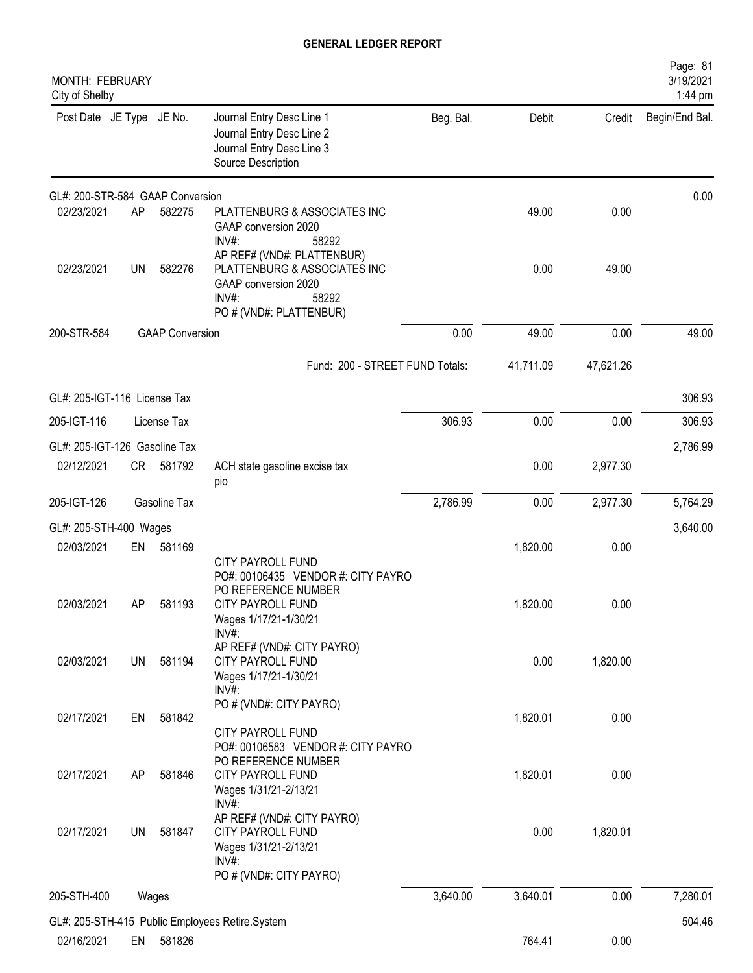| MONTH: FEBRUARY<br>City of Shelby |           |                        |                                                                                                                                 |           |           |           | Page: 81<br>3/19/2021<br>1:44 pm |
|-----------------------------------|-----------|------------------------|---------------------------------------------------------------------------------------------------------------------------------|-----------|-----------|-----------|----------------------------------|
| Post Date JE Type JE No.          |           |                        | Journal Entry Desc Line 1<br>Journal Entry Desc Line 2<br>Journal Entry Desc Line 3<br>Source Description                       | Beg. Bal. | Debit     | Credit    | Begin/End Bal.                   |
| GL#: 200-STR-584 GAAP Conversion  |           |                        |                                                                                                                                 |           |           |           | 0.00                             |
| 02/23/2021                        | AP        | 582275                 | PLATTENBURG & ASSOCIATES INC<br>GAAP conversion 2020<br>INV#:<br>58292                                                          |           | 49.00     | 0.00      |                                  |
| 02/23/2021                        | <b>UN</b> | 582276                 | AP REF# (VND#: PLATTENBUR)<br>PLATTENBURG & ASSOCIATES INC<br>GAAP conversion 2020<br>INV#:<br>58292<br>PO # (VND#: PLATTENBUR) |           | 0.00      | 49.00     |                                  |
| 200-STR-584                       |           | <b>GAAP Conversion</b> |                                                                                                                                 | 0.00      | 49.00     | 0.00      | 49.00                            |
|                                   |           |                        | Fund: 200 - STREET FUND Totals:                                                                                                 |           | 41,711.09 | 47,621.26 |                                  |
| GL#: 205-IGT-116 License Tax      |           |                        |                                                                                                                                 |           |           |           | 306.93                           |
| 205-IGT-116                       |           | License Tax            |                                                                                                                                 | 306.93    | 0.00      | 0.00      | 306.93                           |
| GL#: 205-IGT-126 Gasoline Tax     |           |                        |                                                                                                                                 |           |           |           | 2,786.99                         |
| 02/12/2021                        | CR        | 581792                 | ACH state gasoline excise tax<br>pio                                                                                            |           | 0.00      | 2,977.30  |                                  |
| 205-IGT-126                       |           | Gasoline Tax           |                                                                                                                                 | 2,786.99  | 0.00      | 2,977.30  | 5,764.29                         |
| GL#: 205-STH-400 Wages            |           |                        |                                                                                                                                 |           |           |           | 3,640.00                         |
| 02/03/2021                        | EN        | 581169                 |                                                                                                                                 |           | 1,820.00  | 0.00      |                                  |
| 02/03/2021                        | AΡ        | 581193                 | <b>CITY PAYROLL FUND</b><br>PO#: 00106435 VENDOR #: CITY PAYRO<br>PO REFERENCE NUMBER<br><b>CITY PAYROLL FUND</b>               |           | 1,820.00  | 0.00      |                                  |
|                                   |           |                        | Wages 1/17/21-1/30/21<br>INV#:                                                                                                  |           |           |           |                                  |
| 02/03/2021                        | <b>UN</b> | 581194                 | AP REF# (VND#: CITY PAYRO)<br>CITY PAYROLL FUND<br>Wages 1/17/21-1/30/21<br>$INV#$ :                                            |           | 0.00      | 1,820.00  |                                  |
| 02/17/2021                        | EN        | 581842                 | PO # (VND#: CITY PAYRO)<br>CITY PAYROLL FUND<br>PO#: 00106583 VENDOR #: CITY PAYRO                                              |           | 1,820.01  | 0.00      |                                  |
| 02/17/2021                        | AP        | 581846                 | PO REFERENCE NUMBER<br>CITY PAYROLL FUND<br>Wages 1/31/21-2/13/21<br>INV#:                                                      |           | 1,820.01  | 0.00      |                                  |
| 02/17/2021                        | <b>UN</b> | 581847                 | AP REF# (VND#: CITY PAYRO)<br><b>CITY PAYROLL FUND</b><br>Wages 1/31/21-2/13/21<br>INV#:                                        |           | 0.00      | 1,820.01  |                                  |
| 205-STH-400                       |           | Wages                  | PO # (VND#: CITY PAYRO)                                                                                                         | 3,640.00  | 3,640.01  | 0.00      | 7,280.01                         |
|                                   |           |                        |                                                                                                                                 |           |           |           |                                  |
| 02/16/2021                        | EN        | 581826                 | GL#: 205-STH-415 Public Employees Retire.System                                                                                 |           | 764.41    | 0.00      | 504.46                           |
|                                   |           |                        |                                                                                                                                 |           |           |           |                                  |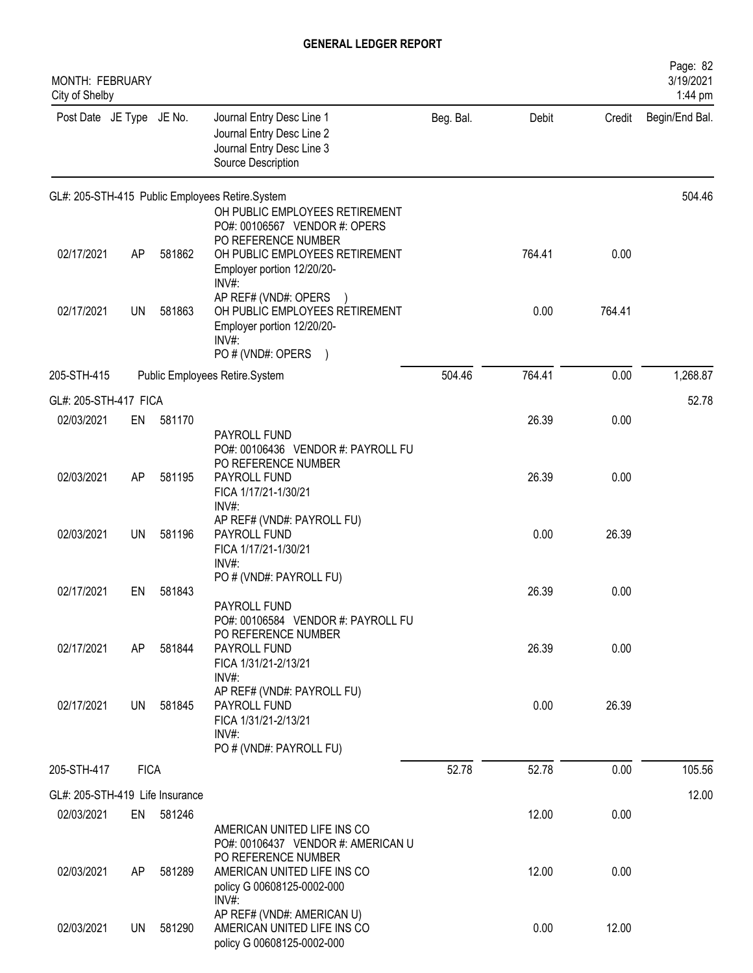| MONTH: FEBRUARY<br>City of Shelby |             |           |                                                                                                                                                        |           |        |        | Page: 82<br>3/19/2021<br>1:44 pm |
|-----------------------------------|-------------|-----------|--------------------------------------------------------------------------------------------------------------------------------------------------------|-----------|--------|--------|----------------------------------|
| Post Date JE Type JE No.          |             |           | Journal Entry Desc Line 1<br>Journal Entry Desc Line 2<br>Journal Entry Desc Line 3<br>Source Description                                              | Beg. Bal. | Debit  | Credit | Begin/End Bal.                   |
|                                   |             |           | GL#: 205-STH-415 Public Employees Retire.System                                                                                                        |           |        |        | 504.46                           |
| 02/17/2021                        | AP          | 581862    | OH PUBLIC EMPLOYEES RETIREMENT<br>PO#: 00106567 VENDOR #: OPERS<br>PO REFERENCE NUMBER<br>OH PUBLIC EMPLOYEES RETIREMENT<br>Employer portion 12/20/20- |           | 764.41 | 0.00   |                                  |
| 02/17/2021                        | UN          | 581863    | INV#:<br>AP REF# (VND#: OPERS<br>OH PUBLIC EMPLOYEES RETIREMENT<br>Employer portion 12/20/20-<br>$INV#$ :<br>PO # (VND#: OPERS<br>$\lambda$            |           | 0.00   | 764.41 |                                  |
| 205-STH-415                       |             |           | Public Employees Retire.System                                                                                                                         | 504.46    | 764.41 | 0.00   | 1,268.87                         |
| GL#: 205-STH-417 FICA             |             |           |                                                                                                                                                        |           |        |        | 52.78                            |
| 02/03/2021                        | EN          | 581170    |                                                                                                                                                        |           | 26.39  | 0.00   |                                  |
| 02/03/2021                        | AP          | 581195    | PAYROLL FUND<br>PO#: 00106436 VENDOR #: PAYROLL FU<br>PO REFERENCE NUMBER<br>PAYROLL FUND<br>FICA 1/17/21-1/30/21                                      |           | 26.39  | 0.00   |                                  |
| 02/03/2021                        | <b>UN</b>   | 581196    | INV#:<br>AP REF# (VND#: PAYROLL FU)<br>PAYROLL FUND<br>FICA 1/17/21-1/30/21<br>$INV#$ :                                                                |           | 0.00   | 26.39  |                                  |
| 02/17/2021                        | EN          | 581843    | PO # (VND#: PAYROLL FU)<br>PAYROLL FUND<br>PO#: 00106584 VENDOR #: PAYROLL FU                                                                          |           | 26.39  | 0.00   |                                  |
| 02/17/2021                        | AP          | 581844    | PO REFERENCE NUMBER<br>PAYROLL FUND<br>FICA 1/31/21-2/13/21<br>$INV#$ :                                                                                |           | 26.39  | 0.00   |                                  |
| 02/17/2021                        | UN.         | 581845    | AP REF# (VND#: PAYROLL FU)<br>PAYROLL FUND<br>FICA 1/31/21-2/13/21<br>INV#:<br>PO # (VND#: PAYROLL FU)                                                 |           | 0.00   | 26.39  |                                  |
| 205-STH-417                       | <b>FICA</b> |           |                                                                                                                                                        | 52.78     | 52.78  | 0.00   | 105.56                           |
| GL#: 205-STH-419 Life Insurance   |             |           |                                                                                                                                                        |           |        |        | 12.00                            |
| 02/03/2021                        |             | EN 581246 | AMERICAN UNITED LIFE INS CO<br>PO#: 00106437 VENDOR #: AMERICAN U                                                                                      |           | 12.00  | 0.00   |                                  |
| 02/03/2021                        | AP          | 581289    | PO REFERENCE NUMBER<br>AMERICAN UNITED LIFE INS CO<br>policy G 00608125-0002-000<br>$INV#$ :                                                           |           | 12.00  | 0.00   |                                  |
| 02/03/2021                        | UN.         | 581290    | AP REF# (VND#: AMERICAN U)<br>AMERICAN UNITED LIFE INS CO<br>policy G 00608125-0002-000                                                                |           | 0.00   | 12.00  |                                  |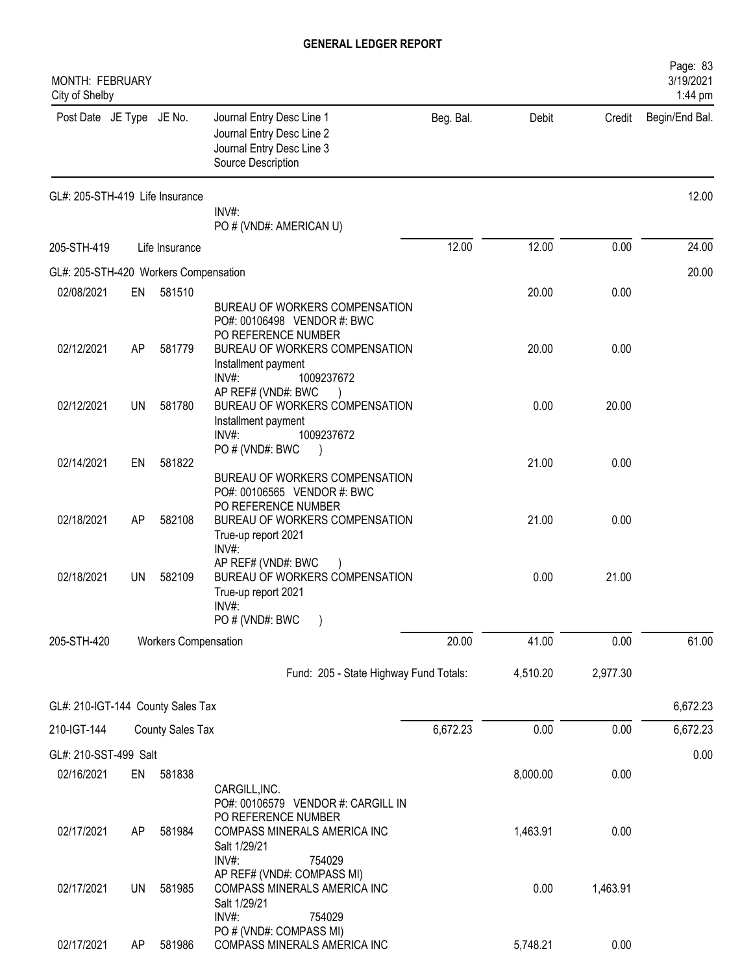| <b>MONTH: FEBRUARY</b><br>City of Shelby |           |                             |                                                                                                             |           |          |          | Page: 83<br>3/19/2021<br>1:44 pm |
|------------------------------------------|-----------|-----------------------------|-------------------------------------------------------------------------------------------------------------|-----------|----------|----------|----------------------------------|
| Post Date JE Type JE No.                 |           |                             | Journal Entry Desc Line 1<br>Journal Entry Desc Line 2<br>Journal Entry Desc Line 3<br>Source Description   | Beg. Bal. | Debit    | Credit   | Begin/End Bal.                   |
| GL#: 205-STH-419 Life Insurance          |           |                             |                                                                                                             |           |          |          | 12.00                            |
|                                          |           |                             | INV#:<br>PO # (VND#: AMERICAN U)                                                                            |           |          |          |                                  |
| 205-STH-419                              |           | Life Insurance              |                                                                                                             | 12.00     | 12.00    | 0.00     | 24.00                            |
| GL#: 205-STH-420 Workers Compensation    |           |                             |                                                                                                             |           |          |          | 20.00                            |
| 02/08/2021                               | EN        | 581510                      |                                                                                                             |           | 20.00    | 0.00     |                                  |
|                                          |           |                             | BUREAU OF WORKERS COMPENSATION<br>PO#: 00106498 VENDOR #: BWC<br>PO REFERENCE NUMBER                        |           |          |          |                                  |
| 02/12/2021                               | AP        | 581779                      | BUREAU OF WORKERS COMPENSATION<br>Installment payment<br>$INV#$ :<br>1009237672                             |           | 20.00    | 0.00     |                                  |
| 02/12/2021                               | UN        | 581780                      | AP REF# (VND#: BWC<br>BUREAU OF WORKERS COMPENSATION<br>Installment payment<br>$INV#$ :<br>1009237672       |           | 0.00     | 20.00    |                                  |
| 02/14/2021                               | EN        | 581822                      | PO # (VND#: BWC<br>BUREAU OF WORKERS COMPENSATION                                                           |           | 21.00    | 0.00     |                                  |
| 02/18/2021                               | AP        | 582108                      | PO#: 00106565 VENDOR #: BWC<br>PO REFERENCE NUMBER<br>BUREAU OF WORKERS COMPENSATION<br>True-up report 2021 |           | 21.00    | 0.00     |                                  |
| 02/18/2021                               | <b>UN</b> | 582109                      | INV#:<br>AP REF# (VND#: BWC<br>BUREAU OF WORKERS COMPENSATION<br>True-up report 2021<br>INV#                |           | 0.00     | 21.00    |                                  |
| 205-STH-420                              |           | <b>Workers Compensation</b> | PO # (VND#: BWC                                                                                             | 20.00     | 41.00    | 0.00     | 61.00                            |
|                                          |           |                             | Fund: 205 - State Highway Fund Totals:                                                                      |           | 4,510.20 | 2,977.30 |                                  |
| GL#: 210-IGT-144 County Sales Tax        |           |                             |                                                                                                             |           |          |          | 6,672.23                         |
| 210-IGT-144                              |           | <b>County Sales Tax</b>     |                                                                                                             | 6,672.23  | 0.00     | 0.00     | 6,672.23                         |
| GL#: 210-SST-499 Salt                    |           |                             |                                                                                                             |           |          |          | 0.00                             |
| 02/16/2021                               | EN        | 581838                      | CARGILL, INC.<br>PO#: 00106579 VENDOR #: CARGILL IN                                                         |           | 8,000.00 | 0.00     |                                  |
| 02/17/2021                               | AP        | 581984                      | PO REFERENCE NUMBER<br>COMPASS MINERALS AMERICA INC<br>Salt 1/29/21                                         |           | 1,463.91 | 0.00     |                                  |
| 02/17/2021                               | <b>UN</b> | 581985                      | INV#:<br>754029<br>AP REF# (VND#: COMPASS MI)<br>COMPASS MINERALS AMERICA INC<br>Salt 1/29/21               |           | 0.00     | 1,463.91 |                                  |
| 02/17/2021                               | AΡ        | 581986                      | INV#:<br>754029<br>PO # (VND#: COMPASS MI)<br>COMPASS MINERALS AMERICA INC                                  |           | 5,748.21 | 0.00     |                                  |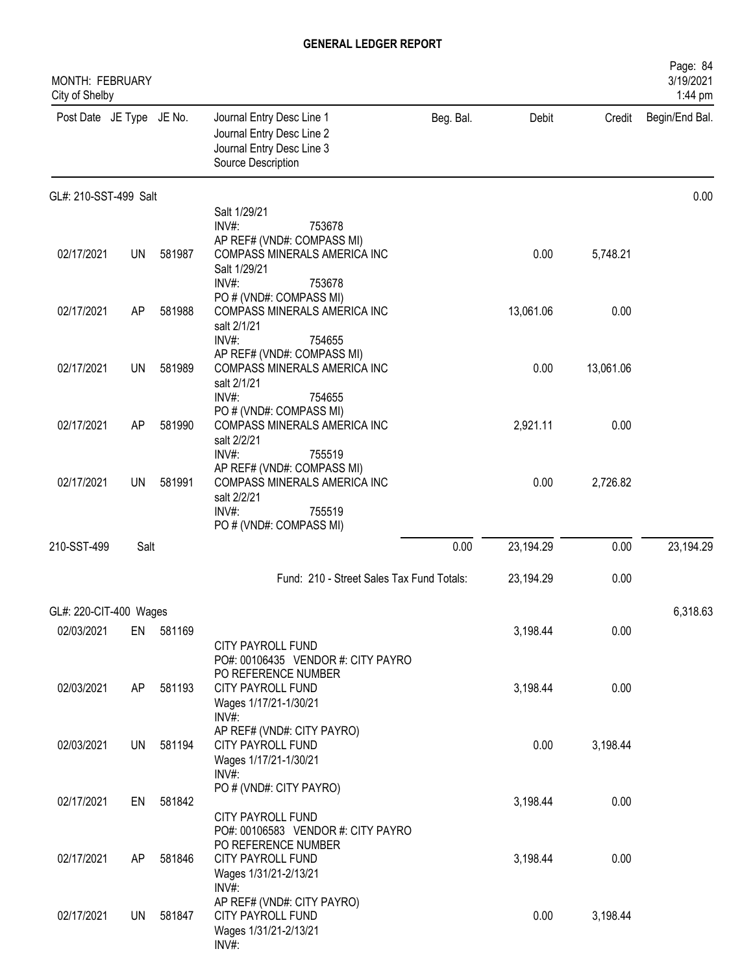| MONTH: FEBRUARY<br>City of Shelby |           |        |                                                                                                                 |           |           |           | Page: 84<br>3/19/2021<br>1:44 pm |
|-----------------------------------|-----------|--------|-----------------------------------------------------------------------------------------------------------------|-----------|-----------|-----------|----------------------------------|
| Post Date JE Type JE No.          |           |        | Journal Entry Desc Line 1<br>Journal Entry Desc Line 2<br>Journal Entry Desc Line 3<br>Source Description       | Beg. Bal. | Debit     | Credit    | Begin/End Bal.                   |
| GL#: 210-SST-499 Salt             |           |        |                                                                                                                 |           |           |           | 0.00                             |
|                                   |           |        | Salt 1/29/21<br>$INV#$ :<br>753678                                                                              |           |           |           |                                  |
| 02/17/2021                        | UN        | 581987 | AP REF# (VND#: COMPASS MI)<br>COMPASS MINERALS AMERICA INC<br>Salt 1/29/21<br>INV#:<br>753678                   |           | 0.00      | 5,748.21  |                                  |
| 02/17/2021                        | AP        | 581988 | PO # (VND#: COMPASS MI)<br>COMPASS MINERALS AMERICA INC<br>salt 2/1/21<br>$INV#$ :<br>754655                    |           | 13,061.06 | 0.00      |                                  |
| 02/17/2021                        | UN        | 581989 | AP REF# (VND#: COMPASS MI)<br>COMPASS MINERALS AMERICA INC<br>salt 2/1/21<br>$INV#$ :<br>754655                 |           | 0.00      | 13,061.06 |                                  |
| 02/17/2021                        | AP        | 581990 | PO # (VND#: COMPASS MI)<br>COMPASS MINERALS AMERICA INC<br>salt 2/2/21                                          |           | 2,921.11  | 0.00      |                                  |
| 02/17/2021                        | UN        | 581991 | INV#:<br>755519<br>AP REF# (VND#: COMPASS MI)<br>COMPASS MINERALS AMERICA INC<br>salt 2/2/21<br>INV#:<br>755519 |           | 0.00      | 2,726.82  |                                  |
|                                   |           |        | PO # (VND#: COMPASS MI)                                                                                         |           |           |           |                                  |
| 210-SST-499                       | Salt      |        |                                                                                                                 | 0.00      | 23,194.29 | 0.00      | 23,194.29                        |
|                                   |           |        | Fund: 210 - Street Sales Tax Fund Totals:                                                                       |           | 23,194.29 | 0.00      |                                  |
| GL#: 220-CIT-400 Wages            |           |        |                                                                                                                 |           |           |           | 6,318.63                         |
| 02/03/2021                        | EN        | 581169 | CITY PAYROLL FUND                                                                                               |           | 3,198.44  | 0.00      |                                  |
| 02/03/2021                        | AP        | 581193 | PO#: 00106435 VENDOR #: CITY PAYRO<br>PO REFERENCE NUMBER<br>CITY PAYROLL FUND<br>Wages 1/17/21-1/30/21         |           | 3,198.44  | 0.00      |                                  |
| 02/03/2021                        | <b>UN</b> | 581194 | INV#:<br>AP REF# (VND#: CITY PAYRO)<br>CITY PAYROLL FUND<br>Wages 1/17/21-1/30/21                               |           | 0.00      | 3,198.44  |                                  |
| 02/17/2021                        | EN        | 581842 | $INV#$ :<br>PO # (VND#: CITY PAYRO)<br>CITY PAYROLL FUND                                                        |           | 3,198.44  | 0.00      |                                  |
| 02/17/2021                        | AP        | 581846 | PO#: 00106583 VENDOR #: CITY PAYRO<br>PO REFERENCE NUMBER<br>CITY PAYROLL FUND<br>Wages 1/31/21-2/13/21         |           | 3,198.44  | 0.00      |                                  |
| 02/17/2021                        | UN        | 581847 | $INV#$ :<br>AP REF# (VND#: CITY PAYRO)<br>CITY PAYROLL FUND<br>Wages 1/31/21-2/13/21<br>INV#:                   |           | 0.00      | 3,198.44  |                                  |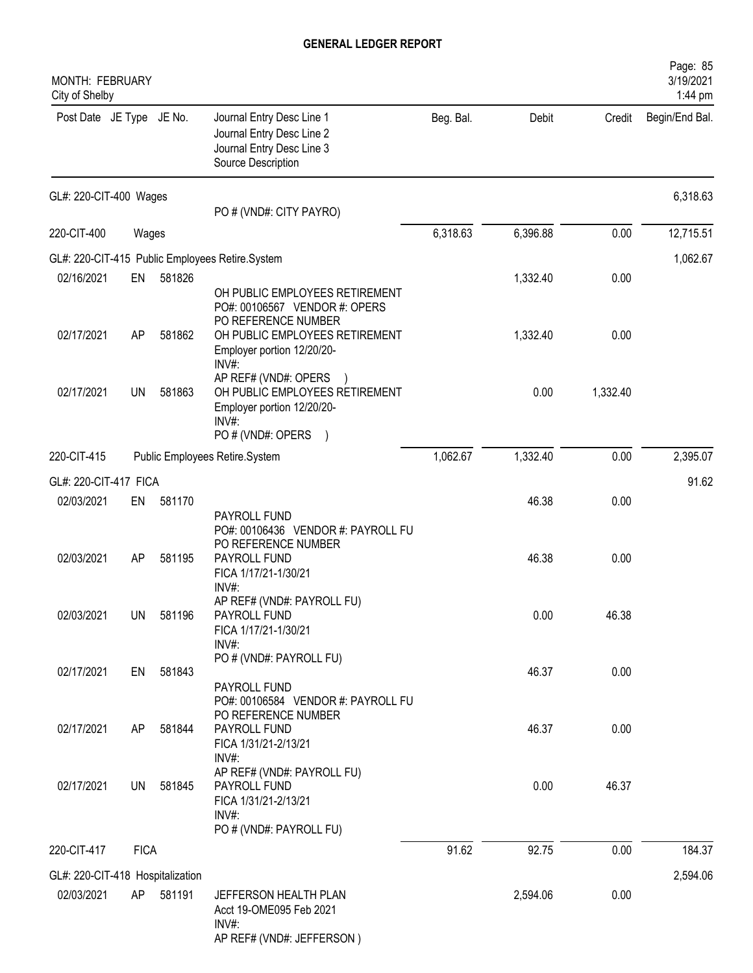| <b>MONTH: FEBRUARY</b><br>City of Shelby       |             |        |                                                                                                                                                        |           |          |          | Page: 85<br>3/19/2021<br>1:44 pm |
|------------------------------------------------|-------------|--------|--------------------------------------------------------------------------------------------------------------------------------------------------------|-----------|----------|----------|----------------------------------|
| Post Date JE Type JE No.                       |             |        | Journal Entry Desc Line 1<br>Journal Entry Desc Line 2<br>Journal Entry Desc Line 3<br>Source Description                                              | Beg. Bal. | Debit    | Credit   | Begin/End Bal.                   |
| GL#: 220-CIT-400 Wages                         |             |        | PO # (VND#: CITY PAYRO)                                                                                                                                |           |          |          | 6,318.63                         |
| 220-CIT-400                                    | Wages       |        |                                                                                                                                                        | 6,318.63  | 6,396.88 | 0.00     | 12,715.51                        |
|                                                |             |        | GL#: 220-CIT-415 Public Employees Retire.System                                                                                                        |           |          |          | 1,062.67                         |
| 02/16/2021                                     | EN          | 581826 |                                                                                                                                                        |           | 1,332.40 | 0.00     |                                  |
| 02/17/2021                                     | AP          | 581862 | OH PUBLIC EMPLOYEES RETIREMENT<br>PO#: 00106567 VENDOR #: OPERS<br>PO REFERENCE NUMBER<br>OH PUBLIC EMPLOYEES RETIREMENT<br>Employer portion 12/20/20- |           | 1,332.40 | 0.00     |                                  |
| 02/17/2021                                     | <b>UN</b>   | 581863 | INV#:<br>AP REF# (VND#: OPERS<br>OH PUBLIC EMPLOYEES RETIREMENT<br>Employer portion 12/20/20-<br>INV#:<br>PO # (VND#: OPERS<br>$\lambda$               |           | 0.00     | 1,332.40 |                                  |
| 220-CIT-415                                    |             |        | Public Employees Retire.System                                                                                                                         | 1,062.67  | 1,332.40 | 0.00     | 2,395.07                         |
| GL#: 220-CIT-417 FICA                          |             |        |                                                                                                                                                        |           |          |          | 91.62                            |
| 02/03/2021                                     | EN          | 581170 |                                                                                                                                                        |           | 46.38    | 0.00     |                                  |
| 02/03/2021                                     | AP          | 581195 | PAYROLL FUND<br>PO#: 00106436 VENDOR #: PAYROLL FU<br>PO REFERENCE NUMBER<br>PAYROLL FUND<br>FICA 1/17/21-1/30/21<br>INV#:                             |           | 46.38    | 0.00     |                                  |
| 02/03/2021                                     | <b>UN</b>   | 581196 | AP REF# (VND#: PAYROLL FU)<br>PAYROLL FUND<br>FICA 1/17/21-1/30/21<br>INV#:                                                                            |           | 0.00     | 46.38    |                                  |
| 02/17/2021                                     | EN          | 581843 | PO # (VND#: PAYROLL FU)<br>PAYROLL FUND                                                                                                                |           | 46.37    | 0.00     |                                  |
| 02/17/2021                                     | AP          | 581844 | PO#: 00106584 VENDOR #: PAYROLL FU<br>PO REFERENCE NUMBER<br>PAYROLL FUND<br>FICA 1/31/21-2/13/21<br>INV#:                                             |           | 46.37    | 0.00     |                                  |
| 02/17/2021                                     | UN          | 581845 | AP REF# (VND#: PAYROLL FU)<br>PAYROLL FUND<br>FICA 1/31/21-2/13/21<br>INV#:<br>PO # (VND#: PAYROLL FU)                                                 |           | 0.00     | 46.37    |                                  |
| 220-CIT-417                                    | <b>FICA</b> |        |                                                                                                                                                        | 91.62     | 92.75    | 0.00     | 184.37                           |
|                                                |             |        |                                                                                                                                                        |           |          |          | 2,594.06                         |
| GL#: 220-CIT-418 Hospitalization<br>02/03/2021 | AP          | 581191 | JEFFERSON HEALTH PLAN<br>Acct 19-OME095 Feb 2021<br>INV#:<br>AP REF# (VND#: JEFFERSON)                                                                 |           | 2,594.06 | 0.00     |                                  |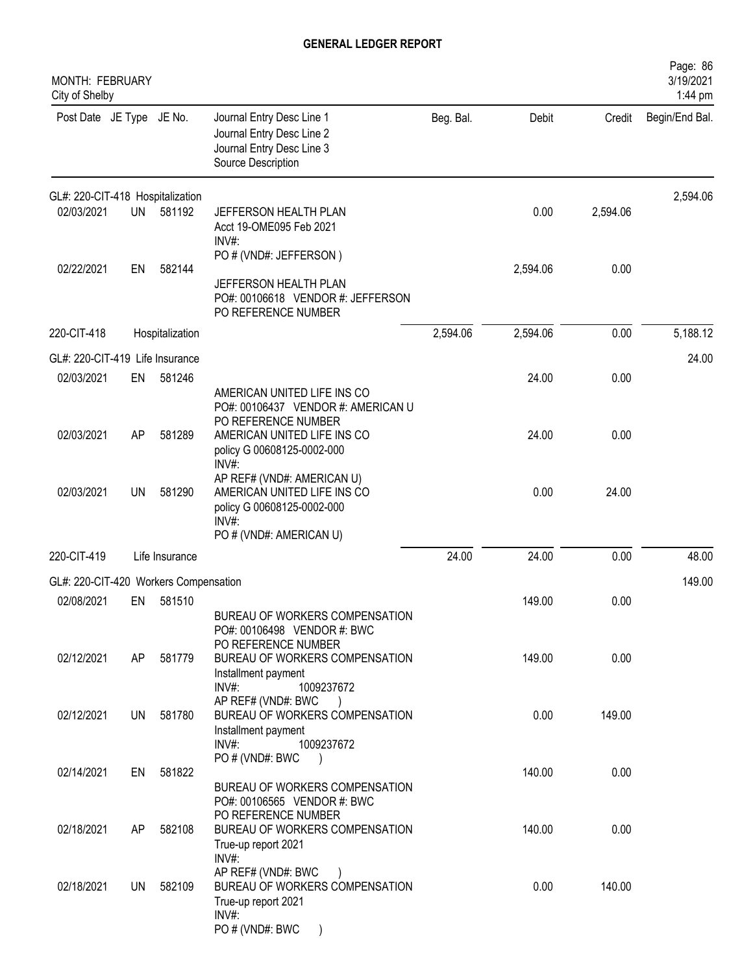| Page: 86<br>3/19/2021<br>1:44 pm |          |          |           |                                                                                                                                      |                 |           | MONTH: FEBRUARY<br>City of Shelby                   |
|----------------------------------|----------|----------|-----------|--------------------------------------------------------------------------------------------------------------------------------------|-----------------|-----------|-----------------------------------------------------|
| Begin/End Bal.                   | Credit   | Debit    | Beg. Bal. | Journal Entry Desc Line 1<br>Journal Entry Desc Line 2<br>Journal Entry Desc Line 3<br>Source Description                            |                 |           | Post Date JE Type JE No.                            |
| 2,594.06                         |          |          |           |                                                                                                                                      |                 |           | GL#: 220-CIT-418 Hospitalization                    |
|                                  | 2,594.06 | 0.00     |           | JEFFERSON HEALTH PLAN<br>Acct 19-OME095 Feb 2021<br>$INV#$ :                                                                         | 581192          | <b>UN</b> | 02/03/2021                                          |
|                                  |          |          |           | PO # (VND#: JEFFERSON)                                                                                                               |                 |           |                                                     |
|                                  | 0.00     | 2,594.06 |           | JEFFERSON HEALTH PLAN<br>PO#: 00106618 VENDOR #: JEFFERSON<br>PO REFERENCE NUMBER                                                    | 582144          | EN        | 02/22/2021                                          |
| 5,188.12                         | 0.00     | 2,594.06 | 2,594.06  |                                                                                                                                      | Hospitalization |           | 220-CIT-418                                         |
| 24.00                            |          |          |           |                                                                                                                                      |                 |           | GL#: 220-CIT-419 Life Insurance                     |
|                                  | 0.00     | 24.00    |           | AMERICAN UNITED LIFE INS CO<br>PO#: 00106437 VENDOR #: AMERICAN U                                                                    | 581246          | EN        | 02/03/2021                                          |
|                                  | 0.00     | 24.00    |           | PO REFERENCE NUMBER<br>AMERICAN UNITED LIFE INS CO<br>policy G 00608125-0002-000                                                     | 581289          | AP        | 02/03/2021                                          |
|                                  | 24.00    | 0.00     |           | AP REF# (VND#: AMERICAN U)<br>AMERICAN UNITED LIFE INS CO<br>policy G 00608125-0002-000<br>$INV#$ :                                  | 581290          | <b>UN</b> | 02/03/2021                                          |
| 48.00                            | 0.00     | 24.00    | 24.00     |                                                                                                                                      | Life Insurance  |           | 220-CIT-419                                         |
| 149.00                           |          |          |           |                                                                                                                                      |                 |           |                                                     |
|                                  | 0.00     | 149.00   |           |                                                                                                                                      | 581510          | EN        | 02/08/2021                                          |
|                                  |          |          |           | BUREAU OF WORKERS COMPENSATION<br>PO#: 00106498 VENDOR #: BWC                                                                        |                 |           |                                                     |
|                                  | 0.00     | 149.00   |           | BUREAU OF WORKERS COMPENSATION<br>Installment payment                                                                                | 581779          | AP        | 02/12/2021                                          |
|                                  | 149.00   | 0.00     |           | AP REF# (VND#: BWC<br>BUREAU OF WORKERS COMPENSATION<br>Installment payment<br>INV#:<br>1009237672                                   | 581780          | UN        | 02/12/2021                                          |
|                                  |          |          |           |                                                                                                                                      |                 |           |                                                     |
|                                  |          |          |           | BUREAU OF WORKERS COMPENSATION<br>PO#: 00106565 VENDOR #: BWC                                                                        |                 |           |                                                     |
|                                  | 0.00     | 140.00   |           | BUREAU OF WORKERS COMPENSATION<br>True-up report 2021                                                                                | 582108          | AP        | 02/18/2021                                          |
|                                  | 140.00   | 0.00     |           | AP REF# (VND#: BWC<br>BUREAU OF WORKERS COMPENSATION<br>True-up report 2021                                                          | 582109          | UN        | 02/18/2021                                          |
|                                  | 0.00     | 140.00   |           | INV#:<br>PO # (VND#: AMERICAN U)<br>PO REFERENCE NUMBER<br>1009237672<br>$INV#$ :<br>PO # (VND#: BWC<br>PO REFERENCE NUMBER<br>INV#: | 581822          | EN        | GL#: 220-CIT-420 Workers Compensation<br>02/14/2021 |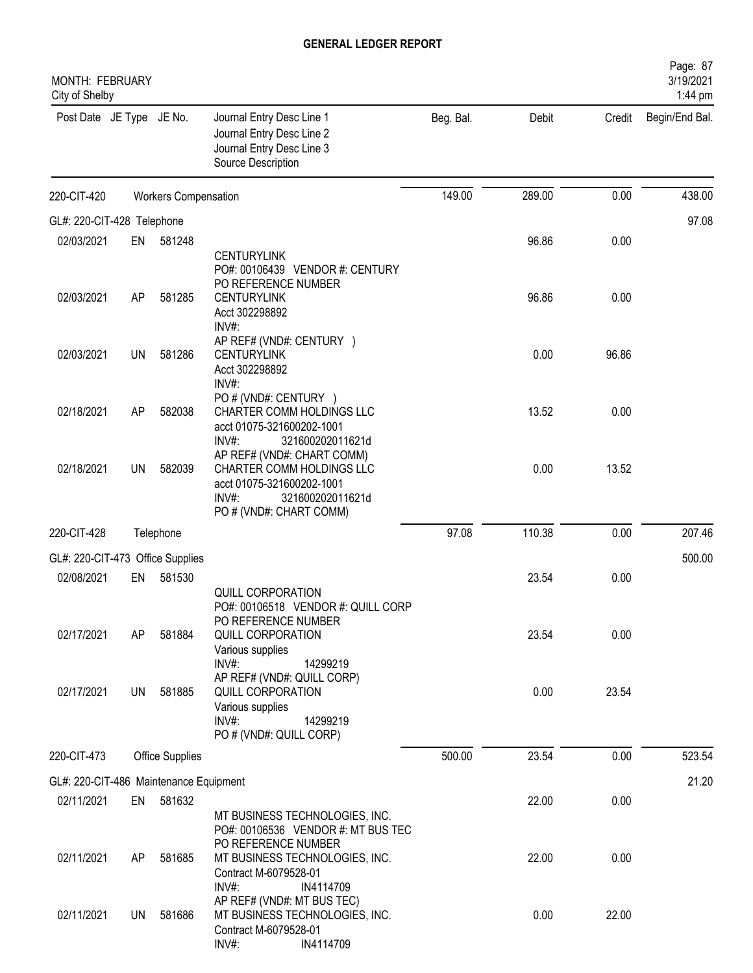| <b>MONTH: FEBRUARY</b><br>City of Shelby |           |                             |                                                                                                                                                                                 |           |        |        | Page: 87<br>3/19/2021<br>1:44 pm |
|------------------------------------------|-----------|-----------------------------|---------------------------------------------------------------------------------------------------------------------------------------------------------------------------------|-----------|--------|--------|----------------------------------|
| Post Date JE Type JE No.                 |           |                             | Journal Entry Desc Line 1<br>Journal Entry Desc Line 2<br>Journal Entry Desc Line 3<br>Source Description                                                                       | Beg. Bal. | Debit  | Credit | Begin/End Bal.                   |
| 220-CIT-420                              |           | <b>Workers Compensation</b> |                                                                                                                                                                                 | 149.00    | 289.00 | 0.00   | 438.00                           |
| GL#: 220-CIT-428 Telephone               |           |                             |                                                                                                                                                                                 |           |        |        | 97.08                            |
| 02/03/2021                               | EN        | 581248                      |                                                                                                                                                                                 |           | 96.86  | 0.00   |                                  |
| 02/03/2021                               | AP        | 581285                      | <b>CENTURYLINK</b><br>PO#: 00106439 VENDOR #: CENTURY<br>PO REFERENCE NUMBER<br><b>CENTURYLINK</b><br>Acct 302298892                                                            |           | 96.86  | 0.00   |                                  |
| 02/03/2021                               | <b>UN</b> | 581286                      | INV#:<br>AP REF# (VND#: CENTURY )<br><b>CENTURYLINK</b><br>Acct 302298892<br>INV#:                                                                                              |           | 0.00   | 96.86  |                                  |
| 02/18/2021                               | AP        | 582038                      | PO # (VND#: CENTURY )<br>CHARTER COMM HOLDINGS LLC<br>acct 01075-321600202-1001                                                                                                 |           | 13.52  | 0.00   |                                  |
| 02/18/2021                               | <b>UN</b> | 582039                      | INV#:<br>321600202011621d<br>AP REF# (VND#: CHART COMM)<br>CHARTER COMM HOLDINGS LLC<br>acct 01075-321600202-1001<br>INV#:<br>321600202011621d<br>PO # (VND#: CHART COMM)       |           | 0.00   | 13.52  |                                  |
| 220-CIT-428                              |           | Telephone                   |                                                                                                                                                                                 | 97.08     | 110.38 | 0.00   | 207.46                           |
| GL#: 220-CIT-473 Office Supplies         |           |                             |                                                                                                                                                                                 |           |        |        | 500.00                           |
| 02/08/2021                               | EN        | 581530                      |                                                                                                                                                                                 |           | 23.54  | 0.00   |                                  |
| 02/17/2021                               | AP.       | 581884                      | QUILL CORPORATION<br>PO#: 00106518 VENDOR #: QUILL CORP<br>PO REFERENCE NUMBER<br>QUILL CORPORATION<br>Various supplies<br>$INV#$ :<br>14299219                                 |           | 23.54  | 0.00   |                                  |
| 02/17/2021                               | UN        | 581885                      | AP REF# (VND#: QUILL CORP)<br>QUILL CORPORATION<br>Various supplies<br>$INV#$ :<br>14299219<br>PO # (VND#: QUILL CORP)                                                          |           | 0.00   | 23.54  |                                  |
| 220-CIT-473                              |           | <b>Office Supplies</b>      |                                                                                                                                                                                 | 500.00    | 23.54  | 0.00   | 523.54                           |
| GL#: 220-CIT-486 Maintenance Equipment   |           |                             |                                                                                                                                                                                 |           |        |        | 21.20                            |
| 02/11/2021                               |           | EN 581632                   |                                                                                                                                                                                 |           | 22.00  | 0.00   |                                  |
| 02/11/2021                               | AP.       | 581685                      | MT BUSINESS TECHNOLOGIES, INC.<br>PO#: 00106536 VENDOR #: MT BUS TEC<br>PO REFERENCE NUMBER<br>MT BUSINESS TECHNOLOGIES, INC.<br>Contract M-6079528-01<br>$INV#$ :<br>IN4114709 |           | 22.00  | 0.00   |                                  |
| 02/11/2021                               | UN        | 581686                      | AP REF# (VND#: MT BUS TEC)<br>MT BUSINESS TECHNOLOGIES, INC.<br>Contract M-6079528-01<br>INV#:<br>IN4114709                                                                     |           | 0.00   | 22.00  |                                  |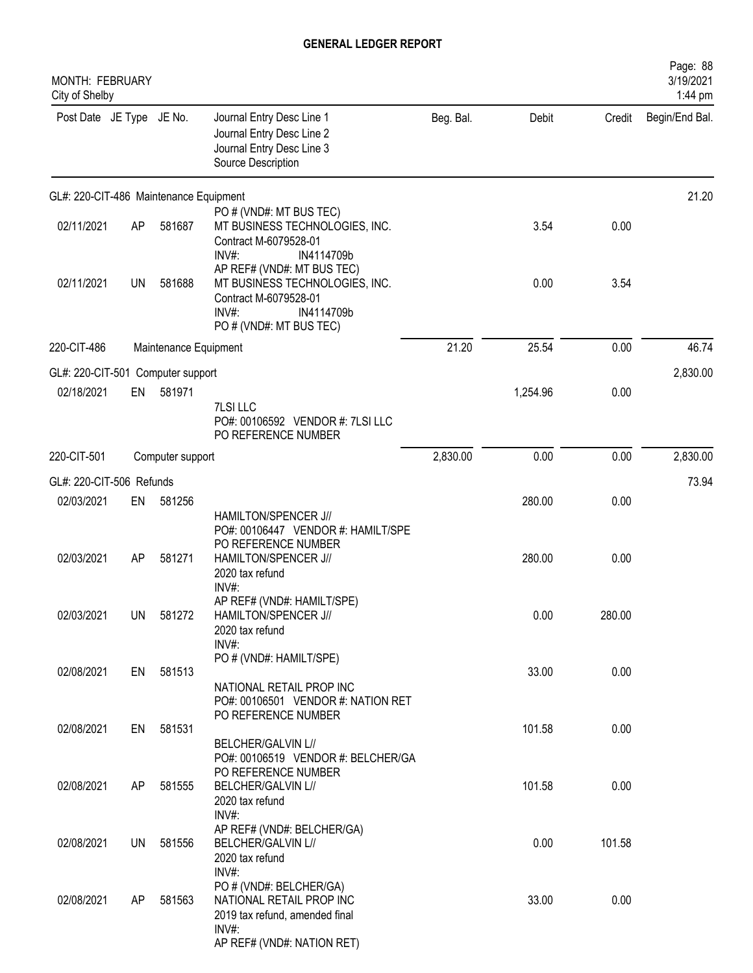| MONTH: FEBRUARY<br>City of Shelby      |           |                       |                                                                                                                                         |           |          |        | Page: 88<br>3/19/2021<br>1:44 pm |
|----------------------------------------|-----------|-----------------------|-----------------------------------------------------------------------------------------------------------------------------------------|-----------|----------|--------|----------------------------------|
| Post Date JE Type JE No.               |           |                       | Journal Entry Desc Line 1<br>Journal Entry Desc Line 2<br>Journal Entry Desc Line 3<br>Source Description                               | Beg. Bal. | Debit    | Credit | Begin/End Bal.                   |
| GL#: 220-CIT-486 Maintenance Equipment |           |                       |                                                                                                                                         |           |          |        | 21.20                            |
| 02/11/2021                             | AP        | 581687                | PO # (VND#: MT BUS TEC)<br>MT BUSINESS TECHNOLOGIES, INC.<br>Contract M-6079528-01<br>$INV#$ :<br>IN4114709b                            |           | 3.54     | 0.00   |                                  |
| 02/11/2021                             | <b>UN</b> | 581688                | AP REF# (VND#: MT BUS TEC)<br>MT BUSINESS TECHNOLOGIES, INC.<br>Contract M-6079528-01<br>INV#:<br>IN4114709b<br>PO # (VND#: MT BUS TEC) |           | 0.00     | 3.54   |                                  |
| 220-CIT-486                            |           | Maintenance Equipment |                                                                                                                                         | 21.20     | 25.54    | 0.00   | 46.74                            |
| GL#: 220-CIT-501 Computer support      |           |                       |                                                                                                                                         |           |          |        | 2,830.00                         |
| 02/18/2021                             | EN        | 581971                | 7LSI LLC<br>PO#: 00106592 VENDOR #: 7LSI LLC<br>PO REFERENCE NUMBER                                                                     |           | 1,254.96 | 0.00   |                                  |
| 220-CIT-501                            |           | Computer support      |                                                                                                                                         | 2,830.00  | 0.00     | 0.00   | 2,830.00                         |
| GL#: 220-CIT-506 Refunds               |           |                       |                                                                                                                                         |           |          |        | 73.94                            |
| 02/03/2021                             | EN        | 581256                |                                                                                                                                         |           | 280.00   | 0.00   |                                  |
| 02/03/2021                             | AP        | 581271                | HAMILTON/SPENCER J//<br>PO#: 00106447 VENDOR #: HAMILT/SPE<br>PO REFERENCE NUMBER<br>HAMILTON/SPENCER J//<br>2020 tax refund<br>INV#:   |           | 280.00   | 0.00   |                                  |
| 02/03/2021                             |           | UN 581272             | AP REF# (VND#: HAMILT/SPE)<br>HAMILTON/SPENCER J//<br>2020 tax refund<br>INV#:                                                          |           | 0.00     | 280.00 |                                  |
| 02/08/2021                             | EN        | 581513                | PO # (VND#: HAMILT/SPE)<br>NATIONAL RETAIL PROP INC<br>PO#: 00106501 VENDOR #: NATION RET                                               |           | 33.00    | 0.00   |                                  |
| 02/08/2021                             | EN        | 581531                | PO REFERENCE NUMBER<br>BELCHER/GALVIN L//                                                                                               |           | 101.58   | 0.00   |                                  |
| 02/08/2021                             | AP        | 581555                | PO#: 00106519 VENDOR #: BELCHER/GA<br>PO REFERENCE NUMBER<br>BELCHER/GALVIN L//<br>2020 tax refund<br>INV#:                             |           | 101.58   | 0.00   |                                  |
| 02/08/2021                             | UN        | 581556                | AP REF# (VND#: BELCHER/GA)<br>BELCHER/GALVIN L//<br>2020 tax refund<br>INV#:                                                            |           | 0.00     | 101.58 |                                  |
| 02/08/2021                             | AP        | 581563                | PO # (VND#: BELCHER/GA)<br>NATIONAL RETAIL PROP INC<br>2019 tax refund, amended final<br>$INV#$ :<br>AP REF# (VND#: NATION RET)         |           | 33.00    | 0.00   |                                  |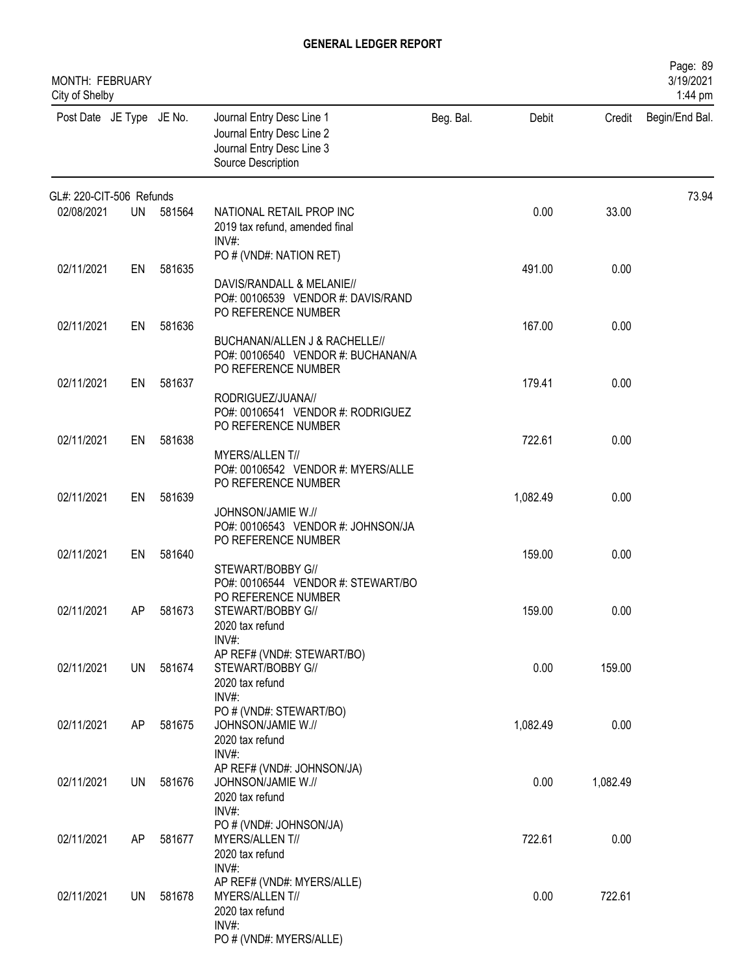| MONTH: FEBRUARY<br>City of Shelby |    |           |                                                                                                           |           |          |          | Page: 89<br>3/19/2021<br>1:44 pm |
|-----------------------------------|----|-----------|-----------------------------------------------------------------------------------------------------------|-----------|----------|----------|----------------------------------|
| Post Date JE Type JE No.          |    |           | Journal Entry Desc Line 1<br>Journal Entry Desc Line 2<br>Journal Entry Desc Line 3<br>Source Description | Beg. Bal. | Debit    | Credit   | Begin/End Bal.                   |
| GL#: 220-CIT-506 Refunds          |    |           |                                                                                                           |           |          |          | 73.94                            |
| 02/08/2021                        |    | UN 581564 | NATIONAL RETAIL PROP INC<br>2019 tax refund, amended final<br>$INV#$ :                                    |           | 0.00     | 33.00    |                                  |
|                                   |    |           | PO # (VND#: NATION RET)                                                                                   |           |          |          |                                  |
| 02/11/2021                        | EN | 581635    | DAVIS/RANDALL & MELANIE//<br>PO#: 00106539 VENDOR #: DAVIS/RAND<br>PO REFERENCE NUMBER                    |           | 491.00   | 0.00     |                                  |
| 02/11/2021                        | EN | 581636    |                                                                                                           |           | 167.00   | 0.00     |                                  |
|                                   |    |           | BUCHANAN/ALLEN J & RACHELLE//<br>PO#: 00106540 VENDOR #: BUCHANAN/A<br>PO REFERENCE NUMBER                |           |          |          |                                  |
| 02/11/2021                        | EN | 581637    |                                                                                                           |           | 179.41   | 0.00     |                                  |
|                                   |    |           | RODRIGUEZ/JUANA//<br>PO#: 00106541 VENDOR #: RODRIGUEZ<br>PO REFERENCE NUMBER                             |           |          |          |                                  |
| 02/11/2021                        | EN | 581638    |                                                                                                           |           | 722.61   | 0.00     |                                  |
|                                   |    |           | MYERS/ALLENT//<br>PO#: 00106542 VENDOR #: MYERS/ALLE<br>PO REFERENCE NUMBER                               |           |          |          |                                  |
| 02/11/2021                        | EN | 581639    |                                                                                                           |           | 1,082.49 | 0.00     |                                  |
|                                   |    |           | JOHNSON/JAMIE W.//<br>PO#: 00106543 VENDOR #: JOHNSON/JA<br>PO REFERENCE NUMBER                           |           |          |          |                                  |
| 02/11/2021                        | EN | 581640    |                                                                                                           |           | 159.00   | 0.00     |                                  |
| 02/11/2021                        | AP | 581673    | STEWART/BOBBY G//<br>PO#: 00106544 VENDOR #: STEWART/BO<br>PO REFERENCE NUMBER<br>STEWART/BOBBY G//       |           | 159.00   | 0.00     |                                  |
|                                   |    |           | 2020 tax refund<br>INV#:                                                                                  |           |          |          |                                  |
| 02/11/2021                        | UN | 581674    | AP REF# (VND#: STEWART/BO)<br>STEWART/BOBBY G//<br>2020 tax refund                                        |           | 0.00     | 159.00   |                                  |
|                                   |    |           | $INV#$ :                                                                                                  |           |          |          |                                  |
| 02/11/2021                        | AP | 581675    | PO # (VND#: STEWART/BO)<br>JOHNSON/JAMIE W.//<br>2020 tax refund                                          |           | 1,082.49 | 0.00     |                                  |
| 02/11/2021                        | UN | 581676    | INV#:<br>AP REF# (VND#: JOHNSON/JA)<br>JOHNSON/JAMIE W.//                                                 |           | 0.00     | 1,082.49 |                                  |
|                                   |    |           | 2020 tax refund<br>INV#:                                                                                  |           |          |          |                                  |
| 02/11/2021                        | AP | 581677    | PO # (VND#: JOHNSON/JA)<br>MYERS/ALLENT//                                                                 |           | 722.61   | 0.00     |                                  |
|                                   |    |           | 2020 tax refund<br>INV#:                                                                                  |           |          |          |                                  |
|                                   |    |           | AP REF# (VND#: MYERS/ALLE)                                                                                |           |          |          |                                  |
| 02/11/2021                        | UN | 581678    | MYERS/ALLENT//<br>2020 tax refund<br>$INV#$ :                                                             |           | 0.00     | 722.61   |                                  |
|                                   |    |           | PO # (VND#: MYERS/ALLE)                                                                                   |           |          |          |                                  |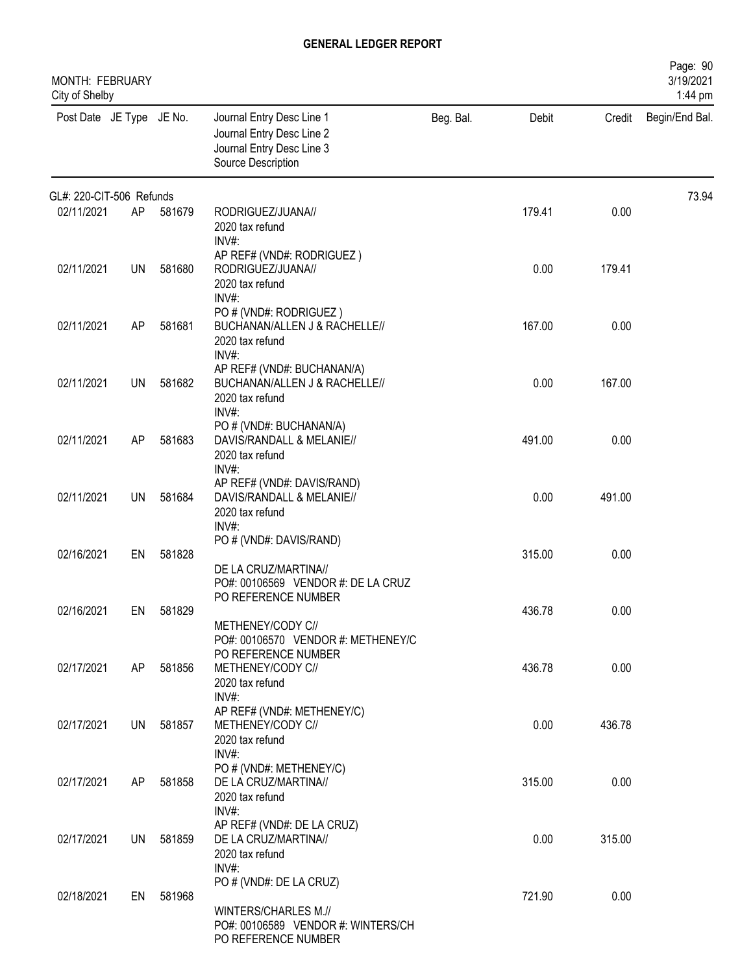| MONTH: FEBRUARY<br>City of Shelby |    |           |                                                                                                              |           |        |        | Page: 90<br>3/19/2021<br>1:44 pm |
|-----------------------------------|----|-----------|--------------------------------------------------------------------------------------------------------------|-----------|--------|--------|----------------------------------|
| Post Date JE Type JE No.          |    |           | Journal Entry Desc Line 1<br>Journal Entry Desc Line 2<br>Journal Entry Desc Line 3<br>Source Description    | Beg. Bal. | Debit  | Credit | Begin/End Bal.                   |
| GL#: 220-CIT-506 Refunds          |    |           |                                                                                                              |           |        |        | 73.94                            |
| 02/11/2021                        | AP | 581679    | RODRIGUEZ/JUANA//<br>2020 tax refund<br>$INV#$ :                                                             |           | 179.41 | 0.00   |                                  |
| 02/11/2021                        | UN | 581680    | AP REF# (VND#: RODRIGUEZ)<br>RODRIGUEZ/JUANA//<br>2020 tax refund<br>$INV#$ :                                |           | 0.00   | 179.41 |                                  |
| 02/11/2021                        | AP | 581681    | PO # (VND#: RODRIGUEZ)<br>BUCHANAN/ALLEN J & RACHELLE//<br>2020 tax refund<br>$INV#$ :                       |           | 167.00 | 0.00   |                                  |
| 02/11/2021                        | UN | 581682    | AP REF# (VND#: BUCHANAN/A)<br>BUCHANAN/ALLEN J & RACHELLE//<br>2020 tax refund<br>INV#:                      |           | 0.00   | 167.00 |                                  |
| 02/11/2021                        | AP | 581683    | PO # (VND#: BUCHANAN/A)<br>DAVIS/RANDALL & MELANIE//<br>2020 tax refund<br>$INV#$ :                          |           | 491.00 | 0.00   |                                  |
| 02/11/2021                        | UN | 581684    | AP REF# (VND#: DAVIS/RAND)<br>DAVIS/RANDALL & MELANIE//<br>2020 tax refund<br>$INV#$ :                       |           | 0.00   | 491.00 |                                  |
| 02/16/2021                        | EN | 581828    | PO # (VND#: DAVIS/RAND)<br>DE LA CRUZ/MARTINA//<br>PO#: 00106569 VENDOR #: DE LA CRUZ                        |           | 315.00 | 0.00   |                                  |
| 02/16/2021                        | EN | 581829    | PO REFERENCE NUMBER<br>METHENEY/CODY C//<br>PO#: 00106570 VENDOR #: METHENEY/C                               |           | 436.78 | 0.00   |                                  |
| 02/17/2021                        | AP | 581856    | PO REFERENCE NUMBER<br>METHENEY/CODY C//<br>2020 tax refund<br>$INV#$ :                                      |           | 436.78 | 0.00   |                                  |
| 02/17/2021                        |    | UN 581857 | AP REF# (VND#: METHENEY/C)<br>METHENEY/CODY C//<br>2020 tax refund<br>$INV#$ :                               |           | 0.00   | 436.78 |                                  |
| 02/17/2021                        | AP | 581858    | PO # (VND#: METHENEY/C)<br>DE LA CRUZ/MARTINA//<br>2020 tax refund<br>INV#:                                  |           | 315.00 | 0.00   |                                  |
| 02/17/2021                        | UN | 581859    | AP REF# (VND#: DE LA CRUZ)<br>DE LA CRUZ/MARTINA//<br>2020 tax refund<br>INV#:                               |           | 0.00   | 315.00 |                                  |
| 02/18/2021                        | EN | 581968    | PO # (VND#: DE LA CRUZ)<br>WINTERS/CHARLES M.//<br>PO#: 00106589 VENDOR #: WINTERS/CH<br>PO REFERENCE NUMBER |           | 721.90 | 0.00   |                                  |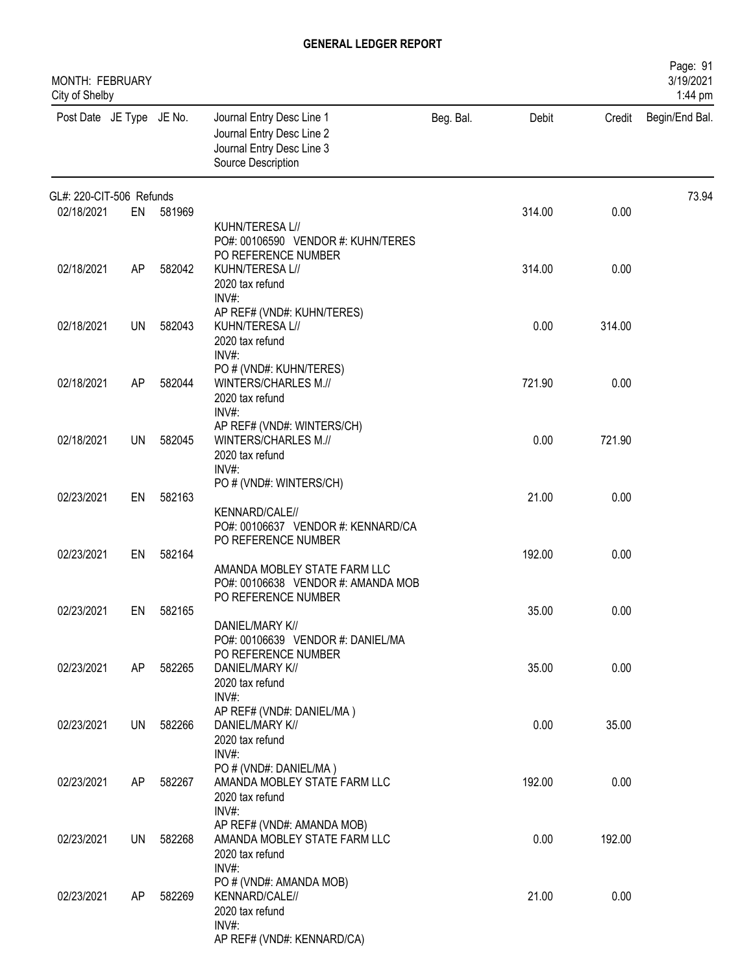| <b>MONTH: FEBRUARY</b><br>City of Shelby |           |           |                                                                                                           |           |        |        | Page: 91<br>3/19/2021<br>1:44 pm |
|------------------------------------------|-----------|-----------|-----------------------------------------------------------------------------------------------------------|-----------|--------|--------|----------------------------------|
| Post Date JE Type JE No.                 |           |           | Journal Entry Desc Line 1<br>Journal Entry Desc Line 2<br>Journal Entry Desc Line 3<br>Source Description | Beg. Bal. | Debit  | Credit | Begin/End Bal.                   |
| GL#: 220-CIT-506 Refunds                 |           |           |                                                                                                           |           |        |        | 73.94                            |
| 02/18/2021                               |           | EN 581969 | KUHN/TERESA L//<br>PO#: 00106590 VENDOR #: KUHN/TERES                                                     |           | 314.00 | 0.00   |                                  |
| 02/18/2021                               | AP        | 582042    | PO REFERENCE NUMBER<br>KUHN/TERESA L//<br>2020 tax refund<br>$INV#$ :                                     |           | 314.00 | 0.00   |                                  |
| 02/18/2021                               | UN        | 582043    | AP REF# (VND#: KUHN/TERES)<br>KUHN/TERESA L//<br>2020 tax refund<br>INV#                                  |           | 0.00   | 314.00 |                                  |
| 02/18/2021                               | AP        | 582044    | PO # (VND#: KUHN/TERES)<br>WINTERS/CHARLES M.//<br>2020 tax refund<br>INV#:                               |           | 721.90 | 0.00   |                                  |
| 02/18/2021                               | <b>UN</b> | 582045    | AP REF# (VND#: WINTERS/CH)<br>WINTERS/CHARLES M.//<br>2020 tax refund<br>INV#:                            |           | 0.00   | 721.90 |                                  |
| 02/23/2021                               | EN        | 582163    | PO # (VND#: WINTERS/CH)<br>KENNARD/CALE//<br>PO#: 00106637 VENDOR #: KENNARD/CA                           |           | 21.00  | 0.00   |                                  |
| 02/23/2021                               | EN        | 582164    | PO REFERENCE NUMBER<br>AMANDA MOBLEY STATE FARM LLC<br>PO#: 00106638 VENDOR #: AMANDA MOB                 |           | 192.00 | 0.00   |                                  |
| 02/23/2021                               | EN        | 582165    | PO REFERENCE NUMBER<br>DANIEL/MARY K//                                                                    |           | 35.00  | 0.00   |                                  |
| 02/23/2021                               | AP        | 582265    | PO#: 00106639 VENDOR #: DANIEL/MA<br>PO REFERENCE NUMBER<br>DANIEL/MARY K//<br>2020 tax refund            |           | 35.00  | 0.00   |                                  |
| 02/23/2021                               | UN        | 582266    | INV#:<br>AP REF# (VND#: DANIEL/MA)<br>DANIEL/MARY K//<br>2020 tax refund                                  |           | 0.00   | 35.00  |                                  |
| 02/23/2021                               | AP        | 582267    | INV#:<br>PO # (VND#: DANIEL/MA)<br>AMANDA MOBLEY STATE FARM LLC<br>2020 tax refund                        |           | 192.00 | 0.00   |                                  |
| 02/23/2021                               | UN        | 582268    | INV#:<br>AP REF# (VND#: AMANDA MOB)<br>AMANDA MOBLEY STATE FARM LLC<br>2020 tax refund                    |           | 0.00   | 192.00 |                                  |
| 02/23/2021                               | AP        | 582269    | INV#:<br>PO # (VND#: AMANDA MOB)<br>KENNARD/CALE//<br>2020 tax refund                                     |           | 21.00  | 0.00   |                                  |
|                                          |           |           | $INV#$ :<br>AP REF# (VND#: KENNARD/CA)                                                                    |           |        |        |                                  |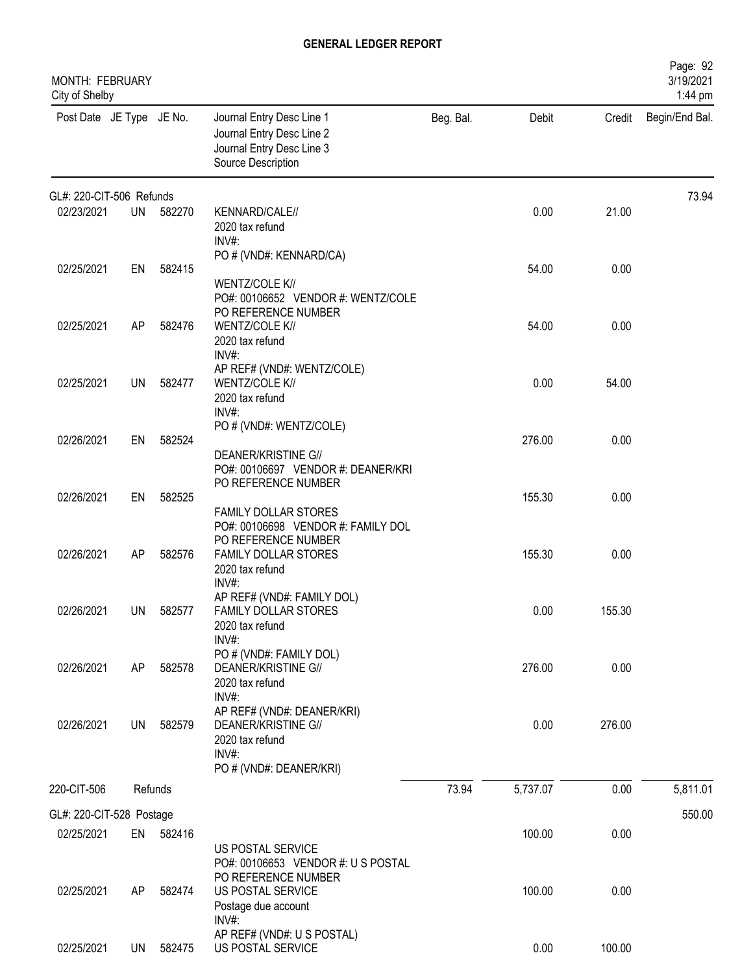| MONTH: FEBRUARY<br>City of Shelby |           |           |                                                                                                                    |           |          |        | Page: 92<br>3/19/2021<br>1:44 pm |
|-----------------------------------|-----------|-----------|--------------------------------------------------------------------------------------------------------------------|-----------|----------|--------|----------------------------------|
| Post Date JE Type JE No.          |           |           | Journal Entry Desc Line 1<br>Journal Entry Desc Line 2<br>Journal Entry Desc Line 3<br>Source Description          | Beg. Bal. | Debit    | Credit | Begin/End Bal.                   |
| GL#: 220-CIT-506 Refunds          |           |           |                                                                                                                    |           |          |        | 73.94                            |
| 02/23/2021                        | <b>UN</b> | 582270    | KENNARD/CALE//<br>2020 tax refund<br>INV#:                                                                         |           | 0.00     | 21.00  |                                  |
| 02/25/2021                        | EN        | 582415    | PO # (VND#: KENNARD/CA)<br>WENTZ/COLE K//<br>PO#: 00106652 VENDOR #: WENTZ/COLE                                    |           | 54.00    | 0.00   |                                  |
| 02/25/2021                        | AP        | 582476    | PO REFERENCE NUMBER<br>WENTZ/COLE K//<br>2020 tax refund<br>INV#:                                                  |           | 54.00    | 0.00   |                                  |
| 02/25/2021                        | UN        | 582477    | AP REF# (VND#: WENTZ/COLE)<br>WENTZ/COLE K//<br>2020 tax refund<br>INV#:                                           |           | 0.00     | 54.00  |                                  |
| 02/26/2021                        | EN        | 582524    | PO # (VND#: WENTZ/COLE)<br><b>DEANER/KRISTINE G//</b><br>PO#: 00106697 VENDOR #: DEANER/KRI                        |           | 276.00   | 0.00   |                                  |
| 02/26/2021                        | EN        | 582525    | PO REFERENCE NUMBER<br>FAMILY DOLLAR STORES<br>PO#: 00106698 VENDOR #: FAMILY DOL                                  |           | 155.30   | 0.00   |                                  |
| 02/26/2021                        | AP        | 582576    | PO REFERENCE NUMBER<br>FAMILY DOLLAR STORES<br>2020 tax refund<br>$INV#$ :                                         |           | 155.30   | 0.00   |                                  |
| 02/26/2021                        | UN        | 582577    | AP REF# (VND#: FAMILY DOL)<br>FAMILY DOLLAR STORES<br>2020 tax refund<br>INV#:                                     |           | 0.00     | 155.30 |                                  |
| 02/26/2021                        | AP        | 582578    | PO # (VND#: FAMILY DOL)<br><b>DEANER/KRISTINE G//</b><br>2020 tax refund<br>INV#:                                  |           | 276.00   | 0.00   |                                  |
| 02/26/2021                        | <b>UN</b> | 582579    | AP REF# (VND#: DEANER/KRI)<br><b>DEANER/KRISTINE G//</b><br>2020 tax refund<br>$INV#$ :<br>PO # (VND#: DEANER/KRI) |           | 0.00     | 276.00 |                                  |
| 220-CIT-506                       |           | Refunds   |                                                                                                                    | 73.94     | 5,737.07 | 0.00   | 5,811.01                         |
| GL#: 220-CIT-528 Postage          |           |           |                                                                                                                    |           |          |        | 550.00                           |
| 02/25/2021                        |           | EN 582416 | US POSTAL SERVICE<br>PO#: 00106653 VENDOR #: U S POSTAL<br>PO REFERENCE NUMBER                                     |           | 100.00   | 0.00   |                                  |
| 02/25/2021                        | AP        | 582474    | US POSTAL SERVICE<br>Postage due account<br>$INV#$ :                                                               |           | 100.00   | 0.00   |                                  |
| 02/25/2021                        |           | UN 582475 | AP REF# (VND#: U S POSTAL)<br>US POSTAL SERVICE                                                                    |           | 0.00     | 100.00 |                                  |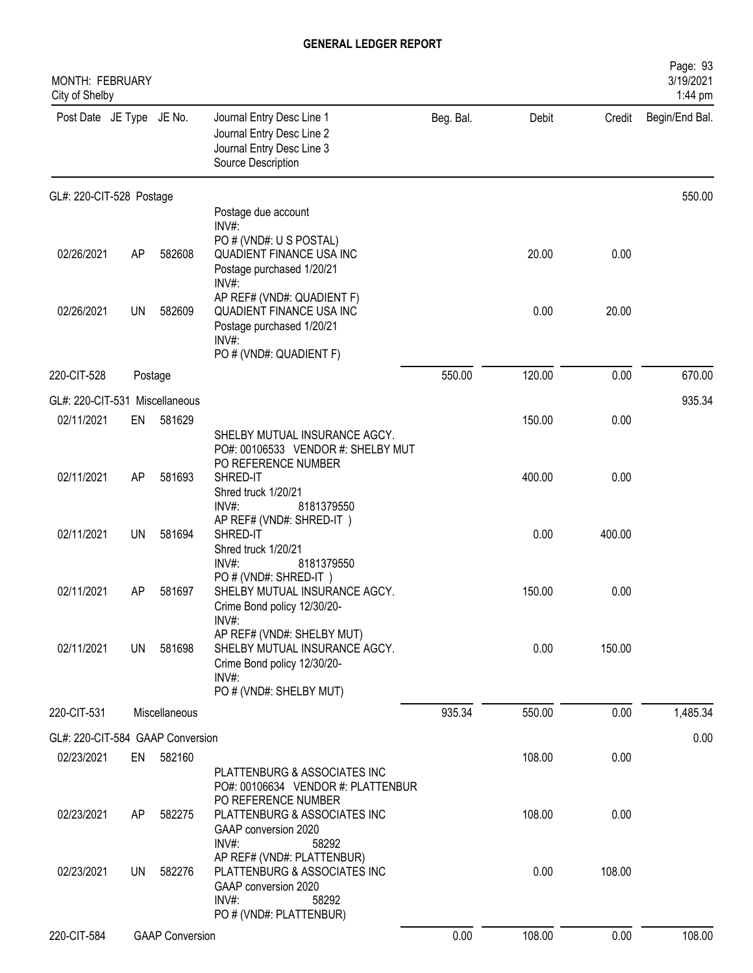| <b>MONTH: FEBRUARY</b><br>City of Shelby |           |                        |                                                                                                                                                   |           |        |        | Page: 93<br>3/19/2021<br>1:44 pm |
|------------------------------------------|-----------|------------------------|---------------------------------------------------------------------------------------------------------------------------------------------------|-----------|--------|--------|----------------------------------|
| Post Date JE Type JE No.                 |           |                        | Journal Entry Desc Line 1<br>Journal Entry Desc Line 2<br>Journal Entry Desc Line 3<br>Source Description                                         | Beg. Bal. | Debit  | Credit | Begin/End Bal.                   |
| GL#: 220-CIT-528 Postage                 |           |                        |                                                                                                                                                   |           |        |        | 550.00                           |
|                                          |           |                        | Postage due account<br>INV#:                                                                                                                      |           |        |        |                                  |
| 02/26/2021                               | AP        | 582608                 | PO # (VND#: U S POSTAL)<br>QUADIENT FINANCE USA INC<br>Postage purchased 1/20/21<br>INV#:                                                         |           | 20.00  | 0.00   |                                  |
| 02/26/2021                               | UN        | 582609                 | AP REF# (VND#: QUADIENT F)<br><b>QUADIENT FINANCE USA INC</b><br>Postage purchased 1/20/21<br>$INV#$ :<br>PO # (VND#: QUADIENT F)                 |           | 0.00   | 20.00  |                                  |
| 220-CIT-528                              | Postage   |                        |                                                                                                                                                   | 550.00    | 120.00 | 0.00   | 670.00                           |
| GL#: 220-CIT-531 Miscellaneous           |           |                        |                                                                                                                                                   |           |        |        | 935.34                           |
| 02/11/2021                               | EN        | 581629                 |                                                                                                                                                   |           | 150.00 | 0.00   |                                  |
| 02/11/2021                               | AP        | 581693                 | SHELBY MUTUAL INSURANCE AGCY.<br>PO#: 00106533 VENDOR #: SHELBY MUT<br>PO REFERENCE NUMBER<br>SHRED-IT<br>Shred truck 1/20/21                     |           | 400.00 | 0.00   |                                  |
| 02/11/2021                               | <b>UN</b> | 581694                 | INV#:<br>8181379550<br>AP REF# (VND#: SHRED-IT)<br>SHRED-IT<br>Shred truck 1/20/21                                                                |           | 0.00   | 400.00 |                                  |
| 02/11/2021                               | AP        | 581697                 | INV#:<br>8181379550<br>PO # (VND#: SHRED-IT)<br>SHELBY MUTUAL INSURANCE AGCY.<br>Crime Bond policy 12/30/20-                                      |           | 150.00 | 0.00   |                                  |
| 02/11/2021                               | UN        | 581698                 | INV#<br>AP REF# (VND#: SHELBY MUT)<br>SHELBY MUTUAL INSURANCE AGCY.<br>Crime Bond policy 12/30/20-<br>INV#:<br>PO # (VND#: SHELBY MUT)            |           | 0.00   | 150.00 |                                  |
| 220-CIT-531                              |           | Miscellaneous          |                                                                                                                                                   | 935.34    | 550.00 | 0.00   | 1,485.34                         |
| GL#: 220-CIT-584 GAAP Conversion         |           |                        |                                                                                                                                                   |           |        |        | 0.00                             |
| 02/23/2021                               | EN        | 582160                 |                                                                                                                                                   |           | 108.00 | 0.00   |                                  |
| 02/23/2021                               | AP        | 582275                 | PLATTENBURG & ASSOCIATES INC<br>PO#: 00106634 VENDOR #: PLATTENBUR<br>PO REFERENCE NUMBER<br>PLATTENBURG & ASSOCIATES INC                         |           | 108.00 | 0.00   |                                  |
| 02/23/2021                               | UN.       | 582276                 | GAAP conversion 2020<br>$INV#$ :<br>58292<br>AP REF# (VND#: PLATTENBUR)<br>PLATTENBURG & ASSOCIATES INC<br>GAAP conversion 2020<br>INV#:<br>58292 |           | 0.00   | 108.00 |                                  |
| 220-CIT-584                              |           | <b>GAAP Conversion</b> | PO # (VND#: PLATTENBUR)                                                                                                                           | 0.00      | 108.00 | 0.00   | 108.00                           |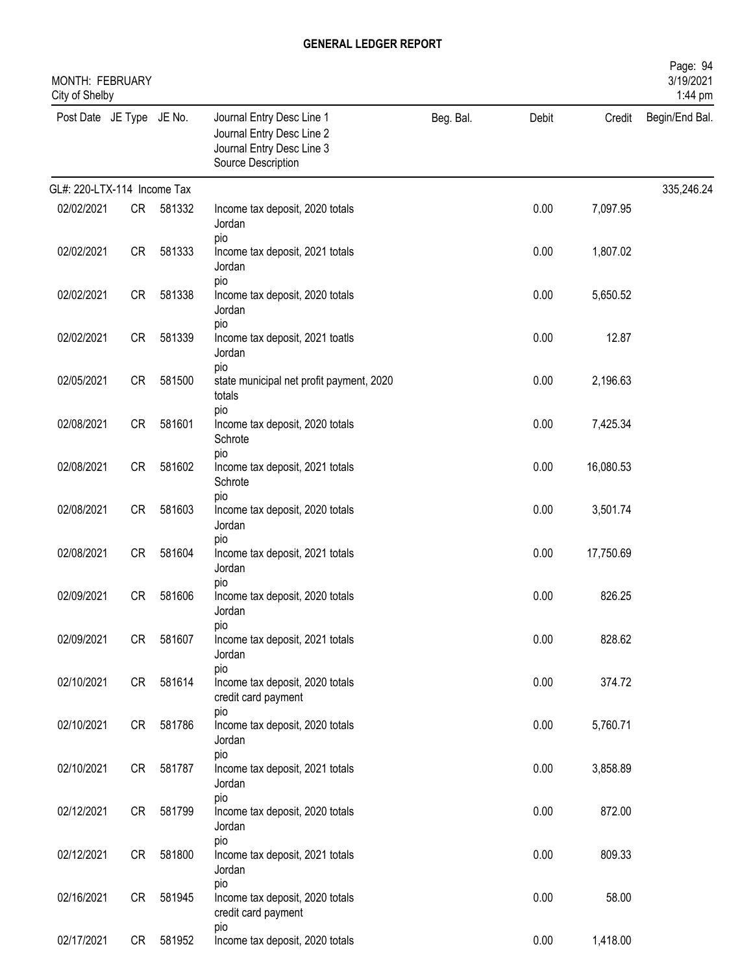| MONTH: FEBRUARY<br>City of Shelby |           |        |                                                                                                           |           |       |           | Page: 94<br>3/19/2021<br>1:44 pm |
|-----------------------------------|-----------|--------|-----------------------------------------------------------------------------------------------------------|-----------|-------|-----------|----------------------------------|
| Post Date JE Type JE No.          |           |        | Journal Entry Desc Line 1<br>Journal Entry Desc Line 2<br>Journal Entry Desc Line 3<br>Source Description | Beg. Bal. | Debit | Credit    | Begin/End Bal.                   |
| GL#: 220-LTX-114 Income Tax       |           |        |                                                                                                           |           |       |           | 335,246.24                       |
| 02/02/2021                        | CR        | 581332 | Income tax deposit, 2020 totals<br>Jordan                                                                 |           | 0.00  | 7,097.95  |                                  |
| 02/02/2021                        | <b>CR</b> | 581333 | pio<br>Income tax deposit, 2021 totals<br>Jordan                                                          |           | 0.00  | 1,807.02  |                                  |
| 02/02/2021                        | <b>CR</b> | 581338 | pio<br>Income tax deposit, 2020 totals<br>Jordan                                                          |           | 0.00  | 5,650.52  |                                  |
| 02/02/2021                        | <b>CR</b> | 581339 | pio<br>Income tax deposit, 2021 toatls<br>Jordan                                                          |           | 0.00  | 12.87     |                                  |
| 02/05/2021                        | <b>CR</b> | 581500 | pio<br>state municipal net profit payment, 2020<br>totals                                                 |           | 0.00  | 2,196.63  |                                  |
| 02/08/2021                        | <b>CR</b> | 581601 | pio<br>Income tax deposit, 2020 totals<br>Schrote                                                         |           | 0.00  | 7,425.34  |                                  |
| 02/08/2021                        | <b>CR</b> | 581602 | pio<br>Income tax deposit, 2021 totals<br>Schrote                                                         |           | 0.00  | 16,080.53 |                                  |
| 02/08/2021                        | CR        | 581603 | pio<br>Income tax deposit, 2020 totals<br>Jordan                                                          |           | 0.00  | 3,501.74  |                                  |
| 02/08/2021                        | CR        | 581604 | pio<br>Income tax deposit, 2021 totals<br>Jordan                                                          |           | 0.00  | 17,750.69 |                                  |
| 02/09/2021                        | CR        | 581606 | pio<br>Income tax deposit, 2020 totals<br>Jordan                                                          |           | 0.00  | 826.25    |                                  |
| 02/09/2021                        | CR        | 581607 | pio<br>Income tax deposit, 2021 totals<br>Jordan                                                          |           | 0.00  | 828.62    |                                  |
| 02/10/2021                        | CR        | 581614 | pio<br>Income tax deposit, 2020 totals<br>credit card payment                                             |           | 0.00  | 374.72    |                                  |
| 02/10/2021                        | <b>CR</b> | 581786 | pio<br>Income tax deposit, 2020 totals<br>Jordan                                                          |           | 0.00  | 5,760.71  |                                  |
| 02/10/2021                        | CR        | 581787 | pio<br>Income tax deposit, 2021 totals<br>Jordan                                                          |           | 0.00  | 3,858.89  |                                  |
| 02/12/2021                        | CR        | 581799 | pio<br>Income tax deposit, 2020 totals<br>Jordan                                                          |           | 0.00  | 872.00    |                                  |
| 02/12/2021                        | CR        | 581800 | pio<br>Income tax deposit, 2021 totals<br>Jordan                                                          |           | 0.00  | 809.33    |                                  |
| 02/16/2021                        | CR        | 581945 | pio<br>Income tax deposit, 2020 totals<br>credit card payment                                             |           | 0.00  | 58.00     |                                  |
| 02/17/2021                        | CR        | 581952 | pio<br>Income tax deposit, 2020 totals                                                                    |           | 0.00  | 1,418.00  |                                  |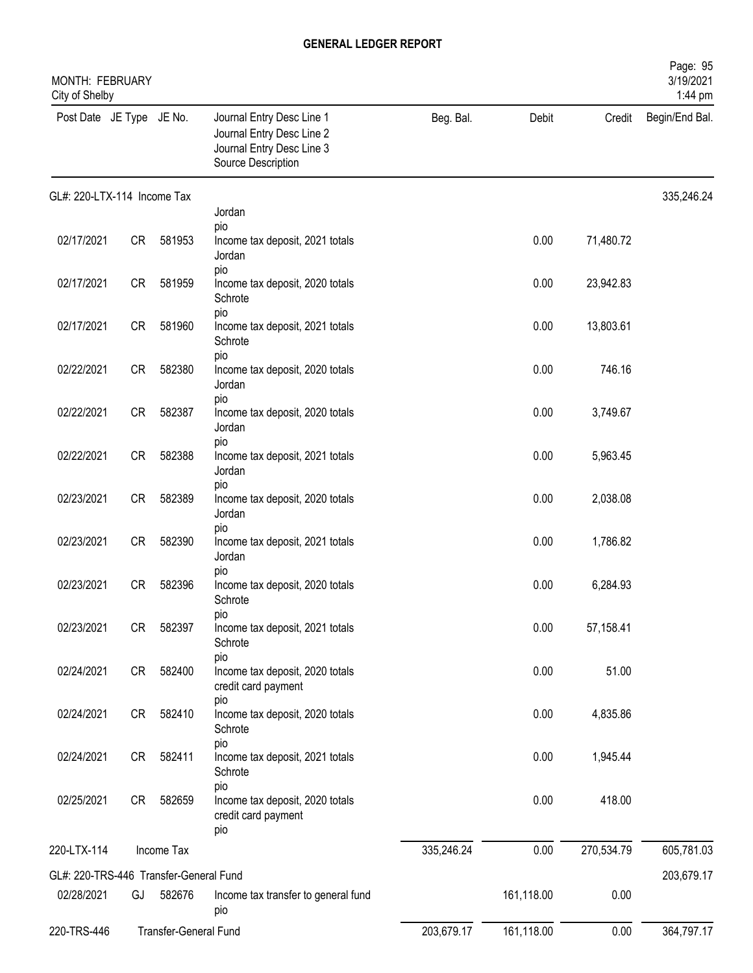| MONTH: FEBRUARY<br>City of Shelby      |           |                       |                                                                                                           |            |            |            | Page: 95<br>3/19/2021<br>1:44 pm |
|----------------------------------------|-----------|-----------------------|-----------------------------------------------------------------------------------------------------------|------------|------------|------------|----------------------------------|
| Post Date JE Type JE No.               |           |                       | Journal Entry Desc Line 1<br>Journal Entry Desc Line 2<br>Journal Entry Desc Line 3<br>Source Description | Beg. Bal.  | Debit      | Credit     | Begin/End Bal.                   |
| GL#: 220-LTX-114 Income Tax            |           |                       |                                                                                                           |            |            |            | 335,246.24                       |
|                                        |           |                       | Jordan<br>pio                                                                                             |            |            |            |                                  |
| 02/17/2021                             | <b>CR</b> | 581953                | Income tax deposit, 2021 totals<br>Jordan<br>pio                                                          |            | 0.00       | 71,480.72  |                                  |
| 02/17/2021                             | <b>CR</b> | 581959                | Income tax deposit, 2020 totals<br>Schrote                                                                |            | 0.00       | 23,942.83  |                                  |
| 02/17/2021                             | <b>CR</b> | 581960                | pio<br>Income tax deposit, 2021 totals<br>Schrote                                                         |            | 0.00       | 13,803.61  |                                  |
| 02/22/2021                             | <b>CR</b> | 582380                | pio<br>Income tax deposit, 2020 totals<br>Jordan                                                          |            | 0.00       | 746.16     |                                  |
| 02/22/2021                             | <b>CR</b> | 582387                | pio<br>Income tax deposit, 2020 totals<br>Jordan                                                          |            | 0.00       | 3,749.67   |                                  |
| 02/22/2021                             | <b>CR</b> | 582388                | pio<br>Income tax deposit, 2021 totals<br>Jordan                                                          |            | 0.00       | 5,963.45   |                                  |
| 02/23/2021                             | <b>CR</b> | 582389                | pio<br>Income tax deposit, 2020 totals<br>Jordan                                                          |            | 0.00       | 2,038.08   |                                  |
| 02/23/2021                             | <b>CR</b> | 582390                | pio<br>Income tax deposit, 2021 totals<br>Jordan                                                          |            | 0.00       | 1,786.82   |                                  |
| 02/23/2021                             | <b>CR</b> | 582396                | pio<br>Income tax deposit, 2020 totals<br>Schrote                                                         |            | 0.00       | 6,284.93   |                                  |
| 02/23/2021                             | <b>CR</b> | 582397                | pio<br>Income tax deposit, 2021 totals<br>Schrote                                                         |            | 0.00       | 57,158.41  |                                  |
| 02/24/2021                             | <b>CR</b> | 582400                | pio<br>Income tax deposit, 2020 totals<br>credit card payment                                             |            | 0.00       | 51.00      |                                  |
| 02/24/2021                             | CR        | 582410                | pio<br>Income tax deposit, 2020 totals<br>Schrote                                                         |            | 0.00       | 4,835.86   |                                  |
| 02/24/2021                             | CR        | 582411                | pio<br>Income tax deposit, 2021 totals<br>Schrote                                                         |            | 0.00       | 1,945.44   |                                  |
| 02/25/2021                             | CR        | 582659                | pio<br>Income tax deposit, 2020 totals<br>credit card payment<br>pio                                      |            | 0.00       | 418.00     |                                  |
| 220-LTX-114                            |           | Income Tax            |                                                                                                           | 335,246.24 | 0.00       | 270,534.79 | 605,781.03                       |
| GL#: 220-TRS-446 Transfer-General Fund |           |                       |                                                                                                           |            |            |            |                                  |
| 02/28/2021                             | GJ        | 582676                | Income tax transfer to general fund<br>pio                                                                |            | 161,118.00 | 0.00       | 203,679.17                       |
| 220-TRS-446                            |           | Transfer-General Fund |                                                                                                           | 203,679.17 | 161,118.00 | 0.00       | 364,797.17                       |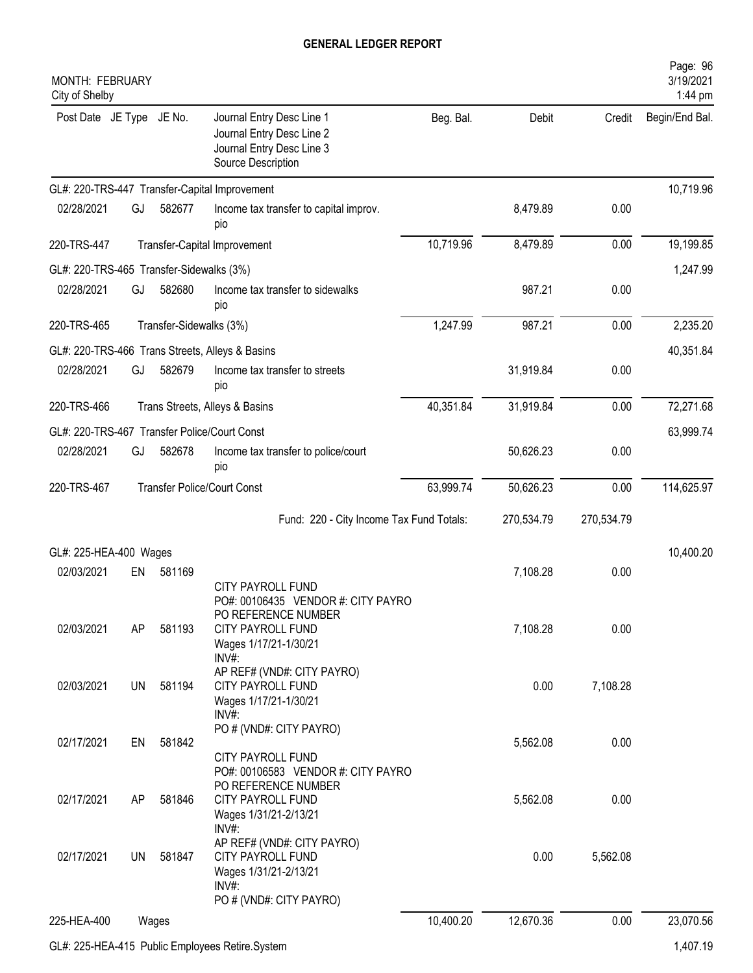| MONTH: FEBRUARY<br>City of Shelby            |           |                         |                                                                                                            |           |            |            | Page: 96<br>3/19/2021<br>1:44 pm |
|----------------------------------------------|-----------|-------------------------|------------------------------------------------------------------------------------------------------------|-----------|------------|------------|----------------------------------|
| Post Date JE Type JE No.                     |           |                         | Journal Entry Desc Line 1<br>Journal Entry Desc Line 2<br>Journal Entry Desc Line 3<br>Source Description  | Beg. Bal. | Debit      | Credit     | Begin/End Bal.                   |
|                                              |           |                         | GL#: 220-TRS-447 Transfer-Capital Improvement                                                              |           |            |            | 10,719.96                        |
| 02/28/2021                                   | GJ        | 582677                  | Income tax transfer to capital improv.<br>pio                                                              |           | 8,479.89   | 0.00       |                                  |
| 220-TRS-447                                  |           |                         | Transfer-Capital Improvement                                                                               | 10,719.96 | 8,479.89   | 0.00       | 19,199.85                        |
| GL#: 220-TRS-465 Transfer-Sidewalks (3%)     |           |                         |                                                                                                            |           |            |            | 1,247.99                         |
| 02/28/2021                                   | GJ        | 582680                  | Income tax transfer to sidewalks<br>pio                                                                    |           | 987.21     | 0.00       |                                  |
| 220-TRS-465                                  |           | Transfer-Sidewalks (3%) |                                                                                                            | 1,247.99  | 987.21     | 0.00       | 2,235.20                         |
|                                              |           |                         | GL#: 220-TRS-466 Trans Streets, Alleys & Basins                                                            |           |            |            | 40,351.84                        |
| 02/28/2021                                   | GJ        | 582679                  | Income tax transfer to streets<br>pio                                                                      |           | 31,919.84  | 0.00       |                                  |
| 220-TRS-466                                  |           |                         | Trans Streets, Alleys & Basins                                                                             | 40,351.84 | 31,919.84  | 0.00       | 72,271.68                        |
| GL#: 220-TRS-467 Transfer Police/Court Const |           |                         |                                                                                                            |           |            |            | 63,999.74                        |
| 02/28/2021                                   | GJ        | 582678                  | Income tax transfer to police/court<br>pio                                                                 |           | 50,626.23  | 0.00       |                                  |
| 220-TRS-467                                  |           |                         | <b>Transfer Police/Court Const</b>                                                                         | 63,999.74 | 50,626.23  | 0.00       | 114,625.97                       |
|                                              |           |                         | Fund: 220 - City Income Tax Fund Totals:                                                                   |           | 270,534.79 | 270,534.79 |                                  |
| GL#: 225-HEA-400 Wages                       |           |                         |                                                                                                            |           |            |            | 10,400.20                        |
| 02/03/2021                                   | EN        | 581169                  | <b>CITY PAYROLL FUND</b><br>PO#: 00106435 VENDOR #: CITY PAYRO                                             |           | 7,108.28   | 0.00       |                                  |
| 02/03/2021                                   | AP        | 581193                  | PO REFERENCE NUMBER<br><b>CITY PAYROLL FUND</b><br>Wages 1/17/21-1/30/21                                   |           | 7,108.28   | 0.00       |                                  |
| 02/03/2021                                   | UN        | 581194                  | INV#<br>AP REF# (VND#: CITY PAYRO)<br><b>CITY PAYROLL FUND</b><br>Wages 1/17/21-1/30/21                    |           | 0.00       | 7,108.28   |                                  |
| 02/17/2021                                   | EN        | 581842                  | $INV#$ :<br>PO # (VND#: CITY PAYRO)                                                                        |           | 5,562.08   | 0.00       |                                  |
| 02/17/2021                                   | AP        | 581846                  | CITY PAYROLL FUND<br>PO#: 00106583 VENDOR #: CITY PAYRO<br>PO REFERENCE NUMBER<br><b>CITY PAYROLL FUND</b> |           | 5,562.08   | 0.00       |                                  |
|                                              |           |                         | Wages 1/31/21-2/13/21<br>INV#:<br>AP REF# (VND#: CITY PAYRO)                                               |           |            |            |                                  |
| 02/17/2021                                   | <b>UN</b> | 581847                  | <b>CITY PAYROLL FUND</b><br>Wages 1/31/21-2/13/21<br>$INV#$ :<br>PO # (VND#: CITY PAYRO)                   |           | 0.00       | 5,562.08   |                                  |
| 225-HEA-400                                  |           | Wages                   |                                                                                                            | 10,400.20 | 12,670.36  | 0.00       | 23,070.56                        |
|                                              |           |                         | GL#: 225-HEA-415 Public Employees Retire.System                                                            |           |            |            | 1,407.19                         |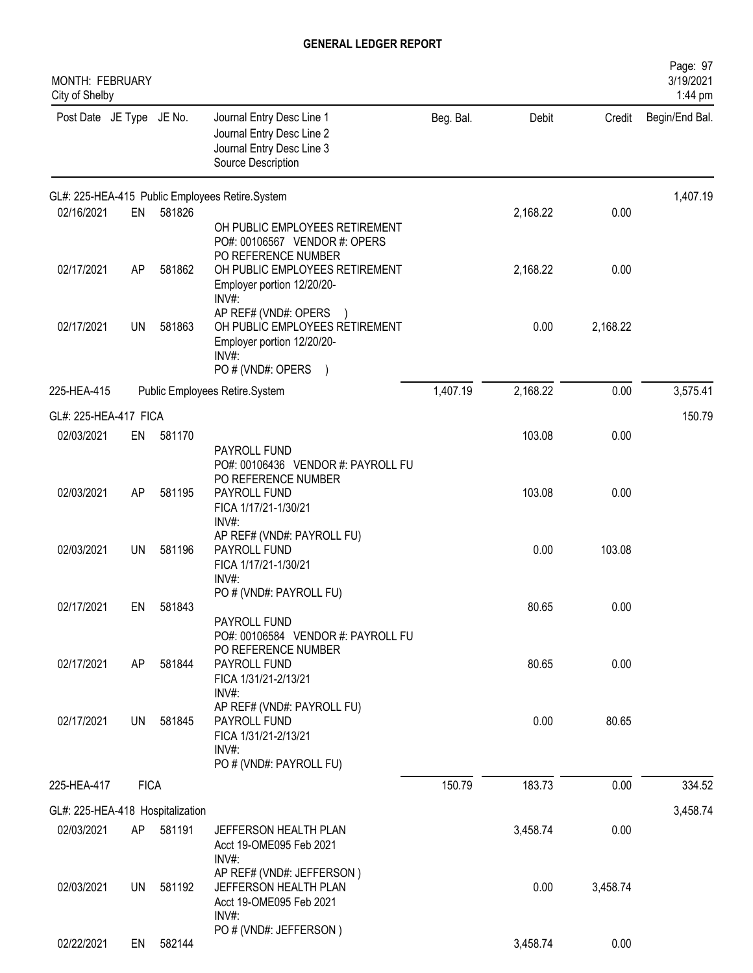| MONTH: FEBRUARY<br>City of Shelby |             |        |                                                                                                                                    |           |          |          | Page: 97<br>3/19/2021<br>1:44 pm |
|-----------------------------------|-------------|--------|------------------------------------------------------------------------------------------------------------------------------------|-----------|----------|----------|----------------------------------|
| Post Date JE Type JE No.          |             |        | Journal Entry Desc Line 1<br>Journal Entry Desc Line 2<br>Journal Entry Desc Line 3<br>Source Description                          | Beg. Bal. | Debit    | Credit   | Begin/End Bal.                   |
|                                   |             |        | GL#: 225-HEA-415 Public Employees Retire.System                                                                                    |           |          |          | 1,407.19                         |
| 02/16/2021                        | EN          | 581826 | OH PUBLIC EMPLOYEES RETIREMENT<br>PO#: 00106567 VENDOR #: OPERS<br>PO REFERENCE NUMBER                                             |           | 2,168.22 | 0.00     |                                  |
| 02/17/2021                        | AP          | 581862 | OH PUBLIC EMPLOYEES RETIREMENT<br>Employer portion 12/20/20-<br>INV#:                                                              |           | 2,168.22 | 0.00     |                                  |
| 02/17/2021                        | <b>UN</b>   | 581863 | AP REF# (VND#: OPERS<br>OH PUBLIC EMPLOYEES RETIREMENT<br>Employer portion 12/20/20-<br>$INV#$ :<br>PO # (VND#: OPERS<br>$\lambda$ |           | 0.00     | 2,168.22 |                                  |
| 225-HEA-415                       |             |        | Public Employees Retire.System                                                                                                     | 1,407.19  | 2,168.22 | 0.00     | 3,575.41                         |
| GL#: 225-HEA-417 FICA             |             |        |                                                                                                                                    |           |          |          | 150.79                           |
| 02/03/2021                        | EN          | 581170 | PAYROLL FUND<br>PO#: 00106436 VENDOR #: PAYROLL FU                                                                                 |           | 103.08   | 0.00     |                                  |
| 02/03/2021                        | AP          | 581195 | PO REFERENCE NUMBER<br>PAYROLL FUND<br>FICA 1/17/21-1/30/21<br>INV#:                                                               |           | 103.08   | 0.00     |                                  |
| 02/03/2021                        | <b>UN</b>   | 581196 | AP REF# (VND#: PAYROLL FU)<br>PAYROLL FUND<br>FICA 1/17/21-1/30/21<br>$INV#$ :                                                     |           | 0.00     | 103.08   |                                  |
| 02/17/2021                        | EN          | 581843 | PO # (VND#: PAYROLL FU)<br>PAYROLL FUND<br>PO#: 00106584 VENDOR #: PAYROLL FU                                                      |           | 80.65    | 0.00     |                                  |
| 02/17/2021                        | AP          | 581844 | PO REFERENCE NUMBER<br>PAYROLL FUND<br>FICA 1/31/21-2/13/21<br>INV#:                                                               |           | 80.65    | 0.00     |                                  |
| 02/17/2021                        | <b>UN</b>   | 581845 | AP REF# (VND#: PAYROLL FU)<br>PAYROLL FUND<br>FICA 1/31/21-2/13/21<br>$INV#$ :<br>PO # (VND#: PAYROLL FU)                          |           | 0.00     | 80.65    |                                  |
| 225-HEA-417                       | <b>FICA</b> |        |                                                                                                                                    | 150.79    | 183.73   | 0.00     | 334.52                           |
| GL#: 225-HEA-418 Hospitalization  |             |        |                                                                                                                                    |           |          |          | 3,458.74                         |
| 02/03/2021                        | AP          | 581191 | JEFFERSON HEALTH PLAN<br>Acct 19-OME095 Feb 2021<br>INV#:                                                                          |           | 3,458.74 | 0.00     |                                  |
| 02/03/2021                        | UN          | 581192 | AP REF# (VND#: JEFFERSON)<br>JEFFERSON HEALTH PLAN<br>Acct 19-OME095 Feb 2021<br>$INV#$ :                                          |           | 0.00     | 3,458.74 |                                  |
| 02/22/2021                        | EN          | 582144 | PO # (VND#: JEFFERSON)                                                                                                             |           | 3,458.74 | 0.00     |                                  |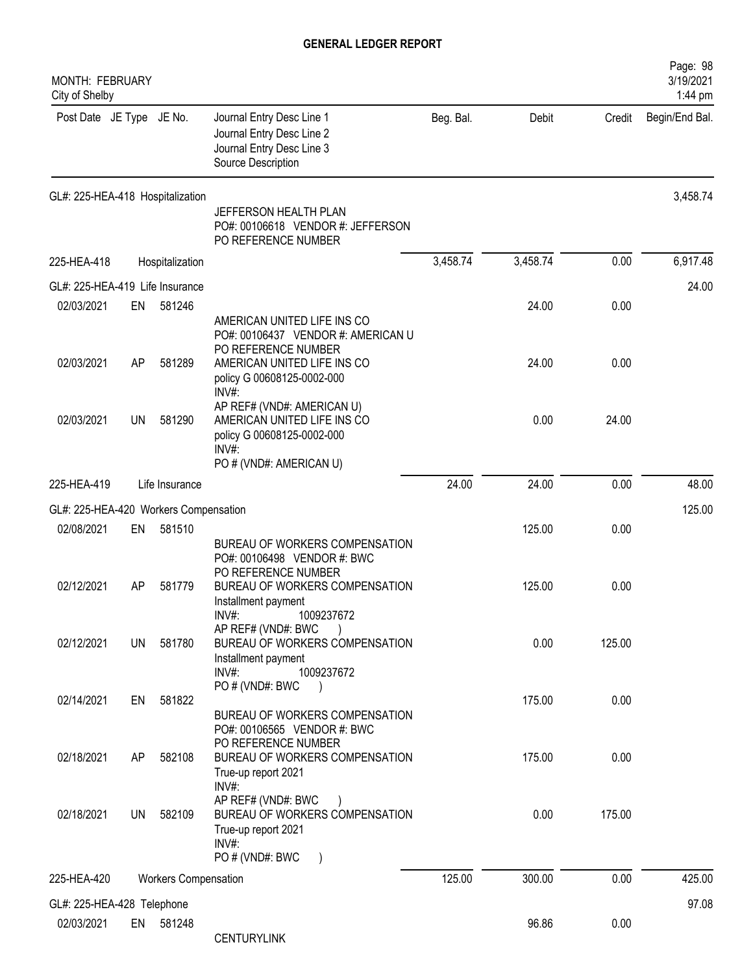| MONTH: FEBRUARY<br>City of Shelby     |           |                             |                                                                                                                             |           |          |        | Page: 98<br>3/19/2021<br>1:44 pm |
|---------------------------------------|-----------|-----------------------------|-----------------------------------------------------------------------------------------------------------------------------|-----------|----------|--------|----------------------------------|
| Post Date JE Type JE No.              |           |                             | Journal Entry Desc Line 1<br>Journal Entry Desc Line 2<br>Journal Entry Desc Line 3<br>Source Description                   | Beg. Bal. | Debit    | Credit | Begin/End Bal.                   |
| GL#: 225-HEA-418 Hospitalization      |           |                             | JEFFERSON HEALTH PLAN<br>PO#: 00106618 VENDOR #: JEFFERSON<br>PO REFERENCE NUMBER                                           |           |          |        | 3,458.74                         |
| 225-HEA-418                           |           | Hospitalization             |                                                                                                                             | 3,458.74  | 3,458.74 | 0.00   | 6,917.48                         |
| GL#: 225-HEA-419 Life Insurance       |           |                             |                                                                                                                             |           |          |        | 24.00                            |
| 02/03/2021                            | EN        | 581246                      | AMERICAN UNITED LIFE INS CO<br>PO#: 00106437 VENDOR #: AMERICAN U                                                           |           | 24.00    | 0.00   |                                  |
| 02/03/2021                            | AP        | 581289                      | PO REFERENCE NUMBER<br>AMERICAN UNITED LIFE INS CO<br>policy G 00608125-0002-000<br>$INV#$ :                                |           | 24.00    | 0.00   |                                  |
| 02/03/2021                            | UN        | 581290                      | AP REF# (VND#: AMERICAN U)<br>AMERICAN UNITED LIFE INS CO<br>policy G 00608125-0002-000<br>INV#:<br>PO # (VND#: AMERICAN U) |           | 0.00     | 24.00  |                                  |
| 225-HEA-419                           |           | Life Insurance              |                                                                                                                             | 24.00     | 24.00    | 0.00   | 48.00                            |
| GL#: 225-HEA-420 Workers Compensation |           |                             |                                                                                                                             |           |          |        | 125.00                           |
| 02/08/2021                            | EN        | 581510                      |                                                                                                                             |           | 125.00   | 0.00   |                                  |
|                                       |           |                             | BUREAU OF WORKERS COMPENSATION<br>PO#: 00106498 VENDOR #: BWC<br>PO REFERENCE NUMBER                                        |           |          |        |                                  |
| 02/12/2021                            | AP        | 581779                      | BUREAU OF WORKERS COMPENSATION<br>Installment payment<br>INV#:<br>1009237672                                                |           | 125.00   | 0.00   |                                  |
| 02/12/2021                            | <b>UN</b> | 581780                      | AP REF# (VND#: BWC<br>BUREAU OF WORKERS COMPENSATION<br>Installment payment<br>$INV#$ :<br>1009237672                       |           | 0.00     | 125.00 |                                  |
| 02/14/2021                            | EN        | 581822                      | PO # (VND#: BWC<br>BUREAU OF WORKERS COMPENSATION<br>PO#: 00106565 VENDOR #: BWC                                            |           | 175.00   | 0.00   |                                  |
| 02/18/2021                            | AP        | 582108                      | PO REFERENCE NUMBER<br>BUREAU OF WORKERS COMPENSATION<br>True-up report 2021                                                |           | 175.00   | 0.00   |                                  |
| 02/18/2021                            | UN        | 582109                      | INV#:<br>AP REF# (VND#: BWC<br>BUREAU OF WORKERS COMPENSATION<br>True-up report 2021<br>INV#:<br>PO # (VND#: BWC            |           | 0.00     | 175.00 |                                  |
| 225-HEA-420                           |           | <b>Workers Compensation</b> |                                                                                                                             | 125.00    | 300.00   | 0.00   | 425.00                           |
| GL#: 225-HEA-428 Telephone            |           |                             |                                                                                                                             |           |          |        | 97.08                            |
| 02/03/2021                            | EN        | 581248                      | <b>CENTURYLINK</b>                                                                                                          |           | 96.86    | 0.00   |                                  |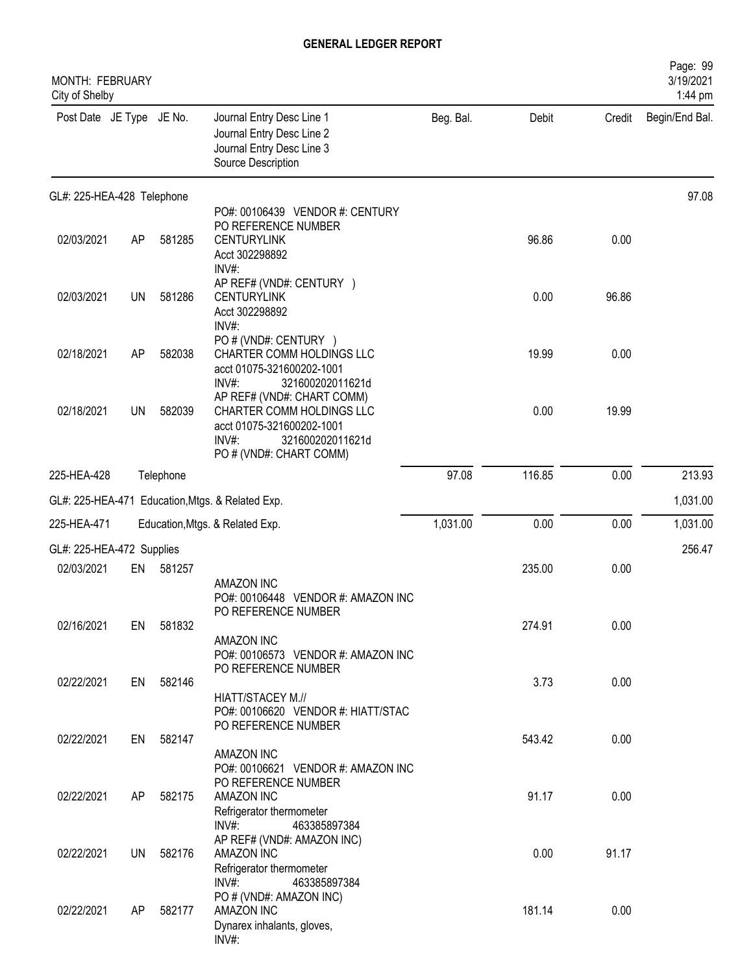| MONTH: FEBRUARY<br>City of Shelby |           |           |                                                                                                                                                 |           |        |        | Page: 99<br>3/19/2021<br>1:44 pm |
|-----------------------------------|-----------|-----------|-------------------------------------------------------------------------------------------------------------------------------------------------|-----------|--------|--------|----------------------------------|
| Post Date JE Type JE No.          |           |           | Journal Entry Desc Line 1<br>Journal Entry Desc Line 2<br>Journal Entry Desc Line 3<br>Source Description                                       | Beg. Bal. | Debit  | Credit | Begin/End Bal.                   |
| GL#: 225-HEA-428 Telephone        |           |           |                                                                                                                                                 |           |        |        | 97.08                            |
| 02/03/2021                        | AP        | 581285    | PO#: 00106439 VENDOR #: CENTURY<br>PO REFERENCE NUMBER<br><b>CENTURYLINK</b><br>Acct 302298892<br>INV#:                                         |           | 96.86  | 0.00   |                                  |
| 02/03/2021                        | UN        | 581286    | AP REF# (VND#: CENTURY )<br><b>CENTURYLINK</b><br>Acct 302298892<br>INV#:                                                                       |           | 0.00   | 96.86  |                                  |
| 02/18/2021                        | AP        | 582038    | PO # (VND#: CENTURY )<br>CHARTER COMM HOLDINGS LLC<br>acct 01075-321600202-1001<br>INV#:<br>321600202011621d                                    |           | 19.99  | 0.00   |                                  |
| 02/18/2021                        | <b>UN</b> | 582039    | AP REF# (VND#: CHART COMM)<br>CHARTER COMM HOLDINGS LLC<br>acct 01075-321600202-1001<br>$INV#$ :<br>321600202011621d<br>PO # (VND#: CHART COMM) |           | 0.00   | 19.99  |                                  |
| 225-HEA-428                       |           | Telephone |                                                                                                                                                 | 97.08     | 116.85 | 0.00   | 213.93                           |
| GL#: 225-HEA-471                  |           |           | Education, Mtgs. & Related Exp.                                                                                                                 |           |        |        | 1,031.00                         |
| 225-HEA-471                       |           |           | Education, Mtgs. & Related Exp.                                                                                                                 | 1,031.00  | 0.00   | 0.00   | 1,031.00                         |
| GL#: 225-HEA-472 Supplies         |           |           |                                                                                                                                                 |           |        |        | 256.47                           |
| 02/03/2021                        | EN        | 581257    | AMAZON INC<br>PO#: 00106448 VENDOR #: AMAZON INC                                                                                                |           | 235.00 | 0.00   |                                  |
| 02/16/2021                        | EN        | 581832    | PO REFERENCE NUMBER<br>AMAZON INC<br>PO#: 00106573 VENDOR #: AMAZON INC<br>PO REFERENCE NUMBER                                                  |           | 274.91 | 0.00   |                                  |
| 02/22/2021                        | EN        | 582146    | HIATT/STACEY M.//<br>PO#: 00106620 VENDOR #: HIATT/STAC<br>PO REFERENCE NUMBER                                                                  |           | 3.73   | 0.00   |                                  |
| 02/22/2021                        | EN        | 582147    | AMAZON INC<br>PO#: 00106621 VENDOR #: AMAZON INC                                                                                                |           | 543.42 | 0.00   |                                  |
| 02/22/2021                        | AP        | 582175    | PO REFERENCE NUMBER<br>AMAZON INC<br>Refrigerator thermometer<br>$INV#$ :<br>463385897384                                                       |           | 91.17  | 0.00   |                                  |
| 02/22/2021                        | UN        | 582176    | AP REF# (VND#: AMAZON INC)<br>AMAZON INC<br>Refrigerator thermometer                                                                            |           | 0.00   | 91.17  |                                  |
| 02/22/2021                        | AP        | 582177    | $INV#$ :<br>463385897384<br>PO # (VND#: AMAZON INC)<br>AMAZON INC<br>Dynarex inhalants, gloves,<br>INV#:                                        |           | 181.14 | 0.00   |                                  |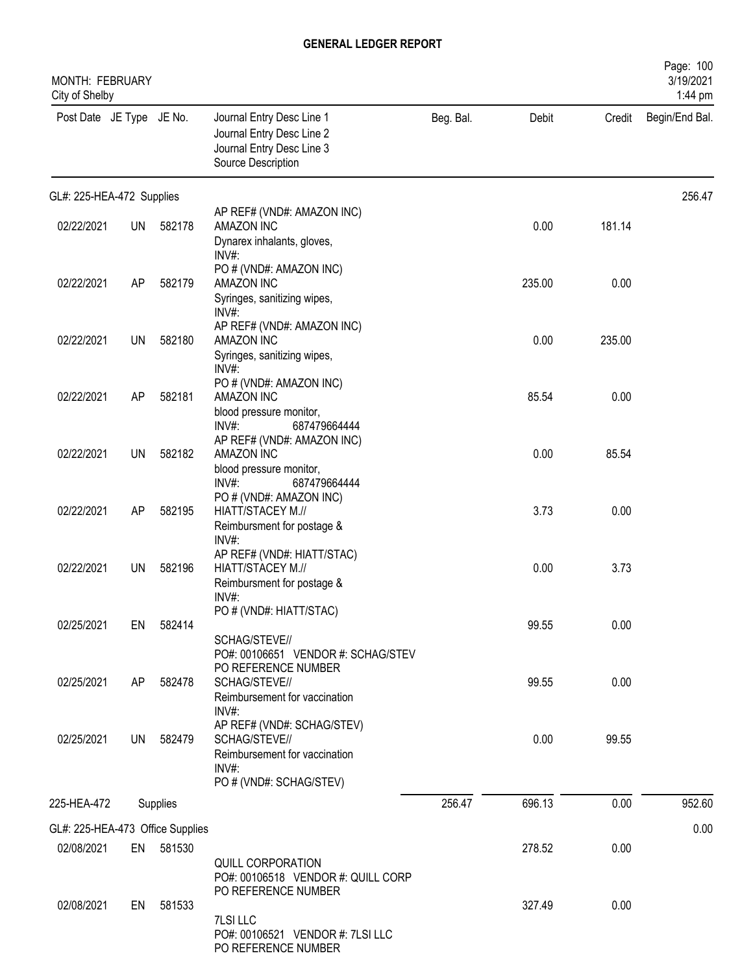| MONTH: FEBRUARY<br>City of Shelby |           |          |                                                                                                           |           |        |        | Page: 100<br>3/19/2021<br>1:44 pm |
|-----------------------------------|-----------|----------|-----------------------------------------------------------------------------------------------------------|-----------|--------|--------|-----------------------------------|
| Post Date JE Type JE No.          |           |          | Journal Entry Desc Line 1<br>Journal Entry Desc Line 2<br>Journal Entry Desc Line 3<br>Source Description | Beg. Bal. | Debit  | Credit | Begin/End Bal.                    |
| GL#: 225-HEA-472 Supplies         |           |          |                                                                                                           |           |        |        | 256.47                            |
| 02/22/2021                        | <b>UN</b> | 582178   | AP REF# (VND#: AMAZON INC)<br>AMAZON INC<br>Dynarex inhalants, gloves,                                    |           | 0.00   | 181.14 |                                   |
| 02/22/2021                        | AP        | 582179   | INV#:<br>PO # (VND#: AMAZON INC)<br>AMAZON INC                                                            |           | 235.00 | 0.00   |                                   |
|                                   |           | 582180   | Syringes, sanitizing wipes,<br>INV#:<br>AP REF# (VND#: AMAZON INC)<br>AMAZON INC                          |           | 0.00   | 235.00 |                                   |
| 02/22/2021                        | <b>UN</b> |          | Syringes, sanitizing wipes,<br>INV#:                                                                      |           |        |        |                                   |
| 02/22/2021                        | AP        | 582181   | PO # (VND#: AMAZON INC)<br>AMAZON INC<br>blood pressure monitor,                                          |           | 85.54  | 0.00   |                                   |
| 02/22/2021                        | UN        | 582182   | INV#:<br>687479664444<br>AP REF# (VND#: AMAZON INC)<br>AMAZON INC                                         |           | 0.00   | 85.54  |                                   |
| 02/22/2021                        | <b>AP</b> | 582195   | blood pressure monitor,<br>INV#:<br>687479664444<br>PO # (VND#: AMAZON INC)<br>HIATT/STACEY M.//          |           | 3.73   | 0.00   |                                   |
|                                   |           |          | Reimbursment for postage &<br>INV#:                                                                       |           |        |        |                                   |
| 02/22/2021                        | UN        | 582196   | AP REF# (VND#: HIATT/STAC)<br>HIATT/STACEY M.//<br>Reimbursment for postage &<br>INV#:                    |           | 0.00   | 3.73   |                                   |
| 02/25/2021                        | EN        | 582414   | PO # (VND#: HIATT/STAC)<br>SCHAG/STEVE//                                                                  |           | 99.55  | 0.00   |                                   |
| 02/25/2021                        | AP        | 582478   | PO#: 00106651 VENDOR #: SCHAG/STEV<br>PO REFERENCE NUMBER<br>SCHAG/STEVE//                                |           | 99.55  | 0.00   |                                   |
| 02/25/2021                        | <b>UN</b> | 582479   | Reimbursement for vaccination<br>$INV#$ :<br>AP REF# (VND#: SCHAG/STEV)<br>SCHAG/STEVE//                  |           | 0.00   | 99.55  |                                   |
|                                   |           |          | Reimbursement for vaccination<br>$INV#$ :<br>PO # (VND#: SCHAG/STEV)                                      |           |        |        |                                   |
| 225-HEA-472                       |           | Supplies |                                                                                                           | 256.47    | 696.13 | 0.00   | 952.60                            |
| GL#: 225-HEA-473 Office Supplies  |           |          |                                                                                                           |           |        |        | 0.00                              |
| 02/08/2021                        | EN        | 581530   | QUILL CORPORATION<br>PO#: 00106518 VENDOR #: QUILL CORP                                                   |           | 278.52 | 0.00   |                                   |
| 02/08/2021                        | EN        | 581533   | PO REFERENCE NUMBER<br>7LSI LLC<br>PO#: 00106521 VENDOR #: 7LSI LLC<br>PO REFERENCE NUMBER                |           | 327.49 | 0.00   |                                   |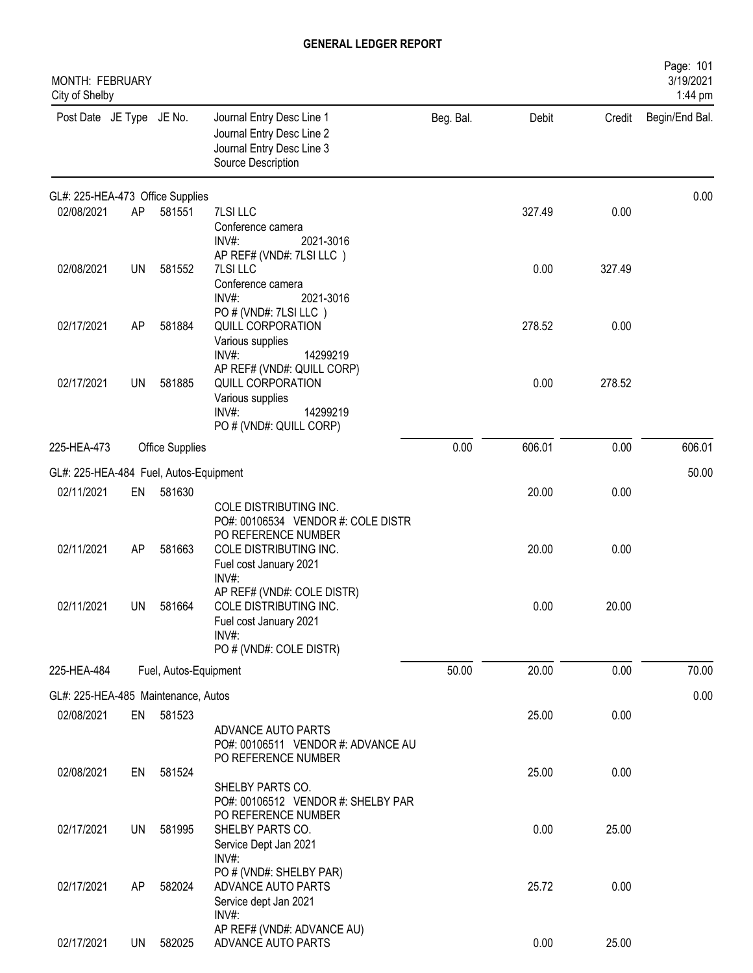| <b>MONTH: FEBRUARY</b><br>City of Shelby          |           |                       |                                                                                                                        |           |        |        | Page: 101<br>3/19/2021<br>1:44 pm |
|---------------------------------------------------|-----------|-----------------------|------------------------------------------------------------------------------------------------------------------------|-----------|--------|--------|-----------------------------------|
| Post Date JE Type JE No.                          |           |                       | Journal Entry Desc Line 1<br>Journal Entry Desc Line 2<br>Journal Entry Desc Line 3<br>Source Description              | Beg. Bal. | Debit  | Credit | Begin/End Bal.                    |
| GL#: 225-HEA-473 Office Supplies                  |           |                       |                                                                                                                        |           |        |        | 0.00                              |
| 02/08/2021                                        | AP        | 581551                | 7LSI LLC<br>Conference camera<br>INV#:<br>2021-3016                                                                    |           | 327.49 | 0.00   |                                   |
| 02/08/2021                                        | <b>UN</b> | 581552                | AP REF# (VND#: 7LSI LLC)<br>7LSI LLC<br>Conference camera<br>$INV#$ :<br>2021-3016                                     |           | 0.00   | 327.49 |                                   |
| 02/17/2021                                        | AP        | 581884                | PO # (VND#: 7LSI LLC)<br>QUILL CORPORATION<br>Various supplies<br>$INV#$ :<br>14299219                                 |           | 278.52 | 0.00   |                                   |
| 02/17/2021                                        | UN        | 581885                | AP REF# (VND#: QUILL CORP)<br>QUILL CORPORATION<br>Various supplies<br>$INV#$ :<br>14299219<br>PO # (VND#: QUILL CORP) |           | 0.00   | 278.52 |                                   |
| 225-HEA-473                                       |           | Office Supplies       |                                                                                                                        | 0.00      | 606.01 | 0.00   | 606.01                            |
| GL#: 225-HEA-484 Fuel, Autos-Equipment            |           |                       |                                                                                                                        |           |        |        | 50.00                             |
| 02/11/2021                                        | EN        | 581630                | COLE DISTRIBUTING INC.<br>PO#: 00106534 VENDOR #: COLE DISTR                                                           |           | 20.00  | 0.00   |                                   |
| 02/11/2021                                        | AP        | 581663                | PO REFERENCE NUMBER<br>COLE DISTRIBUTING INC.<br>Fuel cost January 2021<br>INV#:                                       |           | 20.00  | 0.00   |                                   |
| 02/11/2021                                        | UN        | 581664                | AP REF# (VND#: COLE DISTR)<br>COLE DISTRIBUTING INC.<br>Fuel cost January 2021<br>INV#:<br>PO # (VND#: COLE DISTR)     |           | 0.00   | 20.00  |                                   |
| 225-HEA-484                                       |           | Fuel, Autos-Equipment |                                                                                                                        | 50.00     | 20.00  | 0.00   | 70.00                             |
|                                                   |           |                       |                                                                                                                        |           |        |        | 0.00                              |
| GL#: 225-HEA-485 Maintenance, Autos<br>02/08/2021 | EN        | 581523                |                                                                                                                        |           | 25.00  | 0.00   |                                   |
|                                                   |           |                       | ADVANCE AUTO PARTS<br>PO#: 00106511 VENDOR #: ADVANCE AU<br>PO REFERENCE NUMBER                                        |           |        |        |                                   |
| 02/08/2021                                        | EN        | 581524                | SHELBY PARTS CO.<br>PO#: 00106512 VENDOR #: SHELBY PAR                                                                 |           | 25.00  | 0.00   |                                   |
| 02/17/2021                                        | UN        | 581995                | PO REFERENCE NUMBER<br>SHELBY PARTS CO.<br>Service Dept Jan 2021<br>INV#:                                              |           | 0.00   | 25.00  |                                   |
| 02/17/2021                                        | AP        | 582024                | PO # (VND#: SHELBY PAR)<br>ADVANCE AUTO PARTS<br>Service dept Jan 2021<br>INV#:                                        |           | 25.72  | 0.00   |                                   |
| 02/17/2021                                        | UN        | 582025                | AP REF# (VND#: ADVANCE AU)<br>ADVANCE AUTO PARTS                                                                       |           | 0.00   | 25.00  |                                   |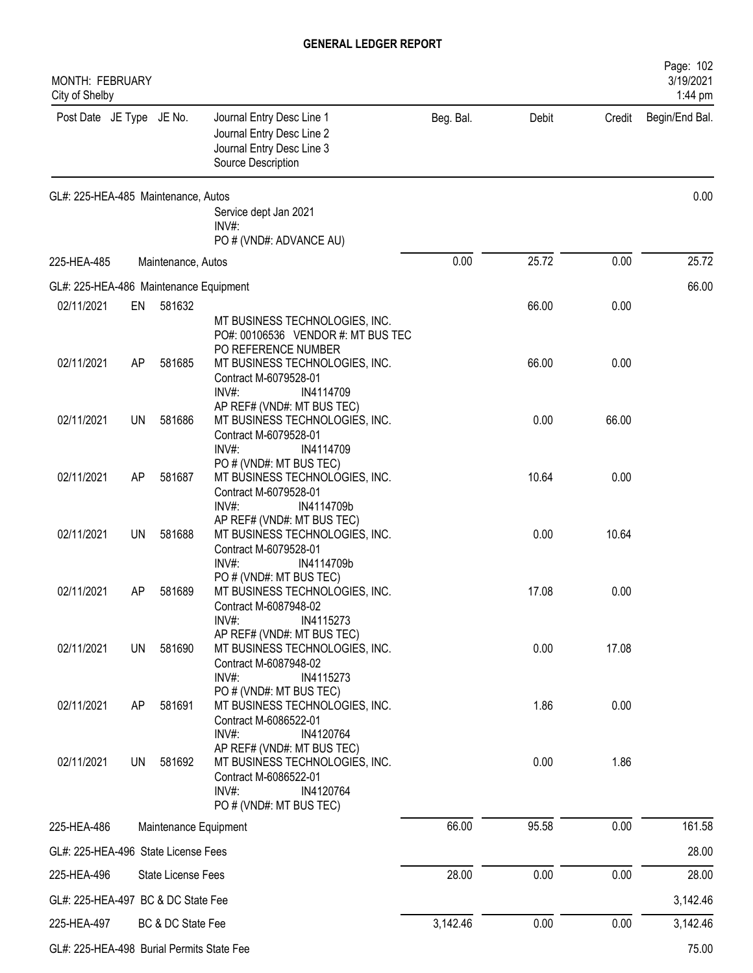| MONTH: FEBRUARY<br>City of Shelby         |           |                       |                                                                                                                                           |           |       |        | Page: 102<br>3/19/2021<br>1:44 pm |
|-------------------------------------------|-----------|-----------------------|-------------------------------------------------------------------------------------------------------------------------------------------|-----------|-------|--------|-----------------------------------|
| Post Date JE Type JE No.                  |           |                       | Journal Entry Desc Line 1<br>Journal Entry Desc Line 2<br>Journal Entry Desc Line 3<br>Source Description                                 | Beg. Bal. | Debit | Credit | Begin/End Bal.                    |
| GL#: 225-HEA-485 Maintenance, Autos       |           |                       | Service dept Jan 2021                                                                                                                     |           |       |        | 0.00                              |
|                                           |           |                       | $INV#$ :<br>PO # (VND#: ADVANCE AU)                                                                                                       |           |       |        |                                   |
| 225-HEA-485                               |           | Maintenance, Autos    |                                                                                                                                           | 0.00      | 25.72 | 0.00   | 25.72                             |
| GL#: 225-HEA-486 Maintenance Equipment    |           |                       |                                                                                                                                           |           |       |        | 66.00                             |
| 02/11/2021                                | EN        | 581632                |                                                                                                                                           |           | 66.00 | 0.00   |                                   |
|                                           |           |                       | MT BUSINESS TECHNOLOGIES, INC.<br>PO#: 00106536 VENDOR #: MT BUS TEC<br>PO REFERENCE NUMBER                                               |           |       |        |                                   |
| 02/11/2021                                | AP        | 581685                | MT BUSINESS TECHNOLOGIES, INC.<br>Contract M-6079528-01<br>$INV#$ :<br>IN4114709                                                          |           | 66.00 | 0.00   |                                   |
| 02/11/2021                                | <b>UN</b> | 581686                | AP REF# (VND#: MT BUS TEC)<br>MT BUSINESS TECHNOLOGIES, INC.<br>Contract M-6079528-01<br>$INV#$ :<br>IN4114709                            |           | 0.00  | 66.00  |                                   |
| 02/11/2021                                | AP        | 581687                | PO # (VND#: MT BUS TEC)<br>MT BUSINESS TECHNOLOGIES, INC.<br>Contract M-6079528-01<br>$INV#$ :<br>IN4114709b                              |           | 10.64 | 0.00   |                                   |
| 02/11/2021                                | <b>UN</b> | 581688                | AP REF# (VND#: MT BUS TEC)<br>MT BUSINESS TECHNOLOGIES, INC.<br>Contract M-6079528-01<br>IN4114709b<br>INV#                               |           | 0.00  | 10.64  |                                   |
| 02/11/2021                                | AP        | 581689                | PO # (VND#: MT BUS TEC)<br>MT BUSINESS TECHNOLOGIES, INC.<br>Contract M-6087948-02<br>INV#:<br>IN4115273                                  |           | 17.08 | 0.00   |                                   |
| 02/11/2021                                | <b>UN</b> | 581690                | AP REF# (VND#: MT BUS TEC)<br>MT BUSINESS TECHNOLOGIES, INC.<br>Contract M-6087948-02<br>INV#:<br>IN4115273                               |           | 0.00  | 17.08  |                                   |
| 02/11/2021                                | AP        | 581691                | PO # (VND#: MT BUS TEC)<br>MT BUSINESS TECHNOLOGIES, INC.<br>Contract M-6086522-01<br>$INV#$ :<br>IN4120764                               |           | 1.86  | 0.00   |                                   |
| 02/11/2021                                | UN        | 581692                | AP REF# (VND#: MT BUS TEC)<br>MT BUSINESS TECHNOLOGIES, INC.<br>Contract M-6086522-01<br>$INV#$ :<br>IN4120764<br>PO # (VND#: MT BUS TEC) |           | 0.00  | 1.86   |                                   |
| 225-HEA-486                               |           | Maintenance Equipment |                                                                                                                                           | 66.00     | 95.58 | 0.00   | 161.58                            |
| GL#: 225-HEA-496 State License Fees       |           |                       |                                                                                                                                           |           |       |        | 28.00                             |
| 225-HEA-496                               |           | State License Fees    |                                                                                                                                           | 28.00     | 0.00  | 0.00   | 28.00                             |
| GL#: 225-HEA-497 BC & DC State Fee        |           |                       |                                                                                                                                           |           |       |        | 3,142.46                          |
| 225-HEA-497                               |           | BC & DC State Fee     |                                                                                                                                           | 3,142.46  | 0.00  | 0.00   | 3,142.46                          |
| GL#: 225-HEA-498 Burial Permits State Fee |           |                       |                                                                                                                                           |           |       |        | 75.00                             |
|                                           |           |                       |                                                                                                                                           |           |       |        |                                   |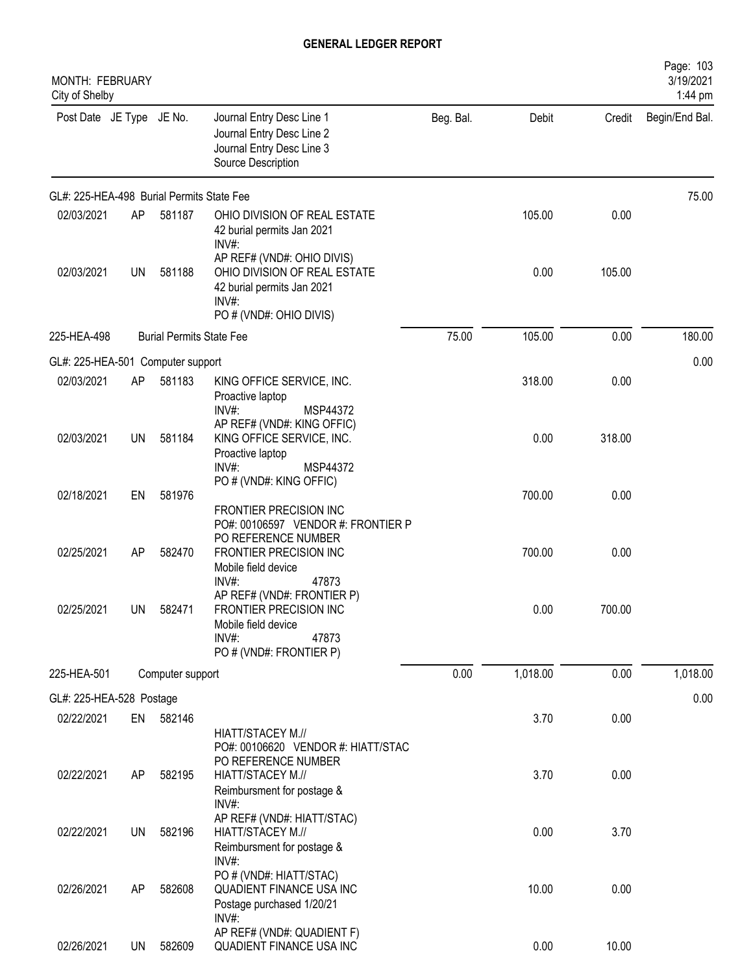| <b>MONTH: FEBRUARY</b><br>City of Shelby  |           |                                 |                                                                                                                              |           |          |        | Page: 103<br>3/19/2021<br>1:44 pm |
|-------------------------------------------|-----------|---------------------------------|------------------------------------------------------------------------------------------------------------------------------|-----------|----------|--------|-----------------------------------|
| Post Date JE Type JE No.                  |           |                                 | Journal Entry Desc Line 1<br>Journal Entry Desc Line 2<br>Journal Entry Desc Line 3<br>Source Description                    | Beg. Bal. | Debit    | Credit | Begin/End Bal.                    |
| GL#: 225-HEA-498 Burial Permits State Fee |           |                                 |                                                                                                                              |           |          |        | 75.00                             |
| 02/03/2021                                | AP        | 581187                          | OHIO DIVISION OF REAL ESTATE<br>42 burial permits Jan 2021<br>INV#                                                           |           | 105.00   | 0.00   |                                   |
| 02/03/2021                                | <b>UN</b> | 581188                          | AP REF# (VND#: OHIO DIVIS)<br>OHIO DIVISION OF REAL ESTATE<br>42 burial permits Jan 2021<br>INV#:<br>PO # (VND#: OHIO DIVIS) |           | 0.00     | 105.00 |                                   |
| 225-HEA-498                               |           | <b>Burial Permits State Fee</b> |                                                                                                                              | 75.00     | 105.00   | 0.00   | 180.00                            |
| GL#: 225-HEA-501 Computer support         |           |                                 |                                                                                                                              |           |          |        | 0.00                              |
| 02/03/2021                                | AP        | 581183                          | KING OFFICE SERVICE, INC.<br>Proactive laptop<br>$INV#$ :<br>MSP44372                                                        |           | 318.00   | 0.00   |                                   |
| 02/03/2021                                | UN        | 581184                          | AP REF# (VND#: KING OFFIC)<br>KING OFFICE SERVICE, INC.<br>Proactive laptop<br>$INV#$ :<br>MSP44372                          |           | 0.00     | 318.00 |                                   |
| 02/18/2021                                | EN        | 581976                          | PO # (VND#: KING OFFIC)<br>FRONTIER PRECISION INC<br>PO#: 00106597 VENDOR #: FRONTIER P                                      |           | 700.00   | 0.00   |                                   |
| 02/25/2021                                | AP        | 582470                          | PO REFERENCE NUMBER<br>FRONTIER PRECISION INC<br>Mobile field device<br>INV#:<br>47873                                       |           | 700.00   | 0.00   |                                   |
| 02/25/2021                                | UN        | 582471                          | AP REF# (VND#: FRONTIER P)<br>FRONTIER PRECISION INC<br>Mobile field device<br>INV#:<br>47873<br>PO # (VND#: FRONTIER P)     |           | 0.00     | 700.00 |                                   |
| 225-HEA-501                               |           | Computer support                |                                                                                                                              | 0.00      | 1,018.00 | 0.00   | 1,018.00                          |
| GL#: 225-HEA-528 Postage                  |           |                                 |                                                                                                                              |           |          |        | 0.00                              |
| 02/22/2021                                | EN        | 582146                          | HIATT/STACEY M.//<br>PO#: 00106620 VENDOR #: HIATT/STAC                                                                      |           | 3.70     | 0.00   |                                   |
| 02/22/2021                                | AP        | 582195                          | PO REFERENCE NUMBER<br>HIATT/STACEY M.//<br>Reimbursment for postage &<br>INV#:                                              |           | 3.70     | 0.00   |                                   |
| 02/22/2021                                | <b>UN</b> | 582196                          | AP REF# (VND#: HIATT/STAC)<br>HIATT/STACEY M.//<br>Reimbursment for postage &<br>INV#:                                       |           | 0.00     | 3.70   |                                   |
| 02/26/2021                                | AP        | 582608                          | PO # (VND#: HIATT/STAC)<br><b>QUADIENT FINANCE USA INC</b><br>Postage purchased 1/20/21                                      |           | 10.00    | 0.00   |                                   |
| 02/26/2021                                | UN        | 582609                          | INV#:<br>AP REF# (VND#: QUADIENT F)<br>QUADIENT FINANCE USA INC                                                              |           | 0.00     | 10.00  |                                   |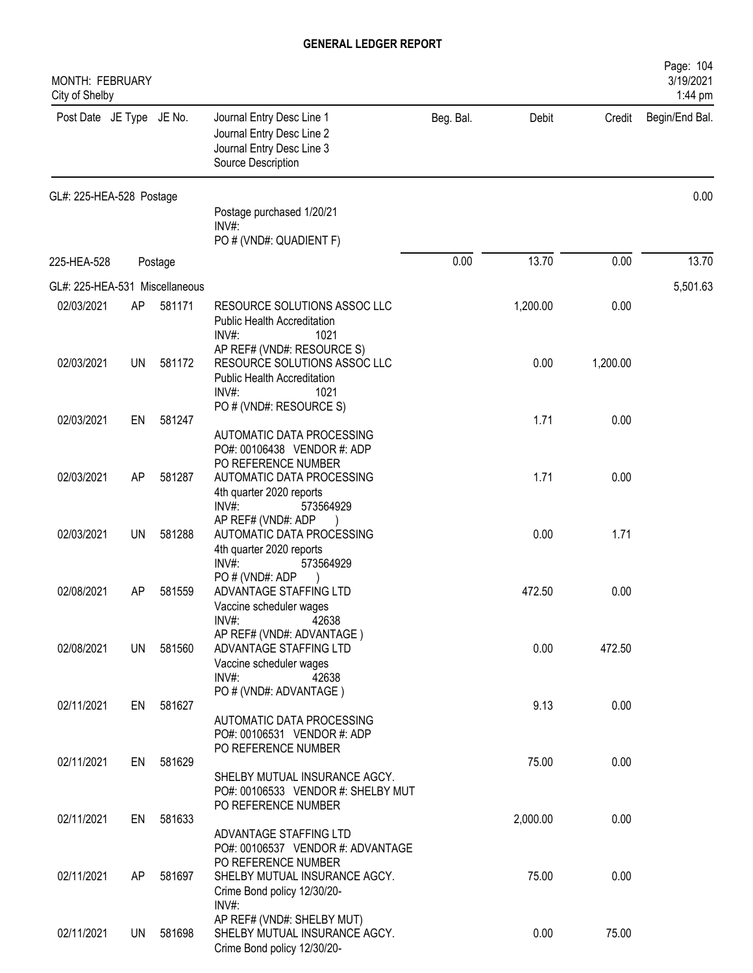| MONTH: FEBRUARY<br>City of Shelby |           |         |                                                                                                                          |           |          |          | Page: 104<br>3/19/2021<br>1:44 pm |
|-----------------------------------|-----------|---------|--------------------------------------------------------------------------------------------------------------------------|-----------|----------|----------|-----------------------------------|
| Post Date JE Type JE No.          |           |         | Journal Entry Desc Line 1<br>Journal Entry Desc Line 2<br>Journal Entry Desc Line 3<br>Source Description                | Beg. Bal. | Debit    | Credit   | Begin/End Bal.                    |
| GL#: 225-HEA-528 Postage          |           |         |                                                                                                                          |           |          |          | 0.00                              |
|                                   |           |         | Postage purchased 1/20/21<br>$INV#$ :                                                                                    |           |          |          |                                   |
|                                   |           |         | PO # (VND#: QUADIENT F)                                                                                                  |           |          |          |                                   |
| 225-HEA-528                       |           | Postage |                                                                                                                          | 0.00      | 13.70    | 0.00     | 13.70                             |
| GL#: 225-HEA-531 Miscellaneous    |           |         |                                                                                                                          |           |          |          | 5,501.63                          |
| 02/03/2021                        | AP        | 581171  | RESOURCE SOLUTIONS ASSOC LLC<br><b>Public Health Accreditation</b><br>$INV#$ :<br>1021                                   |           | 1,200.00 | 0.00     |                                   |
| 02/03/2021                        | UN        | 581172  | AP REF# (VND#: RESOURCE S)<br>RESOURCE SOLUTIONS ASSOC LLC<br><b>Public Health Accreditation</b><br>$INV#$ :<br>1021     |           | 0.00     | 1,200.00 |                                   |
| 02/03/2021                        | EN        | 581247  | PO # (VND#: RESOURCE S)                                                                                                  |           | 1.71     | 0.00     |                                   |
|                                   |           |         | AUTOMATIC DATA PROCESSING<br>PO#: 00106438 VENDOR #: ADP<br>PO REFERENCE NUMBER                                          |           |          |          |                                   |
| 02/03/2021                        | AP        | 581287  | AUTOMATIC DATA PROCESSING<br>4th quarter 2020 reports<br>INV#:<br>573564929                                              |           | 1.71     | 0.00     |                                   |
| 02/03/2021                        | <b>UN</b> | 581288  | AP REF# (VND#: ADP<br>AUTOMATIC DATA PROCESSING<br>4th quarter 2020 reports<br>$INV#$ :<br>573564929                     |           | 0.00     | 1.71     |                                   |
| 02/08/2021                        | AP        | 581559  | PO#(VND#: ADP<br>ADVANTAGE STAFFING LTD<br>Vaccine scheduler wages<br>$INV#$ :<br>42638                                  |           | 472.50   | 0.00     |                                   |
| 02/08/2021                        | <b>UN</b> | 581560  | AP REF# (VND#: ADVANTAGE)<br>ADVANTAGE STAFFING LTD<br>Vaccine scheduler wages<br>INV#:<br>42638                         |           | 0.00     | 472.50   |                                   |
|                                   |           |         | PO # (VND#: ADVANTAGE)                                                                                                   |           |          |          |                                   |
| 02/11/2021                        | EN        | 581627  | AUTOMATIC DATA PROCESSING<br>PO#: 00106531 VENDOR #: ADP<br>PO REFERENCE NUMBER                                          |           | 9.13     | 0.00     |                                   |
| 02/11/2021                        | EN        | 581629  | SHELBY MUTUAL INSURANCE AGCY.<br>PO#: 00106533 VENDOR #: SHELBY MUT                                                      |           | 75.00    | 0.00     |                                   |
| 02/11/2021                        | EN        | 581633  | PO REFERENCE NUMBER<br>ADVANTAGE STAFFING LTD                                                                            |           | 2,000.00 | 0.00     |                                   |
| 02/11/2021                        | AP        | 581697  | PO#: 00106537 VENDOR #: ADVANTAGE<br>PO REFERENCE NUMBER<br>SHELBY MUTUAL INSURANCE AGCY.<br>Crime Bond policy 12/30/20- |           | 75.00    | 0.00     |                                   |
| 02/11/2021                        | UN.       | 581698  | INV#:<br>AP REF# (VND#: SHELBY MUT)<br>SHELBY MUTUAL INSURANCE AGCY.<br>Crime Bond policy 12/30/20-                      |           | 0.00     | 75.00    |                                   |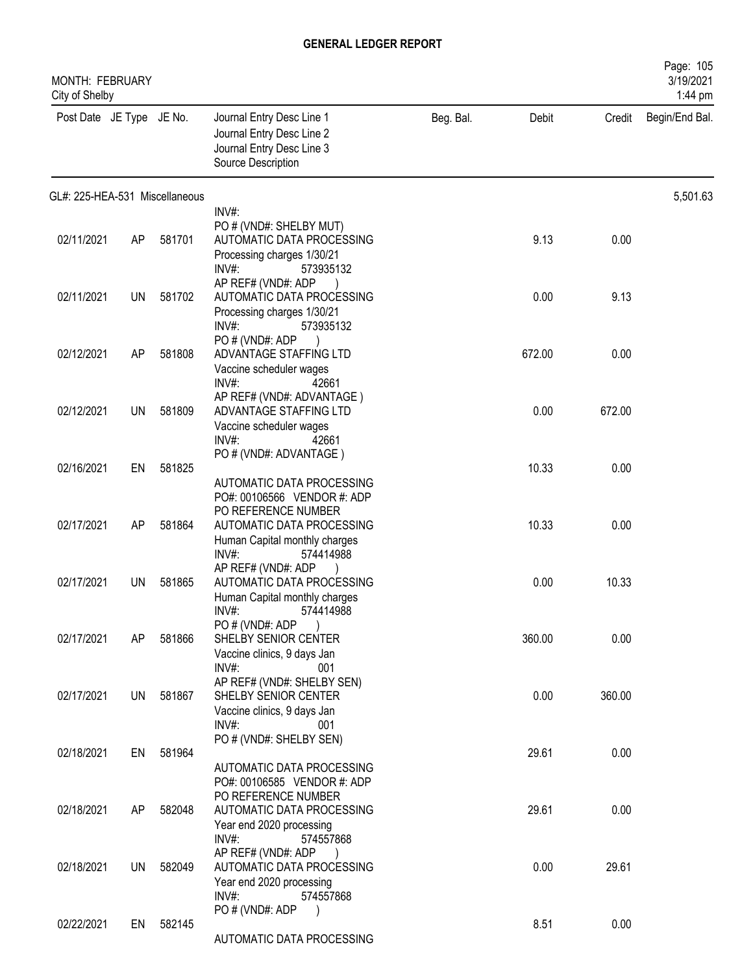| MONTH: FEBRUARY<br>City of Shelby |           |        |                                                                                                                                                                        |           |        |        | Page: 105<br>3/19/2021<br>1:44 pm |
|-----------------------------------|-----------|--------|------------------------------------------------------------------------------------------------------------------------------------------------------------------------|-----------|--------|--------|-----------------------------------|
| Post Date JE Type JE No.          |           |        | Journal Entry Desc Line 1<br>Journal Entry Desc Line 2<br>Journal Entry Desc Line 3<br>Source Description                                                              | Beg. Bal. | Debit  | Credit | Begin/End Bal.                    |
| GL#: 225-HEA-531 Miscellaneous    |           |        |                                                                                                                                                                        |           |        |        | 5,501.63                          |
| 02/11/2021                        | AP        | 581701 | $INV#$ :<br>PO # (VND#: SHELBY MUT)<br>AUTOMATIC DATA PROCESSING<br>Processing charges 1/30/21<br>INV#<br>573935132                                                    |           | 9.13   | 0.00   |                                   |
| 02/11/2021                        | UN        | 581702 | AP REF# (VND#: ADP<br>AUTOMATIC DATA PROCESSING<br>Processing charges 1/30/21<br>$INV#$ :<br>573935132                                                                 |           | 0.00   | 9.13   |                                   |
| 02/12/2021                        | AP        | 581808 | PO # (VND#: ADP<br>ADVANTAGE STAFFING LTD<br>Vaccine scheduler wages<br>INV#:<br>42661                                                                                 |           | 672.00 | 0.00   |                                   |
| 02/12/2021                        | UN        | 581809 | AP REF# (VND#: ADVANTAGE)<br>ADVANTAGE STAFFING LTD<br>Vaccine scheduler wages<br>$INV#$ :<br>42661                                                                    |           | 0.00   | 672.00 |                                   |
| 02/16/2021                        | EN        | 581825 | PO # (VND#: ADVANTAGE)                                                                                                                                                 |           | 10.33  | 0.00   |                                   |
| 02/17/2021                        | AP        | 581864 | AUTOMATIC DATA PROCESSING<br>PO#: 00106566 VENDOR #: ADP<br>PO REFERENCE NUMBER<br>AUTOMATIC DATA PROCESSING<br>Human Capital monthly charges<br>$INV#$ :<br>574414988 |           | 10.33  | 0.00   |                                   |
| 02/17/2021                        | UN        | 581865 | AP REF# (VND#: ADP<br>AUTOMATIC DATA PROCESSING<br>Human Capital monthly charges<br>574414988<br>INV#:                                                                 |           | 0.00   | 10.33  |                                   |
| 02/17/2021                        | AP        | 581866 | PO # (VND#: ADP<br>SHELBY SENIOR CENTER<br>Vaccine clinics, 9 days Jan<br>INV#:<br>001                                                                                 |           | 360.00 | 0.00   |                                   |
| 02/17/2021                        | UN        | 581867 | AP REF# (VND#: SHELBY SEN)<br>SHELBY SENIOR CENTER<br>Vaccine clinics, 9 days Jan<br>$INV#$ :<br>001                                                                   |           | 0.00   | 360.00 |                                   |
| 02/18/2021                        | EN        | 581964 | PO # (VND#: SHELBY SEN)<br>AUTOMATIC DATA PROCESSING<br>PO#: 00106585 VENDOR #: ADP                                                                                    |           | 29.61  | 0.00   |                                   |
| 02/18/2021                        | AP        | 582048 | PO REFERENCE NUMBER<br>AUTOMATIC DATA PROCESSING<br>Year end 2020 processing                                                                                           |           | 29.61  | 0.00   |                                   |
| 02/18/2021                        | <b>UN</b> | 582049 | INV#:<br>574557868<br>AP REF# (VND#: ADP<br>AUTOMATIC DATA PROCESSING<br>Year end 2020 processing                                                                      |           | 0.00   | 29.61  |                                   |
| 02/22/2021                        | EN        | 582145 | $INV#$ :<br>574557868<br>PO # (VND#: ADP<br>AUTOMATIC DATA PROCESSING                                                                                                  |           | 8.51   | 0.00   |                                   |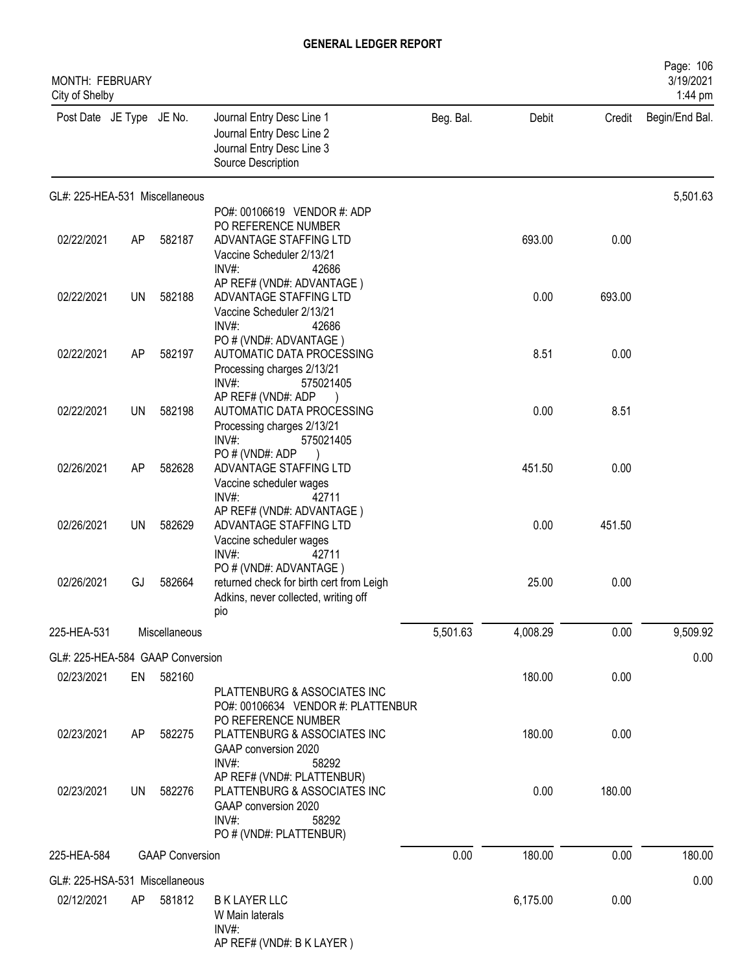| <b>MONTH: FEBRUARY</b><br>City of Shelby |           |                        |                                                                                                                                     |           |          |        | Page: 106<br>3/19/2021<br>1:44 pm |
|------------------------------------------|-----------|------------------------|-------------------------------------------------------------------------------------------------------------------------------------|-----------|----------|--------|-----------------------------------|
| Post Date JE Type JE No.                 |           |                        | Journal Entry Desc Line 1<br>Journal Entry Desc Line 2<br>Journal Entry Desc Line 3<br>Source Description                           | Beg. Bal. | Debit    | Credit | Begin/End Bal.                    |
| GL#: 225-HEA-531 Miscellaneous           |           |                        | PO#: 00106619 VENDOR #: ADP                                                                                                         |           |          |        | 5,501.63                          |
| 02/22/2021                               | AP        | 582187                 | PO REFERENCE NUMBER<br>ADVANTAGE STAFFING LTD<br>Vaccine Scheduler 2/13/21<br>$INV#$ :<br>42686                                     |           | 693.00   | 0.00   |                                   |
| 02/22/2021                               | <b>UN</b> | 582188                 | AP REF# (VND#: ADVANTAGE)<br>ADVANTAGE STAFFING LTD<br>Vaccine Scheduler 2/13/21<br>$INV#$ :<br>42686                               |           | 0.00     | 693.00 |                                   |
| 02/22/2021                               | AP        | 582197                 | PO # (VND#: ADVANTAGE)<br>AUTOMATIC DATA PROCESSING<br>Processing charges 2/13/21<br>INV#:<br>575021405                             |           | 8.51     | 0.00   |                                   |
| 02/22/2021                               | UN        | 582198                 | AP REF# (VND#: ADP<br>AUTOMATIC DATA PROCESSING<br>Processing charges 2/13/21<br>$INV#$ :<br>575021405                              |           | 0.00     | 8.51   |                                   |
| 02/26/2021                               | AP        | 582628                 | PO#(VND#: ADP<br>ADVANTAGE STAFFING LTD<br>Vaccine scheduler wages                                                                  |           | 451.50   | 0.00   |                                   |
| 02/26/2021                               | UN        | 582629                 | $INV#$ :<br>42711<br>AP REF# (VND#: ADVANTAGE)<br>ADVANTAGE STAFFING LTD<br>Vaccine scheduler wages                                 |           | 0.00     | 451.50 |                                   |
| 02/26/2021                               | GJ        | 582664                 | INV#:<br>42711<br>PO # (VND#: ADVANTAGE)<br>returned check for birth cert from Leigh<br>Adkins, never collected, writing off<br>pio |           | 25.00    | 0.00   |                                   |
| 225-HEA-531                              |           | Miscellaneous          |                                                                                                                                     | 5,501.63  | 4,008.29 | 0.00   | 9,509.92                          |
| GL#: 225-HEA-584 GAAP Conversion         |           |                        |                                                                                                                                     |           |          |        | 0.00                              |
| 02/23/2021                               |           | EN 582160              | PLATTENBURG & ASSOCIATES INC<br>PO#: 00106634 VENDOR #: PLATTENBUR                                                                  |           | 180.00   | 0.00   |                                   |
| 02/23/2021                               | AP        | 582275                 | PO REFERENCE NUMBER<br>PLATTENBURG & ASSOCIATES INC<br>GAAP conversion 2020<br>INV#:<br>58292                                       |           | 180.00   | 0.00   |                                   |
| 02/23/2021                               | UN        | 582276                 | AP REF# (VND#: PLATTENBUR)<br>PLATTENBURG & ASSOCIATES INC<br>GAAP conversion 2020<br>$INV#$ :<br>58292<br>PO # (VND#: PLATTENBUR)  |           | 0.00     | 180.00 |                                   |
| 225-HEA-584                              |           | <b>GAAP Conversion</b> |                                                                                                                                     | 0.00      | 180.00   | 0.00   | 180.00                            |
| GL#: 225-HSA-531 Miscellaneous           |           |                        |                                                                                                                                     |           |          |        | 0.00                              |
| 02/12/2021                               | AP.       | 581812                 | <b>B K LAYER LLC</b><br>W Main laterals<br>INV#:<br>AP REF# (VND#: B K LAYER)                                                       |           | 6,175.00 | 0.00   |                                   |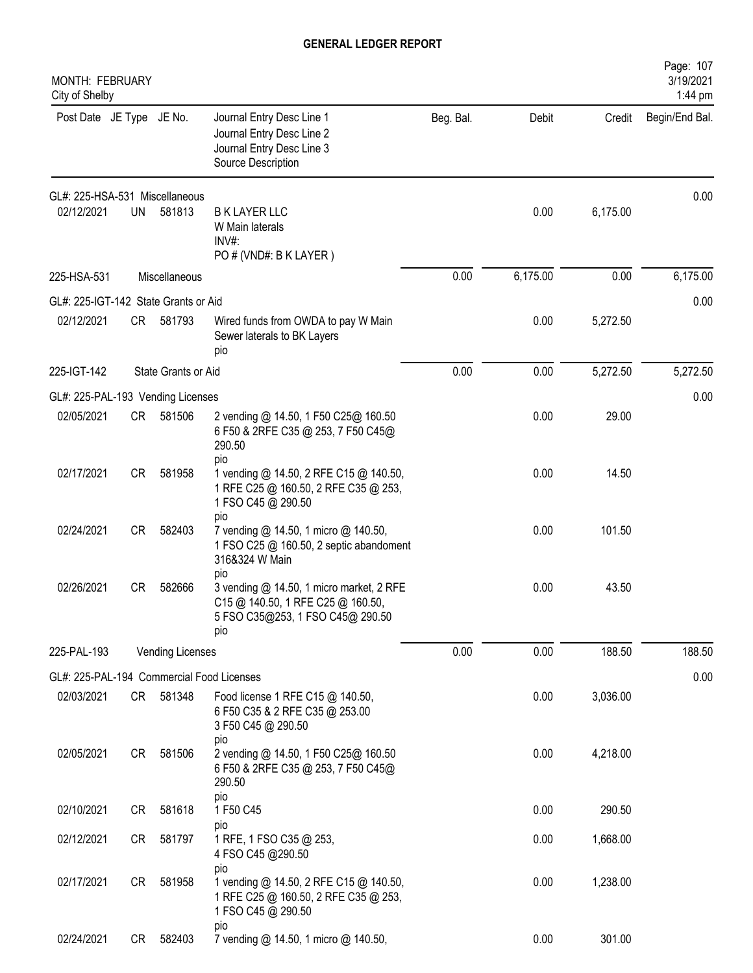| MONTH: FEBRUARY<br>City of Shelby         |           |                         |                                                                                                                                 |           |          |          | Page: 107<br>3/19/2021<br>1:44 pm |
|-------------------------------------------|-----------|-------------------------|---------------------------------------------------------------------------------------------------------------------------------|-----------|----------|----------|-----------------------------------|
| Post Date JE Type JE No.                  |           |                         | Journal Entry Desc Line 1<br>Journal Entry Desc Line 2<br>Journal Entry Desc Line 3<br>Source Description                       | Beg. Bal. | Debit    | Credit   | Begin/End Bal.                    |
| GL#: 225-HSA-531 Miscellaneous            |           |                         |                                                                                                                                 |           |          |          | 0.00                              |
| 02/12/2021                                | <b>UN</b> | 581813                  | <b>B K LAYER LLC</b><br>W Main laterals<br>$INV#$ :<br>PO # (VND#: B K LAYER)                                                   |           | 0.00     | 6,175.00 |                                   |
| 225-HSA-531                               |           | Miscellaneous           |                                                                                                                                 | 0.00      | 6,175.00 | 0.00     | 6,175.00                          |
| GL#: 225-IGT-142 State Grants or Aid      |           |                         |                                                                                                                                 |           |          |          | 0.00                              |
| 02/12/2021                                | CR —      | 581793                  | Wired funds from OWDA to pay W Main<br>Sewer laterals to BK Layers<br>pio                                                       |           | 0.00     | 5,272.50 |                                   |
| 225-IGT-142                               |           | State Grants or Aid     |                                                                                                                                 | 0.00      | 0.00     | 5,272.50 | 5,272.50                          |
| GL#: 225-PAL-193 Vending Licenses         |           |                         |                                                                                                                                 |           |          |          | 0.00                              |
| 02/05/2021                                | CR        | 581506                  | 2 vending @ 14.50, 1 F50 C25@ 160.50<br>6 F50 & 2RFE C35 @ 253, 7 F50 C45@<br>290.50<br>pio                                     |           | 0.00     | 29.00    |                                   |
| 02/17/2021                                | <b>CR</b> | 581958                  | 1 vending @ 14.50, 2 RFE C15 @ 140.50,<br>1 RFE C25 @ 160.50, 2 RFE C35 @ 253,<br>1 FSO C45 @ 290.50<br>pio                     |           | 0.00     | 14.50    |                                   |
| 02/24/2021                                | CR        | 582403                  | 7 vending @ 14.50, 1 micro @ 140.50,<br>1 FSO C25 @ 160.50, 2 septic abandoment<br>316&324 W Main                               |           | 0.00     | 101.50   |                                   |
| 02/26/2021                                | <b>CR</b> | 582666                  | pio<br>3 vending @ 14.50, 1 micro market, 2 RFE<br>C15 @ 140.50, 1 RFE C25 @ 160.50,<br>5 FSO C35@253, 1 FSO C45@ 290.50<br>pio |           | 0.00     | 43.50    |                                   |
| 225-PAL-193                               |           | <b>Vending Licenses</b> |                                                                                                                                 | 0.00      | 0.00     | 188.50   | 188.50                            |
| GL#: 225-PAL-194 Commercial Food Licenses |           |                         |                                                                                                                                 |           |          |          | 0.00                              |
| 02/03/2021                                |           | CR 581348               | Food license 1 RFE C15 @ 140.50,<br>6 F50 C35 & 2 RFE C35 @ 253.00<br>3 F50 C45 @ 290.50<br>pio                                 |           | 0.00     | 3,036.00 |                                   |
| 02/05/2021                                | CR        | 581506                  | 2 vending @ 14.50, 1 F50 C25@ 160.50<br>6 F50 & 2RFE C35 @ 253, 7 F50 C45@<br>290.50                                            |           | 0.00     | 4,218.00 |                                   |
| 02/10/2021                                | CR        | 581618                  | pio<br>1 F50 C45                                                                                                                |           | 0.00     | 290.50   |                                   |
| 02/12/2021                                | CR        | 581797                  | pio<br>1 RFE, 1 FSO C35 @ 253,<br>4 FSO C45 @290.50<br>pio                                                                      |           | 0.00     | 1,668.00 |                                   |
| 02/17/2021                                | CR        | 581958                  | 1 vending @ 14.50, 2 RFE C15 @ 140.50,<br>1 RFE C25 @ 160.50, 2 RFE C35 @ 253,<br>1 FSO C45 @ 290.50                            |           | 0.00     | 1,238.00 |                                   |
| 02/24/2021                                | CR        | 582403                  | pio<br>7 vending @ 14.50, 1 micro @ 140.50,                                                                                     |           | 0.00     | 301.00   |                                   |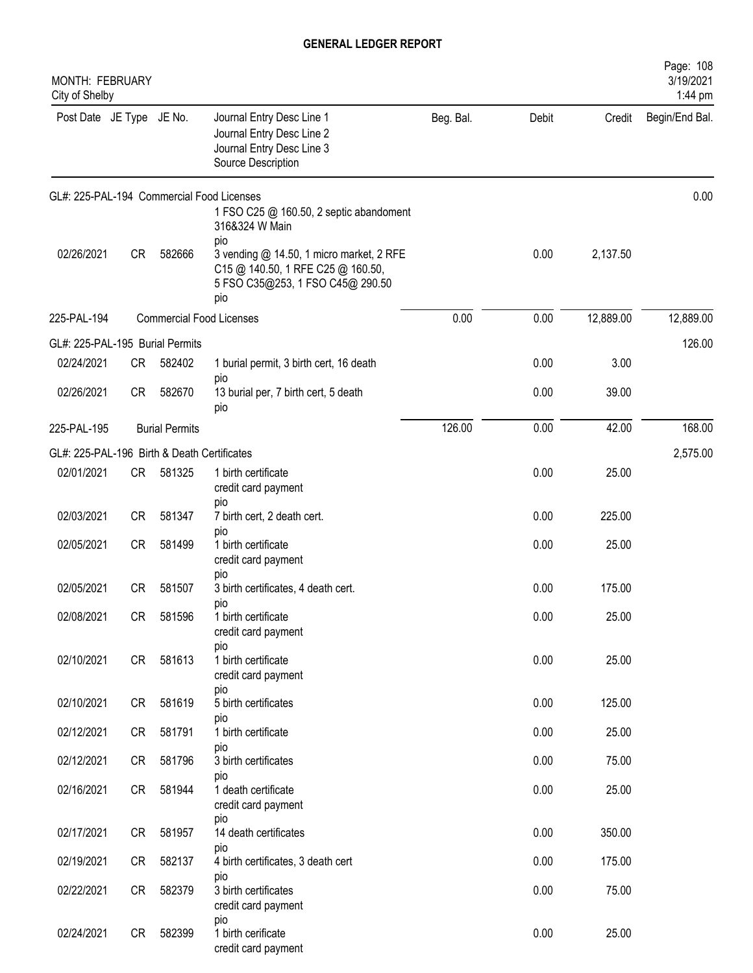| MONTH: FEBRUARY<br>City of Shelby           |           |                       |                                                                                                                                 |           |       |           | Page: 108<br>3/19/2021<br>1:44 pm |
|---------------------------------------------|-----------|-----------------------|---------------------------------------------------------------------------------------------------------------------------------|-----------|-------|-----------|-----------------------------------|
| Post Date JE Type JE No.                    |           |                       | Journal Entry Desc Line 1<br>Journal Entry Desc Line 2<br>Journal Entry Desc Line 3<br>Source Description                       | Beg. Bal. | Debit | Credit    | Begin/End Bal.                    |
|                                             |           |                       | GL#: 225-PAL-194 Commercial Food Licenses<br>1 FSO C25 @ 160.50, 2 septic abandoment<br>316&324 W Main                          |           |       |           | 0.00                              |
| 02/26/2021                                  | <b>CR</b> | 582666                | pio<br>3 vending @ 14.50, 1 micro market, 2 RFE<br>C15 @ 140.50, 1 RFE C25 @ 160.50,<br>5 FSO C35@253, 1 FSO C45@ 290.50<br>pio |           | 0.00  | 2,137.50  |                                   |
| 225-PAL-194                                 |           |                       | <b>Commercial Food Licenses</b>                                                                                                 | 0.00      | 0.00  | 12,889.00 | 12,889.00                         |
| GL#: 225-PAL-195 Burial Permits             |           |                       |                                                                                                                                 |           |       |           | 126.00                            |
| 02/24/2021                                  | <b>CR</b> | 582402                | 1 burial permit, 3 birth cert, 16 death<br>pio                                                                                  |           | 0.00  | 3.00      |                                   |
| 02/26/2021                                  | <b>CR</b> | 582670                | 13 burial per, 7 birth cert, 5 death<br>pio                                                                                     |           | 0.00  | 39.00     |                                   |
| 225-PAL-195                                 |           | <b>Burial Permits</b> |                                                                                                                                 | 126.00    | 0.00  | 42.00     | 168.00                            |
| GL#: 225-PAL-196 Birth & Death Certificates |           |                       |                                                                                                                                 |           |       |           | 2,575.00                          |
| 02/01/2021                                  | CR        | 581325                | 1 birth certificate<br>credit card payment<br>pio                                                                               |           | 0.00  | 25.00     |                                   |
| 02/03/2021                                  | <b>CR</b> | 581347                | 7 birth cert, 2 death cert.                                                                                                     |           | 0.00  | 225.00    |                                   |
| 02/05/2021                                  | <b>CR</b> | 581499                | pio<br>1 birth certificate<br>credit card payment                                                                               |           | 0.00  | 25.00     |                                   |
| 02/05/2021                                  | <b>CR</b> | 581507                | pio<br>3 birth certificates, 4 death cert.<br>pio                                                                               |           | 0.00  | 175.00    |                                   |
| 02/08/2021                                  | CR        | 581596                | 1 birth certificate<br>credit card payment                                                                                      |           | 0.00  | 25.00     |                                   |
| 02/10/2021                                  | <b>CR</b> | 581613                | pio<br>1 birth certificate<br>credit card payment                                                                               |           | 0.00  | 25.00     |                                   |
| 02/10/2021                                  | CR        | 581619                | pio<br>5 birth certificates                                                                                                     |           | 0.00  | 125.00    |                                   |
| 02/12/2021                                  | CR        | 581791                | pio<br>1 birth certificate                                                                                                      |           | 0.00  | 25.00     |                                   |
| 02/12/2021                                  | CR        | 581796                | pio<br>3 birth certificates                                                                                                     |           | 0.00  | 75.00     |                                   |
| 02/16/2021                                  | CR        | 581944                | pio<br>1 death certificate<br>credit card payment                                                                               |           | 0.00  | 25.00     |                                   |
| 02/17/2021                                  | <b>CR</b> | 581957                | pio<br>14 death certificates                                                                                                    |           | 0.00  | 350.00    |                                   |
| 02/19/2021                                  | <b>CR</b> | 582137                | pio<br>4 birth certificates, 3 death cert                                                                                       |           | 0.00  | 175.00    |                                   |
| 02/22/2021                                  | CR        | 582379                | pio<br>3 birth certificates<br>credit card payment                                                                              |           | 0.00  | 75.00     |                                   |
| 02/24/2021                                  | CR        | 582399                | pio<br>1 birth cerificate<br>credit card payment                                                                                |           | 0.00  | 25.00     |                                   |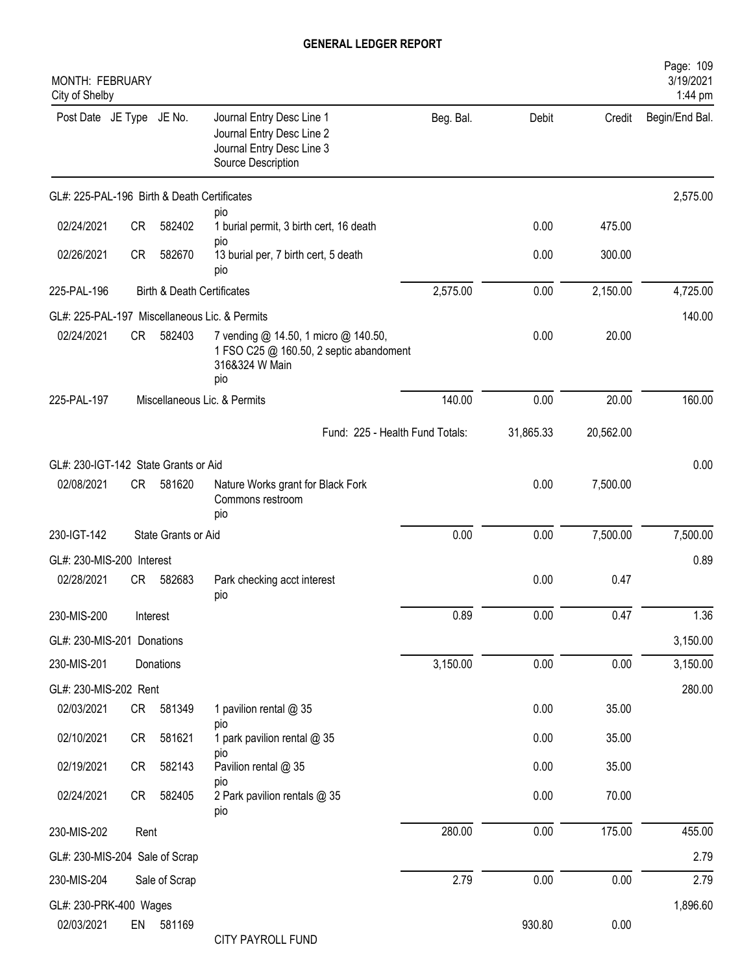| <b>MONTH: FEBRUARY</b><br>City of Shelby    |           |                                       |                                                                                                           |           |           |           | Page: 109<br>3/19/2021<br>1:44 pm |
|---------------------------------------------|-----------|---------------------------------------|-----------------------------------------------------------------------------------------------------------|-----------|-----------|-----------|-----------------------------------|
| Post Date JE Type JE No.                    |           |                                       | Journal Entry Desc Line 1<br>Journal Entry Desc Line 2<br>Journal Entry Desc Line 3<br>Source Description | Beg. Bal. | Debit     | Credit    | Begin/End Bal.                    |
| GL#: 225-PAL-196 Birth & Death Certificates |           |                                       |                                                                                                           |           |           |           | 2,575.00                          |
| 02/24/2021                                  | <b>CR</b> | 582402                                | pio<br>1 burial permit, 3 birth cert, 16 death                                                            |           | 0.00      | 475.00    |                                   |
| 02/26/2021                                  | <b>CR</b> | 582670                                | pio<br>13 burial per, 7 birth cert, 5 death<br>pio                                                        |           | 0.00      | 300.00    |                                   |
| 225-PAL-196                                 |           | <b>Birth &amp; Death Certificates</b> |                                                                                                           | 2,575.00  | 0.00      | 2,150.00  | 4,725.00                          |
|                                             |           |                                       | GL#: 225-PAL-197 Miscellaneous Lic. & Permits                                                             |           |           |           | 140.00                            |
| 02/24/2021                                  | <b>CR</b> | 582403                                | 7 vending @ 14.50, 1 micro @ 140.50,<br>1 FSO C25 @ 160.50, 2 septic abandoment<br>316&324 W Main<br>pio  |           | 0.00      | 20.00     |                                   |
| 225-PAL-197                                 |           |                                       | Miscellaneous Lic. & Permits                                                                              | 140.00    | 0.00      | 20.00     | 160.00                            |
|                                             |           |                                       | Fund: 225 - Health Fund Totals:                                                                           |           | 31,865.33 | 20,562.00 |                                   |
| GL#: 230-IGT-142 State Grants or Aid        |           |                                       |                                                                                                           |           |           |           | 0.00                              |
| 02/08/2021                                  | CR        | 581620                                | Nature Works grant for Black Fork<br>Commons restroom<br>pio                                              |           | 0.00      | 7,500.00  |                                   |
| 230-IGT-142                                 |           | State Grants or Aid                   |                                                                                                           | 0.00      | 0.00      | 7,500.00  | 7,500.00                          |
| GL#: 230-MIS-200 Interest                   |           |                                       |                                                                                                           |           |           |           | 0.89                              |
| 02/28/2021                                  | CR.       | 582683                                | Park checking acct interest<br>pio                                                                        |           | 0.00      | 0.47      |                                   |
| 230-MIS-200                                 |           | Interest                              |                                                                                                           | 0.89      | 0.00      | 0.47      | 1.36                              |
| GL#: 230-MIS-201 Donations                  |           |                                       |                                                                                                           |           |           |           | 3,150.00                          |
| 230-MIS-201                                 |           | Donations                             |                                                                                                           | 3,150.00  | 0.00      | 0.00      | 3,150.00                          |
| GL#: 230-MIS-202 Rent                       |           |                                       |                                                                                                           |           |           |           | 280.00                            |
| 02/03/2021                                  | CR        | 581349                                | 1 pavilion rental @ 35<br>pio                                                                             |           | 0.00      | 35.00     |                                   |
| 02/10/2021                                  | CR        | 581621                                | 1 park pavilion rental @ 35<br>pio                                                                        |           | 0.00      | 35.00     |                                   |
| 02/19/2021                                  | CR        | 582143                                | Pavilion rental @ 35<br>pio                                                                               |           | 0.00      | 35.00     |                                   |
| 02/24/2021                                  | CR        | 582405                                | 2 Park pavilion rentals @ 35<br>pio                                                                       |           | 0.00      | 70.00     |                                   |
| 230-MIS-202                                 | Rent      |                                       |                                                                                                           | 280.00    | 0.00      | 175.00    | 455.00                            |
| GL#: 230-MIS-204 Sale of Scrap              |           |                                       |                                                                                                           |           |           |           | 2.79                              |
| 230-MIS-204                                 |           | Sale of Scrap                         |                                                                                                           | 2.79      | 0.00      | 0.00      | 2.79                              |
| GL#: 230-PRK-400 Wages<br>02/03/2021        | EN        | 581169                                | CITY PAYROLL FUND                                                                                         |           | 930.80    | 0.00      | 1,896.60                          |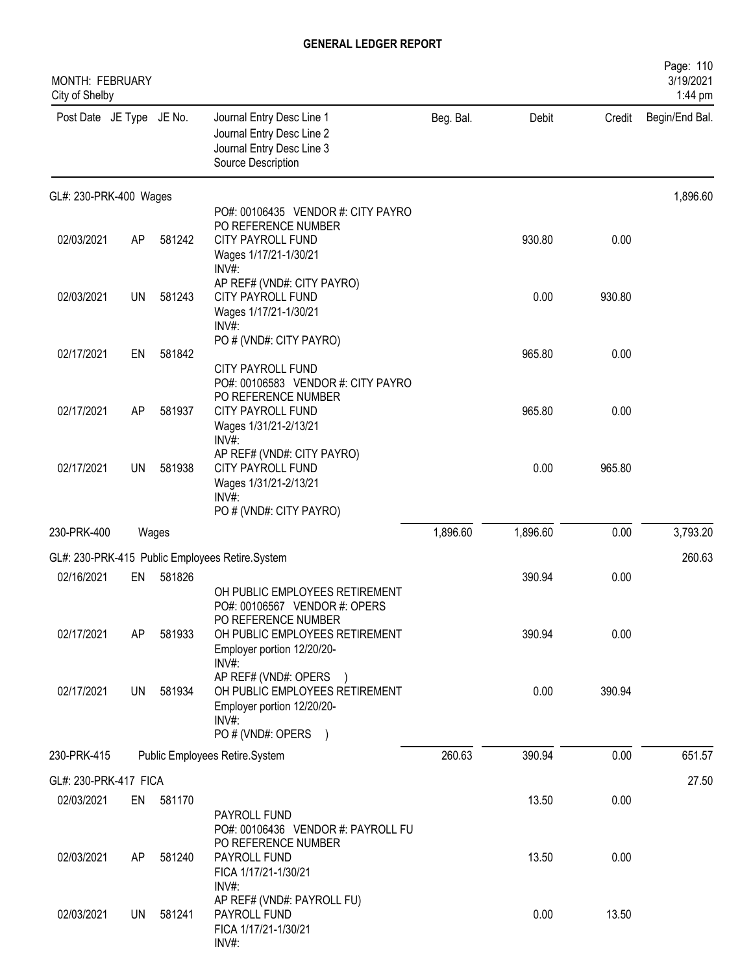| MONTH: FEBRUARY<br>City of Shelby |           |        |                                                                                                                                                                    |           |          |        | Page: 110<br>3/19/2021<br>1:44 pm |
|-----------------------------------|-----------|--------|--------------------------------------------------------------------------------------------------------------------------------------------------------------------|-----------|----------|--------|-----------------------------------|
| Post Date JE Type JE No.          |           |        | Journal Entry Desc Line 1<br>Journal Entry Desc Line 2<br>Journal Entry Desc Line 3<br>Source Description                                                          | Beg. Bal. | Debit    | Credit | Begin/End Bal.                    |
| GL#: 230-PRK-400 Wages            |           |        |                                                                                                                                                                    |           |          |        | 1,896.60                          |
| 02/03/2021                        | AP        | 581242 | PO#: 00106435 VENDOR #: CITY PAYRO<br>PO REFERENCE NUMBER<br>CITY PAYROLL FUND<br>Wages 1/17/21-1/30/21<br>$INV#$ :                                                |           | 930.80   | 0.00   |                                   |
| 02/03/2021                        | <b>UN</b> | 581243 | AP REF# (VND#: CITY PAYRO)<br><b>CITY PAYROLL FUND</b><br>Wages 1/17/21-1/30/21<br>$INV#$ :                                                                        |           | 0.00     | 930.80 |                                   |
| 02/17/2021                        | EN        | 581842 | PO # (VND#: CITY PAYRO)<br>CITY PAYROLL FUND                                                                                                                       |           | 965.80   | 0.00   |                                   |
| 02/17/2021                        | AP        | 581937 | PO#: 00106583 VENDOR #: CITY PAYRO<br>PO REFERENCE NUMBER<br><b>CITY PAYROLL FUND</b><br>Wages 1/31/21-2/13/21<br>INV#:                                            |           | 965.80   | 0.00   |                                   |
| 02/17/2021                        | UN        | 581938 | AP REF# (VND#: CITY PAYRO)<br>CITY PAYROLL FUND<br>Wages 1/31/21-2/13/21<br>$INV#$ :<br>PO # (VND#: CITY PAYRO)                                                    |           | 0.00     | 965.80 |                                   |
| 230-PRK-400                       |           | Wages  |                                                                                                                                                                    | 1,896.60  | 1,896.60 | 0.00   | 3,793.20                          |
|                                   |           |        | GL#: 230-PRK-415 Public Employees Retire.System                                                                                                                    |           |          |        | 260.63                            |
| 02/16/2021                        | EN        | 581826 |                                                                                                                                                                    |           | 390.94   | 0.00   |                                   |
| 02/17/2021                        | AP        | 581933 | OH PUBLIC EMPLOYEES RETIREMENT<br>PO#: 00106567 VENDOR #: OPERS<br>PO REFERENCE NUMBER<br>OH PUBLIC EMPLOYEES RETIREMENT<br>Employer portion 12/20/20-<br>$INV#$ : |           | 390.94   | 0.00   |                                   |
| 02/17/2021                        | UN        | 581934 | AP REF# (VND#: OPERS )<br>OH PUBLIC EMPLOYEES RETIREMENT<br>Employer portion 12/20/20-<br>$INV#$ :<br>PO # (VND#: OPERS                                            |           | 0.00     | 390.94 |                                   |
| 230-PRK-415                       |           |        | Public Employees Retire.System                                                                                                                                     | 260.63    | 390.94   | 0.00   | 651.57                            |
| GL#: 230-PRK-417 FICA             |           |        |                                                                                                                                                                    |           |          |        | 27.50                             |
| 02/03/2021                        | EN        | 581170 |                                                                                                                                                                    |           | 13.50    | 0.00   |                                   |
| 02/03/2021                        | AP        | 581240 | PAYROLL FUND<br>PO#: 00106436 VENDOR #: PAYROLL FU<br>PO REFERENCE NUMBER<br>PAYROLL FUND<br>FICA 1/17/21-1/30/21<br>INV#:                                         |           | 13.50    | 0.00   |                                   |
| 02/03/2021                        | UN        | 581241 | AP REF# (VND#: PAYROLL FU)<br>PAYROLL FUND<br>FICA 1/17/21-1/30/21<br>INV#:                                                                                        |           | 0.00     | 13.50  |                                   |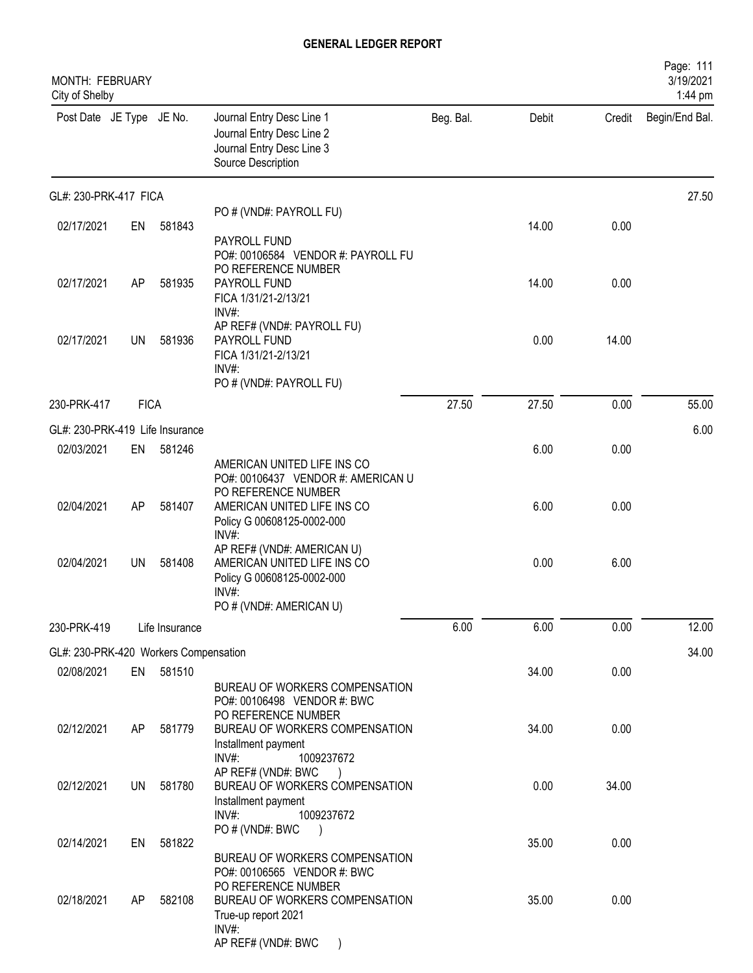| MONTH: FEBRUARY<br>City of Shelby     |             |                |                                                                                                                                            |           |       |        | Page: 111<br>3/19/2021<br>1:44 pm |
|---------------------------------------|-------------|----------------|--------------------------------------------------------------------------------------------------------------------------------------------|-----------|-------|--------|-----------------------------------|
| Post Date JE Type JE No.              |             |                | Journal Entry Desc Line 1<br>Journal Entry Desc Line 2<br>Journal Entry Desc Line 3<br>Source Description                                  | Beg. Bal. | Debit | Credit | Begin/End Bal.                    |
| GL#: 230-PRK-417 FICA                 |             |                |                                                                                                                                            |           |       |        | 27.50                             |
| 02/17/2021                            | EN          | 581843         | PO # (VND#: PAYROLL FU)<br>PAYROLL FUND<br>PO#: 00106584 VENDOR #: PAYROLL FU                                                              |           | 14.00 | 0.00   |                                   |
| 02/17/2021                            | AP          | 581935         | PO REFERENCE NUMBER<br>PAYROLL FUND<br>FICA 1/31/21-2/13/21<br>$INV#$ :                                                                    |           | 14.00 | 0.00   |                                   |
| 02/17/2021                            | <b>UN</b>   | 581936         | AP REF# (VND#: PAYROLL FU)<br>PAYROLL FUND<br>FICA 1/31/21-2/13/21<br>$INV#$ :<br>PO # (VND#: PAYROLL FU)                                  |           | 0.00  | 14.00  |                                   |
| 230-PRK-417                           | <b>FICA</b> |                |                                                                                                                                            | 27.50     | 27.50 | 0.00   | 55.00                             |
| GL#: 230-PRK-419 Life Insurance       |             |                |                                                                                                                                            |           |       |        | 6.00                              |
| 02/03/2021                            | EN          | 581246         | AMERICAN UNITED LIFE INS CO<br>PO#: 00106437 VENDOR #: AMERICAN U                                                                          |           | 6.00  | 0.00   |                                   |
| 02/04/2021                            | AP          | 581407         | PO REFERENCE NUMBER<br>AMERICAN UNITED LIFE INS CO<br>Policy G 00608125-0002-000<br>INV#:                                                  |           | 6.00  | 0.00   |                                   |
| 02/04/2021                            | <b>UN</b>   | 581408         | AP REF# (VND#: AMERICAN U)<br>AMERICAN UNITED LIFE INS CO<br>Policy G 00608125-0002-000<br>INV#:<br>PO # (VND#: AMERICAN U)                |           | 0.00  | 6.00   |                                   |
| 230-PRK-419                           |             | Life Insurance |                                                                                                                                            | 6.00      | 6.00  | 0.00   | 12.00                             |
| GL#: 230-PRK-420 Workers Compensation |             |                |                                                                                                                                            |           |       |        | 34.00                             |
| 02/08/2021                            | EN          | 581510         | BUREAU OF WORKERS COMPENSATION                                                                                                             |           | 34.00 | 0.00   |                                   |
| 02/12/2021                            | AP          | 581779         | PO#: 00106498 VENDOR #: BWC<br>PO REFERENCE NUMBER<br>BUREAU OF WORKERS COMPENSATION<br>Installment payment<br>INV#:<br>1009237672         |           | 34.00 | 0.00   |                                   |
| 02/12/2021                            | UN          | 581780         | AP REF# (VND#: BWC<br>BUREAU OF WORKERS COMPENSATION<br>Installment payment<br>INV#:<br>1009237672                                         |           | 0.00  | 34.00  |                                   |
| 02/14/2021                            | EN          | 581822         | PO # (VND#: BWC<br>$\rightarrow$<br>BUREAU OF WORKERS COMPENSATION                                                                         |           | 35.00 | 0.00   |                                   |
| 02/18/2021                            | AP          | 582108         | PO#: 00106565 VENDOR #: BWC<br>PO REFERENCE NUMBER<br>BUREAU OF WORKERS COMPENSATION<br>True-up report 2021<br>INV#:<br>AP REF# (VND#: BWC |           | 35.00 | 0.00   |                                   |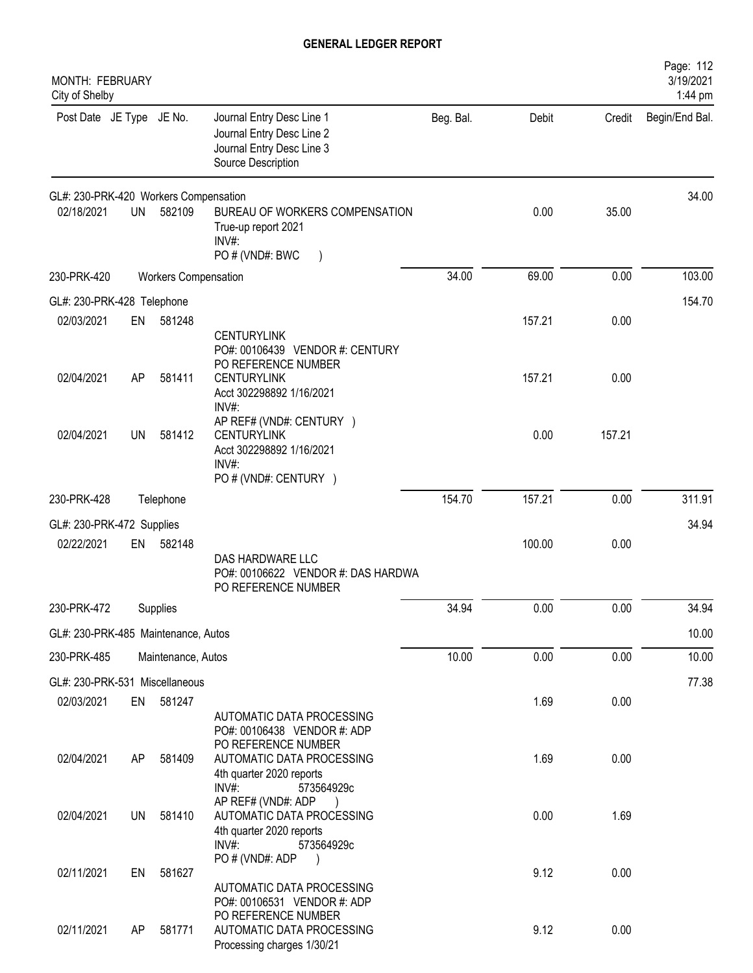| MONTH: FEBRUARY<br>City of Shelby     |           |                             |                                                                                                             |           |        |        | Page: 112<br>3/19/2021<br>1:44 pm |
|---------------------------------------|-----------|-----------------------------|-------------------------------------------------------------------------------------------------------------|-----------|--------|--------|-----------------------------------|
| Post Date JE Type JE No.              |           |                             | Journal Entry Desc Line 1<br>Journal Entry Desc Line 2<br>Journal Entry Desc Line 3<br>Source Description   | Beg. Bal. | Debit  | Credit | Begin/End Bal.                    |
| GL#: 230-PRK-420 Workers Compensation |           |                             |                                                                                                             |           |        |        | 34.00                             |
| 02/18/2021                            | <b>UN</b> | 582109                      | BUREAU OF WORKERS COMPENSATION<br>True-up report 2021<br>INV#:                                              |           | 0.00   | 35.00  |                                   |
| 230-PRK-420                           |           | <b>Workers Compensation</b> | PO # (VND#: BWC                                                                                             | 34.00     | 69.00  | 0.00   | 103.00                            |
| GL#: 230-PRK-428 Telephone            |           |                             |                                                                                                             |           |        |        | 154.70                            |
| 02/03/2021                            | EN        | 581248                      | <b>CENTURYLINK</b><br>PO#: 00106439 VENDOR #: CENTURY                                                       |           | 157.21 | 0.00   |                                   |
| 02/04/2021                            | AP        | 581411                      | PO REFERENCE NUMBER<br><b>CENTURYLINK</b><br>Acct 302298892 1/16/2021<br>$INV#$ :                           |           | 157.21 | 0.00   |                                   |
| 02/04/2021                            | <b>UN</b> | 581412                      | AP REF# (VND#: CENTURY )<br><b>CENTURYLINK</b><br>Acct 302298892 1/16/2021<br>INV#<br>PO # (VND#: CENTURY ) |           | 0.00   | 157.21 |                                   |
| 230-PRK-428                           |           | Telephone                   |                                                                                                             | 154.70    | 157.21 | 0.00   | 311.91                            |
| GL#: 230-PRK-472 Supplies             |           |                             |                                                                                                             |           |        |        | 34.94                             |
| 02/22/2021                            | EN        | 582148                      | DAS HARDWARE LLC<br>PO#: 00106622 VENDOR #: DAS HARDWA<br>PO REFERENCE NUMBER                               |           | 100.00 | 0.00   |                                   |
| 230-PRK-472                           |           | Supplies                    |                                                                                                             | 34.94     | 0.00   | 0.00   | 34.94                             |
| GL#: 230-PRK-485 Maintenance, Autos   |           |                             |                                                                                                             |           |        |        | 10.00                             |
| 230-PRK-485                           |           | Maintenance, Autos          |                                                                                                             | 10.00     | 0.00   | 0.00   | 10.00                             |
| GL#: 230-PRK-531 Miscellaneous        |           |                             |                                                                                                             |           |        |        | 77.38                             |
| 02/03/2021                            | EN        | 581247                      | AUTOMATIC DATA PROCESSING<br>PO#: 00106438 VENDOR #: ADP                                                    |           | 1.69   | 0.00   |                                   |
| 02/04/2021                            | AP        | 581409                      | PO REFERENCE NUMBER<br>AUTOMATIC DATA PROCESSING<br>4th quarter 2020 reports<br>INV#:<br>573564929c         |           | 1.69   | 0.00   |                                   |
| 02/04/2021                            | UN        | 581410                      | AP REF# (VND#: ADP<br>AUTOMATIC DATA PROCESSING<br>4th quarter 2020 reports<br>INV#:<br>573564929c          |           | 0.00   | 1.69   |                                   |
| 02/11/2021                            | EN        | 581627                      | PO # (VND#: ADP<br>AUTOMATIC DATA PROCESSING<br>PO#: 00106531 VENDOR #: ADP                                 |           | 9.12   | 0.00   |                                   |
| 02/11/2021                            | AP        | 581771                      | PO REFERENCE NUMBER<br>AUTOMATIC DATA PROCESSING<br>Processing charges 1/30/21                              |           | 9.12   | 0.00   |                                   |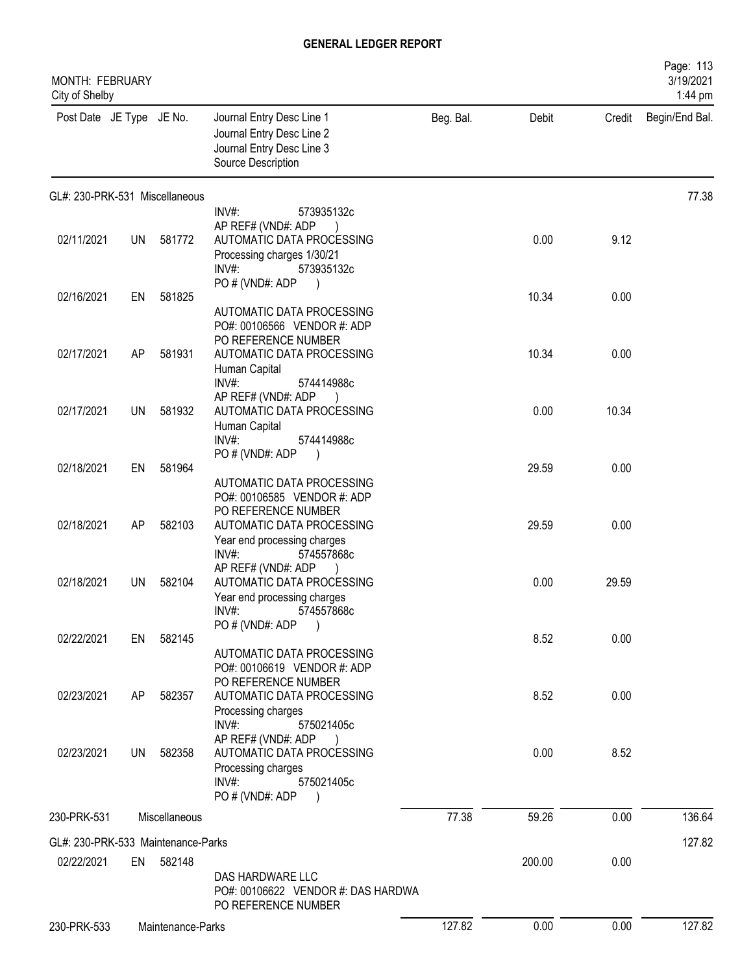| <b>MONTH: FEBRUARY</b><br>City of Shelby |           |                   |                                                                                                                                                                 |           |        |        | Page: 113<br>3/19/2021<br>1:44 pm |
|------------------------------------------|-----------|-------------------|-----------------------------------------------------------------------------------------------------------------------------------------------------------------|-----------|--------|--------|-----------------------------------|
| Post Date JE Type JE No.                 |           |                   | Journal Entry Desc Line 1<br>Journal Entry Desc Line 2<br>Journal Entry Desc Line 3<br>Source Description                                                       | Beg. Bal. | Debit  | Credit | Begin/End Bal.                    |
| GL#: 230-PRK-531 Miscellaneous           |           |                   |                                                                                                                                                                 |           |        |        | 77.38                             |
| 02/11/2021                               | UN        | 581772            | INV#:<br>573935132c<br>AP REF# (VND#: ADP<br>AUTOMATIC DATA PROCESSING<br>Processing charges 1/30/21<br>$INV#$ :<br>573935132c<br>PO # (VND#: ADP               |           | 0.00   | 9.12   |                                   |
| 02/16/2021                               | EN        | 581825            |                                                                                                                                                                 |           | 10.34  | 0.00   |                                   |
| 02/17/2021                               | AP        | 581931            | AUTOMATIC DATA PROCESSING<br>PO#: 00106566 VENDOR #: ADP<br>PO REFERENCE NUMBER<br>AUTOMATIC DATA PROCESSING                                                    |           | 10.34  | 0.00   |                                   |
| 02/17/2021                               | UN        | 581932            | Human Capital<br>INV#:<br>574414988c<br>AP REF# (VND#: ADP<br>AUTOMATIC DATA PROCESSING<br>Human Capital<br>INV#:<br>574414988c                                 |           | 0.00   | 10.34  |                                   |
| 02/18/2021                               | EN        | 581964            | PO#(VND#: ADP<br>AUTOMATIC DATA PROCESSING<br>PO#: 00106585 VENDOR #: ADP                                                                                       |           | 29.59  | 0.00   |                                   |
| 02/18/2021                               | AP        | 582103            | PO REFERENCE NUMBER<br>AUTOMATIC DATA PROCESSING<br>Year end processing charges<br>INV#:<br>574557868c                                                          |           | 29.59  | 0.00   |                                   |
| 02/18/2021                               | UN.       | 582104            | AP REF# (VND#: ADP<br>AUTOMATIC DATA PROCESSING<br>Year end processing charges<br>574557868c<br>$INV#$ :                                                        |           | 0.00   | 29.59  |                                   |
| 02/22/2021                               | EN        | 582145            | PO # (VND#: ADP                                                                                                                                                 |           | 8.52   | 0.00   |                                   |
| 02/23/2021                               | AP        | 582357            | AUTOMATIC DATA PROCESSING<br>PO#: 00106619 VENDOR #: ADP<br>PO REFERENCE NUMBER<br>AUTOMATIC DATA PROCESSING                                                    |           | 8.52   | 0.00   |                                   |
| 02/23/2021                               | <b>UN</b> | 582358            | Processing charges<br>$INV#$ :<br>575021405c<br>AP REF# (VND#: ADP<br>AUTOMATIC DATA PROCESSING<br>Processing charges<br>INV#:<br>575021405c<br>PO # (VND#: ADP |           | 0.00   | 8.52   |                                   |
| 230-PRK-531                              |           | Miscellaneous     |                                                                                                                                                                 | 77.38     | 59.26  | 0.00   | 136.64                            |
| GL#: 230-PRK-533 Maintenance-Parks       |           |                   |                                                                                                                                                                 |           |        |        | 127.82                            |
| 02/22/2021                               |           | EN 582148         | DAS HARDWARE LLC<br>PO#: 00106622 VENDOR #: DAS HARDWA<br>PO REFERENCE NUMBER                                                                                   |           | 200.00 | 0.00   |                                   |
| 230-PRK-533                              |           | Maintenance-Parks |                                                                                                                                                                 | 127.82    | 0.00   | 0.00   | 127.82                            |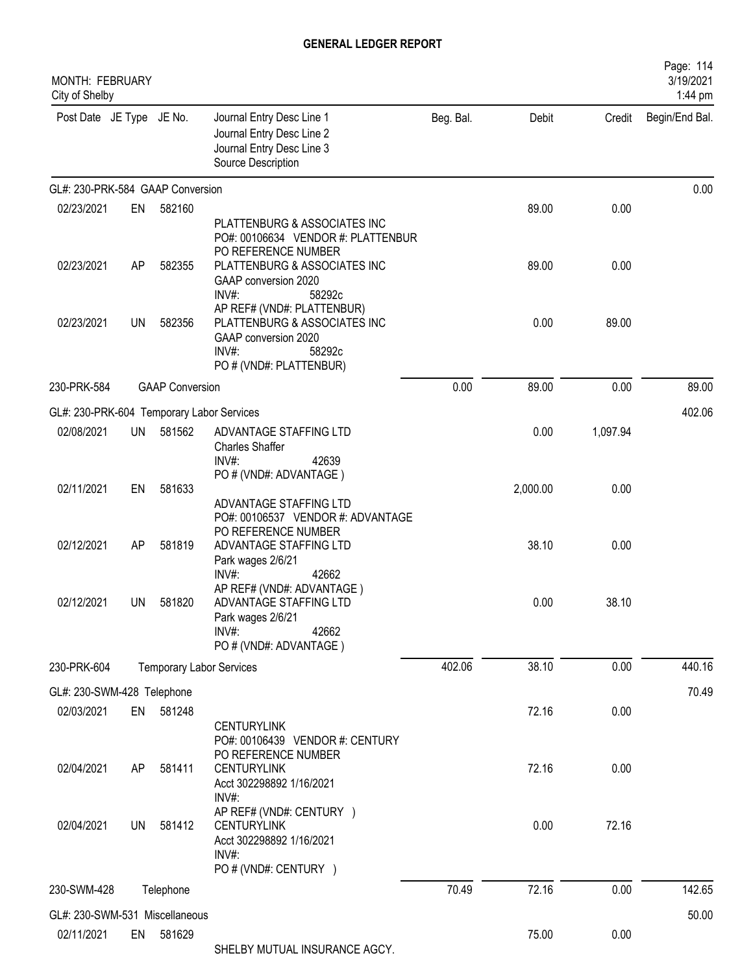| MONTH: FEBRUARY<br>City of Shelby         |           |                                 |                                                                                                                              |           |          |          | Page: 114<br>3/19/2021<br>1:44 pm |
|-------------------------------------------|-----------|---------------------------------|------------------------------------------------------------------------------------------------------------------------------|-----------|----------|----------|-----------------------------------|
| Post Date JE Type JE No.                  |           |                                 | Journal Entry Desc Line 1<br>Journal Entry Desc Line 2<br>Journal Entry Desc Line 3<br>Source Description                    | Beg. Bal. | Debit    | Credit   | Begin/End Bal.                    |
| GL#: 230-PRK-584 GAAP Conversion          |           |                                 |                                                                                                                              |           |          |          | 0.00                              |
| 02/23/2021                                | EN        | 582160                          |                                                                                                                              |           | 89.00    | 0.00     |                                   |
| 02/23/2021                                | AP        | 582355                          | PLATTENBURG & ASSOCIATES INC<br>PO#: 00106634 VENDOR #: PLATTENBUR<br>PO REFERENCE NUMBER<br>PLATTENBURG & ASSOCIATES INC    |           | 89.00    | 0.00     |                                   |
|                                           |           |                                 | GAAP conversion 2020<br>$INV#$ :<br>58292c<br>AP REF# (VND#: PLATTENBUR)                                                     |           |          |          |                                   |
| 02/23/2021                                | <b>UN</b> | 582356                          | PLATTENBURG & ASSOCIATES INC<br>GAAP conversion 2020<br>$INV#$ :<br>58292c<br>PO # (VND#: PLATTENBUR)                        |           | 0.00     | 89.00    |                                   |
| 230-PRK-584                               |           | <b>GAAP Conversion</b>          |                                                                                                                              | 0.00      | 89.00    | 0.00     | 89.00                             |
| GL#: 230-PRK-604 Temporary Labor Services |           |                                 |                                                                                                                              |           |          |          | 402.06                            |
| 02/08/2021                                | UN        | 581562                          | ADVANTAGE STAFFING LTD<br><b>Charles Shaffer</b><br>$INV#$ :<br>42639                                                        |           | 0.00     | 1,097.94 |                                   |
| 02/11/2021                                | EN        | 581633                          | PO # (VND#: ADVANTAGE)<br>ADVANTAGE STAFFING LTD                                                                             |           | 2,000.00 | 0.00     |                                   |
| 02/12/2021                                | AP        | 581819                          | PO#: 00106537 VENDOR #: ADVANTAGE<br>PO REFERENCE NUMBER<br>ADVANTAGE STAFFING LTD<br>Park wages 2/6/21<br>$INV#$ :<br>42662 |           | 38.10    | 0.00     |                                   |
| 02/12/2021                                | UN        | 581820                          | AP REF# (VND#: ADVANTAGE)<br>ADVANTAGE STAFFING LTD<br>Park wages 2/6/21<br>INV#:<br>42662<br>PO # (VND#: ADVANTAGE)         |           | 0.00     | 38.10    |                                   |
| 230-PRK-604                               |           | <b>Temporary Labor Services</b> |                                                                                                                              | 402.06    | 38.10    | 0.00     | 440.16                            |
| GL#: 230-SWM-428 Telephone                |           |                                 |                                                                                                                              |           |          |          | 70.49                             |
| 02/03/2021                                | EN        | 581248                          |                                                                                                                              |           | 72.16    | 0.00     |                                   |
| 02/04/2021                                | AP        | 581411                          | <b>CENTURYLINK</b><br>PO#: 00106439 VENDOR #: CENTURY<br>PO REFERENCE NUMBER<br><b>CENTURYLINK</b>                           |           | 72.16    | 0.00     |                                   |
|                                           |           |                                 | Acct 302298892 1/16/2021<br>$INV#$ :<br>AP REF# (VND#: CENTURY )                                                             |           |          |          |                                   |
| 02/04/2021                                | UN        | 581412                          | <b>CENTURYLINK</b><br>Acct 302298892 1/16/2021<br>$INV#$ :<br>PO # (VND#: CENTURY )                                          |           | 0.00     | 72.16    |                                   |
| 230-SWM-428                               |           | Telephone                       |                                                                                                                              | 70.49     | 72.16    | 0.00     | 142.65                            |
| GL#: 230-SWM-531 Miscellaneous            |           |                                 |                                                                                                                              |           |          |          | 50.00                             |
| 02/11/2021                                | EN        | 581629                          | SHELBY MUTUAL INSURANCE AGCY.                                                                                                |           | 75.00    | 0.00     |                                   |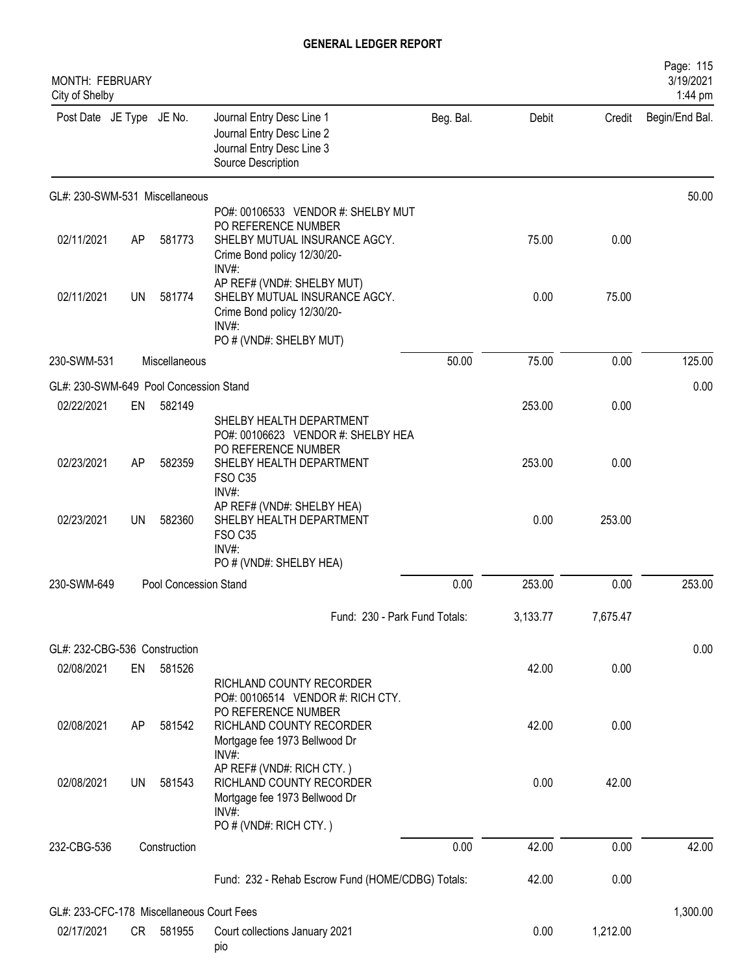| MONTH: FEBRUARY<br>City of Shelby         |    |                       |                                                                                                                                            |           |          |          | Page: 115<br>3/19/2021<br>1:44 pm |
|-------------------------------------------|----|-----------------------|--------------------------------------------------------------------------------------------------------------------------------------------|-----------|----------|----------|-----------------------------------|
| Post Date JE Type JE No.                  |    |                       | Journal Entry Desc Line 1<br>Journal Entry Desc Line 2<br>Journal Entry Desc Line 3<br>Source Description                                  | Beg. Bal. | Debit    | Credit   | Begin/End Bal.                    |
| GL#: 230-SWM-531 Miscellaneous            |    |                       |                                                                                                                                            |           |          |          | 50.00                             |
| 02/11/2021                                | AP | 581773                | PO#: 00106533 VENDOR #: SHELBY MUT<br>PO REFERENCE NUMBER<br>SHELBY MUTUAL INSURANCE AGCY.<br>Crime Bond policy 12/30/20-                  |           | 75.00    | 0.00     |                                   |
| 02/11/2021                                | UN | 581774                | INV#:<br>AP REF# (VND#: SHELBY MUT)<br>SHELBY MUTUAL INSURANCE AGCY.<br>Crime Bond policy 12/30/20-<br>$INV#$ :<br>PO # (VND#: SHELBY MUT) |           | 0.00     | 75.00    |                                   |
| 230-SWM-531                               |    | Miscellaneous         |                                                                                                                                            | 50.00     | 75.00    | 0.00     | 125.00                            |
| GL#: 230-SWM-649 Pool Concession Stand    |    |                       |                                                                                                                                            |           |          |          | 0.00                              |
| 02/22/2021                                | EN | 582149                | SHELBY HEALTH DEPARTMENT<br>PO#: 00106623 VENDOR #: SHELBY HEA                                                                             |           | 253.00   | 0.00     |                                   |
| 02/23/2021                                | AP | 582359                | PO REFERENCE NUMBER<br>SHELBY HEALTH DEPARTMENT<br><b>FSO C35</b><br>INV#:                                                                 |           | 253.00   | 0.00     |                                   |
| 02/23/2021                                | UN | 582360                | AP REF# (VND#: SHELBY HEA)<br>SHELBY HEALTH DEPARTMENT<br><b>FSO C35</b><br>INV#:                                                          |           | 0.00     | 253.00   |                                   |
|                                           |    |                       | PO # (VND#: SHELBY HEA)                                                                                                                    |           |          |          |                                   |
| 230-SWM-649                               |    | Pool Concession Stand |                                                                                                                                            | 0.00      | 253.00   | 0.00     | 253.00                            |
|                                           |    |                       | Fund: 230 - Park Fund Totals:                                                                                                              |           | 3,133.77 | 7,675.47 |                                   |
| GL#: 232-CBG-536 Construction             |    |                       |                                                                                                                                            |           |          |          | 0.00                              |
| 02/08/2021                                | EN | 581526                | RICHLAND COUNTY RECORDER<br>PO#: 00106514 VENDOR #: RICH CTY.                                                                              |           | 42.00    | 0.00     |                                   |
| 02/08/2021                                | AP | 581542                | PO REFERENCE NUMBER<br>RICHLAND COUNTY RECORDER<br>Mortgage fee 1973 Bellwood Dr<br>INV#:                                                  |           | 42.00    | 0.00     |                                   |
| 02/08/2021                                | UN | 581543                | AP REF# (VND#: RICH CTY.)<br>RICHLAND COUNTY RECORDER<br>Mortgage fee 1973 Bellwood Dr<br>INV#:<br>PO # (VND#: RICH CTY.)                  |           | 0.00     | 42.00    |                                   |
| 232-CBG-536                               |    | Construction          |                                                                                                                                            | 0.00      | 42.00    | 0.00     | 42.00                             |
|                                           |    |                       | Fund: 232 - Rehab Escrow Fund (HOME/CDBG) Totals:                                                                                          |           | 42.00    | 0.00     |                                   |
| GL#: 233-CFC-178 Miscellaneous Court Fees |    |                       |                                                                                                                                            |           |          |          | 1,300.00                          |
| 02/17/2021                                |    | CR 581955             | Court collections January 2021<br>pio                                                                                                      |           | 0.00     | 1,212.00 |                                   |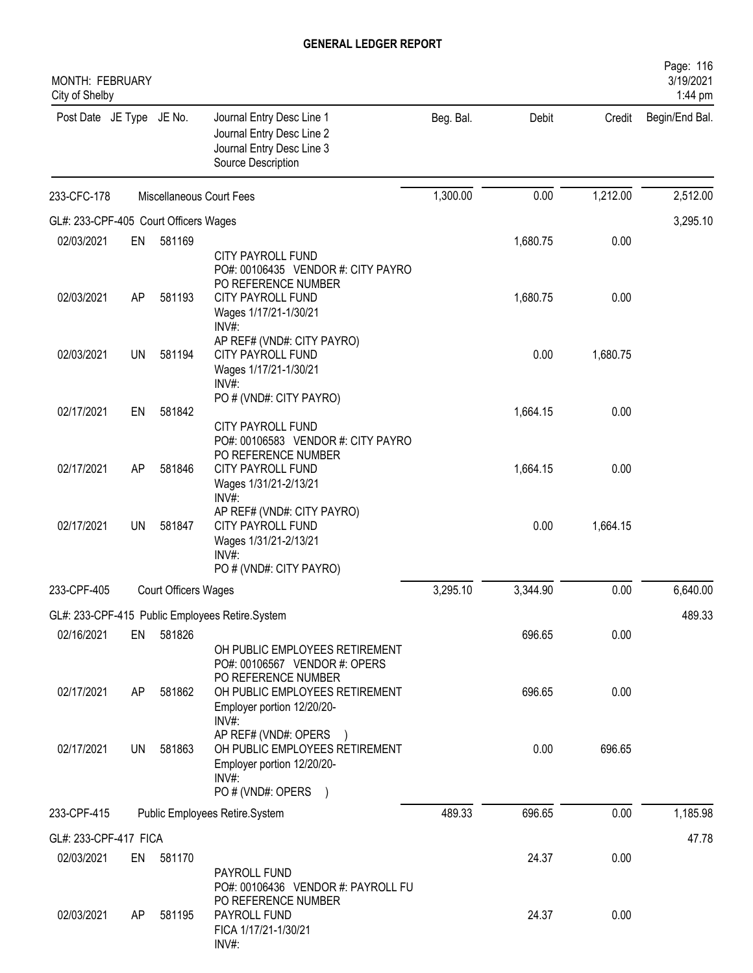| MONTH: FEBRUARY<br>City of Shelby     |    |                             |                                                                                                                                                 |           |          |          | Page: 116<br>3/19/2021<br>1:44 pm |
|---------------------------------------|----|-----------------------------|-------------------------------------------------------------------------------------------------------------------------------------------------|-----------|----------|----------|-----------------------------------|
| Post Date JE Type JE No.              |    |                             | Journal Entry Desc Line 1<br>Journal Entry Desc Line 2<br>Journal Entry Desc Line 3<br>Source Description                                       | Beg. Bal. | Debit    | Credit   | Begin/End Bal.                    |
| 233-CFC-178                           |    |                             | Miscellaneous Court Fees                                                                                                                        | 1,300.00  | 0.00     | 1,212.00 | 2,512.00                          |
| GL#: 233-CPF-405 Court Officers Wages |    |                             |                                                                                                                                                 |           |          |          | 3,295.10                          |
| 02/03/2021                            | EN | 581169                      |                                                                                                                                                 |           | 1,680.75 | 0.00     |                                   |
| 02/03/2021                            | AP | 581193                      | <b>CITY PAYROLL FUND</b><br>PO#: 00106435 VENDOR #: CITY PAYRO<br>PO REFERENCE NUMBER<br><b>CITY PAYROLL FUND</b><br>Wages 1/17/21-1/30/21      |           | 1,680.75 | 0.00     |                                   |
| 02/03/2021                            | UN | 581194                      | INV#:<br>AP REF# (VND#: CITY PAYRO)<br><b>CITY PAYROLL FUND</b><br>Wages 1/17/21-1/30/21<br>$INV#$ :                                            |           | 0.00     | 1,680.75 |                                   |
| 02/17/2021                            | EN | 581842                      | PO # (VND#: CITY PAYRO)                                                                                                                         |           | 1,664.15 | 0.00     |                                   |
| 02/17/2021                            | AP | 581846                      | CITY PAYROLL FUND<br>PO#: 00106583 VENDOR #: CITY PAYRO<br>PO REFERENCE NUMBER<br><b>CITY PAYROLL FUND</b><br>Wages 1/31/21-2/13/21<br>$INV#$ : |           | 1,664.15 | 0.00     |                                   |
| 02/17/2021                            | UN | 581847                      | AP REF# (VND#: CITY PAYRO)<br><b>CITY PAYROLL FUND</b><br>Wages 1/31/21-2/13/21<br>INV#:<br>PO # (VND#: CITY PAYRO)                             |           | 0.00     | 1,664.15 |                                   |
| 233-CPF-405                           |    | <b>Court Officers Wages</b> |                                                                                                                                                 | 3,295.10  | 3,344.90 | 0.00     | 6,640.00                          |
|                                       |    |                             | GL#: 233-CPF-415 Public Employees Retire.System                                                                                                 |           |          |          | 489.33                            |
| 02/16/2021                            | EN | 581826                      |                                                                                                                                                 |           | 696.65   | 0.00     |                                   |
| 02/17/2021                            |    | 581862                      | OH PUBLIC EMPLOYEES RETIREMENT<br>PO#: 00106567 VENDOR #: OPERS<br>PO REFERENCE NUMBER                                                          |           | 696.65   | 0.00     |                                   |
|                                       | AP |                             | OH PUBLIC EMPLOYEES RETIREMENT<br>Employer portion 12/20/20-<br>INV#:                                                                           |           |          |          |                                   |
| 02/17/2021                            | UN | 581863                      | AP REF# (VND#: OPERS<br>OH PUBLIC EMPLOYEES RETIREMENT<br>Employer portion 12/20/20-<br>$INV#$ :<br>PO # (VND#: OPERS<br>$\lambda$              |           | 0.00     | 696.65   |                                   |
| 233-CPF-415                           |    |                             | Public Employees Retire.System                                                                                                                  | 489.33    | 696.65   | 0.00     | 1,185.98                          |
| GL#: 233-CPF-417 FICA                 |    |                             |                                                                                                                                                 |           |          |          | 47.78                             |
| 02/03/2021                            | EN | 581170                      |                                                                                                                                                 |           | 24.37    | 0.00     |                                   |
| 02/03/2021                            | AP | 581195                      | PAYROLL FUND<br>PO#: 00106436 VENDOR #: PAYROLL FU<br>PO REFERENCE NUMBER<br>PAYROLL FUND                                                       |           | 24.37    | 0.00     |                                   |
|                                       |    |                             | FICA 1/17/21-1/30/21<br>INV#:                                                                                                                   |           |          |          |                                   |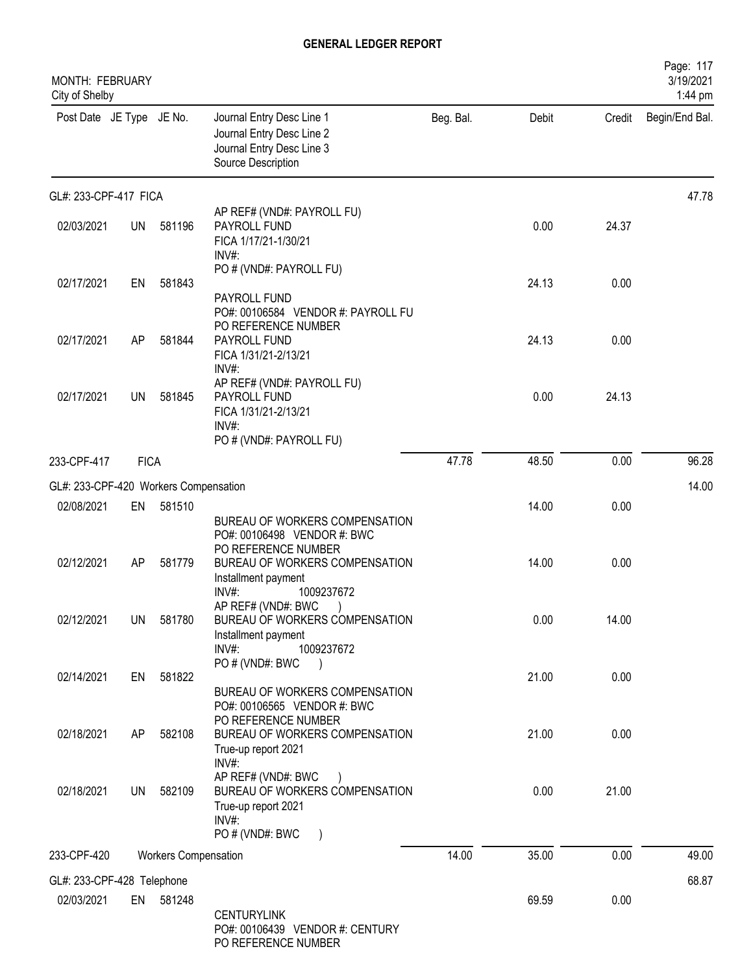| MONTH: FEBRUARY<br>City of Shelby     |             |                             |                                                                                                                                               |           |       |        | Page: 117<br>3/19/2021<br>1:44 pm |
|---------------------------------------|-------------|-----------------------------|-----------------------------------------------------------------------------------------------------------------------------------------------|-----------|-------|--------|-----------------------------------|
| Post Date JE Type JE No.              |             |                             | Journal Entry Desc Line 1<br>Journal Entry Desc Line 2<br>Journal Entry Desc Line 3<br>Source Description                                     | Beg. Bal. | Debit | Credit | Begin/End Bal.                    |
| GL#: 233-CPF-417 FICA                 |             |                             |                                                                                                                                               |           |       |        | 47.78                             |
| 02/03/2021                            | <b>UN</b>   | 581196                      | AP REF# (VND#: PAYROLL FU)<br>PAYROLL FUND<br>FICA 1/17/21-1/30/21<br>INV#:                                                                   |           | 0.00  | 24.37  |                                   |
| 02/17/2021                            | EN          | 581843                      | PO # (VND#: PAYROLL FU)<br>PAYROLL FUND<br>PO#: 00106584 VENDOR #: PAYROLL FU                                                                 |           | 24.13 | 0.00   |                                   |
| 02/17/2021                            | AP          | 581844                      | PO REFERENCE NUMBER<br>PAYROLL FUND<br>FICA 1/31/21-2/13/21<br>INV#:                                                                          |           | 24.13 | 0.00   |                                   |
| 02/17/2021                            | UN          | 581845                      | AP REF# (VND#: PAYROLL FU)<br>PAYROLL FUND<br>FICA 1/31/21-2/13/21<br>$INV#$ :                                                                |           | 0.00  | 24.13  |                                   |
| 233-CPF-417                           | <b>FICA</b> |                             | PO # (VND#: PAYROLL FU)                                                                                                                       | 47.78     | 48.50 | 0.00   | 96.28                             |
| GL#: 233-CPF-420 Workers Compensation |             |                             |                                                                                                                                               |           |       |        | 14.00                             |
| 02/08/2021                            | EN          | 581510                      |                                                                                                                                               |           | 14.00 | 0.00   |                                   |
| 02/12/2021                            | <b>AP</b>   | 581779                      | BUREAU OF WORKERS COMPENSATION<br>PO#: 00106498 VENDOR #: BWC<br>PO REFERENCE NUMBER<br>BUREAU OF WORKERS COMPENSATION<br>Installment payment |           | 14.00 | 0.00   |                                   |
| 02/12/2021                            | <b>UN</b>   | 581780                      | INV#:<br>1009237672<br>AP REF# (VND#: BWC)<br>BUREAU OF WORKERS COMPENSATION<br>Installment payment<br>$INV#$ :<br>1009237672                 |           | 0.00  | 14.00  |                                   |
| 02/14/2021                            | EN          | 581822                      | PO # (VND#: BWC<br>BUREAU OF WORKERS COMPENSATION<br>PO#: 00106565 VENDOR #: BWC                                                              |           | 21.00 | 0.00   |                                   |
| 02/18/2021                            | AP          | 582108                      | PO REFERENCE NUMBER<br>BUREAU OF WORKERS COMPENSATION<br>True-up report 2021<br>INV#:                                                         |           | 21.00 | 0.00   |                                   |
| 02/18/2021                            | <b>UN</b>   | 582109                      | AP REF# (VND#: BWC<br>BUREAU OF WORKERS COMPENSATION<br>True-up report 2021<br>$INV#$ :                                                       |           | 0.00  | 21.00  |                                   |
| 233-CPF-420                           |             | <b>Workers Compensation</b> | PO # (VND#: BWC                                                                                                                               | 14.00     | 35.00 | 0.00   | 49.00                             |
| GL#: 233-CPF-428 Telephone            |             |                             |                                                                                                                                               |           |       |        | 68.87                             |
| 02/03/2021                            |             | EN 581248                   | <b>CENTURYLINK</b><br>PO#: 00106439 VENDOR #: CENTURY<br>PO REFERENCE NUMBER                                                                  |           | 69.59 | 0.00   |                                   |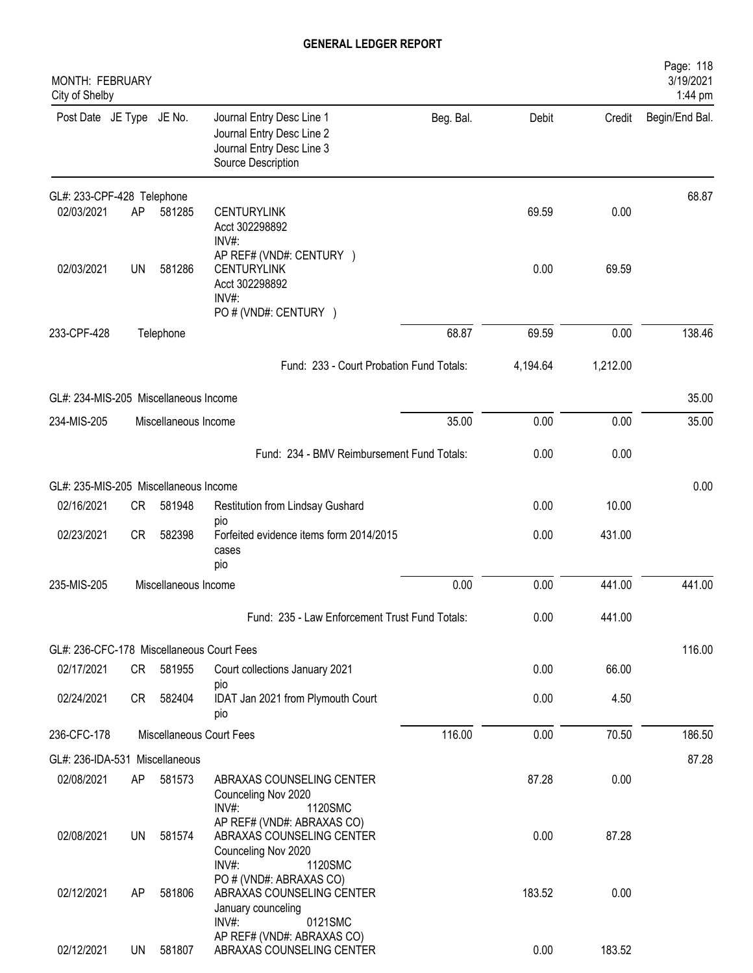| MONTH: FEBRUARY<br>City of Shelby         |    |                      |                                                                                                           |           |          |          | Page: 118<br>3/19/2021<br>1:44 pm |
|-------------------------------------------|----|----------------------|-----------------------------------------------------------------------------------------------------------|-----------|----------|----------|-----------------------------------|
| Post Date JE Type JE No.                  |    |                      | Journal Entry Desc Line 1<br>Journal Entry Desc Line 2<br>Journal Entry Desc Line 3<br>Source Description | Beg. Bal. | Debit    | Credit   | Begin/End Bal.                    |
| GL#: 233-CPF-428 Telephone                |    |                      |                                                                                                           |           |          |          | 68.87                             |
| 02/03/2021                                | AP | 581285               | <b>CENTURYLINK</b><br>Acct 302298892<br>INV#:                                                             |           | 69.59    | 0.00     |                                   |
| 02/03/2021                                | UN | 581286               | AP REF# (VND#: CENTURY )<br><b>CENTURYLINK</b><br>Acct 302298892<br>INV#:                                 |           | 0.00     | 69.59    |                                   |
|                                           |    |                      | PO # (VND#: CENTURY )                                                                                     |           |          |          |                                   |
| 233-CPF-428                               |    | Telephone            |                                                                                                           | 68.87     | 69.59    | 0.00     | 138.46                            |
|                                           |    |                      | Fund: 233 - Court Probation Fund Totals:                                                                  |           | 4,194.64 | 1,212.00 |                                   |
| GL#: 234-MIS-205 Miscellaneous Income     |    |                      |                                                                                                           |           |          |          | 35.00                             |
| 234-MIS-205                               |    | Miscellaneous Income |                                                                                                           | 35.00     | 0.00     | 0.00     | 35.00                             |
|                                           |    |                      | Fund: 234 - BMV Reimbursement Fund Totals:                                                                |           | 0.00     | 0.00     |                                   |
| GL#: 235-MIS-205 Miscellaneous Income     |    |                      |                                                                                                           |           |          |          | 0.00                              |
| 02/16/2021                                | CR | 581948               | Restitution from Lindsay Gushard                                                                          |           | 0.00     | 10.00    |                                   |
| 02/23/2021                                | CR | 582398               | pio<br>Forfeited evidence items form 2014/2015<br>cases<br>pio                                            |           | 0.00     | 431.00   |                                   |
| 235-MIS-205                               |    | Miscellaneous Income |                                                                                                           | 0.00      | 0.00     | 441.00   | 441.00                            |
|                                           |    |                      | Fund: 235 - Law Enforcement Trust Fund Totals:                                                            |           | 0.00     | 441.00   |                                   |
| GL#: 236-CFC-178 Miscellaneous Court Fees |    |                      |                                                                                                           |           |          |          | 116.00                            |
| 02/17/2021                                |    | CR 581955            | Court collections January 2021                                                                            |           | 0.00     | 66.00    |                                   |
| 02/24/2021                                | CR | 582404               | pio<br>IDAT Jan 2021 from Plymouth Court<br>pio                                                           |           | 0.00     | 4.50     |                                   |
| 236-CFC-178                               |    |                      | Miscellaneous Court Fees                                                                                  | 116.00    | 0.00     | 70.50    | 186.50                            |
| GL#: 236-IDA-531 Miscellaneous            |    |                      |                                                                                                           |           |          |          | 87.28                             |
| 02/08/2021                                | AP | 581573               | ABRAXAS COUNSELING CENTER<br>Counceling Nov 2020<br>INV#:<br>1120SMC                                      |           | 87.28    | 0.00     |                                   |
| 02/08/2021                                | UN | 581574               | AP REF# (VND#: ABRAXAS CO)<br>ABRAXAS COUNSELING CENTER<br>Counceling Nov 2020<br>INV#:<br>1120SMC        |           | 0.00     | 87.28    |                                   |
| 02/12/2021                                | AP | 581806               | PO # (VND#: ABRAXAS CO)<br>ABRAXAS COUNSELING CENTER<br>January counceling                                |           | 183.52   | 0.00     |                                   |
| 02/12/2021                                | UN | 581807               | 0121SMC<br>INV#:<br>AP REF# (VND#: ABRAXAS CO)<br>ABRAXAS COUNSELING CENTER                               |           | 0.00     | 183.52   |                                   |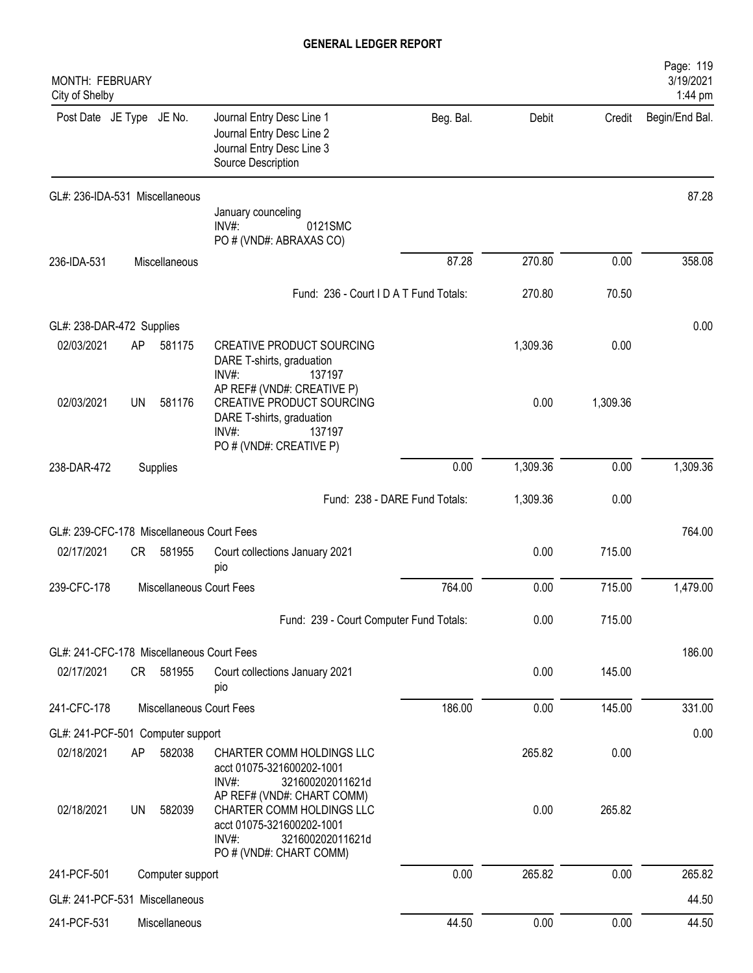| MONTH: FEBRUARY<br>City of Shelby         |           |                          |                                                                                                                                    |           |          |          | Page: 119<br>3/19/2021<br>1:44 pm |
|-------------------------------------------|-----------|--------------------------|------------------------------------------------------------------------------------------------------------------------------------|-----------|----------|----------|-----------------------------------|
| Post Date JE Type JE No.                  |           |                          | Journal Entry Desc Line 1<br>Journal Entry Desc Line 2<br>Journal Entry Desc Line 3<br>Source Description                          | Beg. Bal. | Debit    | Credit   | Begin/End Bal.                    |
| GL#: 236-IDA-531 Miscellaneous            |           |                          |                                                                                                                                    |           |          |          | 87.28                             |
|                                           |           |                          | January counceling<br>$INV#$ :<br>0121SMC<br>PO # (VND#: ABRAXAS CO)                                                               |           |          |          |                                   |
| 236-IDA-531                               |           | Miscellaneous            |                                                                                                                                    | 87.28     | 270.80   | 0.00     | 358.08                            |
|                                           |           |                          | Fund: 236 - Court I D A T Fund Totals:                                                                                             |           | 270.80   | 70.50    |                                   |
| GL#: 238-DAR-472 Supplies                 |           |                          |                                                                                                                                    |           |          |          | 0.00                              |
| 02/03/2021                                | AP        | 581175                   | <b>CREATIVE PRODUCT SOURCING</b><br>DARE T-shirts, graduation<br>INV#:<br>137197                                                   |           | 1,309.36 | 0.00     |                                   |
| 02/03/2021                                | <b>UN</b> | 581176                   | AP REF# (VND#: CREATIVE P)<br>CREATIVE PRODUCT SOURCING<br>DARE T-shirts, graduation<br>INV#:<br>137197<br>PO # (VND#: CREATIVE P) |           | 0.00     | 1,309.36 |                                   |
| 238-DAR-472                               |           | Supplies                 |                                                                                                                                    | 0.00      | 1,309.36 | 0.00     | 1,309.36                          |
|                                           |           |                          | Fund: 238 - DARE Fund Totals:                                                                                                      |           | 1,309.36 | 0.00     |                                   |
| GL#: 239-CFC-178 Miscellaneous Court Fees |           |                          |                                                                                                                                    |           |          |          | 764.00                            |
| 02/17/2021                                | CR        | 581955                   | Court collections January 2021<br>pio                                                                                              |           | 0.00     | 715.00   |                                   |
| 239-CFC-178                               |           | Miscellaneous Court Fees |                                                                                                                                    | 764.00    | 0.00     | 715.00   | 1,479.00                          |
|                                           |           |                          | Fund: 239 - Court Computer Fund Totals:                                                                                            |           | 0.00     | 715.00   |                                   |
| GL#: 241-CFC-178 Miscellaneous Court Fees |           |                          |                                                                                                                                    |           |          |          | 186.00                            |
| 02/17/2021                                | CR        | 581955                   | Court collections January 2021<br>pio                                                                                              |           | 0.00     | 145.00   |                                   |
| 241-CFC-178                               |           | Miscellaneous Court Fees |                                                                                                                                    | 186.00    | 0.00     | 145.00   | 331.00                            |
| GL#: 241-PCF-501 Computer support         |           |                          |                                                                                                                                    |           |          |          | 0.00                              |
| 02/18/2021                                | AP        | 582038                   | CHARTER COMM HOLDINGS LLC<br>acct 01075-321600202-1001<br>INV#:<br>321600202011621d<br>AP REF# (VND#: CHART COMM)                  |           | 265.82   | 0.00     |                                   |
| 02/18/2021                                | <b>UN</b> | 582039                   | CHARTER COMM HOLDINGS LLC<br>acct 01075-321600202-1001<br>$INV#$ :<br>321600202011621d<br>PO # (VND#: CHART COMM)                  |           | 0.00     | 265.82   |                                   |
| 241-PCF-501                               |           | Computer support         |                                                                                                                                    | 0.00      | 265.82   | 0.00     | 265.82                            |
| GL#: 241-PCF-531 Miscellaneous            |           |                          |                                                                                                                                    |           |          |          | 44.50                             |
| 241-PCF-531                               |           | Miscellaneous            |                                                                                                                                    | 44.50     | 0.00     | 0.00     | 44.50                             |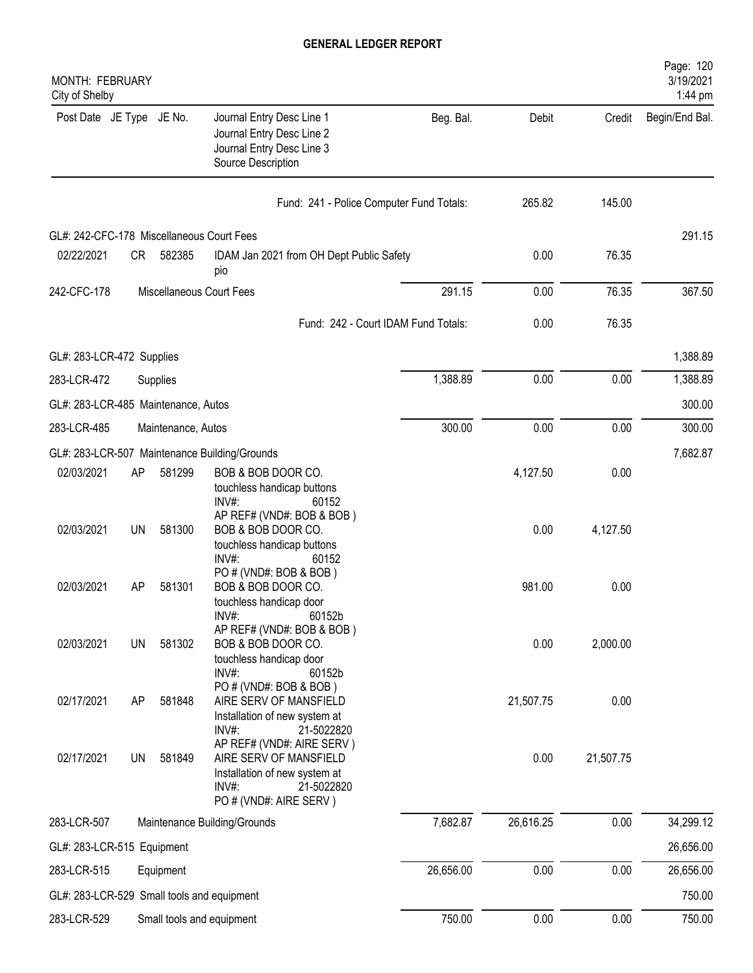| <b>MONTH: FEBRUARY</b><br>City of Shelby   |           |                    |                                                                                                                                       |                                     |           |           | Page: 120<br>3/19/2021<br>1:44 pm |
|--------------------------------------------|-----------|--------------------|---------------------------------------------------------------------------------------------------------------------------------------|-------------------------------------|-----------|-----------|-----------------------------------|
| Post Date JE Type JE No.                   |           |                    | Journal Entry Desc Line 1<br>Journal Entry Desc Line 2<br>Journal Entry Desc Line 3<br>Source Description                             | Beg. Bal.                           | Debit     | Credit    | Begin/End Bal.                    |
|                                            |           |                    | Fund: 241 - Police Computer Fund Totals:                                                                                              |                                     | 265.82    | 145.00    |                                   |
| GL#: 242-CFC-178 Miscellaneous Court Fees  |           |                    |                                                                                                                                       |                                     |           |           | 291.15                            |
| 02/22/2021                                 | CR        | 582385             | IDAM Jan 2021 from OH Dept Public Safety<br>pio                                                                                       |                                     | 0.00      | 76.35     |                                   |
| 242-CFC-178                                |           |                    | Miscellaneous Court Fees                                                                                                              | 291.15                              | 0.00      | 76.35     | 367.50                            |
|                                            |           |                    |                                                                                                                                       | Fund: 242 - Court IDAM Fund Totals: | 0.00      | 76.35     |                                   |
| GL#: 283-LCR-472 Supplies                  |           |                    |                                                                                                                                       |                                     |           |           | 1,388.89                          |
| 283-LCR-472                                |           | Supplies           |                                                                                                                                       | 1,388.89                            | 0.00      | 0.00      | 1,388.89                          |
| GL#: 283-LCR-485 Maintenance, Autos        |           |                    |                                                                                                                                       |                                     |           |           | 300.00                            |
| 283-LCR-485                                |           | Maintenance, Autos |                                                                                                                                       | 300.00                              | 0.00      | 0.00      | 300.00                            |
|                                            |           |                    | GL#: 283-LCR-507 Maintenance Building/Grounds                                                                                         |                                     |           |           | 7,682.87                          |
| 02/03/2021                                 | AP        | 581299             | BOB & BOB DOOR CO.<br>touchless handicap buttons<br>INV#:<br>60152                                                                    |                                     | 4,127.50  | 0.00      |                                   |
| 02/03/2021                                 | UN        | 581300             | AP REF# (VND#: BOB & BOB)<br>BOB & BOB DOOR CO.<br>touchless handicap buttons<br>INV#:<br>60152                                       |                                     | 0.00      | 4,127.50  |                                   |
| 02/03/2021                                 | AP        | 581301             | PO # (VND#: BOB & BOB)<br>BOB & BOB DOOR CO.<br>touchless handicap door<br>INV#:<br>60152b                                            |                                     | 981.00    | 0.00      |                                   |
| 02/03/2021                                 | <b>UN</b> | 581302             | AP REF# (VND#: BOB & BOB)<br>BOB & BOB DOOR CO.<br>touchless handicap door<br>INV#:<br>60152b                                         |                                     | 0.00      | 2,000.00  |                                   |
| 02/17/2021                                 | AP        | 581848             | PO # (VND#: BOB & BOB)<br>AIRE SERV OF MANSFIELD<br>Installation of new system at<br>INV#:<br>21-5022820                              |                                     | 21,507.75 | 0.00      |                                   |
| 02/17/2021                                 | UN        | 581849             | AP REF# (VND#: AIRE SERV)<br>AIRE SERV OF MANSFIELD<br>Installation of new system at<br>INV#:<br>21-5022820<br>PO # (VND#: AIRE SERV) |                                     | 0.00      | 21,507.75 |                                   |
| 283-LCR-507                                |           |                    | Maintenance Building/Grounds                                                                                                          | 7,682.87                            | 26,616.25 | 0.00      | 34,299.12                         |
| GL#: 283-LCR-515 Equipment                 |           |                    |                                                                                                                                       |                                     |           |           | 26,656.00                         |
| 283-LCR-515                                |           | Equipment          |                                                                                                                                       | 26,656.00                           | 0.00      | 0.00      | 26,656.00                         |
| GL#: 283-LCR-529 Small tools and equipment |           |                    |                                                                                                                                       |                                     |           |           | 750.00                            |
| 283-LCR-529                                |           |                    | Small tools and equipment                                                                                                             | 750.00                              | 0.00      | 0.00      | 750.00                            |
|                                            |           |                    |                                                                                                                                       |                                     |           |           |                                   |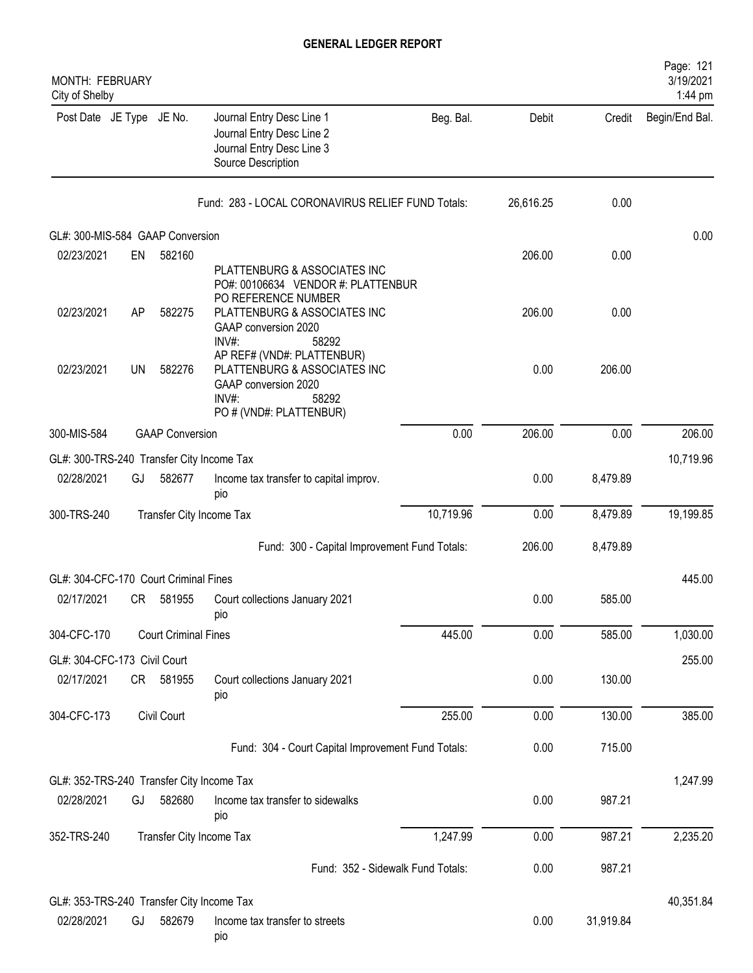| <b>MONTH: FEBRUARY</b><br>City of Shelby  |           |                             |                                                                                                                                 |           |           |           | Page: 121<br>3/19/2021<br>1:44 pm |
|-------------------------------------------|-----------|-----------------------------|---------------------------------------------------------------------------------------------------------------------------------|-----------|-----------|-----------|-----------------------------------|
| Post Date JE Type JE No.                  |           |                             | Journal Entry Desc Line 1<br>Journal Entry Desc Line 2<br>Journal Entry Desc Line 3<br>Source Description                       | Beg. Bal. | Debit     | Credit    | Begin/End Bal.                    |
|                                           |           |                             | Fund: 283 - LOCAL CORONAVIRUS RELIEF FUND Totals:                                                                               |           | 26,616.25 | 0.00      |                                   |
| GL#: 300-MIS-584 GAAP Conversion          |           |                             |                                                                                                                                 |           |           |           | 0.00                              |
| 02/23/2021                                | EN        | 582160                      |                                                                                                                                 |           | 206.00    | 0.00      |                                   |
|                                           |           |                             | PLATTENBURG & ASSOCIATES INC<br>PO#: 00106634 VENDOR #: PLATTENBUR<br>PO REFERENCE NUMBER                                       |           |           |           |                                   |
| 02/23/2021                                | AP        | 582275                      | PLATTENBURG & ASSOCIATES INC<br>GAAP conversion 2020<br>INV#:<br>58292                                                          |           | 206.00    | 0.00      |                                   |
| 02/23/2021                                | <b>UN</b> | 582276                      | AP REF# (VND#: PLATTENBUR)<br>PLATTENBURG & ASSOCIATES INC<br>GAAP conversion 2020<br>INV#:<br>58292<br>PO # (VND#: PLATTENBUR) |           | 0.00      | 206.00    |                                   |
| 300-MIS-584                               |           | <b>GAAP Conversion</b>      |                                                                                                                                 | 0.00      | 206.00    | 0.00      | 206.00                            |
| GL#: 300-TRS-240 Transfer City Income Tax |           |                             |                                                                                                                                 |           |           |           | 10,719.96                         |
| 02/28/2021                                | GJ        | 582677                      | Income tax transfer to capital improv.<br>pio                                                                                   |           | 0.00      | 8,479.89  |                                   |
| 300-TRS-240                               |           | Transfer City Income Tax    |                                                                                                                                 | 10,719.96 | 0.00      | 8,479.89  | 19,199.85                         |
|                                           |           |                             | Fund: 300 - Capital Improvement Fund Totals:                                                                                    |           | 206.00    | 8,479.89  |                                   |
| GL#: 304-CFC-170 Court Criminal Fines     |           |                             |                                                                                                                                 |           |           |           | 445.00                            |
| 02/17/2021                                | CR        | 581955                      | Court collections January 2021<br>pio                                                                                           |           | 0.00      | 585.00    |                                   |
| 304-CFC-170                               |           | <b>Court Criminal Fines</b> |                                                                                                                                 | 445.00    | 0.00      | 585.00    | 1,030.00                          |
| GL#: 304-CFC-173 Civil Court              |           |                             |                                                                                                                                 |           |           |           | 255.00                            |
| 02/17/2021                                |           | CR 581955                   | Court collections January 2021<br>pio                                                                                           |           | 0.00      | 130.00    |                                   |
| 304-CFC-173                               |           | Civil Court                 |                                                                                                                                 | 255.00    | 0.00      | 130.00    | 385.00                            |
|                                           |           |                             | Fund: 304 - Court Capital Improvement Fund Totals:                                                                              |           | 0.00      | 715.00    |                                   |
| GL#: 352-TRS-240 Transfer City Income Tax |           |                             |                                                                                                                                 |           |           |           | 1,247.99                          |
| 02/28/2021                                | GJ        | 582680                      | Income tax transfer to sidewalks<br>pio                                                                                         |           | 0.00      | 987.21    |                                   |
| 352-TRS-240                               |           | Transfer City Income Tax    |                                                                                                                                 | 1,247.99  | 0.00      | 987.21    | 2,235.20                          |
|                                           |           |                             | Fund: 352 - Sidewalk Fund Totals:                                                                                               |           | 0.00      | 987.21    |                                   |
| GL#: 353-TRS-240 Transfer City Income Tax |           |                             |                                                                                                                                 |           |           |           | 40,351.84                         |
| 02/28/2021                                | GJ        | 582679                      | Income tax transfer to streets<br>pio                                                                                           |           | 0.00      | 31,919.84 |                                   |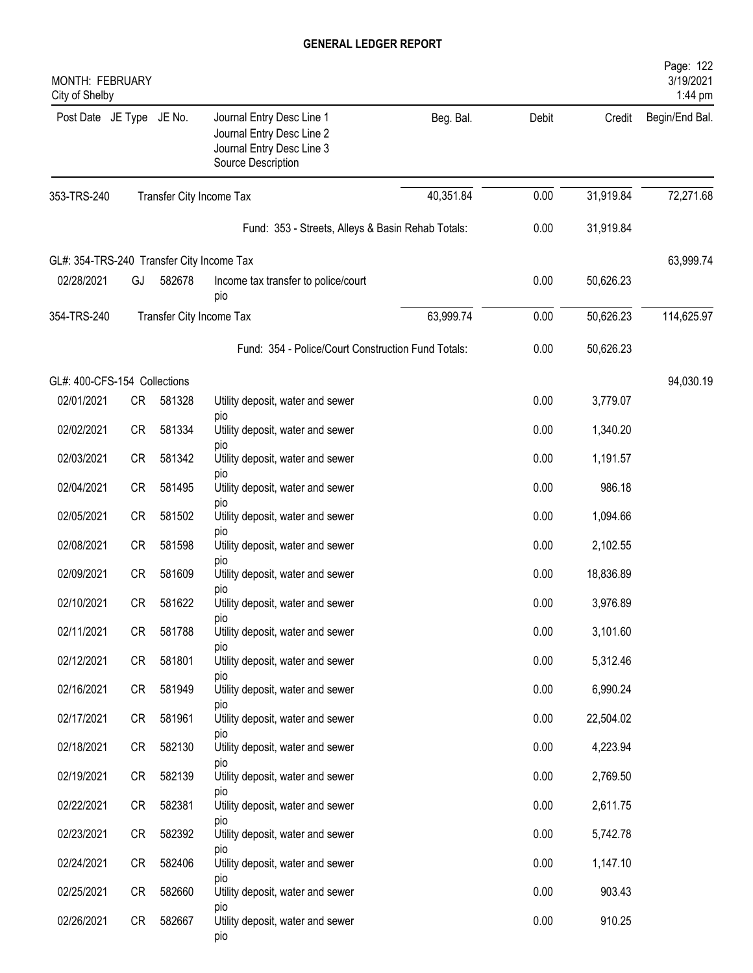| MONTH: FEBRUARY<br>City of Shelby         |           |        |                                                                                                           |           |       |           | Page: 122<br>3/19/2021<br>1:44 pm |
|-------------------------------------------|-----------|--------|-----------------------------------------------------------------------------------------------------------|-----------|-------|-----------|-----------------------------------|
| Post Date JE Type JE No.                  |           |        | Journal Entry Desc Line 1<br>Journal Entry Desc Line 2<br>Journal Entry Desc Line 3<br>Source Description | Beg. Bal. | Debit | Credit    | Begin/End Bal.                    |
| 353-TRS-240                               |           |        | Transfer City Income Tax                                                                                  | 40,351.84 | 0.00  | 31,919.84 | 72,271.68                         |
|                                           |           |        | Fund: 353 - Streets, Alleys & Basin Rehab Totals:                                                         |           | 0.00  | 31,919.84 |                                   |
| GL#: 354-TRS-240 Transfer City Income Tax |           |        |                                                                                                           |           |       |           | 63,999.74                         |
| 02/28/2021                                | GJ        | 582678 | Income tax transfer to police/court<br>pio                                                                |           | 0.00  | 50,626.23 |                                   |
| 354-TRS-240                               |           |        | Transfer City Income Tax                                                                                  | 63,999.74 | 0.00  | 50,626.23 | 114,625.97                        |
|                                           |           |        | Fund: 354 - Police/Court Construction Fund Totals:                                                        |           | 0.00  | 50,626.23 |                                   |
| GL#: 400-CFS-154 Collections              |           |        |                                                                                                           |           |       |           | 94,030.19                         |
| 02/01/2021                                | <b>CR</b> | 581328 | Utility deposit, water and sewer                                                                          |           | 0.00  | 3,779.07  |                                   |
| 02/02/2021                                | <b>CR</b> | 581334 | pio<br>Utility deposit, water and sewer                                                                   |           | 0.00  | 1,340.20  |                                   |
| 02/03/2021                                | <b>CR</b> | 581342 | pio<br>Utility deposit, water and sewer                                                                   |           | 0.00  | 1,191.57  |                                   |
| 02/04/2021                                | <b>CR</b> | 581495 | pio<br>Utility deposit, water and sewer                                                                   |           | 0.00  | 986.18    |                                   |
| 02/05/2021                                | <b>CR</b> | 581502 | pio<br>Utility deposit, water and sewer                                                                   |           | 0.00  | 1,094.66  |                                   |
| 02/08/2021                                | <b>CR</b> | 581598 | <b>DIO</b><br>Utility deposit, water and sewer                                                            |           | 0.00  | 2,102.55  |                                   |
| 02/09/2021                                | <b>CR</b> | 581609 | <b>DIO</b><br>Utility deposit, water and sewer                                                            |           | 0.00  | 18,836.89 |                                   |
| 02/10/2021                                | <b>CR</b> | 581622 | pio<br>Utility deposit, water and sewer                                                                   |           | 0.00  | 3,976.89  |                                   |
| 02/11/2021                                | <b>CR</b> | 581788 | pio<br>Utility deposit, water and sewer                                                                   |           | 0.00  | 3,101.60  |                                   |
| 02/12/2021                                | CR        | 581801 | pio<br>Utility deposit, water and sewer                                                                   |           | 0.00  | 5,312.46  |                                   |
| 02/16/2021                                | <b>CR</b> | 581949 | pio<br>Utility deposit, water and sewer                                                                   |           | 0.00  | 6,990.24  |                                   |
| 02/17/2021                                | <b>CR</b> | 581961 | pio<br>Utility deposit, water and sewer                                                                   |           | 0.00  | 22,504.02 |                                   |
| 02/18/2021                                | CR        | 582130 | pio<br>Utility deposit, water and sewer                                                                   |           | 0.00  | 4,223.94  |                                   |
| 02/19/2021                                | CR        | 582139 | pio<br>Utility deposit, water and sewer                                                                   |           | 0.00  | 2,769.50  |                                   |
| 02/22/2021                                | <b>CR</b> | 582381 | pio<br>Utility deposit, water and sewer                                                                   |           | 0.00  | 2,611.75  |                                   |
| 02/23/2021                                | CR        | 582392 | pio<br>Utility deposit, water and sewer                                                                   |           | 0.00  | 5,742.78  |                                   |
| 02/24/2021                                | CR        | 582406 | pio<br>Utility deposit, water and sewer                                                                   |           | 0.00  | 1,147.10  |                                   |
| 02/25/2021                                | CR        | 582660 | pio<br>Utility deposit, water and sewer                                                                   |           | 0.00  | 903.43    |                                   |
| 02/26/2021                                | CR        | 582667 | <b>DIO</b><br>Utility deposit, water and sewer                                                            |           | 0.00  | 910.25    |                                   |
|                                           |           |        | pio                                                                                                       |           |       |           |                                   |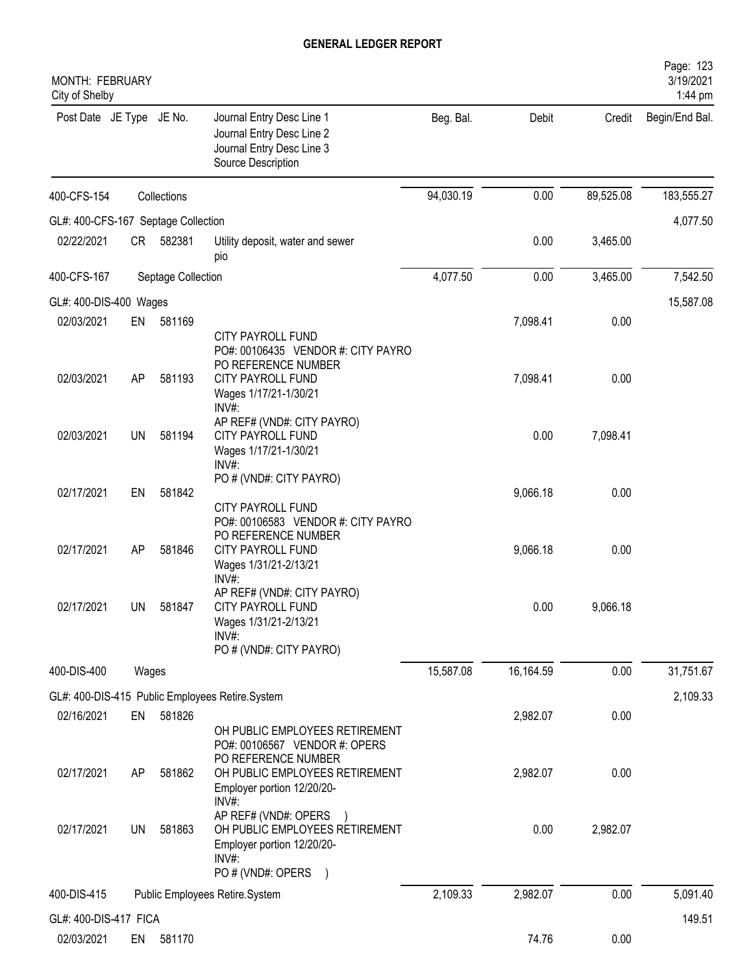| MONTH: FEBRUARY<br>City of Shelby   |       |                    |                                                                                                                                    |           |           |           | Page: 123<br>3/19/2021<br>1:44 pm |
|-------------------------------------|-------|--------------------|------------------------------------------------------------------------------------------------------------------------------------|-----------|-----------|-----------|-----------------------------------|
| Post Date JE Type JE No.            |       |                    | Journal Entry Desc Line 1<br>Journal Entry Desc Line 2<br>Journal Entry Desc Line 3<br>Source Description                          | Beg. Bal. | Debit     | Credit    | Begin/End Bal.                    |
| 400-CFS-154                         |       | Collections        |                                                                                                                                    | 94,030.19 | 0.00      | 89,525.08 | 183,555.27                        |
| GL#: 400-CFS-167 Septage Collection |       |                    |                                                                                                                                    |           |           |           | 4,077.50                          |
| 02/22/2021                          | CR    | 582381             | Utility deposit, water and sewer<br>pio                                                                                            |           | 0.00      | 3,465.00  |                                   |
| 400-CFS-167                         |       | Septage Collection |                                                                                                                                    | 4,077.50  | 0.00      | 3,465.00  | 7,542.50                          |
| GL#: 400-DIS-400 Wages              |       |                    |                                                                                                                                    |           |           |           | 15,587.08                         |
| 02/03/2021                          | EN    | 581169             | <b>CITY PAYROLL FUND</b><br>PO#: 00106435 VENDOR #: CITY PAYRO<br>PO REFERENCE NUMBER                                              |           | 7,098.41  | 0.00      |                                   |
| 02/03/2021                          | AP    | 581193             | <b>CITY PAYROLL FUND</b><br>Wages 1/17/21-1/30/21<br>INV#                                                                          |           | 7,098.41  | 0.00      |                                   |
| 02/03/2021                          | UN    | 581194             | AP REF# (VND#: CITY PAYRO)<br><b>CITY PAYROLL FUND</b><br>Wages 1/17/21-1/30/21<br>INV#:                                           |           | 0.00      | 7,098.41  |                                   |
| 02/17/2021                          | EN    | 581842             | PO # (VND#: CITY PAYRO)<br><b>CITY PAYROLL FUND</b><br>PO#: 00106583 VENDOR #: CITY PAYRO                                          |           | 9,066.18  | 0.00      |                                   |
| 02/17/2021                          | AP    | 581846             | PO REFERENCE NUMBER<br><b>CITY PAYROLL FUND</b><br>Wages 1/31/21-2/13/21<br>$INV#$ :                                               |           | 9,066.18  | 0.00      |                                   |
| 02/17/2021                          | UN.   | 581847             | AP REF# (VND#: CITY PAYRO)<br><b>CITY PAYROLL FUND</b><br>Wages 1/31/21-2/13/21<br>$INV#$ :<br>PO # (VND#: CITY PAYRO)             |           | 0.00      | 9,066.18  |                                   |
| 400-DIS-400                         | Wages |                    |                                                                                                                                    | 15,587.08 | 16,164.59 | 0.00      | 31,751.67                         |
|                                     |       |                    | GL#: 400-DIS-415 Public Employees Retire.System                                                                                    |           |           |           | 2,109.33                          |
| 02/16/2021                          | EN    | 581826             |                                                                                                                                    |           | 2,982.07  | 0.00      |                                   |
|                                     |       |                    | OH PUBLIC EMPLOYEES RETIREMENT<br>PO#: 00106567 VENDOR #: OPERS<br>PO REFERENCE NUMBER                                             |           |           |           |                                   |
| 02/17/2021                          | AP    | 581862             | OH PUBLIC EMPLOYEES RETIREMENT<br>Employer portion 12/20/20-<br>INV#:                                                              |           | 2,982.07  | 0.00      |                                   |
| 02/17/2021                          | UN    | 581863             | AP REF# (VND#: OPERS<br>OH PUBLIC EMPLOYEES RETIREMENT<br>Employer portion 12/20/20-<br>$INV#$ :<br>PO # (VND#: OPERS<br>$\lambda$ |           | 0.00      | 2,982.07  |                                   |
| 400-DIS-415                         |       |                    | Public Employees Retire.System                                                                                                     | 2,109.33  | 2,982.07  | 0.00      | 5,091.40                          |
| GL#: 400-DIS-417 FICA               |       |                    |                                                                                                                                    |           |           |           | 149.51                            |
| 02/03/2021                          | EN    | 581170             |                                                                                                                                    |           | 74.76     | 0.00      |                                   |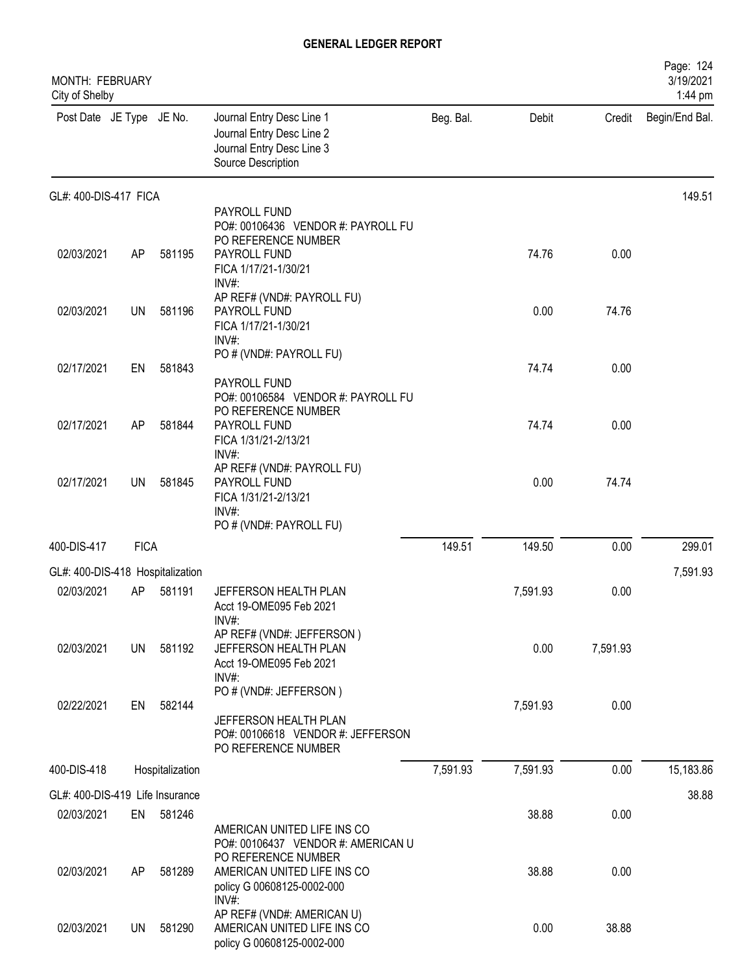| MONTH: FEBRUARY<br>City of Shelby |             |                 |                                                                                                                            |           |          |          | Page: 124<br>3/19/2021<br>1:44 pm |
|-----------------------------------|-------------|-----------------|----------------------------------------------------------------------------------------------------------------------------|-----------|----------|----------|-----------------------------------|
| Post Date JE Type JE No.          |             |                 | Journal Entry Desc Line 1<br>Journal Entry Desc Line 2<br>Journal Entry Desc Line 3<br>Source Description                  | Beg. Bal. | Debit    | Credit   | Begin/End Bal.                    |
| GL#: 400-DIS-417 FICA             |             |                 |                                                                                                                            |           |          |          | 149.51                            |
| 02/03/2021                        | AP          | 581195          | PAYROLL FUND<br>PO#: 00106436 VENDOR #: PAYROLL FU<br>PO REFERENCE NUMBER<br>PAYROLL FUND<br>FICA 1/17/21-1/30/21<br>INV#: |           | 74.76    | 0.00     |                                   |
| 02/03/2021                        | <b>UN</b>   | 581196          | AP REF# (VND#: PAYROLL FU)<br>PAYROLL FUND<br>FICA 1/17/21-1/30/21<br>INV#:                                                |           | 0.00     | 74.76    |                                   |
| 02/17/2021                        | EN          | 581843          | PO # (VND#: PAYROLL FU)<br>PAYROLL FUND<br>PO#: 00106584 VENDOR #: PAYROLL FU                                              |           | 74.74    | 0.00     |                                   |
| 02/17/2021                        | AP          | 581844          | PO REFERENCE NUMBER<br>PAYROLL FUND<br>FICA 1/31/21-2/13/21                                                                |           | 74.74    | 0.00     |                                   |
| 02/17/2021                        | UN          | 581845          | INV#:<br>AP REF# (VND#: PAYROLL FU)<br>PAYROLL FUND<br>FICA 1/31/21-2/13/21<br>$INV#$ :<br>PO # (VND#: PAYROLL FU)         |           | 0.00     | 74.74    |                                   |
| 400-DIS-417                       | <b>FICA</b> |                 |                                                                                                                            | 149.51    | 149.50   | 0.00     | 299.01                            |
| GL#: 400-DIS-418 Hospitalization  |             |                 |                                                                                                                            |           |          |          | 7,591.93                          |
| 02/03/2021                        | AP          | 581191          | JEFFERSON HEALTH PLAN<br>Acct 19-OME095 Feb 2021                                                                           |           | 7,591.93 | 0.00     |                                   |
| 02/03/2021                        | UN          | 581192          | INV#:<br>AP REF# (VND#: JEFFERSON)<br>JEFFERSON HEALTH PLAN<br>Acct 19-OME095 Feb 2021<br>INV#:                            |           | 0.00     | 7,591.93 |                                   |
| 02/22/2021                        | EN          | 582144          | PO # (VND#: JEFFERSON)<br>JEFFERSON HEALTH PLAN<br>PO#: 00106618 VENDOR #: JEFFERSON<br>PO REFERENCE NUMBER                |           | 7,591.93 | 0.00     |                                   |
| 400-DIS-418                       |             | Hospitalization |                                                                                                                            | 7,591.93  | 7,591.93 | 0.00     | 15,183.86                         |
| GL#: 400-DIS-419 Life Insurance   |             |                 |                                                                                                                            |           |          |          | 38.88                             |
| 02/03/2021                        | EN          | 581246          | AMERICAN UNITED LIFE INS CO<br>PO#: 00106437 VENDOR #: AMERICAN U                                                          |           | 38.88    | 0.00     |                                   |
| 02/03/2021                        | AP          | 581289          | PO REFERENCE NUMBER<br>AMERICAN UNITED LIFE INS CO<br>policy G 00608125-0002-000<br>INV#:                                  |           | 38.88    | 0.00     |                                   |
| 02/03/2021                        | UN.         | 581290          | AP REF# (VND#: AMERICAN U)<br>AMERICAN UNITED LIFE INS CO<br>policy G 00608125-0002-000                                    |           | 0.00     | 38.88    |                                   |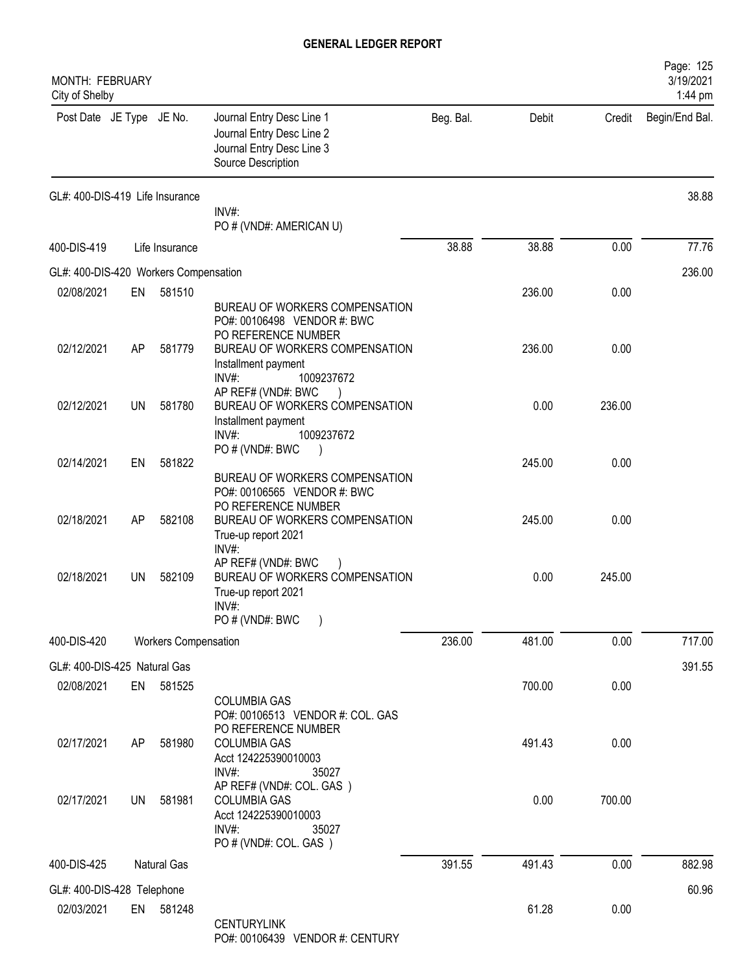| MONTH: FEBRUARY<br>City of Shelby     |     |                             |                                                                                                                        |           |        |        | Page: 125<br>3/19/2021<br>1:44 pm |
|---------------------------------------|-----|-----------------------------|------------------------------------------------------------------------------------------------------------------------|-----------|--------|--------|-----------------------------------|
| Post Date JE Type JE No.              |     |                             | Journal Entry Desc Line 1<br>Journal Entry Desc Line 2<br>Journal Entry Desc Line 3<br>Source Description              | Beg. Bal. | Debit  | Credit | Begin/End Bal.                    |
| GL#: 400-DIS-419 Life Insurance       |     |                             | INV#:<br>PO # (VND#: AMERICAN U)                                                                                       |           |        |        | 38.88                             |
| 400-DIS-419                           |     | Life Insurance              |                                                                                                                        | 38.88     | 38.88  | 0.00   | 77.76                             |
| GL#: 400-DIS-420 Workers Compensation |     |                             |                                                                                                                        |           |        |        | 236.00                            |
| 02/08/2021                            | EN  | 581510                      |                                                                                                                        |           | 236.00 | 0.00   |                                   |
| 02/12/2021                            |     | 581779                      | BUREAU OF WORKERS COMPENSATION<br>PO#: 00106498 VENDOR #: BWC<br>PO REFERENCE NUMBER<br>BUREAU OF WORKERS COMPENSATION |           | 236.00 | 0.00   |                                   |
|                                       | AP  |                             | Installment payment<br>INV#<br>1009237672<br>AP REF# (VND#: BWC                                                        |           |        |        |                                   |
| 02/12/2021                            | UN  | 581780                      | BUREAU OF WORKERS COMPENSATION<br>Installment payment<br>INV#:<br>1009237672                                           |           | 0.00   | 236.00 |                                   |
| 02/14/2021                            | EN  | 581822                      | PO # (VND#: BWC                                                                                                        |           | 245.00 | 0.00   |                                   |
|                                       |     |                             | BUREAU OF WORKERS COMPENSATION<br>PO#: 00106565 VENDOR #: BWC<br>PO REFERENCE NUMBER                                   |           |        |        |                                   |
| 02/18/2021                            | AP  | 582108                      | BUREAU OF WORKERS COMPENSATION<br>True-up report 2021<br>INV#:                                                         |           | 245.00 | 0.00   |                                   |
| 02/18/2021                            | UN  | 582109                      | AP REF# (VND#: BWC<br>$\lambda$<br>BUREAU OF WORKERS COMPENSATION<br>True-up report 2021<br>INV#:<br>PO # (VND#: BWC   |           | 0.00   | 245.00 |                                   |
| 400-DIS-420                           |     | <b>Workers Compensation</b> |                                                                                                                        | 236.00    | 481.00 | 0.00   | 717.00                            |
| GL#: 400-DIS-425 Natural Gas          |     |                             |                                                                                                                        |           |        |        | 391.55                            |
| 02/08/2021                            | EN  | 581525                      |                                                                                                                        |           | 700.00 | 0.00   |                                   |
|                                       |     |                             | <b>COLUMBIA GAS</b><br>PO#: 00106513 VENDOR #: COL. GAS<br>PO REFERENCE NUMBER                                         |           |        |        |                                   |
| 02/17/2021                            | AP  | 581980                      | <b>COLUMBIA GAS</b><br>Acct 124225390010003<br>INV#:<br>35027                                                          |           | 491.43 | 0.00   |                                   |
| 02/17/2021                            | UN. | 581981                      | AP REF# (VND#: COL. GAS)<br><b>COLUMBIA GAS</b><br>Acct 124225390010003<br>INV#:<br>35027<br>PO # (VND#: COL. GAS)     |           | 0.00   | 700.00 |                                   |
| 400-DIS-425                           |     | Natural Gas                 |                                                                                                                        | 391.55    | 491.43 | 0.00   | 882.98                            |
| GL#: 400-DIS-428 Telephone            |     |                             |                                                                                                                        |           |        |        | 60.96                             |
| 02/03/2021                            |     | EN 581248                   | <b>CENTURYLINK</b><br>0.0100100<br>$\overline{1}$                                                                      |           | 61.28  | 0.00   |                                   |

PO#: 00106439 VENDOR #: CENTURY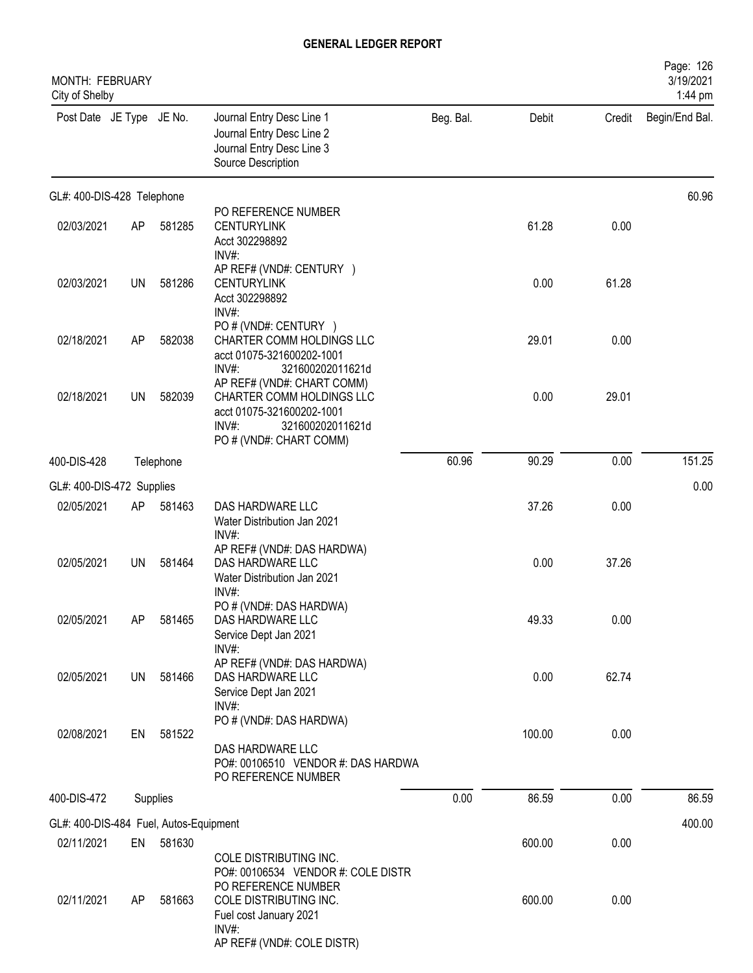| <b>MONTH: FEBRUARY</b><br>City of Shelby |    |           |                                                                                                                                              |           |        |        | Page: 126<br>3/19/2021<br>1:44 pm |
|------------------------------------------|----|-----------|----------------------------------------------------------------------------------------------------------------------------------------------|-----------|--------|--------|-----------------------------------|
| Post Date JE Type JE No.                 |    |           | Journal Entry Desc Line 1<br>Journal Entry Desc Line 2<br>Journal Entry Desc Line 3<br>Source Description                                    | Beg. Bal. | Debit  | Credit | Begin/End Bal.                    |
| GL#: 400-DIS-428 Telephone               |    |           |                                                                                                                                              |           |        |        | 60.96                             |
| 02/03/2021                               | AP | 581285    | PO REFERENCE NUMBER<br><b>CENTURYLINK</b><br>Acct 302298892<br>INV#:                                                                         |           | 61.28  | 0.00   |                                   |
| 02/03/2021                               | UN | 581286    | AP REF# (VND#: CENTURY )<br><b>CENTURYLINK</b><br>Acct 302298892<br>INV#:                                                                    |           | 0.00   | 61.28  |                                   |
| 02/18/2021                               | AP | 582038    | PO # (VND#: CENTURY )<br>CHARTER COMM HOLDINGS LLC<br>acct 01075-321600202-1001<br>INV#:<br>321600202011621d                                 |           | 29.01  | 0.00   |                                   |
| 02/18/2021                               | UN | 582039    | AP REF# (VND#: CHART COMM)<br>CHARTER COMM HOLDINGS LLC<br>acct 01075-321600202-1001<br>INV#:<br>321600202011621d<br>PO # (VND#: CHART COMM) |           | 0.00   | 29.01  |                                   |
| 400-DIS-428                              |    | Telephone |                                                                                                                                              | 60.96     | 90.29  | 0.00   | 151.25                            |
| GL#: 400-DIS-472 Supplies                |    |           |                                                                                                                                              |           |        |        | 0.00                              |
| 02/05/2021                               | AP | 581463    | DAS HARDWARE LLC<br>Water Distribution Jan 2021<br>INV#:                                                                                     |           | 37.26  | 0.00   |                                   |
| 02/05/2021                               | UN | 581464    | AP REF# (VND#: DAS HARDWA)<br>DAS HARDWARE LLC<br>Water Distribution Jan 2021<br>INV#:                                                       |           | 0.00   | 37.26  |                                   |
| 02/05/2021                               | AP | 581465    | PO # (VND#: DAS HARDWA)<br>DAS HARDWARE LLC<br>Service Dept Jan 2021<br>INV#:                                                                |           | 49.33  | 0.00   |                                   |
| 02/05/2021                               | UN | 581466    | AP REF# (VND#: DAS HARDWA)<br>DAS HARDWARE LLC<br>Service Dept Jan 2021<br>$INV#$ :                                                          |           | 0.00   | 62.74  |                                   |
| 02/08/2021                               | EN | 581522    | PO # (VND#: DAS HARDWA)<br>DAS HARDWARE LLC<br>PO#: 00106510 VENDOR #: DAS HARDWA<br>PO REFERENCE NUMBER                                     |           | 100.00 | 0.00   |                                   |
| 400-DIS-472                              |    | Supplies  |                                                                                                                                              | 0.00      | 86.59  | 0.00   | 86.59                             |
| GL#: 400-DIS-484 Fuel, Autos-Equipment   |    |           |                                                                                                                                              |           |        |        | 400.00                            |
| 02/11/2021                               | EN | 581630    |                                                                                                                                              |           | 600.00 | 0.00   |                                   |
| 02/11/2021                               | AP | 581663    | COLE DISTRIBUTING INC.<br>PO#: 00106534 VENDOR #: COLE DISTR<br>PO REFERENCE NUMBER<br>COLE DISTRIBUTING INC.                                |           | 600.00 | 0.00   |                                   |
|                                          |    |           | Fuel cost January 2021<br>INV#:<br>AP REF# (VND#: COLE DISTR)                                                                                |           |        |        |                                   |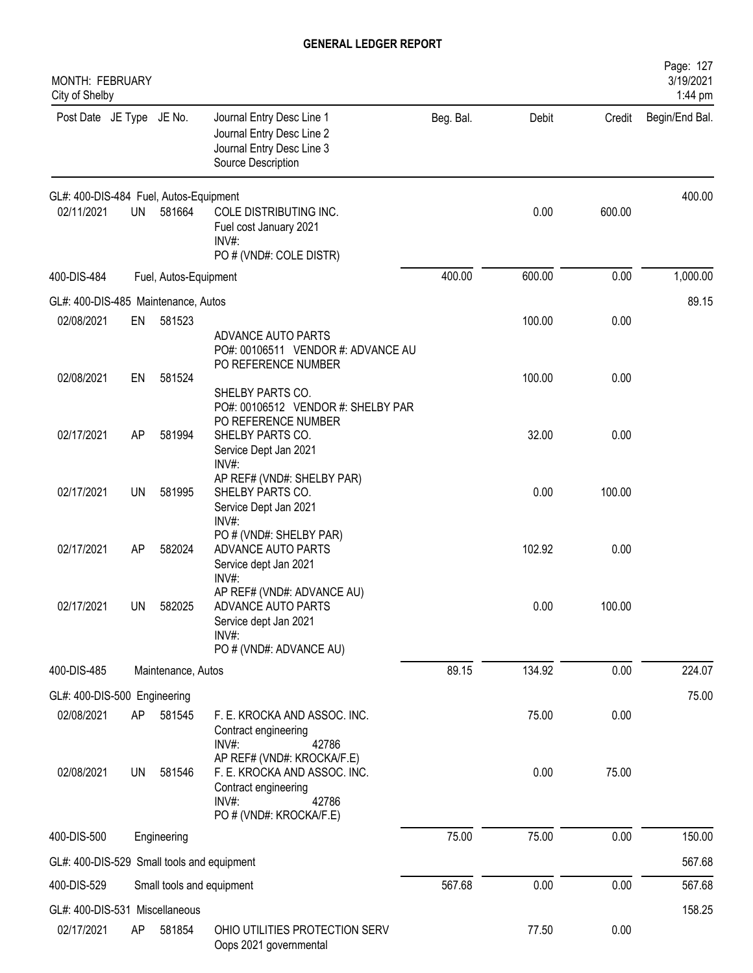| <b>MONTH: FEBRUARY</b><br>City of Shelby   |     |                       |                                                                                                                                 |           |        |        | Page: 127<br>3/19/2021<br>1:44 pm |
|--------------------------------------------|-----|-----------------------|---------------------------------------------------------------------------------------------------------------------------------|-----------|--------|--------|-----------------------------------|
| Post Date JE Type JE No.                   |     |                       | Journal Entry Desc Line 1<br>Journal Entry Desc Line 2<br>Journal Entry Desc Line 3<br>Source Description                       | Beg. Bal. | Debit  | Credit | Begin/End Bal.                    |
| GL#: 400-DIS-484 Fuel, Autos-Equipment     |     |                       |                                                                                                                                 |           |        |        | 400.00                            |
| 02/11/2021                                 | UN  | 581664                | COLE DISTRIBUTING INC.<br>Fuel cost January 2021<br>INV#:<br>PO # (VND#: COLE DISTR)                                            |           | 0.00   | 600.00 |                                   |
| 400-DIS-484                                |     | Fuel, Autos-Equipment |                                                                                                                                 | 400.00    | 600.00 | 0.00   | 1,000.00                          |
| GL#: 400-DIS-485 Maintenance, Autos        |     |                       |                                                                                                                                 |           |        |        | 89.15                             |
| 02/08/2021                                 | EN  | 581523                | ADVANCE AUTO PARTS<br>PO#: 00106511 VENDOR #: ADVANCE AU                                                                        |           | 100.00 | 0.00   |                                   |
| 02/08/2021                                 | EN  | 581524                | PO REFERENCE NUMBER<br>SHELBY PARTS CO.                                                                                         |           | 100.00 | 0.00   |                                   |
| 02/17/2021                                 | AP  | 581994                | PO#: 00106512 VENDOR #: SHELBY PAR<br>PO REFERENCE NUMBER<br>SHELBY PARTS CO.<br>Service Dept Jan 2021<br>$INV#$ :              |           | 32.00  | 0.00   |                                   |
| 02/17/2021                                 | UN  | 581995                | AP REF# (VND#: SHELBY PAR)<br>SHELBY PARTS CO.<br>Service Dept Jan 2021<br>INV#:                                                |           | 0.00   | 100.00 |                                   |
| 02/17/2021                                 | AP  | 582024                | PO # (VND#: SHELBY PAR)<br>ADVANCE AUTO PARTS<br>Service dept Jan 2021<br>INV#:                                                 |           | 102.92 | 0.00   |                                   |
| 02/17/2021                                 | UN. | 582025                | AP REF# (VND#: ADVANCE AU)<br>ADVANCE AUTO PARTS<br>Service dept Jan 2021<br>$INV#$ :<br>PO # (VND#: ADVANCE AU)                |           | 0.00   | 100.00 |                                   |
| 400-DIS-485                                |     | Maintenance, Autos    |                                                                                                                                 | 89.15     | 134.92 | 0.00   | 224.07                            |
| GL#: 400-DIS-500 Engineering               |     |                       |                                                                                                                                 |           |        |        | 75.00                             |
| 02/08/2021                                 | AP  | 581545                | F. E. KROCKA AND ASSOC. INC.<br>Contract engineering<br>INV#:<br>42786                                                          |           | 75.00  | 0.00   |                                   |
| 02/08/2021                                 | UN  | 581546                | AP REF# (VND#: KROCKA/F.E)<br>F. E. KROCKA AND ASSOC. INC.<br>Contract engineering<br>INV#:<br>42786<br>PO # (VND#: KROCKA/F.E) |           | 0.00   | 75.00  |                                   |
| 400-DIS-500                                |     | Engineering           |                                                                                                                                 | 75.00     | 75.00  | 0.00   | 150.00                            |
| GL#: 400-DIS-529 Small tools and equipment |     |                       |                                                                                                                                 |           |        |        | 567.68                            |
| 400-DIS-529                                |     |                       | Small tools and equipment                                                                                                       | 567.68    | 0.00   | 0.00   | 567.68                            |
| GL#: 400-DIS-531 Miscellaneous             |     |                       |                                                                                                                                 |           |        |        | 158.25                            |
| 02/17/2021                                 | AP  | 581854                | OHIO UTILITIES PROTECTION SERV<br>Oops 2021 governmental                                                                        |           | 77.50  | 0.00   |                                   |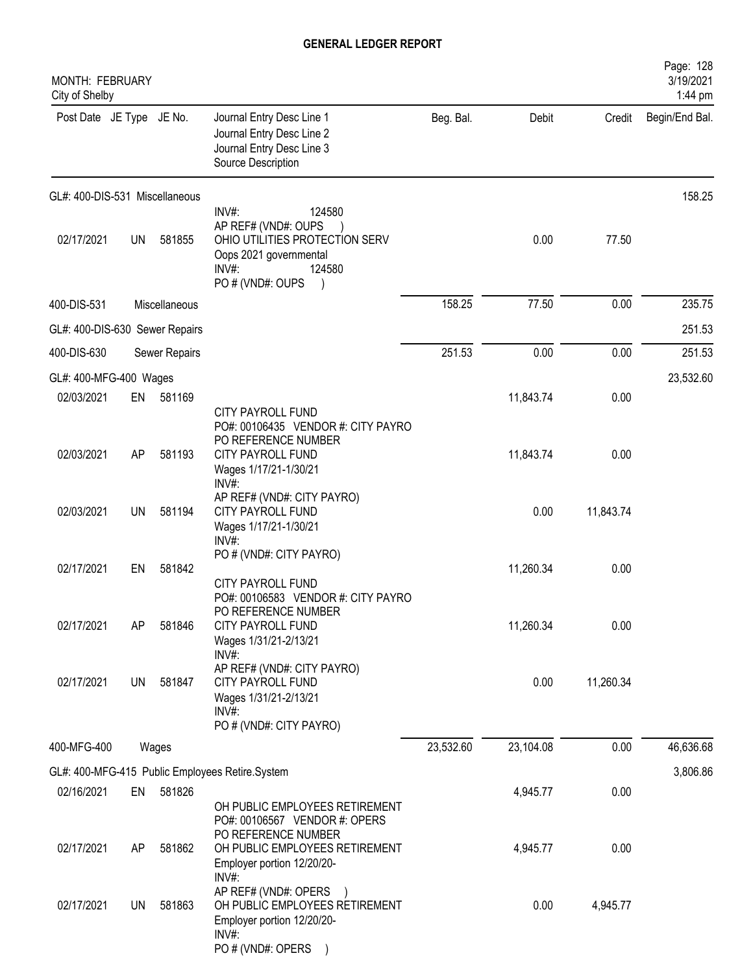| MONTH: FEBRUARY<br>City of Shelby |           |               |                                                                                                                                           |           |           |           | Page: 128<br>3/19/2021<br>1:44 pm |
|-----------------------------------|-----------|---------------|-------------------------------------------------------------------------------------------------------------------------------------------|-----------|-----------|-----------|-----------------------------------|
| Post Date JE Type JE No.          |           |               | Journal Entry Desc Line 1<br>Journal Entry Desc Line 2<br>Journal Entry Desc Line 3<br>Source Description                                 | Beg. Bal. | Debit     | Credit    | Begin/End Bal.                    |
| GL#: 400-DIS-531 Miscellaneous    |           |               |                                                                                                                                           |           |           |           | 158.25                            |
| 02/17/2021                        | <b>UN</b> | 581855        | INV#:<br>124580<br>AP REF# (VND#: OUPS<br>OHIO UTILITIES PROTECTION SERV<br>Oops 2021 governmental<br>INV#:<br>124580<br>PO # (VND#: OUPS |           | 0.00      | 77.50     |                                   |
| 400-DIS-531                       |           | Miscellaneous |                                                                                                                                           | 158.25    | 77.50     | 0.00      | 235.75                            |
| GL#: 400-DIS-630 Sewer Repairs    |           |               |                                                                                                                                           |           |           |           | 251.53                            |
| 400-DIS-630                       |           | Sewer Repairs |                                                                                                                                           | 251.53    | 0.00      | 0.00      | 251.53                            |
| GL#: 400-MFG-400 Wages            |           |               |                                                                                                                                           |           |           |           | 23,532.60                         |
| 02/03/2021                        | EN        | 581169        |                                                                                                                                           |           | 11,843.74 | 0.00      |                                   |
| 02/03/2021                        | AP        | 581193        | CITY PAYROLL FUND<br>PO#: 00106435 VENDOR #: CITY PAYRO<br>PO REFERENCE NUMBER<br>CITY PAYROLL FUND<br>Wages 1/17/21-1/30/21<br>INV#:     |           | 11,843.74 | 0.00      |                                   |
| 02/03/2021                        | UN        | 581194        | AP REF# (VND#: CITY PAYRO)<br>CITY PAYROLL FUND<br>Wages 1/17/21-1/30/21<br>INV#                                                          |           | 0.00      | 11,843.74 |                                   |
| 02/17/2021                        | EN        | 581842        | PO # (VND#: CITY PAYRO)<br>CITY PAYROLL FUND                                                                                              |           | 11,260.34 | 0.00      |                                   |
| 02/17/2021                        | AP        | 581846        | PO#: 00106583 VENDOR #: CITY PAYRO<br>PO REFERENCE NUMBER<br>CITY PAYROLL FUND<br>Wages 1/31/21-2/13/21<br>$INV#$ :                       |           | 11,260.34 | 0.00      |                                   |
| 02/17/2021                        | <b>UN</b> | 581847        | AP REF# (VND#: CITY PAYRO)<br>CITY PAYROLL FUND<br>Wages 1/31/21-2/13/21<br>INV#:<br>PO # (VND#: CITY PAYRO)                              |           | 0.00      | 11,260.34 |                                   |
| 400-MFG-400                       |           | Wages         |                                                                                                                                           | 23,532.60 | 23,104.08 | 0.00      | 46,636.68                         |
|                                   |           |               | GL#: 400-MFG-415 Public Employees Retire.System                                                                                           |           |           |           | 3,806.86                          |
| 02/16/2021                        | EN        | 581826        | OH PUBLIC EMPLOYEES RETIREMENT                                                                                                            |           | 4,945.77  | 0.00      |                                   |
| 02/17/2021                        | AP        | 581862        | PO#: 00106567 VENDOR #: OPERS<br>PO REFERENCE NUMBER<br>OH PUBLIC EMPLOYEES RETIREMENT<br>Employer portion 12/20/20-<br>INV#:             |           | 4,945.77  | 0.00      |                                   |
| 02/17/2021                        | UN        | 581863        | AP REF# (VND#: OPERS<br>OH PUBLIC EMPLOYEES RETIREMENT<br>Employer portion 12/20/20-<br>INV#:<br>PO # (VND#: OPERS                        |           | 0.00      | 4,945.77  |                                   |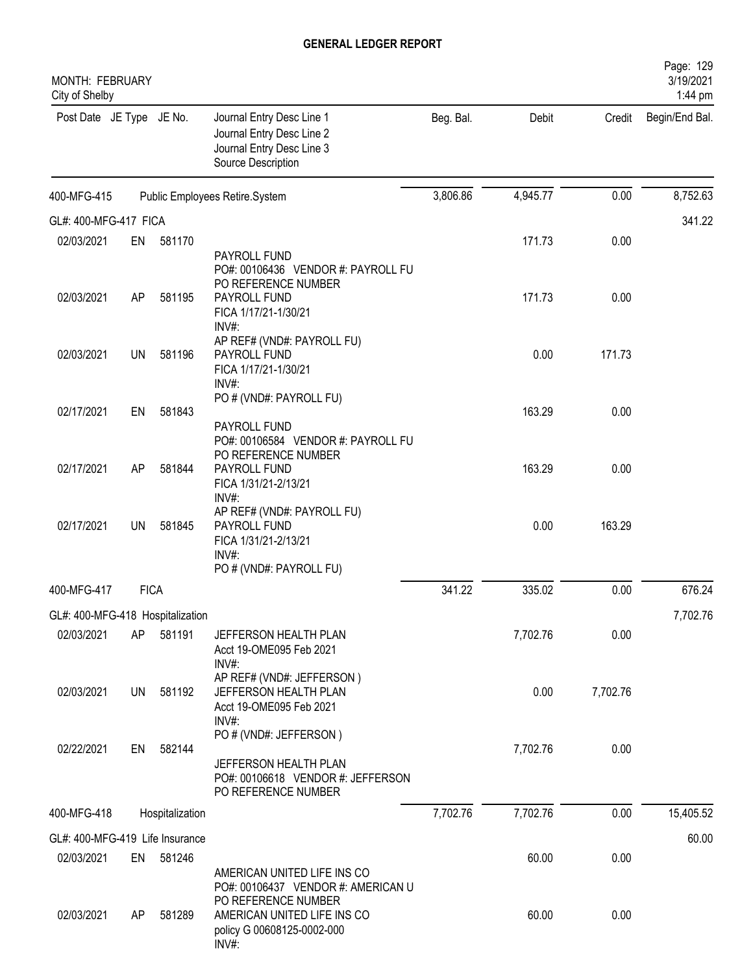| <b>MONTH: FEBRUARY</b><br>City of Shelby |             |                 |                                                                                                                   |           |          |          | Page: 129<br>3/19/2021<br>1:44 pm |
|------------------------------------------|-------------|-----------------|-------------------------------------------------------------------------------------------------------------------|-----------|----------|----------|-----------------------------------|
| Post Date JE Type JE No.                 |             |                 | Journal Entry Desc Line 1<br>Journal Entry Desc Line 2<br>Journal Entry Desc Line 3<br>Source Description         | Beg. Bal. | Debit    | Credit   | Begin/End Bal.                    |
| 400-MFG-415                              |             |                 | Public Employees Retire.System                                                                                    | 3,806.86  | 4,945.77 | 0.00     | 8,752.63                          |
| GL#: 400-MFG-417 FICA                    |             |                 |                                                                                                                   |           |          |          | 341.22                            |
| 02/03/2021                               | EN          | 581170          |                                                                                                                   |           | 171.73   | 0.00     |                                   |
| 02/03/2021                               | AP          | 581195          | PAYROLL FUND<br>PO#: 00106436 VENDOR #: PAYROLL FU<br>PO REFERENCE NUMBER<br>PAYROLL FUND<br>FICA 1/17/21-1/30/21 |           | 171.73   | 0.00     |                                   |
| 02/03/2021                               | <b>UN</b>   | 581196          | $INV#$ :<br>AP REF# (VND#: PAYROLL FU)<br>PAYROLL FUND<br>FICA 1/17/21-1/30/21<br>INV#:                           |           | 0.00     | 171.73   |                                   |
| 02/17/2021                               | EN          | 581843          | PO # (VND#: PAYROLL FU)<br>PAYROLL FUND                                                                           |           | 163.29   | 0.00     |                                   |
| 02/17/2021                               | AP          | 581844          | PO#: 00106584 VENDOR #: PAYROLL FU<br>PO REFERENCE NUMBER<br>PAYROLL FUND<br>FICA 1/31/21-2/13/21                 |           | 163.29   | 0.00     |                                   |
| 02/17/2021                               | UN          | 581845          | INV#:<br>AP REF# (VND#: PAYROLL FU)<br>PAYROLL FUND<br>FICA 1/31/21-2/13/21<br>INV#:                              |           | 0.00     | 163.29   |                                   |
| 400-MFG-417                              | <b>FICA</b> |                 | PO # (VND#: PAYROLL FU)                                                                                           | 341.22    | 335.02   | 0.00     | 676.24                            |
|                                          |             |                 |                                                                                                                   |           |          |          |                                   |
| GL#: 400-MFG-418 Hospitalization         |             |                 |                                                                                                                   |           |          |          | 7,702.76                          |
| 02/03/2021                               | AP          | 581191          | JEFFERSON HEALTH PLAN<br>Acct 19-OME095 Feb 2021<br>$INV#$ :                                                      |           | 7,702.76 | 0.00     |                                   |
| 02/03/2021                               | UN          | 581192          | AP REF# (VND#: JEFFERSON)<br>JEFFERSON HEALTH PLAN<br>Acct 19-OME095 Feb 2021<br>INV#:                            |           | 0.00     | 7,702.76 |                                   |
| 02/22/2021                               | EN          | 582144          | PO # (VND#: JEFFERSON)<br>JEFFERSON HEALTH PLAN<br>PO#: 00106618 VENDOR #: JEFFERSON<br>PO REFERENCE NUMBER       |           | 7,702.76 | 0.00     |                                   |
| 400-MFG-418                              |             | Hospitalization |                                                                                                                   | 7,702.76  | 7,702.76 | 0.00     | 15,405.52                         |
| GL#: 400-MFG-419 Life Insurance          |             |                 |                                                                                                                   |           |          |          | 60.00                             |
| 02/03/2021                               | EN          | 581246          |                                                                                                                   |           | 60.00    | 0.00     |                                   |
|                                          |             |                 | AMERICAN UNITED LIFE INS CO<br>PO#: 00106437 VENDOR #: AMERICAN U<br>PO REFERENCE NUMBER                          |           |          |          |                                   |
| 02/03/2021                               | AP          | 581289          | AMERICAN UNITED LIFE INS CO<br>policy G 00608125-0002-000<br>INV#:                                                |           | 60.00    | 0.00     |                                   |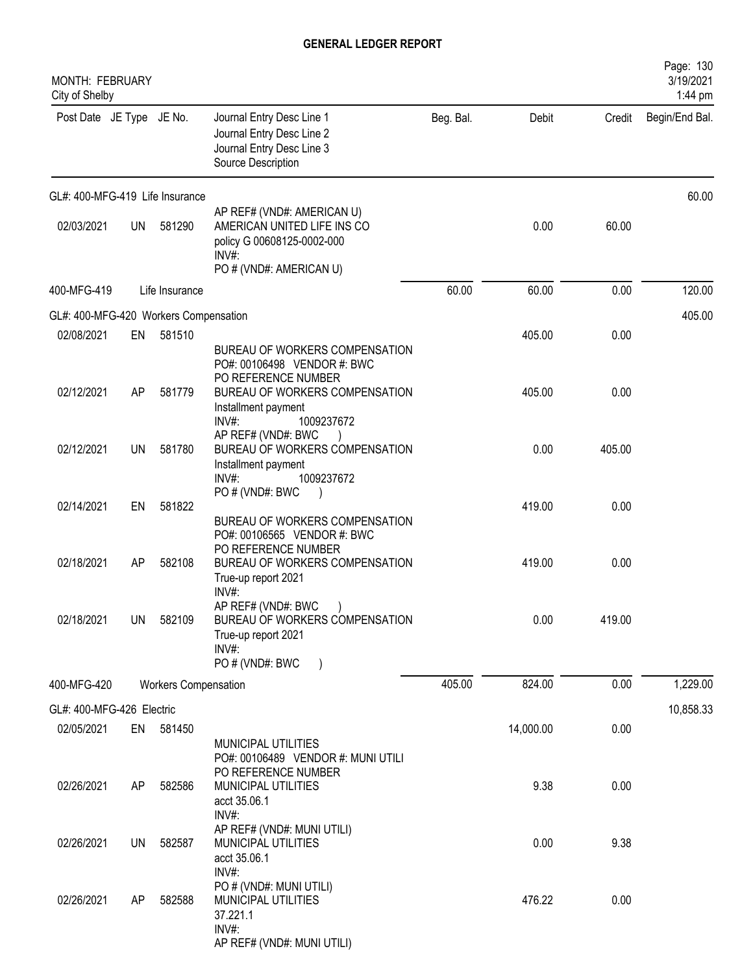| MONTH: FEBRUARY<br>City of Shelby     |           |                             |                                                                                                                                               |           |           |        | Page: 130<br>3/19/2021<br>1:44 pm |
|---------------------------------------|-----------|-----------------------------|-----------------------------------------------------------------------------------------------------------------------------------------------|-----------|-----------|--------|-----------------------------------|
| Post Date JE Type JE No.              |           |                             | Journal Entry Desc Line 1<br>Journal Entry Desc Line 2<br>Journal Entry Desc Line 3<br>Source Description                                     | Beg. Bal. | Debit     | Credit | Begin/End Bal.                    |
| GL#: 400-MFG-419 Life Insurance       |           |                             |                                                                                                                                               |           |           |        | 60.00                             |
| 02/03/2021                            | <b>UN</b> | 581290                      | AP REF# (VND#: AMERICAN U)<br>AMERICAN UNITED LIFE INS CO<br>policy G 00608125-0002-000<br>$INV#$ :<br>PO # (VND#: AMERICAN U)                |           | 0.00      | 60.00  |                                   |
| 400-MFG-419                           |           | Life Insurance              |                                                                                                                                               | 60.00     | 60.00     | 0.00   | 120.00                            |
| GL#: 400-MFG-420 Workers Compensation |           |                             |                                                                                                                                               |           |           |        | 405.00                            |
| 02/08/2021                            | EN        | 581510                      |                                                                                                                                               |           | 405.00    | 0.00   |                                   |
| 02/12/2021                            | AP        | 581779                      | BUREAU OF WORKERS COMPENSATION<br>PO#: 00106498 VENDOR #: BWC<br>PO REFERENCE NUMBER<br>BUREAU OF WORKERS COMPENSATION<br>Installment payment |           | 405.00    | 0.00   |                                   |
| 02/12/2021                            | UN        | 581780                      | $INV#$ :<br>1009237672<br>AP REF# (VND#: BWC<br>BUREAU OF WORKERS COMPENSATION<br>Installment payment<br>INV#<br>1009237672                   |           | 0.00      | 405.00 |                                   |
| 02/14/2021                            | EN        | 581822                      | PO#(VND#: BWC<br>BUREAU OF WORKERS COMPENSATION                                                                                               |           | 419.00    | 0.00   |                                   |
| 02/18/2021                            | AP        | 582108                      | PO#: 00106565 VENDOR #: BWC<br>PO REFERENCE NUMBER<br>BUREAU OF WORKERS COMPENSATION<br>True-up report 2021<br>INV#:                          |           | 419.00    | 0.00   |                                   |
| 02/18/2021                            | <b>UN</b> | 582109                      | AP REF# (VND#: BWC<br>BUREAU OF WORKERS COMPENSATION<br>True-up report 2021<br>INV#:<br>PO # (VND#: BWC                                       |           | 0.00      | 419.00 |                                   |
| 400-MFG-420                           |           | <b>Workers Compensation</b> |                                                                                                                                               | 405.00    | 824.00    | 0.00   | 1,229.00                          |
| GL#: 400-MFG-426 Electric             |           |                             |                                                                                                                                               |           |           |        |                                   |
| 02/05/2021                            | EN        | 581450                      |                                                                                                                                               |           | 14,000.00 | 0.00   | 10,858.33                         |
|                                       |           |                             | MUNICIPAL UTILITIES<br>PO#: 00106489 VENDOR #: MUNI UTILI<br>PO REFERENCE NUMBER                                                              |           |           |        |                                   |
| 02/26/2021                            | AP        | 582586                      | MUNICIPAL UTILITIES<br>acct 35.06.1<br>INV#:<br>AP REF# (VND#: MUNI UTILI)                                                                    |           | 9.38      | 0.00   |                                   |
| 02/26/2021                            | UN        | 582587                      | MUNICIPAL UTILITIES<br>acct 35.06.1<br>INV#:                                                                                                  |           | 0.00      | 9.38   |                                   |
| 02/26/2021                            | AP        | 582588                      | PO # (VND#: MUNI UTILI)<br>MUNICIPAL UTILITIES<br>37.221.1<br>$INV#$ :<br>AP REF# (VND#: MUNI UTILI)                                          |           | 476.22    | 0.00   |                                   |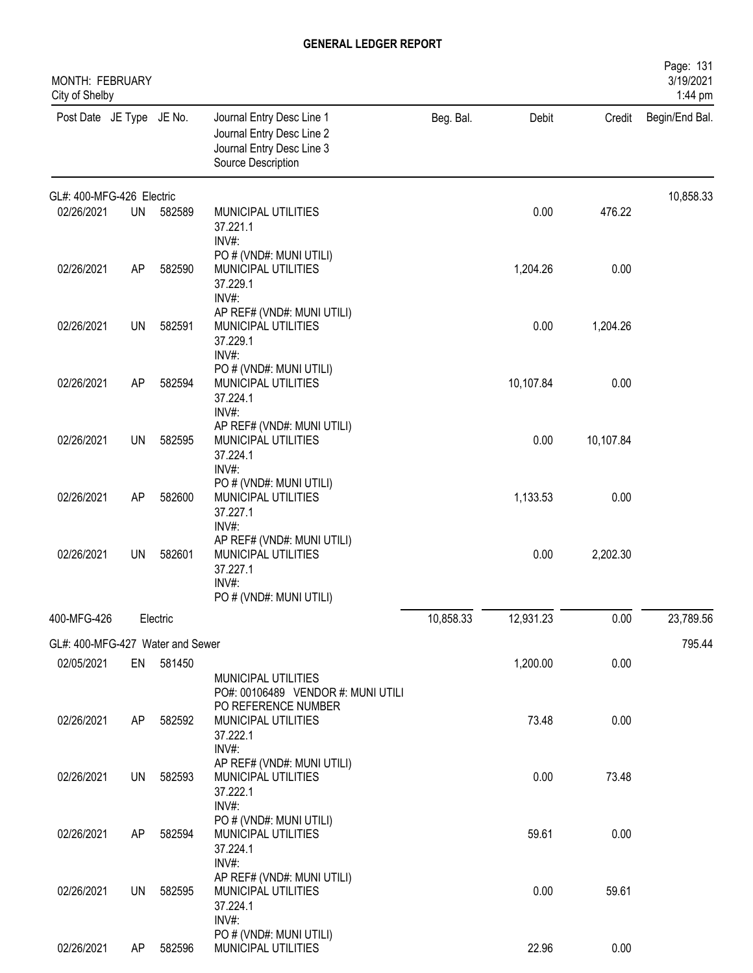| MONTH: FEBRUARY<br>City of Shelby |           |           |                                                                                                           |           |           |           | Page: 131<br>3/19/2021<br>1:44 pm |
|-----------------------------------|-----------|-----------|-----------------------------------------------------------------------------------------------------------|-----------|-----------|-----------|-----------------------------------|
| Post Date JE Type JE No.          |           |           | Journal Entry Desc Line 1<br>Journal Entry Desc Line 2<br>Journal Entry Desc Line 3<br>Source Description | Beg. Bal. | Debit     | Credit    | Begin/End Bal.                    |
| GL#: 400-MFG-426 Electric         |           |           |                                                                                                           |           |           |           | 10,858.33                         |
| 02/26/2021                        | UN        | 582589    | MUNICIPAL UTILITIES<br>37.221.1<br>INV#:                                                                  |           | 0.00      | 476.22    |                                   |
| 02/26/2021                        | AP        | 582590    | PO # (VND#: MUNI UTILI)<br>MUNICIPAL UTILITIES<br>37.229.1<br>INV#:                                       |           | 1,204.26  | 0.00      |                                   |
| 02/26/2021                        | <b>UN</b> | 582591    | AP REF# (VND#: MUNI UTILI)<br>MUNICIPAL UTILITIES<br>37.229.1<br>INV#:                                    |           | 0.00      | 1,204.26  |                                   |
| 02/26/2021                        | AP        | 582594    | PO # (VND#: MUNI UTILI)<br>MUNICIPAL UTILITIES<br>37.224.1<br>INV#:                                       |           | 10,107.84 | 0.00      |                                   |
| 02/26/2021                        | <b>UN</b> | 582595    | AP REF# (VND#: MUNI UTILI)<br>MUNICIPAL UTILITIES<br>37.224.1<br>INV#:                                    |           | 0.00      | 10,107.84 |                                   |
| 02/26/2021                        | AP        | 582600    | PO # (VND#: MUNI UTILI)<br>MUNICIPAL UTILITIES<br>37.227.1<br>INV#:                                       |           | 1,133.53  | 0.00      |                                   |
| 02/26/2021                        | <b>UN</b> | 582601    | AP REF# (VND#: MUNI UTILI)<br>MUNICIPAL UTILITIES<br>37.227.1<br>INV#:<br>PO # (VND#: MUNI UTILI)         |           | 0.00      | 2,202.30  |                                   |
| 400-MFG-426                       |           | Electric  |                                                                                                           | 10,858.33 | 12,931.23 | 0.00      | 23,789.56                         |
| GL#: 400-MFG-427 Water and Sewer  |           |           |                                                                                                           |           |           |           | 795.44                            |
| 02/05/2021                        |           | EN 581450 | MUNICIPAL UTILITIES<br>PO#: 00106489 VENDOR #: MUNI UTILI<br>PO REFERENCE NUMBER                          |           | 1,200.00  | 0.00      |                                   |
| 02/26/2021                        | AP        | 582592    | MUNICIPAL UTILITIES<br>37.222.1<br>INV#:<br>AP REF# (VND#: MUNI UTILI)                                    |           | 73.48     | 0.00      |                                   |
| 02/26/2021                        | <b>UN</b> | 582593    | MUNICIPAL UTILITIES<br>37.222.1<br>INV#:                                                                  |           | 0.00      | 73.48     |                                   |
| 02/26/2021                        | AP        | 582594    | PO # (VND#: MUNI UTILI)<br>MUNICIPAL UTILITIES<br>37.224.1<br>INV#:                                       |           | 59.61     | 0.00      |                                   |
| 02/26/2021                        | UN        | 582595    | AP REF# (VND#: MUNI UTILI)<br>MUNICIPAL UTILITIES<br>37.224.1<br>INV#:                                    |           | 0.00      | 59.61     |                                   |
| 02/26/2021                        | AP        | 582596    | PO # (VND#: MUNI UTILI)<br>MUNICIPAL UTILITIES                                                            |           | 22.96     | 0.00      |                                   |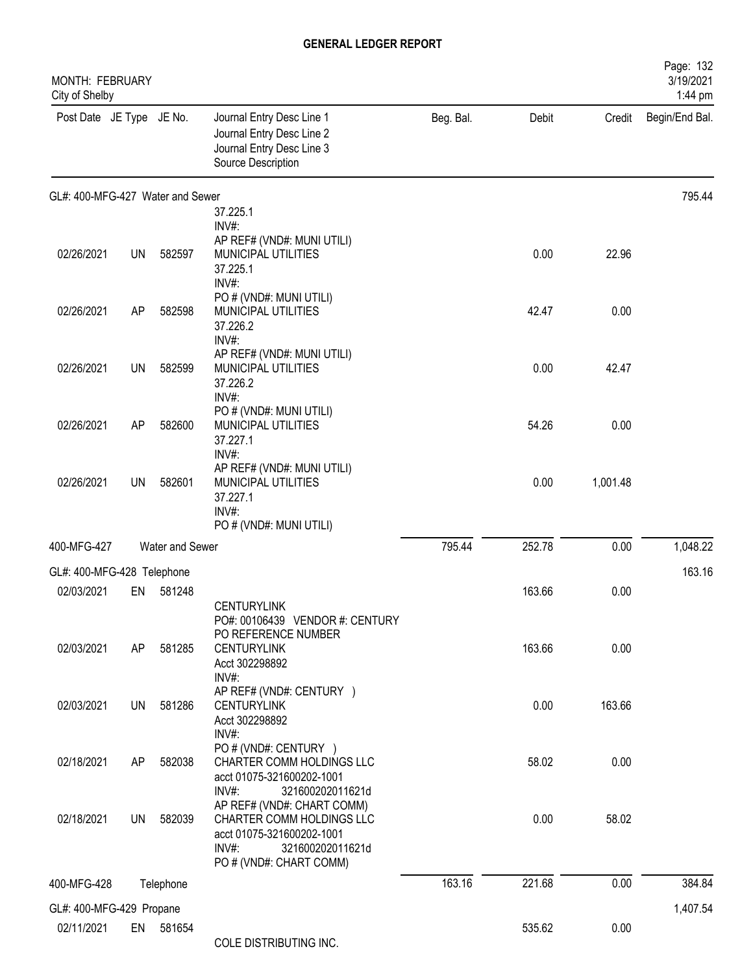| MONTH: FEBRUARY<br>City of Shelby |           |                 |                                                                                                                                                                          |           |        |          | Page: 132<br>3/19/2021<br>1:44 pm |
|-----------------------------------|-----------|-----------------|--------------------------------------------------------------------------------------------------------------------------------------------------------------------------|-----------|--------|----------|-----------------------------------|
| Post Date JE Type JE No.          |           |                 | Journal Entry Desc Line 1<br>Journal Entry Desc Line 2<br>Journal Entry Desc Line 3<br>Source Description                                                                | Beg. Bal. | Debit  | Credit   | Begin/End Bal.                    |
| GL#: 400-MFG-427 Water and Sewer  |           |                 |                                                                                                                                                                          |           |        |          | 795.44                            |
|                                   |           |                 | 37.225.1<br>INV#:                                                                                                                                                        |           |        |          |                                   |
| 02/26/2021                        | <b>UN</b> | 582597          | AP REF# (VND#: MUNI UTILI)<br>MUNICIPAL UTILITIES<br>37.225.1<br>INV#:                                                                                                   |           | 0.00   | 22.96    |                                   |
| 02/26/2021                        | AP        | 582598          | PO # (VND#: MUNI UTILI)<br>MUNICIPAL UTILITIES<br>37.226.2<br>INV#:                                                                                                      |           | 42.47  | 0.00     |                                   |
| 02/26/2021                        | UN        | 582599          | AP REF# (VND#: MUNI UTILI)<br>MUNICIPAL UTILITIES<br>37.226.2<br>INV#:                                                                                                   |           | 0.00   | 42.47    |                                   |
| 02/26/2021                        | AP        | 582600          | PO # (VND#: MUNI UTILI)<br>MUNICIPAL UTILITIES<br>37.227.1                                                                                                               |           | 54.26  | 0.00     |                                   |
| 02/26/2021                        | UN        | 582601          | INV#:<br>AP REF# (VND#: MUNI UTILI)<br>MUNICIPAL UTILITIES<br>37.227.1<br>INV#:                                                                                          |           | 0.00   | 1,001.48 |                                   |
|                                   |           |                 | PO # (VND#: MUNI UTILI)                                                                                                                                                  |           |        |          |                                   |
| 400-MFG-427                       |           | Water and Sewer |                                                                                                                                                                          | 795.44    | 252.78 | 0.00     | 1,048.22                          |
| GL#: 400-MFG-428 Telephone        |           |                 |                                                                                                                                                                          |           |        |          | 163.16                            |
| 02/03/2021                        | EN        | 581248          | <b>CENTURYLINK</b><br>PO#: 00106439 VENDOR #: CENTURY                                                                                                                    |           | 163.66 | 0.00     |                                   |
| 02/03/2021                        | AP        | 581285          | PO REFERENCE NUMBER<br><b>CENTURYLINK</b><br>Acct 302298892<br>INV#:                                                                                                     |           | 163.66 | 0.00     |                                   |
| 02/03/2021                        | <b>UN</b> | 581286          | AP REF# (VND#: CENTURY )<br><b>CENTURYLINK</b><br>Acct 302298892<br>INV#:                                                                                                |           | 0.00   | 163.66   |                                   |
| 02/18/2021                        | AP        | 582038          | PO # (VND#: CENTURY )<br>CHARTER COMM HOLDINGS LLC<br>acct 01075-321600202-1001                                                                                          |           | 58.02  | 0.00     |                                   |
| 02/18/2021                        | UN        | 582039          | INV#<br>321600202011621d<br>AP REF# (VND#: CHART COMM)<br>CHARTER COMM HOLDINGS LLC<br>acct 01075-321600202-1001<br>INV#:<br>321600202011621d<br>PO # (VND#: CHART COMM) |           | 0.00   | 58.02    |                                   |
| 400-MFG-428                       |           | Telephone       |                                                                                                                                                                          | 163.16    | 221.68 | 0.00     | 384.84                            |
| GL#: 400-MFG-429 Propane          |           |                 |                                                                                                                                                                          |           |        |          | 1,407.54                          |
| 02/11/2021                        |           | EN 581654       | COLE DISTRIBUTING INC.                                                                                                                                                   |           | 535.62 | 0.00     |                                   |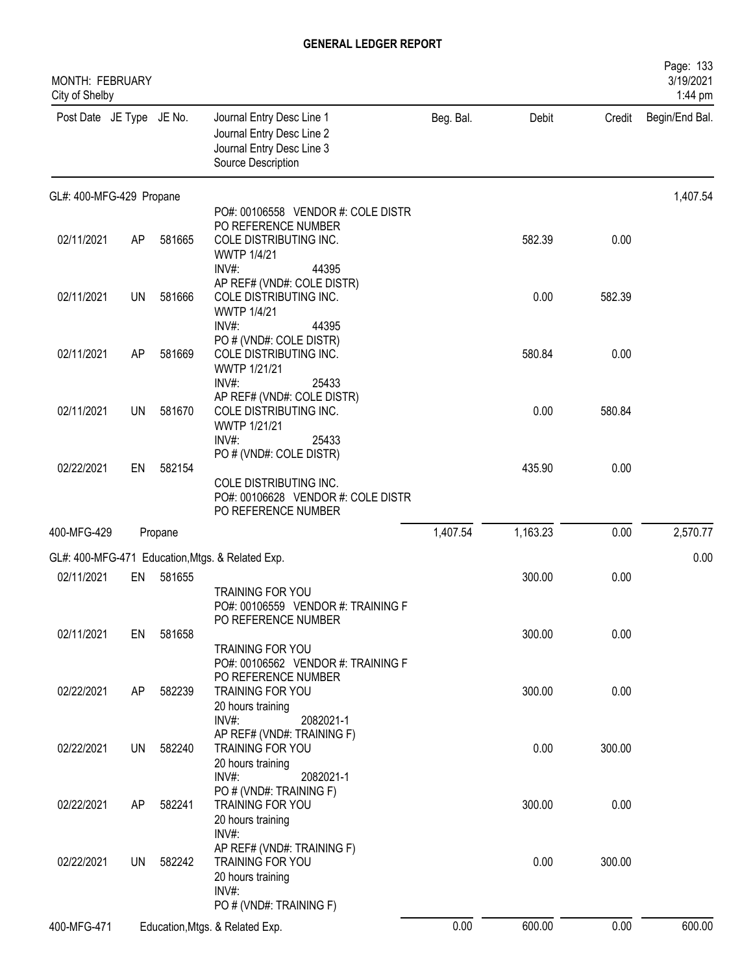| MONTH: FEBRUARY<br>City of Shelby |           |         |                                                                                                                             |           |          |        | Page: 133<br>3/19/2021<br>1:44 pm |
|-----------------------------------|-----------|---------|-----------------------------------------------------------------------------------------------------------------------------|-----------|----------|--------|-----------------------------------|
| Post Date JE Type JE No.          |           |         | Journal Entry Desc Line 1<br>Journal Entry Desc Line 2<br>Journal Entry Desc Line 3<br>Source Description                   | Beg. Bal. | Debit    | Credit | Begin/End Bal.                    |
| GL#: 400-MFG-429 Propane          |           |         |                                                                                                                             |           |          |        | 1,407.54                          |
| 02/11/2021                        | AP        | 581665  | PO#: 00106558 VENDOR #: COLE DISTR<br>PO REFERENCE NUMBER<br>COLE DISTRIBUTING INC.<br><b>WWTP 1/4/21</b><br>INV#:<br>44395 |           | 582.39   | 0.00   |                                   |
| 02/11/2021                        | <b>UN</b> | 581666  | AP REF# (VND#: COLE DISTR)<br>COLE DISTRIBUTING INC.<br><b>WWTP 1/4/21</b><br>44395<br>INV#                                 |           | 0.00     | 582.39 |                                   |
| 02/11/2021                        | AP        | 581669  | PO # (VND#: COLE DISTR)<br>COLE DISTRIBUTING INC.<br>WWTP 1/21/21<br>INV#:                                                  |           | 580.84   | 0.00   |                                   |
| 02/11/2021                        | UN        | 581670  | 25433<br>AP REF# (VND#: COLE DISTR)<br>COLE DISTRIBUTING INC.<br>WWTP 1/21/21<br>INV#:<br>25433                             |           | 0.00     | 580.84 |                                   |
| 02/22/2021                        | EN        | 582154  | PO # (VND#: COLE DISTR)<br>COLE DISTRIBUTING INC.<br>PO#: 00106628 VENDOR #: COLE DISTR                                     |           | 435.90   | 0.00   |                                   |
| 400-MFG-429                       |           | Propane | PO REFERENCE NUMBER                                                                                                         | 1,407.54  | 1,163.23 | 0.00   | 2,570.77                          |
|                                   |           |         | GL#: 400-MFG-471 Education, Mtgs. & Related Exp.                                                                            |           |          |        | 0.00                              |
| 02/11/2021                        | EN        | 581655  | TRAINING FOR YOU<br>PO#: 00106559 VENDOR #: TRAINING F                                                                      |           | 300.00   | 0.00   |                                   |
| 02/11/2021                        | EN        | 581658  | PO REFERENCE NUMBER<br>TRAINING FOR YOU<br>PO#: 00106562 VENDOR #: TRAINING F                                               |           | 300.00   | 0.00   |                                   |
| 02/22/2021                        | AP        | 582239  | PO REFERENCE NUMBER<br>TRAINING FOR YOU<br>20 hours training<br>INV#:<br>2082021-1                                          |           | 300.00   | 0.00   |                                   |
| 02/22/2021                        | <b>UN</b> | 582240  | AP REF# (VND#: TRAINING F)<br>TRAINING FOR YOU<br>20 hours training<br>INV#:<br>2082021-1                                   |           | 0.00     | 300.00 |                                   |
| 02/22/2021                        | AP        | 582241  | PO # (VND#: TRAINING F)<br><b>TRAINING FOR YOU</b><br>20 hours training<br>INV#:                                            |           | 300.00   | 0.00   |                                   |
| 02/22/2021                        | UN        | 582242  | AP REF# (VND#: TRAINING F)<br>TRAINING FOR YOU<br>20 hours training<br>INV#:                                                |           | 0.00     | 300.00 |                                   |
| 400-MFG-471                       |           |         | PO # (VND#: TRAINING F)<br>Education, Mtgs. & Related Exp.                                                                  | 0.00      | 600.00   | 0.00   | 600.00                            |
|                                   |           |         |                                                                                                                             |           |          |        |                                   |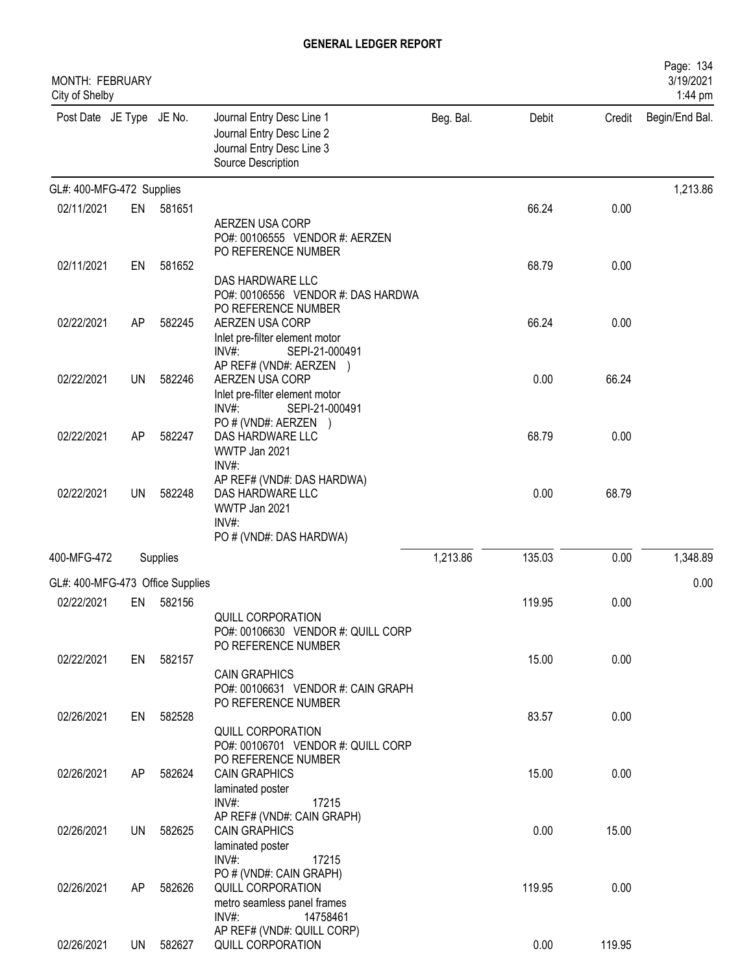| MONTH: FEBRUARY<br>City of Shelby |           |          |                                                                                                           |           |        |        | Page: 134<br>3/19/2021<br>1:44 pm |
|-----------------------------------|-----------|----------|-----------------------------------------------------------------------------------------------------------|-----------|--------|--------|-----------------------------------|
| Post Date JE Type JE No.          |           |          | Journal Entry Desc Line 1<br>Journal Entry Desc Line 2<br>Journal Entry Desc Line 3<br>Source Description | Beg. Bal. | Debit  | Credit | Begin/End Bal.                    |
| GL#: 400-MFG-472 Supplies         |           |          |                                                                                                           |           |        |        | 1,213.86                          |
| 02/11/2021                        | EN        | 581651   |                                                                                                           |           | 66.24  | 0.00   |                                   |
|                                   |           |          | AERZEN USA CORP<br>PO#: 00106555 VENDOR #: AERZEN<br>PO REFERENCE NUMBER                                  |           |        |        |                                   |
| 02/11/2021                        | EN        | 581652   | DAS HARDWARE LLC<br>PO#: 00106556 VENDOR #: DAS HARDWA<br>PO REFERENCE NUMBER                             |           | 68.79  | 0.00   |                                   |
| 02/22/2021                        | AP        | 582245   | AERZEN USA CORP<br>Inlet pre-filter element motor<br>$INV#$ :<br>SEPI-21-000491<br>AP REF# (VND#: AERZEN) |           | 66.24  | 0.00   |                                   |
| 02/22/2021                        | UN        | 582246   | AERZEN USA CORP<br>Inlet pre-filter element motor<br>INV#:<br>SEPI-21-000491                              |           | 0.00   | 66.24  |                                   |
| 02/22/2021                        | AP        | 582247   | PO # (VND#: AERZEN )<br>DAS HARDWARE LLC<br>WWTP Jan 2021<br>INV#:                                        |           | 68.79  | 0.00   |                                   |
| 02/22/2021                        | UN        | 582248   | AP REF# (VND#: DAS HARDWA)<br>DAS HARDWARE LLC<br>WWTP Jan 2021<br>INV#:<br>PO # (VND#: DAS HARDWA)       |           | 0.00   | 68.79  |                                   |
| 400-MFG-472                       |           | Supplies |                                                                                                           | 1,213.86  | 135.03 | 0.00   | 1,348.89                          |
|                                   |           |          |                                                                                                           |           |        |        |                                   |
| GL#: 400-MFG-473 Office Supplies  |           |          |                                                                                                           |           |        |        | 0.00                              |
| 02/22/2021                        | EN        | 582156   | QUILL CORPORATION<br>PO#: 00106630 VENDOR #: QUILL CORP<br>PO REFERENCE NUMBER                            |           | 119.95 | 0.00   |                                   |
| 02/22/2021                        | EN        | 582157   | <b>CAIN GRAPHICS</b><br>PO#: 00106631 VENDOR #: CAIN GRAPH<br>PO REFERENCE NUMBER                         |           | 15.00  | 0.00   |                                   |
| 02/26/2021                        | EN        | 582528   | QUILL CORPORATION<br>PO#: 00106701 VENDOR #: QUILL CORP<br>PO REFERENCE NUMBER                            |           | 83.57  | 0.00   |                                   |
| 02/26/2021                        | AP        | 582624   | <b>CAIN GRAPHICS</b><br>laminated poster<br>INV#:<br>17215<br>AP REF# (VND#: CAIN GRAPH)                  |           | 15.00  | 0.00   |                                   |
| 02/26/2021                        | <b>UN</b> | 582625   | <b>CAIN GRAPHICS</b><br>laminated poster<br>$INV#$ :<br>17215                                             |           | 0.00   | 15.00  |                                   |
| 02/26/2021                        | AP        | 582626   | PO # (VND#: CAIN GRAPH)<br>QUILL CORPORATION<br>metro seamless panel frames<br>INV#:<br>14758461          |           | 119.95 | 0.00   |                                   |
| 02/26/2021                        | UN        | 582627   | AP REF# (VND#: QUILL CORP)<br>QUILL CORPORATION                                                           |           | 0.00   | 119.95 |                                   |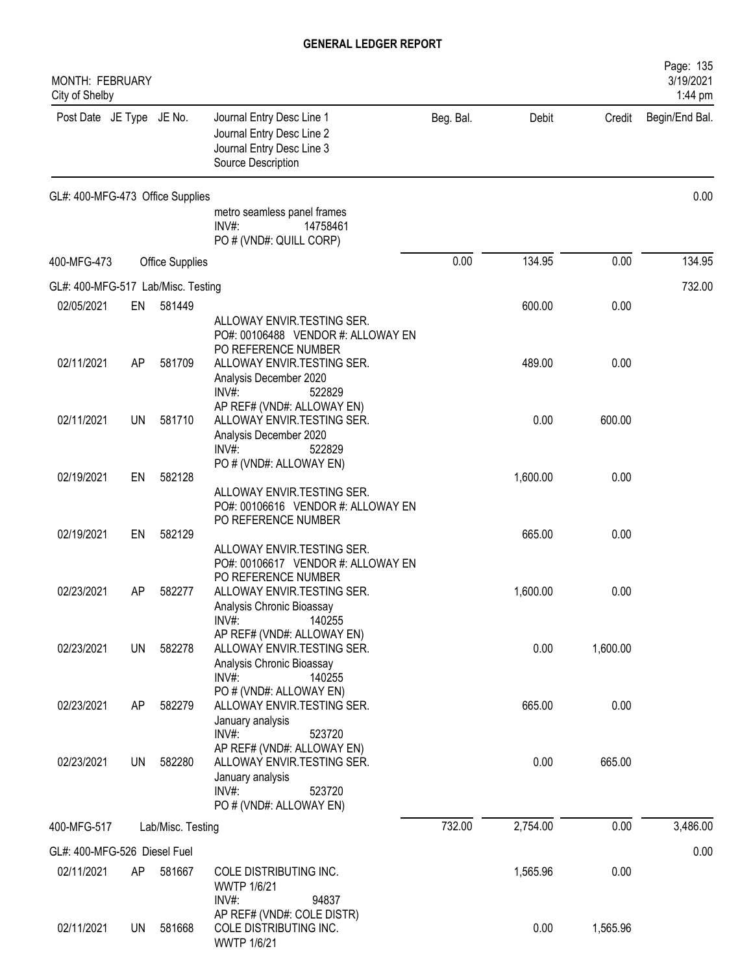| Page: 135<br>MONTH: FEBRUARY<br>3/19/2021<br>City of Shelby<br>1:44 pm |                 |                   |                                                                                                                          |           |          |          |                |  |  |  |
|------------------------------------------------------------------------|-----------------|-------------------|--------------------------------------------------------------------------------------------------------------------------|-----------|----------|----------|----------------|--|--|--|
| Post Date JE Type JE No.                                               |                 |                   | Journal Entry Desc Line 1<br>Journal Entry Desc Line 2<br>Journal Entry Desc Line 3<br>Source Description                | Beg. Bal. | Debit    | Credit   | Begin/End Bal. |  |  |  |
| GL#: 400-MFG-473 Office Supplies                                       |                 |                   |                                                                                                                          |           |          |          | 0.00           |  |  |  |
|                                                                        |                 |                   | metro seamless panel frames<br>INV#:<br>14758461<br>PO # (VND#: QUILL CORP)                                              |           |          |          |                |  |  |  |
| 400-MFG-473                                                            | Office Supplies |                   |                                                                                                                          |           | 134.95   | 0.00     | 134.95         |  |  |  |
| GL#: 400-MFG-517 Lab/Misc. Testing                                     |                 |                   |                                                                                                                          |           |          |          | 732.00         |  |  |  |
| 02/05/2021                                                             | EN              | 581449            |                                                                                                                          |           | 600.00   | 0.00     |                |  |  |  |
|                                                                        |                 |                   | ALLOWAY ENVIR.TESTING SER.<br>PO#: 00106488 VENDOR #: ALLOWAY EN<br>PO REFERENCE NUMBER                                  |           |          |          |                |  |  |  |
| 02/11/2021                                                             | AP              | 581709            | ALLOWAY ENVIR. TESTING SER.<br>Analysis December 2020<br>$INV#$ :<br>522829                                              |           | 489.00   | 0.00     |                |  |  |  |
| 02/11/2021                                                             | UN              | 581710            | AP REF# (VND#: ALLOWAY EN)<br>ALLOWAY ENVIR.TESTING SER.<br>Analysis December 2020<br>$INV#$ :<br>522829                 |           | 0.00     | 600.00   |                |  |  |  |
|                                                                        |                 |                   | PO # (VND#: ALLOWAY EN)                                                                                                  |           |          |          |                |  |  |  |
| 02/19/2021                                                             | EN              | 582128            | ALLOWAY ENVIR.TESTING SER.<br>PO#: 00106616 VENDOR #: ALLOWAY EN<br>PO REFERENCE NUMBER                                  |           | 1,600.00 | 0.00     |                |  |  |  |
| 02/19/2021                                                             | EN              | 582129            | ALLOWAY ENVIR.TESTING SER.<br>PO#: 00106617 VENDOR #: ALLOWAY EN                                                         |           | 665.00   | 0.00     |                |  |  |  |
| 02/23/2021                                                             | AP              | 582277            | PO REFERENCE NUMBER<br>ALLOWAY ENVIR.TESTING SER.<br>Analysis Chronic Bioassay<br>INV#:<br>140255                        |           | 1,600.00 | 0.00     |                |  |  |  |
| 02/23/2021                                                             | <b>UN</b>       | 582278            | AP REF# (VND#: ALLOWAY EN)<br>ALLOWAY ENVIR.TESTING SER.<br>Analysis Chronic Bioassay<br>$INV#$ :<br>140255              |           | 0.00     | 1,600.00 |                |  |  |  |
| 02/23/2021                                                             | AP              | 582279            | PO # (VND#: ALLOWAY EN)<br>ALLOWAY ENVIR. TESTING SER.<br>January analysis                                               |           | 665.00   | 0.00     |                |  |  |  |
| 02/23/2021                                                             | <b>UN</b>       | 582280            | $INV#$ :<br>523720<br>AP REF# (VND#: ALLOWAY EN)<br>ALLOWAY ENVIR.TESTING SER.<br>January analysis<br>523720<br>$INV#$ : |           | 0.00     | 665.00   |                |  |  |  |
| 400-MFG-517                                                            |                 | Lab/Misc. Testing | PO # (VND#: ALLOWAY EN)                                                                                                  | 732.00    | 2,754.00 | 0.00     | 3,486.00       |  |  |  |
|                                                                        |                 |                   |                                                                                                                          |           |          |          |                |  |  |  |
| GL#: 400-MFG-526 Diesel Fuel                                           |                 |                   |                                                                                                                          |           |          |          | 0.00           |  |  |  |
| 02/11/2021                                                             | AP              | 581667            | COLE DISTRIBUTING INC.<br><b>WWTP 1/6/21</b><br>$INV#$ :<br>94837                                                        |           | 1,565.96 | 0.00     |                |  |  |  |
| 02/11/2021                                                             | UN              | 581668            | AP REF# (VND#: COLE DISTR)<br>COLE DISTRIBUTING INC.<br>WWTP 1/6/21                                                      |           | 0.00     | 1,565.96 |                |  |  |  |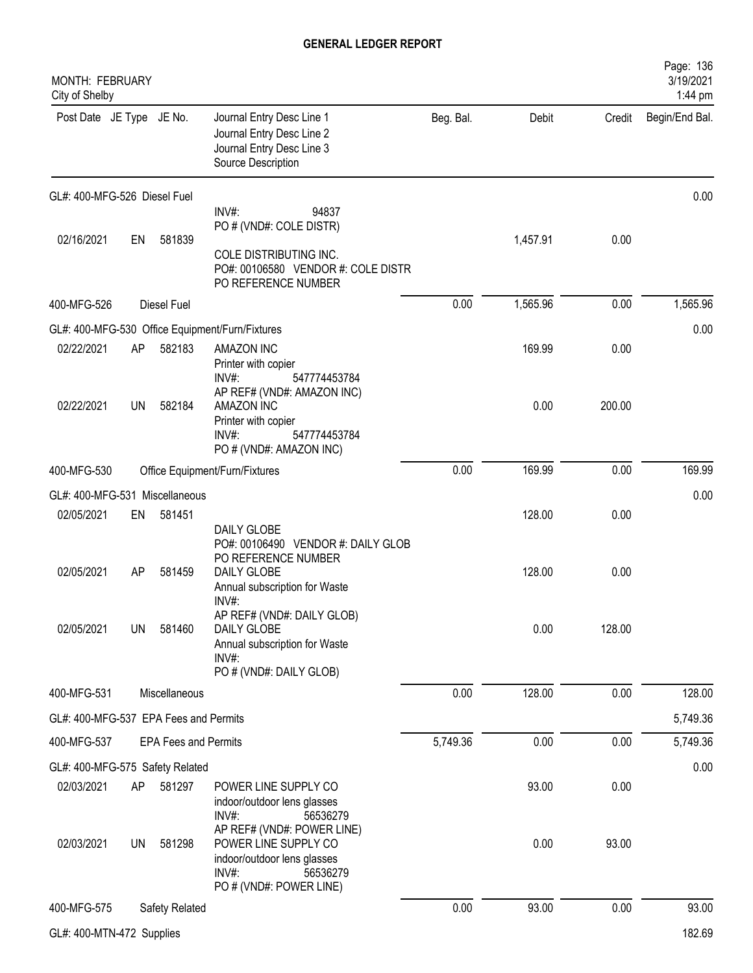| MONTH: FEBRUARY<br>City of Shelby     |           |                             |                                                                                                                                             |           |          |        | Page: 136<br>3/19/2021<br>1:44 pm |
|---------------------------------------|-----------|-----------------------------|---------------------------------------------------------------------------------------------------------------------------------------------|-----------|----------|--------|-----------------------------------|
| Post Date JE Type JE No.              |           |                             | Journal Entry Desc Line 1<br>Journal Entry Desc Line 2<br>Journal Entry Desc Line 3<br>Source Description                                   | Beg. Bal. | Debit    | Credit | Begin/End Bal.                    |
| GL#: 400-MFG-526 Diesel Fuel          |           |                             |                                                                                                                                             |           |          |        | 0.00                              |
| 02/16/2021                            | EN        | 581839                      | INV#:<br>94837<br>PO # (VND#: COLE DISTR)                                                                                                   |           | 1,457.91 | 0.00   |                                   |
|                                       |           |                             | COLE DISTRIBUTING INC.<br>PO#: 00106580 VENDOR #: COLE DISTR<br>PO REFERENCE NUMBER                                                         |           |          |        |                                   |
| 400-MFG-526                           |           | Diesel Fuel                 |                                                                                                                                             | 0.00      | 1,565.96 | 0.00   | 1,565.96                          |
|                                       |           |                             | GL#: 400-MFG-530 Office Equipment/Furn/Fixtures                                                                                             |           |          |        | 0.00                              |
| 02/22/2021                            | AP        | 582183                      | <b>AMAZON INC</b><br>Printer with copier<br>INV#<br>547774453784                                                                            |           | 169.99   | 0.00   |                                   |
| 02/22/2021                            | UN        | 582184                      | AP REF# (VND#: AMAZON INC)<br><b>AMAZON INC</b><br>Printer with copier<br>$INV#$ :<br>547774453784<br>PO # (VND#: AMAZON INC)               |           | 0.00     | 200.00 |                                   |
| 400-MFG-530                           |           |                             | Office Equipment/Furn/Fixtures                                                                                                              | 0.00      | 169.99   | 0.00   | 169.99                            |
| GL#: 400-MFG-531 Miscellaneous        |           |                             |                                                                                                                                             |           |          |        | 0.00                              |
| 02/05/2021                            | EN        | 581451                      |                                                                                                                                             |           | 128.00   | 0.00   |                                   |
| 02/05/2021                            | AP        | 581459                      | DAILY GLOBE<br>PO#: 00106490 VENDOR #: DAILY GLOB<br>PO REFERENCE NUMBER<br><b>DAILY GLOBE</b><br>Annual subscription for Waste<br>$INV#$ : |           | 128.00   | 0.00   |                                   |
| 02/05/2021                            | <b>UN</b> | 581460                      | AP REF# (VND#: DAILY GLOB)<br>DAILY GLOBE<br>Annual subscription for Waste<br>INV#<br>PO # (VND#: DAILY GLOB)                               |           | 0.00     | 128.00 |                                   |
| 400-MFG-531                           |           | Miscellaneous               |                                                                                                                                             | 0.00      | 128.00   | 0.00   | 128.00                            |
| GL#: 400-MFG-537 EPA Fees and Permits |           |                             |                                                                                                                                             |           |          |        | 5,749.36                          |
| 400-MFG-537                           |           | <b>EPA Fees and Permits</b> |                                                                                                                                             | 5,749.36  | 0.00     | 0.00   | 5,749.36                          |
| GL#: 400-MFG-575 Safety Related       |           |                             |                                                                                                                                             |           |          |        | 0.00                              |
| 02/03/2021                            | AP        | 581297                      | POWER LINE SUPPLY CO<br>indoor/outdoor lens glasses<br>$INV#$ :<br>56536279                                                                 |           | 93.00    | 0.00   |                                   |
| 02/03/2021                            | UN        | 581298                      | AP REF# (VND#: POWER LINE)<br>POWER LINE SUPPLY CO<br>indoor/outdoor lens glasses<br>$INV#$ :<br>56536279<br>PO # (VND#: POWER LINE)        |           | 0.00     | 93.00  |                                   |
| 400-MFG-575                           |           | Safety Related              |                                                                                                                                             | 0.00      | 93.00    | 0.00   | 93.00                             |
| GL#: 400-MTN-472 Supplies             |           |                             |                                                                                                                                             |           |          |        | 182.69                            |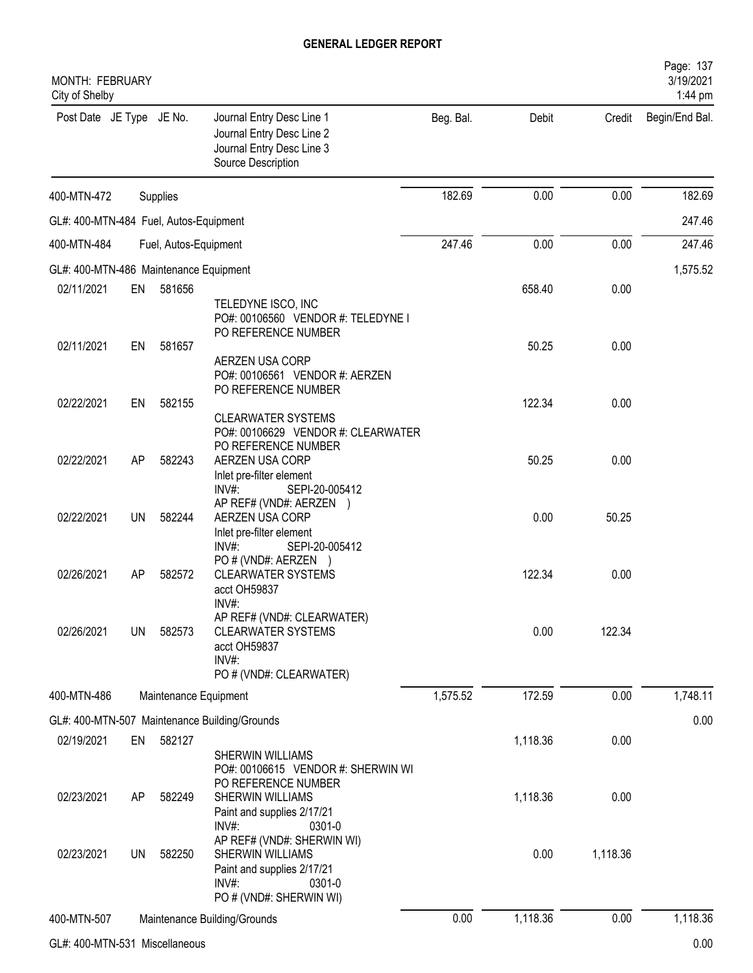| MONTH: FEBRUARY<br>City of Shelby      |           |                       |                                                                                                                                     |           |          |          | Page: 137<br>3/19/2021<br>1:44 pm |
|----------------------------------------|-----------|-----------------------|-------------------------------------------------------------------------------------------------------------------------------------|-----------|----------|----------|-----------------------------------|
| Post Date JE Type JE No.               |           |                       | Journal Entry Desc Line 1<br>Journal Entry Desc Line 2<br>Journal Entry Desc Line 3<br>Source Description                           | Beg. Bal. | Debit    | Credit   | Begin/End Bal.                    |
| 400-MTN-472                            |           | Supplies              |                                                                                                                                     | 182.69    | 0.00     | 0.00     | 182.69                            |
| GL#: 400-MTN-484 Fuel, Autos-Equipment |           |                       |                                                                                                                                     |           |          |          | 247.46                            |
| 400-MTN-484                            |           | Fuel, Autos-Equipment |                                                                                                                                     | 247.46    | 0.00     | 0.00     | 247.46                            |
| GL#: 400-MTN-486 Maintenance Equipment |           |                       |                                                                                                                                     |           |          |          | 1,575.52                          |
| 02/11/2021                             | EN        | 581656                |                                                                                                                                     |           | 658.40   | 0.00     |                                   |
|                                        |           |                       | TELEDYNE ISCO, INC<br>PO#: 00106560 VENDOR #: TELEDYNE I<br>PO REFERENCE NUMBER                                                     |           |          |          |                                   |
| 02/11/2021                             | EN        | 581657                | AERZEN USA CORP<br>PO#: 00106561 VENDOR #: AERZEN                                                                                   |           | 50.25    | 0.00     |                                   |
| 02/22/2021                             | EN        | 582155                | PO REFERENCE NUMBER<br><b>CLEARWATER SYSTEMS</b>                                                                                    |           | 122.34   | 0.00     |                                   |
| 02/22/2021                             | AP        | 582243                | PO#: 00106629 VENDOR #: CLEARWATER<br>PO REFERENCE NUMBER<br>AERZEN USA CORP<br>Inlet pre-filter element<br>INV#:<br>SEPI-20-005412 |           | 50.25    | 0.00     |                                   |
| 02/22/2021                             | <b>UN</b> | 582244                | AP REF# (VND#: AERZEN<br>AERZEN USA CORP<br>Inlet pre-filter element                                                                |           | 0.00     | 50.25    |                                   |
| 02/26/2021                             | AP        | 582572                | INV#:<br>SEPI-20-005412<br>PO # (VND#: AERZEN )<br><b>CLEARWATER SYSTEMS</b><br>acct OH59837<br>INV#:                               |           | 122.34   | 0.00     |                                   |
| 02/26/2021                             | <b>UN</b> | 582573                | AP REF# (VND#: CLEARWATER)<br><b>CLEARWATER SYSTEMS</b><br>acct OH59837<br>INV#:<br>PO # (VND#: CLEARWATER)                         |           | 0.00     | 122.34   |                                   |
| 400-MTN-486                            |           |                       | Maintenance Equipment                                                                                                               | 1,575.52  | 172.59   | 0.00     | 1,748.11                          |
|                                        |           |                       | GL#: 400-MTN-507 Maintenance Building/Grounds                                                                                       |           |          |          | 0.00                              |
| 02/19/2021                             | EN        | 582127                |                                                                                                                                     |           | 1,118.36 | 0.00     |                                   |
|                                        |           |                       | <b>SHERWIN WILLIAMS</b><br>PO#: 00106615 VENDOR #: SHERWIN WI<br>PO REFERENCE NUMBER                                                |           |          |          |                                   |
| 02/23/2021                             | AP        | 582249                | <b>SHERWIN WILLIAMS</b><br>Paint and supplies 2/17/21<br>$INV#$ :<br>0301-0                                                         |           | 1,118.36 | 0.00     |                                   |
| 02/23/2021                             | UN        | 582250                | AP REF# (VND#: SHERWIN WI)<br>SHERWIN WILLIAMS<br>Paint and supplies 2/17/21<br>INV#:<br>0301-0<br>PO # (VND#: SHERWIN WI)          |           | 0.00     | 1,118.36 |                                   |
| 400-MTN-507                            |           |                       | Maintenance Building/Grounds                                                                                                        | 0.00      | 1,118.36 | 0.00     | 1,118.36                          |
|                                        |           |                       |                                                                                                                                     |           |          |          |                                   |

GL#: 400-MTN-531 Miscellaneous 0.00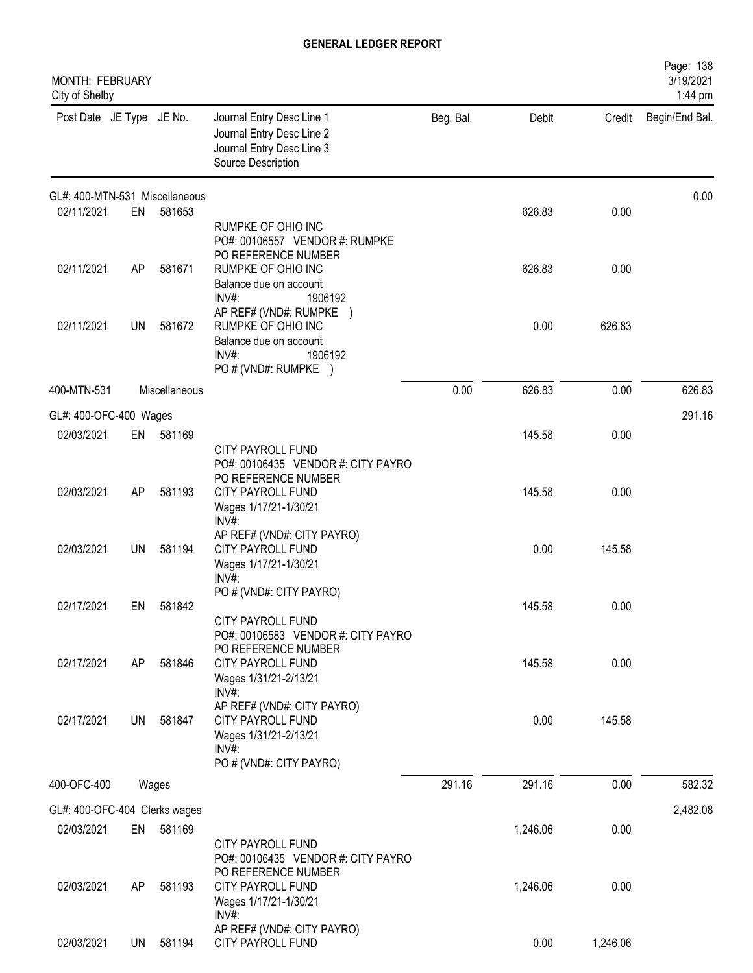| MONTH: FEBRUARY<br>City of Shelby |           |               |                                                                                                                        |           |          |          | Page: 138<br>3/19/2021<br>1:44 pm |
|-----------------------------------|-----------|---------------|------------------------------------------------------------------------------------------------------------------------|-----------|----------|----------|-----------------------------------|
| Post Date JE Type JE No.          |           |               | Journal Entry Desc Line 1<br>Journal Entry Desc Line 2<br>Journal Entry Desc Line 3<br>Source Description              | Beg. Bal. | Debit    | Credit   | Begin/End Bal.                    |
| GL#: 400-MTN-531 Miscellaneous    |           |               |                                                                                                                        |           |          |          | 0.00                              |
| 02/11/2021                        | EN        | 581653        | RUMPKE OF OHIO INC<br>PO#: 00106557 VENDOR #: RUMPKE<br>PO REFERENCE NUMBER                                            |           | 626.83   | 0.00     |                                   |
| 02/11/2021                        | AP        | 581671        | RUMPKE OF OHIO INC<br>Balance due on account<br>$INV#$ :<br>1906192                                                    |           | 626.83   | 0.00     |                                   |
| 02/11/2021                        | UN        | 581672        | AP REF# (VND#: RUMPKE)<br>RUMPKE OF OHIO INC<br>Balance due on account<br>INV#<br>1906192<br>PO # (VND#: RUMPKE)       |           | 0.00     | 626.83   |                                   |
| 400-MTN-531                       |           | Miscellaneous |                                                                                                                        | 0.00      | 626.83   | 0.00     | 626.83                            |
| GL#: 400-OFC-400 Wages            |           |               |                                                                                                                        |           |          |          | 291.16                            |
| 02/03/2021                        | EN        | 581169        | <b>CITY PAYROLL FUND</b><br>PO#: 00106435 VENDOR #: CITY PAYRO                                                         |           | 145.58   | 0.00     |                                   |
| 02/03/2021                        | AP        | 581193        | PO REFERENCE NUMBER<br>CITY PAYROLL FUND<br>Wages 1/17/21-1/30/21<br>INV#:                                             |           | 145.58   | 0.00     |                                   |
| 02/03/2021                        | <b>UN</b> | 581194        | AP REF# (VND#: CITY PAYRO)<br><b>CITY PAYROLL FUND</b><br>Wages 1/17/21-1/30/21<br>$INV#$ :                            |           | 0.00     | 145.58   |                                   |
| 02/17/2021                        | EN        | 581842        | PO # (VND#: CITY PAYRO)<br><b>CITY PAYROLL FUND</b><br>PO#: 00106583 VENDOR #: CITY PAYRO                              |           | 145.58   | 0.00     |                                   |
| 02/17/2021                        | AP        | 581846        | PO REFERENCE NUMBER<br>CITY PAYROLL FUND<br>Wages 1/31/21-2/13/21<br>INV#:                                             |           | 145.58   | 0.00     |                                   |
| 02/17/2021                        | UN        | 581847        | AP REF# (VND#: CITY PAYRO)<br><b>CITY PAYROLL FUND</b><br>Wages 1/31/21-2/13/21<br>$INV#$ :<br>PO # (VND#: CITY PAYRO) |           | 0.00     | 145.58   |                                   |
| 400-OFC-400                       |           | Wages         |                                                                                                                        | 291.16    | 291.16   | 0.00     | 582.32                            |
| GL#: 400-OFC-404 Clerks wages     |           |               |                                                                                                                        |           |          |          | 2,482.08                          |
| 02/03/2021                        | EN        | 581169        | CITY PAYROLL FUND<br>PO#: 00106435 VENDOR #: CITY PAYRO                                                                |           | 1,246.06 | 0.00     |                                   |
| 02/03/2021                        | AP        | 581193        | PO REFERENCE NUMBER<br><b>CITY PAYROLL FUND</b><br>Wages 1/17/21-1/30/21<br>INV#:                                      |           | 1,246.06 | 0.00     |                                   |
| 02/03/2021                        | UN        | 581194        | AP REF# (VND#: CITY PAYRO)<br>CITY PAYROLL FUND                                                                        |           | 0.00     | 1,246.06 |                                   |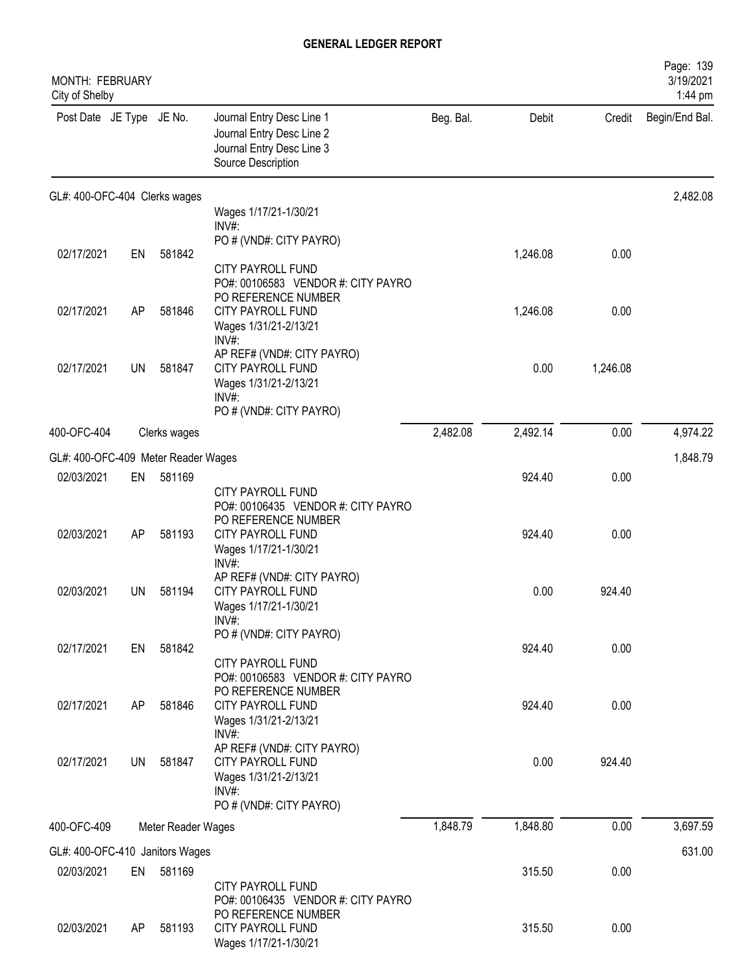| <b>MONTH: FEBRUARY</b><br>City of Shelby |    |                    |                                                                                                                                     |           |          |          | Page: 139<br>3/19/2021<br>1:44 pm |
|------------------------------------------|----|--------------------|-------------------------------------------------------------------------------------------------------------------------------------|-----------|----------|----------|-----------------------------------|
| Post Date JE Type JE No.                 |    |                    | Journal Entry Desc Line 1<br>Journal Entry Desc Line 2<br>Journal Entry Desc Line 3<br>Source Description                           | Beg. Bal. | Debit    | Credit   | Begin/End Bal.                    |
| GL#: 400-OFC-404 Clerks wages            |    |                    |                                                                                                                                     |           |          |          | 2,482.08                          |
|                                          |    |                    | Wages 1/17/21-1/30/21<br>INV#:                                                                                                      |           |          |          |                                   |
|                                          |    |                    | PO # (VND#: CITY PAYRO)                                                                                                             |           |          |          |                                   |
| 02/17/2021                               | EN | 581842             | <b>CITY PAYROLL FUND</b><br>PO#: 00106583 VENDOR #: CITY PAYRO<br>PO REFERENCE NUMBER                                               |           | 1,246.08 | 0.00     |                                   |
| 02/17/2021                               | AP | 581846             | <b>CITY PAYROLL FUND</b><br>Wages 1/31/21-2/13/21<br>INV#                                                                           |           | 1,246.08 | 0.00     |                                   |
| 02/17/2021                               | UN | 581847             | AP REF# (VND#: CITY PAYRO)<br><b>CITY PAYROLL FUND</b><br>Wages 1/31/21-2/13/21<br>INV#<br>PO # (VND#: CITY PAYRO)                  |           | 0.00     | 1,246.08 |                                   |
| 400-OFC-404                              |    | Clerks wages       |                                                                                                                                     | 2,482.08  | 2,492.14 | 0.00     | 4,974.22                          |
| GL#: 400-OFC-409 Meter Reader Wages      |    |                    |                                                                                                                                     |           |          |          | 1,848.79                          |
| 02/03/2021                               | EN | 581169             |                                                                                                                                     |           | 924.40   | 0.00     |                                   |
| 02/03/2021                               | AP | 581193             | <b>CITY PAYROLL FUND</b><br>PO#: 00106435 VENDOR #: CITY PAYRO<br>PO REFERENCE NUMBER<br>CITY PAYROLL FUND<br>Wages 1/17/21-1/30/21 |           | 924.40   | 0.00     |                                   |
| 02/03/2021                               | UN | 581194             | INV#:<br>AP REF# (VND#: CITY PAYRO)<br><b>CITY PAYROLL FUND</b><br>Wages 1/17/21-1/30/21<br>$INV#$ :                                |           | 0.00     | 924.40   |                                   |
| 02/17/2021                               | EN | 581842             | PO # (VND#: CITY PAYRO)                                                                                                             |           | 924.40   | 0.00     |                                   |
| 02/17/2021                               | AP | 581846             | CITY PAYROLL FUND<br>PO#: 00106583 VENDOR #: CITY PAYRO<br>PO REFERENCE NUMBER<br>CITY PAYROLL FUND                                 |           | 924.40   | 0.00     |                                   |
| 02/17/2021                               | UN | 581847             | Wages 1/31/21-2/13/21<br>INV#:<br>AP REF# (VND#: CITY PAYRO)<br>CITY PAYROLL FUND<br>Wages 1/31/21-2/13/21<br>$INV#$ :              |           | 0.00     | 924.40   |                                   |
|                                          |    |                    | PO # (VND#: CITY PAYRO)                                                                                                             |           |          |          |                                   |
| 400-OFC-409                              |    | Meter Reader Wages |                                                                                                                                     | 1,848.79  | 1,848.80 | 0.00     | 3,697.59                          |
| GL#: 400-OFC-410 Janitors Wages          |    |                    |                                                                                                                                     |           |          |          | 631.00                            |
| 02/03/2021                               | EN | 581169             | <b>CITY PAYROLL FUND</b><br>PO#: 00106435 VENDOR #: CITY PAYRO                                                                      |           | 315.50   | 0.00     |                                   |
| 02/03/2021                               | AP | 581193             | PO REFERENCE NUMBER<br>CITY PAYROLL FUND<br>Wages 1/17/21-1/30/21                                                                   |           | 315.50   | 0.00     |                                   |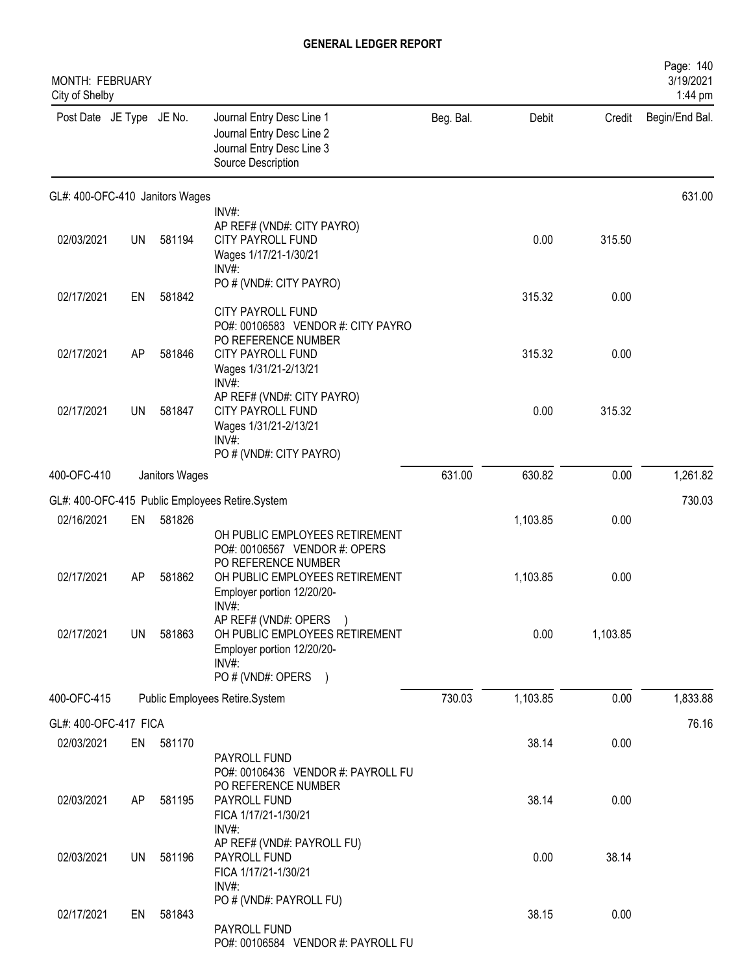| MONTH: FEBRUARY<br>City of Shelby |           |                |                                                                                                                                 |           |          |          | Page: 140<br>3/19/2021<br>1:44 pm |
|-----------------------------------|-----------|----------------|---------------------------------------------------------------------------------------------------------------------------------|-----------|----------|----------|-----------------------------------|
| Post Date JE Type JE No.          |           |                | Journal Entry Desc Line 1<br>Journal Entry Desc Line 2<br>Journal Entry Desc Line 3<br>Source Description                       | Beg. Bal. | Debit    | Credit   | Begin/End Bal.                    |
| GL#: 400-OFC-410 Janitors Wages   |           |                |                                                                                                                                 |           |          |          | 631.00                            |
| 02/03/2021                        | <b>UN</b> | 581194         | INV#:<br>AP REF# (VND#: CITY PAYRO)<br>CITY PAYROLL FUND<br>Wages 1/17/21-1/30/21<br>INV#:                                      |           | 0.00     | 315.50   |                                   |
| 02/17/2021                        | EN        | 581842         | PO # (VND#: CITY PAYRO)<br>CITY PAYROLL FUND                                                                                    |           | 315.32   | 0.00     |                                   |
| 02/17/2021                        | AP        | 581846         | PO#: 00106583 VENDOR #: CITY PAYRO<br>PO REFERENCE NUMBER<br><b>CITY PAYROLL FUND</b><br>Wages 1/31/21-2/13/21<br>INV#:         |           | 315.32   | 0.00     |                                   |
| 02/17/2021                        | UN        | 581847         | AP REF# (VND#: CITY PAYRO)<br>CITY PAYROLL FUND<br>Wages 1/31/21-2/13/21<br>INV#:<br>PO # (VND#: CITY PAYRO)                    |           | 0.00     | 315.32   |                                   |
| 400-OFC-410                       |           | Janitors Wages |                                                                                                                                 | 631.00    | 630.82   | 0.00     | 1,261.82                          |
|                                   |           |                | GL#: 400-OFC-415 Public Employees Retire.System                                                                                 |           |          |          | 730.03                            |
| 02/16/2021                        | EN        | 581826         | OH PUBLIC EMPLOYEES RETIREMENT<br>PO#: 00106567 VENDOR #: OPERS                                                                 |           | 1,103.85 | 0.00     |                                   |
| 02/17/2021                        | AP        | 581862         | PO REFERENCE NUMBER<br>OH PUBLIC EMPLOYEES RETIREMENT<br>Employer portion 12/20/20-<br>$INV#$ :                                 |           | 1,103.85 | 0.00     |                                   |
| 02/17/2021                        | UN        | 581863         | AP REF# (VND#: OPERS<br>OH PUBLIC EMPLOYEES RETIREMENT<br>Employer portion 12/20/20-<br>INV#:<br>PO # (VND#: OPERS<br>$\lambda$ |           | 0.00     | 1,103.85 |                                   |
| 400-OFC-415                       |           |                | Public Employees Retire.System                                                                                                  | 730.03    | 1,103.85 | 0.00     | 1,833.88                          |
| GL#: 400-OFC-417 FICA             |           |                |                                                                                                                                 |           |          |          | 76.16                             |
| 02/03/2021                        | EN        | 581170         | PAYROLL FUND<br>PO#: 00106436 VENDOR #: PAYROLL FU                                                                              |           | 38.14    | 0.00     |                                   |
| 02/03/2021                        | AP        | 581195         | PO REFERENCE NUMBER<br>PAYROLL FUND<br>FICA 1/17/21-1/30/21<br>INV#:                                                            |           | 38.14    | 0.00     |                                   |
| 02/03/2021                        | UN        | 581196         | AP REF# (VND#: PAYROLL FU)<br>PAYROLL FUND<br>FICA 1/17/21-1/30/21<br>$INV#$ :                                                  |           | 0.00     | 38.14    |                                   |
| 02/17/2021                        | EN        | 581843         | PO # (VND#: PAYROLL FU)<br>PAYROLL FUND<br>PO#: 00106584 VENDOR #: PAYROLL FU                                                   |           | 38.15    | 0.00     |                                   |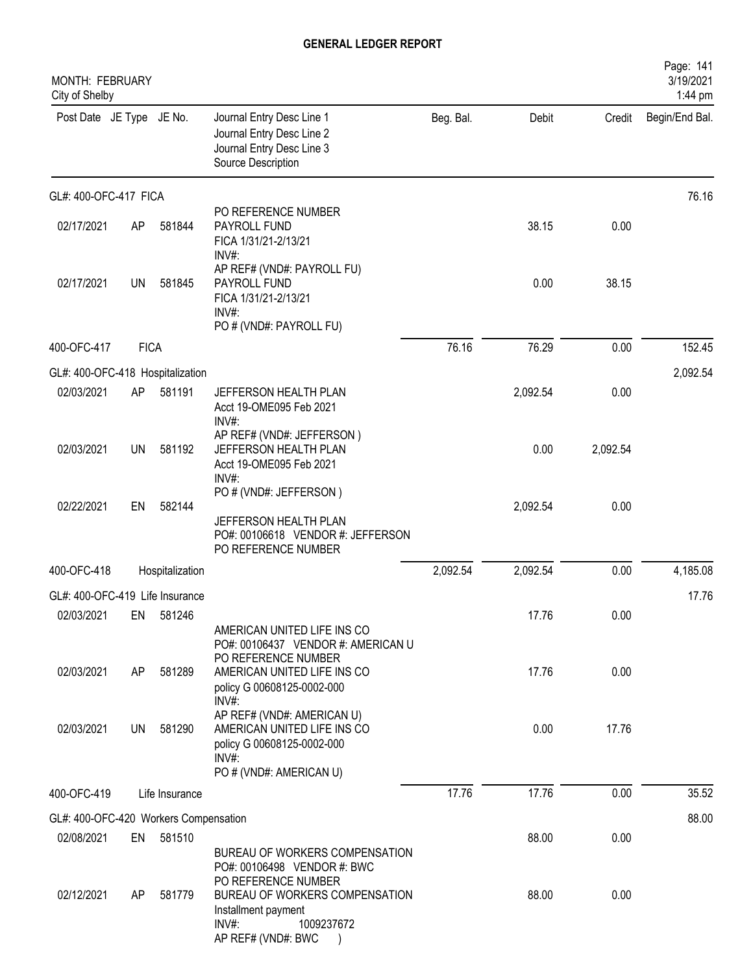| Credit<br>Begin/End Bal.<br>76.16                                                                  |
|----------------------------------------------------------------------------------------------------|
|                                                                                                    |
|                                                                                                    |
|                                                                                                    |
|                                                                                                    |
| 152.45                                                                                             |
| 2,092.54                                                                                           |
|                                                                                                    |
|                                                                                                    |
|                                                                                                    |
| 4,185.08                                                                                           |
| 17.76                                                                                              |
|                                                                                                    |
|                                                                                                    |
|                                                                                                    |
| 35.52                                                                                              |
| 88.00                                                                                              |
|                                                                                                    |
|                                                                                                    |
| 38.15<br>0.00<br>0.00<br>2,092.54<br>0.00<br>0.00<br>0.00<br>0.00<br>17.76<br>0.00<br>0.00<br>0.00 |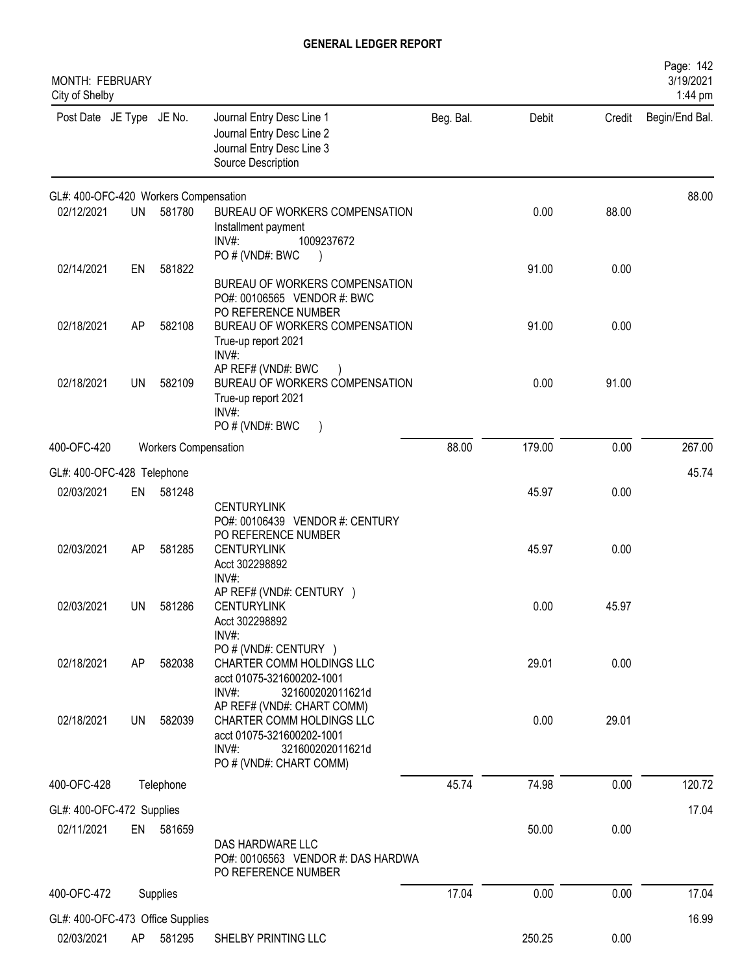| MONTH: FEBRUARY<br>City of Shelby     |           |                      |                                                                                                                                                 | Page: 142<br>3/19/2021<br>1:44 pm |        |        |                |
|---------------------------------------|-----------|----------------------|-------------------------------------------------------------------------------------------------------------------------------------------------|-----------------------------------|--------|--------|----------------|
| Post Date JE Type JE No.              |           |                      | Journal Entry Desc Line 1<br>Journal Entry Desc Line 2<br>Journal Entry Desc Line 3<br>Source Description                                       | Beg. Bal.                         | Debit  | Credit | Begin/End Bal. |
| GL#: 400-OFC-420 Workers Compensation |           |                      |                                                                                                                                                 |                                   |        |        | 88.00          |
| 02/12/2021                            | <b>UN</b> | 581780               | BUREAU OF WORKERS COMPENSATION<br>Installment payment<br>$INV#$ :<br>1009237672<br>PO # (VND#: BWC                                              |                                   | 0.00   | 88.00  |                |
| 02/14/2021                            | EN        | 581822               | BUREAU OF WORKERS COMPENSATION<br>PO#: 00106565 VENDOR #: BWC<br>PO REFERENCE NUMBER                                                            |                                   | 91.00  | 0.00   |                |
| 02/18/2021                            | AP        | 582108               | BUREAU OF WORKERS COMPENSATION<br>True-up report 2021<br>$INV#$ :<br>AP REF# (VND#: BWC                                                         |                                   | 91.00  | 0.00   |                |
| 02/18/2021                            | <b>UN</b> | 582109               | BUREAU OF WORKERS COMPENSATION<br>True-up report 2021<br>$INV#$ :<br>PO#(VND#: BWC                                                              |                                   | 0.00   | 91.00  |                |
| 400-OFC-420                           |           | Workers Compensation |                                                                                                                                                 | 88.00                             | 179.00 | 0.00   | 267.00         |
| GL#: 400-OFC-428 Telephone            |           |                      |                                                                                                                                                 |                                   |        |        | 45.74          |
| 02/03/2021                            | EN        | 581248               | <b>CENTURYLINK</b><br>PO#: 00106439 VENDOR #: CENTURY<br>PO REFERENCE NUMBER                                                                    |                                   | 45.97  | 0.00   |                |
| 02/03/2021                            | AP        | 581285               | <b>CENTURYLINK</b><br>Acct 302298892<br>$INV#$ :                                                                                                |                                   | 45.97  | 0.00   |                |
| 02/03/2021                            | UN        | 581286               | AP REF# (VND#: CENTURY )<br><b>CENTURYLINK</b><br>Acct 302298892<br>INV#:                                                                       |                                   | 0.00   | 45.97  |                |
| 02/18/2021                            | AP        | 582038               | PO # (VND#: CENTURY )<br>CHARTER COMM HOLDINGS LLC<br>acct 01075-321600202-1001<br>INV#:<br>321600202011621d                                    |                                   | 29.01  | 0.00   |                |
| 02/18/2021                            | <b>UN</b> | 582039               | AP REF# (VND#: CHART COMM)<br>CHARTER COMM HOLDINGS LLC<br>acct 01075-321600202-1001<br>$INV#$ :<br>321600202011621d<br>PO # (VND#: CHART COMM) |                                   | 0.00   | 29.01  |                |
| 400-OFC-428                           |           | Telephone            |                                                                                                                                                 | 45.74                             | 74.98  | 0.00   | 120.72         |
| GL#: 400-OFC-472 Supplies             |           |                      |                                                                                                                                                 |                                   |        |        | 17.04          |
| 02/11/2021                            |           | EN 581659            | DAS HARDWARE LLC<br>PO#: 00106563 VENDOR #: DAS HARDWA<br>PO REFERENCE NUMBER                                                                   |                                   | 50.00  | 0.00   |                |
| 400-OFC-472                           |           | Supplies             |                                                                                                                                                 | 17.04                             | 0.00   | 0.00   | 17.04          |
| GL#: 400-OFC-473 Office Supplies      |           |                      |                                                                                                                                                 |                                   |        |        | 16.99          |
| 02/03/2021                            | AP        | 581295               | SHELBY PRINTING LLC                                                                                                                             |                                   | 250.25 | 0.00   |                |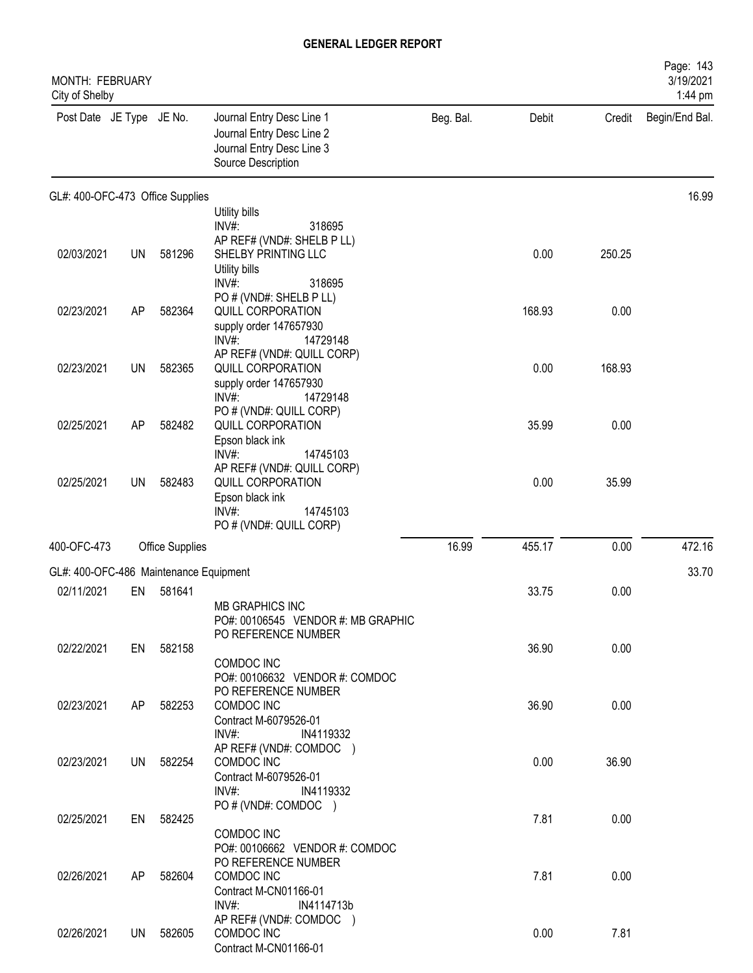| MONTH: FEBRUARY<br>City of Shelby      |           |                        |                                                                                                           |           |        |        | Page: 143<br>3/19/2021<br>1:44 pm |
|----------------------------------------|-----------|------------------------|-----------------------------------------------------------------------------------------------------------|-----------|--------|--------|-----------------------------------|
| Post Date JE Type JE No.               |           |                        | Journal Entry Desc Line 1<br>Journal Entry Desc Line 2<br>Journal Entry Desc Line 3<br>Source Description | Beg. Bal. | Debit  | Credit | Begin/End Bal.                    |
| GL#: 400-OFC-473 Office Supplies       |           |                        |                                                                                                           |           |        |        | 16.99                             |
|                                        |           |                        | Utility bills                                                                                             |           |        |        |                                   |
|                                        |           |                        | INV#:<br>318695<br>AP REF# (VND#: SHELB P LL)                                                             |           |        |        |                                   |
| 02/03/2021                             | <b>UN</b> | 581296                 | SHELBY PRINTING LLC                                                                                       |           | 0.00   | 250.25 |                                   |
|                                        |           |                        | Utility bills                                                                                             |           |        |        |                                   |
|                                        |           |                        | INV#:<br>318695                                                                                           |           |        |        |                                   |
| 02/23/2021                             | AP        | 582364                 | PO # (VND#: SHELB P LL)<br>QUILL CORPORATION                                                              |           | 168.93 | 0.00   |                                   |
|                                        |           |                        | supply order 147657930                                                                                    |           |        |        |                                   |
|                                        |           |                        | $INV#$ :<br>14729148                                                                                      |           |        |        |                                   |
| 02/23/2021                             | UN        | 582365                 | AP REF# (VND#: QUILL CORP)<br>QUILL CORPORATION                                                           |           | 0.00   | 168.93 |                                   |
|                                        |           |                        | supply order 147657930                                                                                    |           |        |        |                                   |
|                                        |           |                        | INV#:<br>14729148                                                                                         |           |        |        |                                   |
|                                        |           |                        | PO # (VND#: QUILL CORP)                                                                                   |           |        |        |                                   |
| 02/25/2021                             | <b>AP</b> | 582482                 | QUILL CORPORATION<br>Epson black ink                                                                      |           | 35.99  | 0.00   |                                   |
|                                        |           |                        | INV#:<br>14745103                                                                                         |           |        |        |                                   |
|                                        |           |                        | AP REF# (VND#: QUILL CORP)                                                                                |           |        |        |                                   |
| 02/25/2021                             | <b>UN</b> | 582483                 | QUILL CORPORATION<br>Epson black ink                                                                      |           | 0.00   | 35.99  |                                   |
|                                        |           |                        | INV#:<br>14745103                                                                                         |           |        |        |                                   |
|                                        |           |                        | PO # (VND#: QUILL CORP)                                                                                   |           |        |        |                                   |
| 400-OFC-473                            |           | <b>Office Supplies</b> |                                                                                                           | 16.99     | 455.17 | 0.00   | 472.16                            |
| GL#: 400-OFC-486 Maintenance Equipment |           |                        |                                                                                                           |           |        |        | 33.70                             |
| 02/11/2021                             | EN        | 581641                 |                                                                                                           |           | 33.75  | 0.00   |                                   |
|                                        |           |                        | <b>MB GRAPHICS INC</b>                                                                                    |           |        |        |                                   |
|                                        |           |                        | PO#: 00106545 VENDOR #: MB GRAPHIC                                                                        |           |        |        |                                   |
| 02/22/2021                             |           | EN 582158              | PO REFERENCE NUMBER                                                                                       |           | 36.90  | 0.00   |                                   |
|                                        |           |                        | COMDOC INC                                                                                                |           |        |        |                                   |
|                                        |           |                        | PO#: 00106632 VENDOR #: COMDOC                                                                            |           |        |        |                                   |
| 02/23/2021                             | AP        | 582253                 | PO REFERENCE NUMBER<br>COMDOC INC                                                                         |           | 36.90  | 0.00   |                                   |
|                                        |           |                        | Contract M-6079526-01                                                                                     |           |        |        |                                   |
|                                        |           |                        | INV#:<br>IN4119332                                                                                        |           |        |        |                                   |
|                                        |           |                        | AP REF# (VND#: COMDOC )                                                                                   |           |        |        |                                   |
| 02/23/2021                             | UN        | 582254                 | COMDOC INC<br>Contract M-6079526-01                                                                       |           | 0.00   | 36.90  |                                   |
|                                        |           |                        | INV#:<br>IN4119332                                                                                        |           |        |        |                                   |
|                                        |           |                        | PO # (VND#: COMDOC )                                                                                      |           |        |        |                                   |
| 02/25/2021                             | EN        | 582425                 | COMDOC INC                                                                                                |           | 7.81   | 0.00   |                                   |
|                                        |           |                        | PO#: 00106662 VENDOR #: COMDOC                                                                            |           |        |        |                                   |
|                                        |           |                        | PO REFERENCE NUMBER                                                                                       |           |        |        |                                   |
| 02/26/2021                             | AP        | 582604                 | COMDOC INC                                                                                                |           | 7.81   | 0.00   |                                   |
|                                        |           |                        | Contract M-CN01166-01<br>$INV#$ :<br>IN4114713b                                                           |           |        |        |                                   |
|                                        |           |                        | AP REF# (VND#: COMDOC )                                                                                   |           |        |        |                                   |
| 02/26/2021                             | <b>UN</b> | 582605                 | COMDOC INC                                                                                                |           | 0.00   | 7.81   |                                   |
|                                        |           |                        | Contract M-CN01166-01                                                                                     |           |        |        |                                   |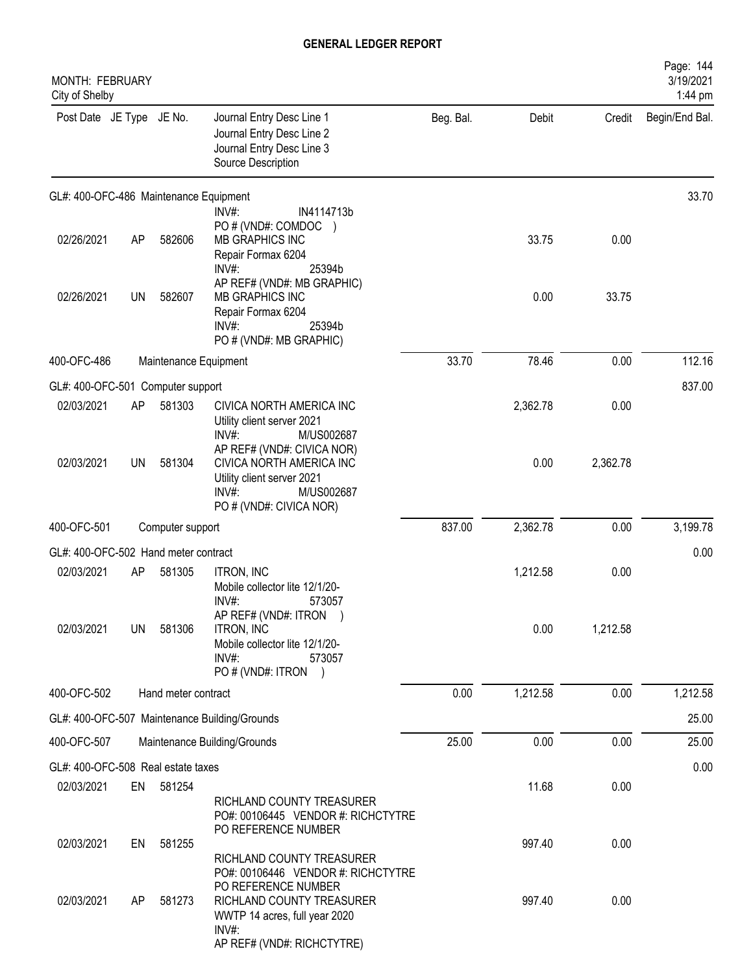| <b>MONTH: FEBRUARY</b><br>City of Shelby |           |                       |                                                                                                                                                                |           |          |          | Page: 144<br>3/19/2021<br>1:44 pm |
|------------------------------------------|-----------|-----------------------|----------------------------------------------------------------------------------------------------------------------------------------------------------------|-----------|----------|----------|-----------------------------------|
| Post Date JE Type JE No.                 |           |                       | Journal Entry Desc Line 1<br>Journal Entry Desc Line 2<br>Journal Entry Desc Line 3<br>Source Description                                                      | Beg. Bal. | Debit    | Credit   | Begin/End Bal.                    |
| GL#: 400-OFC-486 Maintenance Equipment   |           |                       |                                                                                                                                                                |           |          |          | 33.70                             |
| 02/26/2021                               | AP        | 582606                | $INV#$ :<br>IN4114713b<br>PO # (VND#: COMDOC<br>MB GRAPHICS INC<br>Repair Formax 6204<br>INV#:<br>25394b                                                       |           | 33.75    | 0.00     |                                   |
| 02/26/2021                               | UN        | 582607                | AP REF# (VND#: MB GRAPHIC)<br>MB GRAPHICS INC<br>Repair Formax 6204<br>INV#<br>25394b<br>PO # (VND#: MB GRAPHIC)                                               |           | 0.00     | 33.75    |                                   |
| 400-OFC-486                              |           | Maintenance Equipment |                                                                                                                                                                | 33.70     | 78.46    | 0.00     | 112.16                            |
| GL#: 400-OFC-501 Computer support        |           |                       |                                                                                                                                                                |           |          |          | 837.00                            |
| 02/03/2021                               | AP        | 581303                | CIVICA NORTH AMERICA INC<br>Utility client server 2021<br>$INV#$ :<br>M/US002687                                                                               |           | 2,362.78 | 0.00     |                                   |
| 02/03/2021                               | UN        | 581304                | AP REF# (VND#: CIVICA NOR)<br>CIVICA NORTH AMERICA INC<br>Utility client server 2021<br>$INV#$ :<br>M/US002687<br>PO # (VND#: CIVICA NOR)                      |           | 0.00     | 2,362.78 |                                   |
| 400-OFC-501<br>Computer support          |           |                       | 837.00                                                                                                                                                         | 2,362.78  | 0.00     | 3,199.78 |                                   |
| GL#: 400-OFC-502 Hand meter contract     |           |                       |                                                                                                                                                                |           |          |          | 0.00                              |
| 02/03/2021                               | AP        | 581305                | <b>ITRON, INC</b><br>Mobile collector lite 12/1/20-<br>INV#:<br>573057                                                                                         |           | 1,212.58 | 0.00     |                                   |
| 02/03/2021                               | <b>UN</b> | 581306                | AP REF# (VND#: ITRON<br><b>ITRON, INC</b><br>Mobile collector lite 12/1/20-<br>$INV#$ :<br>573057<br>PO # (VND#: ITRON )                                       |           | 0.00     | 1,212.58 |                                   |
| 400-OFC-502                              |           | Hand meter contract   |                                                                                                                                                                | 0.00      | 1,212.58 | 0.00     | 1,212.58                          |
|                                          |           |                       | GL#: 400-OFC-507 Maintenance Building/Grounds                                                                                                                  |           |          |          | 25.00                             |
| 400-OFC-507                              |           |                       | Maintenance Building/Grounds                                                                                                                                   | 25.00     | 0.00     | 0.00     | 25.00                             |
| GL#: 400-OFC-508 Real estate taxes       |           |                       |                                                                                                                                                                |           |          |          | 0.00                              |
| 02/03/2021                               | EN        | 581254                | RICHLAND COUNTY TREASURER<br>PO#: 00106445 VENDOR #: RICHCTYTRE                                                                                                |           | 11.68    | 0.00     |                                   |
| 02/03/2021                               | EN        | 581255                | PO REFERENCE NUMBER<br>RICHLAND COUNTY TREASURER                                                                                                               |           | 997.40   | 0.00     |                                   |
| 02/03/2021                               | AP.       | 581273                | PO#: 00106446 VENDOR #: RICHCTYTRE<br>PO REFERENCE NUMBER<br>RICHLAND COUNTY TREASURER<br>WWTP 14 acres, full year 2020<br>INV#:<br>AP REF# (VND#: RICHCTYTRE) |           | 997.40   | 0.00     |                                   |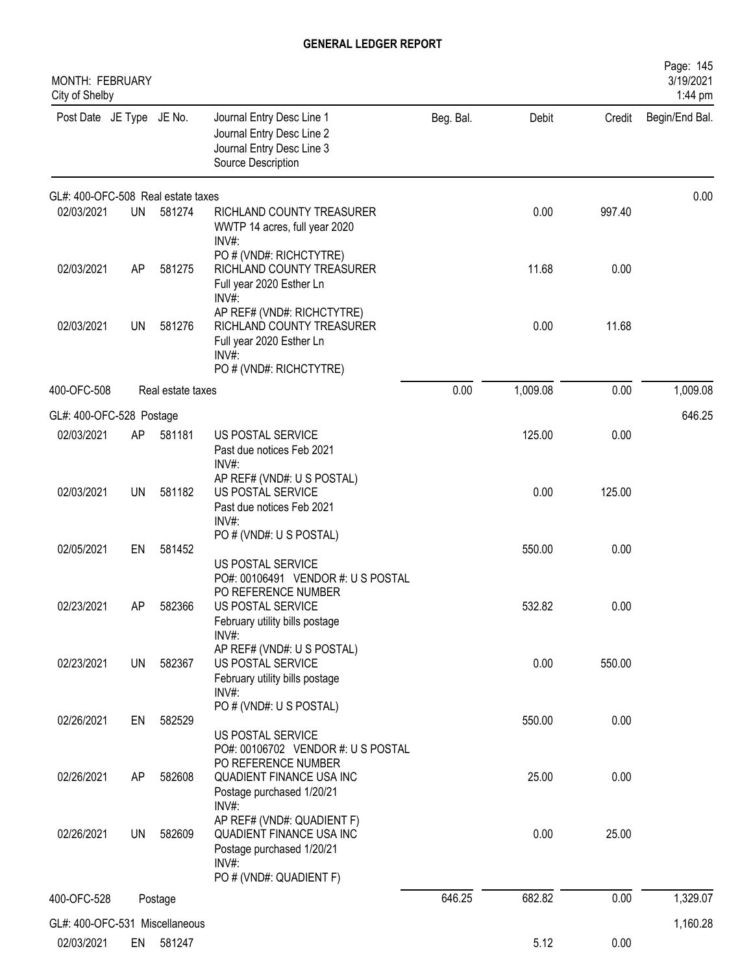| MONTH: FEBRUARY<br>City of Shelby  |           |                   |                                                                                                             |           |          |        | Page: 145<br>3/19/2021<br>1:44 pm |
|------------------------------------|-----------|-------------------|-------------------------------------------------------------------------------------------------------------|-----------|----------|--------|-----------------------------------|
| Post Date JE Type JE No.           |           |                   | Journal Entry Desc Line 1<br>Journal Entry Desc Line 2<br>Journal Entry Desc Line 3<br>Source Description   | Beg. Bal. | Debit    | Credit | Begin/End Bal.                    |
| GL#: 400-OFC-508 Real estate taxes |           |                   |                                                                                                             |           |          |        | 0.00                              |
| 02/03/2021                         | UN        | 581274            | RICHLAND COUNTY TREASURER<br>WWTP 14 acres, full year 2020<br>INV#:                                         |           | 0.00     | 997.40 |                                   |
| 02/03/2021                         | AP        | 581275            | PO # (VND#: RICHCTYTRE)<br>RICHLAND COUNTY TREASURER<br>Full year 2020 Esther Ln<br>INV#:                   |           | 11.68    | 0.00   |                                   |
| 02/03/2021                         | <b>UN</b> | 581276            | AP REF# (VND#: RICHCTYTRE)<br>RICHLAND COUNTY TREASURER<br>Full year 2020 Esther Ln<br>INV#                 |           | 0.00     | 11.68  |                                   |
|                                    |           |                   | PO # (VND#: RICHCTYTRE)                                                                                     |           |          |        |                                   |
| 400-OFC-508                        |           | Real estate taxes |                                                                                                             | 0.00      | 1,009.08 | 0.00   | 1,009.08                          |
| GL#: 400-OFC-528 Postage           |           |                   |                                                                                                             |           |          |        | 646.25                            |
| 02/03/2021                         | AP        | 581181            | US POSTAL SERVICE<br>Past due notices Feb 2021<br>INV#:                                                     |           | 125.00   | 0.00   |                                   |
| 02/03/2021                         | UN        | 581182            | AP REF# (VND#: U S POSTAL)<br>US POSTAL SERVICE<br>Past due notices Feb 2021<br>INV#:                       |           | 0.00     | 125.00 |                                   |
| 02/05/2021                         | EN        | 581452            | PO # (VND#: U S POSTAL)                                                                                     |           | 550.00   | 0.00   |                                   |
|                                    |           |                   | US POSTAL SERVICE<br>PO#: 00106491 VENDOR #: US POSTAL<br>PO REFERENCE NUMBER                               |           |          |        |                                   |
| 02/23/2021                         | AΡ        | 582366            | US POSTAL SERVICE<br>February utility bills postage<br>$INV#$ :                                             |           | 532.82   | 0.00   |                                   |
| 02/23/2021                         | UN        | 582367            | AP REF# (VND#: U S POSTAL)<br>US POSTAL SERVICE<br>February utility bills postage<br>INV#:                  |           | 0.00     | 550.00 |                                   |
| 02/26/2021                         | EN        | 582529            | PO # (VND#: U S POSTAL)<br>US POSTAL SERVICE<br>PO#: 00106702 VENDOR #: U S POSTAL                          |           | 550.00   | 0.00   |                                   |
| 02/26/2021                         | AP        | 582608            | PO REFERENCE NUMBER<br>QUADIENT FINANCE USA INC<br>Postage purchased 1/20/21                                |           | 25.00    | 0.00   |                                   |
| 02/26/2021                         | <b>UN</b> | 582609            | $INV#$ :<br>AP REF# (VND#: QUADIENT F)<br>QUADIENT FINANCE USA INC<br>Postage purchased 1/20/21<br>$INV#$ : |           | 0.00     | 25.00  |                                   |
|                                    |           |                   | PO # (VND#: QUADIENT F)                                                                                     |           |          |        |                                   |
| 400-OFC-528                        |           | Postage           |                                                                                                             | 646.25    | 682.82   | 0.00   | 1,329.07                          |
| GL#: 400-OFC-531 Miscellaneous     |           |                   |                                                                                                             |           |          |        | 1,160.28                          |
| 02/03/2021                         | EN        | 581247            |                                                                                                             |           | 5.12     | 0.00   |                                   |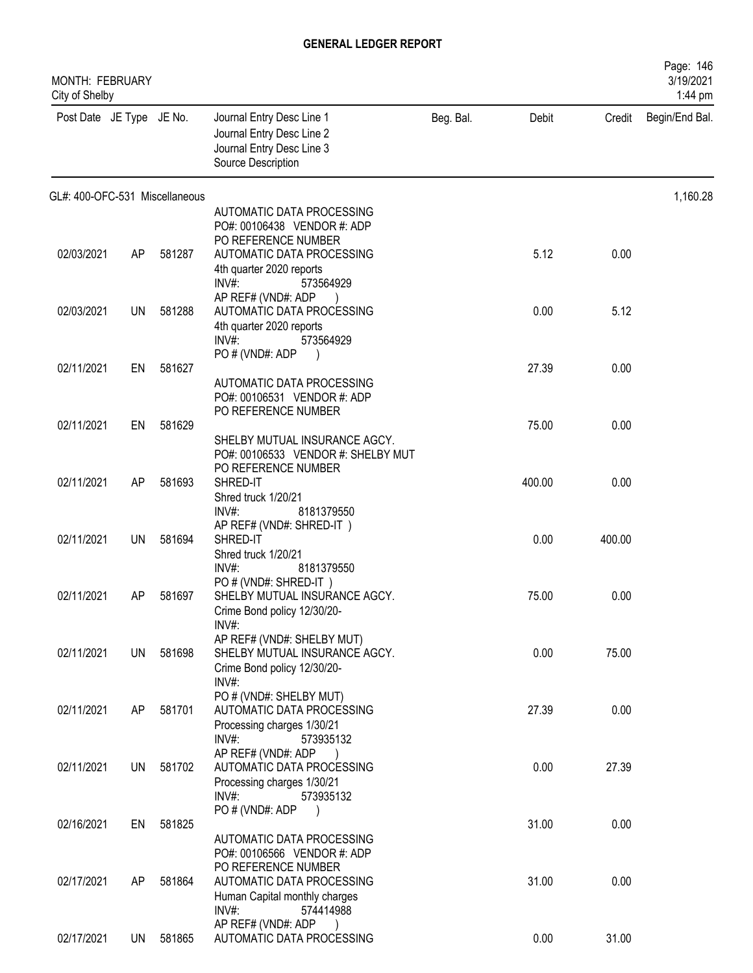| <b>MONTH: FEBRUARY</b><br>City of Shelby |     |        |                                                                                                           |           |        |        | Page: 146<br>3/19/2021<br>1:44 pm |
|------------------------------------------|-----|--------|-----------------------------------------------------------------------------------------------------------|-----------|--------|--------|-----------------------------------|
| Post Date JE Type JE No.                 |     |        | Journal Entry Desc Line 1<br>Journal Entry Desc Line 2<br>Journal Entry Desc Line 3<br>Source Description | Beg. Bal. | Debit  | Credit | Begin/End Bal.                    |
| GL#: 400-OFC-531 Miscellaneous           |     |        |                                                                                                           |           |        |        | 1,160.28                          |
|                                          |     |        | AUTOMATIC DATA PROCESSING<br>PO#: 00106438 VENDOR #: ADP                                                  |           |        |        |                                   |
|                                          |     |        | PO REFERENCE NUMBER                                                                                       |           |        |        |                                   |
| 02/03/2021                               | AP  | 581287 | AUTOMATIC DATA PROCESSING                                                                                 |           | 5.12   | 0.00   |                                   |
|                                          |     |        | 4th quarter 2020 reports<br>$INV#$ :<br>573564929                                                         |           |        |        |                                   |
|                                          |     |        | AP REF# (VND#: ADP                                                                                        |           |        |        |                                   |
| 02/03/2021                               | UN  | 581288 | AUTOMATIC DATA PROCESSING                                                                                 |           | 0.00   | 5.12   |                                   |
|                                          |     |        | 4th quarter 2020 reports<br>$INV#$ :<br>573564929                                                         |           |        |        |                                   |
|                                          |     |        | PO # (VND#: ADP                                                                                           |           |        |        |                                   |
| 02/11/2021                               | EN  | 581627 |                                                                                                           |           | 27.39  | 0.00   |                                   |
|                                          |     |        | AUTOMATIC DATA PROCESSING<br>PO#: 00106531 VENDOR #: ADP                                                  |           |        |        |                                   |
|                                          |     |        | PO REFERENCE NUMBER                                                                                       |           |        |        |                                   |
| 02/11/2021                               | EN  | 581629 |                                                                                                           |           | 75.00  | 0.00   |                                   |
|                                          |     |        | SHELBY MUTUAL INSURANCE AGCY.<br>PO#: 00106533 VENDOR #: SHELBY MUT                                       |           |        |        |                                   |
|                                          |     |        | PO REFERENCE NUMBER                                                                                       |           |        |        |                                   |
| 02/11/2021                               | AP  | 581693 | SHRED-IT                                                                                                  |           | 400.00 | 0.00   |                                   |
|                                          |     |        | Shred truck 1/20/21<br>$INV#$ :<br>8181379550                                                             |           |        |        |                                   |
|                                          |     |        | AP REF# (VND#: SHRED-IT)                                                                                  |           |        |        |                                   |
| 02/11/2021                               | UN. | 581694 | SHRED-IT                                                                                                  |           | 0.00   | 400.00 |                                   |
|                                          |     |        | Shred truck 1/20/21<br>INV#:<br>8181379550                                                                |           |        |        |                                   |
|                                          |     |        | PO#(VND#: SHRED-IT)                                                                                       |           |        |        |                                   |
| 02/11/2021                               | AP. | 581697 | SHELBY MUTUAL INSURANCE AGCY.                                                                             |           | 75.00  | 0.00   |                                   |
|                                          |     |        | Crime Bond policy 12/30/20-<br>INV#:                                                                      |           |        |        |                                   |
|                                          |     |        | AP REF# (VND#: SHELBY MUT)                                                                                |           |        |        |                                   |
| 02/11/2021                               | UN  | 581698 | SHELBY MUTUAL INSURANCE AGCY.                                                                             |           | 0.00   | 75.00  |                                   |
|                                          |     |        | Crime Bond policy 12/30/20-<br>$INV#$ :                                                                   |           |        |        |                                   |
|                                          |     |        | PO # (VND#: SHELBY MUT)                                                                                   |           |        |        |                                   |
| 02/11/2021                               | AP  | 581701 | AUTOMATIC DATA PROCESSING                                                                                 |           | 27.39  | 0.00   |                                   |
|                                          |     |        | Processing charges 1/30/21<br>$INV#$ :<br>573935132                                                       |           |        |        |                                   |
|                                          |     |        | AP REF# (VND#: ADP                                                                                        |           |        |        |                                   |
| 02/11/2021                               | UN  | 581702 | AUTOMATIC DATA PROCESSING                                                                                 |           | 0.00   | 27.39  |                                   |
|                                          |     |        | Processing charges 1/30/21<br>INV#:<br>573935132                                                          |           |        |        |                                   |
|                                          |     |        | PO#(VND#: ADP                                                                                             |           |        |        |                                   |
| 02/16/2021                               | EN  | 581825 |                                                                                                           |           | 31.00  | 0.00   |                                   |
|                                          |     |        | AUTOMATIC DATA PROCESSING<br>PO#: 00106566 VENDOR #: ADP                                                  |           |        |        |                                   |
|                                          |     |        | PO REFERENCE NUMBER                                                                                       |           |        |        |                                   |
| 02/17/2021                               | AP  | 581864 | AUTOMATIC DATA PROCESSING                                                                                 |           | 31.00  | 0.00   |                                   |
|                                          |     |        | Human Capital monthly charges<br>$INV#$ :<br>574414988                                                    |           |        |        |                                   |
|                                          |     |        | AP REF# (VND#: ADP                                                                                        |           |        |        |                                   |
| 02/17/2021                               | UN  | 581865 | AUTOMATIC DATA PROCESSING                                                                                 |           | 0.00   | 31.00  |                                   |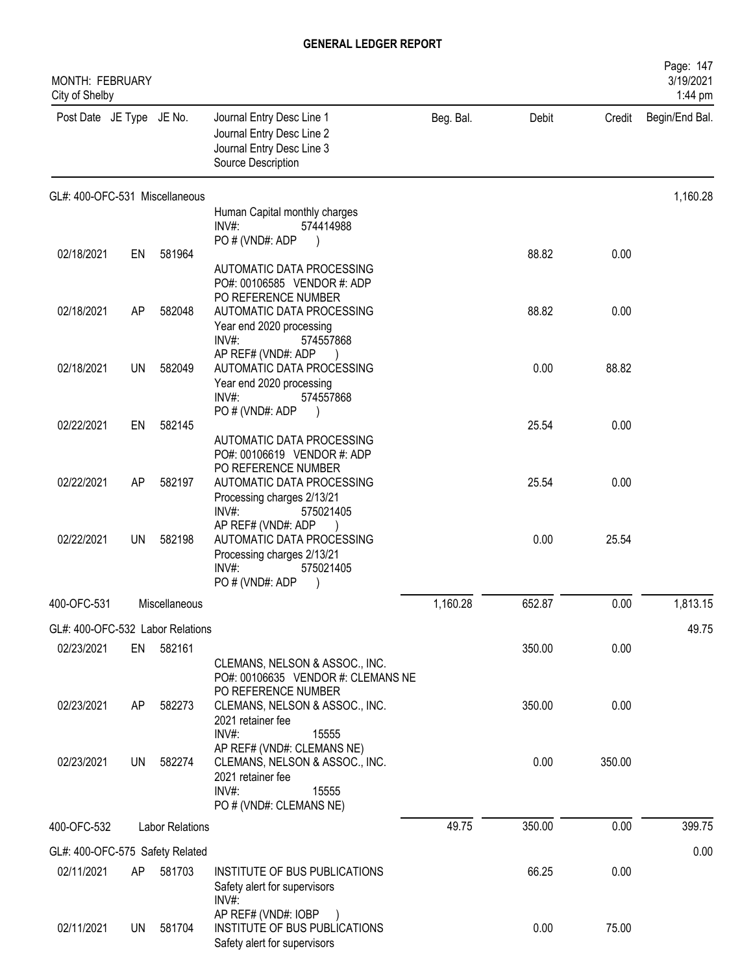| <b>MONTH: FEBRUARY</b><br>City of Shelby |           |                        |                                                                                                                                                     |           |        |        | Page: 147<br>3/19/2021<br>1:44 pm |
|------------------------------------------|-----------|------------------------|-----------------------------------------------------------------------------------------------------------------------------------------------------|-----------|--------|--------|-----------------------------------|
| Post Date JE Type JE No.                 |           |                        | Journal Entry Desc Line 1<br>Journal Entry Desc Line 2<br>Journal Entry Desc Line 3<br>Source Description                                           | Beg. Bal. | Debit  | Credit | Begin/End Bal.                    |
| GL#: 400-OFC-531 Miscellaneous           |           |                        |                                                                                                                                                     |           |        |        | 1,160.28                          |
|                                          |           |                        | Human Capital monthly charges<br>INV#:<br>574414988                                                                                                 |           |        |        |                                   |
|                                          |           |                        | PO#(VND#: ADP                                                                                                                                       |           |        |        |                                   |
| 02/18/2021                               | EN        | 581964                 | AUTOMATIC DATA PROCESSING<br>PO#: 00106585 VENDOR #: ADP<br>PO REFERENCE NUMBER                                                                     |           | 88.82  | 0.00   |                                   |
| 02/18/2021                               | AP        | 582048                 | AUTOMATIC DATA PROCESSING<br>Year end 2020 processing<br>INV#:<br>574557868                                                                         |           | 88.82  | 0.00   |                                   |
| 02/18/2021                               | <b>UN</b> | 582049                 | AP REF# (VND#: ADP<br>AUTOMATIC DATA PROCESSING<br>Year end 2020 processing<br>INV#:<br>574557868                                                   |           | 0.00   | 88.82  |                                   |
| 02/22/2021                               | EN        | 582145                 | PO # (VND#: ADP                                                                                                                                     |           | 25.54  | 0.00   |                                   |
|                                          |           |                        | AUTOMATIC DATA PROCESSING<br>PO#: 00106619 VENDOR #: ADP<br>PO REFERENCE NUMBER                                                                     |           |        |        |                                   |
| 02/22/2021                               | AP        | 582197                 | AUTOMATIC DATA PROCESSING<br>Processing charges 2/13/21<br>INV#<br>575021405                                                                        |           | 25.54  | 0.00   |                                   |
| 02/22/2021                               | UN        | 582198                 | AP REF# (VND#: ADP<br>AUTOMATIC DATA PROCESSING<br>Processing charges 2/13/21<br>INV#<br>575021405<br>PO#(VND#: ADP                                 |           | 0.00   | 25.54  |                                   |
| 400-OFC-531                              |           | Miscellaneous          |                                                                                                                                                     | 1,160.28  | 652.87 | 0.00   | 1,813.15                          |
| GL#: 400-OFC-532 Labor Relations         |           |                        |                                                                                                                                                     |           |        |        | 49.75                             |
| 02/23/2021                               | EN        | 582161                 | CLEMANS, NELSON & ASSOC., INC.<br>PO#: 00106635 VENDOR #: CLEMANS NE                                                                                |           | 350.00 | 0.00   |                                   |
| 02/23/2021                               | AP        | 582273                 | PO REFERENCE NUMBER<br>CLEMANS, NELSON & ASSOC., INC.<br>2021 retainer fee                                                                          |           | 350.00 | 0.00   |                                   |
| 02/23/2021                               | <b>UN</b> | 582274                 | INV#:<br>15555<br>AP REF# (VND#: CLEMANS NE)<br>CLEMANS, NELSON & ASSOC., INC.<br>2021 retainer fee<br>$INV#$ :<br>15555<br>PO # (VND#: CLEMANS NE) |           | 0.00   | 350.00 |                                   |
| 400-OFC-532                              |           | <b>Labor Relations</b> |                                                                                                                                                     | 49.75     | 350.00 | 0.00   | 399.75                            |
| GL#: 400-OFC-575 Safety Related          |           |                        |                                                                                                                                                     |           |        |        | 0.00                              |
| 02/11/2021                               | AP        | 581703                 | INSTITUTE OF BUS PUBLICATIONS<br>Safety alert for supervisors<br>INV#:                                                                              |           | 66.25  | 0.00   |                                   |
| 02/11/2021                               | UN        | 581704                 | AP REF# (VND#: IOBP<br>INSTITUTE OF BUS PUBLICATIONS<br>Safety alert for supervisors                                                                |           | 0.00   | 75.00  |                                   |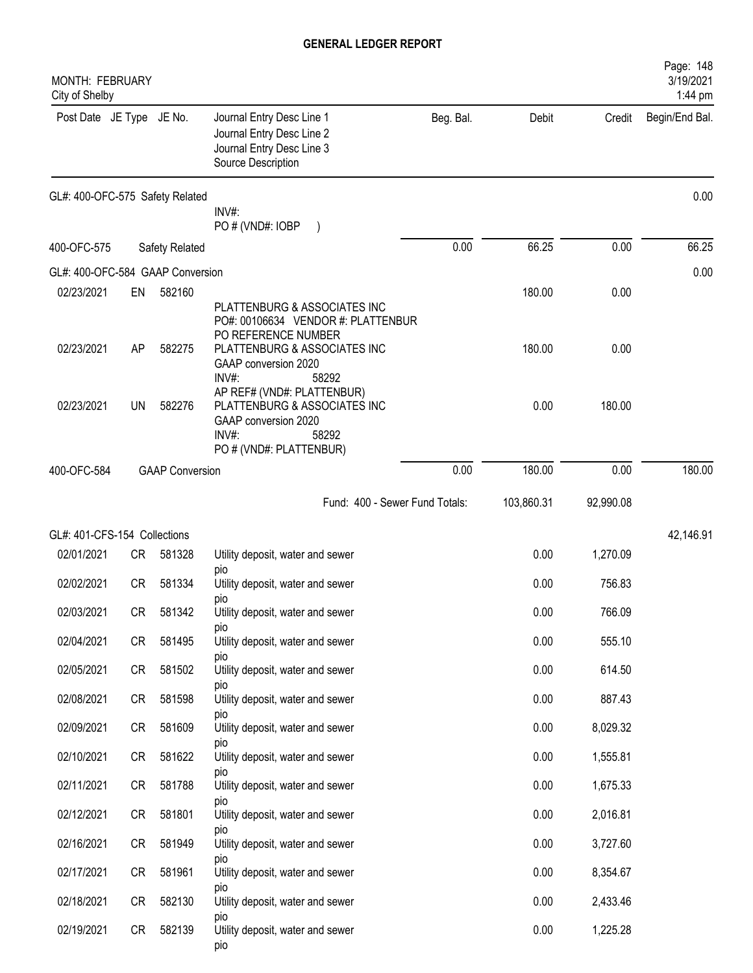| <b>MONTH: FEBRUARY</b><br>City of Shelby |           |                        |                                                                                                                                 |           |            |           | Page: 148<br>3/19/2021<br>1:44 pm |
|------------------------------------------|-----------|------------------------|---------------------------------------------------------------------------------------------------------------------------------|-----------|------------|-----------|-----------------------------------|
| Post Date JE Type JE No.                 |           |                        | Journal Entry Desc Line 1<br>Journal Entry Desc Line 2<br>Journal Entry Desc Line 3<br>Source Description                       | Beg. Bal. | Debit      | Credit    | Begin/End Bal.                    |
| GL#: 400-OFC-575 Safety Related          |           |                        |                                                                                                                                 |           |            |           | 0.00                              |
|                                          |           |                        | INV#:<br>PO # (VND#: IOBP                                                                                                       |           |            |           |                                   |
| 400-OFC-575                              |           | Safety Related         |                                                                                                                                 | 0.00      | 66.25      | 0.00      | 66.25                             |
| GL#: 400-OFC-584 GAAP Conversion         |           |                        |                                                                                                                                 |           |            |           | 0.00                              |
| 02/23/2021                               | EN        | 582160                 | PLATTENBURG & ASSOCIATES INC<br>PO#: 00106634 VENDOR #: PLATTENBUR<br>PO REFERENCE NUMBER                                       |           | 180.00     | 0.00      |                                   |
| 02/23/2021                               | AP        | 582275                 | PLATTENBURG & ASSOCIATES INC<br>GAAP conversion 2020<br>INV#<br>58292                                                           |           | 180.00     | 0.00      |                                   |
| 02/23/2021                               | UN        | 582276                 | AP REF# (VND#: PLATTENBUR)<br>PLATTENBURG & ASSOCIATES INC<br>GAAP conversion 2020<br>INV#:<br>58292<br>PO # (VND#: PLATTENBUR) |           | 0.00       | 180.00    |                                   |
| 400-OFC-584                              |           | <b>GAAP Conversion</b> |                                                                                                                                 | 0.00      | 180.00     | 0.00      | 180.00                            |
|                                          |           |                        | Fund: 400 - Sewer Fund Totals:                                                                                                  |           | 103,860.31 | 92,990.08 |                                   |
| GL#: 401-CFS-154 Collections             |           |                        |                                                                                                                                 |           |            |           | 42,146.91                         |
| 02/01/2021                               | CR        | 581328                 | Utility deposit, water and sewer                                                                                                |           | 0.00       | 1,270.09  |                                   |
| 02/02/2021                               | CR        | 581334                 | pio<br>Utility deposit, water and sewer                                                                                         |           | 0.00       | 756.83    |                                   |
| 02/03/2021                               | CR        | 581342                 | pio<br>Utility deposit, water and sewer<br>pio                                                                                  |           | 0.00       | 766.09    |                                   |
| 02/04/2021                               | CR        | 581495                 | Utility deposit, water and sewer                                                                                                |           | 0.00       | 555.10    |                                   |
| 02/05/2021                               | <b>CR</b> | 581502                 | pio<br>Utility deposit, water and sewer                                                                                         |           | 0.00       | 614.50    |                                   |
| 02/08/2021                               | <b>CR</b> | 581598                 | pio<br>Utility deposit, water and sewer                                                                                         |           | 0.00       | 887.43    |                                   |
| 02/09/2021                               | <b>CR</b> | 581609                 | pio<br>Utility deposit, water and sewer                                                                                         |           | 0.00       | 8,029.32  |                                   |
| 02/10/2021                               | CR        | 581622                 | pio<br>Utility deposit, water and sewer                                                                                         |           | 0.00       | 1,555.81  |                                   |
| 02/11/2021                               | CR        | 581788                 | pio<br>Utility deposit, water and sewer                                                                                         |           | 0.00       | 1,675.33  |                                   |
| 02/12/2021                               | CR        | 581801                 | pio<br>Utility deposit, water and sewer                                                                                         |           | 0.00       | 2,016.81  |                                   |
| 02/16/2021                               | CR        | 581949                 | <b>DIO</b><br>Utility deposit, water and sewer                                                                                  |           | 0.00       | 3,727.60  |                                   |
| 02/17/2021                               | CR        | 581961                 | <b>DIO</b><br>Utility deposit, water and sewer                                                                                  |           | 0.00       | 8,354.67  |                                   |
| 02/18/2021                               | CR        | 582130                 | <b>DIO</b><br>Utility deposit, water and sewer                                                                                  |           | 0.00       | 2,433.46  |                                   |
| 02/19/2021                               | CR        | 582139                 | DIO<br>Utility deposit, water and sewer<br>pio                                                                                  |           | 0.00       | 1,225.28  |                                   |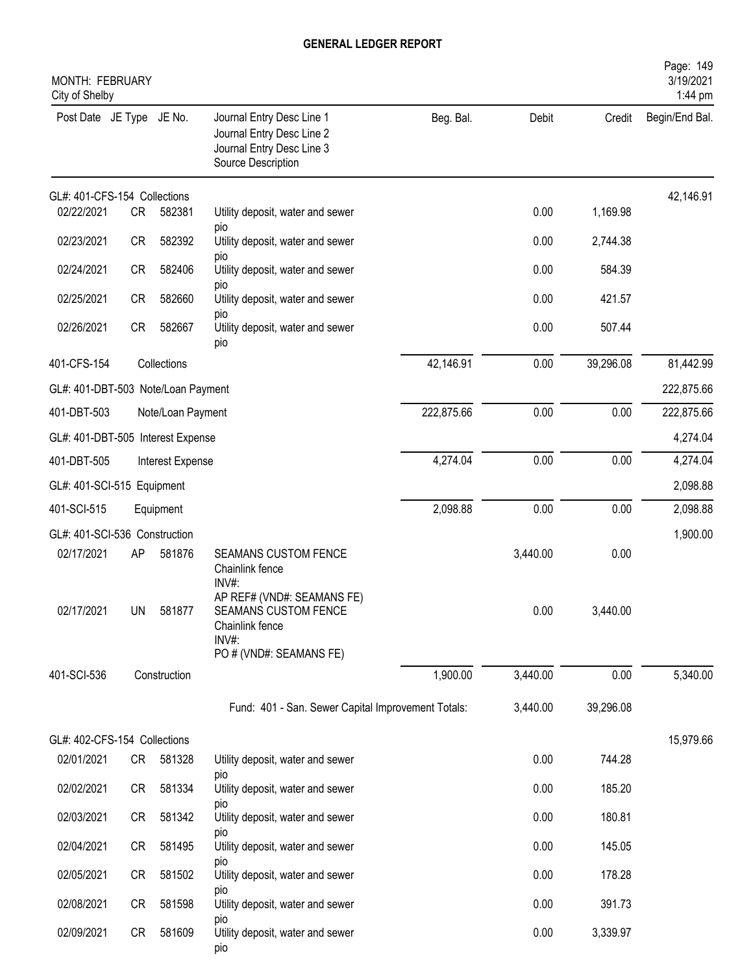| MONTH: FEBRUARY<br>City of Shelby  |           |                   |                                                                                                           |            |          |           | Page: 149<br>3/19/2021<br>1:44 pm |
|------------------------------------|-----------|-------------------|-----------------------------------------------------------------------------------------------------------|------------|----------|-----------|-----------------------------------|
| Post Date JE Type JE No.           |           |                   | Journal Entry Desc Line 1<br>Journal Entry Desc Line 2<br>Journal Entry Desc Line 3<br>Source Description | Beg. Bal.  | Debit    | Credit    | Begin/End Bal.                    |
| GL#: 401-CFS-154 Collections       |           |                   |                                                                                                           |            |          |           | 42,146.91                         |
| 02/22/2021                         | CR        | 582381            | Utility deposit, water and sewer<br>pio                                                                   |            | 0.00     | 1,169.98  |                                   |
| 02/23/2021                         | CR        | 582392            | Utility deposit, water and sewer                                                                          |            | 0.00     | 2,744.38  |                                   |
| 02/24/2021                         | <b>CR</b> | 582406            | pio<br>Utility deposit, water and sewer                                                                   |            | 0.00     | 584.39    |                                   |
| 02/25/2021                         | <b>CR</b> | 582660            | pio<br>Utility deposit, water and sewer<br>pio                                                            |            | 0.00     | 421.57    |                                   |
| 02/26/2021                         | <b>CR</b> | 582667            | Utility deposit, water and sewer<br>pio                                                                   |            | 0.00     | 507.44    |                                   |
| 401-CFS-154                        |           | Collections       |                                                                                                           | 42,146.91  | 0.00     | 39,296.08 | 81,442.99                         |
| GL#: 401-DBT-503 Note/Loan Payment |           |                   |                                                                                                           |            |          |           | 222,875.66                        |
| 401-DBT-503                        |           | Note/Loan Payment |                                                                                                           | 222,875.66 | 0.00     | 0.00      | 222,875.66                        |
| GL#: 401-DBT-505 Interest Expense  |           |                   |                                                                                                           |            |          |           | 4,274.04                          |
| 401-DBT-505                        |           | Interest Expense  |                                                                                                           | 4,274.04   | 0.00     | 0.00      | 4,274.04                          |
| GL#: 401-SCI-515 Equipment         |           |                   |                                                                                                           |            |          |           | 2,098.88                          |
| 401-SCI-515                        |           | Equipment         |                                                                                                           | 2,098.88   | 0.00     | 0.00      | 2,098.88                          |
| GL#: 401-SCI-536 Construction      |           |                   |                                                                                                           |            |          |           | 1,900.00                          |
| 02/17/2021                         | AP        | 581876            | <b>SEAMANS CUSTOM FENCE</b><br>Chainlink fence<br>INV#:                                                   |            | 3,440.00 | 0.00      |                                   |
| 02/17/2021                         | UN        | 581877            | AP REF# (VND#: SEAMANS FE)<br><b>SEAMANS CUSTOM FENCE</b><br>Chainlink fence<br>INV#:                     |            | 0.00     | 3,440.00  |                                   |
| 401-SCI-536                        |           | Construction      | PO # (VND#: SEAMANS FE)                                                                                   | 1,900.00   | 3,440.00 | 0.00      | 5,340.00                          |
|                                    |           |                   |                                                                                                           |            |          |           |                                   |
|                                    |           |                   | Fund: 401 - San. Sewer Capital Improvement Totals:                                                        |            | 3,440.00 | 39,296.08 |                                   |
| GL#: 402-CFS-154 Collections       |           |                   |                                                                                                           |            |          |           | 15,979.66                         |
| 02/01/2021                         | CR        | 581328            | Utility deposit, water and sewer<br>pio                                                                   |            | 0.00     | 744.28    |                                   |
| 02/02/2021                         | CR        | 581334            | Utility deposit, water and sewer<br>pio                                                                   |            | 0.00     | 185.20    |                                   |
| 02/03/2021                         | CR        | 581342            | Utility deposit, water and sewer                                                                          |            | 0.00     | 180.81    |                                   |
| 02/04/2021                         | CR        | 581495            | pio<br>Utility deposit, water and sewer                                                                   |            | 0.00     | 145.05    |                                   |
| 02/05/2021                         | CR        | 581502            | pio<br>Utility deposit, water and sewer                                                                   |            | 0.00     | 178.28    |                                   |
| 02/08/2021                         | CR        | 581598            | pio<br>Utility deposit, water and sewer                                                                   |            | 0.00     | 391.73    |                                   |
| 02/09/2021                         | CR        | 581609            | pio<br>Utility deposit, water and sewer<br>pio                                                            |            | 0.00     | 3,339.97  |                                   |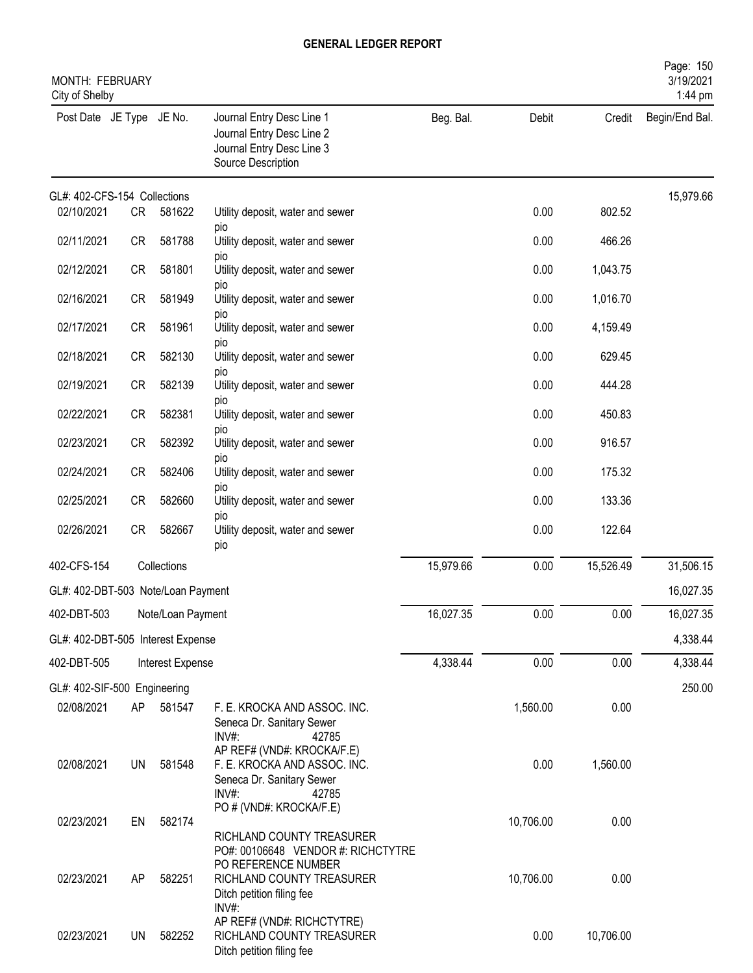| <b>MONTH: FEBRUARY</b><br>City of Shelby          |           |                   |                                                                                                                     |           |           |           | Page: 150<br>3/19/2021<br>1:44 pm |
|---------------------------------------------------|-----------|-------------------|---------------------------------------------------------------------------------------------------------------------|-----------|-----------|-----------|-----------------------------------|
| Post Date JE Type JE No.                          |           |                   | Journal Entry Desc Line 1<br>Journal Entry Desc Line 2<br>Journal Entry Desc Line 3<br>Source Description           | Beg. Bal. | Debit     | Credit    | Begin/End Bal.                    |
| GL#: 402-CFS-154 Collections                      |           |                   |                                                                                                                     |           |           |           | 15,979.66                         |
| 02/10/2021                                        | <b>CR</b> | 581622            | Utility deposit, water and sewer<br>pio                                                                             |           | 0.00      | 802.52    |                                   |
| 02/11/2021                                        | <b>CR</b> | 581788            | Utility deposit, water and sewer                                                                                    |           | 0.00      | 466.26    |                                   |
| 02/12/2021                                        | <b>CR</b> | 581801            | pio<br>Utility deposit, water and sewer                                                                             |           | 0.00      | 1,043.75  |                                   |
| 02/16/2021                                        | <b>CR</b> | 581949            | pio<br>Utility deposit, water and sewer                                                                             |           | 0.00      | 1,016.70  |                                   |
| 02/17/2021                                        | <b>CR</b> | 581961            | pio<br>Utility deposit, water and sewer                                                                             |           | 0.00      | 4,159.49  |                                   |
| 02/18/2021                                        | <b>CR</b> | 582130            | pio<br>Utility deposit, water and sewer                                                                             |           | 0.00      | 629.45    |                                   |
| 02/19/2021                                        | <b>CR</b> | 582139            | pio<br>Utility deposit, water and sewer                                                                             |           | 0.00      | 444.28    |                                   |
| 02/22/2021                                        | <b>CR</b> | 582381            | pio<br>Utility deposit, water and sewer                                                                             |           | 0.00      | 450.83    |                                   |
| 02/23/2021                                        | <b>CR</b> | 582392            | pio<br>Utility deposit, water and sewer                                                                             |           | 0.00      | 916.57    |                                   |
| 02/24/2021                                        | <b>CR</b> | 582406            | pio<br>Utility deposit, water and sewer                                                                             |           | 0.00      | 175.32    |                                   |
| 02/25/2021                                        | <b>CR</b> | 582660            | pio<br>Utility deposit, water and sewer                                                                             |           | 0.00      | 133.36    |                                   |
| 02/26/2021                                        | <b>CR</b> | 582667            | pio<br>Utility deposit, water and sewer                                                                             |           | 0.00      | 122.64    |                                   |
| 402-CFS-154                                       |           | Collections       | pio                                                                                                                 | 15,979.66 | 0.00      | 15,526.49 | 31,506.15                         |
|                                                   |           |                   |                                                                                                                     |           |           |           | 16,027.35                         |
| GL#: 402-DBT-503 Note/Loan Payment<br>402-DBT-503 |           | Note/Loan Payment |                                                                                                                     | 16,027.35 | 0.00      | 0.00      | 16,027.35                         |
| GL#: 402-DBT-505 Interest Expense                 |           |                   |                                                                                                                     |           |           |           | 4,338.44                          |
| 402-DBT-505                                       |           | Interest Expense  |                                                                                                                     | 4,338.44  | 0.00      | 0.00      | 4,338.44                          |
| GL#: 402-SIF-500 Engineering                      |           |                   |                                                                                                                     |           |           |           | 250.00                            |
| 02/08/2021                                        | AP.       | 581547            | F. E. KROCKA AND ASSOC. INC.<br>Seneca Dr. Sanitary Sewer<br>$INV#$ :<br>42785                                      |           | 1,560.00  | 0.00      |                                   |
| 02/08/2021                                        | <b>UN</b> | 581548            | AP REF# (VND#: KROCKA/F.E)<br>F. E. KROCKA AND ASSOC. INC.<br>Seneca Dr. Sanitary Sewer<br>INV#:<br>42785           |           | 0.00      | 1,560.00  |                                   |
| 02/23/2021                                        | EN        | 582174            | PO # (VND#: KROCKA/F.E)<br>RICHLAND COUNTY TREASURER                                                                |           | 10,706.00 | 0.00      |                                   |
| 02/23/2021                                        | AP        | 582251            | PO#: 00106648 VENDOR #: RICHCTYTRE<br>PO REFERENCE NUMBER<br>RICHLAND COUNTY TREASURER<br>Ditch petition filing fee |           | 10,706.00 | 0.00      |                                   |
| 02/23/2021                                        | <b>UN</b> | 582252            | $INV#$ :<br>AP REF# (VND#: RICHCTYTRE)<br>RICHLAND COUNTY TREASURER<br>Ditch petition filing fee                    |           | 0.00      | 10,706.00 |                                   |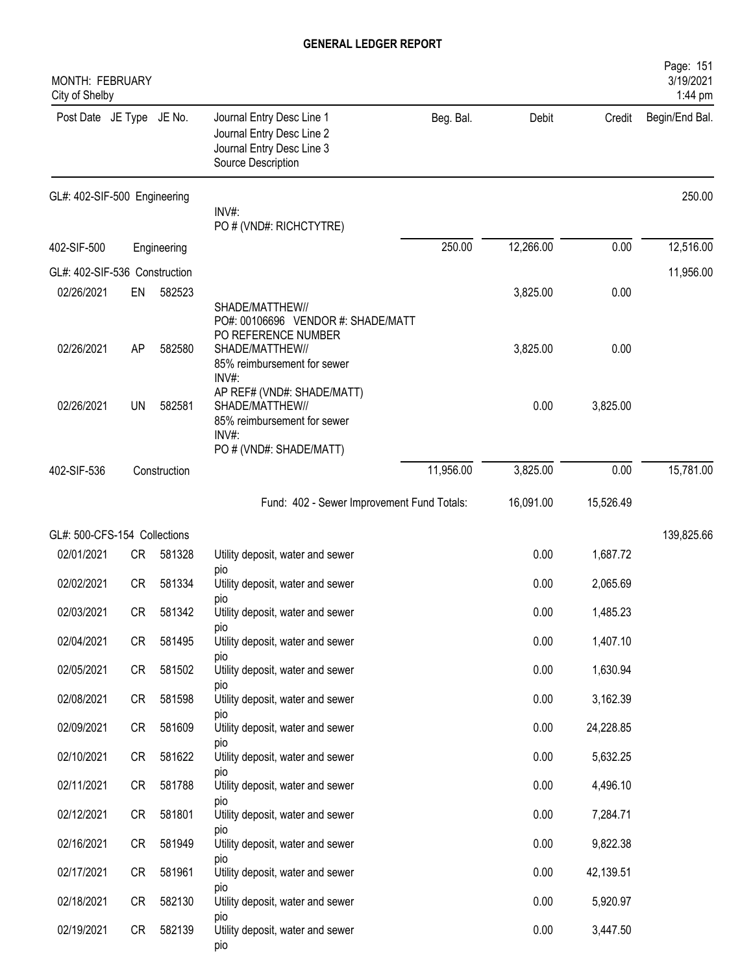| MONTH: FEBRUARY<br>City of Shelby |           |              |                                                                                                           |           |           |           | Page: 151<br>3/19/2021<br>1:44 pm |
|-----------------------------------|-----------|--------------|-----------------------------------------------------------------------------------------------------------|-----------|-----------|-----------|-----------------------------------|
| Post Date JE Type JE No.          |           |              | Journal Entry Desc Line 1<br>Journal Entry Desc Line 2<br>Journal Entry Desc Line 3<br>Source Description | Beg. Bal. | Debit     | Credit    | Begin/End Bal.                    |
| GL#: 402-SIF-500 Engineering      |           |              | INV#:                                                                                                     |           |           |           | 250.00                            |
|                                   |           |              | PO # (VND#: RICHCTYTRE)                                                                                   |           |           |           |                                   |
| 402-SIF-500                       |           | Engineering  |                                                                                                           | 250.00    | 12,266.00 | 0.00      | 12,516.00                         |
| GL#: 402-SIF-536 Construction     |           |              |                                                                                                           |           |           |           | 11,956.00                         |
| 02/26/2021                        | EN        | 582523       | SHADE/MATTHEW//<br>PO#: 00106696 VENDOR #: SHADE/MATT<br>PO REFERENCE NUMBER                              |           | 3,825.00  | 0.00      |                                   |
| 02/26/2021                        | AP        | 582580       | SHADE/MATTHEW//<br>85% reimbursement for sewer<br>INV#:                                                   |           | 3,825.00  | 0.00      |                                   |
| 02/26/2021                        | <b>UN</b> | 582581       | AP REF# (VND#: SHADE/MATT)<br>SHADE/MATTHEW//<br>85% reimbursement for sewer<br>$INV#$ :                  |           | 0.00      | 3,825.00  |                                   |
|                                   |           |              | PO # (VND#: SHADE/MATT)                                                                                   |           |           |           |                                   |
| 402-SIF-536                       |           | Construction |                                                                                                           | 11,956.00 | 3,825.00  | 0.00      | 15,781.00                         |
|                                   |           |              | Fund: 402 - Sewer Improvement Fund Totals:                                                                |           | 16,091.00 | 15,526.49 |                                   |
| GL#: 500-CFS-154 Collections      |           |              |                                                                                                           |           |           |           | 139,825.66                        |
| 02/01/2021                        | CR        | 581328       | Utility deposit, water and sewer                                                                          |           | 0.00      | 1,687.72  |                                   |
| 02/02/2021                        | CR        | 581334       | pio<br>Utility deposit, water and sewer                                                                   |           | 0.00      | 2,065.69  |                                   |
| 02/03/2021                        | CR        | 581342       | pio<br>Utility deposit, water and sewer                                                                   |           | 0.00      | 1,485.23  |                                   |
| 02/04/2021                        | CR        | 581495       | pio<br>Utility deposit, water and sewer                                                                   |           | 0.00      | 1,407.10  |                                   |
| 02/05/2021                        | CR        | 581502       | pio<br>Utility deposit, water and sewer                                                                   |           | 0.00      | 1,630.94  |                                   |
| 02/08/2021                        | CR        | 581598       | pio<br>Utility deposit, water and sewer                                                                   |           | 0.00      | 3,162.39  |                                   |
| 02/09/2021                        | CR        | 581609       | pio<br>Utility deposit, water and sewer                                                                   |           | 0.00      | 24,228.85 |                                   |
| 02/10/2021                        | CR        | 581622       | pio<br>Utility deposit, water and sewer                                                                   |           | 0.00      | 5,632.25  |                                   |
| 02/11/2021                        | CR        | 581788       | pio<br>Utility deposit, water and sewer                                                                   |           | 0.00      | 4,496.10  |                                   |
| 02/12/2021                        | CR        | 581801       | pio<br>Utility deposit, water and sewer                                                                   |           | 0.00      | 7,284.71  |                                   |
| 02/16/2021                        | CR        | 581949       | pio<br>Utility deposit, water and sewer                                                                   |           | 0.00      | 9,822.38  |                                   |
| 02/17/2021                        | CR        | 581961       | DIO<br>Utility deposit, water and sewer                                                                   |           | 0.00      | 42,139.51 |                                   |
| 02/18/2021                        | CR        | 582130       | pio<br>Utility deposit, water and sewer                                                                   |           | 0.00      | 5,920.97  |                                   |
| 02/19/2021                        | CR        | 582139       | pio<br>Utility deposit, water and sewer<br>pio                                                            |           | 0.00      | 3,447.50  |                                   |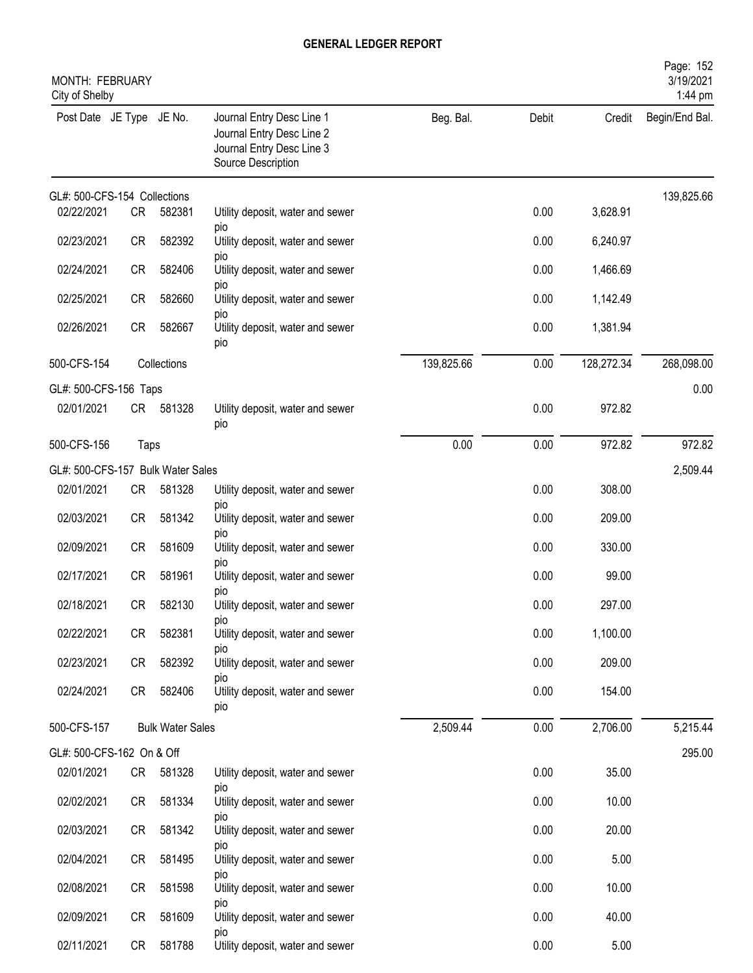| MONTH: FEBRUARY<br>City of Shelby |           |                         |                                                                                                           |            |       |            | Page: 152<br>3/19/2021<br>1:44 pm |
|-----------------------------------|-----------|-------------------------|-----------------------------------------------------------------------------------------------------------|------------|-------|------------|-----------------------------------|
| Post Date JE Type JE No.          |           |                         | Journal Entry Desc Line 1<br>Journal Entry Desc Line 2<br>Journal Entry Desc Line 3<br>Source Description | Beg. Bal.  | Debit | Credit     | Begin/End Bal.                    |
| GL#: 500-CFS-154 Collections      |           |                         |                                                                                                           |            |       |            | 139,825.66                        |
| 02/22/2021                        | <b>CR</b> | 582381                  | Utility deposit, water and sewer<br>pio                                                                   |            | 0.00  | 3,628.91   |                                   |
| 02/23/2021                        | CR        | 582392                  | Utility deposit, water and sewer<br>pio                                                                   |            | 0.00  | 6,240.97   |                                   |
| 02/24/2021                        | <b>CR</b> | 582406                  | Utility deposit, water and sewer                                                                          |            | 0.00  | 1,466.69   |                                   |
| 02/25/2021                        | <b>CR</b> | 582660                  | pio<br>Utility deposit, water and sewer<br>pio                                                            |            | 0.00  | 1,142.49   |                                   |
| 02/26/2021                        | <b>CR</b> | 582667                  | Utility deposit, water and sewer<br>pio                                                                   |            | 0.00  | 1,381.94   |                                   |
| 500-CFS-154                       |           | Collections             |                                                                                                           | 139,825.66 | 0.00  | 128,272.34 | 268,098.00                        |
| GL#: 500-CFS-156 Taps             |           |                         |                                                                                                           |            |       |            | 0.00                              |
| 02/01/2021                        | CR        | 581328                  | Utility deposit, water and sewer<br>pio                                                                   |            | 0.00  | 972.82     |                                   |
| 500-CFS-156                       | Taps      |                         |                                                                                                           | 0.00       | 0.00  | 972.82     | 972.82                            |
| GL#: 500-CFS-157 Bulk Water Sales |           |                         |                                                                                                           |            |       |            | 2,509.44                          |
| 02/01/2021                        | <b>CR</b> | 581328                  | Utility deposit, water and sewer<br>pio                                                                   |            | 0.00  | 308.00     |                                   |
| 02/03/2021                        | <b>CR</b> | 581342                  | Utility deposit, water and sewer<br>DIO                                                                   |            | 0.00  | 209.00     |                                   |
| 02/09/2021                        | <b>CR</b> | 581609                  | Utility deposit, water and sewer                                                                          |            | 0.00  | 330.00     |                                   |
| 02/17/2021                        | <b>CR</b> | 581961                  | pio<br>Utility deposit, water and sewer<br>pio                                                            |            | 0.00  | 99.00      |                                   |
| 02/18/2021                        | CR        | 582130                  | Utility deposit, water and sewer                                                                          |            | 0.00  | 297.00     |                                   |
| 02/22/2021                        | CR        | 582381                  | DIO<br>Utility deposit, water and sewer<br>DIO                                                            |            | 0.00  | 1,100.00   |                                   |
| 02/23/2021                        | CR        | 582392                  | Utility deposit, water and sewer<br>pio                                                                   |            | 0.00  | 209.00     |                                   |
| 02/24/2021                        | CR        | 582406                  | Utility deposit, water and sewer<br>DIO                                                                   |            | 0.00  | 154.00     |                                   |
| 500-CFS-157                       |           | <b>Bulk Water Sales</b> |                                                                                                           | 2,509.44   | 0.00  | 2,706.00   | 5,215.44                          |
| GL#: 500-CFS-162 On & Off         |           |                         |                                                                                                           |            |       |            | 295.00                            |
| 02/01/2021                        | CR        | 581328                  | Utility deposit, water and sewer                                                                          |            | 0.00  | 35.00      |                                   |
| 02/02/2021                        | CR        | 581334                  | pio<br>Utility deposit, water and sewer                                                                   |            | 0.00  | 10.00      |                                   |
| 02/03/2021                        | CR        | 581342                  | pio<br>Utility deposit, water and sewer                                                                   |            | 0.00  | 20.00      |                                   |
| 02/04/2021                        | CR        | 581495                  | pio<br>Utility deposit, water and sewer<br>pio                                                            |            | 0.00  | 5.00       |                                   |
| 02/08/2021                        | CR        | 581598                  | Utility deposit, water and sewer                                                                          |            | 0.00  | 10.00      |                                   |
| 02/09/2021                        | CR        | 581609                  | pio<br>Utility deposit, water and sewer                                                                   |            | 0.00  | 40.00      |                                   |
| 02/11/2021                        | CR        | 581788                  | pio<br>Utility deposit, water and sewer                                                                   |            | 0.00  | 5.00       |                                   |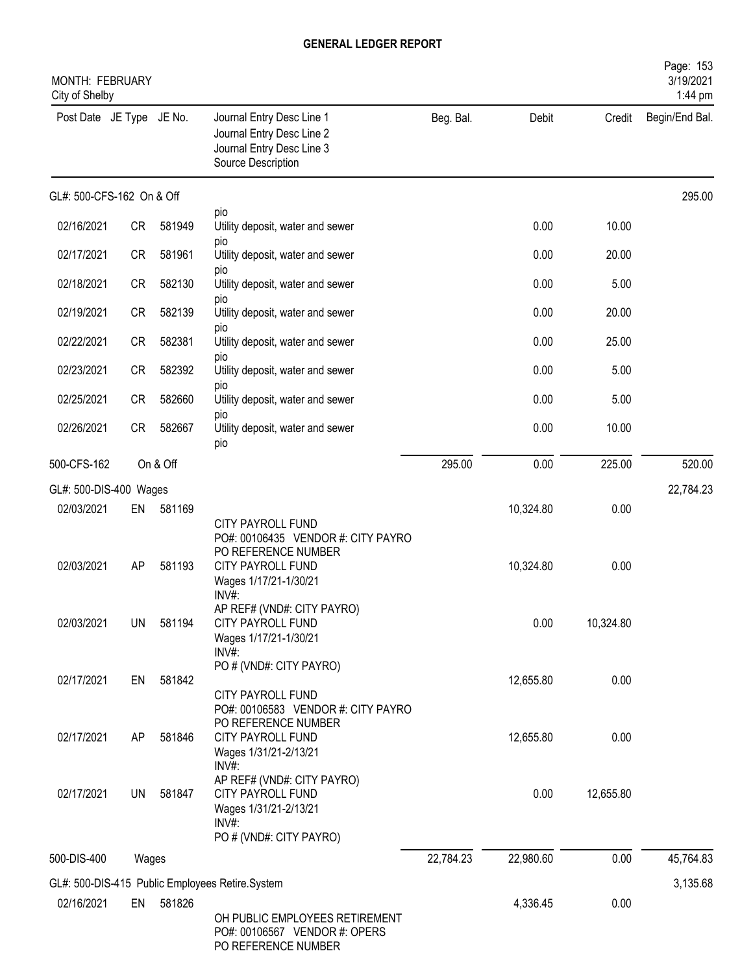| <b>MONTH: FEBRUARY</b><br>City of Shelby |           |          |                                                                                                                                      |           |           |           | Page: 153<br>3/19/2021<br>1:44 pm |
|------------------------------------------|-----------|----------|--------------------------------------------------------------------------------------------------------------------------------------|-----------|-----------|-----------|-----------------------------------|
| Post Date JE Type JE No.                 |           |          | Journal Entry Desc Line 1<br>Journal Entry Desc Line 2<br>Journal Entry Desc Line 3<br>Source Description                            | Beg. Bal. | Debit     | Credit    | Begin/End Bal.                    |
| GL#: 500-CFS-162 On & Off                |           |          |                                                                                                                                      |           |           |           | 295.00                            |
| 02/16/2021                               | <b>CR</b> | 581949   | pio<br>Utility deposit, water and sewer                                                                                              |           | 0.00      | 10.00     |                                   |
| 02/17/2021                               | <b>CR</b> | 581961   | <b>DIO</b><br>Utility deposit, water and sewer                                                                                       |           | 0.00      | 20.00     |                                   |
| 02/18/2021                               | <b>CR</b> | 582130   | pio<br>Utility deposit, water and sewer                                                                                              |           | 0.00      | 5.00      |                                   |
| 02/19/2021                               | <b>CR</b> | 582139   | pio<br>Utility deposit, water and sewer                                                                                              |           | 0.00      | 20.00     |                                   |
| 02/22/2021                               | <b>CR</b> | 582381   | pio<br>Utility deposit, water and sewer<br>pio                                                                                       |           | 0.00      | 25.00     |                                   |
| 02/23/2021                               | <b>CR</b> | 582392   | Utility deposit, water and sewer<br><b>DIO</b>                                                                                       |           | 0.00      | 5.00      |                                   |
| 02/25/2021                               | <b>CR</b> | 582660   | Utility deposit, water and sewer<br><b>DIO</b>                                                                                       |           | 0.00      | 5.00      |                                   |
| 02/26/2021                               | <b>CR</b> | 582667   | Utility deposit, water and sewer<br>pio                                                                                              |           | 0.00      | 10.00     |                                   |
| 500-CFS-162                              |           | On & Off |                                                                                                                                      | 295.00    | 0.00      | 225.00    | 520.00                            |
| GL#: 500-DIS-400 Wages                   |           |          |                                                                                                                                      |           |           |           | 22,784.23                         |
| 02/03/2021                               | EN        | 581169   |                                                                                                                                      |           | 10,324.80 | 0.00      |                                   |
| 02/03/2021                               | AP        | 581193   | CITY PAYROLL FUND<br>PO#: 00106435 VENDOR #: CITY PAYRO<br>PO REFERENCE NUMBER<br>CITY PAYROLL FUND<br>Wages 1/17/21-1/30/21<br>INV# |           | 10,324.80 | 0.00      |                                   |
| 02/03/2021                               | UN        | 581194   | AP REF# (VND#: CITY PAYRO)<br>CITY PAYROLL FUND<br>Wages 1/17/21-1/30/21<br>$INV#$ :                                                 |           | 0.00      | 10,324.80 |                                   |
| 02/17/2021                               | EN        | 581842   | PO # (VND#: CITY PAYRO)<br><b>CITY PAYROLL FUND</b><br>PO#: 00106583 VENDOR #: CITY PAYRO                                            |           | 12,655.80 | 0.00      |                                   |
| 02/17/2021                               | AP        | 581846   | PO REFERENCE NUMBER<br><b>CITY PAYROLL FUND</b><br>Wages 1/31/21-2/13/21<br>INV#:                                                    |           | 12,655.80 | 0.00      |                                   |
| 02/17/2021                               | <b>UN</b> | 581847   | AP REF# (VND#: CITY PAYRO)<br><b>CITY PAYROLL FUND</b><br>Wages 1/31/21-2/13/21<br>INV#:<br>PO # (VND#: CITY PAYRO)                  |           | 0.00      | 12,655.80 |                                   |
| 500-DIS-400                              | Wages     |          |                                                                                                                                      | 22,784.23 | 22,980.60 | 0.00      | 45,764.83                         |
|                                          |           |          | GL#: 500-DIS-415 Public Employees Retire.System                                                                                      |           |           |           | 3,135.68                          |
| 02/16/2021                               | EN        | 581826   | OH PUBLIC EMPLOYEES RETIREMENT<br>PO#: 00106567 VENDOR #: OPERS<br>PO REFERENCE NUMBER                                               |           | 4,336.45  | 0.00      |                                   |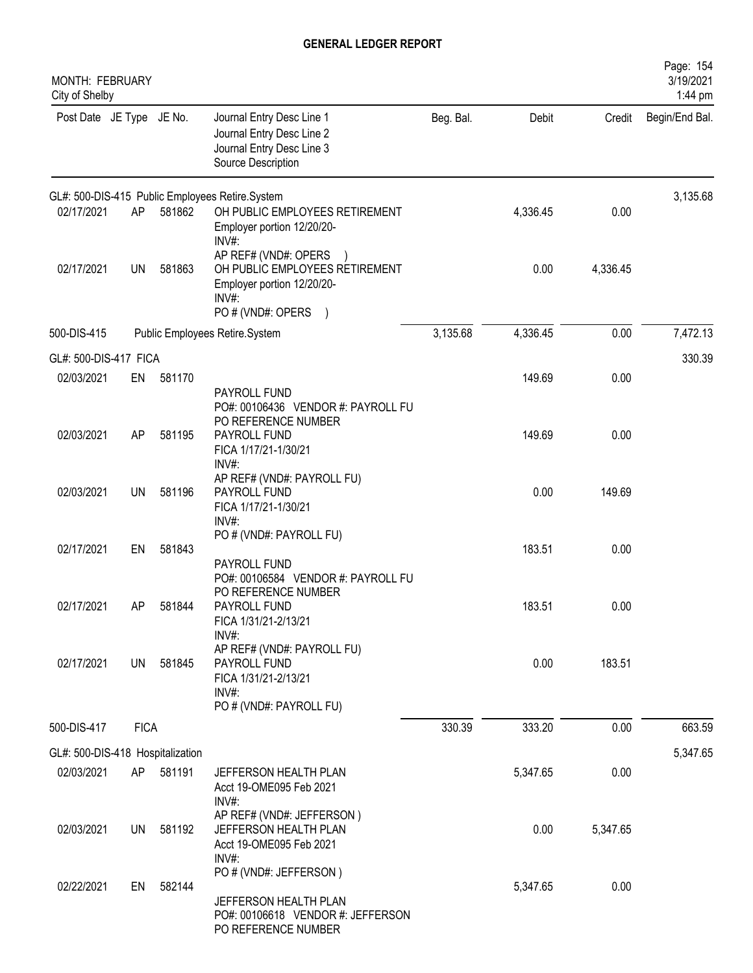| MONTH: FEBRUARY<br>City of Shelby              |             |        |                                                                                                                         |           |          |          | Page: 154<br>3/19/2021<br>1:44 pm |
|------------------------------------------------|-------------|--------|-------------------------------------------------------------------------------------------------------------------------|-----------|----------|----------|-----------------------------------|
| Post Date JE Type JE No.                       |             |        | Journal Entry Desc Line 1<br>Journal Entry Desc Line 2<br>Journal Entry Desc Line 3<br>Source Description               | Beg. Bal. | Debit    | Credit   | Begin/End Bal.                    |
|                                                |             |        | GL#: 500-DIS-415 Public Employees Retire.System                                                                         |           |          |          | 3,135.68                          |
| 02/17/2021                                     | AP          | 581862 | OH PUBLIC EMPLOYEES RETIREMENT<br>Employer portion 12/20/20-<br>INV#:                                                   |           | 4,336.45 | 0.00     |                                   |
| 02/17/2021                                     | <b>UN</b>   | 581863 | AP REF# (VND#: OPERS )<br>OH PUBLIC EMPLOYEES RETIREMENT<br>Employer portion 12/20/20-<br>$INV#$ :<br>PO # (VND#: OPERS |           | 0.00     | 4,336.45 |                                   |
| 500-DIS-415                                    |             |        | Public Employees Retire.System                                                                                          | 3,135.68  | 4,336.45 | 0.00     | 7,472.13                          |
| GL#: 500-DIS-417 FICA                          |             |        |                                                                                                                         |           |          |          | 330.39                            |
| 02/03/2021                                     | EN          | 581170 | PAYROLL FUND                                                                                                            |           | 149.69   | 0.00     |                                   |
| 02/03/2021                                     | AP          | 581195 | PO#: 00106436 VENDOR #: PAYROLL FU<br>PO REFERENCE NUMBER<br>PAYROLL FUND<br>FICA 1/17/21-1/30/21                       |           | 149.69   | 0.00     |                                   |
| 02/03/2021                                     | <b>UN</b>   | 581196 | $INV#$ :<br>AP REF# (VND#: PAYROLL FU)<br>PAYROLL FUND<br>FICA 1/17/21-1/30/21                                          |           | 0.00     | 149.69   |                                   |
| 02/17/2021                                     | EN          | 581843 | INV#:<br>PO # (VND#: PAYROLL FU)                                                                                        |           | 183.51   | 0.00     |                                   |
| 02/17/2021                                     | AΡ          | 581844 | PAYROLL FUND<br>PO#: 00106584 VENDOR #: PAYROLL FU<br>PO REFERENCE NUMBER<br>PAYROLL FUND<br>FICA 1/31/21-2/13/21       |           | 183.51   | 0.00     |                                   |
| 02/17/2021                                     | UN          | 581845 | $INV#$ :<br>AP REF# (VND#: PAYROLL FU)<br>PAYROLL FUND<br>FICA 1/31/21-2/13/21<br>$INV#$ :                              |           | 0.00     | 183.51   |                                   |
| 500-DIS-417                                    | <b>FICA</b> |        | PO # (VND#: PAYROLL FU)                                                                                                 | 330.39    | 333.20   | 0.00     | 663.59                            |
|                                                |             |        |                                                                                                                         |           |          |          |                                   |
| GL#: 500-DIS-418 Hospitalization<br>02/03/2021 | AP          | 581191 | JEFFERSON HEALTH PLAN<br>Acct 19-OME095 Feb 2021                                                                        |           | 5,347.65 | 0.00     | 5,347.65                          |
| 02/03/2021                                     | UN.         | 581192 | INV#:<br>AP REF# (VND#: JEFFERSON)<br>JEFFERSON HEALTH PLAN<br>Acct 19-OME095 Feb 2021<br>$INV#$ :                      |           | 0.00     | 5,347.65 |                                   |
| 02/22/2021                                     | EN          | 582144 | PO # (VND#: JEFFERSON)<br>JEFFERSON HEALTH PLAN<br>PO#: 00106618 VENDOR #: JEFFERSON<br>PO REFERENCE NUMBER             |           | 5,347.65 | 0.00     |                                   |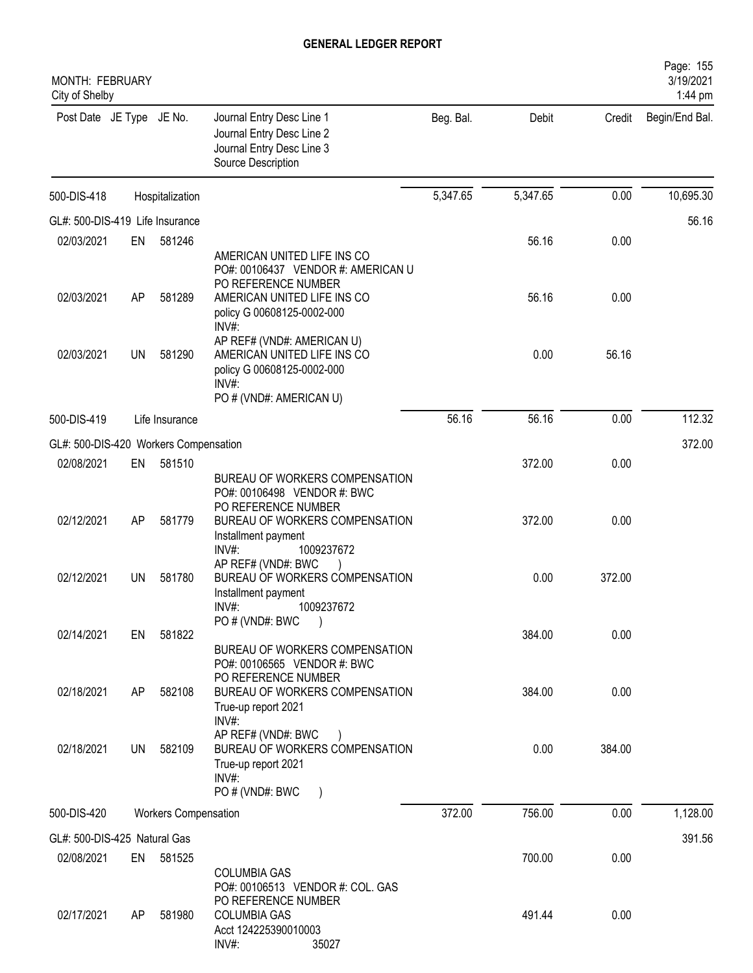| MONTH: FEBRUARY<br>City of Shelby     |     |                             |                                                                                                                                                                      |           |          |        | Page: 155<br>3/19/2021<br>1:44 pm |
|---------------------------------------|-----|-----------------------------|----------------------------------------------------------------------------------------------------------------------------------------------------------------------|-----------|----------|--------|-----------------------------------|
| Post Date JE Type JE No.              |     |                             | Journal Entry Desc Line 1<br>Journal Entry Desc Line 2<br>Journal Entry Desc Line 3<br>Source Description                                                            | Beg. Bal. | Debit    | Credit | Begin/End Bal.                    |
| 500-DIS-418                           |     | Hospitalization             |                                                                                                                                                                      | 5,347.65  | 5,347.65 | 0.00   | 10,695.30                         |
| GL#: 500-DIS-419 Life Insurance       |     |                             |                                                                                                                                                                      |           |          |        | 56.16                             |
| 02/03/2021                            | EN  | 581246                      |                                                                                                                                                                      |           | 56.16    | 0.00   |                                   |
| 02/03/2021                            | AP  | 581289                      | AMERICAN UNITED LIFE INS CO<br>PO#: 00106437 VENDOR #: AMERICAN U<br>PO REFERENCE NUMBER<br>AMERICAN UNITED LIFE INS CO<br>policy G 00608125-0002-000                |           | 56.16    | 0.00   |                                   |
| 02/03/2021                            | UN  | 581290                      | $INV#$ :<br>AP REF# (VND#: AMERICAN U)<br>AMERICAN UNITED LIFE INS CO<br>policy G 00608125-0002-000<br>$INV#$ :<br>PO # (VND#: AMERICAN U)                           |           | 0.00     | 56.16  |                                   |
| 500-DIS-419                           |     | Life Insurance              |                                                                                                                                                                      | 56.16     | 56.16    | 0.00   | 112.32                            |
| GL#: 500-DIS-420 Workers Compensation |     |                             |                                                                                                                                                                      |           |          |        | 372.00                            |
| 02/08/2021                            | EN  | 581510                      |                                                                                                                                                                      |           | 372.00   | 0.00   |                                   |
| 02/12/2021                            | AP  | 581779                      | BUREAU OF WORKERS COMPENSATION<br>PO#: 00106498 VENDOR #: BWC<br>PO REFERENCE NUMBER<br>BUREAU OF WORKERS COMPENSATION<br>Installment payment<br>INV#:<br>1009237672 |           | 372.00   | 0.00   |                                   |
| 02/12/2021                            | UN  | 581780                      | AP REF# (VND#: BWC<br>BUREAU OF WORKERS COMPENSATION<br>Installment payment<br>1009237672<br>INV#<br>PO # (VND#: BWC                                                 |           | 0.00     | 372.00 |                                   |
| 02/14/2021                            | EN  | 581822                      | BUREAU OF WORKERS COMPENSATION<br>PO#: 00106565 VENDOR #: BWC                                                                                                        |           | 384.00   | 0.00   |                                   |
| 02/18/2021                            | AP  | 582108                      | PO REFERENCE NUMBER<br>BUREAU OF WORKERS COMPENSATION<br>True-up report 2021                                                                                         |           | 384.00   | 0.00   |                                   |
| 02/18/2021                            | UN  | 582109                      | INV#:<br>AP REF# (VND#: BWC<br>$\lambda$<br>BUREAU OF WORKERS COMPENSATION<br>True-up report 2021<br>$INV#$ :<br>PO # (VND#: BWC                                     |           | 0.00     | 384.00 |                                   |
| 500-DIS-420                           |     | <b>Workers Compensation</b> |                                                                                                                                                                      | 372.00    | 756.00   | 0.00   | 1,128.00                          |
| GL#: 500-DIS-425 Natural Gas          |     |                             |                                                                                                                                                                      |           |          |        | 391.56                            |
| 02/08/2021                            |     | EN 581525                   |                                                                                                                                                                      |           | 700.00   | 0.00   |                                   |
| 02/17/2021                            | AP. | 581980                      | <b>COLUMBIA GAS</b><br>PO#: 00106513 VENDOR #: COL. GAS<br>PO REFERENCE NUMBER<br><b>COLUMBIA GAS</b>                                                                |           | 491.44   | 0.00   |                                   |
|                                       |     |                             | Acct 124225390010003<br>INV#:<br>35027                                                                                                                               |           |          |        |                                   |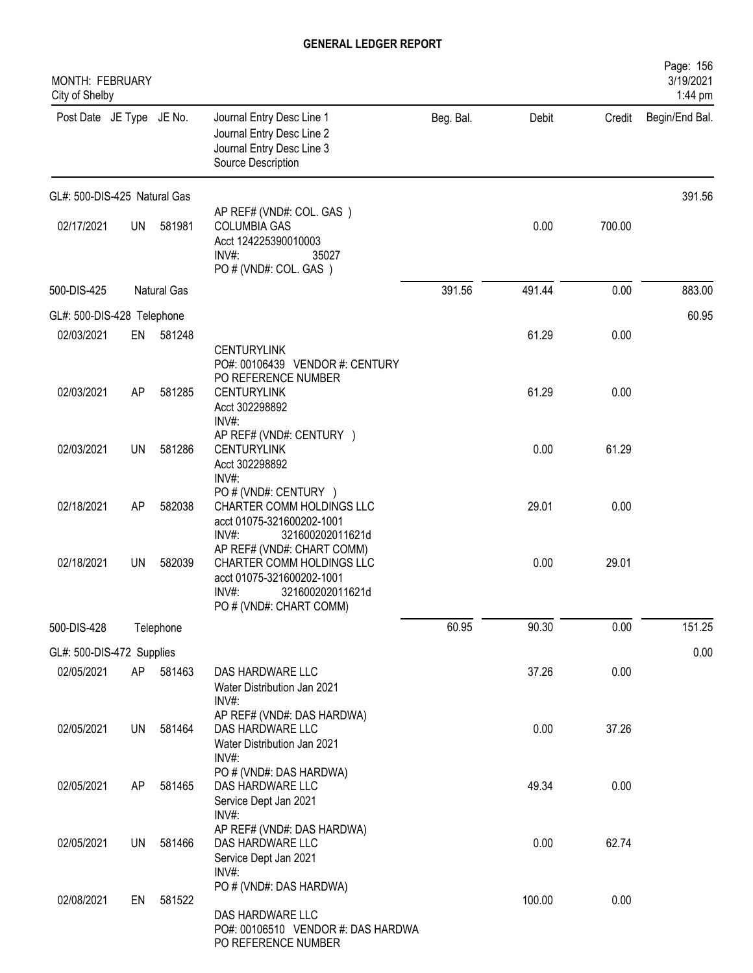| MONTH: FEBRUARY<br>City of Shelby |           |                    |                                                                                                                                                                           |           |        |        | Page: 156<br>3/19/2021<br>1:44 pm |
|-----------------------------------|-----------|--------------------|---------------------------------------------------------------------------------------------------------------------------------------------------------------------------|-----------|--------|--------|-----------------------------------|
| Post Date JE Type JE No.          |           |                    | Journal Entry Desc Line 1<br>Journal Entry Desc Line 2<br>Journal Entry Desc Line 3<br>Source Description                                                                 | Beg. Bal. | Debit  | Credit | Begin/End Bal.                    |
| GL#: 500-DIS-425 Natural Gas      |           |                    |                                                                                                                                                                           |           |        |        | 391.56                            |
| 02/17/2021                        | <b>UN</b> | 581981             | AP REF# (VND#: COL. GAS)<br><b>COLUMBIA GAS</b><br>Acct 124225390010003<br>INV#:<br>35027<br>PO # (VND#: COL. GAS)                                                        |           | 0.00   | 700.00 |                                   |
| 500-DIS-425                       |           | <b>Natural Gas</b> |                                                                                                                                                                           | 391.56    | 491.44 | 0.00   | 883.00                            |
| GL#: 500-DIS-428 Telephone        |           |                    |                                                                                                                                                                           |           |        |        | 60.95                             |
| 02/03/2021                        | EN        | 581248             |                                                                                                                                                                           |           | 61.29  | 0.00   |                                   |
| 02/03/2021                        | AP        | 581285             | <b>CENTURYLINK</b><br>PO#: 00106439 VENDOR #: CENTURY<br>PO REFERENCE NUMBER<br><b>CENTURYLINK</b><br>Acct 302298892<br>INV#:                                             |           | 61.29  | 0.00   |                                   |
| 02/03/2021                        | UN        | 581286             | AP REF# (VND#: CENTURY )<br><b>CENTURYLINK</b><br>Acct 302298892<br>INV#:                                                                                                 |           | 0.00   | 61.29  |                                   |
| 02/18/2021                        | AP        | 582038             | PO # (VND#: CENTURY )<br>CHARTER COMM HOLDINGS LLC<br>acct 01075-321600202-1001                                                                                           |           | 29.01  | 0.00   |                                   |
| 02/18/2021                        | <b>UN</b> | 582039             | INV#:<br>321600202011621d<br>AP REF# (VND#: CHART COMM)<br>CHARTER COMM HOLDINGS LLC<br>acct 01075-321600202-1001<br>INV#:<br>321600202011621d<br>PO # (VND#: CHART COMM) |           | 0.00   | 29.01  |                                   |
| 500-DIS-428                       |           | Telephone          |                                                                                                                                                                           | 60.95     | 90.30  | 0.00   | 151.25                            |
| GL#: 500-DIS-472 Supplies         |           |                    |                                                                                                                                                                           |           |        |        | 0.00                              |
| 02/05/2021                        | AP        | 581463             | DAS HARDWARE LLC<br>Water Distribution Jan 2021<br>INV#:                                                                                                                  |           | 37.26  | 0.00   |                                   |
| 02/05/2021                        | <b>UN</b> | 581464             | AP REF# (VND#: DAS HARDWA)<br>DAS HARDWARE LLC<br>Water Distribution Jan 2021<br>$INV#$ :                                                                                 |           | 0.00   | 37.26  |                                   |
| 02/05/2021                        | AP        | 581465             | PO # (VND#: DAS HARDWA)<br>DAS HARDWARE LLC<br>Service Dept Jan 2021                                                                                                      |           | 49.34  | 0.00   |                                   |
| 02/05/2021                        | <b>UN</b> | 581466             | INV#:<br>AP REF# (VND#: DAS HARDWA)<br>DAS HARDWARE LLC<br>Service Dept Jan 2021<br>INV#:                                                                                 |           | 0.00   | 62.74  |                                   |
| 02/08/2021                        | EN        | 581522             | PO # (VND#: DAS HARDWA)<br>DAS HARDWARE LLC<br>PO#: 00106510 VENDOR #: DAS HARDWA<br>PO REFERENCE NUMBER                                                                  |           | 100.00 | 0.00   |                                   |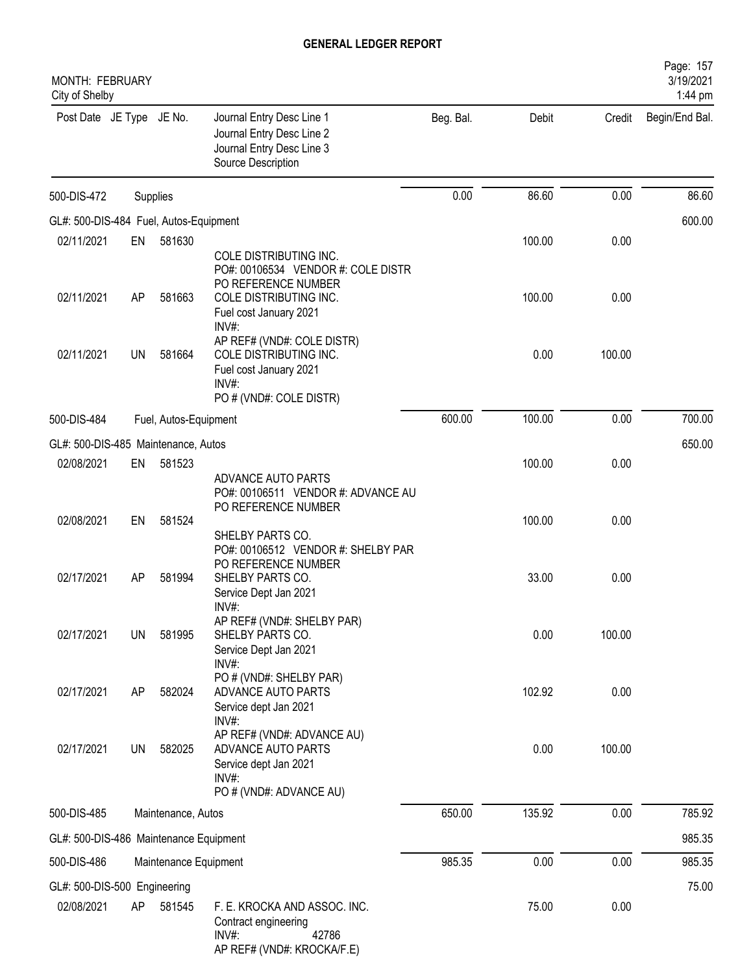| <b>MONTH: FEBRUARY</b><br>City of Shelby   |           |                       |                                                                                                                                         |           |        |        | Page: 157<br>3/19/2021<br>1:44 pm |
|--------------------------------------------|-----------|-----------------------|-----------------------------------------------------------------------------------------------------------------------------------------|-----------|--------|--------|-----------------------------------|
| Post Date JE Type JE No.                   |           |                       | Journal Entry Desc Line 1<br>Journal Entry Desc Line 2<br>Journal Entry Desc Line 3<br>Source Description                               | Beg. Bal. | Debit  | Credit | Begin/End Bal.                    |
| 500-DIS-472                                |           | Supplies              |                                                                                                                                         | 0.00      | 86.60  | 0.00   | 86.60                             |
| GL#: 500-DIS-484 Fuel, Autos-Equipment     |           |                       |                                                                                                                                         |           |        |        | 600.00                            |
| 02/11/2021                                 | EN        | 581630                |                                                                                                                                         |           | 100.00 | 0.00   |                                   |
| 02/11/2021                                 | AP        | 581663                | COLE DISTRIBUTING INC.<br>PO#: 00106534 VENDOR #: COLE DISTR<br>PO REFERENCE NUMBER<br>COLE DISTRIBUTING INC.<br>Fuel cost January 2021 |           | 100.00 | 0.00   |                                   |
| 02/11/2021                                 | <b>UN</b> | 581664                | $INV#$ :<br>AP REF# (VND#: COLE DISTR)<br>COLE DISTRIBUTING INC.<br>Fuel cost January 2021<br>INV#:<br>PO # (VND#: COLE DISTR)          |           | 0.00   | 100.00 |                                   |
| 500-DIS-484                                |           | Fuel, Autos-Equipment |                                                                                                                                         | 600.00    | 100.00 | 0.00   | 700.00                            |
| GL#: 500-DIS-485 Maintenance, Autos        |           |                       |                                                                                                                                         |           |        |        | 650.00                            |
| 02/08/2021                                 | EN        | 581523                |                                                                                                                                         |           | 100.00 | 0.00   |                                   |
|                                            |           |                       | ADVANCE AUTO PARTS<br>PO#: 00106511 VENDOR #: ADVANCE AU<br>PO REFERENCE NUMBER                                                         |           |        |        |                                   |
| 02/08/2021                                 | EN        | 581524                | SHELBY PARTS CO.                                                                                                                        |           | 100.00 | 0.00   |                                   |
| 02/17/2021                                 | AP        | 581994                | PO#: 00106512 VENDOR #: SHELBY PAR<br>PO REFERENCE NUMBER<br>SHELBY PARTS CO.<br>Service Dept Jan 2021<br>$INV#$ :                      |           | 33.00  | 0.00   |                                   |
| 02/17/2021                                 | UN        | 581995                | AP REF# (VND#: SHELBY PAR)<br>SHELBY PARTS CO.<br>Service Dept Jan 2021<br>INV#:                                                        |           | 0.00   | 100.00 |                                   |
| 02/17/2021                                 | AP        | 582024                | PO # (VND#: SHELBY PAR)<br>ADVANCE AUTO PARTS<br>Service dept Jan 2021<br>INV#:                                                         |           | 102.92 | 0.00   |                                   |
| 02/17/2021                                 | UN        | 582025                | AP REF# (VND#: ADVANCE AU)<br>ADVANCE AUTO PARTS<br>Service dept Jan 2021<br>INV#:<br>PO # (VND#: ADVANCE AU)                           |           | 0.00   | 100.00 |                                   |
| 500-DIS-485                                |           | Maintenance, Autos    |                                                                                                                                         | 650.00    | 135.92 | 0.00   | 785.92                            |
| GL#: 500-DIS-486 Maintenance Equipment     |           |                       |                                                                                                                                         |           |        |        | 985.35                            |
| 500-DIS-486                                |           | Maintenance Equipment |                                                                                                                                         | 985.35    | 0.00   | 0.00   | 985.35                            |
|                                            |           |                       |                                                                                                                                         |           |        |        |                                   |
| GL#: 500-DIS-500 Engineering<br>02/08/2021 | AP        | 581545                | F. E. KROCKA AND ASSOC. INC.<br>Contract engineering<br>INV#:<br>42786<br>AP REF# (VND#: KROCKA/F.E)                                    |           | 75.00  | 0.00   | 75.00                             |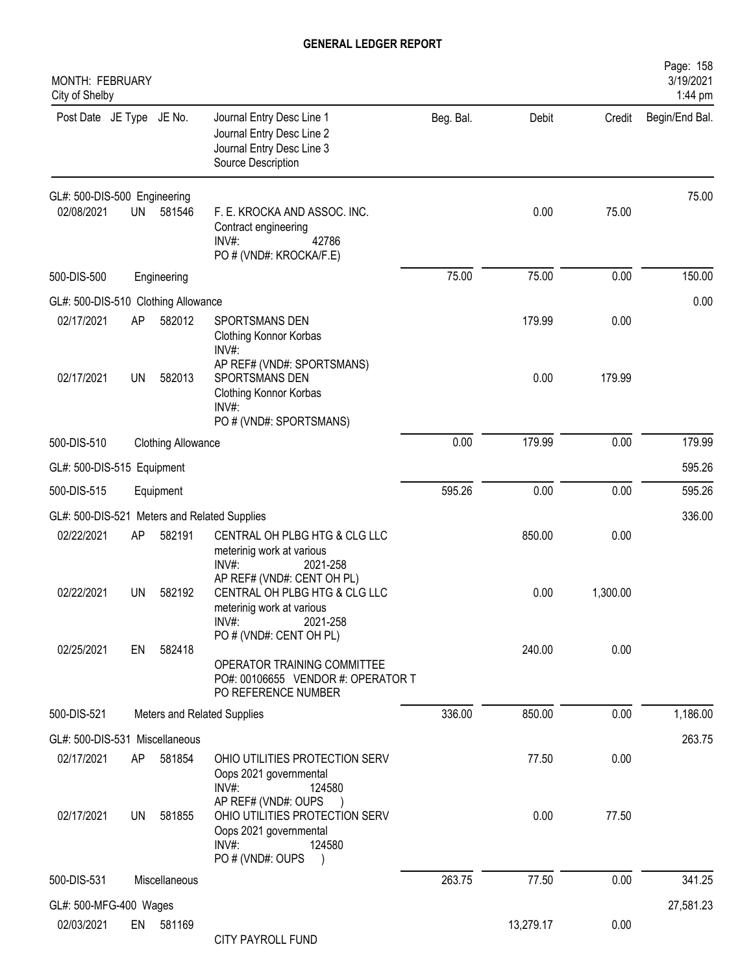| MONTH: FEBRUARY<br>City of Shelby   |           |                           |                                                                                                                         |           |           |          | Page: 158<br>3/19/2021<br>1:44 pm |
|-------------------------------------|-----------|---------------------------|-------------------------------------------------------------------------------------------------------------------------|-----------|-----------|----------|-----------------------------------|
| Post Date JE Type JE No.            |           |                           | Journal Entry Desc Line 1<br>Journal Entry Desc Line 2<br>Journal Entry Desc Line 3<br>Source Description               | Beg. Bal. | Debit     | Credit   | Begin/End Bal.                    |
| GL#: 500-DIS-500 Engineering        |           |                           |                                                                                                                         |           |           |          | 75.00                             |
| 02/08/2021                          | <b>UN</b> | 581546                    | F. E. KROCKA AND ASSOC. INC.<br>Contract engineering<br>INV#:<br>42786<br>PO # (VND#: KROCKA/F.E)                       |           | 0.00      | 75.00    |                                   |
| 500-DIS-500                         |           | Engineering               |                                                                                                                         | 75.00     | 75.00     | 0.00     | 150.00                            |
| GL#: 500-DIS-510 Clothing Allowance |           |                           |                                                                                                                         |           |           |          | 0.00                              |
| 02/17/2021                          | AP        | 582012                    | SPORTSMANS DEN<br>Clothing Konnor Korbas<br>INV#:                                                                       |           | 179.99    | 0.00     |                                   |
| 02/17/2021                          | UN        | 582013                    | AP REF# (VND#: SPORTSMANS)<br>SPORTSMANS DEN<br>Clothing Konnor Korbas<br>INV#:<br>PO # (VND#: SPORTSMANS)              |           | 0.00      | 179.99   |                                   |
| 500-DIS-510                         |           | <b>Clothing Allowance</b> |                                                                                                                         | 0.00      | 179.99    | 0.00     | 179.99                            |
| GL#: 500-DIS-515 Equipment          |           |                           |                                                                                                                         |           |           |          | 595.26                            |
| 500-DIS-515                         |           | Equipment                 |                                                                                                                         | 595.26    | 0.00      | 0.00     | 595.26                            |
|                                     |           |                           | GL#: 500-DIS-521 Meters and Related Supplies                                                                            |           |           |          | 336.00                            |
| 02/22/2021                          | AP        | 582191                    | CENTRAL OH PLBG HTG & CLG LLC<br>meterinig work at various<br>INV#:<br>2021-258                                         |           | 850.00    | 0.00     |                                   |
| 02/22/2021                          | <b>UN</b> | 582192                    | AP REF# (VND#: CENT OH PL)<br>CENTRAL OH PLBG HTG & CLG LLC<br>meterinig work at various<br>INV#:<br>2021-258           |           | 0.00      | 1,300.00 |                                   |
| 02/25/2021                          | EN        | 582418                    | PO # (VND#: CENT OH PL)                                                                                                 |           | 240.00    | 0.00     |                                   |
|                                     |           |                           | OPERATOR TRAINING COMMITTEE<br>PO#: 00106655 VENDOR #: OPERATOR T<br>PO REFERENCE NUMBER                                |           |           |          |                                   |
| 500-DIS-521                         |           |                           | Meters and Related Supplies                                                                                             | 336.00    | 850.00    | 0.00     | 1,186.00                          |
| GL#: 500-DIS-531 Miscellaneous      |           |                           |                                                                                                                         |           |           |          | 263.75                            |
| 02/17/2021                          | AP        | 581854                    | OHIO UTILITIES PROTECTION SERV<br>Oops 2021 governmental<br>$INV#$ :<br>124580                                          |           | 77.50     | 0.00     |                                   |
| 02/17/2021                          | UN        | 581855                    | AP REF# (VND#: OUPS<br>OHIO UTILITIES PROTECTION SERV<br>Oops 2021 governmental<br>$INV#$ :<br>124580<br>PO#(VND#: OUPS |           | 0.00      | 77.50    |                                   |
| 500-DIS-531                         |           | Miscellaneous             |                                                                                                                         | 263.75    | 77.50     | 0.00     | 341.25                            |
| GL#: 500-MFG-400 Wages              |           |                           |                                                                                                                         |           |           |          | 27,581.23                         |
| 02/03/2021                          | EN        | 581169                    | CITY PAYROLL FUND                                                                                                       |           | 13,279.17 | 0.00     |                                   |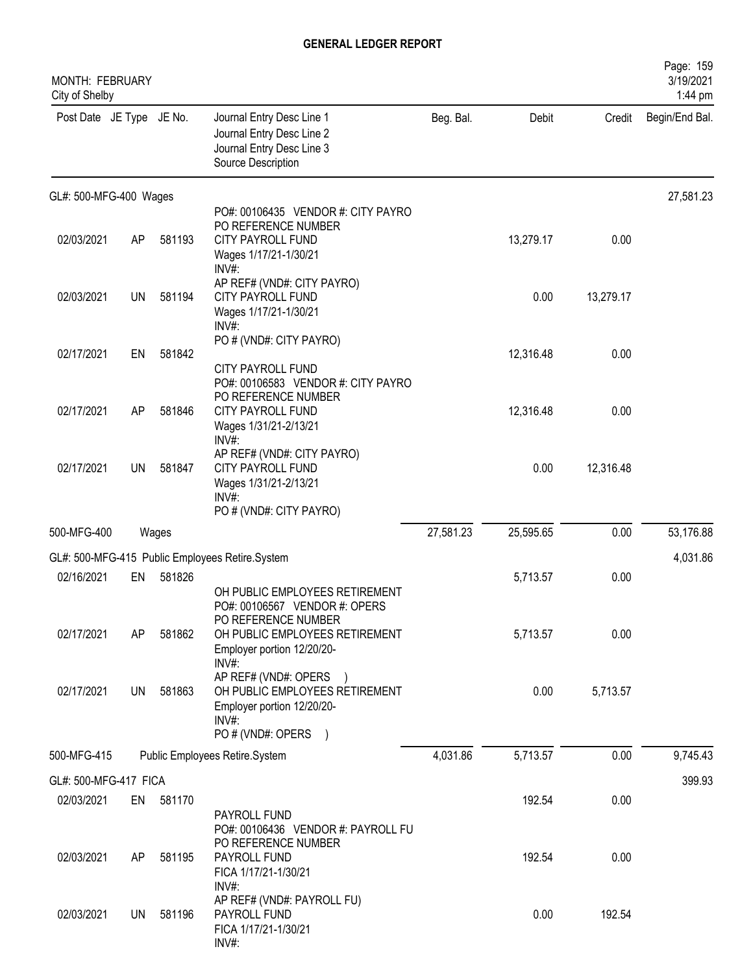| MONTH: FEBRUARY<br>City of Shelby |           |        |                                                                                                                                                                 |           |           |           | Page: 159<br>3/19/2021<br>1:44 pm |
|-----------------------------------|-----------|--------|-----------------------------------------------------------------------------------------------------------------------------------------------------------------|-----------|-----------|-----------|-----------------------------------|
| Post Date JE Type JE No.          |           |        | Journal Entry Desc Line 1<br>Journal Entry Desc Line 2<br>Journal Entry Desc Line 3<br>Source Description                                                       | Beg. Bal. | Debit     | Credit    | Begin/End Bal.                    |
| GL#: 500-MFG-400 Wages            |           |        |                                                                                                                                                                 |           |           |           | 27,581.23                         |
| 02/03/2021                        | AP        | 581193 | PO#: 00106435 VENDOR #: CITY PAYRO<br>PO REFERENCE NUMBER<br>CITY PAYROLL FUND<br>Wages 1/17/21-1/30/21<br>INV#:                                                |           | 13,279.17 | 0.00      |                                   |
| 02/03/2021                        | <b>UN</b> | 581194 | AP REF# (VND#: CITY PAYRO)<br><b>CITY PAYROLL FUND</b><br>Wages 1/17/21-1/30/21<br>INV#                                                                         |           | 0.00      | 13,279.17 |                                   |
| 02/17/2021                        | EN        | 581842 | PO # (VND#: CITY PAYRO)<br>CITY PAYROLL FUND                                                                                                                    |           | 12,316.48 | 0.00      |                                   |
| 02/17/2021                        | AP        | 581846 | PO#: 00106583 VENDOR #: CITY PAYRO<br>PO REFERENCE NUMBER<br><b>CITY PAYROLL FUND</b><br>Wages 1/31/21-2/13/21<br>INV#:                                         |           | 12,316.48 | 0.00      |                                   |
| 02/17/2021                        | UN        | 581847 | AP REF# (VND#: CITY PAYRO)<br><b>CITY PAYROLL FUND</b><br>Wages 1/31/21-2/13/21<br>$INV#$ :                                                                     |           | 0.00      | 12,316.48 |                                   |
| 500-MFG-400                       |           | Wages  | PO # (VND#: CITY PAYRO)                                                                                                                                         | 27,581.23 | 25,595.65 | 0.00      | 53,176.88                         |
|                                   |           |        | GL#: 500-MFG-415 Public Employees Retire.System                                                                                                                 |           |           |           | 4,031.86                          |
| 02/16/2021                        | EN        | 581826 |                                                                                                                                                                 |           | 5,713.57  | 0.00      |                                   |
| 02/17/2021                        | AP        | 581862 | OH PUBLIC EMPLOYEES RETIREMENT<br>PO#: 00106567 VENDOR #: OPERS<br>PO REFERENCE NUMBER<br>OH PUBLIC EMPLOYEES RETIREMENT<br>Employer portion 12/20/20-<br>INV#: |           | 5,713.57  | 0.00      |                                   |
| 02/17/2021                        | <b>UN</b> | 581863 | AP REF# (VND#: OPERS )<br>OH PUBLIC EMPLOYEES RETIREMENT<br>Employer portion 12/20/20-<br>INV#:<br>PO # (VND#: OPERS                                            |           | 0.00      | 5,713.57  |                                   |
| 500-MFG-415                       |           |        | Public Employees Retire.System                                                                                                                                  | 4,031.86  | 5,713.57  | 0.00      | 9,745.43                          |
| GL#: 500-MFG-417 FICA             |           |        |                                                                                                                                                                 |           |           |           | 399.93                            |
| 02/03/2021                        | EN        | 581170 |                                                                                                                                                                 |           | 192.54    | 0.00      |                                   |
| 02/03/2021                        | AP        | 581195 | PAYROLL FUND<br>PO#: 00106436 VENDOR #: PAYROLL FU<br>PO REFERENCE NUMBER<br>PAYROLL FUND<br>FICA 1/17/21-1/30/21<br>$INV#$ :<br>AP REF# (VND#: PAYROLL FU)     |           | 192.54    | 0.00      |                                   |
| 02/03/2021                        | UN.       | 581196 | PAYROLL FUND<br>FICA 1/17/21-1/30/21<br>INV#:                                                                                                                   |           | 0.00      | 192.54    |                                   |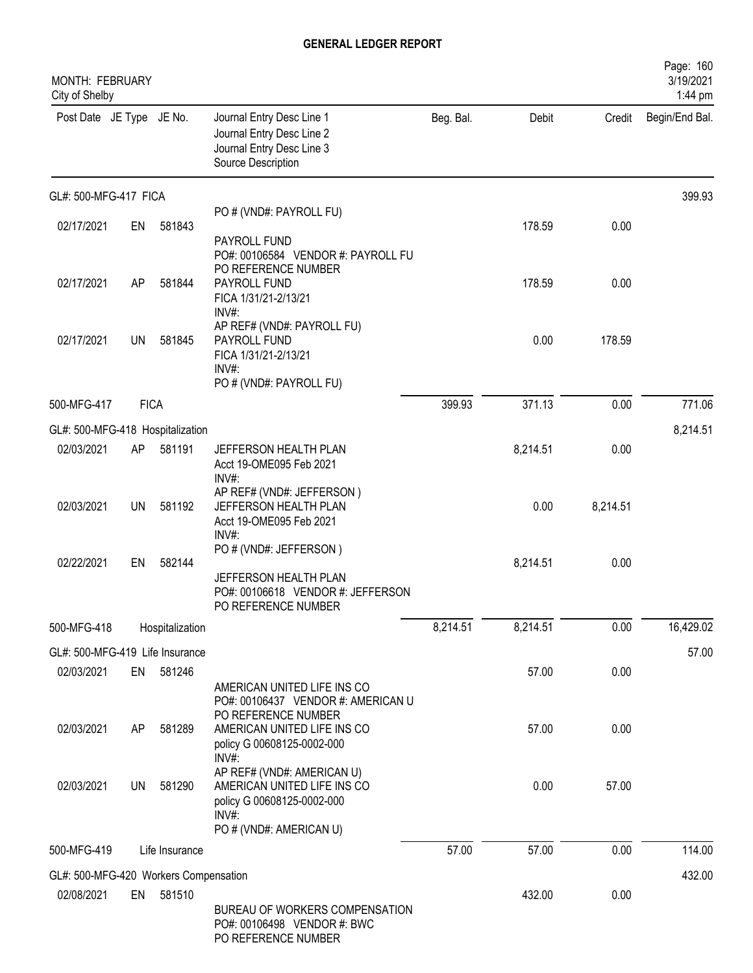| MONTH: FEBRUARY<br>City of Shelby     |             |                 |                                                                                                                                |           |          |          | Page: 160<br>3/19/2021<br>1:44 pm |
|---------------------------------------|-------------|-----------------|--------------------------------------------------------------------------------------------------------------------------------|-----------|----------|----------|-----------------------------------|
| Post Date JE Type JE No.              |             |                 | Journal Entry Desc Line 1<br>Journal Entry Desc Line 2<br>Journal Entry Desc Line 3<br>Source Description                      | Beg. Bal. | Debit    | Credit   | Begin/End Bal.                    |
| GL#: 500-MFG-417 FICA                 |             |                 |                                                                                                                                |           |          |          | 399.93                            |
| 02/17/2021                            | EN          | 581843          | PO # (VND#: PAYROLL FU)<br>PAYROLL FUND                                                                                        |           | 178.59   | 0.00     |                                   |
| 02/17/2021                            | AP          | 581844          | PO#: 00106584 VENDOR #: PAYROLL FU<br>PO REFERENCE NUMBER<br>PAYROLL FUND<br>FICA 1/31/21-2/13/21<br>INV#:                     |           | 178.59   | 0.00     |                                   |
| 02/17/2021                            | UN          | 581845          | AP REF# (VND#: PAYROLL FU)<br>PAYROLL FUND<br>FICA 1/31/21-2/13/21<br>INV#:<br>PO # (VND#: PAYROLL FU)                         |           | 0.00     | 178.59   |                                   |
| 500-MFG-417                           | <b>FICA</b> |                 |                                                                                                                                | 399.93    | 371.13   | 0.00     | 771.06                            |
| GL#: 500-MFG-418 Hospitalization      |             |                 |                                                                                                                                |           |          |          | 8,214.51                          |
| 02/03/2021                            | AP          | 581191          | JEFFERSON HEALTH PLAN<br>Acct 19-OME095 Feb 2021                                                                               |           | 8,214.51 | 0.00     |                                   |
| 02/03/2021                            | <b>UN</b>   | 581192          | INV#:<br>AP REF# (VND#: JEFFERSON)<br>JEFFERSON HEALTH PLAN<br>Acct 19-OME095 Feb 2021<br>INV#:                                |           | 0.00     | 8,214.51 |                                   |
| 02/22/2021                            | EN          | 582144          | PO # (VND#: JEFFERSON)<br>JEFFERSON HEALTH PLAN<br>PO#: 00106618 VENDOR #: JEFFERSON<br>PO REFERENCE NUMBER                    |           | 8,214.51 | 0.00     |                                   |
| 500-MFG-418                           |             | Hospitalization |                                                                                                                                | 8,214.51  | 8,214.51 | 0.00     | 16,429.02                         |
| GL#: 500-MFG-419 Life Insurance       |             |                 |                                                                                                                                |           |          |          | 57.00                             |
| 02/03/2021                            | EN          | 581246          | AMERICAN UNITED LIFE INS CO<br>PO#: 00106437 VENDOR #: AMERICAN U                                                              |           | 57.00    | 0.00     |                                   |
| 02/03/2021                            | AP          | 581289          | PO REFERENCE NUMBER<br>AMERICAN UNITED LIFE INS CO<br>policy G 00608125-0002-000<br>INV#:                                      |           | 57.00    | 0.00     |                                   |
| 02/03/2021                            | UN          | 581290          | AP REF# (VND#: AMERICAN U)<br>AMERICAN UNITED LIFE INS CO<br>policy G 00608125-0002-000<br>$INV#$ :<br>PO # (VND#: AMERICAN U) |           | 0.00     | 57.00    |                                   |
| 500-MFG-419                           |             | Life Insurance  |                                                                                                                                | 57.00     | 57.00    | 0.00     | 114.00                            |
| GL#: 500-MFG-420 Workers Compensation |             |                 |                                                                                                                                |           |          |          | 432.00                            |
| 02/08/2021                            | EN          | 581510          | BUREAU OF WORKERS COMPENSATION<br>PO#: 00106498 VENDOR #: BWC<br>PO REFERENCE NUMBER                                           |           | 432.00   | 0.00     |                                   |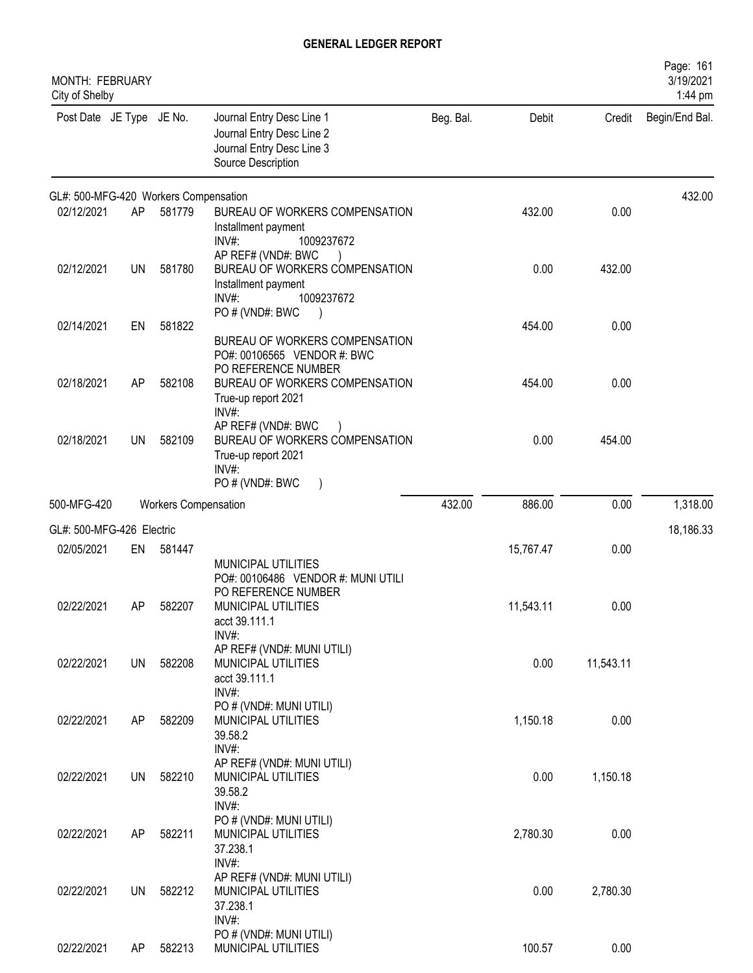| <b>MONTH: FEBRUARY</b><br>City of Shelby |           |                             |                                                                                                           |           |           |           | Page: 161<br>3/19/2021<br>1:44 pm |
|------------------------------------------|-----------|-----------------------------|-----------------------------------------------------------------------------------------------------------|-----------|-----------|-----------|-----------------------------------|
| Post Date JE Type JE No.                 |           |                             | Journal Entry Desc Line 1<br>Journal Entry Desc Line 2<br>Journal Entry Desc Line 3<br>Source Description | Beg. Bal. | Debit     | Credit    | Begin/End Bal.                    |
| GL#: 500-MFG-420 Workers Compensation    |           |                             |                                                                                                           |           |           |           | 432.00                            |
| 02/12/2021                               | AP        | 581779                      | BUREAU OF WORKERS COMPENSATION<br>Installment payment<br>INV#:<br>1009237672                              |           | 432.00    | 0.00      |                                   |
| 02/12/2021                               | <b>UN</b> | 581780                      | AP REF# (VND#: BWC<br>BUREAU OF WORKERS COMPENSATION<br>Installment payment<br>INV#:<br>1009237672        |           | 0.00      | 432.00    |                                   |
| 02/14/2021                               | EN        | 581822                      | PO # (VND#: BWC<br>BUREAU OF WORKERS COMPENSATION<br>PO#: 00106565 VENDOR #: BWC                          |           | 454.00    | 0.00      |                                   |
| 02/18/2021                               | AP        | 582108                      | PO REFERENCE NUMBER<br>BUREAU OF WORKERS COMPENSATION<br>True-up report 2021<br>INV#:                     |           | 454.00    | 0.00      |                                   |
| 02/18/2021                               | UN        | 582109                      | AP REF# (VND#: BWC<br>BUREAU OF WORKERS COMPENSATION<br>True-up report 2021<br>INV#:                      |           | 0.00      | 454.00    |                                   |
| 500-MFG-420                              |           | <b>Workers Compensation</b> | PO#(VND#: BWC<br>$\rightarrow$                                                                            | 432.00    | 886.00    | 0.00      | 1,318.00                          |
|                                          |           |                             |                                                                                                           |           |           |           |                                   |
| GL#: 500-MFG-426 Electric<br>02/05/2021  | EN        | 581447                      |                                                                                                           |           | 15,767.47 | 0.00      | 18,186.33                         |
|                                          |           |                             | MUNICIPAL UTILITIES<br>PO#: 00106486 VENDOR #: MUNI UTILI<br>PO REFERENCE NUMBER                          |           |           |           |                                   |
| 02/22/2021                               | AP        | 582207                      | MUNICIPAL UTILITIES<br>acct 39.111.1<br>INV#:<br>AP REF# (VND#: MUNI UTILI)                               |           | 11,543.11 | 0.00      |                                   |
| 02/22/2021                               |           | UN 582208                   | MUNICIPAL UTILITIES<br>acct 39.111.1<br>INV#:                                                             |           | 0.00      | 11,543.11 |                                   |
| 02/22/2021                               | AP        | 582209                      | PO # (VND#: MUNI UTILI)<br>MUNICIPAL UTILITIES<br>39.58.2<br>INV#:                                        |           | 1,150.18  | 0.00      |                                   |
| 02/22/2021                               | <b>UN</b> | 582210                      | AP REF# (VND#: MUNI UTILI)<br>MUNICIPAL UTILITIES<br>39.58.2<br>INV#:                                     |           | 0.00      | 1,150.18  |                                   |
| 02/22/2021                               | AP        | 582211                      | PO # (VND#: MUNI UTILI)<br>MUNICIPAL UTILITIES<br>37.238.1<br>INV#:                                       |           | 2,780.30  | 0.00      |                                   |
| 02/22/2021                               | <b>UN</b> | 582212                      | AP REF# (VND#: MUNI UTILI)<br>MUNICIPAL UTILITIES<br>37.238.1<br>INV#:                                    |           | 0.00      | 2,780.30  |                                   |
| 02/22/2021                               | AP        | 582213                      | PO # (VND#: MUNI UTILI)<br>MUNICIPAL UTILITIES                                                            |           | 100.57    | 0.00      |                                   |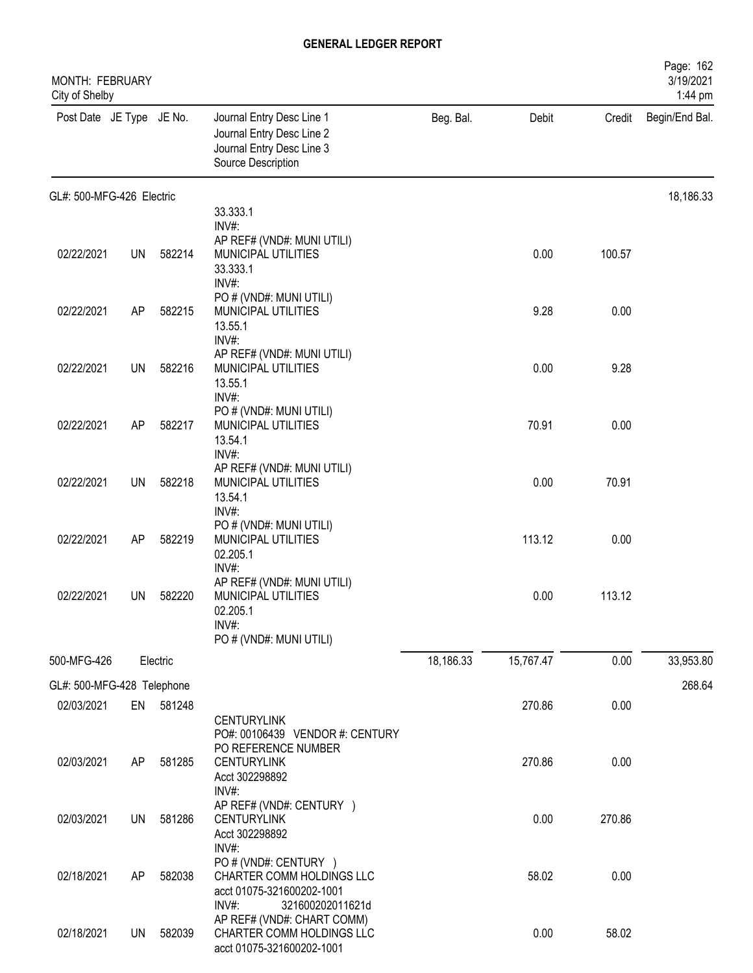| MONTH: FEBRUARY<br>City of Shelby |           |           |                                                                                                                   |           |           |        | Page: 162<br>3/19/2021<br>1:44 pm |
|-----------------------------------|-----------|-----------|-------------------------------------------------------------------------------------------------------------------|-----------|-----------|--------|-----------------------------------|
| Post Date JE Type JE No.          |           |           | Journal Entry Desc Line 1<br>Journal Entry Desc Line 2<br>Journal Entry Desc Line 3<br>Source Description         | Beg. Bal. | Debit     | Credit | Begin/End Bal.                    |
| GL#: 500-MFG-426 Electric         |           |           |                                                                                                                   |           |           |        | 18,186.33                         |
|                                   |           |           | 33.333.1<br>INV#:                                                                                                 |           |           |        |                                   |
| 02/22/2021                        | <b>UN</b> | 582214    | AP REF# (VND#: MUNI UTILI)<br>MUNICIPAL UTILITIES<br>33.333.1<br>INV#:                                            |           | 0.00      | 100.57 |                                   |
| 02/22/2021                        | AP        | 582215    | PO # (VND#: MUNI UTILI)<br>MUNICIPAL UTILITIES<br>13.55.1<br>INV#:                                                |           | 9.28      | 0.00   |                                   |
| 02/22/2021                        | UN        | 582216    | AP REF# (VND#: MUNI UTILI)<br>MUNICIPAL UTILITIES<br>13.55.1                                                      |           | 0.00      | 9.28   |                                   |
| 02/22/2021                        | AP        | 582217    | INV#:<br>PO # (VND#: MUNI UTILI)<br>MUNICIPAL UTILITIES<br>13.54.1                                                |           | 70.91     | 0.00   |                                   |
| 02/22/2021                        | <b>UN</b> | 582218    | INV#:<br>AP REF# (VND#: MUNI UTILI)<br>MUNICIPAL UTILITIES<br>13.54.1                                             |           | 0.00      | 70.91  |                                   |
| 02/22/2021                        | AP        | 582219    | INV#:<br>PO # (VND#: MUNI UTILI)<br>MUNICIPAL UTILITIES<br>02.205.1                                               |           | 113.12    | 0.00   |                                   |
| 02/22/2021                        | UN        | 582220    | INV#:<br>AP REF# (VND#: MUNI UTILI)<br>MUNICIPAL UTILITIES<br>02.205.1<br>INV#:<br>PO # (VND#: MUNI UTILI)        |           | 0.00      | 113.12 |                                   |
| 500-MFG-426                       |           | Electric  |                                                                                                                   | 18,186.33 | 15,767.47 | 0.00   | 33,953.80                         |
| GL#: 500-MFG-428 Telephone        |           |           |                                                                                                                   |           |           |        | 268.64                            |
| 02/03/2021                        |           | EN 581248 | <b>CENTURYLINK</b><br>PO#: 00106439 VENDOR #: CENTURY                                                             |           | 270.86    | 0.00   |                                   |
| 02/03/2021                        | AP        | 581285    | PO REFERENCE NUMBER<br><b>CENTURYLINK</b><br>Acct 302298892                                                       |           | 270.86    | 0.00   |                                   |
| 02/03/2021                        | UN        | 581286    | INV#:<br>AP REF# (VND#: CENTURY )<br><b>CENTURYLINK</b><br>Acct 302298892                                         |           | 0.00      | 270.86 |                                   |
| 02/18/2021                        | AP        | 582038    | INV#:<br>PO # (VND#: CENTURY )<br>CHARTER COMM HOLDINGS LLC<br>acct 01075-321600202-1001                          |           | 58.02     | 0.00   |                                   |
| 02/18/2021                        | <b>UN</b> | 582039    | INV#:<br>321600202011621d<br>AP REF# (VND#: CHART COMM)<br>CHARTER COMM HOLDINGS LLC<br>acct 01075-321600202-1001 |           | 0.00      | 58.02  |                                   |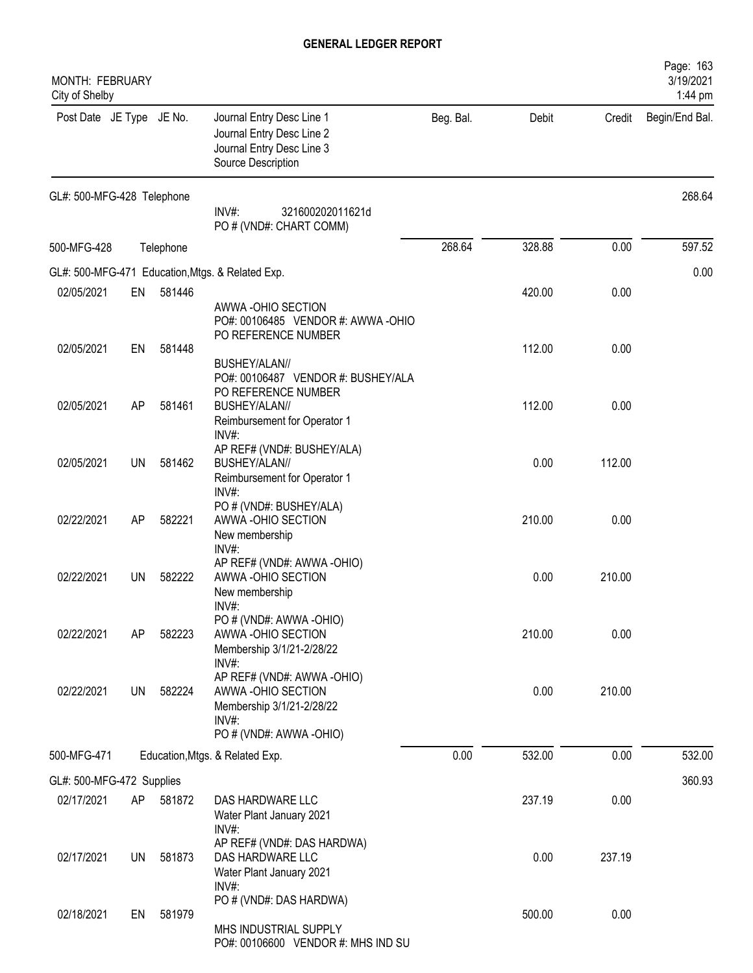| MONTH: FEBRUARY<br>City of Shelby |           |           |                                                                                                                              |           |        |        | Page: 163<br>3/19/2021<br>1:44 pm |
|-----------------------------------|-----------|-----------|------------------------------------------------------------------------------------------------------------------------------|-----------|--------|--------|-----------------------------------|
| Post Date JE Type JE No.          |           |           | Journal Entry Desc Line 1<br>Journal Entry Desc Line 2<br>Journal Entry Desc Line 3<br>Source Description                    | Beg. Bal. | Debit  | Credit | Begin/End Bal.                    |
| GL#: 500-MFG-428 Telephone        |           |           | INV#:<br>321600202011621d<br>PO # (VND#: CHART COMM)                                                                         |           |        |        | 268.64                            |
| 500-MFG-428                       |           | Telephone |                                                                                                                              | 268.64    | 328.88 | 0.00   | 597.52                            |
|                                   |           |           | GL#: 500-MFG-471 Education, Mtgs. & Related Exp.                                                                             |           |        |        | 0.00                              |
| 02/05/2021                        | EN        | 581446    | AWWA-OHIO SECTION<br>PO#: 00106485 VENDOR #: AWWA -OHIO<br>PO REFERENCE NUMBER                                               |           | 420.00 | 0.00   |                                   |
| 02/05/2021                        | EN        | 581448    | BUSHEY/ALAN//<br>PO#: 00106487 VENDOR #: BUSHEY/ALA                                                                          |           | 112.00 | 0.00   |                                   |
| 02/05/2021                        | AP        | 581461    | PO REFERENCE NUMBER<br>BUSHEY/ALAN//<br>Reimbursement for Operator 1<br>INV#:                                                |           | 112.00 | 0.00   |                                   |
| 02/05/2021                        | <b>UN</b> | 581462    | AP REF# (VND#: BUSHEY/ALA)<br>BUSHEY/ALAN//<br>Reimbursement for Operator 1                                                  |           | 0.00   | 112.00 |                                   |
| 02/22/2021                        | AP        | 582221    | $INV#$ :<br>PO # (VND#: BUSHEY/ALA)<br>AWWA-OHIO SECTION<br>New membership                                                   |           | 210.00 | 0.00   |                                   |
| 02/22/2021                        | <b>UN</b> | 582222    | INV#:<br>AP REF# (VND#: AWWA -OHIO)<br>AWWA-OHIO SECTION<br>New membership                                                   |           | 0.00   | 210.00 |                                   |
| 02/22/2021                        | AP        | 582223    | INV#:<br>PO # (VND#: AWWA -OHIO)<br>AWWA-OHIO SECTION<br>Membership 3/1/21-2/28/22                                           |           | 210.00 | 0.00   |                                   |
| 02/22/2021                        | <b>UN</b> | 582224    | INV#:<br>AP REF# (VND#: AWWA -OHIO)<br>AWWA-OHIO SECTION<br>Membership 3/1/21-2/28/22<br>$INV#$ :<br>PO # (VND#: AWWA -OHIO) |           | 0.00   | 210.00 |                                   |
| 500-MFG-471                       |           |           | Education, Mtgs. & Related Exp.                                                                                              | 0.00      | 532.00 | 0.00   | 532.00                            |
| GL#: 500-MFG-472 Supplies         |           |           |                                                                                                                              |           |        |        | 360.93                            |
| 02/17/2021                        | AP        | 581872    | DAS HARDWARE LLC<br>Water Plant January 2021<br>INV#:                                                                        |           | 237.19 | 0.00   |                                   |
| 02/17/2021                        | UN        | 581873    | AP REF# (VND#: DAS HARDWA)<br>DAS HARDWARE LLC<br>Water Plant January 2021                                                   |           | 0.00   | 237.19 |                                   |
| 02/18/2021                        | EN        | 581979    | INV#:<br>PO # (VND#: DAS HARDWA)<br>MHS INDUSTRIAL SUPPLY<br>PO#: 00106600 VENDOR #: MHS IND SU                              |           | 500.00 | 0.00   |                                   |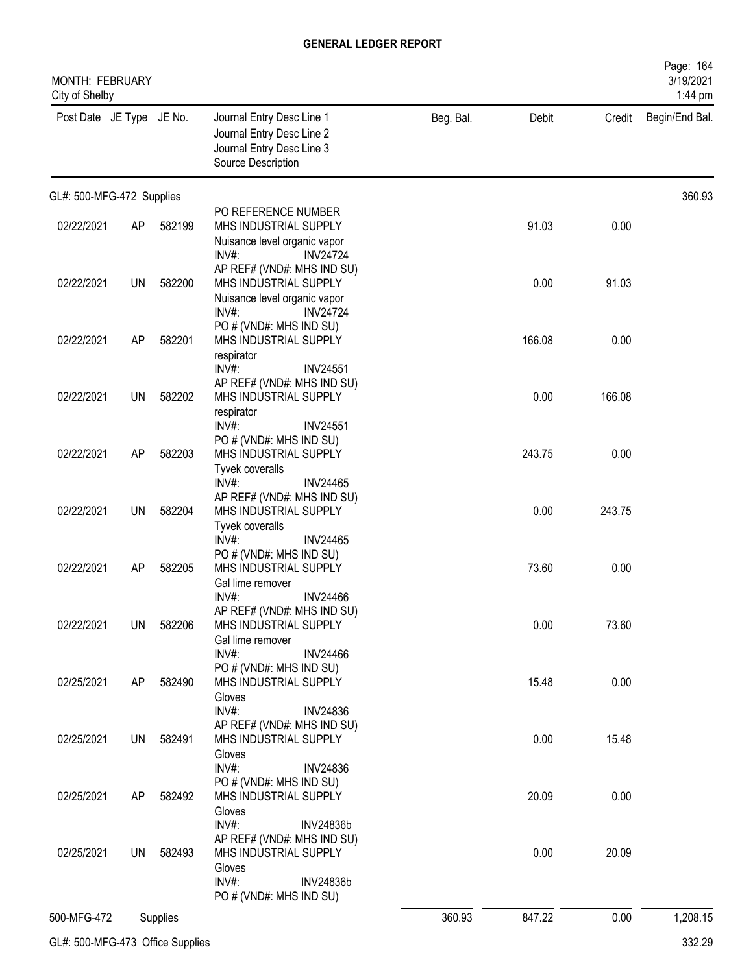| MONTH: FEBRUARY<br>City of Shelby |           |          |                                                                                                                            |           |        |        | Page: 164<br>3/19/2021<br>1:44 pm |
|-----------------------------------|-----------|----------|----------------------------------------------------------------------------------------------------------------------------|-----------|--------|--------|-----------------------------------|
| Post Date JE Type JE No.          |           |          | Journal Entry Desc Line 1<br>Journal Entry Desc Line 2<br>Journal Entry Desc Line 3<br>Source Description                  | Beg. Bal. | Debit  | Credit | Begin/End Bal.                    |
| GL#: 500-MFG-472 Supplies         |           |          |                                                                                                                            |           |        |        | 360.93                            |
| 02/22/2021                        | AP        | 582199   | PO REFERENCE NUMBER<br>MHS INDUSTRIAL SUPPLY                                                                               |           | 91.03  | 0.00   |                                   |
|                                   |           |          | Nuisance level organic vapor<br><b>INV24724</b><br>$INV#$ :                                                                |           |        |        |                                   |
| 02/22/2021                        | UN        | 582200   | AP REF# (VND#: MHS IND SU)<br>MHS INDUSTRIAL SUPPLY<br>Nuisance level organic vapor<br>INV#<br><b>INV24724</b>             |           | 0.00   | 91.03  |                                   |
| 02/22/2021                        | AP        | 582201   | PO # (VND#: MHS IND SU)<br>MHS INDUSTRIAL SUPPLY<br>respirator<br>INV#:<br><b>INV24551</b>                                 |           | 166.08 | 0.00   |                                   |
| 02/22/2021                        | <b>UN</b> | 582202   | AP REF# (VND#: MHS IND SU)<br>MHS INDUSTRIAL SUPPLY<br>respirator                                                          |           | 0.00   | 166.08 |                                   |
| 02/22/2021                        | AP        | 582203   | $INV#$ :<br><b>INV24551</b><br>PO # (VND#: MHS IND SU)<br>MHS INDUSTRIAL SUPPLY<br>Tyvek coveralls                         |           | 243.75 | 0.00   |                                   |
| 02/22/2021                        | UN        | 582204   | INV#:<br><b>INV24465</b><br>AP REF# (VND#: MHS IND SU)<br>MHS INDUSTRIAL SUPPLY                                            |           | 0.00   | 243.75 |                                   |
| 02/22/2021                        | AP        | 582205   | Tyvek coveralls<br>INV#<br><b>INV24465</b><br>PO # (VND#: MHS IND SU)<br>MHS INDUSTRIAL SUPPLY<br>Gal lime remover         |           | 73.60  | 0.00   |                                   |
| 02/22/2021                        | <b>UN</b> | 582206   | INV#:<br><b>INV24466</b><br>AP REF# (VND#: MHS IND SU)<br>MHS INDUSTRIAL SUPPLY<br>Gal lime remover                        |           | 0.00   | 73.60  |                                   |
| 02/25/2021                        | AP        | 582490   | INV#:<br><b>INV24466</b><br>PO # (VND#: MHS IND SU)<br>MHS INDUSTRIAL SUPPLY<br>Gloves                                     |           | 15.48  | 0.00   |                                   |
| 02/25/2021                        | <b>UN</b> | 582491   | $INV#$ :<br><b>INV24836</b><br>AP REF# (VND#: MHS IND SU)<br>MHS INDUSTRIAL SUPPLY<br>Gloves                               |           | 0.00   | 15.48  |                                   |
| 02/25/2021                        | AP        | 582492   | $INV#$ :<br><b>INV24836</b><br>PO # (VND#: MHS IND SU)<br>MHS INDUSTRIAL SUPPLY<br>Gloves                                  |           | 20.09  | 0.00   |                                   |
| 02/25/2021                        | <b>UN</b> | 582493   | INV#:<br><b>INV24836b</b><br>AP REF# (VND#: MHS IND SU)<br>MHS INDUSTRIAL SUPPLY<br>Gloves<br>$INV#$ :<br><b>INV24836b</b> |           | 0.00   | 20.09  |                                   |
| 500-MFG-472                       |           | Supplies | PO # (VND#: MHS IND SU)                                                                                                    | 360.93    | 847.22 | 0.00   | 1,208.15                          |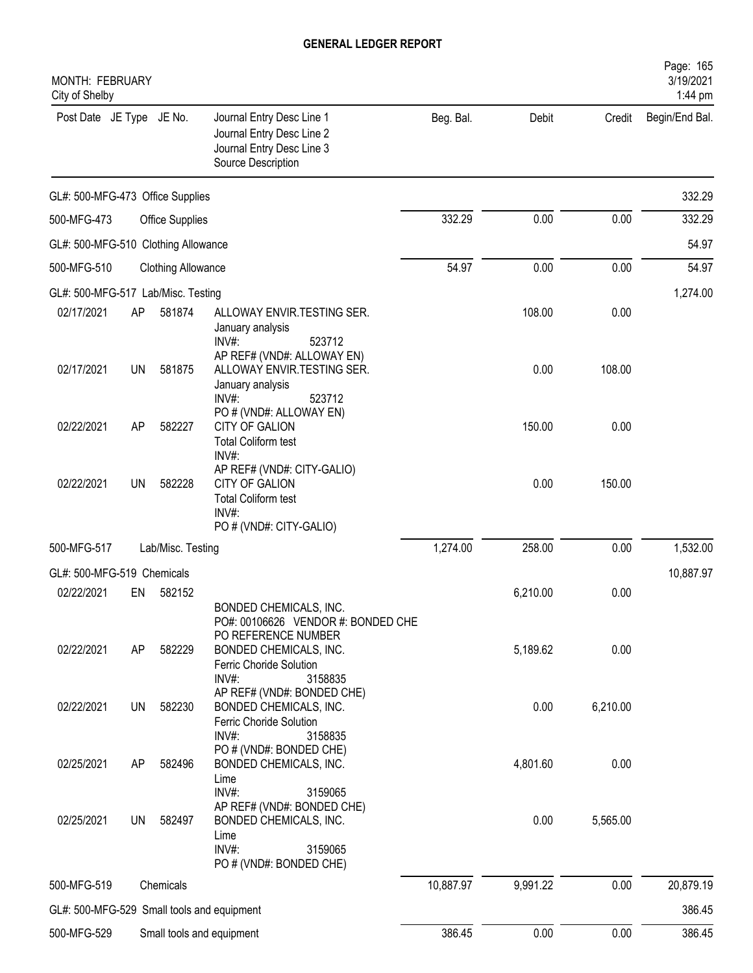| MONTH: FEBRUARY<br>City of Shelby          |           |                           |                                                                                                                                                              |           |          |          | Page: 165<br>3/19/2021<br>1:44 pm |
|--------------------------------------------|-----------|---------------------------|--------------------------------------------------------------------------------------------------------------------------------------------------------------|-----------|----------|----------|-----------------------------------|
| Post Date JE Type JE No.                   |           |                           | Journal Entry Desc Line 1<br>Journal Entry Desc Line 2<br>Journal Entry Desc Line 3<br>Source Description                                                    | Beg. Bal. | Debit    | Credit   | Begin/End Bal.                    |
| GL#: 500-MFG-473 Office Supplies           |           |                           |                                                                                                                                                              |           |          |          | 332.29                            |
| 500-MFG-473                                |           | <b>Office Supplies</b>    |                                                                                                                                                              | 332.29    | 0.00     | 0.00     | 332.29                            |
| GL#: 500-MFG-510 Clothing Allowance        |           |                           |                                                                                                                                                              |           |          |          | 54.97                             |
| 500-MFG-510                                |           | <b>Clothing Allowance</b> |                                                                                                                                                              | 54.97     | 0.00     | 0.00     | 54.97                             |
| GL#: 500-MFG-517 Lab/Misc. Testing         |           |                           |                                                                                                                                                              |           |          |          | 1,274.00                          |
| 02/17/2021                                 | AP        | 581874                    | ALLOWAY ENVIR.TESTING SER.<br>January analysis<br>INV#:<br>523712                                                                                            |           | 108.00   | 0.00     |                                   |
| 02/17/2021                                 | <b>UN</b> | 581875                    | AP REF# (VND#: ALLOWAY EN)<br>ALLOWAY ENVIR.TESTING SER.<br>January analysis<br>$INV#$ :<br>523712                                                           |           | 0.00     | 108.00   |                                   |
| 02/22/2021                                 | AP        | 582227                    | PO # (VND#: ALLOWAY EN)<br><b>CITY OF GALION</b><br><b>Total Coliform test</b><br>INV#:                                                                      |           | 150.00   | 0.00     |                                   |
| 02/22/2021                                 | <b>UN</b> | 582228                    | AP REF# (VND#: CITY-GALIO)<br><b>CITY OF GALION</b><br><b>Total Coliform test</b><br>INV#:<br>PO # (VND#: CITY-GALIO)                                        |           | 0.00     | 150.00   |                                   |
| 500-MFG-517                                |           | Lab/Misc. Testing         |                                                                                                                                                              | 1,274.00  | 258.00   | 0.00     | 1,532.00                          |
| GL#: 500-MFG-519 Chemicals                 |           |                           |                                                                                                                                                              |           |          |          | 10,887.97                         |
| 02/22/2021                                 | EN        | 582152                    |                                                                                                                                                              |           | 6,210.00 | 0.00     |                                   |
| 02/22/2021                                 | AP        | 582229                    | BONDED CHEMICALS, INC.<br>PO#: 00106626 VENDOR #: BONDED CHE<br>PO REFERENCE NUMBER<br>BONDED CHEMICALS, INC.<br>Ferric Choride Solution<br>INV#:<br>3158835 |           | 5,189.62 | 0.00     |                                   |
| 02/22/2021                                 | <b>UN</b> | 582230                    | AP REF# (VND#: BONDED CHE)<br>BONDED CHEMICALS, INC.<br>Ferric Choride Solution<br>INV#:<br>3158835                                                          |           | 0.00     | 6,210.00 |                                   |
| 02/25/2021                                 | AP        | 582496                    | PO # (VND#: BONDED CHE)<br>BONDED CHEMICALS, INC.<br>Lime                                                                                                    |           | 4,801.60 | 0.00     |                                   |
| 02/25/2021                                 | <b>UN</b> | 582497                    | INV#:<br>3159065<br>AP REF# (VND#: BONDED CHE)<br>BONDED CHEMICALS, INC.<br>Lime<br>INV#:<br>3159065<br>PO # (VND#: BONDED CHE)                              |           | 0.00     | 5,565.00 |                                   |
| 500-MFG-519                                |           | Chemicals                 |                                                                                                                                                              | 10,887.97 | 9,991.22 | 0.00     | 20,879.19                         |
| GL#: 500-MFG-529 Small tools and equipment |           |                           |                                                                                                                                                              |           |          |          | 386.45                            |
| 500-MFG-529                                |           |                           | Small tools and equipment                                                                                                                                    | 386.45    | 0.00     | 0.00     | 386.45                            |
|                                            |           |                           |                                                                                                                                                              |           |          |          |                                   |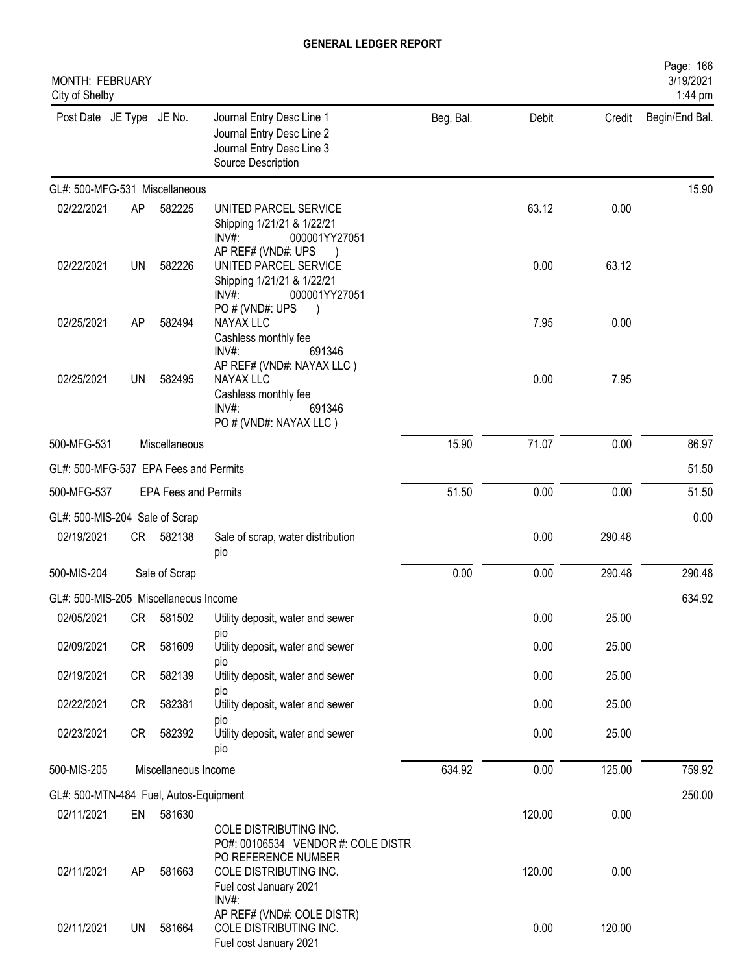| <b>MONTH: FEBRUARY</b><br>City of Shelby |           |                             |                                                                                                                    |           |        |        | Page: 166<br>3/19/2021<br>1:44 pm |
|------------------------------------------|-----------|-----------------------------|--------------------------------------------------------------------------------------------------------------------|-----------|--------|--------|-----------------------------------|
| Post Date JE Type JE No.                 |           |                             | Journal Entry Desc Line 1<br>Journal Entry Desc Line 2<br>Journal Entry Desc Line 3<br>Source Description          | Beg. Bal. | Debit  | Credit | Begin/End Bal.                    |
| GL#: 500-MFG-531 Miscellaneous           |           |                             |                                                                                                                    |           |        |        | 15.90                             |
| 02/22/2021                               | AP        | 582225                      | UNITED PARCEL SERVICE<br>Shipping 1/21/21 & 1/22/21<br>000001YY27051<br>INV#                                       |           | 63.12  | 0.00   |                                   |
| 02/22/2021                               | <b>UN</b> | 582226                      | AP REF# (VND#: UPS<br>UNITED PARCEL SERVICE<br>Shipping 1/21/21 & 1/22/21<br>$INV#$ :<br>000001YY27051             |           | 0.00   | 63.12  |                                   |
| 02/25/2021                               | AP        | 582494                      | PO#(VND#: UPS<br>NAYAX LLC<br>Cashless monthly fee<br>INV#:<br>691346                                              |           | 7.95   | 0.00   |                                   |
| 02/25/2021                               | UN        | 582495                      | AP REF# (VND#: NAYAX LLC)<br><b>NAYAX LLC</b><br>Cashless monthly fee<br>INV#:<br>691346<br>PO # (VND#: NAYAX LLC) |           | 0.00   | 7.95   |                                   |
| 500-MFG-531                              |           | Miscellaneous               |                                                                                                                    | 15.90     | 71.07  | 0.00   | 86.97                             |
| GL#: 500-MFG-537 EPA Fees and Permits    |           |                             |                                                                                                                    |           |        |        | 51.50                             |
| 500-MFG-537                              |           | <b>EPA Fees and Permits</b> |                                                                                                                    | 51.50     | 0.00   | 0.00   | 51.50                             |
| GL#: 500-MIS-204 Sale of Scrap           |           |                             |                                                                                                                    |           |        |        | 0.00                              |
| 02/19/2021                               | CR        | 582138                      | Sale of scrap, water distribution<br>pio                                                                           |           | 0.00   | 290.48 |                                   |
| 500-MIS-204                              |           | Sale of Scrap               |                                                                                                                    | 0.00      | 0.00   | 290.48 | 290.48                            |
| GL#: 500-MIS-205 Miscellaneous Income    |           |                             |                                                                                                                    |           |        |        | 634.92                            |
| 02/05/2021                               | CR        | 581502                      | Utility deposit, water and sewer                                                                                   |           | 0.00   | 25.00  |                                   |
| 02/09/2021                               | CR        | 581609                      | pio<br>Utility deposit, water and sewer<br>pio                                                                     |           | 0.00   | 25.00  |                                   |
| 02/19/2021                               | CR        | 582139                      | Utility deposit, water and sewer                                                                                   |           | 0.00   | 25.00  |                                   |
| 02/22/2021                               | CR        | 582381                      | pio<br>Utility deposit, water and sewer<br>pio                                                                     |           | 0.00   | 25.00  |                                   |
| 02/23/2021                               | CR        | 582392                      | Utility deposit, water and sewer<br>pio                                                                            |           | 0.00   | 25.00  |                                   |
| 500-MIS-205                              |           | Miscellaneous Income        |                                                                                                                    | 634.92    | 0.00   | 125.00 | 759.92                            |
| GL#: 500-MTN-484 Fuel, Autos-Equipment   |           |                             |                                                                                                                    |           |        |        | 250.00                            |
| 02/11/2021                               | EN        | 581630                      | COLE DISTRIBUTING INC.<br>PO#: 00106534 VENDOR #: COLE DISTR                                                       |           | 120.00 | 0.00   |                                   |
| 02/11/2021                               | AP        | 581663                      | PO REFERENCE NUMBER<br>COLE DISTRIBUTING INC.<br>Fuel cost January 2021<br>INV#:                                   |           | 120.00 | 0.00   |                                   |
| 02/11/2021                               | <b>UN</b> | 581664                      | AP REF# (VND#: COLE DISTR)<br>COLE DISTRIBUTING INC.<br>Fuel cost January 2021                                     |           | 0.00   | 120.00 |                                   |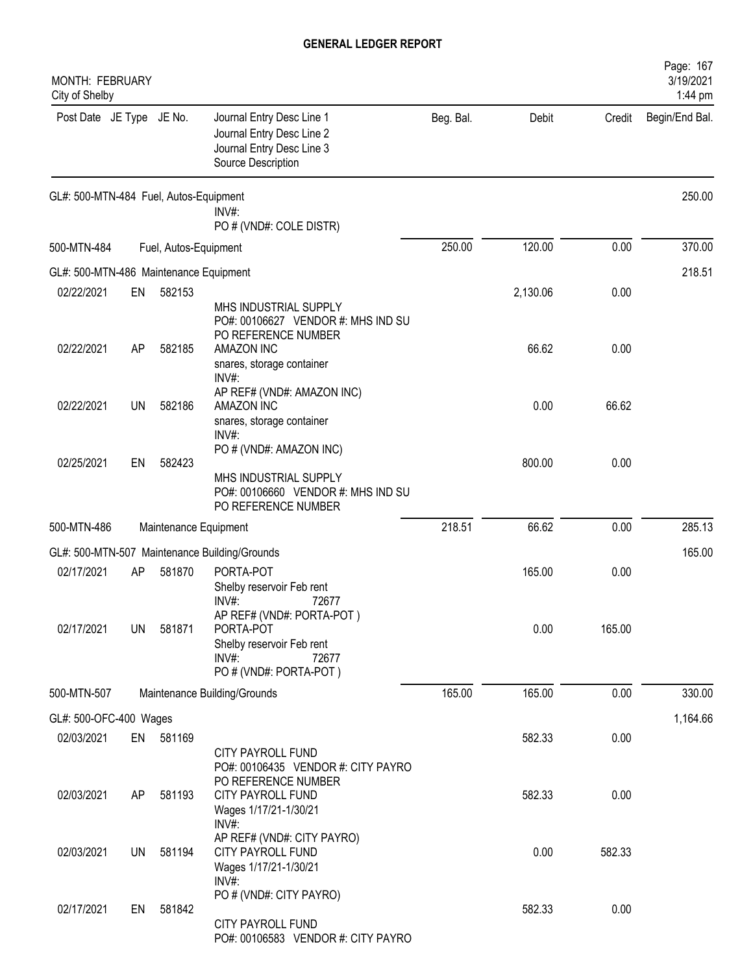| <b>MONTH: FEBRUARY</b><br>City of Shelby |    |                       |                                                                                                                    |           |          |        | Page: 167<br>3/19/2021<br>1:44 pm |
|------------------------------------------|----|-----------------------|--------------------------------------------------------------------------------------------------------------------|-----------|----------|--------|-----------------------------------|
| Post Date JE Type JE No.                 |    |                       | Journal Entry Desc Line 1<br>Journal Entry Desc Line 2<br>Journal Entry Desc Line 3<br>Source Description          | Beg. Bal. | Debit    | Credit | Begin/End Bal.                    |
| GL#: 500-MTN-484 Fuel, Autos-Equipment   |    |                       | INV#:<br>PO # (VND#: COLE DISTR)                                                                                   |           |          |        | 250.00                            |
| 500-MTN-484                              |    | Fuel, Autos-Equipment |                                                                                                                    | 250.00    | 120.00   | 0.00   | 370.00                            |
| GL#: 500-MTN-486 Maintenance Equipment   |    |                       |                                                                                                                    |           |          |        | 218.51                            |
| 02/22/2021                               | EN | 582153                | MHS INDUSTRIAL SUPPLY<br>PO#: 00106627 VENDOR #: MHS IND SU                                                        |           | 2,130.06 | 0.00   |                                   |
| 02/22/2021                               | AP | 582185                | PO REFERENCE NUMBER<br>AMAZON INC<br>snares, storage container<br>INV#:                                            |           | 66.62    | 0.00   |                                   |
| 02/22/2021                               | UN | 582186                | AP REF# (VND#: AMAZON INC)<br><b>AMAZON INC</b><br>snares, storage container<br>INV#:                              |           | 0.00     | 66.62  |                                   |
| 02/25/2021                               | EN | 582423                | PO # (VND#: AMAZON INC)<br>MHS INDUSTRIAL SUPPLY<br>PO#: 00106660 VENDOR #: MHS IND SU<br>PO REFERENCE NUMBER      |           | 800.00   | 0.00   |                                   |
| 500-MTN-486                              |    | Maintenance Equipment |                                                                                                                    | 218.51    | 66.62    | 0.00   | 285.13                            |
|                                          |    |                       | GL#: 500-MTN-507 Maintenance Building/Grounds                                                                      |           |          |        | 165.00                            |
| 02/17/2021                               | AP | 581870                | PORTA-POT<br>Shelby reservoir Feb rent<br>INV#:<br>72677                                                           |           | 165.00   | 0.00   |                                   |
| 02/17/2021                               | UN | 581871                | AP REF# (VND#: PORTA-POT)<br>PORTA-POT<br>Shelby reservoir Feb rent<br>$INV#$ :<br>72677<br>PO # (VND#: PORTA-POT) |           | 0.00     | 165.00 |                                   |
| 500-MTN-507                              |    |                       | Maintenance Building/Grounds                                                                                       | 165.00    | 165.00   | 0.00   | 330.00                            |
| GL#: 500-OFC-400 Wages                   |    |                       |                                                                                                                    |           |          |        | 1,164.66                          |
| 02/03/2021                               |    | EN 581169             | CITY PAYROLL FUND<br>PO#: 00106435 VENDOR #: CITY PAYRO                                                            |           | 582.33   | 0.00   |                                   |
| 02/03/2021                               | AP | 581193                | PO REFERENCE NUMBER<br><b>CITY PAYROLL FUND</b><br>Wages 1/17/21-1/30/21<br>$INV#$ :                               |           | 582.33   | 0.00   |                                   |
| 02/03/2021                               | UN | 581194                | AP REF# (VND#: CITY PAYRO)<br>CITY PAYROLL FUND<br>Wages 1/17/21-1/30/21<br>INV#:                                  |           | 0.00     | 582.33 |                                   |
| 02/17/2021                               | EN | 581842                | PO # (VND#: CITY PAYRO)<br>CITY PAYROLL FUND<br>PO#: 00106583 VENDOR #: CITY PAYRO                                 |           | 582.33   | 0.00   |                                   |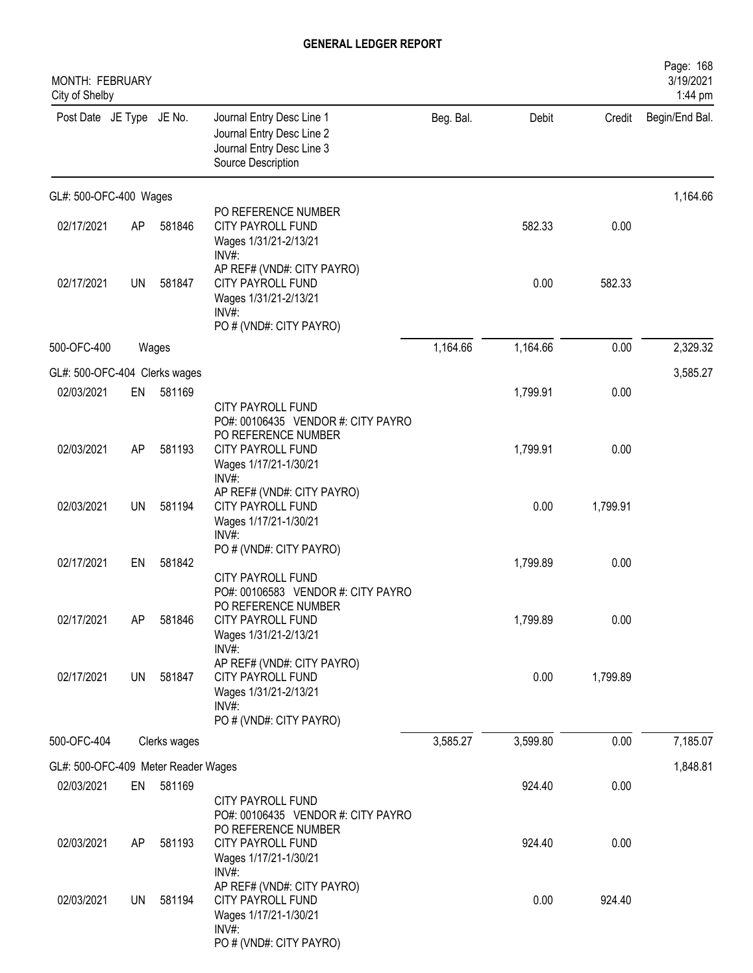| MONTH: FEBRUARY<br>City of Shelby   |           |              |                                                                                                                            |           |          |          | Page: 168<br>3/19/2021<br>1:44 pm |
|-------------------------------------|-----------|--------------|----------------------------------------------------------------------------------------------------------------------------|-----------|----------|----------|-----------------------------------|
| Post Date JE Type JE No.            |           |              | Journal Entry Desc Line 1<br>Journal Entry Desc Line 2<br>Journal Entry Desc Line 3<br>Source Description                  | Beg. Bal. | Debit    | Credit   | Begin/End Bal.                    |
| GL#: 500-OFC-400 Wages              |           |              |                                                                                                                            |           |          |          | 1,164.66                          |
| 02/17/2021                          | AP        | 581846       | PO REFERENCE NUMBER<br>CITY PAYROLL FUND<br>Wages 1/31/21-2/13/21<br>INV#:                                                 |           | 582.33   | 0.00     |                                   |
| 02/17/2021                          | <b>UN</b> | 581847       | AP REF# (VND#: CITY PAYRO)<br>CITY PAYROLL FUND<br>Wages 1/31/21-2/13/21<br>$INV#$ :<br>PO # (VND#: CITY PAYRO)            |           | 0.00     | 582.33   |                                   |
| 500-OFC-400                         |           | Wages        |                                                                                                                            | 1,164.66  | 1,164.66 | 0.00     | 2,329.32                          |
| GL#: 500-OFC-404 Clerks wages       |           |              |                                                                                                                            |           |          |          | 3,585.27                          |
| 02/03/2021                          | EN        | 581169       | CITY PAYROLL FUND                                                                                                          |           | 1,799.91 | 0.00     |                                   |
| 02/03/2021                          | AP        | 581193       | PO#: 00106435 VENDOR #: CITY PAYRO<br>PO REFERENCE NUMBER<br>CITY PAYROLL FUND<br>Wages 1/17/21-1/30/21<br>INV#:           |           | 1,799.91 | 0.00     |                                   |
| 02/03/2021                          | <b>UN</b> | 581194       | AP REF# (VND#: CITY PAYRO)<br><b>CITY PAYROLL FUND</b><br>Wages 1/17/21-1/30/21<br>INV#:                                   |           | 0.00     | 1,799.91 |                                   |
| 02/17/2021                          | EN        | 581842       | PO # (VND#: CITY PAYRO)<br>CITY PAYROLL FUND                                                                               |           | 1,799.89 | 0.00     |                                   |
| 02/17/2021                          | AP        | 581846       | PO#: 00106583 VENDOR #: CITY PAYRO<br>PO REFERENCE NUMBER<br><b>CITY PAYROLL FUND</b><br>Wages 1/31/21-2/13/21<br>$INV#$ : |           | 1,799.89 | 0.00     |                                   |
| 02/17/2021                          | <b>UN</b> | 581847       | AP REF# (VND#: CITY PAYRO)<br>CITY PAYROLL FUND<br>Wages 1/31/21-2/13/21<br>INV#:<br>PO # (VND#: CITY PAYRO)               |           | 0.00     | 1,799.89 |                                   |
| 500-OFC-404                         |           | Clerks wages |                                                                                                                            | 3,585.27  | 3,599.80 | 0.00     | 7,185.07                          |
| GL#: 500-OFC-409 Meter Reader Wages |           |              |                                                                                                                            |           |          |          | 1,848.81                          |
| 02/03/2021                          | EN        | 581169       | CITY PAYROLL FUND                                                                                                          |           | 924.40   | 0.00     |                                   |
| 02/03/2021                          | AP        | 581193       | PO#: 00106435 VENDOR #: CITY PAYRO<br>PO REFERENCE NUMBER<br>CITY PAYROLL FUND<br>Wages 1/17/21-1/30/21<br>$INV#$ :        |           | 924.40   | 0.00     |                                   |
| 02/03/2021                          | <b>UN</b> | 581194       | AP REF# (VND#: CITY PAYRO)<br><b>CITY PAYROLL FUND</b><br>Wages 1/17/21-1/30/21<br>$INV#$ :<br>PO # (VND#: CITY PAYRO)     |           | 0.00     | 924.40   |                                   |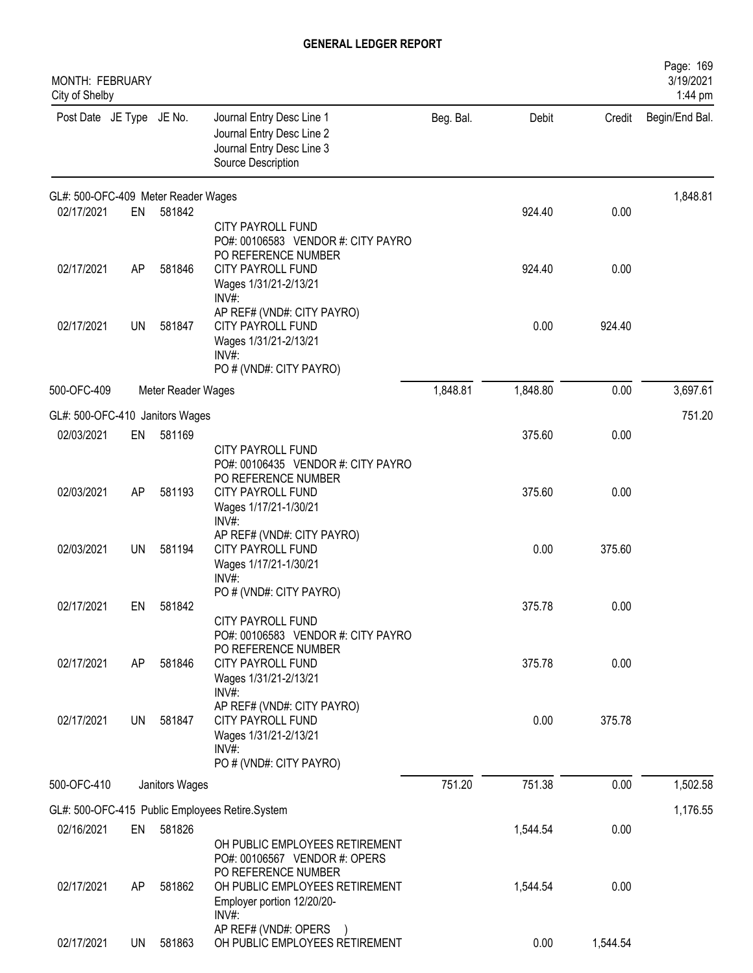| MONTH: FEBRUARY<br>City of Shelby   |           |                    |                                                                                                                    |           |          |          | Page: 169<br>3/19/2021<br>1:44 pm |
|-------------------------------------|-----------|--------------------|--------------------------------------------------------------------------------------------------------------------|-----------|----------|----------|-----------------------------------|
| Post Date JE Type JE No.            |           |                    | Journal Entry Desc Line 1<br>Journal Entry Desc Line 2<br>Journal Entry Desc Line 3<br>Source Description          | Beg. Bal. | Debit    | Credit   | Begin/End Bal.                    |
| GL#: 500-OFC-409 Meter Reader Wages |           |                    |                                                                                                                    |           |          |          | 1,848.81                          |
| 02/17/2021                          | EN        | 581842             | <b>CITY PAYROLL FUND</b><br>PO#: 00106583 VENDOR #: CITY PAYRO<br>PO REFERENCE NUMBER                              |           | 924.40   | 0.00     |                                   |
| 02/17/2021                          | AP        | 581846             | CITY PAYROLL FUND<br>Wages 1/31/21-2/13/21<br>$INV#$ :                                                             |           | 924.40   | 0.00     |                                   |
| 02/17/2021                          | UN        | 581847             | AP REF# (VND#: CITY PAYRO)<br><b>CITY PAYROLL FUND</b><br>Wages 1/31/21-2/13/21<br>INV#<br>PO # (VND#: CITY PAYRO) |           | 0.00     | 924.40   |                                   |
| 500-OFC-409                         |           | Meter Reader Wages |                                                                                                                    | 1,848.81  | 1,848.80 | 0.00     | 3,697.61                          |
| GL#: 500-OFC-410 Janitors Wages     |           |                    |                                                                                                                    |           |          |          | 751.20                            |
| 02/03/2021                          | EN        | 581169             | <b>CITY PAYROLL FUND</b><br>PO#: 00106435 VENDOR #: CITY PAYRO                                                     |           | 375.60   | 0.00     |                                   |
| 02/03/2021                          | AP        | 581193             | PO REFERENCE NUMBER<br>CITY PAYROLL FUND<br>Wages 1/17/21-1/30/21<br>INV#:                                         |           | 375.60   | 0.00     |                                   |
| 02/03/2021                          | <b>UN</b> | 581194             | AP REF# (VND#: CITY PAYRO)<br>CITY PAYROLL FUND<br>Wages 1/17/21-1/30/21<br>$INV#$ :                               |           | 0.00     | 375.60   |                                   |
| 02/17/2021                          | EN        | 581842             | PO # (VND#: CITY PAYRO)<br><b>CITY PAYROLL FUND</b><br>PO#: 00106583 VENDOR #: CITY PAYRO                          |           | 375.78   | 0.00     |                                   |
| 02/17/2021                          | AP        | 581846             | PO REFERENCE NUMBER<br>CITY PAYROLL FUND<br>Wages 1/31/21-2/13/21<br>$INV#$ :                                      |           | 375.78   | 0.00     |                                   |
| 02/17/2021                          | UN        | 581847             | AP REF# (VND#: CITY PAYRO)<br>CITY PAYROLL FUND<br>Wages 1/31/21-2/13/21<br>$INV#$ :<br>PO # (VND#: CITY PAYRO)    |           | 0.00     | 375.78   |                                   |
| 500-OFC-410                         |           | Janitors Wages     |                                                                                                                    | 751.20    | 751.38   | 0.00     | 1,502.58                          |
|                                     |           |                    | GL#: 500-OFC-415 Public Employees Retire.System                                                                    |           |          |          | 1,176.55                          |
| 02/16/2021                          | EN        | 581826             | OH PUBLIC EMPLOYEES RETIREMENT<br>PO#: 00106567 VENDOR #: OPERS                                                    |           | 1,544.54 | 0.00     |                                   |
| 02/17/2021                          | AP        | 581862             | PO REFERENCE NUMBER<br>OH PUBLIC EMPLOYEES RETIREMENT<br>Employer portion 12/20/20-<br>INV#:                       |           | 1,544.54 | 0.00     |                                   |
| 02/17/2021                          | UN        | 581863             | AP REF# (VND#: OPERS<br>OH PUBLIC EMPLOYEES RETIREMENT                                                             |           | 0.00     | 1,544.54 |                                   |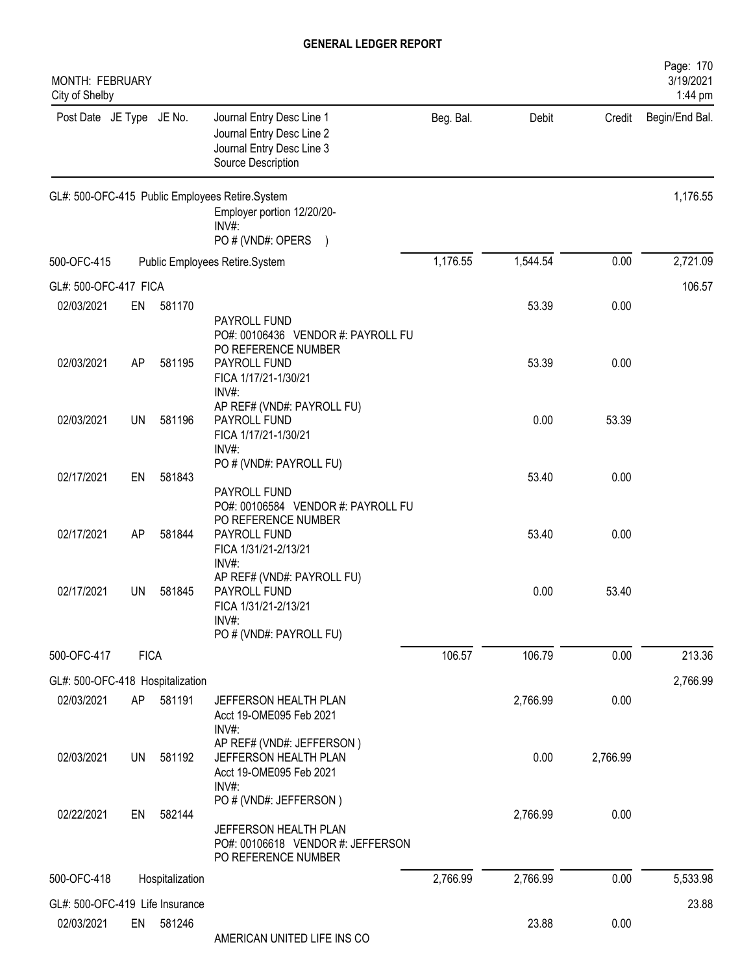| MONTH: FEBRUARY<br>City of Shelby              |             |                 |                                                                                                                                 |           |          |          | Page: 170<br>3/19/2021<br>1:44 pm |
|------------------------------------------------|-------------|-----------------|---------------------------------------------------------------------------------------------------------------------------------|-----------|----------|----------|-----------------------------------|
| Post Date JE Type JE No.                       |             |                 | Journal Entry Desc Line 1<br>Journal Entry Desc Line 2<br>Journal Entry Desc Line 3<br>Source Description                       | Beg. Bal. | Debit    | Credit   | Begin/End Bal.                    |
|                                                |             |                 | GL#: 500-OFC-415 Public Employees Retire.System<br>Employer portion 12/20/20-<br>$INV#$ :<br>PO # (VND#: OPERS<br>$\rightarrow$ |           |          |          | 1,176.55                          |
| 500-OFC-415                                    |             |                 | Public Employees Retire.System                                                                                                  | 1,176.55  | 1,544.54 | 0.00     | 2,721.09                          |
| GL#: 500-OFC-417 FICA                          |             |                 |                                                                                                                                 |           |          |          | 106.57                            |
| 02/03/2021                                     | EN          | 581170          | PAYROLL FUND                                                                                                                    |           | 53.39    | 0.00     |                                   |
| 02/03/2021                                     | AP          | 581195          | PO#: 00106436 VENDOR #: PAYROLL FU<br>PO REFERENCE NUMBER<br>PAYROLL FUND                                                       |           | 53.39    | 0.00     |                                   |
| 02/03/2021                                     | UN          | 581196          | FICA 1/17/21-1/30/21<br>INV#:<br>AP REF# (VND#: PAYROLL FU)<br>PAYROLL FUND<br>FICA 1/17/21-1/30/21                             |           | 0.00     | 53.39    |                                   |
| 02/17/2021                                     | EN          | 581843          | $INV#$ :<br>PO # (VND#: PAYROLL FU)                                                                                             |           | 53.40    | 0.00     |                                   |
| 02/17/2021                                     | AP          | 581844          | PAYROLL FUND<br>PO#: 00106584 VENDOR #: PAYROLL FU<br>PO REFERENCE NUMBER<br>PAYROLL FUND<br>FICA 1/31/21-2/13/21               |           | 53.40    | 0.00     |                                   |
| 02/17/2021                                     | UN          | 581845          | $INV#$ :<br>AP REF# (VND#: PAYROLL FU)<br>PAYROLL FUND<br>FICA 1/31/21-2/13/21<br>INV#:                                         |           | 0.00     | 53.40    |                                   |
| 500-OFC-417                                    | <b>FICA</b> |                 | PO # (VND#: PAYROLL FU)                                                                                                         | 106.57    | 106.79   | 0.00     | 213.36                            |
|                                                |             |                 |                                                                                                                                 |           |          |          |                                   |
| GL#: 500-OFC-418 Hospitalization<br>02/03/2021 | AP          | 581191          | JEFFERSON HEALTH PLAN<br>Acct 19-OME095 Feb 2021                                                                                |           | 2,766.99 | 0.00     | 2,766.99                          |
| 02/03/2021                                     | UN          | 581192          | INV#:<br>AP REF# (VND#: JEFFERSON)<br>JEFFERSON HEALTH PLAN<br>Acct 19-OME095 Feb 2021<br>INV#:                                 |           | 0.00     | 2,766.99 |                                   |
| 02/22/2021                                     | EN          | 582144          | PO # (VND#: JEFFERSON)<br>JEFFERSON HEALTH PLAN<br>PO#: 00106618 VENDOR #: JEFFERSON                                            |           | 2,766.99 | 0.00     |                                   |
| 500-OFC-418                                    |             | Hospitalization | PO REFERENCE NUMBER                                                                                                             | 2,766.99  | 2,766.99 | 0.00     | 5,533.98                          |
|                                                |             |                 |                                                                                                                                 |           |          |          |                                   |
| GL#: 500-OFC-419 Life Insurance<br>02/03/2021  | EN          | 581246          | AMERICAN UNITED LIFE INS CO                                                                                                     |           | 23.88    | 0.00     | 23.88                             |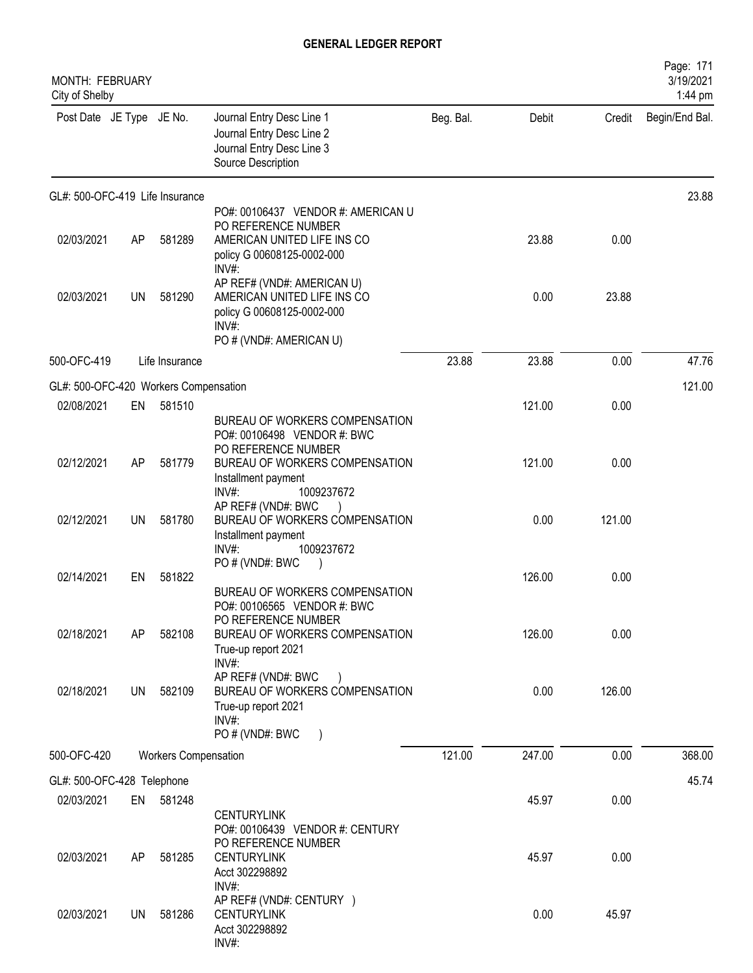| <b>MONTH: FEBRUARY</b><br>City of Shelby |           |                             |                                                                                                                                  |           |        |        | Page: 171<br>3/19/2021<br>1:44 pm |
|------------------------------------------|-----------|-----------------------------|----------------------------------------------------------------------------------------------------------------------------------|-----------|--------|--------|-----------------------------------|
| Post Date JE Type JE No.                 |           |                             | Journal Entry Desc Line 1<br>Journal Entry Desc Line 2<br>Journal Entry Desc Line 3<br>Source Description                        | Beg. Bal. | Debit  | Credit | Begin/End Bal.                    |
| GL#: 500-OFC-419 Life Insurance          |           |                             |                                                                                                                                  |           |        |        | 23.88                             |
| 02/03/2021                               | AP        | 581289                      | PO#: 00106437 VENDOR #: AMERICAN U<br>PO REFERENCE NUMBER<br>AMERICAN UNITED LIFE INS CO<br>policy G 00608125-0002-000<br>INV#:  |           | 23.88  | 0.00   |                                   |
| 02/03/2021                               | UN        | 581290                      | AP REF# (VND#: AMERICAN U)<br>AMERICAN UNITED LIFE INS CO<br>policy G 00608125-0002-000<br>$INV#$ :<br>PO # (VND#: AMERICAN U)   |           | 0.00   | 23.88  |                                   |
| 500-OFC-419                              |           | Life Insurance              |                                                                                                                                  | 23.88     | 23.88  | 0.00   | 47.76                             |
| GL#: 500-OFC-420 Workers Compensation    |           |                             |                                                                                                                                  |           |        |        | 121.00                            |
| 02/08/2021                               | EN        | 581510                      |                                                                                                                                  |           | 121.00 | 0.00   |                                   |
|                                          |           |                             | BUREAU OF WORKERS COMPENSATION<br>PO#: 00106498 VENDOR #: BWC<br>PO REFERENCE NUMBER                                             |           |        |        |                                   |
| 02/12/2021                               | AP        | 581779                      | BUREAU OF WORKERS COMPENSATION<br>Installment payment<br>INV#:<br>1009237672                                                     |           | 121.00 | 0.00   |                                   |
| 02/12/2021                               | <b>UN</b> | 581780                      | AP REF# (VND#: BWC<br>BUREAU OF WORKERS COMPENSATION<br>Installment payment<br>INV#:<br>1009237672                               |           | 0.00   | 121.00 |                                   |
|                                          |           |                             | PO # (VND#: BWC                                                                                                                  |           |        |        |                                   |
| 02/14/2021                               | EN        | 581822                      | BUREAU OF WORKERS COMPENSATION<br>PO#: 00106565 VENDOR #: BWC                                                                    |           | 126.00 | 0.00   |                                   |
| 02/18/2021                               | AP        | 582108                      | PO REFERENCE NUMBER<br>BUREAU OF WORKERS COMPENSATION<br>True-up report 2021                                                     |           | 126.00 | 0.00   |                                   |
| 02/18/2021                               | UN        | 582109                      | INV#:<br>AP REF# (VND#: BWC<br>BUREAU OF WORKERS COMPENSATION<br>True-up report 2021<br>INV#:<br>PO # (VND#: BWC                 |           | 0.00   | 126.00 |                                   |
| 500-OFC-420                              |           | <b>Workers Compensation</b> |                                                                                                                                  | 121.00    | 247.00 | 0.00   | 368.00                            |
| GL#: 500-OFC-428 Telephone               |           |                             |                                                                                                                                  |           |        |        | 45.74                             |
| 02/03/2021                               |           | EN 581248                   |                                                                                                                                  |           | 45.97  | 0.00   |                                   |
| 02/03/2021                               | AP.       | 581285                      | <b>CENTURYLINK</b><br>PO#: 00106439 VENDOR #: CENTURY<br>PO REFERENCE NUMBER<br><b>CENTURYLINK</b><br>Acct 302298892<br>$INV#$ : |           | 45.97  | 0.00   |                                   |
| 02/03/2021                               | UN        | 581286                      | AP REF# (VND#: CENTURY )<br><b>CENTURYLINK</b><br>Acct 302298892<br>INV#:                                                        |           | 0.00   | 45.97  |                                   |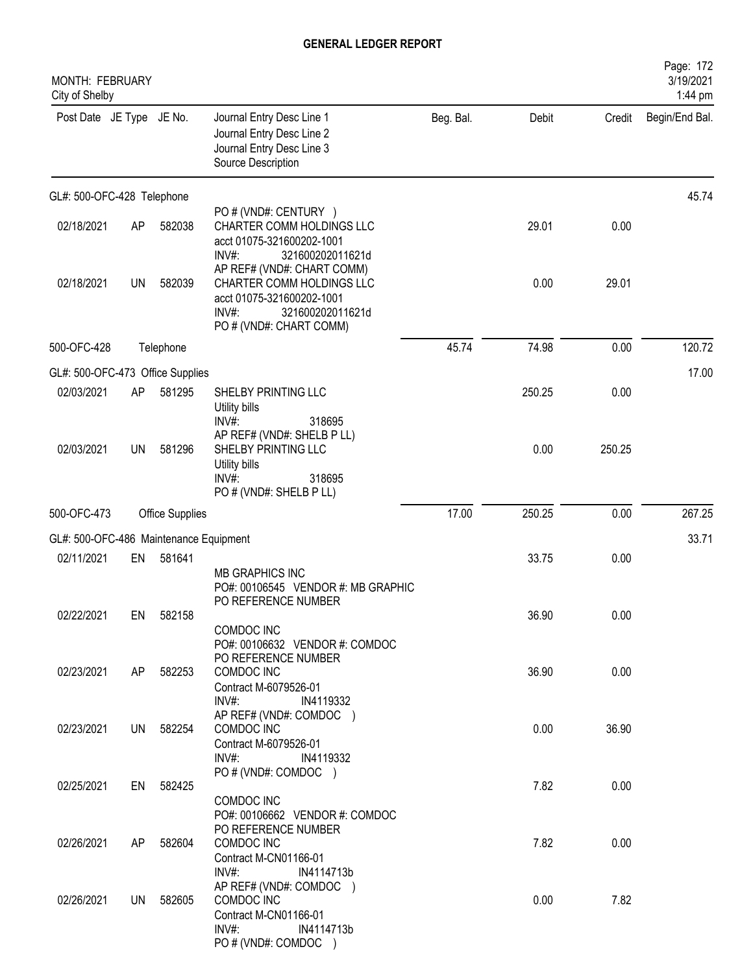| MONTH: FEBRUARY<br>City of Shelby      |           |                        |                                                                                                                                                 |           |        |        | Page: 172<br>3/19/2021<br>1:44 pm |
|----------------------------------------|-----------|------------------------|-------------------------------------------------------------------------------------------------------------------------------------------------|-----------|--------|--------|-----------------------------------|
| Post Date JE Type JE No.               |           |                        | Journal Entry Desc Line 1<br>Journal Entry Desc Line 2<br>Journal Entry Desc Line 3<br>Source Description                                       | Beg. Bal. | Debit  | Credit | Begin/End Bal.                    |
| GL#: 500-OFC-428 Telephone             |           |                        |                                                                                                                                                 |           |        |        | 45.74                             |
| 02/18/2021                             | AP        | 582038                 | PO # (VND#: CENTURY )<br>CHARTER COMM HOLDINGS LLC<br>acct 01075-321600202-1001<br>INV#:<br>321600202011621d                                    |           | 29.01  | 0.00   |                                   |
| 02/18/2021                             | <b>UN</b> | 582039                 | AP REF# (VND#: CHART COMM)<br>CHARTER COMM HOLDINGS LLC<br>acct 01075-321600202-1001<br>$INV#$ :<br>321600202011621d<br>PO # (VND#: CHART COMM) |           | 0.00   | 29.01  |                                   |
| 500-OFC-428                            |           | Telephone              |                                                                                                                                                 | 45.74     | 74.98  | 0.00   | 120.72                            |
| GL#: 500-OFC-473 Office Supplies       |           |                        |                                                                                                                                                 |           |        |        | 17.00                             |
| 02/03/2021                             | AP        | 581295                 | SHELBY PRINTING LLC<br>Utility bills<br>INV#<br>318695                                                                                          |           | 250.25 | 0.00   |                                   |
| 02/03/2021                             | UN        | 581296                 | AP REF# (VND#: SHELB P LL)<br>SHELBY PRINTING LLC<br>Utility bills<br>INV#:<br>318695<br>PO # (VND#: SHELB P LL)                                |           | 0.00   | 250.25 |                                   |
| 500-OFC-473                            |           | <b>Office Supplies</b> |                                                                                                                                                 | 17.00     | 250.25 | 0.00   | 267.25                            |
| GL#: 500-OFC-486 Maintenance Equipment |           |                        |                                                                                                                                                 |           |        |        | 33.71                             |
| 02/11/2021                             | EN        | 581641                 | <b>MB GRAPHICS INC</b><br>PO#: 00106545 VENDOR #: MB GRAPHIC                                                                                    |           | 33.75  | 0.00   |                                   |
| 02/22/2021                             | EN        | 582158                 | PO REFERENCE NUMBER<br>COMDOC INC<br>PO#: 00106632 VENDOR #: COMDOC                                                                             |           | 36.90  | 0.00   |                                   |
| 02/23/2021                             | AP        | 582253                 | PO REFERENCE NUMBER<br>COMDOC INC<br>Contract M-6079526-01<br>$INV#$ :<br>IN4119332                                                             |           | 36.90  | 0.00   |                                   |
| 02/23/2021                             | UN        | 582254                 | AP REF# (VND#: COMDOC )<br>COMDOC INC<br>Contract M-6079526-01<br>$INV#$ :<br>IN4119332                                                         |           | 0.00   | 36.90  |                                   |
| 02/25/2021                             | EN        | 582425                 | PO # (VND#: COMDOC )<br>COMDOC INC                                                                                                              |           | 7.82   | 0.00   |                                   |
| 02/26/2021                             | AP        | 582604                 | PO#: 00106662 VENDOR #: COMDOC<br>PO REFERENCE NUMBER<br>COMDOC INC<br>Contract M-CN01166-01                                                    |           | 7.82   | 0.00   |                                   |
| 02/26/2021                             | UN        | 582605                 | $INV#$ :<br>IN4114713b<br>AP REF# (VND#: COMDOC )<br>COMDOC INC<br>Contract M-CN01166-01                                                        |           | 0.00   | 7.82   |                                   |
|                                        |           |                        | $INV#$ :<br>IN4114713b<br>PO # (VND#: COMDOC )                                                                                                  |           |        |        |                                   |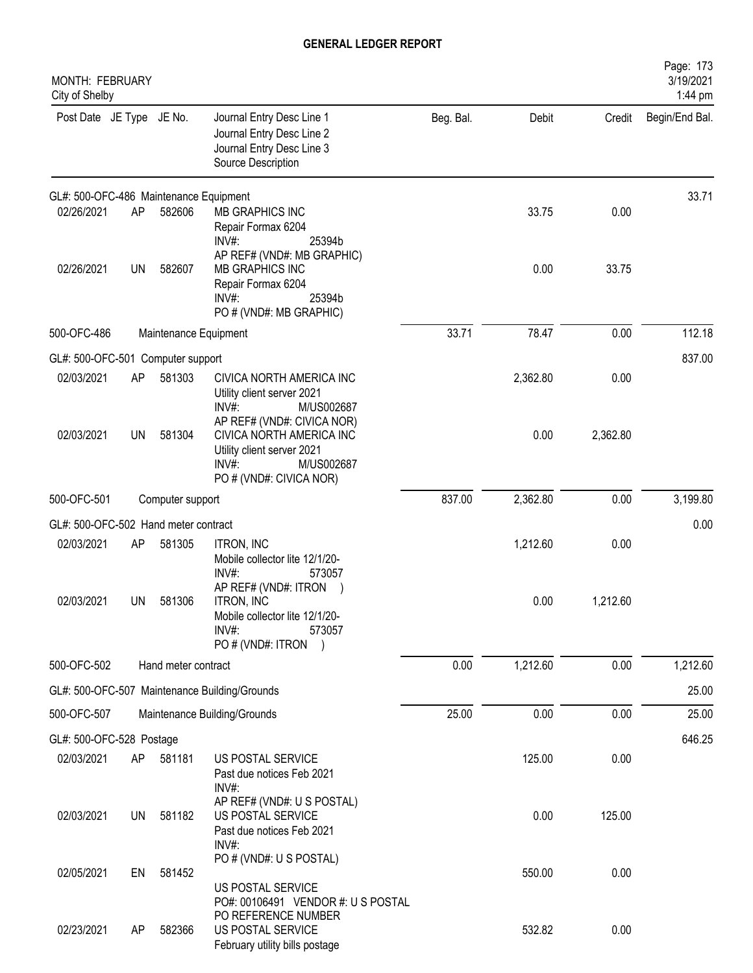| MONTH: FEBRUARY<br>City of Shelby      |           |                     |                                                                                                                         |           |          |          | Page: 173<br>3/19/2021<br>1:44 pm |
|----------------------------------------|-----------|---------------------|-------------------------------------------------------------------------------------------------------------------------|-----------|----------|----------|-----------------------------------|
| Post Date JE Type JE No.               |           |                     | Journal Entry Desc Line 1<br>Journal Entry Desc Line 2<br>Journal Entry Desc Line 3<br>Source Description               | Beg. Bal. | Debit    | Credit   | Begin/End Bal.                    |
| GL#: 500-OFC-486 Maintenance Equipment |           |                     |                                                                                                                         |           |          |          | 33.71                             |
| 02/26/2021                             | <b>AP</b> | 582606              | MB GRAPHICS INC<br>Repair Formax 6204<br>INV#:<br>25394b<br>AP REF# (VND#: MB GRAPHIC)                                  |           | 33.75    | 0.00     |                                   |
| 02/26/2021                             | <b>UN</b> | 582607              | MB GRAPHICS INC<br>Repair Formax 6204<br>$INV#$ :<br>25394b<br>PO # (VND#: MB GRAPHIC)                                  |           | 0.00     | 33.75    |                                   |
| 500-OFC-486<br>Maintenance Equipment   |           |                     | 33.71                                                                                                                   | 78.47     | 0.00     | 112.18   |                                   |
| GL#: 500-OFC-501 Computer support      |           |                     |                                                                                                                         |           |          |          | 837.00                            |
| 02/03/2021                             | AP        | 581303              | CIVICA NORTH AMERICA INC<br>Utility client server 2021<br>INV#<br>M/US002687<br>AP REF# (VND#: CIVICA NOR)              |           | 2,362.80 | 0.00     |                                   |
| 02/03/2021                             | UN        | 581304              | CIVICA NORTH AMERICA INC<br>Utility client server 2021<br>$INV#$ :<br>M/US002687<br>PO # (VND#: CIVICA NOR)             |           | 0.00     | 2,362.80 |                                   |
| 500-OFC-501                            |           | Computer support    |                                                                                                                         | 837.00    | 2,362.80 | 0.00     | 3,199.80                          |
| GL#: 500-OFC-502 Hand meter contract   |           |                     |                                                                                                                         |           |          |          | 0.00                              |
| 02/03/2021                             | AP        | 581305              | <b>ITRON, INC</b><br>Mobile collector lite 12/1/20-<br>INV#:<br>573057                                                  |           | 1,212.60 | 0.00     |                                   |
| 02/03/2021                             | UN        | 581306              | AP REF# (VND#: ITRON<br><b>ITRON, INC</b><br>Mobile collector lite 12/1/20-<br>$INV#$ :<br>573057<br>PO # (VND#: ITRON) |           | 0.00     | 1,212.60 |                                   |
| 500-OFC-502                            |           | Hand meter contract |                                                                                                                         | 0.00      | 1,212.60 | 0.00     | 1,212.60                          |
|                                        |           |                     | GL#: 500-OFC-507 Maintenance Building/Grounds                                                                           |           |          |          | 25.00                             |
| 500-OFC-507                            |           |                     | Maintenance Building/Grounds                                                                                            | 25.00     | 0.00     | 0.00     | 25.00                             |
| GL#: 500-OFC-528 Postage               |           |                     |                                                                                                                         |           |          |          | 646.25                            |
| 02/03/2021                             | AP        | 581181              | US POSTAL SERVICE<br>Past due notices Feb 2021<br>$INV#$ :                                                              |           | 125.00   | 0.00     |                                   |
| 02/03/2021                             | UN        | 581182              | AP REF# (VND#: U S POSTAL)<br>US POSTAL SERVICE<br>Past due notices Feb 2021<br>INV#:                                   |           | 0.00     | 125.00   |                                   |
| 02/05/2021                             | EN        | 581452              | PO # (VND#: U S POSTAL)<br>US POSTAL SERVICE<br>PO#: 00106491 VENDOR #: US POSTAL                                       |           | 550.00   | 0.00     |                                   |
| 02/23/2021                             | AP        | 582366              | PO REFERENCE NUMBER<br>US POSTAL SERVICE<br>February utility bills postage                                              |           | 532.82   | 0.00     |                                   |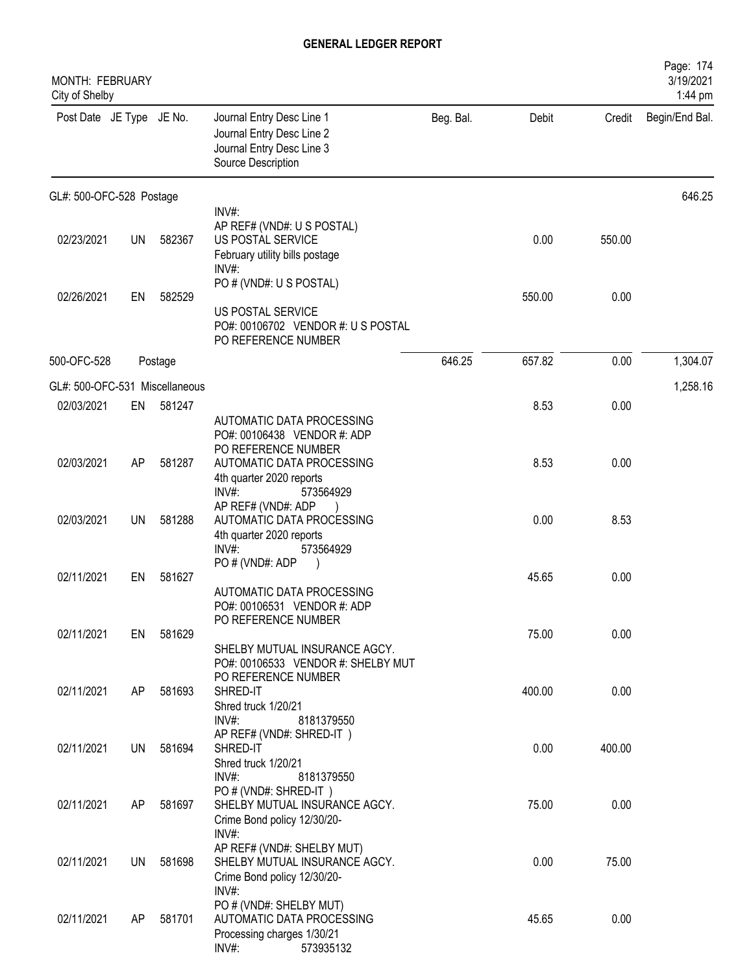| MONTH: FEBRUARY<br>City of Shelby |           |         |                                                                                                           |           |        |        | Page: 174<br>3/19/2021<br>1:44 pm |
|-----------------------------------|-----------|---------|-----------------------------------------------------------------------------------------------------------|-----------|--------|--------|-----------------------------------|
| Post Date JE Type JE No.          |           |         | Journal Entry Desc Line 1<br>Journal Entry Desc Line 2<br>Journal Entry Desc Line 3<br>Source Description | Beg. Bal. | Debit  | Credit | Begin/End Bal.                    |
| GL#: 500-OFC-528 Postage          |           |         |                                                                                                           |           |        |        | 646.25                            |
| 02/23/2021                        | <b>UN</b> | 582367  | INV#:<br>AP REF# (VND#: U S POSTAL)<br>US POSTAL SERVICE<br>February utility bills postage<br>INV#:       |           | 0.00   | 550.00 |                                   |
| 02/26/2021                        | EN        | 582529  | PO # (VND#: U S POSTAL)<br>US POSTAL SERVICE<br>PO#: 00106702 VENDOR #: U S POSTAL<br>PO REFERENCE NUMBER |           | 550.00 | 0.00   |                                   |
| 500-OFC-528                       |           | Postage |                                                                                                           | 646.25    | 657.82 | 0.00   | 1,304.07                          |
| GL#: 500-OFC-531 Miscellaneous    |           |         |                                                                                                           |           |        |        | 1,258.16                          |
| 02/03/2021                        | EN        | 581247  | AUTOMATIC DATA PROCESSING<br>PO#: 00106438 VENDOR #: ADP<br>PO REFERENCE NUMBER                           |           | 8.53   | 0.00   |                                   |
| 02/03/2021                        | AP        | 581287  | AUTOMATIC DATA PROCESSING<br>4th quarter 2020 reports<br>INV#:<br>573564929                               |           | 8.53   | 0.00   |                                   |
| 02/03/2021                        | <b>UN</b> | 581288  | AP REF# (VND#: ADP<br>AUTOMATIC DATA PROCESSING<br>4th quarter 2020 reports<br>INV#:<br>573564929         |           | 0.00   | 8.53   |                                   |
| 02/11/2021                        | EN        | 581627  | PO#(VND#: ADP<br>AUTOMATIC DATA PROCESSING<br>PO#: 00106531 VENDOR #: ADP                                 |           | 45.65  | 0.00   |                                   |
| 02/11/2021                        | EN        | 581629  | PO REFERENCE NUMBER<br>SHELBY MUTUAL INSURANCE AGCY.<br>PO#: 00106533 VENDOR #: SHELBY MUT                |           | 75.00  | 0.00   |                                   |
| 02/11/2021                        | AP        | 581693  | PO REFERENCE NUMBER<br>SHRED-IT<br>Shred truck 1/20/21<br>INV#:<br>8181379550<br>AP REF# (VND#: SHRED-IT) |           | 400.00 | 0.00   |                                   |
| 02/11/2021                        | UN        | 581694  | SHRED-IT<br>Shred truck 1/20/21<br>INV#:<br>8181379550                                                    |           | 0.00   | 400.00 |                                   |
| 02/11/2021                        | AP        | 581697  | PO#(VND#: SHRED-IT)<br>SHELBY MUTUAL INSURANCE AGCY.<br>Crime Bond policy 12/30/20-<br>INV#:              |           | 75.00  | 0.00   |                                   |
| 02/11/2021                        | UN        | 581698  | AP REF# (VND#: SHELBY MUT)<br>SHELBY MUTUAL INSURANCE AGCY.<br>Crime Bond policy 12/30/20-<br>INV#:       |           | 0.00   | 75.00  |                                   |
| 02/11/2021                        | AP.       | 581701  | PO # (VND#: SHELBY MUT)<br>AUTOMATIC DATA PROCESSING<br>Processing charges 1/30/21<br>INV#:<br>573935132  |           | 45.65  | 0.00   |                                   |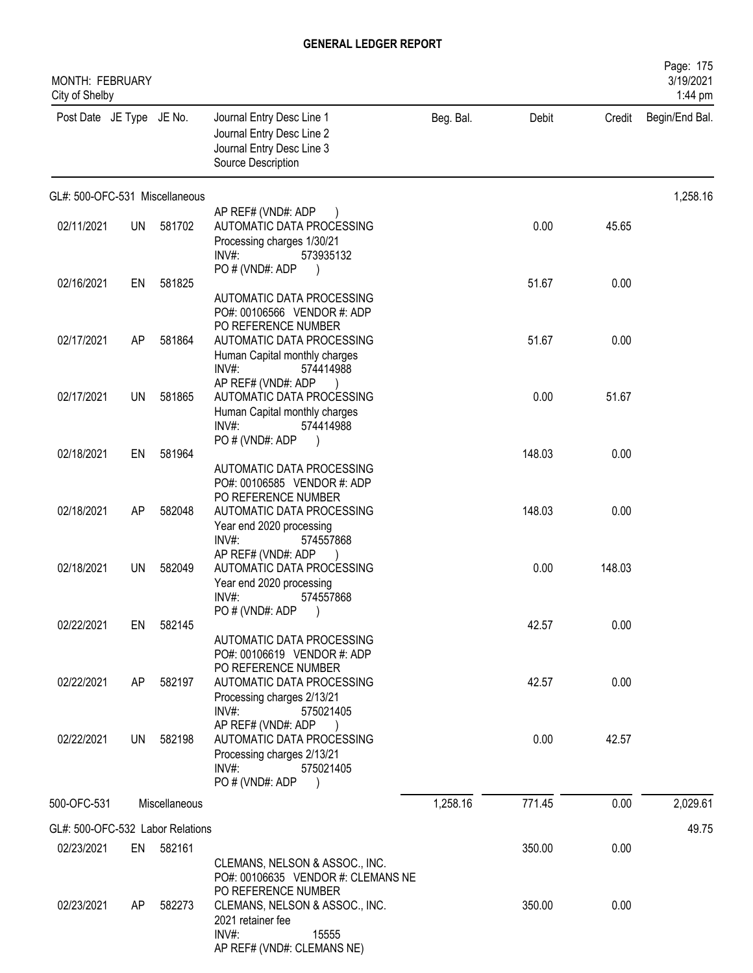| MONTH: FEBRUARY<br>City of Shelby |           |               |                                                                                                                                        |           |        |        | Page: 175<br>3/19/2021<br>1:44 pm |
|-----------------------------------|-----------|---------------|----------------------------------------------------------------------------------------------------------------------------------------|-----------|--------|--------|-----------------------------------|
| Post Date JE Type JE No.          |           |               | Journal Entry Desc Line 1<br>Journal Entry Desc Line 2<br>Journal Entry Desc Line 3<br>Source Description                              | Beg. Bal. | Debit  | Credit | Begin/End Bal.                    |
| GL#: 500-OFC-531 Miscellaneous    |           |               |                                                                                                                                        |           |        |        | 1,258.16                          |
| 02/11/2021                        | <b>UN</b> | 581702        | AP REF# (VND#: ADP<br>AUTOMATIC DATA PROCESSING<br>Processing charges 1/30/21<br>$INV#$ :<br>573935132                                 |           | 0.00   | 45.65  |                                   |
| 02/16/2021                        | EN        | 581825        | PO # (VND#: ADP<br>AUTOMATIC DATA PROCESSING<br>PO#: 00106566 VENDOR #: ADP                                                            |           | 51.67  | 0.00   |                                   |
| 02/17/2021                        | AP        | 581864        | PO REFERENCE NUMBER<br>AUTOMATIC DATA PROCESSING<br>Human Capital monthly charges<br>INV#<br>574414988                                 |           | 51.67  | 0.00   |                                   |
| 02/17/2021                        | UN        | 581865        | AP REF# (VND#: ADP<br>AUTOMATIC DATA PROCESSING<br>Human Capital monthly charges<br>$INV#$ :<br>574414988                              |           | 0.00   | 51.67  |                                   |
| 02/18/2021                        | EN        | 581964        | PO # (VND#: ADP<br>AUTOMATIC DATA PROCESSING<br>PO#: 00106585 VENDOR #: ADP                                                            |           | 148.03 | 0.00   |                                   |
| 02/18/2021                        | AP        | 582048        | PO REFERENCE NUMBER<br>AUTOMATIC DATA PROCESSING<br>Year end 2020 processing<br>$INV#$ :<br>574557868                                  |           | 148.03 | 0.00   |                                   |
| 02/18/2021                        | UN.       | 582049        | AP REF# (VND#: ADP<br>AUTOMATIC DATA PROCESSING<br>Year end 2020 processing<br>INV#<br>574557868                                       |           | 0.00   | 148.03 |                                   |
| 02/22/2021                        | EN        | 582145        | PO # (VND#: ADP)<br>AUTOMATIC DATA PROCESSING<br>PO#: 00106619 VENDOR #: ADP<br>PO REFERENCE NUMBER                                    |           | 42.57  | 0.00   |                                   |
| 02/22/2021                        | AP        | 582197        | AUTOMATIC DATA PROCESSING<br>Processing charges 2/13/21<br>$INV#$ :<br>575021405                                                       |           | 42.57  | 0.00   |                                   |
| 02/22/2021                        | UN        | 582198        | AP REF# (VND#: ADP<br>AUTOMATIC DATA PROCESSING<br>Processing charges 2/13/21<br>$INV#$ :<br>575021405<br>PO # (VND#: ADP<br>$\lambda$ |           | 0.00   | 42.57  |                                   |
| 500-OFC-531                       |           | Miscellaneous |                                                                                                                                        | 1,258.16  | 771.45 | 0.00   | 2,029.61                          |
| GL#: 500-OFC-532 Labor Relations  |           |               |                                                                                                                                        |           |        |        | 49.75                             |
| 02/23/2021                        | EN        | 582161        | CLEMANS, NELSON & ASSOC., INC.<br>PO#: 00106635 VENDOR #: CLEMANS NE<br>PO REFERENCE NUMBER                                            |           | 350.00 | 0.00   |                                   |
| 02/23/2021                        | AP        | 582273        | CLEMANS, NELSON & ASSOC., INC.<br>2021 retainer fee<br>$INV#$ :<br>15555<br>AP REF# (VND#: CLEMANS NE)                                 |           | 350.00 | 0.00   |                                   |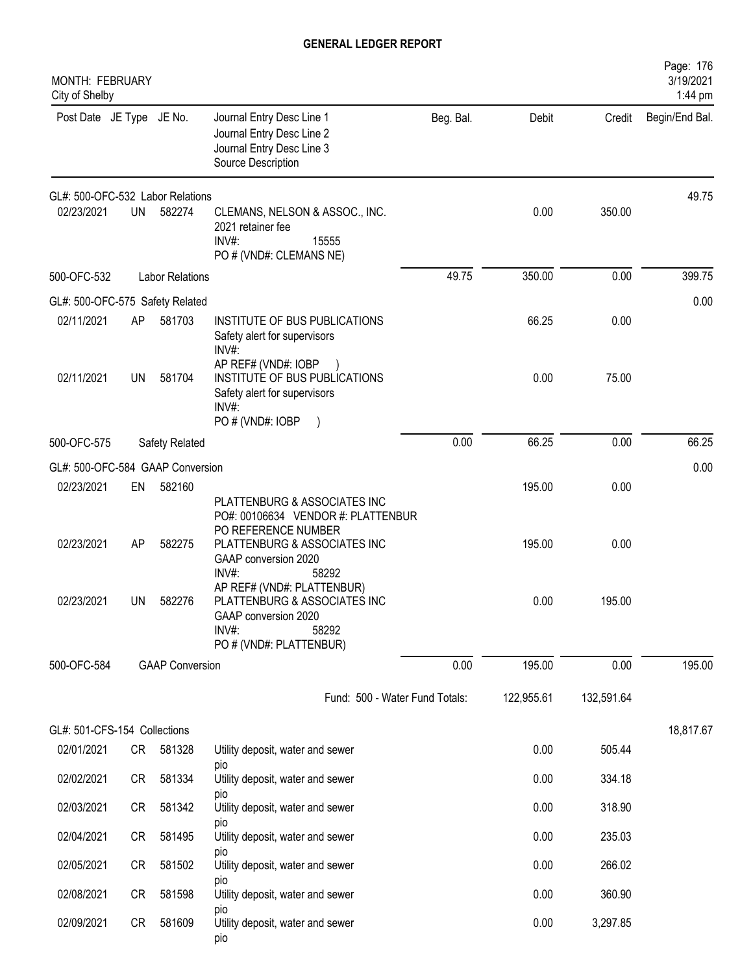| <b>MONTH: FEBRUARY</b><br>City of Shelby |           |                        |                                                                                                                                                   |           |            |            | Page: 176<br>3/19/2021<br>1:44 pm |
|------------------------------------------|-----------|------------------------|---------------------------------------------------------------------------------------------------------------------------------------------------|-----------|------------|------------|-----------------------------------|
| Post Date JE Type JE No.                 |           |                        | Journal Entry Desc Line 1<br>Journal Entry Desc Line 2<br>Journal Entry Desc Line 3<br>Source Description                                         | Beg. Bal. | Debit      | Credit     | Begin/End Bal.                    |
| GL#: 500-OFC-532 Labor Relations         |           |                        |                                                                                                                                                   |           |            |            | 49.75                             |
| 02/23/2021                               | <b>UN</b> | 582274                 | CLEMANS, NELSON & ASSOC., INC.<br>2021 retainer fee<br>INV#:<br>15555<br>PO # (VND#: CLEMANS NE)                                                  |           | 0.00       | 350.00     |                                   |
| 500-OFC-532                              |           | <b>Labor Relations</b> |                                                                                                                                                   | 49.75     | 350.00     | 0.00       | 399.75                            |
| GL#: 500-OFC-575 Safety Related          |           |                        |                                                                                                                                                   |           |            |            | 0.00                              |
| 02/11/2021                               | AP        | 581703                 | INSTITUTE OF BUS PUBLICATIONS<br>Safety alert for supervisors<br>INV#:                                                                            |           | 66.25      | 0.00       |                                   |
| 02/11/2021                               | UN        | 581704                 | AP REF# (VND#: IOBP<br>INSTITUTE OF BUS PUBLICATIONS<br>Safety alert for supervisors<br>INV#<br>PO # (VND#: IOBP                                  |           | 0.00       | 75.00      |                                   |
| 500-OFC-575                              |           | Safety Related         |                                                                                                                                                   | 0.00      | 66.25      | 0.00       | 66.25                             |
| GL#: 500-OFC-584 GAAP Conversion         |           |                        |                                                                                                                                                   |           |            |            | 0.00                              |
| 02/23/2021                               | EN        | 582160                 |                                                                                                                                                   |           | 195.00     | 0.00       |                                   |
| 02/23/2021                               | AP        | 582275                 | PLATTENBURG & ASSOCIATES INC<br>PO#: 00106634 VENDOR #: PLATTENBUR<br>PO REFERENCE NUMBER<br>PLATTENBURG & ASSOCIATES INC<br>GAAP conversion 2020 |           | 195.00     | 0.00       |                                   |
| 02/23/2021                               | UN.       | 582276                 | INV#:<br>58292<br>AP REF# (VND#: PLATTENBUR)<br>PLATTENBURG & ASSOCIATES INC<br>GAAP conversion 2020<br>INV#:<br>58292<br>PO # (VND#: PLATTENBUR) |           | 0.00       | 195.00     |                                   |
| 500-OFC-584                              |           | <b>GAAP Conversion</b> |                                                                                                                                                   | 0.00      | 195.00     | 0.00       | 195.00                            |
|                                          |           |                        | Fund: 500 - Water Fund Totals:                                                                                                                    |           | 122,955.61 | 132,591.64 |                                   |
| GL#: 501-CFS-154 Collections             |           |                        |                                                                                                                                                   |           |            |            | 18,817.67                         |
| 02/01/2021                               | CR        | 581328                 | Utility deposit, water and sewer                                                                                                                  |           | 0.00       | 505.44     |                                   |
| 02/02/2021                               | <b>CR</b> | 581334                 | pio<br>Utility deposit, water and sewer<br>pio                                                                                                    |           | 0.00       | 334.18     |                                   |
| 02/03/2021                               | <b>CR</b> | 581342                 | Utility deposit, water and sewer                                                                                                                  |           | 0.00       | 318.90     |                                   |
| 02/04/2021                               | <b>CR</b> | 581495                 | <b>DIO</b><br>Utility deposit, water and sewer<br>pio                                                                                             |           | 0.00       | 235.03     |                                   |
| 02/05/2021                               | <b>CR</b> | 581502                 | Utility deposit, water and sewer                                                                                                                  |           | 0.00       | 266.02     |                                   |
| 02/08/2021                               | <b>CR</b> | 581598                 | pio<br>Utility deposit, water and sewer<br><b>DIO</b>                                                                                             |           | 0.00       | 360.90     |                                   |
| 02/09/2021                               | <b>CR</b> | 581609                 | Utility deposit, water and sewer<br>pio                                                                                                           |           | 0.00       | 3,297.85   |                                   |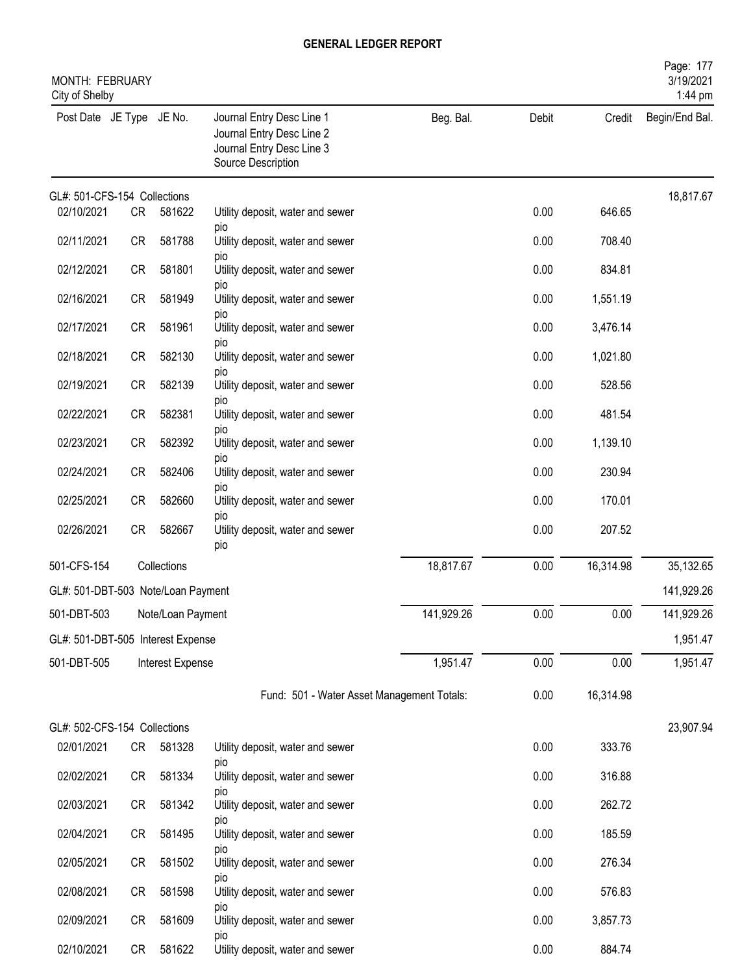| MONTH: FEBRUARY<br>City of Shelby  |           |                   |                                                                                                           |            |       |           | Page: 177<br>3/19/2021<br>1:44 pm |
|------------------------------------|-----------|-------------------|-----------------------------------------------------------------------------------------------------------|------------|-------|-----------|-----------------------------------|
| Post Date JE Type JE No.           |           |                   | Journal Entry Desc Line 1<br>Journal Entry Desc Line 2<br>Journal Entry Desc Line 3<br>Source Description | Beg. Bal.  | Debit | Credit    | Begin/End Bal.                    |
| GL#: 501-CFS-154 Collections       |           |                   |                                                                                                           |            |       |           | 18,817.67                         |
| 02/10/2021                         | CR        | 581622            | Utility deposit, water and sewer<br>pio                                                                   |            | 0.00  | 646.65    |                                   |
| 02/11/2021                         | <b>CR</b> | 581788            | Utility deposit, water and sewer<br>pio                                                                   |            | 0.00  | 708.40    |                                   |
| 02/12/2021                         | CR        | 581801            | Utility deposit, water and sewer                                                                          |            | 0.00  | 834.81    |                                   |
| 02/16/2021                         | CR        | 581949            | pio<br>Utility deposit, water and sewer                                                                   |            | 0.00  | 1,551.19  |                                   |
| 02/17/2021                         | <b>CR</b> | 581961            | pio<br>Utility deposit, water and sewer                                                                   |            | 0.00  | 3,476.14  |                                   |
| 02/18/2021                         | <b>CR</b> | 582130            | pio<br>Utility deposit, water and sewer                                                                   |            | 0.00  | 1,021.80  |                                   |
| 02/19/2021                         | <b>CR</b> | 582139            | pio<br>Utility deposit, water and sewer                                                                   |            | 0.00  | 528.56    |                                   |
| 02/22/2021                         | CR        | 582381            | pio<br>Utility deposit, water and sewer                                                                   |            | 0.00  | 481.54    |                                   |
| 02/23/2021                         | CR        | 582392            | pio<br>Utility deposit, water and sewer                                                                   |            | 0.00  | 1,139.10  |                                   |
| 02/24/2021                         | CR        | 582406            | pio<br>Utility deposit, water and sewer                                                                   |            | 0.00  | 230.94    |                                   |
| 02/25/2021                         | <b>CR</b> | 582660            | pio<br>Utility deposit, water and sewer                                                                   |            | 0.00  | 170.01    |                                   |
| 02/26/2021                         | <b>CR</b> | 582667            | pio<br>Utility deposit, water and sewer<br>pio                                                            |            | 0.00  | 207.52    |                                   |
| 501-CFS-154                        |           | Collections       |                                                                                                           | 18,817.67  | 0.00  | 16,314.98 | 35,132.65                         |
| GL#: 501-DBT-503 Note/Loan Payment |           |                   |                                                                                                           |            |       |           | 141,929.26                        |
| 501-DBT-503                        |           | Note/Loan Payment |                                                                                                           | 141,929.26 | 0.00  | 0.00      | 141,929.26                        |
| GL#: 501-DBT-505 Interest Expense  |           |                   |                                                                                                           |            |       |           | 1,951.47                          |
| 501-DBT-505                        |           | Interest Expense  |                                                                                                           | 1,951.47   | 0.00  | 0.00      | 1,951.47                          |
|                                    |           |                   | Fund: 501 - Water Asset Management Totals:                                                                |            | 0.00  | 16,314.98 |                                   |
| GL#: 502-CFS-154 Collections       |           |                   |                                                                                                           |            |       |           | 23,907.94                         |
| 02/01/2021                         | CR        | 581328            | Utility deposit, water and sewer<br>pio                                                                   |            | 0.00  | 333.76    |                                   |
| 02/02/2021                         | CR        | 581334            | Utility deposit, water and sewer                                                                          |            | 0.00  | 316.88    |                                   |
| 02/03/2021                         | CR        | 581342            | <b>DIO</b><br>Utility deposit, water and sewer                                                            |            | 0.00  | 262.72    |                                   |
| 02/04/2021                         | CR        | 581495            | pio<br>Utility deposit, water and sewer                                                                   |            | 0.00  | 185.59    |                                   |
| 02/05/2021                         | CR        | 581502            | pio<br>Utility deposit, water and sewer                                                                   |            | 0.00  | 276.34    |                                   |
| 02/08/2021                         | CR        | 581598            | pio<br>Utility deposit, water and sewer                                                                   |            | 0.00  | 576.83    |                                   |
| 02/09/2021                         | CR        | 581609            | pio<br>Utility deposit, water and sewer                                                                   |            | 0.00  | 3,857.73  |                                   |
| 02/10/2021                         | CR        | 581622            | pio<br>Utility deposit, water and sewer                                                                   |            | 0.00  | 884.74    |                                   |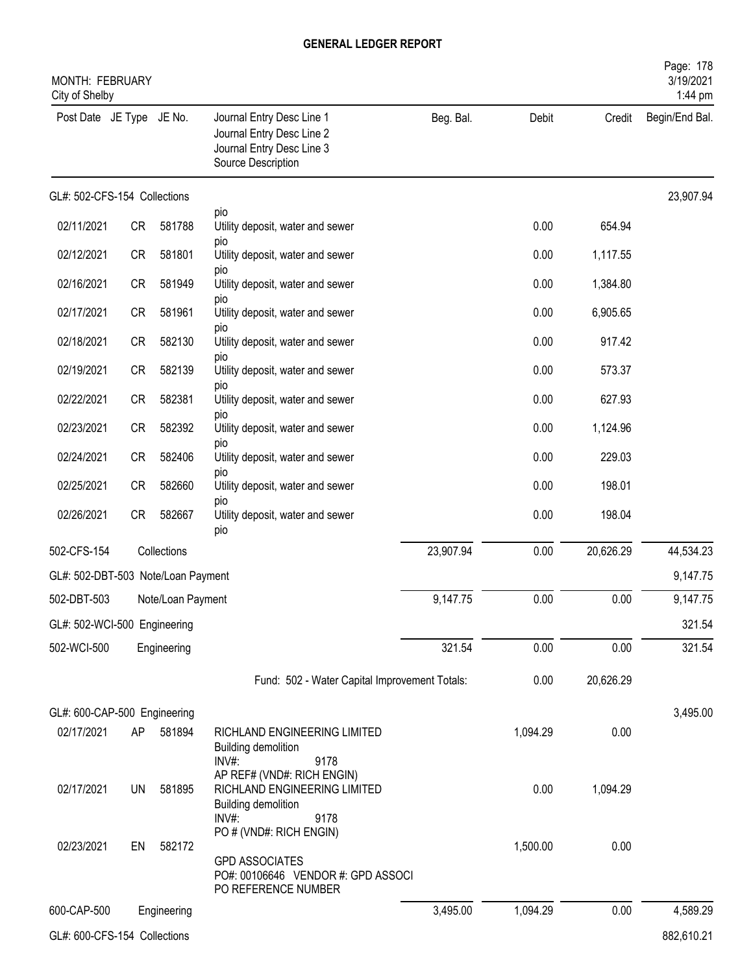| <b>MONTH: FEBRUARY</b><br>City of Shelby |           |                   |                                                                                                               |           |          |           | Page: 178<br>3/19/2021<br>1:44 pm |
|------------------------------------------|-----------|-------------------|---------------------------------------------------------------------------------------------------------------|-----------|----------|-----------|-----------------------------------|
| Post Date JE Type JE No.                 |           |                   | Journal Entry Desc Line 1<br>Journal Entry Desc Line 2<br>Journal Entry Desc Line 3<br>Source Description     | Beg. Bal. | Debit    | Credit    | Begin/End Bal.                    |
| GL#: 502-CFS-154 Collections             |           |                   |                                                                                                               |           |          |           | 23,907.94                         |
| 02/11/2021                               | <b>CR</b> | 581788            | pio<br>Utility deposit, water and sewer                                                                       |           | 0.00     | 654.94    |                                   |
| 02/12/2021                               | <b>CR</b> | 581801            | pio<br>Utility deposit, water and sewer                                                                       |           | 0.00     | 1,117.55  |                                   |
| 02/16/2021                               | <b>CR</b> | 581949            | pio<br>Utility deposit, water and sewer                                                                       |           | 0.00     | 1,384.80  |                                   |
| 02/17/2021                               | CR        | 581961            | <b>DIO</b><br>Utility deposit, water and sewer                                                                |           | 0.00     | 6,905.65  |                                   |
| 02/18/2021                               | <b>CR</b> | 582130            | <b>DIO</b><br>Utility deposit, water and sewer                                                                |           | 0.00     | 917.42    |                                   |
| 02/19/2021                               | <b>CR</b> | 582139            | pio<br>Utility deposit, water and sewer                                                                       |           | 0.00     | 573.37    |                                   |
| 02/22/2021                               | <b>CR</b> | 582381            | pio<br>Utility deposit, water and sewer                                                                       |           | 0.00     | 627.93    |                                   |
| 02/23/2021                               | <b>CR</b> | 582392            | pio<br>Utility deposit, water and sewer                                                                       |           | 0.00     | 1,124.96  |                                   |
| 02/24/2021                               | <b>CR</b> | 582406            | pio<br>Utility deposit, water and sewer                                                                       |           | 0.00     | 229.03    |                                   |
| 02/25/2021                               | CR        | 582660            | pio<br>Utility deposit, water and sewer                                                                       |           | 0.00     | 198.01    |                                   |
| 02/26/2021                               | CR        | 582667            | <b>DIO</b><br>Utility deposit, water and sewer<br>pio                                                         |           | 0.00     | 198.04    |                                   |
| 502-CFS-154                              |           | Collections       |                                                                                                               | 23,907.94 | 0.00     | 20,626.29 | 44,534.23                         |
| GL#: 502-DBT-503 Note/Loan Payment       |           |                   |                                                                                                               |           |          |           | 9,147.75                          |
| 502-DBT-503                              |           | Note/Loan Payment |                                                                                                               | 9,147.75  | 0.00     | 0.00      | 9,147.75                          |
| GL#: 502-WCI-500 Engineering             |           |                   |                                                                                                               |           |          |           | 321.54                            |
| 502-WCI-500                              |           | Engineering       |                                                                                                               | 321.54    | 0.00     | 0.00      | 321.54                            |
|                                          |           |                   | Fund: 502 - Water Capital Improvement Totals:                                                                 |           | 0.00     | 20,626.29 |                                   |
| GL#: 600-CAP-500 Engineering             |           |                   |                                                                                                               |           |          |           | 3,495.00                          |
| 02/17/2021                               | AP        | 581894            | RICHLAND ENGINEERING LIMITED<br>Building demolition<br>INV#:<br>9178                                          |           | 1,094.29 | 0.00      |                                   |
| 02/17/2021                               | UN        | 581895            | AP REF# (VND#: RICH ENGIN)<br>RICHLAND ENGINEERING LIMITED<br><b>Building demolition</b><br>INV#:<br>9178     |           | 0.00     | 1,094.29  |                                   |
| 02/23/2021                               | EN        | 582172            | PO # (VND#: RICH ENGIN)<br><b>GPD ASSOCIATES</b><br>PO#: 00106646 VENDOR #: GPD ASSOCI<br>PO REFERENCE NUMBER |           | 1,500.00 | 0.00      |                                   |
| 600-CAP-500                              |           | Engineering       |                                                                                                               | 3,495.00  | 1,094.29 | 0.00      | 4,589.29                          |
| GL#: 600-CFS-154 Collections             |           |                   |                                                                                                               |           |          |           | 882,610.21                        |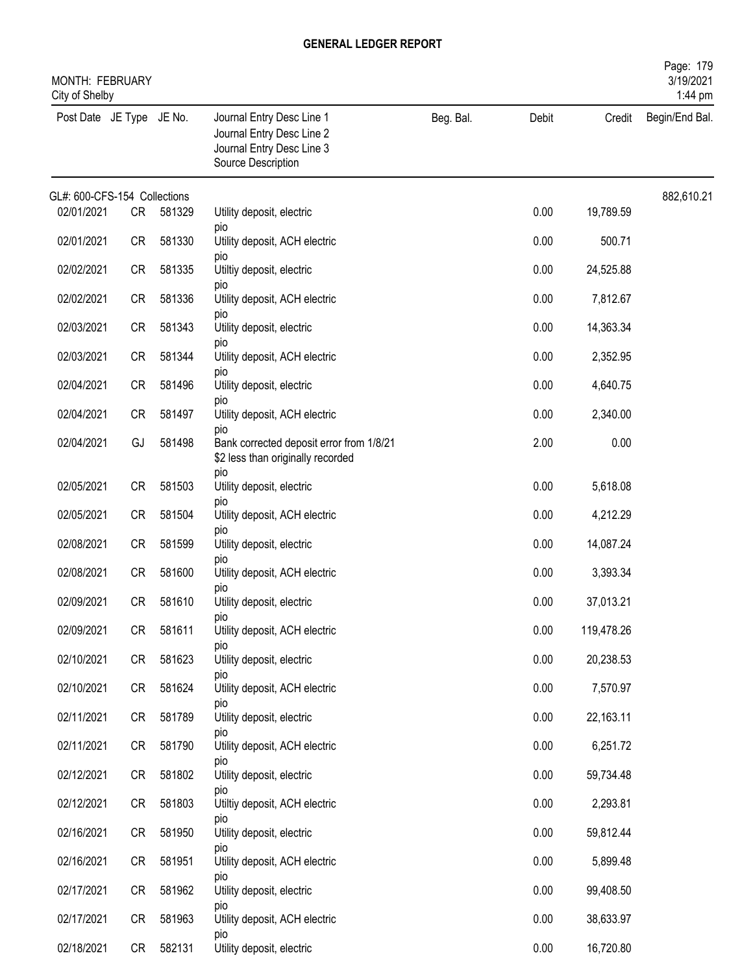| MONTH: FEBRUARY<br>City of Shelby |           |        |                                                                                                           |           |       |            | Page: 179<br>3/19/2021<br>1:44 pm |
|-----------------------------------|-----------|--------|-----------------------------------------------------------------------------------------------------------|-----------|-------|------------|-----------------------------------|
| Post Date JE Type JE No.          |           |        | Journal Entry Desc Line 1<br>Journal Entry Desc Line 2<br>Journal Entry Desc Line 3<br>Source Description | Beg. Bal. | Debit | Credit     | Begin/End Bal.                    |
| GL#: 600-CFS-154 Collections      |           |        |                                                                                                           |           |       |            | 882,610.21                        |
| 02/01/2021                        | CR        | 581329 | Utility deposit, electric<br>pio                                                                          |           | 0.00  | 19,789.59  |                                   |
| 02/01/2021                        | CR        | 581330 | Utility deposit, ACH electric<br>pio                                                                      |           | 0.00  | 500.71     |                                   |
| 02/02/2021                        | <b>CR</b> | 581335 | Utiltiy deposit, electric                                                                                 |           | 0.00  | 24,525.88  |                                   |
| 02/02/2021                        | <b>CR</b> | 581336 | pio<br>Utility deposit, ACH electric                                                                      |           | 0.00  | 7,812.67   |                                   |
| 02/03/2021                        | <b>CR</b> | 581343 | pio<br>Utility deposit, electric                                                                          |           | 0.00  | 14,363.34  |                                   |
| 02/03/2021                        | <b>CR</b> | 581344 | pio<br>Utility deposit, ACH electric                                                                      |           | 0.00  | 2,352.95   |                                   |
| 02/04/2021                        | <b>CR</b> | 581496 | pio<br>Utility deposit, electric                                                                          |           | 0.00  | 4,640.75   |                                   |
| 02/04/2021                        | <b>CR</b> | 581497 | pio<br>Utility deposit, ACH electric                                                                      |           | 0.00  | 2,340.00   |                                   |
| 02/04/2021                        | GJ        | 581498 | pio<br>Bank corrected deposit error from 1/8/21<br>\$2 less than originally recorded                      |           | 2.00  | 0.00       |                                   |
| 02/05/2021                        | <b>CR</b> | 581503 | pio<br>Utility deposit, electric                                                                          |           | 0.00  | 5,618.08   |                                   |
| 02/05/2021                        | <b>CR</b> | 581504 | pio<br>Utility deposit, ACH electric                                                                      |           | 0.00  | 4,212.29   |                                   |
| 02/08/2021                        | <b>CR</b> | 581599 | pio<br>Utility deposit, electric                                                                          |           | 0.00  | 14,087.24  |                                   |
| 02/08/2021                        | <b>CR</b> | 581600 | pio<br>Utility deposit, ACH electric                                                                      |           | 0.00  | 3,393.34   |                                   |
| 02/09/2021                        | CR        | 581610 | pio<br>Utility deposit, electric                                                                          |           | 0.00  | 37,013.21  |                                   |
| 02/09/2021                        | CR        | 581611 | pio<br>Utility deposit, ACH electric                                                                      |           | 0.00  | 119,478.26 |                                   |
| 02/10/2021                        | CR        | 581623 | pio<br>Utility deposit, electric                                                                          |           | 0.00  | 20,238.53  |                                   |
| 02/10/2021                        | CR        | 581624 | pio<br>Utility deposit, ACH electric                                                                      |           | 0.00  | 7,570.97   |                                   |
|                                   |           |        | pio                                                                                                       |           |       |            |                                   |
| 02/11/2021                        | CR        | 581789 | Utility deposit, electric<br>pio                                                                          |           | 0.00  | 22,163.11  |                                   |
| 02/11/2021                        | CR        | 581790 | Utility deposit, ACH electric<br>pio                                                                      |           | 0.00  | 6,251.72   |                                   |
| 02/12/2021                        | CR        | 581802 | Utility deposit, electric<br>pio                                                                          |           | 0.00  | 59,734.48  |                                   |
| 02/12/2021                        | CR        | 581803 | Utiltiy deposit, ACH electric<br>pio                                                                      |           | 0.00  | 2,293.81   |                                   |
| 02/16/2021                        | CR        | 581950 | Utility deposit, electric<br>pio                                                                          |           | 0.00  | 59,812.44  |                                   |
| 02/16/2021                        | <b>CR</b> | 581951 | Utility deposit, ACH electric                                                                             |           | 0.00  | 5,899.48   |                                   |
| 02/17/2021                        | CR        | 581962 | pio<br>Utility deposit, electric                                                                          |           | 0.00  | 99,408.50  |                                   |
| 02/17/2021                        | CR        | 581963 | pio<br>Utility deposit, ACH electric                                                                      |           | 0.00  | 38,633.97  |                                   |
| 02/18/2021                        | CR        | 582131 | pio<br>Utility deposit, electric                                                                          |           | 0.00  | 16,720.80  |                                   |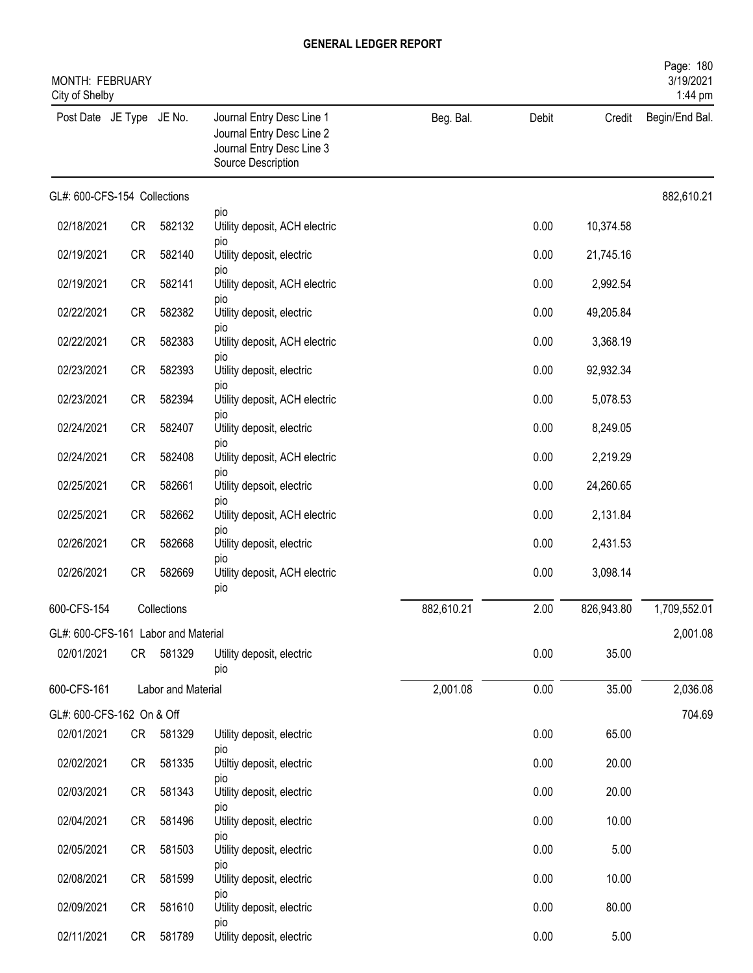| MONTH: FEBRUARY<br>City of Shelby   |           |                    |                                                                                                           |            |       |            | Page: 180<br>3/19/2021<br>1:44 pm |
|-------------------------------------|-----------|--------------------|-----------------------------------------------------------------------------------------------------------|------------|-------|------------|-----------------------------------|
| Post Date JE Type JE No.            |           |                    | Journal Entry Desc Line 1<br>Journal Entry Desc Line 2<br>Journal Entry Desc Line 3<br>Source Description | Beg. Bal.  | Debit | Credit     | Begin/End Bal.                    |
| GL#: 600-CFS-154 Collections        |           |                    |                                                                                                           |            |       |            | 882,610.21                        |
| 02/18/2021                          | <b>CR</b> | 582132             | pio<br>Utility deposit, ACH electric                                                                      |            | 0.00  | 10,374.58  |                                   |
| 02/19/2021                          | <b>CR</b> | 582140             | pio<br>Utility deposit, electric                                                                          |            | 0.00  | 21,745.16  |                                   |
| 02/19/2021                          | <b>CR</b> | 582141             | pio<br>Utility deposit, ACH electric                                                                      |            | 0.00  | 2,992.54   |                                   |
| 02/22/2021                          | <b>CR</b> | 582382             | pio<br>Utility deposit, electric                                                                          |            | 0.00  | 49,205.84  |                                   |
| 02/22/2021                          | <b>CR</b> | 582383             | pio<br>Utility deposit, ACH electric                                                                      |            | 0.00  | 3,368.19   |                                   |
| 02/23/2021                          | <b>CR</b> | 582393             | pio<br>Utility deposit, electric                                                                          |            | 0.00  | 92,932.34  |                                   |
| 02/23/2021                          | <b>CR</b> | 582394             | pio<br>Utility deposit, ACH electric                                                                      |            | 0.00  | 5,078.53   |                                   |
| 02/24/2021                          | <b>CR</b> | 582407             | pio<br>Utility deposit, electric                                                                          |            | 0.00  | 8,249.05   |                                   |
| 02/24/2021                          | <b>CR</b> | 582408             | pio<br>Utility deposit, ACH electric                                                                      |            | 0.00  | 2,219.29   |                                   |
| 02/25/2021                          | <b>CR</b> | 582661             | pio<br>Utility depsoit, electric                                                                          |            | 0.00  | 24,260.65  |                                   |
| 02/25/2021                          | <b>CR</b> | 582662             | pio<br>Utility deposit, ACH electric                                                                      |            | 0.00  | 2,131.84   |                                   |
| 02/26/2021                          | <b>CR</b> | 582668             | pio<br>Utility deposit, electric                                                                          |            | 0.00  | 2,431.53   |                                   |
| 02/26/2021                          | <b>CR</b> | 582669             | pio<br>Utility deposit, ACH electric<br>pio                                                               |            | 0.00  | 3,098.14   |                                   |
| 600-CFS-154                         |           | Collections        |                                                                                                           | 882,610.21 | 2.00  | 826,943.80 | 1,709,552.01                      |
| GL#: 600-CFS-161 Labor and Material |           |                    |                                                                                                           |            |       |            | 2,001.08                          |
| 02/01/2021                          |           | CR 581329          | Utility deposit, electric<br>pio                                                                          |            | 0.00  | 35.00      |                                   |
| 600-CFS-161                         |           | Labor and Material |                                                                                                           | 2,001.08   | 0.00  | 35.00      | 2,036.08                          |
| GL#: 600-CFS-162 On & Off           |           |                    |                                                                                                           |            |       |            | 704.69                            |
| 02/01/2021                          |           | CR 581329          | Utility deposit, electric<br>pio                                                                          |            | 0.00  | 65.00      |                                   |
| 02/02/2021                          | CR        | 581335             | Utiltiy deposit, electric<br>pio                                                                          |            | 0.00  | 20.00      |                                   |
| 02/03/2021                          | CR        | 581343             | Utility deposit, electric<br>pio                                                                          |            | 0.00  | 20.00      |                                   |
| 02/04/2021                          | CR        | 581496             | Utility deposit, electric<br>pio                                                                          |            | 0.00  | 10.00      |                                   |
| 02/05/2021                          | CR        | 581503             | Utility deposit, electric<br>pio                                                                          |            | 0.00  | 5.00       |                                   |
| 02/08/2021                          | CR        | 581599             | Utility deposit, electric<br>pio                                                                          |            | 0.00  | 10.00      |                                   |
| 02/09/2021                          | CR        | 581610             | Utility deposit, electric<br>pio                                                                          |            | 0.00  | 80.00      |                                   |
| 02/11/2021                          | CR        | 581789             | Utility deposit, electric                                                                                 |            | 0.00  | 5.00       |                                   |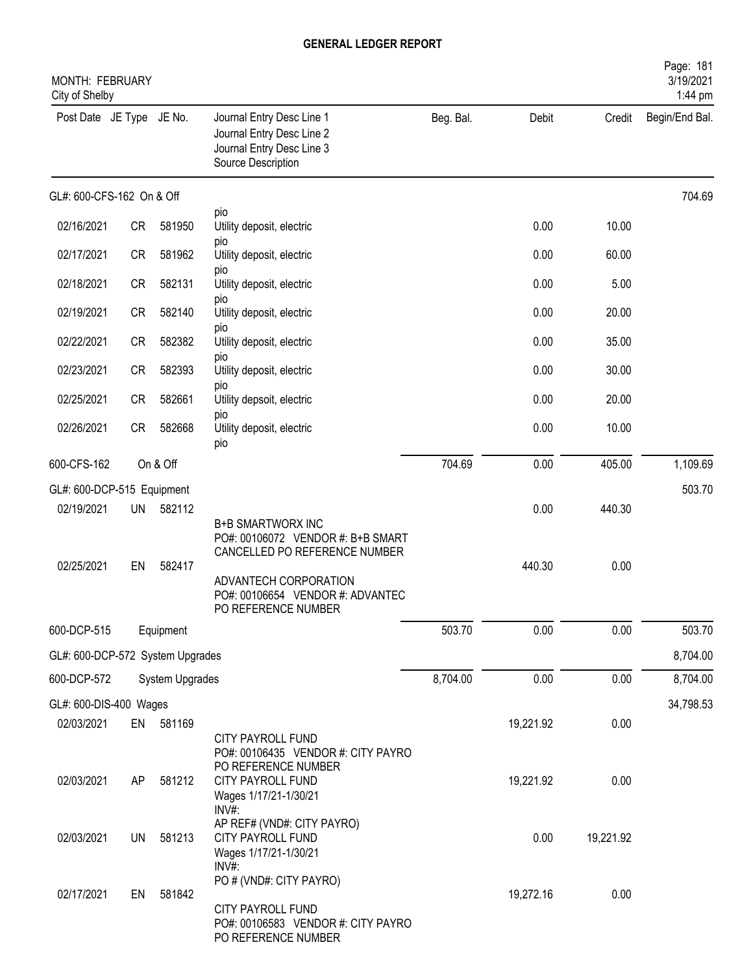| MONTH: FEBRUARY<br>City of Shelby |           |                 |                                                                                                           |           |           |           | Page: 181<br>3/19/2021<br>1:44 pm |
|-----------------------------------|-----------|-----------------|-----------------------------------------------------------------------------------------------------------|-----------|-----------|-----------|-----------------------------------|
| Post Date JE Type JE No.          |           |                 | Journal Entry Desc Line 1<br>Journal Entry Desc Line 2<br>Journal Entry Desc Line 3<br>Source Description | Beg. Bal. | Debit     | Credit    | Begin/End Bal.                    |
| GL#: 600-CFS-162 On & Off         |           |                 |                                                                                                           |           |           |           | 704.69                            |
| 02/16/2021                        | <b>CR</b> | 581950          | pio<br>Utility deposit, electric                                                                          |           | 0.00      | 10.00     |                                   |
| 02/17/2021                        | <b>CR</b> | 581962          | <b>DIO</b><br>Utility deposit, electric                                                                   |           | 0.00      | 60.00     |                                   |
| 02/18/2021                        | <b>CR</b> | 582131          | pio<br>Utility deposit, electric                                                                          |           | 0.00      | 5.00      |                                   |
| 02/19/2021                        | <b>CR</b> | 582140          | pio<br>Utility deposit, electric                                                                          |           | 0.00      | 20.00     |                                   |
| 02/22/2021                        | <b>CR</b> | 582382          | pio<br>Utility deposit, electric                                                                          |           | 0.00      | 35.00     |                                   |
| 02/23/2021                        | <b>CR</b> | 582393          | pio<br>Utility deposit, electric                                                                          |           | 0.00      | 30.00     |                                   |
| 02/25/2021                        | <b>CR</b> | 582661          | pio<br>Utility depsoit, electric                                                                          |           | 0.00      | 20.00     |                                   |
| 02/26/2021                        | CR        | 582668          | <b>DIO</b><br>Utility deposit, electric<br>pio                                                            |           | 0.00      | 10.00     |                                   |
| 600-CFS-162                       |           | On & Off        |                                                                                                           | 704.69    | 0.00      | 405.00    | 1,109.69                          |
| GL#: 600-DCP-515 Equipment        |           |                 |                                                                                                           |           |           |           | 503.70                            |
| 02/19/2021                        | <b>UN</b> | 582112          | <b>B+B SMARTWORX INC</b><br>PO#: 00106072 VENDOR #: B+B SMART<br>CANCELLED PO REFERENCE NUMBER            |           | 0.00      | 440.30    |                                   |
| 02/25/2021                        | EN        | 582417          | ADVANTECH CORPORATION<br>PO#: 00106654 VENDOR #: ADVANTEC<br>PO REFERENCE NUMBER                          |           | 440.30    | 0.00      |                                   |
| 600-DCP-515                       |           | Equipment       |                                                                                                           | 503.70    | 0.00      | 0.00      | 503.70                            |
| GL#: 600-DCP-572 System Upgrades  |           |                 |                                                                                                           |           |           |           | 8,704.00                          |
| 600-DCP-572                       |           | System Upgrades |                                                                                                           | 8,704.00  | 0.00      | 0.00      | 8,704.00                          |
| GL#: 600-DIS-400 Wages            |           |                 |                                                                                                           |           |           |           | 34,798.53                         |
| 02/03/2021                        |           | EN 581169       | CITY PAYROLL FUND<br>PO#: 00106435 VENDOR #: CITY PAYRO                                                   |           | 19,221.92 | 0.00      |                                   |
| 02/03/2021                        | AP        | 581212          | PO REFERENCE NUMBER<br>CITY PAYROLL FUND<br>Wages 1/17/21-1/30/21<br>INV#:                                |           | 19,221.92 | 0.00      |                                   |
| 02/03/2021                        | <b>UN</b> | 581213          | AP REF# (VND#: CITY PAYRO)<br>CITY PAYROLL FUND<br>Wages 1/17/21-1/30/21<br>INV#:                         |           | 0.00      | 19,221.92 |                                   |
| 02/17/2021                        | EN        | 581842          | PO # (VND#: CITY PAYRO)<br>CITY PAYROLL FUND<br>PO#: 00106583 VENDOR #: CITY PAYRO<br>PO REFERENCE NUMBER |           | 19,272.16 | 0.00      |                                   |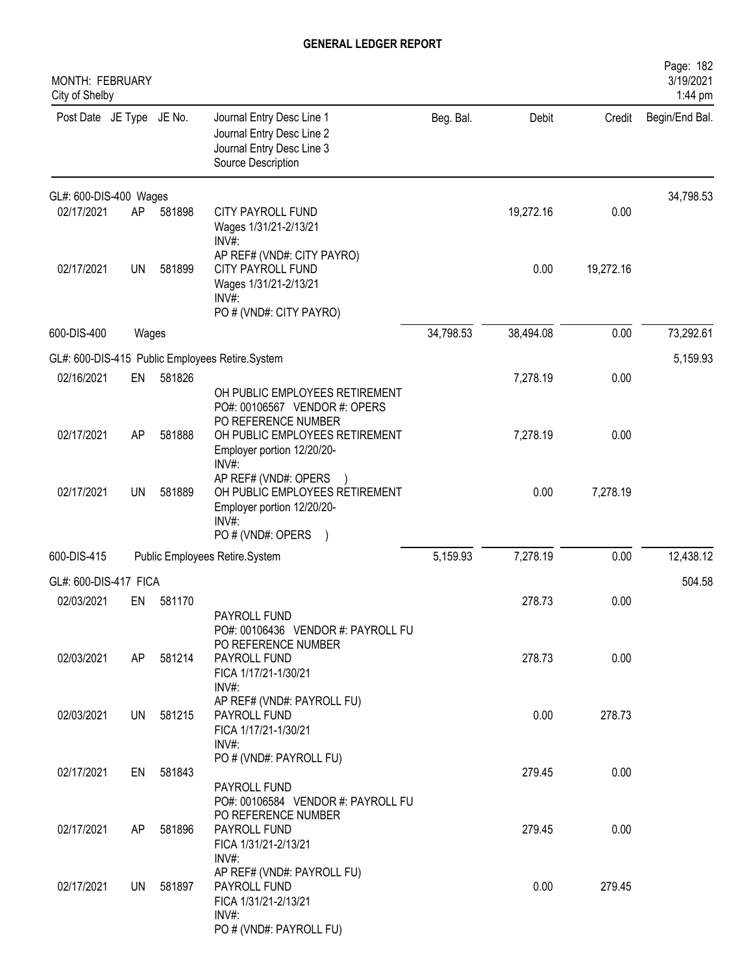| MONTH: FEBRUARY<br>City of Shelby |           |        |                                                                                                                    |           |           |           | Page: 182<br>3/19/2021<br>1:44 pm |
|-----------------------------------|-----------|--------|--------------------------------------------------------------------------------------------------------------------|-----------|-----------|-----------|-----------------------------------|
| Post Date JE Type JE No.          |           |        | Journal Entry Desc Line 1<br>Journal Entry Desc Line 2<br>Journal Entry Desc Line 3<br>Source Description          | Beg. Bal. | Debit     | Credit    | Begin/End Bal.                    |
| GL#: 600-DIS-400 Wages            |           |        |                                                                                                                    |           |           |           | 34,798.53                         |
| 02/17/2021                        | AP        | 581898 | <b>CITY PAYROLL FUND</b><br>Wages 1/31/21-2/13/21<br>INV#:                                                         |           | 19,272.16 | 0.00      |                                   |
| 02/17/2021                        | <b>UN</b> | 581899 | AP REF# (VND#: CITY PAYRO)<br>CITY PAYROLL FUND<br>Wages 1/31/21-2/13/21<br>INV#:<br>PO # (VND#: CITY PAYRO)       |           | 0.00      | 19,272.16 |                                   |
| 600-DIS-400                       | Wages     |        |                                                                                                                    | 34,798.53 | 38,494.08 | 0.00      | 73,292.61                         |
|                                   |           |        | GL#: 600-DIS-415 Public Employees Retire.System                                                                    |           |           |           | 5,159.93                          |
| 02/16/2021                        | EN        | 581826 | OH PUBLIC EMPLOYEES RETIREMENT<br>PO#: 00106567 VENDOR #: OPERS                                                    |           | 7,278.19  | 0.00      |                                   |
| 02/17/2021                        | AP        | 581888 | PO REFERENCE NUMBER<br>OH PUBLIC EMPLOYEES RETIREMENT<br>Employer portion 12/20/20-<br>INV#:                       |           | 7,278.19  | 0.00      |                                   |
| 02/17/2021                        | UN        | 581889 | AP REF# (VND#: OPERS<br>OH PUBLIC EMPLOYEES RETIREMENT<br>Employer portion 12/20/20-<br>INV#:<br>PO # (VND#: OPERS |           | 0.00      | 7,278.19  |                                   |
| 600-DIS-415                       |           |        | Public Employees Retire.System                                                                                     | 5,159.93  | 7,278.19  | 0.00      | 12,438.12                         |
| GL#: 600-DIS-417 FICA             |           |        |                                                                                                                    |           |           |           | 504.58                            |
| 02/03/2021                        | EN        | 581170 | PAYROLL FUND                                                                                                       |           | 278.73    | 0.00      |                                   |
| 02/03/2021                        | AP        | 581214 | PO#: 00106436 VENDOR #: PAYROLL FU<br>PO REFERENCE NUMBER<br>PAYROLL FUND<br>FICA 1/17/21-1/30/21                  |           | 278.73    | 0.00      |                                   |
| 02/03/2021                        | UN        | 581215 | $INV#$ :<br>AP REF# (VND#: PAYROLL FU)<br>PAYROLL FUND<br>FICA 1/17/21-1/30/21<br>$INV#$ :                         |           | 0.00      | 278.73    |                                   |
| 02/17/2021                        | EN        | 581843 | PO # (VND#: PAYROLL FU)<br>PAYROLL FUND                                                                            |           | 279.45    | 0.00      |                                   |
| 02/17/2021                        | AP        | 581896 | PO#: 00106584 VENDOR #: PAYROLL FU<br>PO REFERENCE NUMBER<br>PAYROLL FUND<br>FICA 1/31/21-2/13/21                  |           | 279.45    | 0.00      |                                   |
| 02/17/2021                        | UN        | 581897 | $INV#$ :<br>AP REF# (VND#: PAYROLL FU)<br>PAYROLL FUND<br>FICA 1/31/21-2/13/21<br>$INV#$ :                         |           | 0.00      | 279.45    |                                   |
|                                   |           |        | PO # (VND#: PAYROLL FU)                                                                                            |           |           |           |                                   |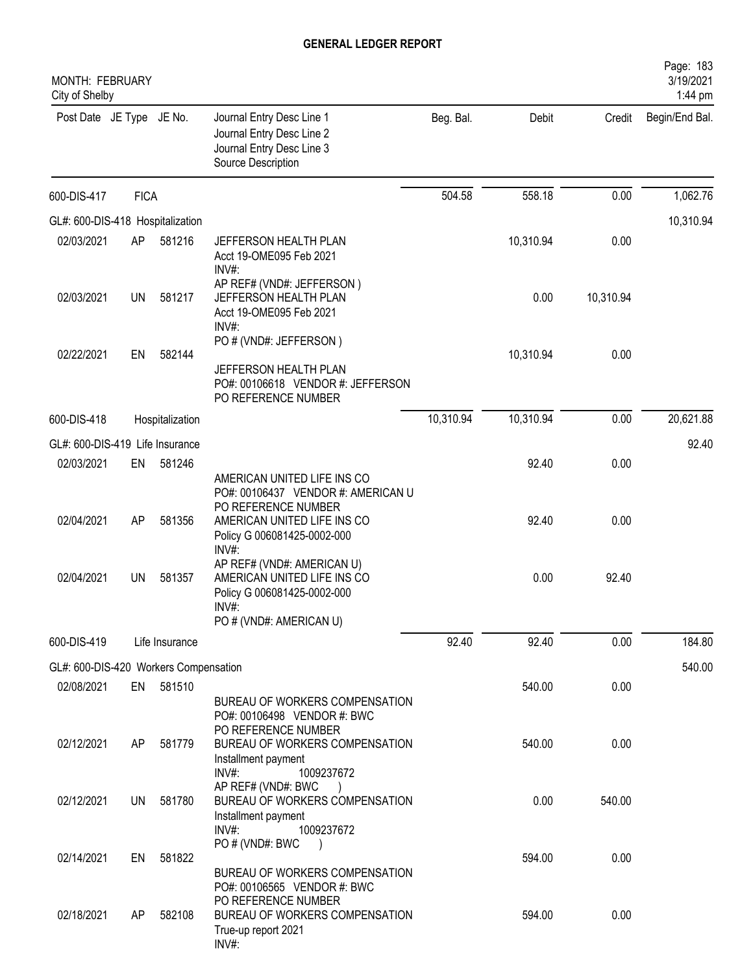| MONTH: FEBRUARY<br>City of Shelby     |             |                 |                                                                                                                             |           |           |           | Page: 183<br>3/19/2021<br>1:44 pm |
|---------------------------------------|-------------|-----------------|-----------------------------------------------------------------------------------------------------------------------------|-----------|-----------|-----------|-----------------------------------|
| Post Date JE Type JE No.              |             |                 | Journal Entry Desc Line 1<br>Journal Entry Desc Line 2<br>Journal Entry Desc Line 3<br>Source Description                   | Beg. Bal. | Debit     | Credit    | Begin/End Bal.                    |
| 600-DIS-417                           | <b>FICA</b> |                 |                                                                                                                             | 504.58    | 558.18    | 0.00      | 1,062.76                          |
| GL#: 600-DIS-418 Hospitalization      |             |                 |                                                                                                                             |           |           |           | 10,310.94                         |
| 02/03/2021                            | AP          | 581216          | JEFFERSON HEALTH PLAN<br>Acct 19-OME095 Feb 2021<br>$INV#$ :                                                                |           | 10,310.94 | 0.00      |                                   |
| 02/03/2021                            | UN          | 581217          | AP REF# (VND#: JEFFERSON)<br>JEFFERSON HEALTH PLAN<br>Acct 19-OME095 Feb 2021<br>$INV#$ :                                   |           | 0.00      | 10,310.94 |                                   |
| 02/22/2021                            | EN          | 582144          | PO # (VND#: JEFFERSON)<br>JEFFERSON HEALTH PLAN                                                                             |           | 10,310.94 | 0.00      |                                   |
|                                       |             |                 | PO#: 00106618 VENDOR #: JEFFERSON<br>PO REFERENCE NUMBER                                                                    |           |           |           |                                   |
| 600-DIS-418                           |             | Hospitalization |                                                                                                                             | 10,310.94 | 10,310.94 | 0.00      | 20,621.88                         |
| GL#: 600-DIS-419 Life Insurance       |             |                 |                                                                                                                             |           |           |           | 92.40                             |
| 02/03/2021                            | EN          | 581246          | AMERICAN UNITED LIFE INS CO<br>PO#: 00106437 VENDOR #: AMERICAN U                                                           |           | 92.40     | 0.00      |                                   |
| 02/04/2021                            | AP          | 581356          | PO REFERENCE NUMBER<br>AMERICAN UNITED LIFE INS CO<br>Policy G 006081425-0002-000<br>INV#:                                  |           | 92.40     | 0.00      |                                   |
| 02/04/2021                            | <b>UN</b>   | 581357          | AP REF# (VND#: AMERICAN U)<br>AMERICAN UNITED LIFE INS CO<br>Policy G 006081425-0002-000<br>INV#<br>PO # (VND#: AMERICAN U) |           | 0.00      | 92.40     |                                   |
| 600-DIS-419                           |             | Life Insurance  |                                                                                                                             | 92.40     | 92.40     | 0.00      | 184.80                            |
| GL#: 600-DIS-420 Workers Compensation |             |                 |                                                                                                                             |           |           |           | 540.00                            |
| 02/08/2021                            | EN          | 581510          |                                                                                                                             |           | 540.00    | 0.00      |                                   |
| 02/12/2021                            | AP          | 581779          | BUREAU OF WORKERS COMPENSATION<br>PO#: 00106498 VENDOR #: BWC<br>PO REFERENCE NUMBER<br>BUREAU OF WORKERS COMPENSATION      |           | 540.00    | 0.00      |                                   |
|                                       |             |                 | Installment payment<br>INV#:<br>1009237672<br>AP REF# (VND#: BWC                                                            |           |           |           |                                   |
| 02/12/2021                            | UN          | 581780          | BUREAU OF WORKERS COMPENSATION<br>Installment payment<br>$INV#$ :<br>1009237672<br>PO # (VND#: BWC                          |           | 0.00      | 540.00    |                                   |
| 02/14/2021                            | EN          | 581822          | BUREAU OF WORKERS COMPENSATION<br>PO#: 00106565 VENDOR #: BWC                                                               |           | 594.00    | 0.00      |                                   |
| 02/18/2021                            | AP          | 582108          | PO REFERENCE NUMBER<br>BUREAU OF WORKERS COMPENSATION<br>True-up report 2021<br>INV#:                                       |           | 594.00    | 0.00      |                                   |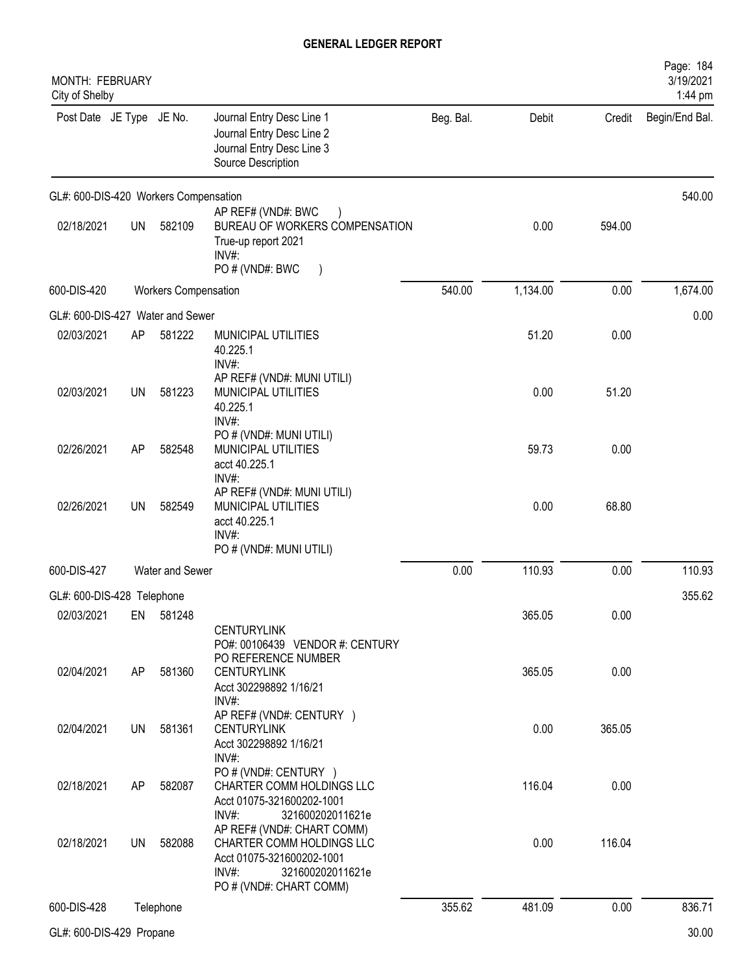| MONTH: FEBRUARY<br>City of Shelby     |           |                             |                                                                                                                                                 |           |          |        | Page: 184<br>3/19/2021<br>1:44 pm |
|---------------------------------------|-----------|-----------------------------|-------------------------------------------------------------------------------------------------------------------------------------------------|-----------|----------|--------|-----------------------------------|
| Post Date JE Type JE No.              |           |                             | Journal Entry Desc Line 1<br>Journal Entry Desc Line 2<br>Journal Entry Desc Line 3<br>Source Description                                       | Beg. Bal. | Debit    | Credit | Begin/End Bal.                    |
| GL#: 600-DIS-420 Workers Compensation |           |                             |                                                                                                                                                 |           |          |        | 540.00                            |
| 02/18/2021                            | <b>UN</b> | 582109                      | AP REF# (VND#: BWC<br>BUREAU OF WORKERS COMPENSATION<br>True-up report 2021<br>INV#:<br>PO # (VND#: BWC                                         |           | 0.00     | 594.00 |                                   |
| 600-DIS-420                           |           | <b>Workers Compensation</b> |                                                                                                                                                 | 540.00    | 1,134.00 | 0.00   | 1,674.00                          |
| GL#: 600-DIS-427 Water and Sewer      |           |                             |                                                                                                                                                 |           |          |        | 0.00                              |
| 02/03/2021                            | AP        | 581222                      | MUNICIPAL UTILITIES<br>40.225.1<br>INV#:                                                                                                        |           | 51.20    | 0.00   |                                   |
| 02/03/2021                            | UN        | 581223                      | AP REF# (VND#: MUNI UTILI)<br>MUNICIPAL UTILITIES<br>40.225.1<br>INV#:                                                                          |           | 0.00     | 51.20  |                                   |
| 02/26/2021                            | AP        | 582548                      | PO # (VND#: MUNI UTILI)<br>MUNICIPAL UTILITIES<br>acct 40.225.1<br>INV#:                                                                        |           | 59.73    | 0.00   |                                   |
| 02/26/2021                            | UN        | 582549                      | AP REF# (VND#: MUNI UTILI)<br>MUNICIPAL UTILITIES<br>acct 40.225.1<br>$INV#$ :                                                                  |           | 0.00     | 68.80  |                                   |
|                                       |           |                             | PO # (VND#: MUNI UTILI)                                                                                                                         |           |          |        |                                   |
| 600-DIS-427                           |           | Water and Sewer             |                                                                                                                                                 | 0.00      | 110.93   | 0.00   | 110.93                            |
| GL#: 600-DIS-428 Telephone            |           |                             |                                                                                                                                                 |           |          |        | 355.62                            |
| 02/03/2021                            | EN        | 581248                      | <b>CENTURYLINK</b><br>PO#: 00106439 VENDOR #: CENTURY<br>PO REFERENCE NUMBER                                                                    |           | 365.05   | 0.00   |                                   |
| 02/04/2021                            | AP        | 581360                      | <b>CENTURYLINK</b><br>Acct 302298892 1/16/21<br>$INV#$ :                                                                                        |           | 365.05   | 0.00   |                                   |
| 02/04/2021                            | UN        | 581361                      | AP REF# (VND#: CENTURY )<br><b>CENTURYLINK</b><br>Acct 302298892 1/16/21<br>INV#:                                                               |           | 0.00     | 365.05 |                                   |
| 02/18/2021                            | AP        | 582087                      | PO # (VND#: CENTURY )<br>CHARTER COMM HOLDINGS LLC<br>Acct 01075-321600202-1001<br>$INV#$ :<br>321600202011621e                                 |           | 116.04   | 0.00   |                                   |
| 02/18/2021                            | UN        | 582088                      | AP REF# (VND#: CHART COMM)<br>CHARTER COMM HOLDINGS LLC<br>Acct 01075-321600202-1001<br>$INV#$ :<br>321600202011621e<br>PO # (VND#: CHART COMM) |           | 0.00     | 116.04 |                                   |
| 600-DIS-428                           |           | Telephone                   |                                                                                                                                                 | 355.62    | 481.09   | 0.00   | 836.71                            |
| GL#: 600-DIS-429 Propane              |           |                             |                                                                                                                                                 |           |          |        | 30.00                             |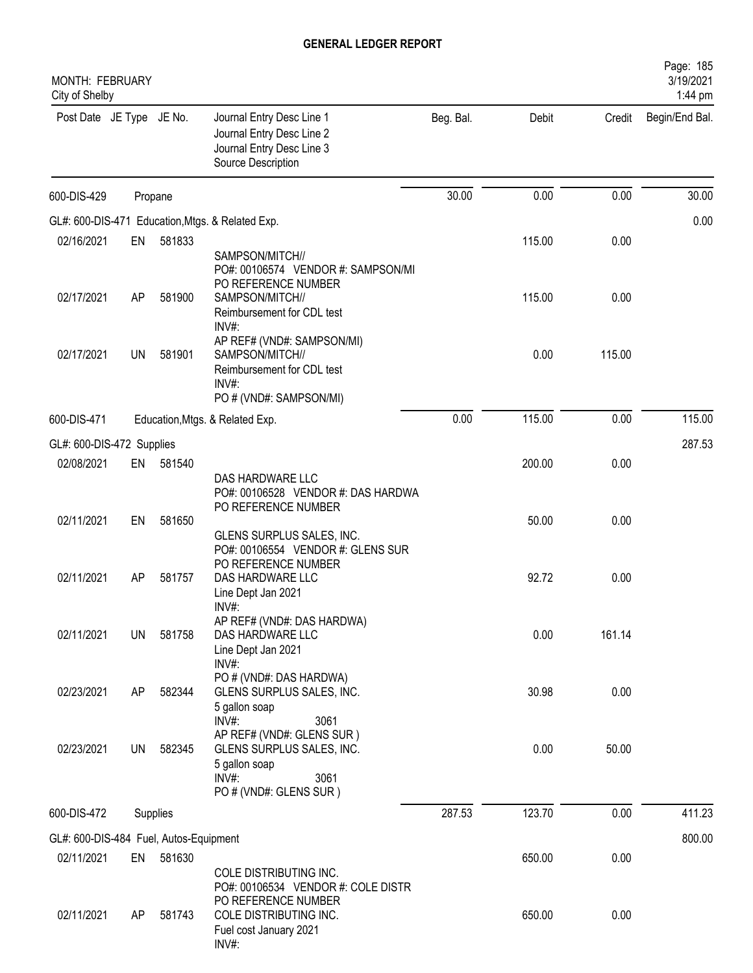| MONTH: FEBRUARY<br>City of Shelby      |    |          |                                                                                                                                        |           |        |        | Page: 185<br>3/19/2021<br>1:44 pm |
|----------------------------------------|----|----------|----------------------------------------------------------------------------------------------------------------------------------------|-----------|--------|--------|-----------------------------------|
| Post Date JE Type JE No.               |    |          | Journal Entry Desc Line 1<br>Journal Entry Desc Line 2<br>Journal Entry Desc Line 3<br>Source Description                              | Beg. Bal. | Debit  | Credit | Begin/End Bal.                    |
| 600-DIS-429                            |    | Propane  |                                                                                                                                        | 30.00     | 0.00   | 0.00   | 30.00                             |
|                                        |    |          | GL#: 600-DIS-471 Education, Mtgs. & Related Exp.                                                                                       |           |        |        | 0.00                              |
| 02/16/2021                             | EN | 581833   |                                                                                                                                        |           | 115.00 | 0.00   |                                   |
| 02/17/2021                             | AP | 581900   | SAMPSON/MITCH//<br>PO#: 00106574 VENDOR #: SAMPSON/MI<br>PO REFERENCE NUMBER<br>SAMPSON/MITCH//<br>Reimbursement for CDL test          |           | 115.00 | 0.00   |                                   |
| 02/17/2021                             | UN | 581901   | INV#:<br>AP REF# (VND#: SAMPSON/MI)<br>SAMPSON/MITCH//<br>Reimbursement for CDL test<br>INV#:<br>PO # (VND#: SAMPSON/MI)               |           | 0.00   | 115.00 |                                   |
| 600-DIS-471                            |    |          | Education, Mtgs. & Related Exp.                                                                                                        | 0.00      | 115.00 | 0.00   | 115.00                            |
| GL#: 600-DIS-472 Supplies              |    |          |                                                                                                                                        |           |        |        | 287.53                            |
| 02/08/2021                             | EN | 581540   |                                                                                                                                        |           | 200.00 | 0.00   |                                   |
| 02/11/2021                             | EN | 581650   | DAS HARDWARE LLC<br>PO#: 00106528 VENDOR #: DAS HARDWA<br>PO REFERENCE NUMBER<br>GLENS SURPLUS SALES, INC.                             |           | 50.00  | 0.00   |                                   |
| 02/11/2021                             | AP | 581757   | PO#: 00106554 VENDOR #: GLENS SUR<br>PO REFERENCE NUMBER<br>DAS HARDWARE LLC<br>Line Dept Jan 2021<br>INV#                             |           | 92.72  | 0.00   |                                   |
| 02/11/2021                             | UN | 581758   | AP REF# (VND#: DAS HARDWA)<br>DAS HARDWARE LLC<br>Line Dept Jan 2021<br>INV#:                                                          |           | 0.00   | 161.14 |                                   |
| 02/23/2021                             | AP | 582344   | PO # (VND#: DAS HARDWA)<br>GLENS SURPLUS SALES, INC.<br>5 gallon soap                                                                  |           | 30.98  | 0.00   |                                   |
| 02/23/2021                             | UN | 582345   | 3061<br>$INV#$ :<br>AP REF# (VND#: GLENS SUR)<br>GLENS SURPLUS SALES, INC.<br>5 gallon soap<br>INV#:<br>3061<br>PO # (VND#: GLENS SUR) |           | 0.00   | 50.00  |                                   |
| 600-DIS-472                            |    | Supplies |                                                                                                                                        | 287.53    | 123.70 | 0.00   | 411.23                            |
| GL#: 600-DIS-484 Fuel, Autos-Equipment |    |          |                                                                                                                                        |           |        |        | 800.00                            |
| 02/11/2021                             | EN | 581630   |                                                                                                                                        |           | 650.00 | 0.00   |                                   |
| 02/11/2021                             | AP | 581743   | COLE DISTRIBUTING INC.<br>PO#: 00106534 VENDOR #: COLE DISTR<br>PO REFERENCE NUMBER<br>COLE DISTRIBUTING INC.                          |           | 650.00 | 0.00   |                                   |
|                                        |    |          | Fuel cost January 2021<br>INV#:                                                                                                        |           |        |        |                                   |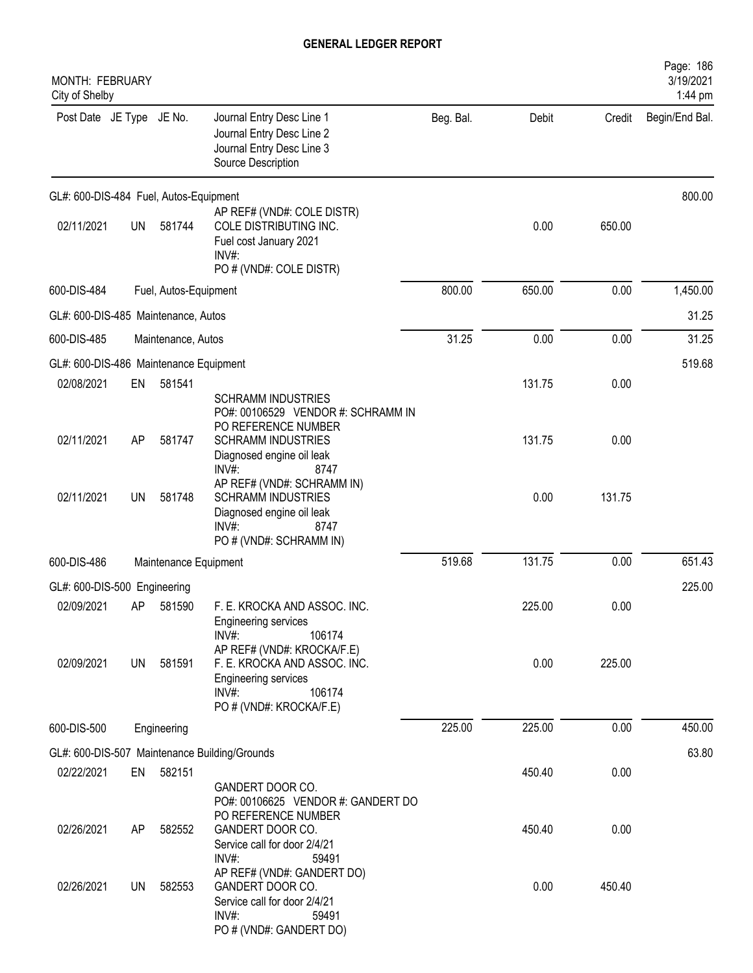| MONTH: FEBRUARY<br>City of Shelby      |           |                       |                                                                                                                                                                   |           |        |        | Page: 186<br>3/19/2021<br>1:44 pm |
|----------------------------------------|-----------|-----------------------|-------------------------------------------------------------------------------------------------------------------------------------------------------------------|-----------|--------|--------|-----------------------------------|
| Post Date JE Type JE No.               |           |                       | Journal Entry Desc Line 1<br>Journal Entry Desc Line 2<br>Journal Entry Desc Line 3<br>Source Description                                                         | Beg. Bal. | Debit  | Credit | Begin/End Bal.                    |
| GL#: 600-DIS-484 Fuel, Autos-Equipment |           |                       |                                                                                                                                                                   |           |        |        | 800.00                            |
| 02/11/2021                             | <b>UN</b> | 581744                | AP REF# (VND#: COLE DISTR)<br>COLE DISTRIBUTING INC.<br>Fuel cost January 2021<br>INV#:<br>PO # (VND#: COLE DISTR)                                                |           | 0.00   | 650.00 |                                   |
| 600-DIS-484                            |           | Fuel, Autos-Equipment |                                                                                                                                                                   | 800.00    | 650.00 | 0.00   | 1,450.00                          |
| GL#: 600-DIS-485 Maintenance, Autos    |           |                       |                                                                                                                                                                   |           |        |        | 31.25                             |
| 600-DIS-485                            |           | Maintenance, Autos    |                                                                                                                                                                   | 31.25     | 0.00   | 0.00   | 31.25                             |
| GL#: 600-DIS-486 Maintenance Equipment |           |                       |                                                                                                                                                                   |           |        |        | 519.68                            |
| 02/08/2021                             | EN        | 581541                |                                                                                                                                                                   |           | 131.75 | 0.00   |                                   |
| 02/11/2021                             | AP        | 581747                | <b>SCHRAMM INDUSTRIES</b><br>PO#: 00106529 VENDOR #: SCHRAMM IN<br>PO REFERENCE NUMBER<br><b>SCHRAMM INDUSTRIES</b><br>Diagnosed engine oil leak<br>INV#:<br>8747 |           | 131.75 | 0.00   |                                   |
| 02/11/2021                             | UN        | 581748                | AP REF# (VND#: SCHRAMM IN)<br><b>SCHRAMM INDUSTRIES</b><br>Diagnosed engine oil leak<br>INV#<br>8747<br>PO # (VND#: SCHRAMM IN)                                   |           | 0.00   | 131.75 |                                   |
| 600-DIS-486                            |           | Maintenance Equipment |                                                                                                                                                                   | 519.68    | 131.75 | 0.00   | 651.43                            |
| GL#: 600-DIS-500 Engineering           |           |                       |                                                                                                                                                                   |           |        |        | 225.00                            |
| 02/09/2021                             |           | AP 581590             | F. E. KROCKA AND ASSOC. INC.<br>Engineering services<br>$INV#$ :<br>106174                                                                                        |           | 225.00 | 0.00   |                                   |
| 02/09/2021                             | UN        | 581591                | AP REF# (VND#: KROCKA/F.E)<br>F. E. KROCKA AND ASSOC. INC.<br><b>Engineering services</b><br>$INV#$ :<br>106174<br>PO # (VND#: KROCKA/F.E)                        |           | 0.00   | 225.00 |                                   |
| 600-DIS-500                            |           | Engineering           |                                                                                                                                                                   | 225.00    | 225.00 | 0.00   | 450.00                            |
|                                        |           |                       | GL#: 600-DIS-507 Maintenance Building/Grounds                                                                                                                     |           |        |        | 63.80                             |
| 02/22/2021                             | EN        | 582151                |                                                                                                                                                                   |           | 450.40 | 0.00   |                                   |
| 02/26/2021                             | AP        | 582552                | GANDERT DOOR CO.<br>PO#: 00106625 VENDOR #: GANDERT DO<br>PO REFERENCE NUMBER<br>GANDERT DOOR CO.<br>Service call for door 2/4/21<br>$INV#$ :<br>59491            |           | 450.40 | 0.00   |                                   |
| 02/26/2021                             | UN        | 582553                | AP REF# (VND#: GANDERT DO)<br>GANDERT DOOR CO.<br>Service call for door 2/4/21<br>INV#:<br>59491<br>PO # (VND#: GANDERT DO)                                       |           | 0.00   | 450.40 |                                   |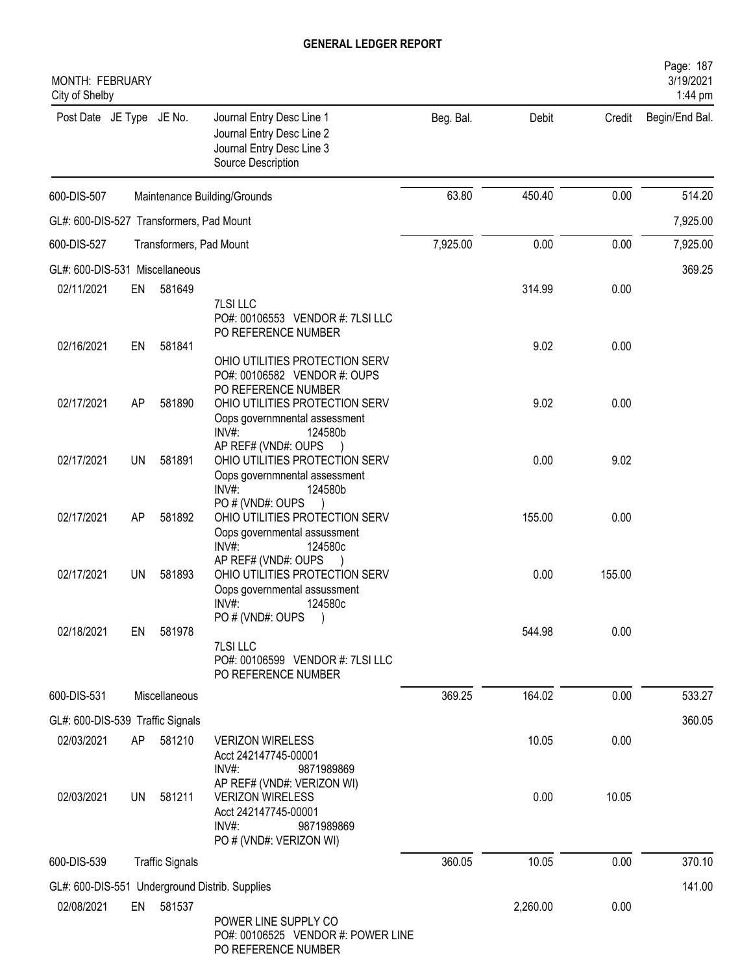| MONTH: FEBRUARY<br>City of Shelby        |           |                         |                                                                                                               |           |          |        | Page: 187<br>3/19/2021<br>1:44 pm |
|------------------------------------------|-----------|-------------------------|---------------------------------------------------------------------------------------------------------------|-----------|----------|--------|-----------------------------------|
| Post Date JE Type JE No.                 |           |                         | Journal Entry Desc Line 1<br>Journal Entry Desc Line 2<br>Journal Entry Desc Line 3<br>Source Description     | Beg. Bal. | Debit    | Credit | Begin/End Bal.                    |
| 600-DIS-507                              |           |                         | Maintenance Building/Grounds                                                                                  | 63.80     | 450.40   | 0.00   | 514.20                            |
| GL#: 600-DIS-527 Transformers, Pad Mount |           |                         |                                                                                                               |           |          |        | 7,925.00                          |
| 600-DIS-527                              |           | Transformers, Pad Mount |                                                                                                               | 7,925.00  | 0.00     | 0.00   | 7,925.00                          |
| GL#: 600-DIS-531 Miscellaneous           |           |                         |                                                                                                               |           |          |        | 369.25                            |
| 02/11/2021                               | EN        | 581649                  | <b>7LSI LLC</b><br>PO#: 00106553 VENDOR #: 7LSI LLC<br>PO REFERENCE NUMBER                                    |           | 314.99   | 0.00   |                                   |
| 02/16/2021                               | EN        | 581841                  | OHIO UTILITIES PROTECTION SERV<br>PO#: 00106582 VENDOR #: OUPS<br>PO REFERENCE NUMBER                         |           | 9.02     | 0.00   |                                   |
| 02/17/2021                               | AP        | 581890                  | OHIO UTILITIES PROTECTION SERV<br>Oops governmnental assessment<br>INV#:<br>124580b                           |           | 9.02     | 0.00   |                                   |
| 02/17/2021                               | <b>UN</b> | 581891                  | AP REF# (VND#: OUPS<br>OHIO UTILITIES PROTECTION SERV<br>Oops governmnental assessment<br>$INV#$ :<br>124580b |           | 0.00     | 9.02   |                                   |
| 02/17/2021                               | AP        | 581892                  | PO#(VND#: OUPS<br>OHIO UTILITIES PROTECTION SERV<br>Oops governmental assussment<br>INV#:<br>124580c          |           | 155.00   | 0.00   |                                   |
| 02/17/2021                               | UN        | 581893                  | AP REF# (VND#: OUPS<br>OHIO UTILITIES PROTECTION SERV<br>Oops governmental assussment<br>124580c<br>INV#:     |           | 0.00     | 155.00 |                                   |
| 02/18/2021                               | EN        | 581978                  | PO # (VND#: OUPS<br>7LSI LLC<br>PO#: 00106599 VENDOR #: 7LSI LLC<br>PO REFERENCE NUMBER                       |           | 544.98   | 0.00   |                                   |
| 600-DIS-531                              |           | Miscellaneous           |                                                                                                               | 369.25    | 164.02   | 0.00   | 533.27                            |
| GL#: 600-DIS-539 Traffic Signals         |           |                         |                                                                                                               |           |          |        | 360.05                            |
| 02/03/2021                               | AP        | 581210                  | <b>VERIZON WIRELESS</b><br>Acct 242147745-00001<br>INV#<br>9871989869<br>AP REF# (VND#: VERIZON WI)           |           | 10.05    | 0.00   |                                   |
| 02/03/2021                               | UN        | 581211                  | <b>VERIZON WIRELESS</b><br>Acct 242147745-00001<br>$INV#$ :<br>9871989869<br>PO # (VND#: VERIZON WI)          |           | 0.00     | 10.05  |                                   |
| 600-DIS-539                              |           | <b>Traffic Signals</b>  |                                                                                                               | 360.05    | 10.05    | 0.00   | 370.10                            |
|                                          |           |                         | GL#: 600-DIS-551 Underground Distrib. Supplies                                                                |           |          |        | 141.00                            |
| 02/08/2021                               |           | EN 581537               | POWER LINE SUPPLY CO<br>PO#: 00106525 VENDOR #: POWER LINE<br>PO REFERENCE NUMBER                             |           | 2,260.00 | 0.00   |                                   |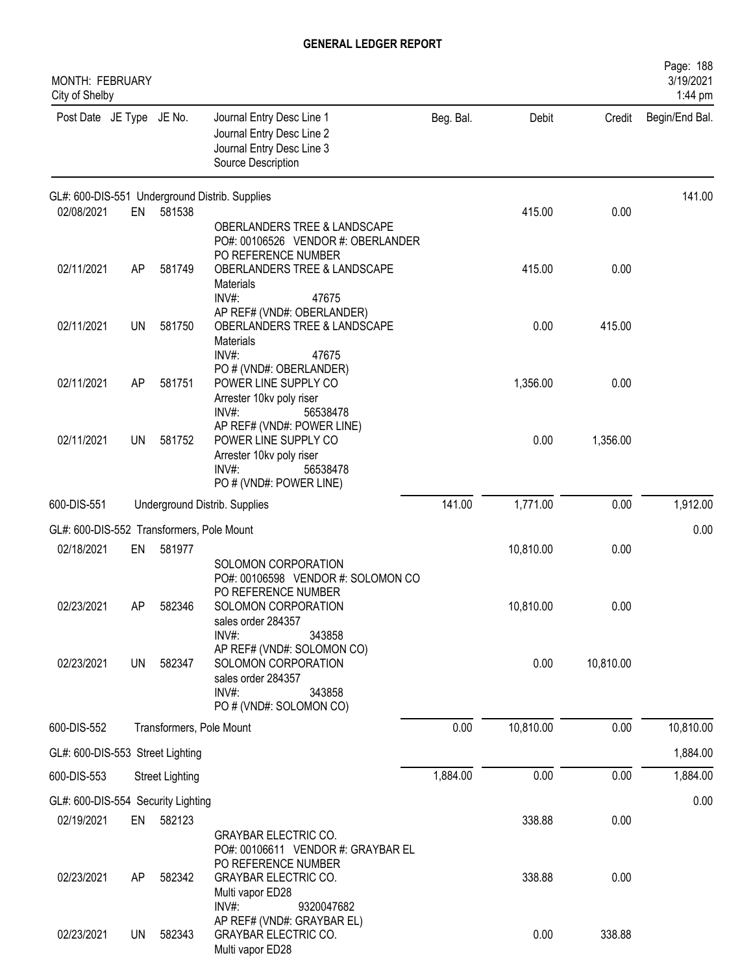| MONTH: FEBRUARY<br>City of Shelby         |           |                        |                                                                                                                                                |           |           |           | Page: 188<br>3/19/2021<br>1:44 pm |
|-------------------------------------------|-----------|------------------------|------------------------------------------------------------------------------------------------------------------------------------------------|-----------|-----------|-----------|-----------------------------------|
| Post Date JE Type JE No.                  |           |                        | Journal Entry Desc Line 1<br>Journal Entry Desc Line 2<br>Journal Entry Desc Line 3<br>Source Description                                      | Beg. Bal. | Debit     | Credit    | Begin/End Bal.                    |
|                                           |           |                        | GL#: 600-DIS-551 Underground Distrib. Supplies                                                                                                 |           |           |           | 141.00                            |
| 02/08/2021                                | EN        | 581538                 | OBERLANDERS TREE & LANDSCAPE<br>PO#: 00106526 VENDOR #: OBERLANDER<br>PO REFERENCE NUMBER                                                      |           | 415.00    | 0.00      |                                   |
| 02/11/2021                                | AP        | 581749                 | OBERLANDERS TREE & LANDSCAPE<br>Materials<br>$INV#$ :<br>47675                                                                                 |           | 415.00    | 0.00      |                                   |
| 02/11/2021                                | UN        | 581750                 | AP REF# (VND#: OBERLANDER)<br>OBERLANDERS TREE & LANDSCAPE<br>Materials<br>INV#:<br>47675                                                      |           | 0.00      | 415.00    |                                   |
| 02/11/2021                                | AP        | 581751                 | PO # (VND#: OBERLANDER)<br>POWER LINE SUPPLY CO<br>Arrester 10kv poly riser<br>56538478<br>$INV#$ :                                            |           | 1,356.00  | 0.00      |                                   |
| 02/11/2021                                | UN        | 581752                 | AP REF# (VND#: POWER LINE)<br>POWER LINE SUPPLY CO<br>Arrester 10kv poly riser<br>$INV#$ :<br>56538478<br>PO # (VND#: POWER LINE)              |           | 0.00      | 1,356.00  |                                   |
| 600-DIS-551                               |           |                        | Underground Distrib. Supplies                                                                                                                  | 141.00    | 1,771.00  | 0.00      | 1,912.00                          |
| GL#: 600-DIS-552 Transformers, Pole Mount |           |                        |                                                                                                                                                |           |           |           | 0.00                              |
| 02/18/2021                                | EN        | 581977                 |                                                                                                                                                |           | 10,810.00 | 0.00      |                                   |
| 02/23/2021                                | AΡ        | 582346                 | SOLOMON CORPORATION<br>PO#: 00106598 VENDOR #: SOLOMON CO<br>PO REFERENCE NUMBER<br>SOLOMON CORPORATION<br>sales order 284357                  |           | 10,810.00 | 0.00      |                                   |
| 02/23/2021                                | <b>UN</b> | 582347                 | $INV#$ :<br>343858<br>AP REF# (VND#: SOLOMON CO)<br>SOLOMON CORPORATION<br>sales order 284357<br>$INV#$ :<br>343858<br>PO # (VND#: SOLOMON CO) |           | 0.00      | 10,810.00 |                                   |
| 600-DIS-552                               |           |                        | Transformers, Pole Mount                                                                                                                       | 0.00      | 10,810.00 | 0.00      | 10,810.00                         |
| GL#: 600-DIS-553 Street Lighting          |           |                        |                                                                                                                                                |           |           |           | 1,884.00                          |
| 600-DIS-553                               |           | <b>Street Lighting</b> |                                                                                                                                                | 1,884.00  | 0.00      | 0.00      | 1,884.00                          |
| GL#: 600-DIS-554 Security Lighting        |           |                        |                                                                                                                                                |           |           |           | 0.00                              |
| 02/19/2021                                | EN        | 582123                 | <b>GRAYBAR ELECTRIC CO.</b><br>PO#: 00106611 VENDOR #: GRAYBAR EL                                                                              |           | 338.88    | 0.00      |                                   |
| 02/23/2021                                | AP        | 582342                 | PO REFERENCE NUMBER<br><b>GRAYBAR ELECTRIC CO.</b><br>Multi vapor ED28<br>INV#:<br>9320047682                                                  |           | 338.88    | 0.00      |                                   |
| 02/23/2021                                | UN        | 582343                 | AP REF# (VND#: GRAYBAR EL)<br><b>GRAYBAR ELECTRIC CO.</b><br>Multi vapor ED28                                                                  |           | 0.00      | 338.88    |                                   |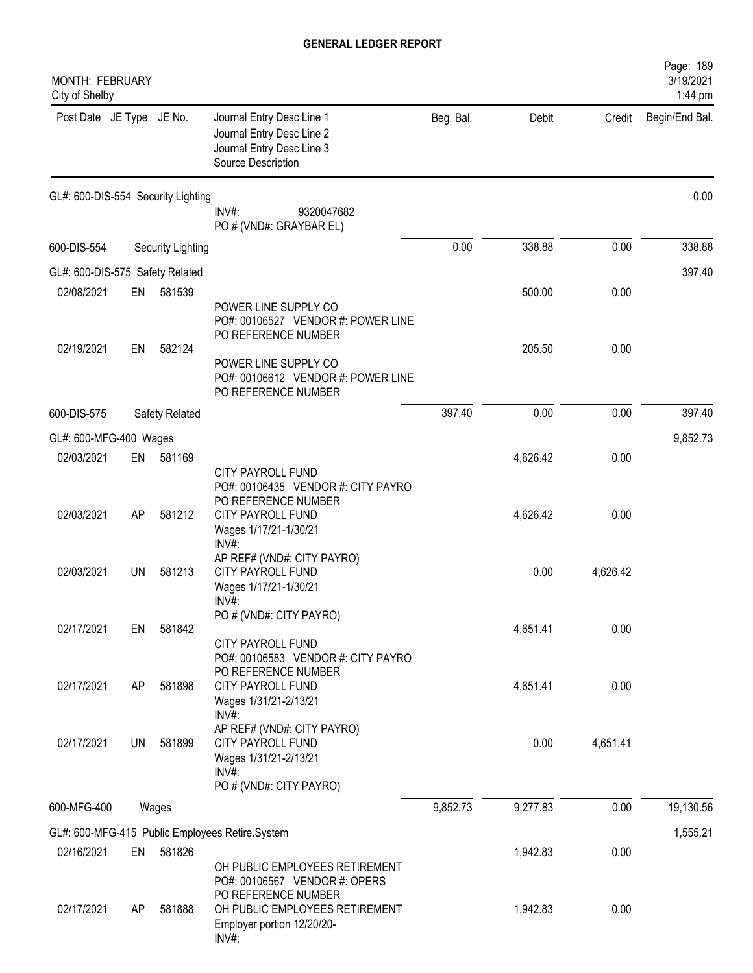| MONTH: FEBRUARY<br>City of Shelby |           |                                    |                                                                                                                         |           |          |          | Page: 189<br>3/19/2021<br>1:44 pm |
|-----------------------------------|-----------|------------------------------------|-------------------------------------------------------------------------------------------------------------------------|-----------|----------|----------|-----------------------------------|
| Post Date JE Type JE No.          |           |                                    | Journal Entry Desc Line 1<br>Journal Entry Desc Line 2<br>Journal Entry Desc Line 3<br>Source Description               | Beg. Bal. | Debit    | Credit   | Begin/End Bal.                    |
|                                   |           | GL#: 600-DIS-554 Security Lighting | INV#:<br>9320047682<br>PO # (VND#: GRAYBAR EL)                                                                          |           |          |          | 0.00                              |
| 600-DIS-554                       |           | Security Lighting                  |                                                                                                                         | 0.00      | 338.88   | 0.00     | 338.88                            |
| GL#: 600-DIS-575 Safety Related   |           |                                    |                                                                                                                         |           |          |          | 397.40                            |
| 02/08/2021                        | EN        | 581539                             | POWER LINE SUPPLY CO<br>PO#: 00106527 VENDOR #: POWER LINE<br>PO REFERENCE NUMBER                                       |           | 500.00   | 0.00     |                                   |
| 02/19/2021                        | EN        | 582124                             | POWER LINE SUPPLY CO<br>PO#: 00106612 VENDOR #: POWER LINE<br>PO REFERENCE NUMBER                                       |           | 205.50   | 0.00     |                                   |
| 600-DIS-575                       |           | Safety Related                     |                                                                                                                         | 397.40    | 0.00     | 0.00     | 397.40                            |
| GL#: 600-MFG-400 Wages            |           |                                    |                                                                                                                         |           |          |          | 9,852.73                          |
| 02/03/2021                        | EN        | 581169                             | <b>CITY PAYROLL FUND</b><br>PO#: 00106435 VENDOR #: CITY PAYRO                                                          |           | 4,626.42 | 0.00     |                                   |
| 02/03/2021                        | AP        | 581212                             | PO REFERENCE NUMBER<br><b>CITY PAYROLL FUND</b><br>Wages 1/17/21-1/30/21<br>INV#:                                       |           | 4,626.42 | 0.00     |                                   |
| 02/03/2021                        | UN        | 581213                             | AP REF# (VND#: CITY PAYRO)<br><b>CITY PAYROLL FUND</b><br>Wages 1/17/21-1/30/21<br>$INV#$ :                             |           | 0.00     | 4,626.42 |                                   |
| 02/17/2021                        | EN        | 581842                             | PO # (VND#: CITY PAYRO)<br><b>CITY PAYROLL FUND</b>                                                                     |           | 4,651.41 | 0.00     |                                   |
| 02/17/2021                        | AP        | 581898                             | PO#: 00106583 VENDOR #: CITY PAYRO<br>PO REFERENCE NUMBER<br><b>CITY PAYROLL FUND</b><br>Wages 1/31/21-2/13/21<br>INV#: |           | 4,651.41 | 0.00     |                                   |
| 02/17/2021                        | <b>UN</b> | 581899                             | AP REF# (VND#: CITY PAYRO)<br><b>CITY PAYROLL FUND</b><br>Wages 1/31/21-2/13/21<br>$INV#$ :<br>PO # (VND#: CITY PAYRO)  |           | 0.00     | 4,651.41 |                                   |
| 600-MFG-400                       |           | Wages                              |                                                                                                                         | 9,852.73  | 9,277.83 | 0.00     | 19,130.56                         |
|                                   |           |                                    | GL#: 600-MFG-415 Public Employees Retire.System                                                                         |           |          |          | 1,555.21                          |
| 02/16/2021                        | EN        | 581826                             |                                                                                                                         |           | 1,942.83 | 0.00     |                                   |
|                                   |           |                                    | OH PUBLIC EMPLOYEES RETIREMENT<br>PO#: 00106567 VENDOR #: OPERS<br>PO REFERENCE NUMBER                                  |           |          |          |                                   |
| 02/17/2021                        | AP        | 581888                             | OH PUBLIC EMPLOYEES RETIREMENT<br>Employer portion 12/20/20-<br>INV#:                                                   |           | 1,942.83 | 0.00     |                                   |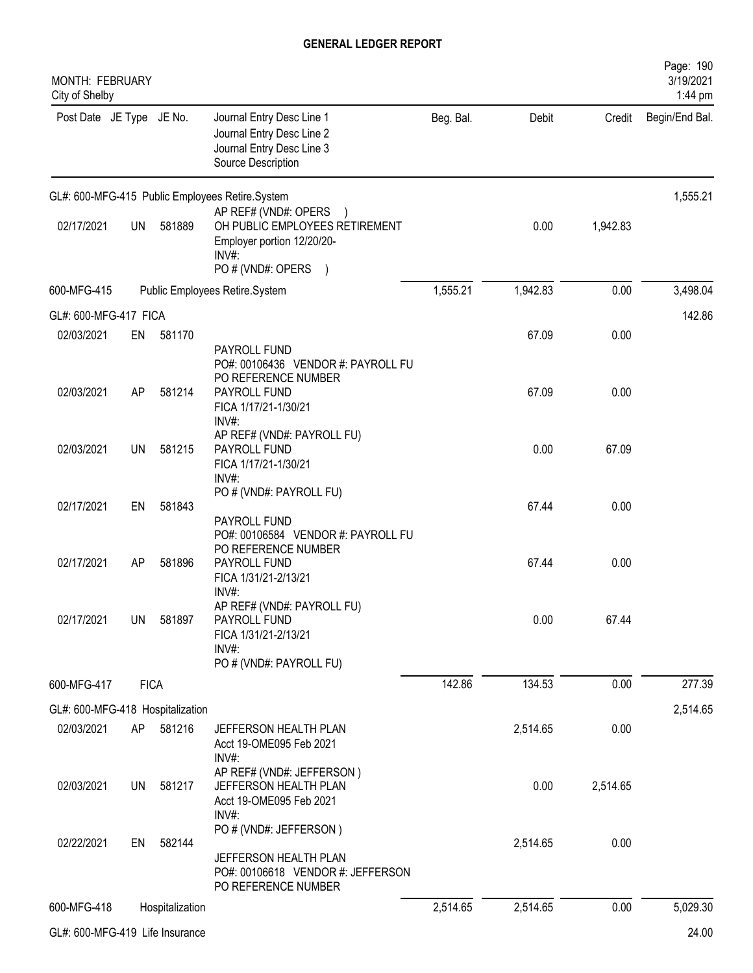| MONTH: FEBRUARY<br>City of Shelby              |             |                 |                                                                                                                     |           |          |          | Page: 190<br>3/19/2021<br>1:44 pm |
|------------------------------------------------|-------------|-----------------|---------------------------------------------------------------------------------------------------------------------|-----------|----------|----------|-----------------------------------|
| Post Date JE Type JE No.                       |             |                 | Journal Entry Desc Line 1<br>Journal Entry Desc Line 2<br>Journal Entry Desc Line 3<br>Source Description           | Beg. Bal. | Debit    | Credit   | Begin/End Bal.                    |
|                                                |             |                 | GL#: 600-MFG-415 Public Employees Retire.System                                                                     |           |          |          | 1,555.21                          |
| 02/17/2021                                     | UN          | 581889          | AP REF# (VND#: OPERS<br>OH PUBLIC EMPLOYEES RETIREMENT<br>Employer portion 12/20/20-<br>INV#<br>PO # (VND#: OPERS ) |           | 0.00     | 1,942.83 |                                   |
| 600-MFG-415                                    |             |                 | Public Employees Retire.System                                                                                      | 1,555.21  | 1,942.83 | 0.00     | 3,498.04                          |
| GL#: 600-MFG-417 FICA                          |             |                 |                                                                                                                     |           |          |          | 142.86                            |
| 02/03/2021                                     | EN          | 581170          | PAYROLL FUND                                                                                                        |           | 67.09    | 0.00     |                                   |
| 02/03/2021                                     | AP          | 581214          | PO#: 00106436 VENDOR #: PAYROLL FU<br>PO REFERENCE NUMBER<br>PAYROLL FUND<br>FICA 1/17/21-1/30/21                   |           | 67.09    | 0.00     |                                   |
| 02/03/2021                                     | UN          | 581215          | $INV#$ :<br>AP REF# (VND#: PAYROLL FU)<br>PAYROLL FUND<br>FICA 1/17/21-1/30/21<br>$INV#$ :                          |           | 0.00     | 67.09    |                                   |
| 02/17/2021                                     | EN          | 581843          | PO # (VND#: PAYROLL FU)<br>PAYROLL FUND                                                                             |           | 67.44    | 0.00     |                                   |
| 02/17/2021                                     | AP          | 581896          | PO#: 00106584 VENDOR #: PAYROLL FU<br>PO REFERENCE NUMBER<br>PAYROLL FUND<br>FICA 1/31/21-2/13/21                   |           | 67.44    | 0.00     |                                   |
| 02/17/2021                                     | <b>UN</b>   | 581897          | INV#:<br>AP REF# (VND#: PAYROLL FU)<br>PAYROLL FUND<br>FICA 1/31/21-2/13/21<br>$INV#$ :                             |           | 0.00     | 67.44    |                                   |
| 600-MFG-417                                    |             |                 | PO # (VND#: PAYROLL FU)                                                                                             | 142.86    | 134.53   | 0.00     | 277.39                            |
|                                                | <b>FICA</b> |                 |                                                                                                                     |           |          |          |                                   |
| GL#: 600-MFG-418 Hospitalization<br>02/03/2021 | AP          | 581216          | JEFFERSON HEALTH PLAN<br>Acct 19-OME095 Feb 2021                                                                    |           | 2,514.65 | 0.00     | 2,514.65                          |
| 02/03/2021                                     | UN          | 581217          | $INV#$ :<br>AP REF# (VND#: JEFFERSON)<br>JEFFERSON HEALTH PLAN<br>Acct 19-OME095 Feb 2021<br>$INV#$ :               |           | 0.00     | 2,514.65 |                                   |
| 02/22/2021                                     | EN          | 582144          | PO # (VND#: JEFFERSON)<br>JEFFERSON HEALTH PLAN<br>PO#: 00106618 VENDOR #: JEFFERSON<br>PO REFERENCE NUMBER         |           | 2,514.65 | 0.00     |                                   |
| 600-MFG-418                                    |             | Hospitalization |                                                                                                                     | 2,514.65  | 2,514.65 | 0.00     | 5,029.30                          |
| GL#: 600-MFG-419 Life Insurance                |             |                 |                                                                                                                     |           |          |          | 24.00                             |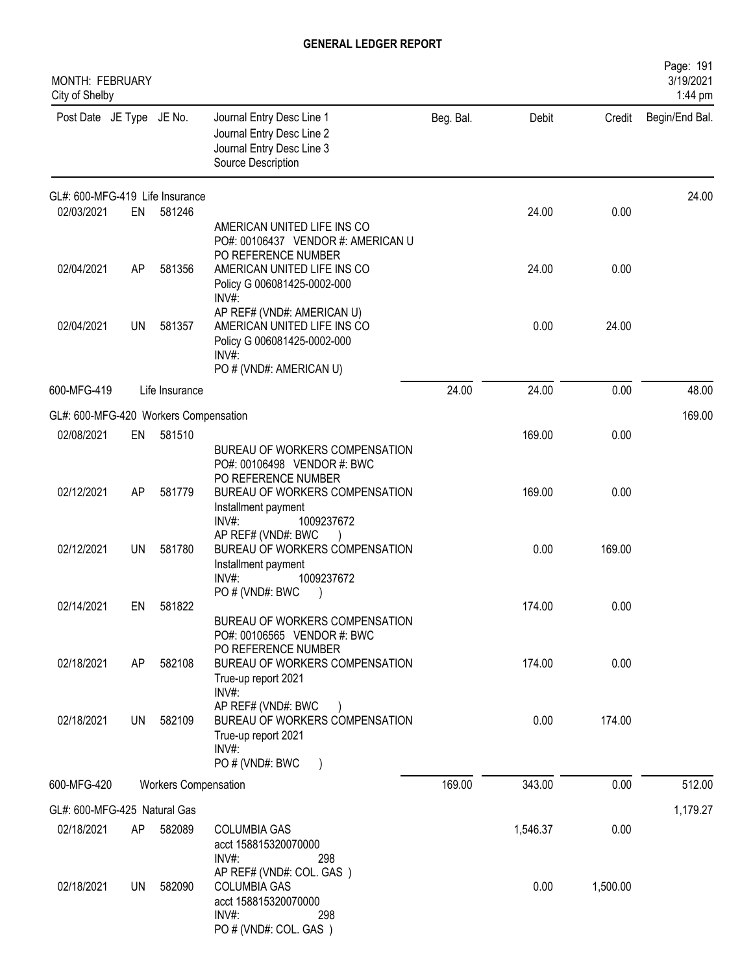| <b>MONTH: FEBRUARY</b><br>City of Shelby |           |                      |                                                                                                                             |           |          |          | Page: 191<br>3/19/2021<br>1:44 pm |
|------------------------------------------|-----------|----------------------|-----------------------------------------------------------------------------------------------------------------------------|-----------|----------|----------|-----------------------------------|
| Post Date JE Type JE No.                 |           |                      | Journal Entry Desc Line 1<br>Journal Entry Desc Line 2<br>Journal Entry Desc Line 3<br>Source Description                   | Beg. Bal. | Debit    | Credit   | Begin/End Bal.                    |
| GL#: 600-MFG-419 Life Insurance          |           |                      |                                                                                                                             |           |          |          | 24.00                             |
| 02/03/2021                               | EN        | 581246               | AMERICAN UNITED LIFE INS CO<br>PO#: 00106437 VENDOR #: AMERICAN U<br>PO REFERENCE NUMBER                                    |           | 24.00    | 0.00     |                                   |
| 02/04/2021                               | AP        | 581356               | AMERICAN UNITED LIFE INS CO<br>Policy G 006081425-0002-000<br>INV#:                                                         |           | 24.00    | 0.00     |                                   |
| 02/04/2021                               | UN        | 581357               | AP REF# (VND#: AMERICAN U)<br>AMERICAN UNITED LIFE INS CO<br>Policy G 006081425-0002-000<br>INV#<br>PO # (VND#: AMERICAN U) |           | 0.00     | 24.00    |                                   |
| 600-MFG-419                              |           | Life Insurance       |                                                                                                                             | 24.00     | 24.00    | 0.00     | 48.00                             |
| GL#: 600-MFG-420 Workers Compensation    |           |                      |                                                                                                                             |           |          |          | 169.00                            |
| 02/08/2021                               | EN        | 581510               | BUREAU OF WORKERS COMPENSATION<br>PO#: 00106498 VENDOR #: BWC                                                               |           | 169.00   | 0.00     |                                   |
| 02/12/2021                               | AP        | 581779               | PO REFERENCE NUMBER<br>BUREAU OF WORKERS COMPENSATION<br>Installment payment<br>INV#:<br>1009237672                         |           | 169.00   | 0.00     |                                   |
| 02/12/2021                               | <b>UN</b> | 581780               | AP REF# (VND#: BWC<br>BUREAU OF WORKERS COMPENSATION<br>Installment payment<br>INV#:<br>1009237672                          |           | 0.00     | 169.00   |                                   |
| 02/14/2021                               | EN        | 581822               | PO#(VND#: BWC<br>BUREAU OF WORKERS COMPENSATION<br>PO#: 00106565 VENDOR #: BWC                                              |           | 174.00   | 0.00     |                                   |
| 02/18/2021                               | AP        | 582108               | PO REFERENCE NUMBER<br>BUREAU OF WORKERS COMPENSATION<br>True-up report 2021                                                |           | 174.00   | 0.00     |                                   |
| 02/18/2021                               | UN        | 582109               | INV#:<br>AP REF# (VND#: BWC<br>BUREAU OF WORKERS COMPENSATION<br>True-up report 2021<br>$INV#$ :<br>PO # (VND#: BWC         |           | 0.00     | 174.00   |                                   |
| 600-MFG-420                              |           | Workers Compensation |                                                                                                                             | 169.00    | 343.00   | 0.00     | 512.00                            |
| GL#: 600-MFG-425 Natural Gas             |           |                      |                                                                                                                             |           |          |          | 1,179.27                          |
| 02/18/2021                               | AP        | 582089               | <b>COLUMBIA GAS</b><br>acct 158815320070000<br>$INV#$ :<br>298                                                              |           | 1,546.37 | 0.00     |                                   |
| 02/18/2021                               | UN.       | 582090               | AP REF# (VND#: COL. GAS)<br><b>COLUMBIA GAS</b><br>acct 158815320070000<br>INV#:<br>298<br>PO # (VND#: COL. GAS)            |           | 0.00     | 1,500.00 |                                   |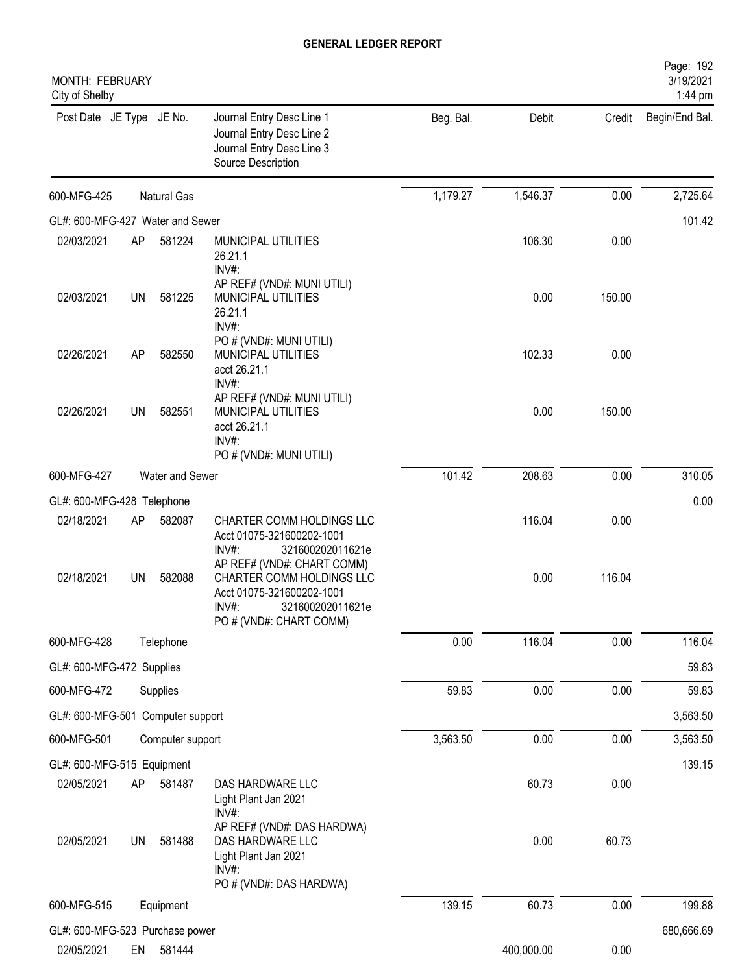| MONTH: FEBRUARY<br>City of Shelby |           |                    |                                                                                                                   |           |            |        | Page: 192<br>3/19/2021<br>1:44 pm |
|-----------------------------------|-----------|--------------------|-------------------------------------------------------------------------------------------------------------------|-----------|------------|--------|-----------------------------------|
| Post Date JE Type JE No.          |           |                    | Journal Entry Desc Line 1<br>Journal Entry Desc Line 2<br>Journal Entry Desc Line 3<br>Source Description         | Beg. Bal. | Debit      | Credit | Begin/End Bal.                    |
| 600-MFG-425                       |           | <b>Natural Gas</b> |                                                                                                                   | 1,179.27  | 1,546.37   | 0.00   | 2,725.64                          |
| GL#: 600-MFG-427 Water and Sewer  |           |                    |                                                                                                                   |           |            |        | 101.42                            |
| 02/03/2021                        | AP        | 581224             | MUNICIPAL UTILITIES<br>26.21.1<br>INV#:                                                                           |           | 106.30     | 0.00   |                                   |
| 02/03/2021                        | <b>UN</b> | 581225             | AP REF# (VND#: MUNI UTILI)<br>MUNICIPAL UTILITIES<br>26.21.1<br>INV#:                                             |           | 0.00       | 150.00 |                                   |
| 02/26/2021                        | AP        | 582550             | PO # (VND#: MUNI UTILI)<br>MUNICIPAL UTILITIES<br>acct 26.21.1<br>INV#:                                           |           | 102.33     | 0.00   |                                   |
| 02/26/2021                        | UN        | 582551             | AP REF# (VND#: MUNI UTILI)<br>MUNICIPAL UTILITIES<br>acct 26.21.1<br>INV#:<br>PO # (VND#: MUNI UTILI)             |           | 0.00       | 150.00 |                                   |
| 600-MFG-427                       |           | Water and Sewer    |                                                                                                                   | 101.42    | 208.63     | 0.00   | 310.05                            |
| GL#: 600-MFG-428 Telephone        |           |                    |                                                                                                                   |           |            |        | 0.00                              |
| 02/18/2021                        | AP        | 582087             | CHARTER COMM HOLDINGS LLC<br>Acct 01075-321600202-1001<br>INV#:<br>321600202011621e<br>AP REF# (VND#: CHART COMM) |           | 116.04     | 0.00   |                                   |
| 02/18/2021                        | <b>UN</b> | 582088             | CHARTER COMM HOLDINGS LLC<br>Acct 01075-321600202-1001<br>$INV#$ :<br>321600202011621e<br>PO # (VND#: CHART COMM) |           | 0.00       | 116.04 |                                   |
| 600-MFG-428                       |           | Telephone          |                                                                                                                   | 0.00      | 116.04     | 0.00   | 116.04                            |
| GL#: 600-MFG-472 Supplies         |           |                    |                                                                                                                   |           |            |        | 59.83                             |
| 600-MFG-472                       |           | Supplies           |                                                                                                                   | 59.83     | 0.00       | 0.00   | 59.83                             |
| GL#: 600-MFG-501 Computer support |           |                    |                                                                                                                   |           |            |        | 3,563.50                          |
| 600-MFG-501                       |           | Computer support   |                                                                                                                   | 3,563.50  | 0.00       | 0.00   | 3,563.50                          |
| GL#: 600-MFG-515 Equipment        |           |                    |                                                                                                                   |           |            |        | 139.15                            |
| 02/05/2021                        | AP        | 581487             | DAS HARDWARE LLC<br>Light Plant Jan 2021<br>$INV#$ :                                                              |           | 60.73      | 0.00   |                                   |
| 02/05/2021                        | <b>UN</b> | 581488             | AP REF# (VND#: DAS HARDWA)<br>DAS HARDWARE LLC<br>Light Plant Jan 2021<br>INV#:<br>PO # (VND#: DAS HARDWA)        |           | 0.00       | 60.73  |                                   |
| 600-MFG-515                       |           | Equipment          |                                                                                                                   | 139.15    | 60.73      | 0.00   | 199.88                            |
| GL#: 600-MFG-523 Purchase power   |           |                    |                                                                                                                   |           |            |        | 680,666.69                        |
| 02/05/2021                        | EN        | 581444             |                                                                                                                   |           | 400,000.00 | 0.00   |                                   |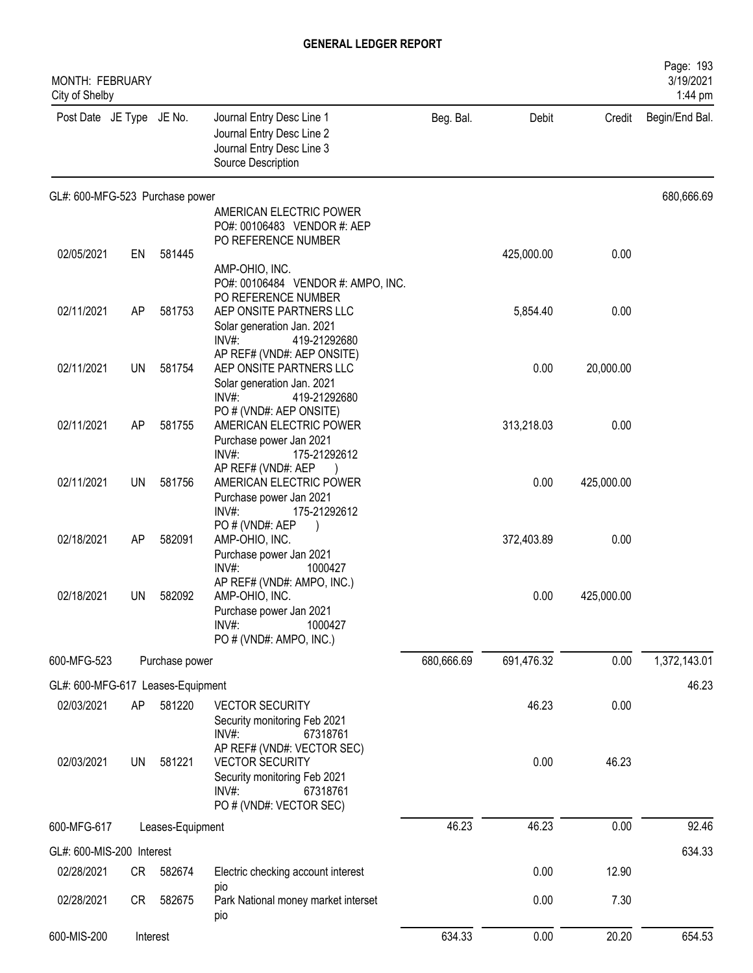| MONTH: FEBRUARY<br>City of Shelby |           |                  |                                                                                                                                                              |            |            |            | Page: 193<br>3/19/2021<br>1:44 pm |
|-----------------------------------|-----------|------------------|--------------------------------------------------------------------------------------------------------------------------------------------------------------|------------|------------|------------|-----------------------------------|
| Post Date JE Type JE No.          |           |                  | Journal Entry Desc Line 1<br>Journal Entry Desc Line 2<br>Journal Entry Desc Line 3<br>Source Description                                                    | Beg. Bal.  | Debit      | Credit     | Begin/End Bal.                    |
| GL#: 600-MFG-523 Purchase power   |           |                  |                                                                                                                                                              |            |            |            | 680,666.69                        |
|                                   |           |                  | AMERICAN ELECTRIC POWER<br>PO#: 00106483 VENDOR #: AEP<br>PO REFERENCE NUMBER                                                                                |            |            |            |                                   |
| 02/05/2021                        | EN        | 581445           |                                                                                                                                                              |            | 425,000.00 | 0.00       |                                   |
|                                   |           |                  | AMP-OHIO, INC.<br>PO#: 00106484 VENDOR #: AMPO, INC.<br>PO REFERENCE NUMBER                                                                                  |            |            |            |                                   |
| 02/11/2021                        | AP        | 581753           | AEP ONSITE PARTNERS LLC                                                                                                                                      |            | 5,854.40   | 0.00       |                                   |
|                                   |           |                  | Solar generation Jan. 2021<br>$INV#$ :<br>419-21292680<br>AP REF# (VND#: AEP ONSITE)                                                                         |            |            |            |                                   |
| 02/11/2021                        | <b>UN</b> | 581754           | AEP ONSITE PARTNERS LLC<br>Solar generation Jan. 2021                                                                                                        |            | 0.00       | 20,000.00  |                                   |
| 02/11/2021                        | AP        | 581755           | INV#:<br>419-21292680<br>PO # (VND#: AEP ONSITE)<br>AMERICAN ELECTRIC POWER<br>Purchase power Jan 2021                                                       |            | 313,218.03 | 0.00       |                                   |
| 02/11/2021                        | <b>UN</b> | 581756           | INV#:<br>175-21292612<br>AP REF# (VND#: AEP<br>AMERICAN ELECTRIC POWER                                                                                       |            | 0.00       | 425,000.00 |                                   |
| 02/18/2021                        | AP        | 582091           | Purchase power Jan 2021<br>INV#<br>175-21292612<br>PO#(VND#: AEP<br>AMP-OHIO, INC.                                                                           |            | 372,403.89 | 0.00       |                                   |
|                                   |           |                  | Purchase power Jan 2021<br>$INV#$ :<br>1000427<br>AP REF# (VND#: AMPO, INC.)                                                                                 |            |            |            |                                   |
| 02/18/2021                        | UN        | 582092           | AMP-OHIO, INC.<br>Purchase power Jan 2021<br>$INV#$ :<br>1000427<br>PO # (VND#: AMPO, INC.)                                                                  |            | 0.00       | 425,000.00 |                                   |
| 600-MFG-523                       |           | Purchase power   |                                                                                                                                                              | 680,666.69 | 691,476.32 | 0.00       | 1,372,143.01                      |
| GL#: 600-MFG-617 Leases-Equipment |           |                  |                                                                                                                                                              |            |            |            | 46.23                             |
| 02/03/2021                        | AP        | 581220           | <b>VECTOR SECURITY</b><br>Security monitoring Feb 2021                                                                                                       |            | 46.23      | 0.00       |                                   |
| 02/03/2021                        | <b>UN</b> | 581221           | INV#:<br>67318761<br>AP REF# (VND#: VECTOR SEC)<br><b>VECTOR SECURITY</b><br>Security monitoring Feb 2021<br>$INV#$ :<br>67318761<br>PO # (VND#: VECTOR SEC) |            | 0.00       | 46.23      |                                   |
| 600-MFG-617                       |           | Leases-Equipment |                                                                                                                                                              | 46.23      | 46.23      | 0.00       | 92.46                             |
| GL#: 600-MIS-200 Interest         |           |                  |                                                                                                                                                              |            |            |            | 634.33                            |
| 02/28/2021                        | <b>CR</b> | 582674           | Electric checking account interest                                                                                                                           |            | 0.00       | 12.90      |                                   |
| 02/28/2021                        | CR        | 582675           | pio<br>Park National money market interset<br>pio                                                                                                            |            | 0.00       | 7.30       |                                   |
| 600-MIS-200                       |           | Interest         |                                                                                                                                                              | 634.33     | 0.00       | 20.20      | 654.53                            |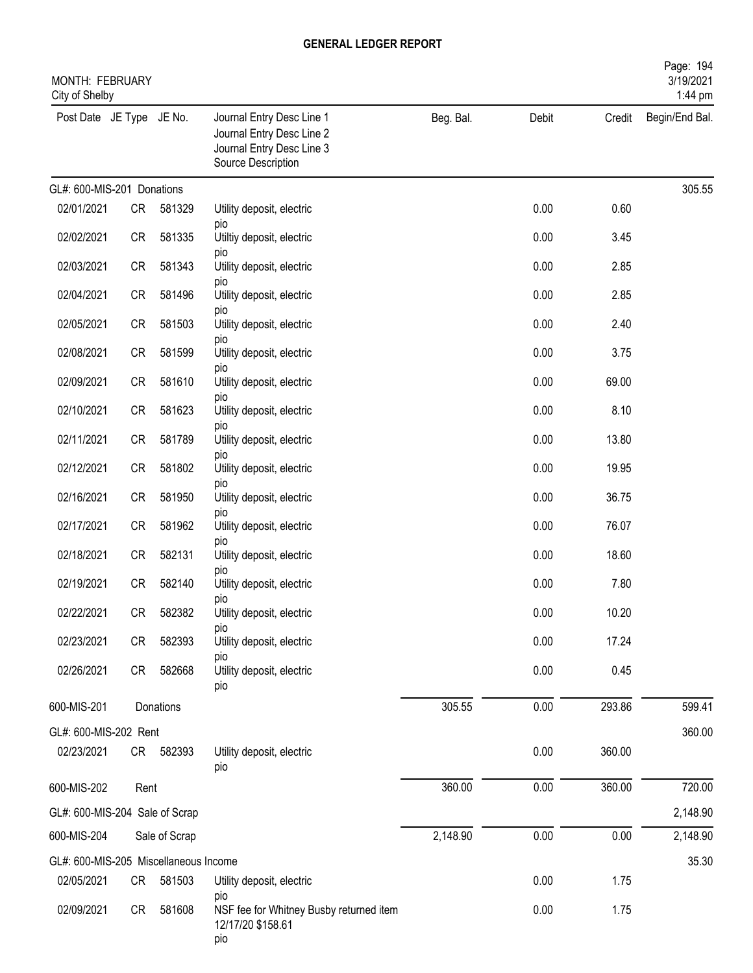| MONTH: FEBRUARY<br>City of Shelby     |           |               |                                                                                                           |           |       |        | Page: 194<br>3/19/2021<br>1:44 pm |
|---------------------------------------|-----------|---------------|-----------------------------------------------------------------------------------------------------------|-----------|-------|--------|-----------------------------------|
| Post Date JE Type JE No.              |           |               | Journal Entry Desc Line 1<br>Journal Entry Desc Line 2<br>Journal Entry Desc Line 3<br>Source Description | Beg. Bal. | Debit | Credit | Begin/End Bal.                    |
| GL#: 600-MIS-201 Donations            |           |               |                                                                                                           |           |       |        | 305.55                            |
| 02/01/2021                            | CR        | 581329        | Utility deposit, electric                                                                                 |           | 0.00  | 0.60   |                                   |
| 02/02/2021                            | <b>CR</b> | 581335        | pio<br>Utiltiy deposit, electric<br>pio                                                                   |           | 0.00  | 3.45   |                                   |
| 02/03/2021                            | <b>CR</b> | 581343        | Utility deposit, electric                                                                                 |           | 0.00  | 2.85   |                                   |
| 02/04/2021                            | <b>CR</b> | 581496        | pio<br>Utility deposit, electric<br>pio                                                                   |           | 0.00  | 2.85   |                                   |
| 02/05/2021                            | <b>CR</b> | 581503        | Utility deposit, electric                                                                                 |           | 0.00  | 2.40   |                                   |
| 02/08/2021                            | <b>CR</b> | 581599        | pio<br>Utility deposit, electric                                                                          |           | 0.00  | 3.75   |                                   |
| 02/09/2021                            | <b>CR</b> | 581610        | pio<br>Utility deposit, electric                                                                          |           | 0.00  | 69.00  |                                   |
| 02/10/2021                            | <b>CR</b> | 581623        | pio<br>Utility deposit, electric                                                                          |           | 0.00  | 8.10   |                                   |
| 02/11/2021                            | <b>CR</b> | 581789        | pio<br>Utility deposit, electric                                                                          |           | 0.00  | 13.80  |                                   |
| 02/12/2021                            | <b>CR</b> | 581802        | pio<br>Utility deposit, electric                                                                          |           | 0.00  | 19.95  |                                   |
| 02/16/2021                            | <b>CR</b> | 581950        | pio<br>Utility deposit, electric<br>pio                                                                   |           | 0.00  | 36.75  |                                   |
| 02/17/2021                            | <b>CR</b> | 581962        | Utility deposit, electric                                                                                 |           | 0.00  | 76.07  |                                   |
| 02/18/2021                            | <b>CR</b> | 582131        | pio<br>Utility deposit, electric                                                                          |           | 0.00  | 18.60  |                                   |
| 02/19/2021                            | <b>CR</b> | 582140        | pio<br>Utility deposit, electric                                                                          |           | 0.00  | 7.80   |                                   |
| 02/22/2021                            | CR        | 582382        | pio<br>Utility deposit, electric                                                                          |           | 0.00  | 10.20  |                                   |
| 02/23/2021                            | CR        | 582393        | DIO<br>Utility deposit, electric                                                                          |           | 0.00  | 17.24  |                                   |
| 02/26/2021                            | CR        | 582668        | pio<br>Utility deposit, electric<br>pio                                                                   |           | 0.00  | 0.45   |                                   |
| 600-MIS-201                           |           | Donations     |                                                                                                           | 305.55    | 0.00  | 293.86 | 599.41                            |
| GL#: 600-MIS-202 Rent                 |           |               |                                                                                                           |           |       |        | 360.00                            |
| 02/23/2021                            |           | CR 582393     | Utility deposit, electric<br>pio                                                                          |           | 0.00  | 360.00 |                                   |
| 600-MIS-202                           | Rent      |               |                                                                                                           | 360.00    | 0.00  | 360.00 | 720.00                            |
| GL#: 600-MIS-204 Sale of Scrap        |           |               |                                                                                                           |           |       |        | 2,148.90                          |
| 600-MIS-204                           |           | Sale of Scrap |                                                                                                           | 2,148.90  | 0.00  | 0.00   | 2,148.90                          |
| GL#: 600-MIS-205 Miscellaneous Income |           |               |                                                                                                           |           |       |        | 35.30                             |
| 02/05/2021                            | CR        | 581503        | Utility deposit, electric<br>pio                                                                          |           | 0.00  | 1.75   |                                   |
| 02/09/2021                            | CR        | 581608        | NSF fee for Whitney Busby returned item<br>12/17/20 \$158.61<br>pio                                       |           | 0.00  | 1.75   |                                   |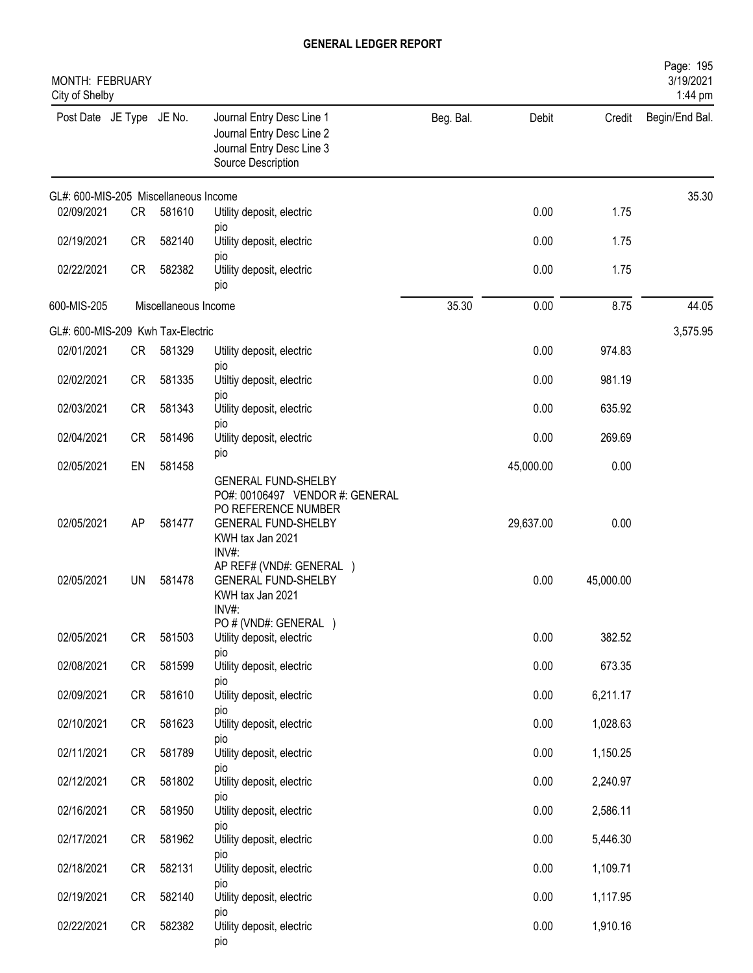| MONTH: FEBRUARY<br>City of Shelby     |           |                      |                                                                                                                                                 |           |           |           | Page: 195<br>3/19/2021<br>1:44 pm |
|---------------------------------------|-----------|----------------------|-------------------------------------------------------------------------------------------------------------------------------------------------|-----------|-----------|-----------|-----------------------------------|
| Post Date JE Type JE No.              |           |                      | Journal Entry Desc Line 1<br>Journal Entry Desc Line 2<br>Journal Entry Desc Line 3<br>Source Description                                       | Beg. Bal. | Debit     | Credit    | Begin/End Bal.                    |
| GL#: 600-MIS-205 Miscellaneous Income |           |                      |                                                                                                                                                 |           |           |           | 35.30                             |
| 02/09/2021                            | CR        | 581610               | Utility deposit, electric<br>pio                                                                                                                |           | 0.00      | 1.75      |                                   |
| 02/19/2021                            | <b>CR</b> | 582140               | Utility deposit, electric                                                                                                                       |           | 0.00      | 1.75      |                                   |
| 02/22/2021                            | <b>CR</b> | 582382               | pio<br>Utility deposit, electric<br>pio                                                                                                         |           | 0.00      | 1.75      |                                   |
| 600-MIS-205                           |           | Miscellaneous Income |                                                                                                                                                 | 35.30     | 0.00      | 8.75      | 44.05                             |
| GL#: 600-MIS-209 Kwh Tax-Electric     |           |                      |                                                                                                                                                 |           |           |           | 3,575.95                          |
| 02/01/2021                            | <b>CR</b> | 581329               | Utility deposit, electric<br>pio                                                                                                                |           | 0.00      | 974.83    |                                   |
| 02/02/2021                            | <b>CR</b> | 581335               | Utiltiy deposit, electric                                                                                                                       |           | 0.00      | 981.19    |                                   |
| 02/03/2021                            | <b>CR</b> | 581343               | pio<br>Utility deposit, electric<br>pio                                                                                                         |           | 0.00      | 635.92    |                                   |
| 02/04/2021                            | <b>CR</b> | 581496               | Utility deposit, electric                                                                                                                       |           | 0.00      | 269.69    |                                   |
| 02/05/2021                            | EN        | 581458               | pio                                                                                                                                             |           | 45,000.00 | 0.00      |                                   |
| 02/05/2021                            | AP        | 581477               | <b>GENERAL FUND-SHELBY</b><br>PO#: 00106497 VENDOR #: GENERAL<br>PO REFERENCE NUMBER<br><b>GENERAL FUND-SHELBY</b><br>KWH tax Jan 2021<br>INV#: |           | 29,637.00 | 0.00      |                                   |
| 02/05/2021                            | <b>UN</b> | 581478               | AP REF# (VND#: GENERAL )<br><b>GENERAL FUND-SHELBY</b><br>KWH tax Jan 2021<br>INV#:                                                             |           | 0.00      | 45,000.00 |                                   |
| 02/05/2021                            | <b>CR</b> | 581503               | PO # (VND#: GENERAL )<br>Utility deposit, electric                                                                                              |           | 0.00      | 382.52    |                                   |
| 02/08/2021                            | CR        | 581599               | pio<br>Utility deposit, electric<br>DIO                                                                                                         |           | 0.00      | 673.35    |                                   |
| 02/09/2021                            | CR        | 581610               | Utility deposit, electric                                                                                                                       |           | 0.00      | 6,211.17  |                                   |
| 02/10/2021                            | CR        | 581623               | <b>DIO</b><br>Utility deposit, electric                                                                                                         |           | 0.00      | 1,028.63  |                                   |
| 02/11/2021                            | CR        | 581789               | pio<br>Utility deposit, electric                                                                                                                |           | 0.00      | 1,150.25  |                                   |
| 02/12/2021                            | CR        | 581802               | pio<br>Utility deposit, electric                                                                                                                |           | 0.00      | 2,240.97  |                                   |
| 02/16/2021                            | <b>CR</b> | 581950               | pio<br>Utility deposit, electric                                                                                                                |           | 0.00      | 2,586.11  |                                   |
| 02/17/2021                            | CR        | 581962               | pio<br>Utility deposit, electric                                                                                                                |           | 0.00      | 5,446.30  |                                   |
| 02/18/2021                            | CR        | 582131               | pio<br>Utility deposit, electric                                                                                                                |           | 0.00      | 1,109.71  |                                   |
| 02/19/2021                            | CR        | 582140               | pio<br>Utility deposit, electric                                                                                                                |           | 0.00      | 1,117.95  |                                   |
| 02/22/2021                            | CR        | 582382               | pio<br>Utility deposit, electric<br>pio                                                                                                         |           | 0.00      | 1,910.16  |                                   |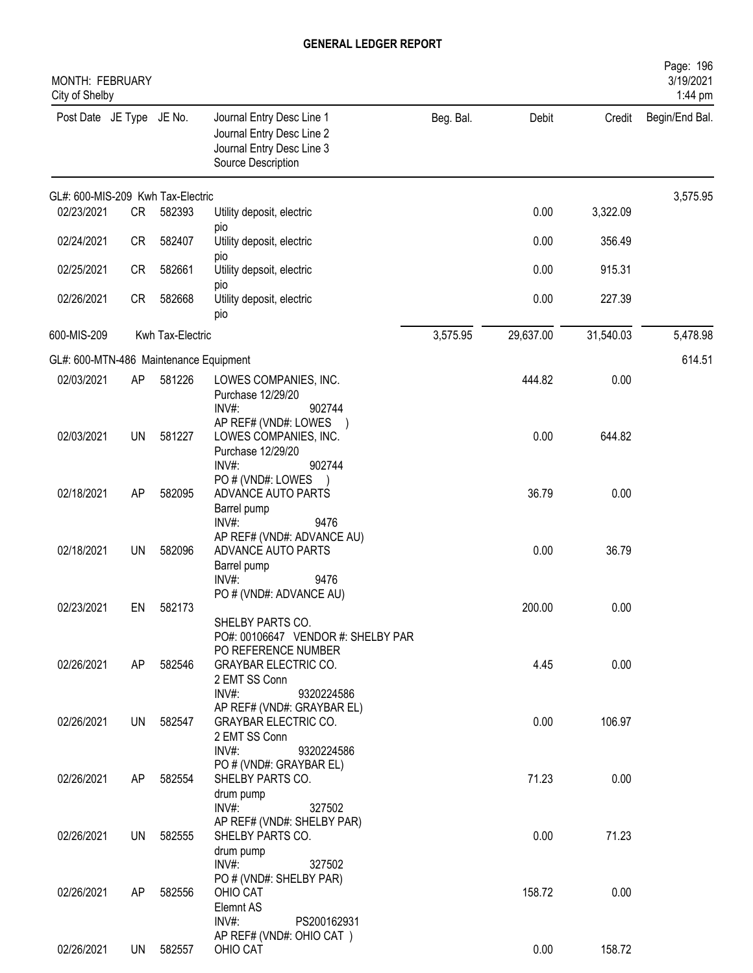| MONTH: FEBRUARY<br>City of Shelby      |           |                  |                                                                                                                                     |           |           |           | Page: 196<br>3/19/2021<br>1:44 pm |
|----------------------------------------|-----------|------------------|-------------------------------------------------------------------------------------------------------------------------------------|-----------|-----------|-----------|-----------------------------------|
| Post Date JE Type JE No.               |           |                  | Journal Entry Desc Line 1<br>Journal Entry Desc Line 2<br>Journal Entry Desc Line 3<br>Source Description                           | Beg. Bal. | Debit     | Credit    | Begin/End Bal.                    |
| GL#: 600-MIS-209 Kwh Tax-Electric      |           |                  |                                                                                                                                     |           |           |           | 3,575.95                          |
| 02/23/2021                             | <b>CR</b> | 582393           | Utility deposit, electric                                                                                                           |           | 0.00      | 3,322.09  |                                   |
| 02/24/2021                             | <b>CR</b> | 582407           | pio<br>Utility deposit, electric<br>pio                                                                                             |           | 0.00      | 356.49    |                                   |
| 02/25/2021                             | <b>CR</b> | 582661           | Utility depsoit, electric                                                                                                           |           | 0.00      | 915.31    |                                   |
| 02/26/2021                             | CR        | 582668           | pio<br>Utility deposit, electric<br>pio                                                                                             |           | 0.00      | 227.39    |                                   |
| 600-MIS-209                            |           | Kwh Tax-Electric |                                                                                                                                     | 3,575.95  | 29,637.00 | 31,540.03 | 5,478.98                          |
| GL#: 600-MTN-486 Maintenance Equipment |           |                  |                                                                                                                                     |           |           |           | 614.51                            |
| 02/03/2021                             | AP        | 581226           | LOWES COMPANIES, INC.<br>Purchase 12/29/20                                                                                          |           | 444.82    | 0.00      |                                   |
| 02/03/2021                             | <b>UN</b> | 581227           | INV#:<br>902744<br>AP REF# (VND#: LOWES<br>LOWES COMPANIES, INC.<br>Purchase 12/29/20<br>$INV#$ :<br>902744                         |           | 0.00      | 644.82    |                                   |
| 02/18/2021                             | AP        | 582095           | PO # (VND#: LOWES<br>ADVANCE AUTO PARTS<br>Barrel pump                                                                              |           | 36.79     | 0.00      |                                   |
| 02/18/2021                             | <b>UN</b> | 582096           | $INV#$ :<br>9476<br>AP REF# (VND#: ADVANCE AU)<br>ADVANCE AUTO PARTS<br>Barrel pump<br>INV#:<br>9476                                |           | 0.00      | 36.79     |                                   |
| 02/23/2021                             | EN        | 582173           | PO # (VND#: ADVANCE AU)<br>SHELBY PARTS CO.                                                                                         |           | 200.00    | 0.00      |                                   |
| 02/26/2021                             | AP        | 582546           | PO#: 00106647 VENDOR #: SHELBY PAR<br>PO REFERENCE NUMBER<br><b>GRAYBAR ELECTRIC CO.</b><br>2 EMT SS Conn<br>$INV#$ :<br>9320224586 |           | 4.45      | 0.00      |                                   |
| 02/26/2021                             |           | UN 582547        | AP REF# (VND#: GRAYBAR EL)<br><b>GRAYBAR ELECTRIC CO.</b><br>2 EMT SS Conn<br>$INV#$ :<br>9320224586                                |           | 0.00      | 106.97    |                                   |
| 02/26/2021                             | AP        | 582554           | PO # (VND#: GRAYBAR EL)<br>SHELBY PARTS CO.<br>drum pump<br>$INV#$ :<br>327502                                                      |           | 71.23     | 0.00      |                                   |
| 02/26/2021                             | UN        | 582555           | AP REF# (VND#: SHELBY PAR)<br>SHELBY PARTS CO.<br>drum pump                                                                         |           | 0.00      | 71.23     |                                   |
| 02/26/2021                             | AP        | 582556           | $INV#$ :<br>327502<br>PO # (VND#: SHELBY PAR)<br>OHIO CAT<br>Elemnt AS<br>INV#:<br>PS200162931                                      |           | 158.72    | 0.00      |                                   |
| 02/26/2021                             | UN        | 582557           | AP REF# (VND#: OHIO CAT)<br>OHIO CAT                                                                                                |           | 0.00      | 158.72    |                                   |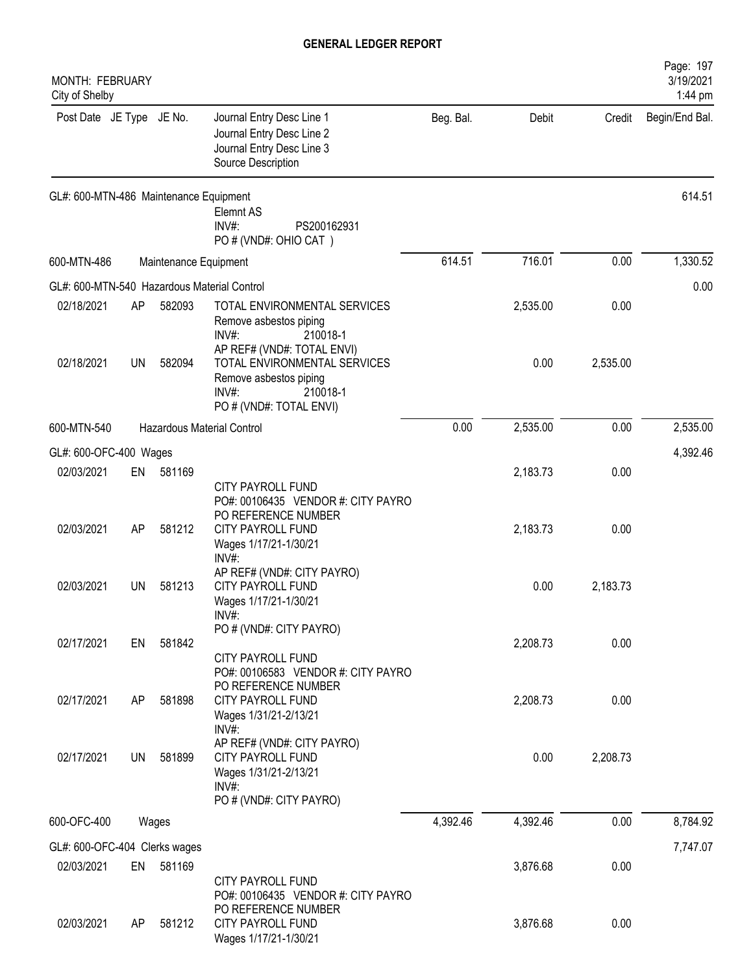| MONTH: FEBRUARY<br>City of Shelby           |    |                       |                                                                                                                                            |           |          |          | Page: 197<br>3/19/2021<br>1:44 pm |
|---------------------------------------------|----|-----------------------|--------------------------------------------------------------------------------------------------------------------------------------------|-----------|----------|----------|-----------------------------------|
| Post Date JE Type JE No.                    |    |                       | Journal Entry Desc Line 1<br>Journal Entry Desc Line 2<br>Journal Entry Desc Line 3<br>Source Description                                  | Beg. Bal. | Debit    | Credit   | Begin/End Bal.                    |
| GL#: 600-MTN-486 Maintenance Equipment      |    |                       | Elemnt AS<br>INV#:<br>PS200162931<br>PO # (VND#: OHIO CAT)                                                                                 |           |          |          | 614.51                            |
| 600-MTN-486                                 |    | Maintenance Equipment |                                                                                                                                            | 614.51    | 716.01   | 0.00     | 1,330.52                          |
| GL#: 600-MTN-540 Hazardous Material Control |    |                       |                                                                                                                                            |           |          |          | 0.00                              |
| 02/18/2021                                  | AP | 582093                | TOTAL ENVIRONMENTAL SERVICES<br>Remove asbestos piping<br>$INV#$ :<br>210018-1                                                             |           | 2,535.00 | 0.00     |                                   |
| 02/18/2021                                  | UN | 582094                | AP REF# (VND#: TOTAL ENVI)<br>TOTAL ENVIRONMENTAL SERVICES<br>Remove asbestos piping<br>INV#:<br>210018-1<br>PO # (VND#: TOTAL ENVI)       |           | 0.00     | 2,535.00 |                                   |
| 600-MTN-540                                 |    |                       | Hazardous Material Control                                                                                                                 | 0.00      | 2,535.00 | 0.00     | 2,535.00                          |
| GL#: 600-OFC-400 Wages                      |    |                       |                                                                                                                                            |           |          |          | 4,392.46                          |
| 02/03/2021                                  | EN | 581169                | <b>CITY PAYROLL FUND</b><br>PO#: 00106435 VENDOR #: CITY PAYRO                                                                             |           | 2,183.73 | 0.00     |                                   |
| 02/03/2021                                  | AP | 581212                | PO REFERENCE NUMBER<br>CITY PAYROLL FUND<br>Wages 1/17/21-1/30/21<br>INV#:                                                                 |           | 2,183.73 | 0.00     |                                   |
| 02/03/2021                                  | UN | 581213                | AP REF# (VND#: CITY PAYRO)<br><b>CITY PAYROLL FUND</b><br>Wages 1/17/21-1/30/21<br>INV#:                                                   |           | 0.00     | 2,183.73 |                                   |
| 02/17/2021                                  | EN | 581842                | PO # (VND#: CITY PAYRO)<br><b>CITY PAYROLL FUND</b>                                                                                        |           | 2,208.73 | 0.00     |                                   |
| 02/17/2021                                  | AP | 581898                | PO#: 00106583 VENDOR #: CITY PAYRO<br>PO REFERENCE NUMBER<br>CITY PAYROLL FUND<br>Wages 1/31/21-2/13/21                                    |           | 2,208.73 | 0.00     |                                   |
| 02/17/2021                                  | UN | 581899                | INV#:<br>AP REF# (VND#: CITY PAYRO)<br>CITY PAYROLL FUND<br>Wages 1/31/21-2/13/21<br>$INV#$ :<br>PO # (VND#: CITY PAYRO)                   |           | 0.00     | 2,208.73 |                                   |
| 600-OFC-400                                 |    | Wages                 |                                                                                                                                            | 4,392.46  | 4,392.46 | 0.00     | 8,784.92                          |
| GL#: 600-OFC-404 Clerks wages               |    |                       |                                                                                                                                            |           |          |          | 7,747.07                          |
| 02/03/2021                                  | EN | 581169                |                                                                                                                                            |           | 3,876.68 | 0.00     |                                   |
| 02/03/2021                                  | AP | 581212                | <b>CITY PAYROLL FUND</b><br>PO#: 00106435 VENDOR #: CITY PAYRO<br>PO REFERENCE NUMBER<br><b>CITY PAYROLL FUND</b><br>Wages 1/17/21-1/30/21 |           | 3,876.68 | 0.00     |                                   |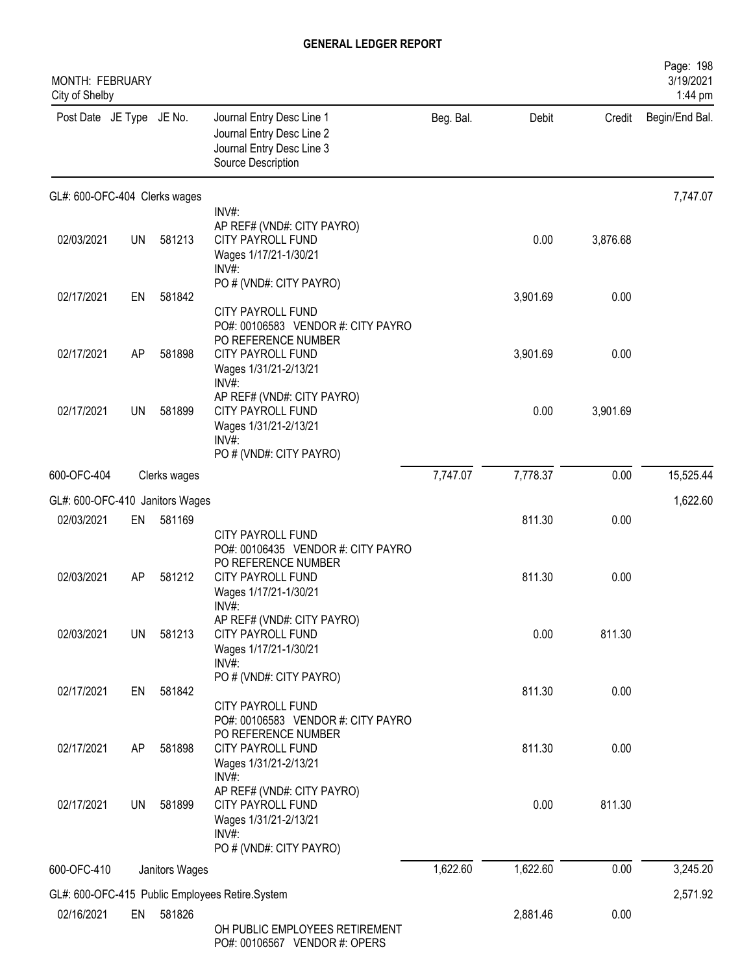| MONTH: FEBRUARY<br>City of Shelby |           |                |                                                                                                                            |           |          |          | Page: 198<br>3/19/2021<br>1:44 pm |
|-----------------------------------|-----------|----------------|----------------------------------------------------------------------------------------------------------------------------|-----------|----------|----------|-----------------------------------|
| Post Date JE Type JE No.          |           |                | Journal Entry Desc Line 1<br>Journal Entry Desc Line 2<br>Journal Entry Desc Line 3<br>Source Description                  | Beg. Bal. | Debit    | Credit   | Begin/End Bal.                    |
| GL#: 600-OFC-404 Clerks wages     |           |                |                                                                                                                            |           |          |          | 7,747.07                          |
| 02/03/2021                        | <b>UN</b> | 581213         | INV#:<br>AP REF# (VND#: CITY PAYRO)<br>CITY PAYROLL FUND<br>Wages 1/17/21-1/30/21<br>INV#:                                 |           | 0.00     | 3,876.68 |                                   |
| 02/17/2021                        | EN        | 581842         | PO # (VND#: CITY PAYRO)<br>CITY PAYROLL FUND                                                                               |           | 3,901.69 | 0.00     |                                   |
| 02/17/2021                        | AP        | 581898         | PO#: 00106583 VENDOR #: CITY PAYRO<br>PO REFERENCE NUMBER<br><b>CITY PAYROLL FUND</b><br>Wages 1/31/21-2/13/21<br>INV#:    |           | 3,901.69 | 0.00     |                                   |
| 02/17/2021                        | UN        | 581899         | AP REF# (VND#: CITY PAYRO)<br>CITY PAYROLL FUND<br>Wages 1/31/21-2/13/21<br>INV#:<br>PO # (VND#: CITY PAYRO)               |           | 0.00     | 3,901.69 |                                   |
| 600-OFC-404                       |           | Clerks wages   |                                                                                                                            | 7,747.07  | 7,778.37 | 0.00     | 15,525.44                         |
| GL#: 600-OFC-410 Janitors Wages   |           |                |                                                                                                                            |           |          |          | 1,622.60                          |
| 02/03/2021                        | EN        | 581169         | CITY PAYROLL FUND                                                                                                          |           | 811.30   | 0.00     |                                   |
| 02/03/2021                        | AP        | 581212         | PO#: 00106435 VENDOR #: CITY PAYRO<br>PO REFERENCE NUMBER<br><b>CITY PAYROLL FUND</b><br>Wages 1/17/21-1/30/21<br>$INV#$ : |           | 811.30   | 0.00     |                                   |
| 02/03/2021                        | <b>UN</b> | 581213         | AP REF# (VND#: CITY PAYRO)<br><b>CITY PAYROLL FUND</b><br>Wages 1/17/21-1/30/21<br>INV#:                                   |           | 0.00     | 811.30   |                                   |
| 02/17/2021                        | EN        | 581842         | PO # (VND#: CITY PAYRO)<br>CITY PAYROLL FUND                                                                               |           | 811.30   | 0.00     |                                   |
| 02/17/2021                        | AP        | 581898         | PO#: 00106583 VENDOR #: CITY PAYRO<br>PO REFERENCE NUMBER<br>CITY PAYROLL FUND<br>Wages 1/31/21-2/13/21<br>INV#:           |           | 811.30   | 0.00     |                                   |
| 02/17/2021                        | UN        | 581899         | AP REF# (VND#: CITY PAYRO)<br><b>CITY PAYROLL FUND</b><br>Wages 1/31/21-2/13/21<br>INV#:<br>PO # (VND#: CITY PAYRO)        |           | 0.00     | 811.30   |                                   |
| 600-OFC-410                       |           | Janitors Wages |                                                                                                                            | 1,622.60  | 1,622.60 | 0.00     | 3,245.20                          |
|                                   |           |                | GL#: 600-OFC-415 Public Employees Retire.System                                                                            |           |          |          | 2,571.92                          |
| 02/16/2021                        | EN        | 581826         | OH PUBLIC EMPLOYEES RETIREMENT<br>PO#: 00106567 VENDOR #: OPERS                                                            |           | 2,881.46 | 0.00     |                                   |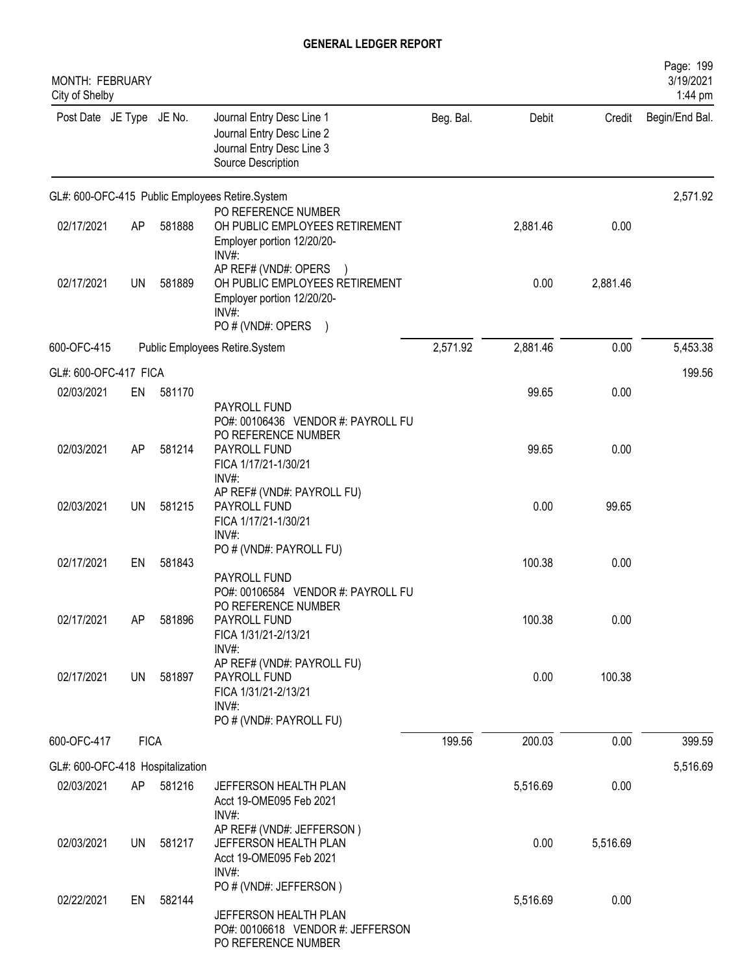| MONTH: FEBRUARY<br>City of Shelby |             |        |                                                                                                                    |           |          |          | Page: 199<br>3/19/2021<br>1:44 pm |
|-----------------------------------|-------------|--------|--------------------------------------------------------------------------------------------------------------------|-----------|----------|----------|-----------------------------------|
| Post Date JE Type JE No.          |             |        | Journal Entry Desc Line 1<br>Journal Entry Desc Line 2<br>Journal Entry Desc Line 3<br>Source Description          | Beg. Bal. | Debit    | Credit   | Begin/End Bal.                    |
|                                   |             |        | GL#: 600-OFC-415 Public Employees Retire.System                                                                    |           |          |          | 2,571.92                          |
| 02/17/2021                        | AP          | 581888 | PO REFERENCE NUMBER<br>OH PUBLIC EMPLOYEES RETIREMENT<br>Employer portion 12/20/20-<br>INV#:                       |           | 2,881.46 | 0.00     |                                   |
| 02/17/2021                        | UN          | 581889 | AP REF# (VND#: OPERS<br>OH PUBLIC EMPLOYEES RETIREMENT<br>Employer portion 12/20/20-<br>INV#:<br>PO # (VND#: OPERS |           | 0.00     | 2,881.46 |                                   |
| 600-OFC-415                       |             |        | Public Employees Retire.System                                                                                     | 2,571.92  | 2,881.46 | 0.00     | 5,453.38                          |
| GL#: 600-OFC-417 FICA             |             |        |                                                                                                                    |           |          |          | 199.56                            |
| 02/03/2021                        | EN          | 581170 | PAYROLL FUND<br>PO#: 00106436 VENDOR #: PAYROLL FU                                                                 |           | 99.65    | 0.00     |                                   |
| 02/03/2021                        | AP          | 581214 | PO REFERENCE NUMBER<br>PAYROLL FUND<br>FICA 1/17/21-1/30/21<br>$INV#$ :                                            |           | 99.65    | 0.00     |                                   |
| 02/03/2021                        | UN          | 581215 | AP REF# (VND#: PAYROLL FU)<br>PAYROLL FUND<br>FICA 1/17/21-1/30/21<br>INV#:                                        |           | 0.00     | 99.65    |                                   |
| 02/17/2021                        | EN          | 581843 | PO # (VND#: PAYROLL FU)<br>PAYROLL FUND                                                                            |           | 100.38   | 0.00     |                                   |
| 02/17/2021                        | AP          | 581896 | PO#: 00106584 VENDOR #: PAYROLL FU<br>PO REFERENCE NUMBER<br>PAYROLL FUND<br>FICA 1/31/21-2/13/21<br>$INV#$ :      |           | 100.38   | 0.00     |                                   |
| 02/17/2021                        | UN          | 581897 | AP REF# (VND#: PAYROLL FU)<br>PAYROLL FUND<br>FICA 1/31/21-2/13/21<br>$INV#$ :<br>PO # (VND#: PAYROLL FU)          |           | 0.00     | 100.38   |                                   |
| 600-OFC-417                       | <b>FICA</b> |        |                                                                                                                    | 199.56    | 200.03   | 0.00     | 399.59                            |
| GL#: 600-OFC-418 Hospitalization  |             |        |                                                                                                                    |           |          |          | 5,516.69                          |
| 02/03/2021                        | AP          | 581216 | JEFFERSON HEALTH PLAN<br>Acct 19-OME095 Feb 2021<br>$INV#$ :                                                       |           | 5,516.69 | 0.00     |                                   |
| 02/03/2021                        | UN.         | 581217 | AP REF# (VND#: JEFFERSON)<br>JEFFERSON HEALTH PLAN<br>Acct 19-OME095 Feb 2021<br>$INV#$ :                          |           | 0.00     | 5,516.69 |                                   |
| 02/22/2021                        | EN          | 582144 | PO # (VND#: JEFFERSON)<br>JEFFERSON HEALTH PLAN<br>PO#: 00106618 VENDOR #: JEFFERSON<br>PO REFERENCE NUMBER        |           | 5,516.69 | 0.00     |                                   |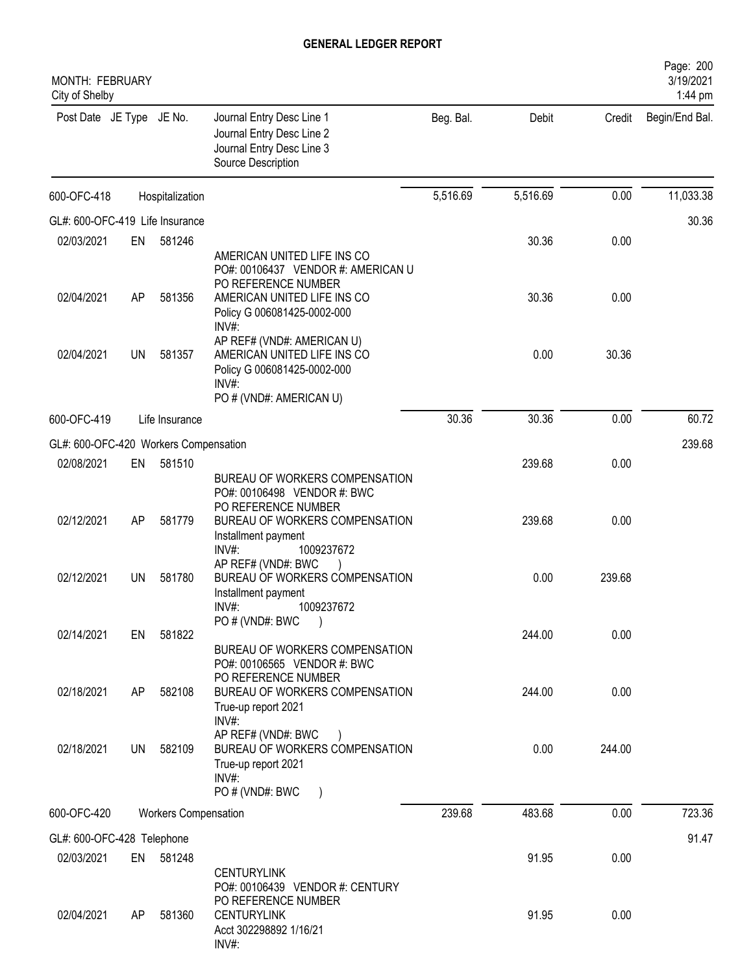| MONTH: FEBRUARY<br>City of Shelby     |     |                             |                                                                                                                                                                      |           |          |        | Page: 200<br>3/19/2021<br>1:44 pm |
|---------------------------------------|-----|-----------------------------|----------------------------------------------------------------------------------------------------------------------------------------------------------------------|-----------|----------|--------|-----------------------------------|
| Post Date JE Type JE No.              |     |                             | Journal Entry Desc Line 1<br>Journal Entry Desc Line 2<br>Journal Entry Desc Line 3<br>Source Description                                                            | Beg. Bal. | Debit    | Credit | Begin/End Bal.                    |
| 600-OFC-418                           |     | Hospitalization             |                                                                                                                                                                      | 5,516.69  | 5,516.69 | 0.00   | 11,033.38                         |
| GL#: 600-OFC-419 Life Insurance       |     |                             |                                                                                                                                                                      |           |          |        | 30.36                             |
| 02/03/2021                            | EN  | 581246                      |                                                                                                                                                                      |           | 30.36    | 0.00   |                                   |
| 02/04/2021                            | AP  | 581356                      | AMERICAN UNITED LIFE INS CO<br>PO#: 00106437 VENDOR #: AMERICAN U<br>PO REFERENCE NUMBER<br>AMERICAN UNITED LIFE INS CO<br>Policy G 006081425-0002-000               |           | 30.36    | 0.00   |                                   |
| 02/04/2021                            | UN  | 581357                      | INV#:<br>AP REF# (VND#: AMERICAN U)<br>AMERICAN UNITED LIFE INS CO<br>Policy G 006081425-0002-000<br>INV#:<br>PO # (VND#: AMERICAN U)                                |           | 0.00     | 30.36  |                                   |
| 600-OFC-419                           |     | Life Insurance              |                                                                                                                                                                      | 30.36     | 30.36    | 0.00   | 60.72                             |
| GL#: 600-OFC-420 Workers Compensation |     |                             |                                                                                                                                                                      |           |          |        | 239.68                            |
| 02/08/2021                            | EN  | 581510                      |                                                                                                                                                                      |           | 239.68   | 0.00   |                                   |
| 02/12/2021                            | AP  | 581779                      | BUREAU OF WORKERS COMPENSATION<br>PO#: 00106498 VENDOR #: BWC<br>PO REFERENCE NUMBER<br>BUREAU OF WORKERS COMPENSATION<br>Installment payment<br>INV#:<br>1009237672 |           | 239.68   | 0.00   |                                   |
| 02/12/2021                            | UN  | 581780                      | AP REF# (VND#: BWC<br>BUREAU OF WORKERS COMPENSATION<br>Installment payment<br>$INV#$ :<br>1009237672<br>PO # (VND#: BWC                                             |           | 0.00     | 239.68 |                                   |
| 02/14/2021                            | EN  | 581822                      |                                                                                                                                                                      |           | 244.00   | 0.00   |                                   |
| 02/18/2021                            | AP  | 582108                      | BUREAU OF WORKERS COMPENSATION<br>PO#: 00106565 VENDOR #: BWC<br>PO REFERENCE NUMBER<br>BUREAU OF WORKERS COMPENSATION                                               |           | 244.00   | 0.00   |                                   |
| 02/18/2021                            | UN  | 582109                      | True-up report 2021<br>INV#:<br>AP REF# (VND#: BWC<br>BUREAU OF WORKERS COMPENSATION<br>True-up report 2021<br>$INV#$ :                                              |           | 0.00     | 244.00 |                                   |
|                                       |     |                             | PO # (VND#: BWC                                                                                                                                                      |           |          |        |                                   |
| 600-OFC-420                           |     | <b>Workers Compensation</b> |                                                                                                                                                                      | 239.68    | 483.68   | 0.00   | 723.36                            |
| GL#: 600-OFC-428 Telephone            |     |                             |                                                                                                                                                                      |           |          |        | 91.47                             |
| 02/03/2021                            |     | EN 581248                   | <b>CENTURYLINK</b>                                                                                                                                                   |           | 91.95    | 0.00   |                                   |
| 02/04/2021                            | AP. | 581360                      | PO#: 00106439 VENDOR #: CENTURY<br>PO REFERENCE NUMBER<br><b>CENTURYLINK</b><br>Acct 302298892 1/16/21<br>INV#:                                                      |           | 91.95    | 0.00   |                                   |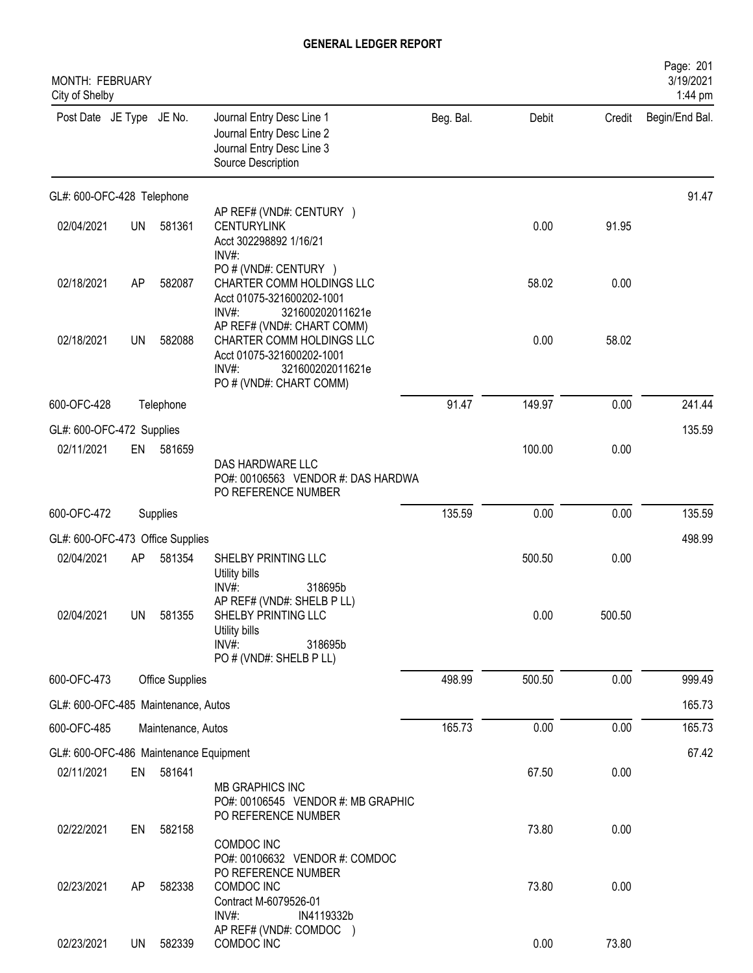| <b>MONTH: FEBRUARY</b><br>City of Shelby |           |                        |                                                                                                                                                 |           |        |        | Page: 201<br>3/19/2021<br>1:44 pm |
|------------------------------------------|-----------|------------------------|-------------------------------------------------------------------------------------------------------------------------------------------------|-----------|--------|--------|-----------------------------------|
| Post Date JE Type JE No.                 |           |                        | Journal Entry Desc Line 1<br>Journal Entry Desc Line 2<br>Journal Entry Desc Line 3<br>Source Description                                       | Beg. Bal. | Debit  | Credit | Begin/End Bal.                    |
| GL#: 600-OFC-428 Telephone               |           |                        |                                                                                                                                                 |           |        |        | 91.47                             |
| 02/04/2021                               | <b>UN</b> | 581361                 | AP REF# (VND#: CENTURY )<br><b>CENTURYLINK</b><br>Acct 302298892 1/16/21<br>$INV#$ :                                                            |           | 0.00   | 91.95  |                                   |
| 02/18/2021                               | AP        | 582087                 | PO # (VND#: CENTURY )<br>CHARTER COMM HOLDINGS LLC<br>Acct 01075-321600202-1001<br>$INV#$ :<br>321600202011621e                                 |           | 58.02  | 0.00   |                                   |
| 02/18/2021                               | <b>UN</b> | 582088                 | AP REF# (VND#: CHART COMM)<br>CHARTER COMM HOLDINGS LLC<br>Acct 01075-321600202-1001<br>$INV#$ :<br>321600202011621e<br>PO # (VND#: CHART COMM) |           | 0.00   | 58.02  |                                   |
| 600-OFC-428                              |           | Telephone              |                                                                                                                                                 | 91.47     | 149.97 | 0.00   | 241.44                            |
| GL#: 600-OFC-472 Supplies                |           |                        |                                                                                                                                                 |           |        |        | 135.59                            |
| 02/11/2021                               | EN        | 581659                 | DAS HARDWARE LLC<br>PO#: 00106563 VENDOR #: DAS HARDWA<br>PO REFERENCE NUMBER                                                                   |           | 100.00 | 0.00   |                                   |
| 600-OFC-472                              |           | Supplies               |                                                                                                                                                 | 135.59    | 0.00   | 0.00   | 135.59                            |
| GL#: 600-OFC-473 Office Supplies         |           |                        |                                                                                                                                                 |           |        |        | 498.99                            |
| 02/04/2021                               | AP        | 581354                 | SHELBY PRINTING LLC<br>Utility bills<br>INV#:<br>318695b                                                                                        |           | 500.50 | 0.00   |                                   |
| 02/04/2021                               | <b>UN</b> | 581355                 | AP REF# (VND#: SHELB P LL)<br>SHELBY PRINTING LLC<br>Utility bills<br>$INV#$ :<br>318695b<br>PO # (VND#: SHELB P LL)                            |           | 0.00   | 500.50 |                                   |
| 600-OFC-473                              |           | <b>Office Supplies</b> |                                                                                                                                                 | 498.99    | 500.50 | 0.00   | 999.49                            |
| GL#: 600-OFC-485 Maintenance, Autos      |           |                        |                                                                                                                                                 |           |        |        | 165.73                            |
| 600-OFC-485                              |           | Maintenance, Autos     |                                                                                                                                                 | 165.73    | 0.00   | 0.00   | 165.73                            |
| GL#: 600-OFC-486 Maintenance Equipment   |           |                        |                                                                                                                                                 |           |        |        | 67.42                             |
| 02/11/2021                               | EN        | 581641                 | MB GRAPHICS INC<br>PO#: 00106545 VENDOR #: MB GRAPHIC<br>PO REFERENCE NUMBER                                                                    |           | 67.50  | 0.00   |                                   |
| 02/22/2021                               | EN        | 582158                 | COMDOC INC<br>PO#: 00106632 VENDOR #: COMDOC                                                                                                    |           | 73.80  | 0.00   |                                   |
| 02/23/2021                               | AP        | 582338                 | PO REFERENCE NUMBER<br>COMDOC INC<br>Contract M-6079526-01<br>INV#<br>IN4119332b                                                                |           | 73.80  | 0.00   |                                   |
| 02/23/2021                               | <b>UN</b> | 582339                 | AP REF# (VND#: COMDOC )<br>COMDOC INC                                                                                                           |           | 0.00   | 73.80  |                                   |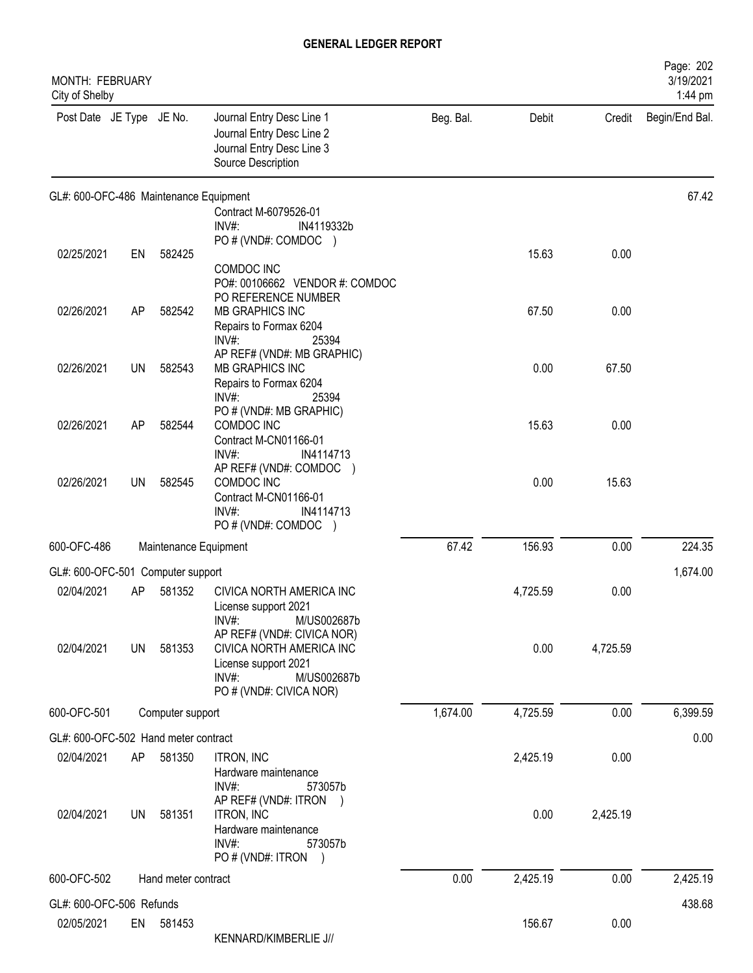| <b>MONTH: FEBRUARY</b><br>City of Shelby |           |                       |                                                                                                           |           |          |          | Page: 202<br>3/19/2021<br>1:44 pm |
|------------------------------------------|-----------|-----------------------|-----------------------------------------------------------------------------------------------------------|-----------|----------|----------|-----------------------------------|
| Post Date JE Type JE No.                 |           |                       | Journal Entry Desc Line 1<br>Journal Entry Desc Line 2<br>Journal Entry Desc Line 3<br>Source Description | Beg. Bal. | Debit    | Credit   | Begin/End Bal.                    |
| GL#: 600-OFC-486 Maintenance Equipment   |           |                       |                                                                                                           |           |          |          | 67.42                             |
|                                          |           |                       | Contract M-6079526-01<br>INV#:<br>IN4119332b                                                              |           |          |          |                                   |
|                                          |           |                       | PO # (VND#: COMDOC )                                                                                      |           |          |          |                                   |
| 02/25/2021                               | EN        | 582425                | COMDOC INC                                                                                                |           | 15.63    | 0.00     |                                   |
|                                          |           |                       | PO#: 00106662 VENDOR #: COMDOC                                                                            |           |          |          |                                   |
| 02/26/2021                               | AP        | 582542                | PO REFERENCE NUMBER<br>MB GRAPHICS INC                                                                    |           | 67.50    | 0.00     |                                   |
|                                          |           |                       | Repairs to Formax 6204                                                                                    |           |          |          |                                   |
|                                          |           |                       | $INV#$ :<br>25394                                                                                         |           |          |          |                                   |
| 02/26/2021                               | <b>UN</b> | 582543                | AP REF# (VND#: MB GRAPHIC)<br>MB GRAPHICS INC                                                             |           | 0.00     | 67.50    |                                   |
|                                          |           |                       | Repairs to Formax 6204                                                                                    |           |          |          |                                   |
|                                          |           |                       | INV#:<br>25394<br>PO # (VND#: MB GRAPHIC)                                                                 |           |          |          |                                   |
| 02/26/2021                               | AP        | 582544                | COMDOC INC                                                                                                |           | 15.63    | 0.00     |                                   |
|                                          |           |                       | Contract M-CN01166-01<br>INV#:<br>IN4114713                                                               |           |          |          |                                   |
|                                          |           |                       | AP REF# (VND#: COMDOC )                                                                                   |           |          |          |                                   |
| 02/26/2021                               | <b>UN</b> | 582545                | COMDOC INC<br>Contract M-CN01166-01                                                                       |           | 0.00     | 15.63    |                                   |
|                                          |           |                       | $INV#$ :<br>IN4114713                                                                                     |           |          |          |                                   |
| 600-OFC-486                              |           |                       | PO # (VND#: COMDOC )                                                                                      | 67.42     |          |          |                                   |
|                                          |           | Maintenance Equipment |                                                                                                           |           | 156.93   | 0.00     | 224.35                            |
| GL#: 600-OFC-501 Computer support        |           |                       |                                                                                                           |           |          |          | 1,674.00                          |
| 02/04/2021                               | AP        | 581352                | CIVICA NORTH AMERICA INC<br>License support 2021                                                          |           | 4,725.59 | 0.00     |                                   |
|                                          |           |                       | INV#:<br>M/US002687b                                                                                      |           |          |          |                                   |
| 02/04/2021                               | <b>UN</b> | 581353                | AP REF# (VND#: CIVICA NOR)<br>CIVICA NORTH AMERICA INC                                                    |           | 0.00     | 4,725.59 |                                   |
|                                          |           |                       | License support 2021                                                                                      |           |          |          |                                   |
|                                          |           |                       | $INV#$ :<br>M/US002687b<br>PO # (VND#: CIVICA NOR)                                                        |           |          |          |                                   |
| 600-OFC-501                              |           | Computer support      |                                                                                                           | 1,674.00  | 4,725.59 | 0.00     | 6,399.59                          |
| GL#: 600-OFC-502 Hand meter contract     |           |                       |                                                                                                           |           |          |          | 0.00                              |
| 02/04/2021                               | AP        | 581350                | <b>ITRON, INC</b>                                                                                         |           | 2,425.19 | 0.00     |                                   |
|                                          |           |                       | Hardware maintenance                                                                                      |           |          |          |                                   |
|                                          |           |                       | INV#:<br>573057b<br>AP REF# (VND#: ITRON                                                                  |           |          |          |                                   |
| 02/04/2021                               | UN        | 581351                | ITRON, INC                                                                                                |           | 0.00     | 2,425.19 |                                   |
|                                          |           |                       | Hardware maintenance<br>$INV#$ :<br>573057b                                                               |           |          |          |                                   |
|                                          |           |                       | PO # (VND#: ITRON )                                                                                       |           |          |          |                                   |
| 600-OFC-502                              |           | Hand meter contract   |                                                                                                           | 0.00      | 2,425.19 | 0.00     | 2,425.19                          |
| GL#: 600-OFC-506 Refunds                 |           |                       |                                                                                                           |           |          |          | 438.68                            |
| 02/05/2021                               | EN        | 581453                |                                                                                                           |           | 156.67   | 0.00     |                                   |
|                                          |           |                       | KENNARD/KIMBERLIE J//                                                                                     |           |          |          |                                   |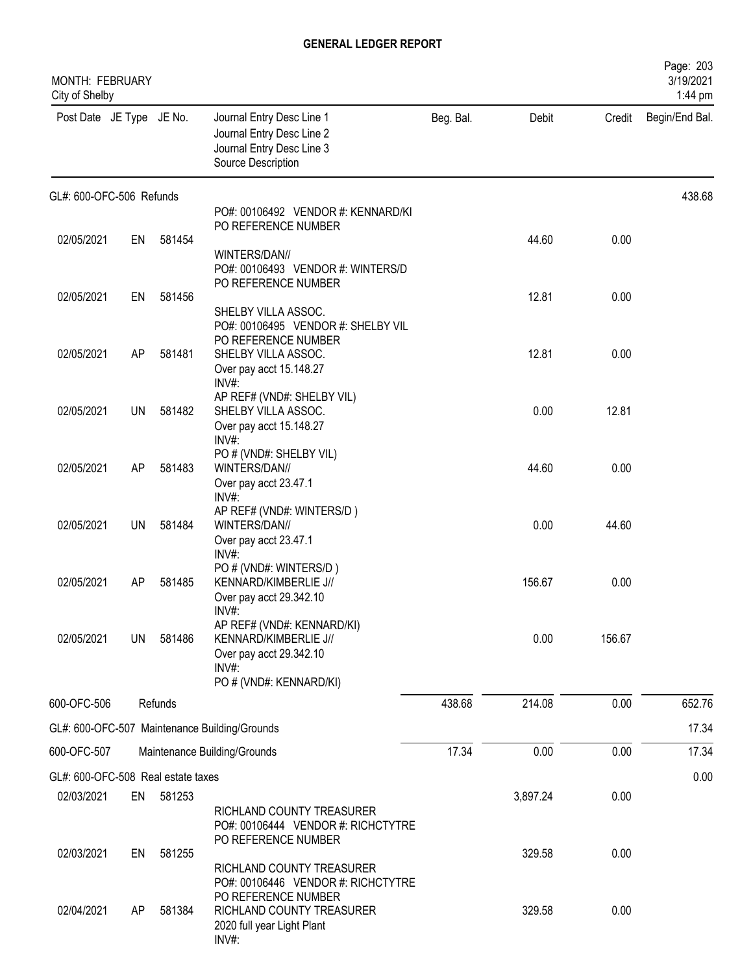| MONTH: FEBRUARY<br>City of Shelby  |    |         |                                                                                                           |           |          |        | Page: 203<br>3/19/2021<br>1:44 pm |
|------------------------------------|----|---------|-----------------------------------------------------------------------------------------------------------|-----------|----------|--------|-----------------------------------|
| Post Date JE Type JE No.           |    |         | Journal Entry Desc Line 1<br>Journal Entry Desc Line 2<br>Journal Entry Desc Line 3<br>Source Description | Beg. Bal. | Debit    | Credit | Begin/End Bal.                    |
| GL#: 600-OFC-506 Refunds           |    |         |                                                                                                           |           |          |        | 438.68                            |
|                                    |    |         | PO#: 00106492 VENDOR #: KENNARD/KI<br>PO REFERENCE NUMBER                                                 |           |          |        |                                   |
| 02/05/2021                         | EN | 581454  |                                                                                                           |           | 44.60    | 0.00   |                                   |
|                                    |    |         | WINTERS/DAN//                                                                                             |           |          |        |                                   |
|                                    |    |         | PO#: 00106493 VENDOR #: WINTERS/D<br>PO REFERENCE NUMBER                                                  |           |          |        |                                   |
| 02/05/2021                         | EN | 581456  |                                                                                                           |           | 12.81    | 0.00   |                                   |
|                                    |    |         | SHELBY VILLA ASSOC.                                                                                       |           |          |        |                                   |
|                                    |    |         | PO#: 00106495 VENDOR #: SHELBY VIL<br>PO REFERENCE NUMBER                                                 |           |          |        |                                   |
| 02/05/2021                         | AP | 581481  | SHELBY VILLA ASSOC.                                                                                       |           | 12.81    | 0.00   |                                   |
|                                    |    |         | Over pay acct 15.148.27                                                                                   |           |          |        |                                   |
|                                    |    |         | INV#:<br>AP REF# (VND#: SHELBY VIL)                                                                       |           |          |        |                                   |
| 02/05/2021                         | UN | 581482  | SHELBY VILLA ASSOC.                                                                                       |           | 0.00     | 12.81  |                                   |
|                                    |    |         | Over pay acct 15.148.27<br>INV#:                                                                          |           |          |        |                                   |
|                                    |    |         | PO # (VND#: SHELBY VIL)                                                                                   |           |          |        |                                   |
| 02/05/2021                         | AP | 581483  | WINTERS/DAN//                                                                                             |           | 44.60    | 0.00   |                                   |
|                                    |    |         | Over pay acct 23.47.1<br>INV#:                                                                            |           |          |        |                                   |
|                                    |    |         | AP REF# (VND#: WINTERS/D)                                                                                 |           |          |        |                                   |
| 02/05/2021                         | UN | 581484  | WINTERS/DAN//                                                                                             |           | 0.00     | 44.60  |                                   |
|                                    |    |         | Over pay acct 23.47.1<br>$INV#$ :                                                                         |           |          |        |                                   |
|                                    |    |         | PO # (VND#: WINTERS/D)                                                                                    |           |          |        |                                   |
| 02/05/2021                         | AP | 581485  | KENNARD/KIMBERLIE J//<br>Over pay acct 29.342.10                                                          |           | 156.67   | 0.00   |                                   |
|                                    |    |         | $INV#$ :                                                                                                  |           |          |        |                                   |
|                                    |    |         | AP REF# (VND#: KENNARD/KI)                                                                                |           |          |        |                                   |
| 02/05/2021                         | UN | 581486  | KENNARD/KIMBERLIE J//<br>Over pay acct 29.342.10                                                          |           | 0.00     | 156.67 |                                   |
|                                    |    |         | INV#:                                                                                                     |           |          |        |                                   |
|                                    |    |         | PO # (VND#: KENNARD/KI)                                                                                   |           |          |        |                                   |
| 600-OFC-506                        |    | Refunds |                                                                                                           | 438.68    | 214.08   | 0.00   | 652.76                            |
|                                    |    |         | GL#: 600-OFC-507 Maintenance Building/Grounds                                                             |           |          |        | 17.34                             |
| 600-OFC-507                        |    |         | Maintenance Building/Grounds                                                                              | 17.34     | 0.00     | 0.00   | 17.34                             |
| GL#: 600-OFC-508 Real estate taxes |    |         |                                                                                                           |           |          |        | 0.00                              |
| 02/03/2021                         | EN | 581253  |                                                                                                           |           | 3,897.24 | 0.00   |                                   |
|                                    |    |         | RICHLAND COUNTY TREASURER                                                                                 |           |          |        |                                   |
|                                    |    |         | PO#: 00106444 VENDOR #: RICHCTYTRE<br>PO REFERENCE NUMBER                                                 |           |          |        |                                   |
| 02/03/2021                         | EN | 581255  |                                                                                                           |           | 329.58   | 0.00   |                                   |
|                                    |    |         | RICHLAND COUNTY TREASURER                                                                                 |           |          |        |                                   |
|                                    |    |         | PO#: 00106446 VENDOR #: RICHCTYTRE<br>PO REFERENCE NUMBER                                                 |           |          |        |                                   |
| 02/04/2021                         | AP | 581384  | RICHLAND COUNTY TREASURER                                                                                 |           | 329.58   | 0.00   |                                   |
|                                    |    |         | 2020 full year Light Plant<br>INV#:                                                                       |           |          |        |                                   |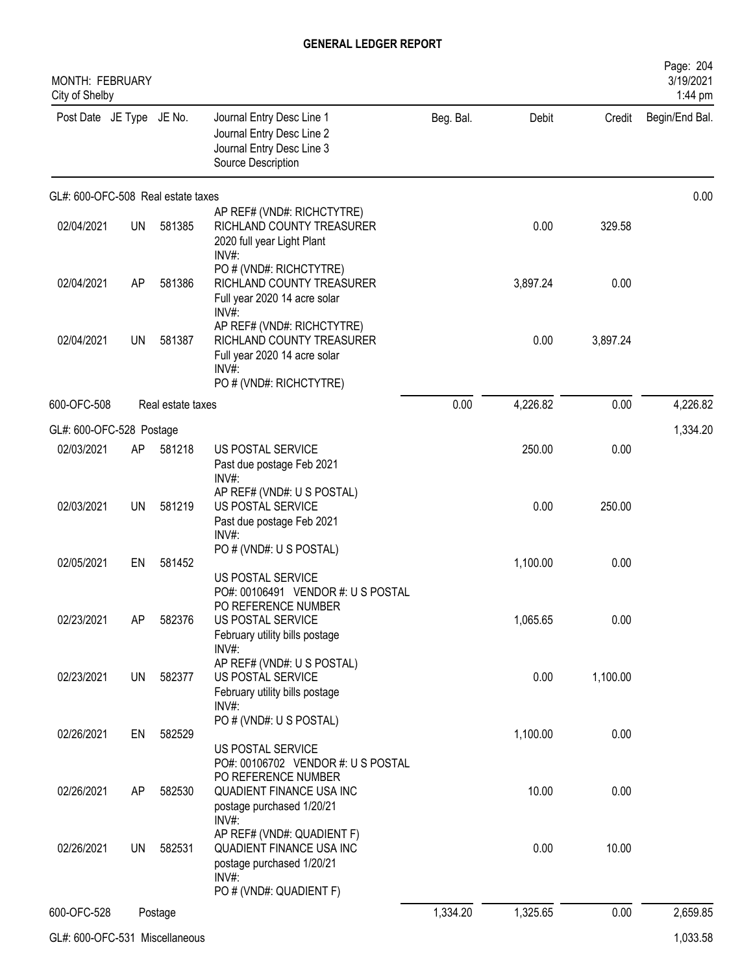| <b>MONTH: FEBRUARY</b><br>City of Shelby |           |                   |                                                                                                            |           |          |          | Page: 204<br>3/19/2021<br>1:44 pm |
|------------------------------------------|-----------|-------------------|------------------------------------------------------------------------------------------------------------|-----------|----------|----------|-----------------------------------|
| Post Date JE Type JE No.                 |           |                   | Journal Entry Desc Line 1<br>Journal Entry Desc Line 2<br>Journal Entry Desc Line 3<br>Source Description  | Beg. Bal. | Debit    | Credit   | Begin/End Bal.                    |
| GL#: 600-OFC-508 Real estate taxes       |           |                   |                                                                                                            |           |          |          | 0.00                              |
| 02/04/2021                               | UN        | 581385            | AP REF# (VND#: RICHCTYTRE)<br>RICHLAND COUNTY TREASURER<br>2020 full year Light Plant<br>$INV#$ :          |           | 0.00     | 329.58   |                                   |
| 02/04/2021                               | AP        | 581386            | PO # (VND#: RICHCTYTRE)<br>RICHLAND COUNTY TREASURER<br>Full year 2020 14 acre solar<br>$INV#$ :           |           | 3,897.24 | 0.00     |                                   |
| 02/04/2021                               | UN        | 581387            | AP REF# (VND#: RICHCTYTRE)<br>RICHLAND COUNTY TREASURER<br>Full year 2020 14 acre solar<br>$INV#$ :        |           | 0.00     | 3,897.24 |                                   |
| 600-OFC-508                              |           | Real estate taxes | PO # (VND#: RICHCTYTRE)                                                                                    | 0.00      | 4,226.82 | 0.00     | 4,226.82                          |
|                                          |           |                   |                                                                                                            |           |          |          |                                   |
| GL#: 600-OFC-528 Postage<br>02/03/2021   | AP        | 581218            | US POSTAL SERVICE                                                                                          |           | 250.00   | 0.00     | 1,334.20                          |
| 02/03/2021                               | <b>UN</b> | 581219            | Past due postage Feb 2021<br>INV#:<br>AP REF# (VND#: U S POSTAL)<br>US POSTAL SERVICE                      |           | 0.00     | 250.00   |                                   |
|                                          |           |                   | Past due postage Feb 2021<br>INV#:<br>PO # (VND#: U S POSTAL)                                              |           |          |          |                                   |
| 02/05/2021                               | EN        | 581452            | US POSTAL SERVICE<br>PO#: 00106491 VENDOR #: US POSTAL                                                     |           | 1,100.00 | 0.00     |                                   |
| 02/23/2021                               | AP        | 582376            | PO REFERENCE NUMBER<br>US POSTAL SERVICE<br>February utility bills postage                                 |           | 1,065.65 | 0.00     |                                   |
| 02/23/2021                               | <b>UN</b> | 582377            | $INV#$ :<br>AP REF# (VND#: U S POSTAL)<br>US POSTAL SERVICE<br>February utility bills postage              |           | 0.00     | 1,100.00 |                                   |
| 02/26/2021                               | EN        | 582529            | INV#:<br>PO # (VND#: U S POSTAL)                                                                           |           | 1,100.00 | 0.00     |                                   |
| 02/26/2021                               | AP        | 582530            | US POSTAL SERVICE<br>PO#: 00106702 VENDOR #: U S POSTAL<br>PO REFERENCE NUMBER<br>QUADIENT FINANCE USA INC |           | 10.00    | 0.00     |                                   |
|                                          |           |                   | postage purchased 1/20/21<br>$INV#$ :<br>AP REF# (VND#: QUADIENT F)                                        |           |          |          |                                   |
| 02/26/2021                               | UN        | 582531            | QUADIENT FINANCE USA INC<br>postage purchased 1/20/21<br>$INV#$ :                                          |           | 0.00     | 10.00    |                                   |
|                                          |           |                   | PO # (VND#: QUADIENT F)                                                                                    |           |          |          |                                   |
| 600-OFC-528                              |           | Postage           |                                                                                                            | 1,334.20  | 1,325.65 | 0.00     | 2,659.85                          |

GL#: 600-OFC-531 Miscellaneous 1,033.58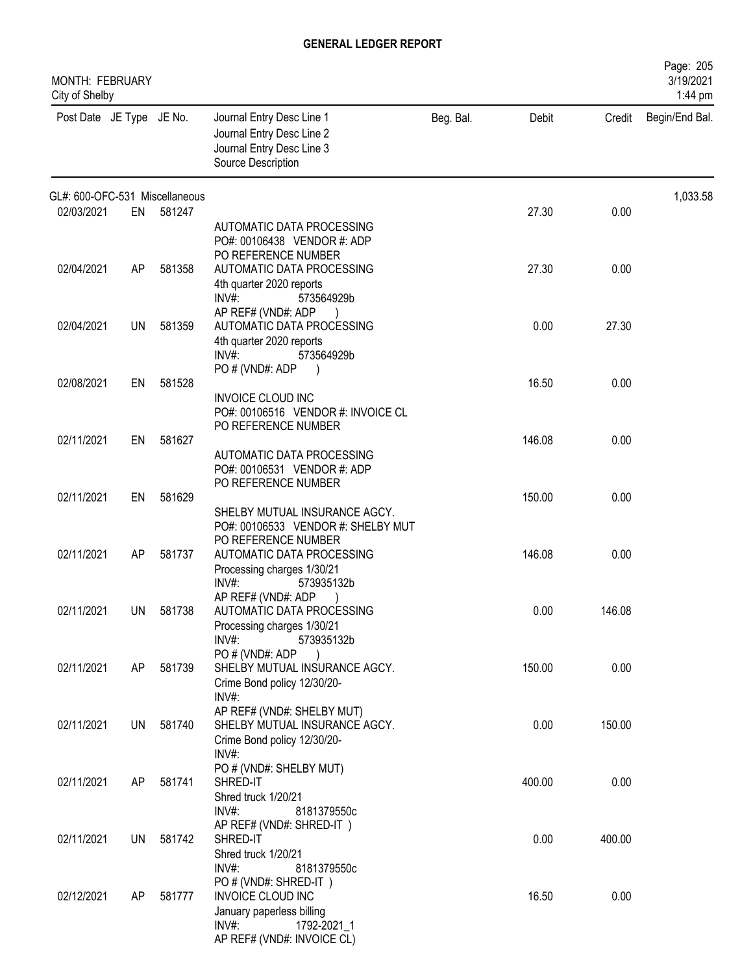| MONTH: FEBRUARY<br>City of Shelby |     |           |                                                                                                                                  |           |        |        | Page: 205<br>3/19/2021<br>1:44 pm |
|-----------------------------------|-----|-----------|----------------------------------------------------------------------------------------------------------------------------------|-----------|--------|--------|-----------------------------------|
| Post Date JE Type JE No.          |     |           | Journal Entry Desc Line 1<br>Journal Entry Desc Line 2<br>Journal Entry Desc Line 3<br>Source Description                        | Beg. Bal. | Debit  | Credit | Begin/End Bal.                    |
| GL#: 600-OFC-531 Miscellaneous    |     |           |                                                                                                                                  |           |        |        | 1,033.58                          |
| 02/03/2021                        |     | EN 581247 | AUTOMATIC DATA PROCESSING<br>PO#: 00106438 VENDOR #: ADP<br>PO REFERENCE NUMBER                                                  |           | 27.30  | 0.00   |                                   |
| 02/04/2021                        | AP  | 581358    | AUTOMATIC DATA PROCESSING<br>4th quarter 2020 reports<br>$INV#$ :<br>573564929b<br>AP REF# (VND#: ADP                            |           | 27.30  | 0.00   |                                   |
| 02/04/2021                        | UN  | 581359    | AUTOMATIC DATA PROCESSING<br>4th quarter 2020 reports<br>$INV#$ :<br>573564929b                                                  |           | 0.00   | 27.30  |                                   |
| 02/08/2021                        | EN  | 581528    | PO # (VND#: ADP<br>INVOICE CLOUD INC<br>PO#: 00106516 VENDOR #: INVOICE CL<br>PO REFERENCE NUMBER                                |           | 16.50  | 0.00   |                                   |
| 02/11/2021                        | EN  | 581627    | AUTOMATIC DATA PROCESSING<br>PO#: 00106531 VENDOR #: ADP                                                                         |           | 146.08 | 0.00   |                                   |
| 02/11/2021                        | EN  | 581629    | PO REFERENCE NUMBER<br>SHELBY MUTUAL INSURANCE AGCY.<br>PO#: 00106533 VENDOR #: SHELBY MUT                                       |           | 150.00 | 0.00   |                                   |
| 02/11/2021                        | AP  | 581737    | PO REFERENCE NUMBER<br>AUTOMATIC DATA PROCESSING<br>Processing charges 1/30/21<br>INV#<br>573935132b                             |           | 146.08 | 0.00   |                                   |
| 02/11/2021                        |     | UN 581738 | AP REF# (VND#: ADP<br>AUTOMATIC DATA PROCESSING<br>Processing charges 1/30/21<br>INV#:<br>573935132b                             |           | 0.00   | 146.08 |                                   |
| 02/11/2021                        | AP  | 581739    | PO#(VND#: ADP<br>SHELBY MUTUAL INSURANCE AGCY.<br>Crime Bond policy 12/30/20-<br>INV#:                                           |           | 150.00 | 0.00   |                                   |
| 02/11/2021                        | UN  | 581740    | AP REF# (VND#: SHELBY MUT)<br>SHELBY MUTUAL INSURANCE AGCY.<br>Crime Bond policy 12/30/20-<br>$INV#$ :                           |           | 0.00   | 150.00 |                                   |
| 02/11/2021                        | AP. | 581741    | PO # (VND#: SHELBY MUT)<br>SHRED-IT<br>Shred truck 1/20/21<br>INV#:<br>8181379550c                                               |           | 400.00 | 0.00   |                                   |
| 02/11/2021                        | UN  | 581742    | AP REF# (VND#: SHRED-IT)<br>SHRED-IT<br>Shred truck 1/20/21<br>INV#:<br>8181379550c                                              |           | 0.00   | 400.00 |                                   |
| 02/12/2021                        | AP  | 581777    | PO # (VND#: SHRED-IT)<br>INVOICE CLOUD INC<br>January paperless billing<br>$INV#$ :<br>1792-2021 1<br>AP REF# (VND#: INVOICE CL) |           | 16.50  | 0.00   |                                   |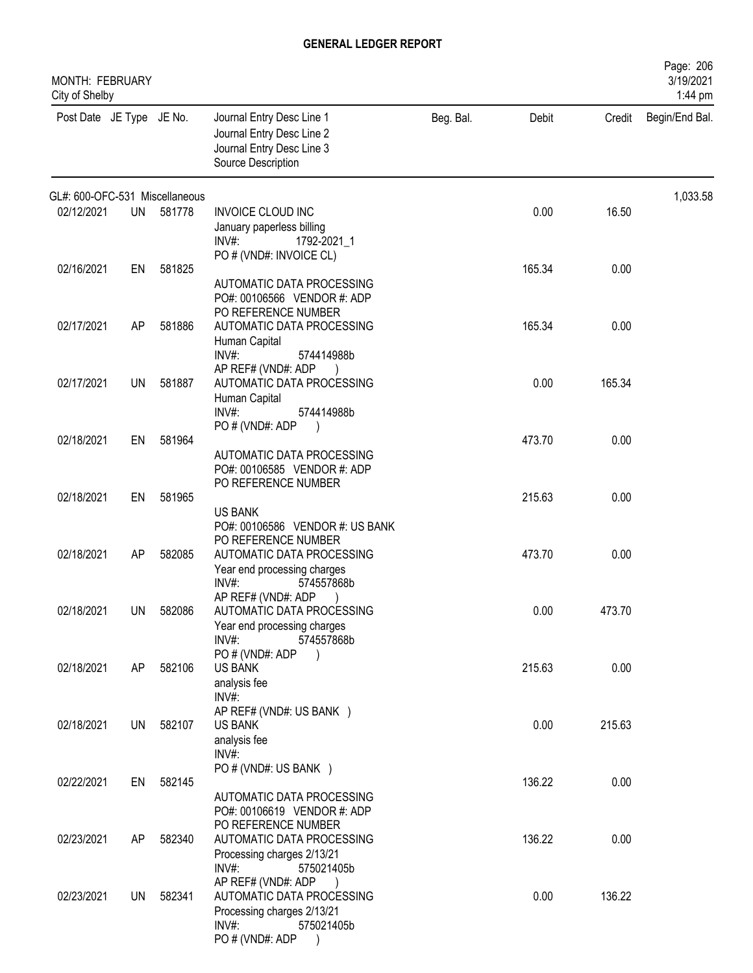| MONTH: FEBRUARY<br>City of Shelby |           |        |                                                                                                                            |           |        |        | Page: 206<br>3/19/2021<br>1:44 pm |
|-----------------------------------|-----------|--------|----------------------------------------------------------------------------------------------------------------------------|-----------|--------|--------|-----------------------------------|
| Post Date JE Type JE No.          |           |        | Journal Entry Desc Line 1<br>Journal Entry Desc Line 2<br>Journal Entry Desc Line 3<br>Source Description                  | Beg. Bal. | Debit  | Credit | Begin/End Bal.                    |
| GL#: 600-OFC-531 Miscellaneous    |           |        |                                                                                                                            |           |        |        | 1,033.58                          |
| 02/12/2021                        | UN        | 581778 | <b>INVOICE CLOUD INC</b><br>January paperless billing<br>$INV#$ :<br>1792-2021_1<br>PO # (VND#: INVOICE CL)                |           | 0.00   | 16.50  |                                   |
| 02/16/2021                        | EN        | 581825 | AUTOMATIC DATA PROCESSING<br>PO#: 00106566 VENDOR #: ADP<br>PO REFERENCE NUMBER                                            |           | 165.34 | 0.00   |                                   |
| 02/17/2021                        | AP        | 581886 | AUTOMATIC DATA PROCESSING<br>Human Capital<br>INV#:<br>574414988b<br>AP REF# (VND#: ADP                                    |           | 165.34 | 0.00   |                                   |
| 02/17/2021                        | <b>UN</b> | 581887 | AUTOMATIC DATA PROCESSING<br>Human Capital<br>INV#:<br>574414988b<br>PO # (VND#: ADP                                       |           | 0.00   | 165.34 |                                   |
| 02/18/2021                        | EN        | 581964 | AUTOMATIC DATA PROCESSING<br>PO#: 00106585 VENDOR #: ADP<br>PO REFERENCE NUMBER                                            |           | 473.70 | 0.00   |                                   |
| 02/18/2021                        | EN        | 581965 | <b>US BANK</b><br>PO#: 00106586 VENDOR #: US BANK                                                                          |           | 215.63 | 0.00   |                                   |
| 02/18/2021                        | AP        | 582085 | PO REFERENCE NUMBER<br>AUTOMATIC DATA PROCESSING<br>Year end processing charges<br>INV#:<br>574557868b                     |           | 473.70 | 0.00   |                                   |
| 02/18/2021                        | UN        | 582086 | AP REF# (VND#: ADP<br>AUTOMATIC DATA PROCESSING<br>Year end processing charges<br>INV#:<br>574557868b                      |           | 0.00   | 473.70 |                                   |
| 02/18/2021                        | AP        | 582106 | PO # (VND#: ADP<br><b>US BANK</b><br>analysis fee<br>$INV#$ :                                                              |           | 215.63 | 0.00   |                                   |
| 02/18/2021                        | UN        | 582107 | AP REF# (VND#: US BANK)<br><b>US BANK</b><br>analysis fee<br>$INV#$ :                                                      |           | 0.00   | 215.63 |                                   |
| 02/22/2021                        | EN        | 582145 | PO # (VND#: US BANK )<br>AUTOMATIC DATA PROCESSING<br>PO#: 00106619 VENDOR #: ADP                                          |           | 136.22 | 0.00   |                                   |
| 02/23/2021                        | AP        | 582340 | PO REFERENCE NUMBER<br>AUTOMATIC DATA PROCESSING<br>Processing charges 2/13/21<br>INV#:<br>575021405b                      |           | 136.22 | 0.00   |                                   |
| 02/23/2021                        | <b>UN</b> | 582341 | AP REF# (VND#: ADP<br>AUTOMATIC DATA PROCESSING<br>Processing charges 2/13/21<br>$INV#$ :<br>575021405b<br>PO # (VND#: ADP |           | 0.00   | 136.22 |                                   |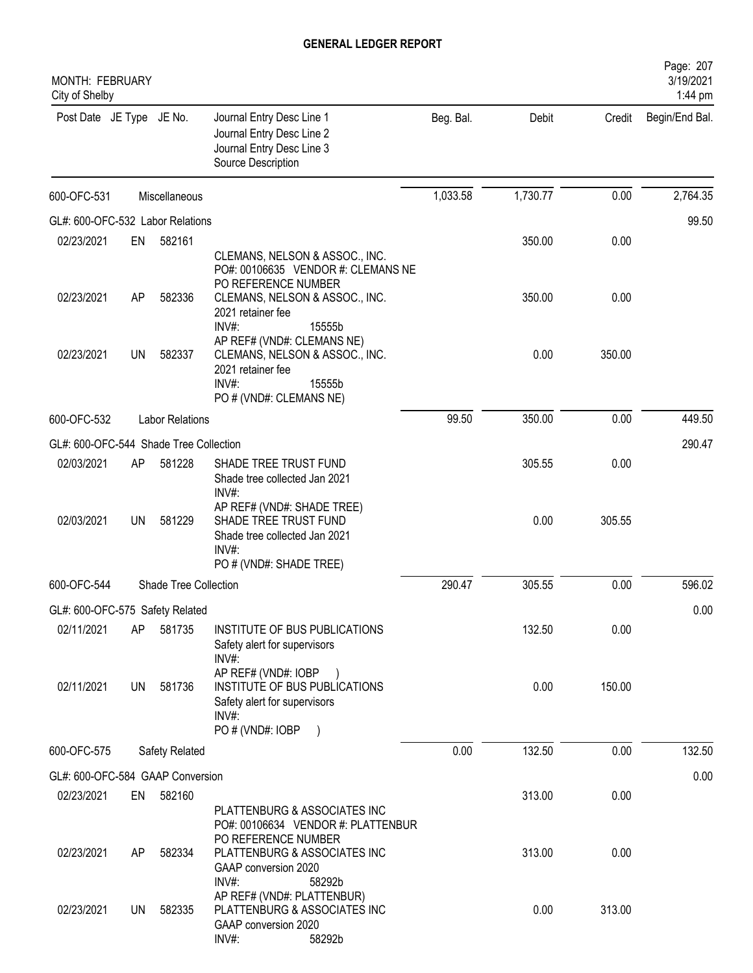| MONTH: FEBRUARY<br>City of Shelby      |    |                        |                                                                                                                                                                          |           |          |        | Page: 207<br>3/19/2021<br>1:44 pm |
|----------------------------------------|----|------------------------|--------------------------------------------------------------------------------------------------------------------------------------------------------------------------|-----------|----------|--------|-----------------------------------|
| Post Date JE Type JE No.               |    |                        | Journal Entry Desc Line 1<br>Journal Entry Desc Line 2<br>Journal Entry Desc Line 3<br>Source Description                                                                | Beg. Bal. | Debit    | Credit | Begin/End Bal.                    |
| 600-OFC-531                            |    | Miscellaneous          |                                                                                                                                                                          | 1,033.58  | 1,730.77 | 0.00   | 2,764.35                          |
| GL#: 600-OFC-532 Labor Relations       |    |                        |                                                                                                                                                                          |           |          |        | 99.50                             |
| 02/23/2021                             | EN | 582161                 |                                                                                                                                                                          |           | 350.00   | 0.00   |                                   |
| 02/23/2021                             | AP | 582336                 | CLEMANS, NELSON & ASSOC., INC.<br>PO#: 00106635 VENDOR #: CLEMANS NE<br>PO REFERENCE NUMBER<br>CLEMANS, NELSON & ASSOC., INC.<br>2021 retainer fee<br>$INV#$ :<br>15555b |           | 350.00   | 0.00   |                                   |
| 02/23/2021                             | UN | 582337                 | AP REF# (VND#: CLEMANS NE)<br>CLEMANS, NELSON & ASSOC., INC.<br>2021 retainer fee<br>INV#:<br>15555b<br>PO # (VND#: CLEMANS NE)                                          |           | 0.00     | 350.00 |                                   |
| 600-OFC-532                            |    | <b>Labor Relations</b> |                                                                                                                                                                          | 99.50     | 350.00   | 0.00   | 449.50                            |
| GL#: 600-OFC-544 Shade Tree Collection |    |                        |                                                                                                                                                                          |           |          |        | 290.47                            |
| 02/03/2021                             | AP | 581228                 | SHADE TREE TRUST FUND<br>Shade tree collected Jan 2021<br>INV#:                                                                                                          |           | 305.55   | 0.00   |                                   |
| 02/03/2021                             | UN | 581229                 | AP REF# (VND#: SHADE TREE)<br>SHADE TREE TRUST FUND<br>Shade tree collected Jan 2021<br>$INV#$ :<br>PO # (VND#: SHADE TREE)                                              |           | 0.00     | 305.55 |                                   |
| 600-OFC-544                            |    | Shade Tree Collection  |                                                                                                                                                                          | 290.47    | 305.55   | 0.00   | 596.02                            |
| GL#: 600-OFC-575 Safety Related        |    |                        |                                                                                                                                                                          |           |          |        | 0.00                              |
| 02/11/2021                             | AP | 581735                 | INSTITUTE OF BUS PUBLICATIONS<br>Safety alert for supervisors<br>$INV#$ :                                                                                                |           | 132.50   | 0.00   |                                   |
| 02/11/2021                             | UN | 581736                 | AP REF# (VND#: IOBP<br>INSTITUTE OF BUS PUBLICATIONS<br>Safety alert for supervisors<br>$INV#$ :<br>PO # (VND#: IOBP<br>$\rightarrow$                                    |           | 0.00     | 150.00 |                                   |
| 600-OFC-575                            |    | <b>Safety Related</b>  |                                                                                                                                                                          | 0.00      | 132.50   | 0.00   | 132.50                            |
| GL#: 600-OFC-584 GAAP Conversion       |    |                        |                                                                                                                                                                          |           |          |        | 0.00                              |
| 02/23/2021                             | EN | 582160                 |                                                                                                                                                                          |           | 313.00   | 0.00   |                                   |
| 02/23/2021                             | AP | 582334                 | PLATTENBURG & ASSOCIATES INC<br>PO#: 00106634 VENDOR #: PLATTENBUR<br>PO REFERENCE NUMBER<br>PLATTENBURG & ASSOCIATES INC<br>GAAP conversion 2020<br>$INV#$ :<br>58292b  |           | 313.00   | 0.00   |                                   |
| 02/23/2021                             | UN | 582335                 | AP REF# (VND#: PLATTENBUR)<br>PLATTENBURG & ASSOCIATES INC<br>GAAP conversion 2020<br>INV#:<br>58292b                                                                    |           | 0.00     | 313.00 |                                   |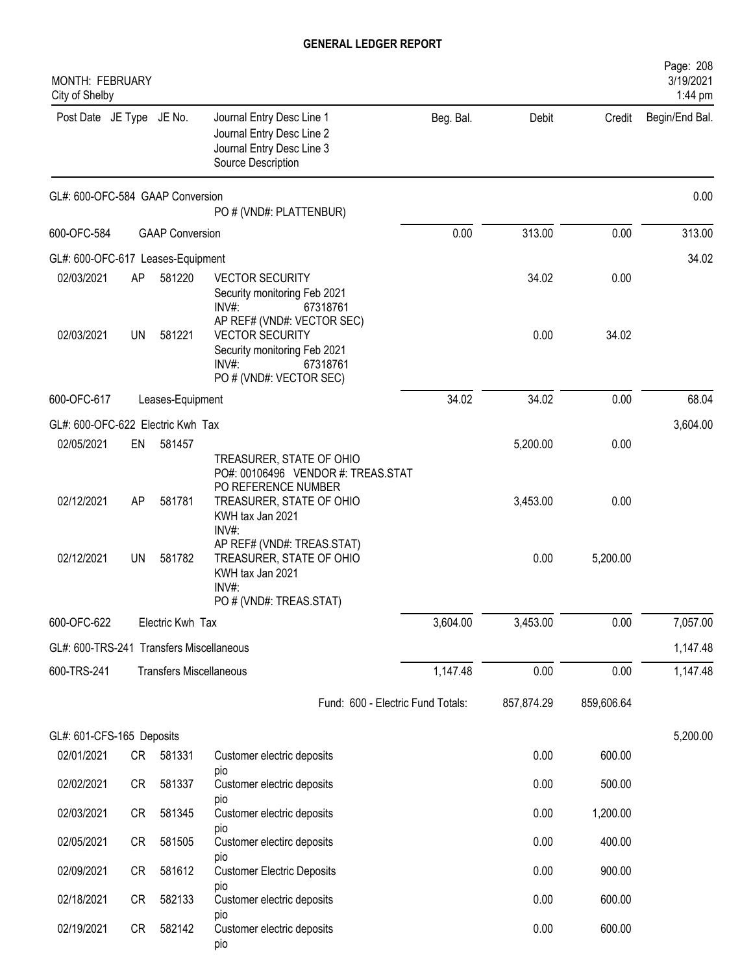| MONTH: FEBRUARY<br>City of Shelby        |    |                                |                                                                                                                                                |           |            |            | Page: 208<br>3/19/2021<br>1:44 pm |
|------------------------------------------|----|--------------------------------|------------------------------------------------------------------------------------------------------------------------------------------------|-----------|------------|------------|-----------------------------------|
| Post Date JE Type JE No.                 |    |                                | Journal Entry Desc Line 1<br>Journal Entry Desc Line 2<br>Journal Entry Desc Line 3<br>Source Description                                      | Beg. Bal. | Debit      | Credit     | Begin/End Bal.                    |
| GL#: 600-OFC-584 GAAP Conversion         |    |                                | PO # (VND#: PLATTENBUR)                                                                                                                        |           |            |            | 0.00                              |
| 600-OFC-584                              |    | <b>GAAP Conversion</b>         |                                                                                                                                                | 0.00      | 313.00     | 0.00       | 313.00                            |
| GL#: 600-OFC-617 Leases-Equipment        |    |                                |                                                                                                                                                |           |            |            | 34.02                             |
| 02/03/2021                               | AP | 581220                         | <b>VECTOR SECURITY</b><br>Security monitoring Feb 2021<br>$INV#$ :<br>67318761                                                                 |           | 34.02      | 0.00       |                                   |
| 02/03/2021                               | UN | 581221                         | AP REF# (VND#: VECTOR SEC)<br><b>VECTOR SECURITY</b><br>Security monitoring Feb 2021<br>$INV#$ :<br>67318761<br>PO # (VND#: VECTOR SEC)        |           | 0.00       | 34.02      |                                   |
| 600-OFC-617                              |    | Leases-Equipment               |                                                                                                                                                | 34.02     | 34.02      | 0.00       | 68.04                             |
| GL#: 600-OFC-622 Electric Kwh Tax        |    |                                |                                                                                                                                                |           |            |            | 3,604.00                          |
| 02/05/2021                               | EN | 581457                         |                                                                                                                                                |           | 5,200.00   | 0.00       |                                   |
| 02/12/2021                               | AP | 581781                         | TREASURER, STATE OF OHIO<br>PO#: 00106496 VENDOR #: TREAS.STAT<br>PO REFERENCE NUMBER<br>TREASURER, STATE OF OHIO<br>KWH tax Jan 2021<br>INV#: |           | 3,453.00   | 0.00       |                                   |
| 02/12/2021                               | UN | 581782                         | AP REF# (VND#: TREAS.STAT)<br>TREASURER, STATE OF OHIO<br>KWH tax Jan 2021<br>INV#:<br>PO # (VND#: TREAS.STAT)                                 |           | 0.00       | 5,200.00   |                                   |
| 600-OFC-622                              |    | Electric Kwh Tax               |                                                                                                                                                | 3,604.00  | 3,453.00   | 0.00       | 7,057.00                          |
| GL#: 600-TRS-241 Transfers Miscellaneous |    |                                |                                                                                                                                                |           |            |            | 1,147.48                          |
| 600-TRS-241                              |    | <b>Transfers Miscellaneous</b> |                                                                                                                                                | 1,147.48  | 0.00       | 0.00       | 1,147.48                          |
|                                          |    |                                | Fund: 600 - Electric Fund Totals:                                                                                                              |           | 857,874.29 | 859,606.64 |                                   |
| GL#: 601-CFS-165 Deposits                |    |                                |                                                                                                                                                |           |            |            | 5,200.00                          |
| 02/01/2021                               | CR | 581331                         | Customer electric deposits<br>pio                                                                                                              |           | 0.00       | 600.00     |                                   |
| 02/02/2021                               | CR | 581337                         | Customer electric deposits<br>pio                                                                                                              |           | 0.00       | 500.00     |                                   |
| 02/03/2021                               | CR | 581345                         | Customer electric deposits                                                                                                                     |           | 0.00       | 1,200.00   |                                   |
| 02/05/2021                               | CR | 581505                         | pio<br>Customer electirc deposits                                                                                                              |           | 0.00       | 400.00     |                                   |
| 02/09/2021                               | CR | 581612                         | pio<br><b>Customer Electric Deposits</b>                                                                                                       |           | 0.00       | 900.00     |                                   |
| 02/18/2021                               | CR | 582133                         | pio<br>Customer electric deposits                                                                                                              |           | 0.00       | 600.00     |                                   |
| 02/19/2021                               | CR | 582142                         | pio<br>Customer electric deposits<br>pio                                                                                                       |           | 0.00       | 600.00     |                                   |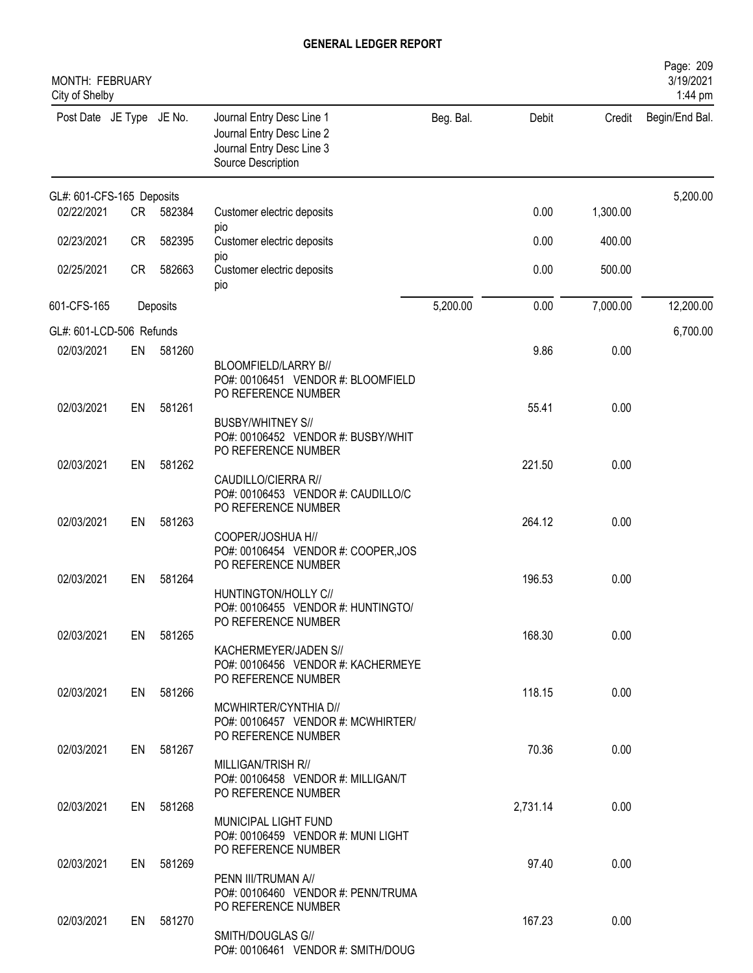| MONTH: FEBRUARY<br>City of Shelby |           |           |                                                                                                           |           |          |          | Page: 209<br>3/19/2021<br>1:44 pm |
|-----------------------------------|-----------|-----------|-----------------------------------------------------------------------------------------------------------|-----------|----------|----------|-----------------------------------|
| Post Date JE Type JE No.          |           |           | Journal Entry Desc Line 1<br>Journal Entry Desc Line 2<br>Journal Entry Desc Line 3<br>Source Description | Beg. Bal. | Debit    | Credit   | Begin/End Bal.                    |
| GL#: 601-CFS-165 Deposits         |           |           |                                                                                                           |           |          |          | 5,200.00                          |
| 02/22/2021                        | CR        | 582384    | Customer electric deposits<br>pio                                                                         |           | 0.00     | 1,300.00 |                                   |
| 02/23/2021                        | CR        | 582395    | Customer electric deposits                                                                                |           | 0.00     | 400.00   |                                   |
| 02/25/2021                        | <b>CR</b> | 582663    | pio<br>Customer electric deposits<br>pio                                                                  |           | 0.00     | 500.00   |                                   |
| 601-CFS-165                       |           | Deposits  |                                                                                                           | 5,200.00  | 0.00     | 7,000.00 | 12,200.00                         |
| GL#: 601-LCD-506 Refunds          |           |           |                                                                                                           |           |          |          | 6,700.00                          |
| 02/03/2021                        | EN        | 581260    | BLOOMFIELD/LARRY B//<br>PO#: 00106451 VENDOR #: BLOOMFIELD<br>PO REFERENCE NUMBER                         |           | 9.86     | 0.00     |                                   |
| 02/03/2021                        | EN        | 581261    | <b>BUSBY/WHITNEY S//</b>                                                                                  |           | 55.41    | 0.00     |                                   |
|                                   |           | 581262    | PO#: 00106452 VENDOR #: BUSBY/WHIT<br>PO REFERENCE NUMBER                                                 |           | 221.50   |          |                                   |
| 02/03/2021                        | EN        |           | CAUDILLO/CIERRA R//<br>PO#: 00106453 VENDOR #: CAUDILLO/C<br>PO REFERENCE NUMBER                          |           |          | 0.00     |                                   |
| 02/03/2021                        | EN        | 581263    |                                                                                                           |           | 264.12   | 0.00     |                                   |
|                                   |           |           | COOPER/JOSHUA H//<br>PO#: 00106454 VENDOR #: COOPER, JOS<br>PO REFERENCE NUMBER                           |           |          |          |                                   |
| 02/03/2021                        | EN        | 581264    | HUNTINGTON/HOLLY C//<br>PO#: 00106455 VENDOR #: HUNTINGTO/<br>PO REFERENCE NUMBER                         |           | 196.53   | 0.00     |                                   |
| 02/03/2021                        |           | EN 581265 | KACHERMEYER/JADEN S//<br>PO#: 00106456 VENDOR #: KACHERMEYE                                               |           | 168.30   | 0.00     |                                   |
| 02/03/2021                        |           | EN 581266 | PO REFERENCE NUMBER<br>MCWHIRTER/CYNTHIA D//                                                              |           | 118.15   | 0.00     |                                   |
| 02/03/2021                        |           | EN 581267 | PO#: 00106457 VENDOR #: MCWHIRTER/<br>PO REFERENCE NUMBER                                                 |           | 70.36    | 0.00     |                                   |
|                                   |           |           | MILLIGAN/TRISH R//<br>PO#: 00106458 VENDOR #: MILLIGAN/T<br>PO REFERENCE NUMBER                           |           |          |          |                                   |
| 02/03/2021                        |           | EN 581268 | MUNICIPAL LIGHT FUND<br>PO#: 00106459 VENDOR #: MUNI LIGHT                                                |           | 2,731.14 | 0.00     |                                   |
| 02/03/2021                        |           | EN 581269 | PO REFERENCE NUMBER<br>PENN III/TRUMAN A//                                                                |           | 97.40    | 0.00     |                                   |
| 02/03/2021                        |           | EN 581270 | PO#: 00106460 VENDOR #: PENN/TRUMA<br>PO REFERENCE NUMBER                                                 |           | 167.23   | 0.00     |                                   |
|                                   |           |           | SMITH/DOUGLAS G//<br>PO#: 00106461 VENDOR #: SMITH/DOUG                                                   |           |          |          |                                   |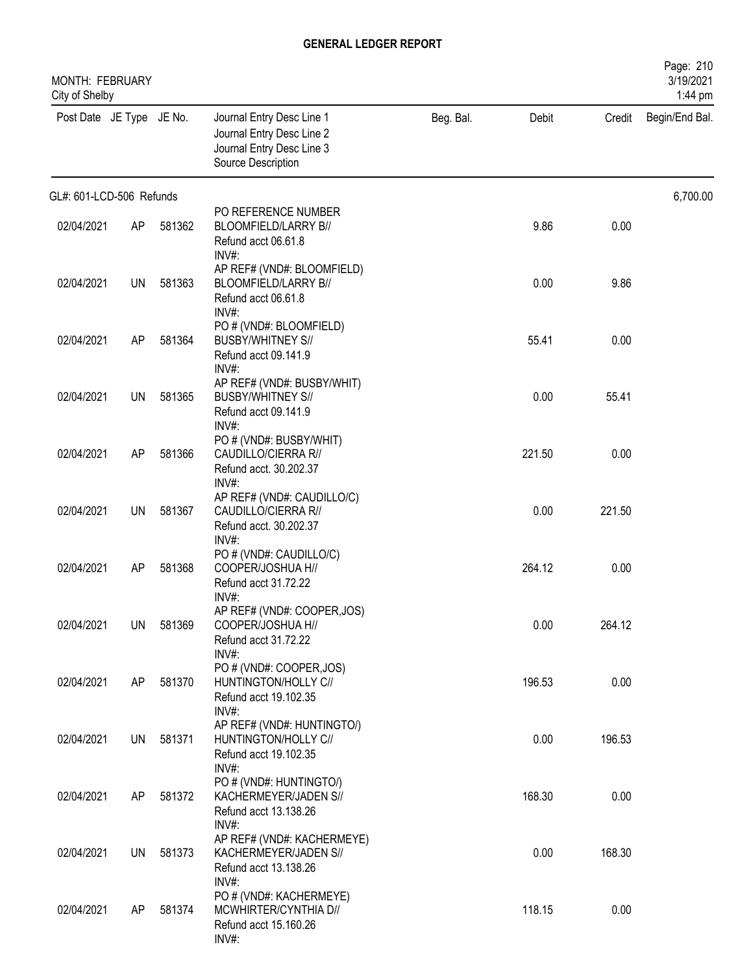| MONTH: FEBRUARY<br>City of Shelby |    |        |                                                                                                           |           |        |        | Page: 210<br>3/19/2021<br>1:44 pm |
|-----------------------------------|----|--------|-----------------------------------------------------------------------------------------------------------|-----------|--------|--------|-----------------------------------|
| Post Date JE Type JE No.          |    |        | Journal Entry Desc Line 1<br>Journal Entry Desc Line 2<br>Journal Entry Desc Line 3<br>Source Description | Beg. Bal. | Debit  | Credit | Begin/End Bal.                    |
| GL#: 601-LCD-506 Refunds          |    |        |                                                                                                           |           |        |        | 6,700.00                          |
| 02/04/2021                        | AP | 581362 | PO REFERENCE NUMBER<br>BLOOMFIELD/LARRY B//<br>Refund acct 06.61.8<br>INV#                                |           | 9.86   | 0.00   |                                   |
| 02/04/2021                        | UN | 581363 | AP REF# (VND#: BLOOMFIELD)<br>BLOOMFIELD/LARRY B//<br>Refund acct 06.61.8<br>$INV#$ :                     |           | 0.00   | 9.86   |                                   |
| 02/04/2021                        | AP | 581364 | PO # (VND#: BLOOMFIELD)<br><b>BUSBY/WHITNEY S//</b><br>Refund acct 09.141.9<br>INV#:                      |           | 55.41  | 0.00   |                                   |
| 02/04/2021                        | UN | 581365 | AP REF# (VND#: BUSBY/WHIT)<br><b>BUSBY/WHITNEY S//</b><br>Refund acct 09.141.9<br>$INV#$ :                |           | 0.00   | 55.41  |                                   |
| 02/04/2021                        | AP | 581366 | PO # (VND#: BUSBY/WHIT)<br>CAUDILLO/CIERRA R//<br>Refund acct. 30.202.37<br>$INV#$ :                      |           | 221.50 | 0.00   |                                   |
| 02/04/2021                        | UN | 581367 | AP REF# (VND#: CAUDILLO/C)<br>CAUDILLO/CIERRA R//<br>Refund acct. 30.202.37<br>INV#:                      |           | 0.00   | 221.50 |                                   |
| 02/04/2021                        | AP | 581368 | PO # (VND#: CAUDILLO/C)<br>COOPER/JOSHUA H//<br>Refund acct 31.72.22<br>INV#:                             |           | 264.12 | 0.00   |                                   |
| 02/04/2021                        | UN | 581369 | AP REF# (VND#: COOPER, JOS)<br>COOPER/JOSHUA H//<br>Refund acct 31.72.22<br>INV#:                         |           | 0.00   | 264.12 |                                   |
| 02/04/2021                        | AP | 581370 | PO # (VND#: COOPER, JOS)<br>HUNTINGTON/HOLLY C//<br>Refund acct 19.102.35<br>$INV#$ :                     |           | 196.53 | 0.00   |                                   |
| 02/04/2021                        | UN | 581371 | AP REF# (VND#: HUNTINGTO/)<br>HUNTINGTON/HOLLY C//<br>Refund acct 19.102.35<br>INV#:                      |           | 0.00   | 196.53 |                                   |
| 02/04/2021                        | AP | 581372 | PO # (VND#: HUNTINGTO/)<br>KACHERMEYER/JADEN S//<br>Refund acct 13.138.26                                 |           | 168.30 | 0.00   |                                   |
| 02/04/2021                        | UN | 581373 | INV#:<br>AP REF# (VND#: KACHERMEYE)<br>KACHERMEYER/JADEN S//<br>Refund acct 13.138.26                     |           | 0.00   | 168.30 |                                   |
| 02/04/2021                        | AP | 581374 | $INV#$ :<br>PO # (VND#: KACHERMEYE)<br>MCWHIRTER/CYNTHIA D//<br>Refund acct 15.160.26<br>INV#:            |           | 118.15 | 0.00   |                                   |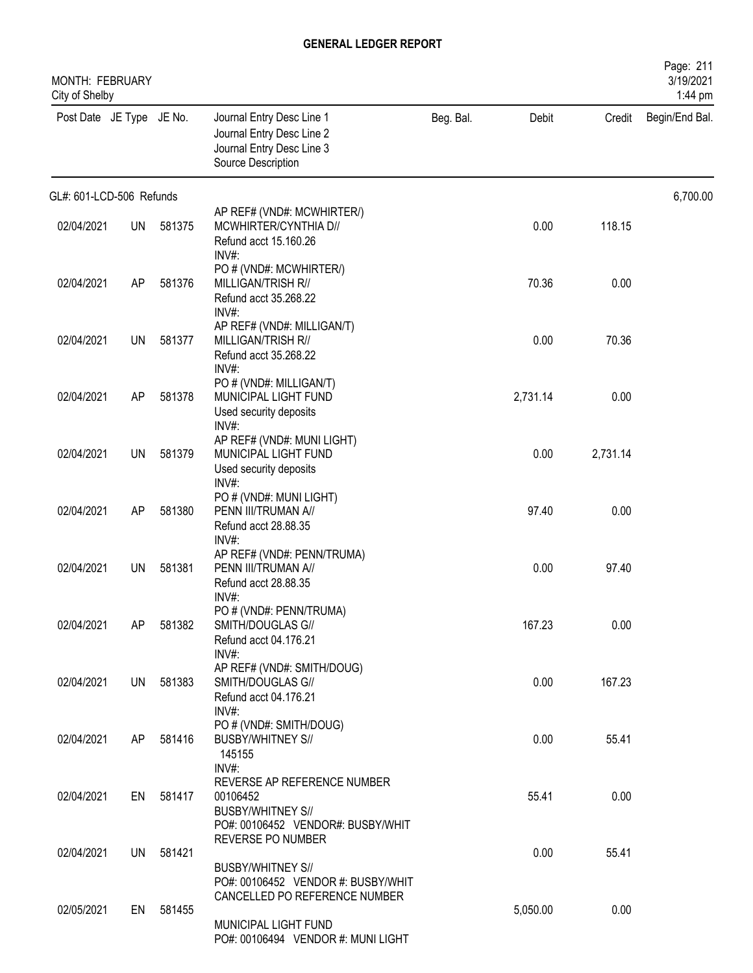| MONTH: FEBRUARY<br>City of Shelby |           |           |                                                                                                                                   |           |          |          | Page: 211<br>3/19/2021<br>1:44 pm |
|-----------------------------------|-----------|-----------|-----------------------------------------------------------------------------------------------------------------------------------|-----------|----------|----------|-----------------------------------|
| Post Date JE Type JE No.          |           |           | Journal Entry Desc Line 1<br>Journal Entry Desc Line 2<br>Journal Entry Desc Line 3<br>Source Description                         | Beg. Bal. | Debit    | Credit   | Begin/End Bal.                    |
| GL#: 601-LCD-506 Refunds          |           |           |                                                                                                                                   |           |          |          | 6,700.00                          |
| 02/04/2021                        | <b>UN</b> | 581375    | AP REF# (VND#: MCWHIRTER/)<br>MCWHIRTER/CYNTHIA D//<br>Refund acct 15.160.26<br>INV#                                              |           | 0.00     | 118.15   |                                   |
| 02/04/2021                        | AP        | 581376    | PO # (VND#: MCWHIRTER/)<br>MILLIGAN/TRISH R//<br>Refund acct 35.268.22<br>$INV#$ :                                                |           | 70.36    | 0.00     |                                   |
| 02/04/2021                        | UN        | 581377    | AP REF# (VND#: MILLIGAN/T)<br>MILLIGAN/TRISH R//<br>Refund acct 35.268.22<br>INV#:                                                |           | 0.00     | 70.36    |                                   |
| 02/04/2021                        | AP        | 581378    | PO # (VND#: MILLIGAN/T)<br>MUNICIPAL LIGHT FUND<br>Used security deposits<br>INV#:                                                |           | 2,731.14 | 0.00     |                                   |
| 02/04/2021                        | UN        | 581379    | AP REF# (VND#: MUNI LIGHT)<br>MUNICIPAL LIGHT FUND<br>Used security deposits<br>$INV#$ :                                          |           | 0.00     | 2,731.14 |                                   |
| 02/04/2021                        | AP        | 581380    | PO # (VND#: MUNI LIGHT)<br>PENN III/TRUMAN A//<br>Refund acct 28.88.35<br>$INV#$ :                                                |           | 97.40    | 0.00     |                                   |
| 02/04/2021                        | UN        | 581381    | AP REF# (VND#: PENN/TRUMA)<br>PENN III/TRUMAN A//<br>Refund acct 28.88.35<br>$INV#$ :                                             |           | 0.00     | 97.40    |                                   |
| 02/04/2021                        | AP        | 581382    | PO # (VND#: PENN/TRUMA)<br>SMITH/DOUGLAS G//<br>Refund acct 04.176.21<br>$INV#$ :                                                 |           | 167.23   | 0.00     |                                   |
| 02/04/2021                        |           | UN 581383 | AP REF# (VND#: SMITH/DOUG)<br>SMITH/DOUGLAS G//<br>Refund acct 04.176.21<br>$INV#$ :                                              |           | 0.00     | 167.23   |                                   |
| 02/04/2021                        | AP        | 581416    | PO # (VND#: SMITH/DOUG)<br><b>BUSBY/WHITNEY S//</b><br>145155<br>$INV#$ :                                                         |           | 0.00     | 55.41    |                                   |
| 02/04/2021                        |           | EN 581417 | REVERSE AP REFERENCE NUMBER<br>00106452<br><b>BUSBY/WHITNEY S//</b><br>PO#: 00106452 VENDOR#: BUSBY/WHIT                          |           | 55.41    | 0.00     |                                   |
| 02/04/2021                        | UN        | 581421    | REVERSE PO NUMBER<br><b>BUSBY/WHITNEY S//</b>                                                                                     |           | 0.00     | 55.41    |                                   |
| 02/05/2021                        | EN        | 581455    | PO#: 00106452 VENDOR #: BUSBY/WHIT<br>CANCELLED PO REFERENCE NUMBER<br>MUNICIPAL LIGHT FUND<br>PO#: 00106494 VENDOR #: MUNI LIGHT |           | 5,050.00 | 0.00     |                                   |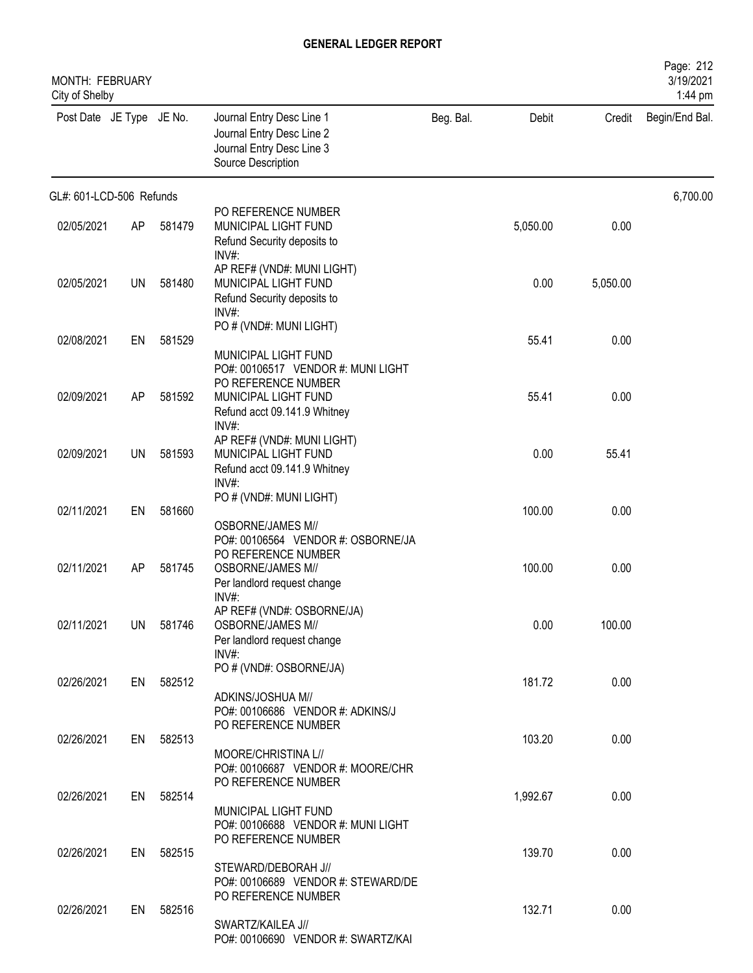| MONTH: FEBRUARY<br>City of Shelby |     |           |                                                                                                                      |           |          |          | Page: 212<br>3/19/2021<br>1:44 pm |
|-----------------------------------|-----|-----------|----------------------------------------------------------------------------------------------------------------------|-----------|----------|----------|-----------------------------------|
| Post Date JE Type JE No.          |     |           | Journal Entry Desc Line 1<br>Journal Entry Desc Line 2<br>Journal Entry Desc Line 3<br>Source Description            | Beg. Bal. | Debit    | Credit   | Begin/End Bal.                    |
| GL#: 601-LCD-506 Refunds          |     |           |                                                                                                                      |           |          |          | 6,700.00                          |
| 02/05/2021                        | AP  | 581479    | PO REFERENCE NUMBER<br>MUNICIPAL LIGHT FUND<br>Refund Security deposits to<br>$INV#$ :                               |           | 5,050.00 | 0.00     |                                   |
| 02/05/2021                        | UN  | 581480    | AP REF# (VND#: MUNI LIGHT)<br>MUNICIPAL LIGHT FUND<br>Refund Security deposits to<br>$INV#$ :                        |           | 0.00     | 5,050.00 |                                   |
| 02/08/2021                        | EN  | 581529    | PO # (VND#: MUNI LIGHT)<br>MUNICIPAL LIGHT FUND                                                                      |           | 55.41    | 0.00     |                                   |
| 02/09/2021                        | AP  | 581592    | PO#: 00106517 VENDOR #: MUNI LIGHT<br>PO REFERENCE NUMBER<br>MUNICIPAL LIGHT FUND<br>Refund acct 09.141.9 Whitney    |           | 55.41    | 0.00     |                                   |
| 02/09/2021                        | UN  | 581593    | INV#:<br>AP REF# (VND#: MUNI LIGHT)<br>MUNICIPAL LIGHT FUND<br>Refund acct 09.141.9 Whitney<br>$INV#$ :              |           | 0.00     | 55.41    |                                   |
| 02/11/2021                        | EN  | 581660    | PO # (VND#: MUNI LIGHT)<br><b>OSBORNE/JAMES M//</b>                                                                  |           | 100.00   | 0.00     |                                   |
| 02/11/2021                        | AP  | 581745    | PO#: 00106564 VENDOR #: OSBORNE/JA<br>PO REFERENCE NUMBER<br><b>OSBORNE/JAMES M//</b><br>Per landlord request change |           | 100.00   | 0.00     |                                   |
| 02/11/2021                        | UN. | 581746    | $INV#$ :<br>AP REF# (VND#: OSBORNE/JA)<br><b>OSBORNE/JAMES M//</b><br>Per landlord request change                    |           | 0.00     | 100.00   |                                   |
| 02/26/2021                        | EN  | 582512    | $INV#$ :<br>PO # (VND#: OSBORNE/JA)<br>ADKINS/JOSHUA M//                                                             |           | 181.72   | 0.00     |                                   |
| 02/26/2021                        |     | EN 582513 | PO#: 00106686 VENDOR #: ADKINS/J<br>PO REFERENCE NUMBER<br>MOORE/CHRISTINA L//                                       |           | 103.20   | 0.00     |                                   |
| 02/26/2021                        | EN  | 582514    | PO#: 00106687 VENDOR #: MOORE/CHR<br>PO REFERENCE NUMBER                                                             |           | 1,992.67 | 0.00     |                                   |
| 02/26/2021                        | EN  | 582515    | MUNICIPAL LIGHT FUND<br>PO#: 00106688 VENDOR #: MUNI LIGHT<br>PO REFERENCE NUMBER                                    |           | 139.70   | 0.00     |                                   |
|                                   |     |           | STEWARD/DEBORAH J//<br>PO#: 00106689 VENDOR #: STEWARD/DE<br>PO REFERENCE NUMBER                                     |           |          |          |                                   |
| 02/26/2021                        | EN  | 582516    | SWARTZ/KAILEA J//<br>PO#: 00106690 VENDOR #: SWARTZ/KAI                                                              |           | 132.71   | 0.00     |                                   |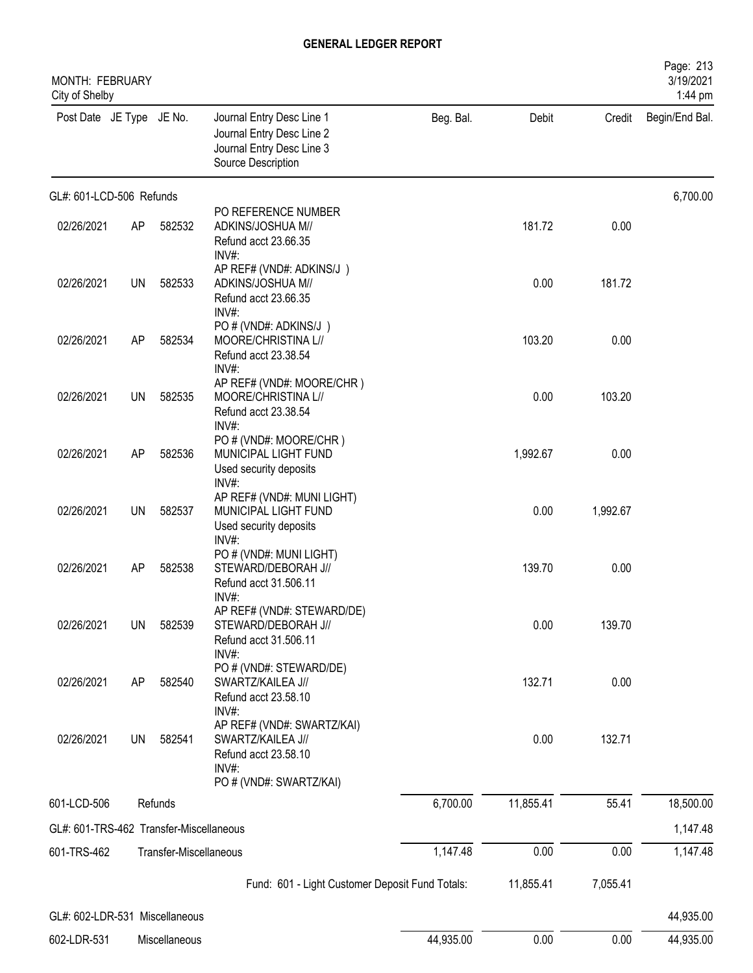| MONTH: FEBRUARY<br>City of Shelby       |           |                        |                                                                                                           |           |           |          | Page: 213<br>3/19/2021<br>1:44 pm |
|-----------------------------------------|-----------|------------------------|-----------------------------------------------------------------------------------------------------------|-----------|-----------|----------|-----------------------------------|
| Post Date JE Type JE No.                |           |                        | Journal Entry Desc Line 1<br>Journal Entry Desc Line 2<br>Journal Entry Desc Line 3<br>Source Description | Beg. Bal. | Debit     | Credit   | Begin/End Bal.                    |
| GL#: 601-LCD-506 Refunds                |           |                        |                                                                                                           |           |           |          | 6,700.00                          |
| 02/26/2021                              | AP        | 582532                 | PO REFERENCE NUMBER<br>ADKINS/JOSHUA M//<br>Refund acct 23.66.35<br>INV#:                                 |           | 181.72    | 0.00     |                                   |
| 02/26/2021                              | <b>UN</b> | 582533                 | AP REF# (VND#: ADKINS/J)<br>ADKINS/JOSHUA M//<br>Refund acct 23.66.35<br>INV#:                            |           | 0.00      | 181.72   |                                   |
| 02/26/2021                              | AP        | 582534                 | PO # (VND#: ADKINS/J)<br>MOORE/CHRISTINA L//<br>Refund acct 23.38.54<br>INV#:                             |           | 103.20    | 0.00     |                                   |
| 02/26/2021                              | <b>UN</b> | 582535                 | AP REF# (VND#: MOORE/CHR)<br>MOORE/CHRISTINA L//<br>Refund acct 23.38.54<br>INV#:                         |           | 0.00      | 103.20   |                                   |
| 02/26/2021                              | AP        | 582536                 | PO # (VND#: MOORE/CHR)<br>MUNICIPAL LIGHT FUND<br>Used security deposits<br>INV#:                         |           | 1,992.67  | 0.00     |                                   |
| 02/26/2021                              | <b>UN</b> | 582537                 | AP REF# (VND#: MUNI LIGHT)<br>MUNICIPAL LIGHT FUND<br>Used security deposits<br>INV#:                     |           | 0.00      | 1,992.67 |                                   |
| 02/26/2021                              | AP        | 582538                 | PO # (VND#: MUNI LIGHT)<br>STEWARD/DEBORAH J//<br>Refund acct 31.506.11<br>INV#:                          |           | 139.70    | 0.00     |                                   |
| 02/26/2021                              | <b>UN</b> | 582539                 | AP REF# (VND#: STEWARD/DE)<br>STEWARD/DEBORAH J//<br>Refund acct 31.506.11                                |           | 0.00      | 139.70   |                                   |
| 02/26/2021                              | AP        | 582540                 | $INV#$ :<br>PO # (VND#: STEWARD/DE)<br>SWARTZ/KAILEA J//<br>Refund acct 23.58.10<br>$INV#$ :              |           | 132.71    | 0.00     |                                   |
| 02/26/2021                              | <b>UN</b> | 582541                 | AP REF# (VND#: SWARTZ/KAI)<br>SWARTZ/KAILEA J//<br>Refund acct 23.58.10<br>INV#:                          |           | 0.00      | 132.71   |                                   |
| 601-LCD-506                             |           | Refunds                | PO # (VND#: SWARTZ/KAI)                                                                                   | 6,700.00  | 11,855.41 | 55.41    | 18,500.00                         |
| GL#: 601-TRS-462 Transfer-Miscellaneous |           |                        |                                                                                                           |           |           |          | 1,147.48                          |
| 601-TRS-462                             |           | Transfer-Miscellaneous |                                                                                                           | 1,147.48  | 0.00      | 0.00     | 1,147.48                          |
|                                         |           |                        | Fund: 601 - Light Customer Deposit Fund Totals:                                                           |           | 11,855.41 | 7,055.41 |                                   |
| GL#: 602-LDR-531 Miscellaneous          |           |                        |                                                                                                           |           |           |          | 44,935.00                         |
|                                         |           |                        |                                                                                                           |           |           |          |                                   |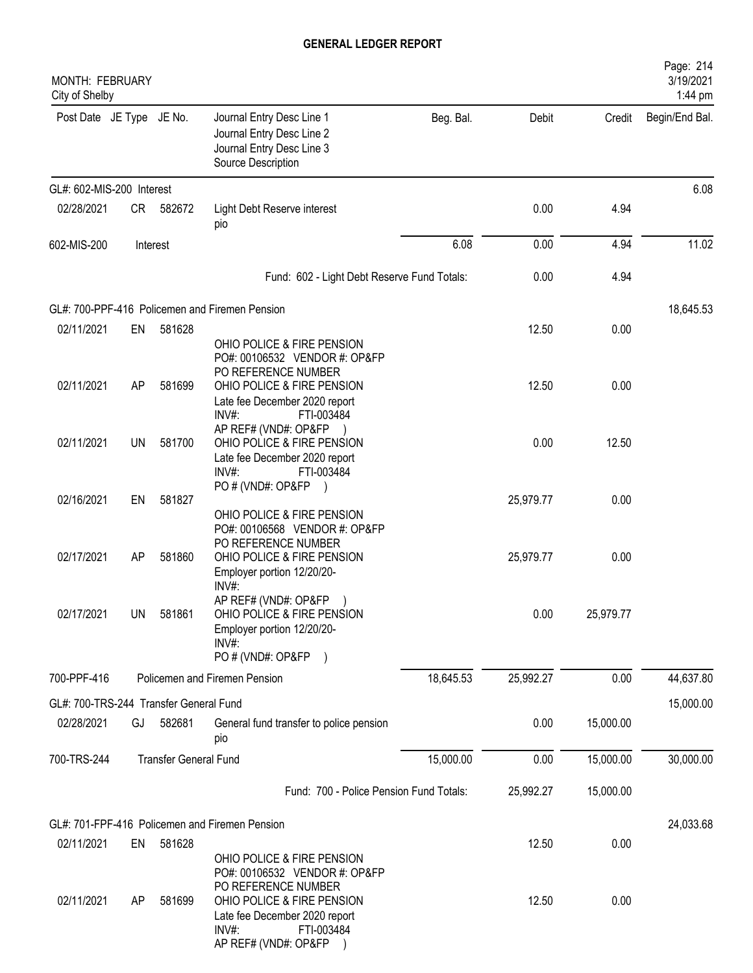| MONTH: FEBRUARY<br>City of Shelby      |           |                              |                                                                                                                                                                       |           |           |           | Page: 214<br>3/19/2021<br>1:44 pm |
|----------------------------------------|-----------|------------------------------|-----------------------------------------------------------------------------------------------------------------------------------------------------------------------|-----------|-----------|-----------|-----------------------------------|
| Post Date JE Type JE No.               |           |                              | Journal Entry Desc Line 1<br>Journal Entry Desc Line 2<br>Journal Entry Desc Line 3<br>Source Description                                                             | Beg. Bal. | Debit     | Credit    | Begin/End Bal.                    |
| GL#: 602-MIS-200 Interest              |           |                              |                                                                                                                                                                       |           |           |           | 6.08                              |
| 02/28/2021                             | CR        | 582672                       | Light Debt Reserve interest<br>pio                                                                                                                                    |           | 0.00      | 4.94      |                                   |
| 602-MIS-200                            |           | Interest                     |                                                                                                                                                                       | 6.08      | 0.00      | 4.94      | 11.02                             |
|                                        |           |                              | Fund: 602 - Light Debt Reserve Fund Totals:                                                                                                                           |           | 0.00      | 4.94      |                                   |
|                                        |           |                              | GL#: 700-PPF-416 Policemen and Firemen Pension                                                                                                                        |           |           |           | 18,645.53                         |
| 02/11/2021                             | EN        | 581628                       | OHIO POLICE & FIRE PENSION<br>PO#: 00106532 VENDOR #: OP&FP<br>PO REFERENCE NUMBER                                                                                    |           | 12.50     | 0.00      |                                   |
| 02/11/2021                             | AP        | 581699                       | OHIO POLICE & FIRE PENSION<br>Late fee December 2020 report<br>INV#:<br>FTI-003484                                                                                    |           | 12.50     | 0.00      |                                   |
| 02/11/2021                             | UN        | 581700                       | AP REF# (VND#: OP&FP<br>OHIO POLICE & FIRE PENSION<br>Late fee December 2020 report<br>INV#<br>FTI-003484                                                             |           | 0.00      | 12.50     |                                   |
| 02/16/2021                             | EN        | 581827                       | PO # (VND#: OP&FP<br>OHIO POLICE & FIRE PENSION                                                                                                                       |           | 25,979.77 | 0.00      |                                   |
| 02/17/2021                             | AP        | 581860                       | PO#: 00106568 VENDOR #: OP&FP<br>PO REFERENCE NUMBER<br>OHIO POLICE & FIRE PENSION<br>Employer portion 12/20/20-<br>$INV#$ :                                          |           | 25,979.77 | 0.00      |                                   |
| 02/17/2021                             | <b>UN</b> | 581861                       | AP REF# (VND#: OP&FP<br>OHIO POLICE & FIRE PENSION<br>Employer portion 12/20/20-<br>$INV#$ :<br>PO # (VND#: OP&FP)                                                    |           | 0.00      | 25,979.77 |                                   |
| 700-PPF-416                            |           |                              | Policemen and Firemen Pension                                                                                                                                         | 18,645.53 | 25,992.27 | 0.00      | 44,637.80                         |
| GL#: 700-TRS-244 Transfer General Fund |           |                              |                                                                                                                                                                       |           |           |           | 15,000.00                         |
| 02/28/2021                             | GJ        | 582681                       | General fund transfer to police pension<br>pio                                                                                                                        |           | 0.00      | 15,000.00 |                                   |
| 700-TRS-244                            |           | <b>Transfer General Fund</b> |                                                                                                                                                                       | 15,000.00 | 0.00      | 15,000.00 | 30,000.00                         |
|                                        |           |                              | Fund: 700 - Police Pension Fund Totals:                                                                                                                               |           | 25,992.27 | 15,000.00 |                                   |
|                                        |           |                              | GL#: 701-FPF-416 Policemen and Firemen Pension                                                                                                                        |           |           |           | 24,033.68                         |
| 02/11/2021                             | EN        | 581628                       | OHIO POLICE & FIRE PENSION                                                                                                                                            |           | 12.50     | 0.00      |                                   |
| 02/11/2021                             | AP        | 581699                       | PO#: 00106532 VENDOR #: OP&FP<br>PO REFERENCE NUMBER<br>OHIO POLICE & FIRE PENSION<br>Late fee December 2020 report<br>FTI-003484<br>$INV#$ :<br>AP REF# (VND#: OP&FP |           | 12.50     | 0.00      |                                   |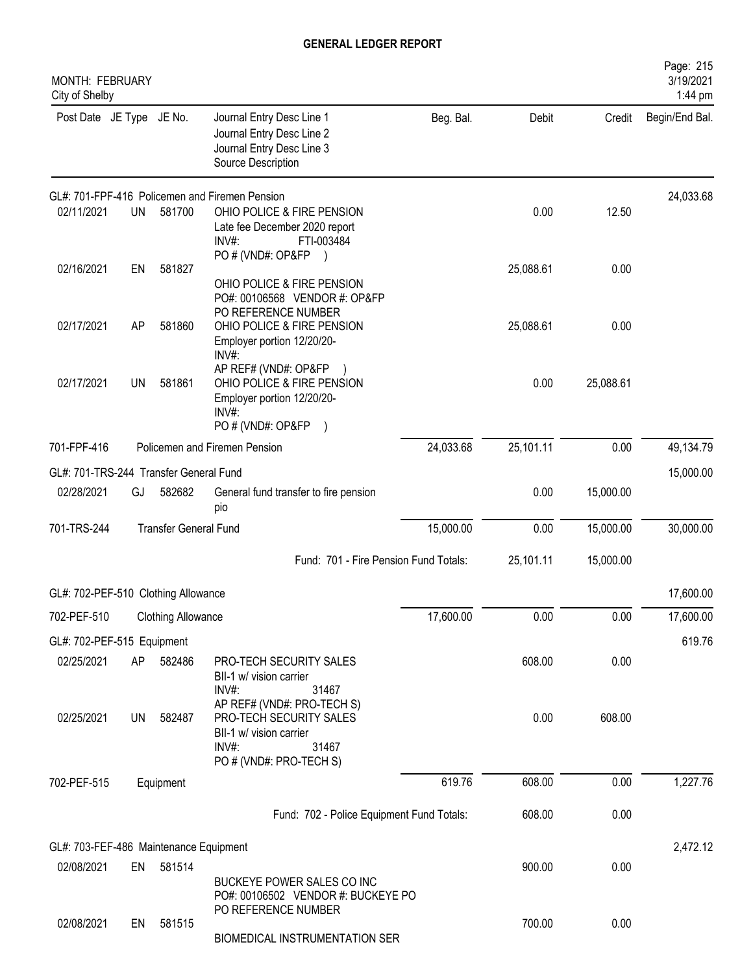| MONTH: FEBRUARY<br>City of Shelby      |           |                              |                                                                                                                                  |           |           |           | Page: 215<br>3/19/2021<br>1:44 pm |
|----------------------------------------|-----------|------------------------------|----------------------------------------------------------------------------------------------------------------------------------|-----------|-----------|-----------|-----------------------------------|
| Post Date JE Type JE No.               |           |                              | Journal Entry Desc Line 1<br>Journal Entry Desc Line 2<br>Journal Entry Desc Line 3<br>Source Description                        | Beg. Bal. | Debit     | Credit    | Begin/End Bal.                    |
|                                        |           |                              | GL#: 701-FPF-416 Policemen and Firemen Pension                                                                                   |           |           |           | 24,033.68                         |
| 02/11/2021                             | <b>UN</b> | 581700                       | OHIO POLICE & FIRE PENSION<br>Late fee December 2020 report<br>$INV#$ :<br>FTI-003484<br>PO # (VND#: OP&FP                       |           | 0.00      | 12.50     |                                   |
| 02/16/2021                             | EN        | 581827                       | OHIO POLICE & FIRE PENSION<br>PO#: 00106568 VENDOR #: OP&FP<br>PO REFERENCE NUMBER                                               |           | 25,088.61 | 0.00      |                                   |
| 02/17/2021                             | AP        | 581860                       | OHIO POLICE & FIRE PENSION<br>Employer portion 12/20/20-<br>INV#                                                                 |           | 25,088.61 | 0.00      |                                   |
| 02/17/2021                             | UN        | 581861                       | AP REF# (VND#: OP&FP<br>OHIO POLICE & FIRE PENSION<br>Employer portion 12/20/20-<br>INV#<br>PO # (VND#: OP&FP<br>$\lambda$       |           | 0.00      | 25,088.61 |                                   |
| 701-FPF-416                            |           |                              | Policemen and Firemen Pension                                                                                                    | 24,033.68 | 25,101.11 | 0.00      | 49,134.79                         |
| GL#: 701-TRS-244 Transfer General Fund |           |                              |                                                                                                                                  |           |           |           | 15,000.00                         |
| 02/28/2021                             | GJ        | 582682                       | General fund transfer to fire pension<br>pio                                                                                     |           | 0.00      | 15,000.00 |                                   |
| 701-TRS-244                            |           | <b>Transfer General Fund</b> |                                                                                                                                  | 15,000.00 | 0.00      | 15,000.00 | 30,000.00                         |
|                                        |           |                              | Fund: 701 - Fire Pension Fund Totals:                                                                                            |           | 25,101.11 | 15,000.00 |                                   |
| GL#: 702-PEF-510 Clothing Allowance    |           |                              |                                                                                                                                  |           |           |           | 17,600.00                         |
| 702-PEF-510                            |           | <b>Clothing Allowance</b>    |                                                                                                                                  | 17,600.00 | 0.00      | 0.00      | 17,600.00                         |
| GL#: 702-PEF-515 Equipment             |           |                              |                                                                                                                                  |           |           |           | 619.76                            |
| 02/25/2021                             | AP        | 582486                       | PRO-TECH SECURITY SALES<br>BII-1 w/ vision carrier<br>INV#:<br>31467                                                             |           | 608.00    | 0.00      |                                   |
| 02/25/2021                             | UN        | 582487                       | AP REF# (VND#: PRO-TECH S)<br>PRO-TECH SECURITY SALES<br>BII-1 w/ vision carrier<br>$INV#$ :<br>31467<br>PO # (VND#: PRO-TECH S) |           | 0.00      | 608.00    |                                   |
| 702-PEF-515                            |           | Equipment                    |                                                                                                                                  | 619.76    | 608.00    | 0.00      | 1,227.76                          |
|                                        |           |                              | Fund: 702 - Police Equipment Fund Totals:                                                                                        |           | 608.00    | 0.00      |                                   |
| GL#: 703-FEF-486 Maintenance Equipment |           |                              |                                                                                                                                  |           |           |           | 2,472.12                          |
| 02/08/2021                             | EN        | 581514                       | BUCKEYE POWER SALES CO INC<br>PO#: 00106502 VENDOR #: BUCKEYE PO                                                                 |           | 900.00    | 0.00      |                                   |
| 02/08/2021                             | EN        | 581515                       | PO REFERENCE NUMBER<br>BIOMEDICAL INSTRUMENTATION SER                                                                            |           | 700.00    | 0.00      |                                   |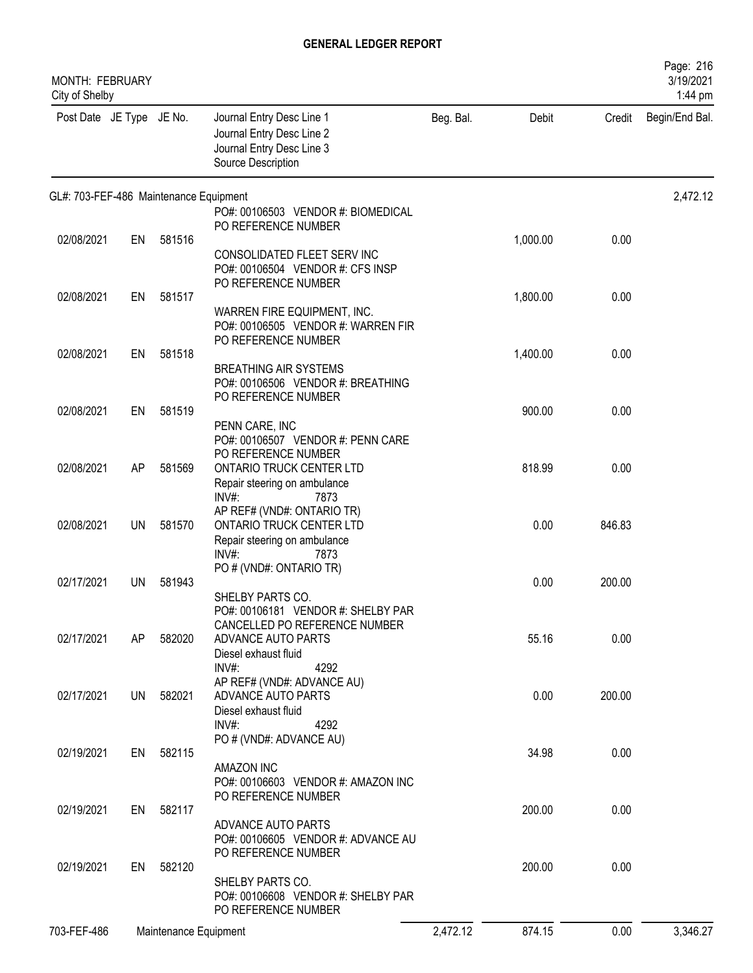| <b>MONTH: FEBRUARY</b><br>City of Shelby |    |                       |                                                                                                                                               |           |          |        | Page: 216<br>3/19/2021<br>1:44 pm |
|------------------------------------------|----|-----------------------|-----------------------------------------------------------------------------------------------------------------------------------------------|-----------|----------|--------|-----------------------------------|
| Post Date JE Type JE No.                 |    |                       | Journal Entry Desc Line 1<br>Journal Entry Desc Line 2<br>Journal Entry Desc Line 3<br>Source Description                                     | Beg. Bal. | Debit    | Credit | Begin/End Bal.                    |
| GL#: 703-FEF-486 Maintenance Equipment   |    |                       |                                                                                                                                               |           |          |        | 2,472.12                          |
|                                          |    |                       | PO#: 00106503 VENDOR #: BIOMEDICAL<br>PO REFERENCE NUMBER                                                                                     |           |          |        |                                   |
| 02/08/2021                               | EN | 581516                |                                                                                                                                               |           | 1,000.00 | 0.00   |                                   |
|                                          |    |                       | CONSOLIDATED FLEET SERV INC<br>PO#: 00106504 VENDOR #: CFS INSP<br>PO REFERENCE NUMBER                                                        |           |          |        |                                   |
| 02/08/2021                               | EN | 581517                |                                                                                                                                               |           | 1,800.00 | 0.00   |                                   |
|                                          |    |                       | WARREN FIRE EQUIPMENT, INC.<br>PO#: 00106505 VENDOR #: WARREN FIR<br>PO REFERENCE NUMBER                                                      |           |          |        |                                   |
| 02/08/2021                               | EN | 581518                |                                                                                                                                               |           | 1,400.00 | 0.00   |                                   |
|                                          |    |                       | <b>BREATHING AIR SYSTEMS</b><br>PO#: 00106506 VENDOR #: BREATHING<br>PO REFERENCE NUMBER                                                      |           |          |        |                                   |
| 02/08/2021                               | EN | 581519                |                                                                                                                                               |           | 900.00   | 0.00   |                                   |
| 02/08/2021                               | AP | 581569                | PENN CARE, INC<br>PO#: 00106507 VENDOR #: PENN CARE<br>PO REFERENCE NUMBER<br><b>ONTARIO TRUCK CENTER LTD</b><br>Repair steering on ambulance |           | 818.99   | 0.00   |                                   |
|                                          |    |                       | $INV#$ :<br>7873                                                                                                                              |           |          |        |                                   |
| 02/08/2021                               | UN | 581570                | AP REF# (VND#: ONTARIO TR)<br>ONTARIO TRUCK CENTER LTD<br>Repair steering on ambulance                                                        |           | 0.00     | 846.83 |                                   |
|                                          |    |                       | INV#<br>7873<br>PO # (VND#: ONTARIO TR)                                                                                                       |           |          |        |                                   |
| 02/17/2021                               | UN | 581943                |                                                                                                                                               |           | 0.00     | 200.00 |                                   |
|                                          |    |                       | SHELBY PARTS CO.<br>PO#: 00106181 VENDOR #: SHELBY PAR<br>CANCELLED PO REFERENCE NUMBER                                                       |           |          |        |                                   |
| 02/17/2021                               | AP | 582020                | ADVANCE AUTO PARTS                                                                                                                            |           | 55.16    | 0.00   |                                   |
|                                          |    |                       | Diesel exhaust fluid<br>$INV#$ :<br>4292<br>AP REF# (VND#: ADVANCE AU)                                                                        |           |          |        |                                   |
| 02/17/2021                               |    | UN 582021             | ADVANCE AUTO PARTS<br>Diesel exhaust fluid                                                                                                    |           | 0.00     | 200.00 |                                   |
|                                          |    |                       | $INV#$ :<br>4292<br>PO # (VND#: ADVANCE AU)                                                                                                   |           |          |        |                                   |
| 02/19/2021                               |    | EN 582115             |                                                                                                                                               |           | 34.98    | 0.00   |                                   |
|                                          |    |                       | AMAZON INC<br>PO#: 00106603 VENDOR #: AMAZON INC<br>PO REFERENCE NUMBER                                                                       |           |          |        |                                   |
| 02/19/2021                               | EN | 582117                |                                                                                                                                               |           | 200.00   | 0.00   |                                   |
|                                          |    |                       | ADVANCE AUTO PARTS<br>PO#: 00106605 VENDOR #: ADVANCE AU<br>PO REFERENCE NUMBER                                                               |           |          |        |                                   |
| 02/19/2021                               | EN | 582120                |                                                                                                                                               |           | 200.00   | 0.00   |                                   |
|                                          |    |                       | SHELBY PARTS CO.<br>PO#: 00106608 VENDOR #: SHELBY PAR<br>PO REFERENCE NUMBER                                                                 |           |          |        |                                   |
| 703-FEF-486                              |    | Maintenance Equipment |                                                                                                                                               | 2,472.12  | 874.15   | 0.00   | 3,346.27                          |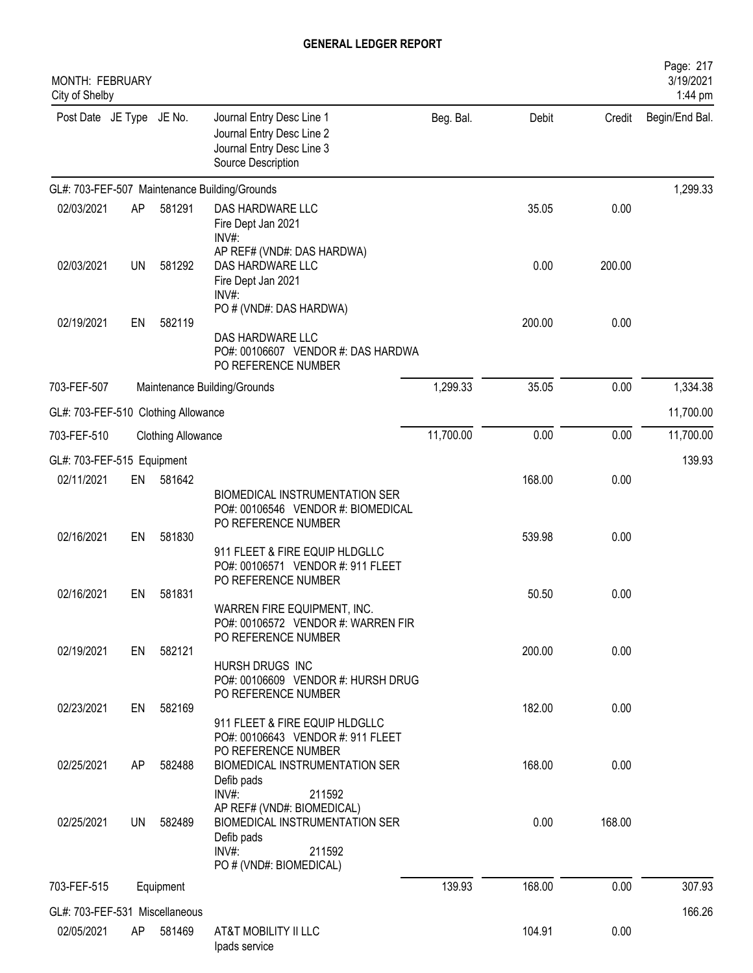| MONTH: FEBRUARY<br>City of Shelby   |           |                           |                                                                                                                                                |           |        |        | Page: 217<br>3/19/2021<br>1:44 pm |
|-------------------------------------|-----------|---------------------------|------------------------------------------------------------------------------------------------------------------------------------------------|-----------|--------|--------|-----------------------------------|
| Post Date JE Type JE No.            |           |                           | Journal Entry Desc Line 1<br>Journal Entry Desc Line 2<br>Journal Entry Desc Line 3<br>Source Description                                      | Beg. Bal. | Debit  | Credit | Begin/End Bal.                    |
|                                     |           |                           | GL#: 703-FEF-507 Maintenance Building/Grounds                                                                                                  |           |        |        | 1,299.33                          |
| 02/03/2021                          | AP        | 581291                    | DAS HARDWARE LLC<br>Fire Dept Jan 2021<br>INV#:                                                                                                |           | 35.05  | 0.00   |                                   |
| 02/03/2021                          | <b>UN</b> | 581292                    | AP REF# (VND#: DAS HARDWA)<br>DAS HARDWARE LLC<br>Fire Dept Jan 2021<br>INV#:                                                                  |           | 0.00   | 200.00 |                                   |
| 02/19/2021                          | EN        | 582119                    | PO # (VND#: DAS HARDWA)<br>DAS HARDWARE LLC                                                                                                    |           | 200.00 | 0.00   |                                   |
|                                     |           |                           | PO#: 00106607 VENDOR #: DAS HARDWA<br>PO REFERENCE NUMBER                                                                                      |           |        |        |                                   |
| 703-FEF-507                         |           |                           | Maintenance Building/Grounds                                                                                                                   | 1,299.33  | 35.05  | 0.00   | 1,334.38                          |
| GL#: 703-FEF-510 Clothing Allowance |           |                           |                                                                                                                                                |           |        |        | 11,700.00                         |
| 703-FEF-510                         |           | <b>Clothing Allowance</b> |                                                                                                                                                | 11,700.00 | 0.00   | 0.00   | 11,700.00                         |
| GL#: 703-FEF-515 Equipment          |           |                           |                                                                                                                                                |           |        |        | 139.93                            |
| 02/11/2021                          | EN        | 581642                    | BIOMEDICAL INSTRUMENTATION SER<br>PO#: 00106546 VENDOR #: BIOMEDICAL                                                                           |           | 168.00 | 0.00   |                                   |
| 02/16/2021                          | EN        | 581830                    | PO REFERENCE NUMBER<br>911 FLEET & FIRE EQUIP HLDGLLC<br>PO#: 00106571 VENDOR #: 911 FLEET                                                     |           | 539.98 | 0.00   |                                   |
| 02/16/2021                          | EN        | 581831                    | PO REFERENCE NUMBER<br>WARREN FIRE EQUIPMENT, INC.<br>PO#: 00106572 VENDOR #: WARREN FIR                                                       |           | 50.50  | 0.00   |                                   |
| 02/19/2021                          |           | EN 582121                 | PO REFERENCE NUMBER<br>HURSH DRUGS INC<br>PO#: 00106609 VENDOR #: HURSH DRUG                                                                   |           | 200.00 | 0.00   |                                   |
| 02/23/2021                          | EN        | 582169                    | PO REFERENCE NUMBER<br>911 FLEET & FIRE EQUIP HLDGLLC<br>PO#: 00106643 VENDOR #: 911 FLEET                                                     |           | 182.00 | 0.00   |                                   |
| 02/25/2021                          | AP        | 582488                    | PO REFERENCE NUMBER<br>BIOMEDICAL INSTRUMENTATION SER<br>Defib pads                                                                            |           | 168.00 | 0.00   |                                   |
| 02/25/2021                          | UN        | 582489                    | INV#:<br>211592<br>AP REF# (VND#: BIOMEDICAL)<br>BIOMEDICAL INSTRUMENTATION SER<br>Defib pads<br>$INV#$ :<br>211592<br>PO # (VND#: BIOMEDICAL) |           | 0.00   | 168.00 |                                   |
| 703-FEF-515                         |           | Equipment                 |                                                                                                                                                | 139.93    | 168.00 | 0.00   | 307.93                            |
| GL#: 703-FEF-531 Miscellaneous      |           |                           |                                                                                                                                                |           |        |        | 166.26                            |
| 02/05/2021                          | AP.       | 581469                    | AT&T MOBILITY II LLC<br>Ipads service                                                                                                          |           | 104.91 | 0.00   |                                   |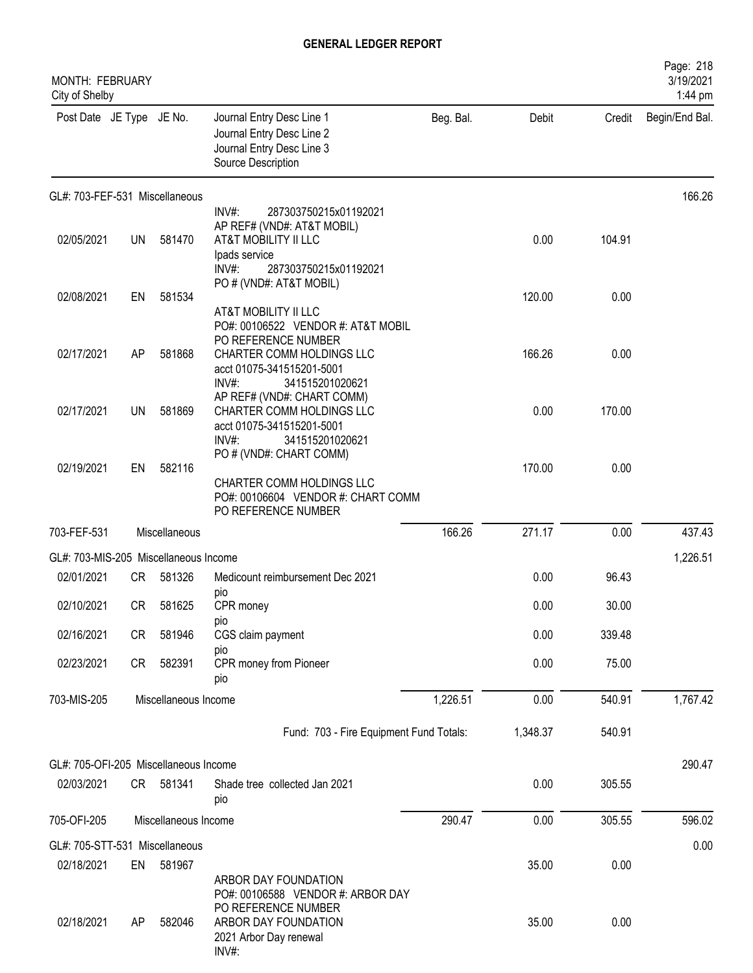| MONTH: FEBRUARY<br>City of Shelby     |           |                      |                                                                                                                     |           |          |        | Page: 218<br>3/19/2021<br>1:44 pm |
|---------------------------------------|-----------|----------------------|---------------------------------------------------------------------------------------------------------------------|-----------|----------|--------|-----------------------------------|
| Post Date JE Type JE No.              |           |                      | Journal Entry Desc Line 1<br>Journal Entry Desc Line 2<br>Journal Entry Desc Line 3<br>Source Description           | Beg. Bal. | Debit    | Credit | Begin/End Bal.                    |
| GL#: 703-FEF-531 Miscellaneous        |           |                      |                                                                                                                     |           |          |        | 166.26                            |
|                                       |           |                      | $INV#$ :<br>287303750215x01192021<br>AP REF# (VND#: AT&T MOBIL)                                                     |           |          |        |                                   |
| 02/05/2021                            | UN        | 581470               | AT&T MOBILITY II LLC<br>Ipads service<br>287303750215x01192021<br>INV#                                              |           | 0.00     | 104.91 |                                   |
|                                       |           |                      | PO # (VND#: AT&T MOBIL)                                                                                             |           |          |        |                                   |
| 02/08/2021                            | EN        | 581534               | AT&T MOBILITY II LLC<br>PO#: 00106522 VENDOR #: AT&T MOBIL                                                          |           | 120.00   | 0.00   |                                   |
| 02/17/2021                            | AP        | 581868               | PO REFERENCE NUMBER<br>CHARTER COMM HOLDINGS LLC<br>acct 01075-341515201-5001<br>INV#:<br>341515201020621           |           | 166.26   | 0.00   |                                   |
| 02/17/2021                            | UN        | 581869               | AP REF# (VND#: CHART COMM)<br>CHARTER COMM HOLDINGS LLC<br>acct 01075-341515201-5001<br>341515201020621<br>$INV#$ : |           | 0.00     | 170.00 |                                   |
| 02/19/2021                            | EN        | 582116               | PO # (VND#: CHART COMM)<br>CHARTER COMM HOLDINGS LLC<br>PO#: 00106604 VENDOR #: CHART COMM<br>PO REFERENCE NUMBER   |           | 170.00   | 0.00   |                                   |
| 703-FEF-531                           |           | Miscellaneous        |                                                                                                                     | 166.26    | 271.17   | 0.00   | 437.43                            |
| GL#: 703-MIS-205 Miscellaneous Income |           |                      |                                                                                                                     |           |          |        | 1,226.51                          |
| 02/01/2021                            | CR        | 581326               | Medicount reimbursement Dec 2021<br>pio                                                                             |           | 0.00     | 96.43  |                                   |
| 02/10/2021                            | CR        | 581625               | CPR money                                                                                                           |           | 0.00     | 30.00  |                                   |
| 02/16/2021                            | <b>CR</b> | 581946               | pio<br>CGS claim payment<br>pio                                                                                     |           | 0.00     | 339.48 |                                   |
| 02/23/2021                            | CR        | 582391               | CPR money from Pioneer<br>pio                                                                                       |           | 0.00     | 75.00  |                                   |
| 703-MIS-205                           |           | Miscellaneous Income |                                                                                                                     | 1,226.51  | 0.00     | 540.91 | 1,767.42                          |
|                                       |           |                      | Fund: 703 - Fire Equipment Fund Totals:                                                                             |           | 1,348.37 | 540.91 |                                   |
| GL#: 705-OFI-205 Miscellaneous Income |           |                      |                                                                                                                     |           |          |        | 290.47                            |
| 02/03/2021                            |           | CR 581341            | Shade tree collected Jan 2021<br>pio                                                                                |           | 0.00     | 305.55 |                                   |
| 705-OFI-205                           |           | Miscellaneous Income |                                                                                                                     | 290.47    | 0.00     | 305.55 | 596.02                            |
| GL#: 705-STT-531 Miscellaneous        |           |                      |                                                                                                                     |           |          |        | 0.00                              |
| 02/18/2021                            | EN        | 581967               |                                                                                                                     |           | 35.00    | 0.00   |                                   |
| 02/18/2021                            | AP        | 582046               | ARBOR DAY FOUNDATION<br>PO#: 00106588 VENDOR #: ARBOR DAY<br>PO REFERENCE NUMBER<br>ARBOR DAY FOUNDATION            |           | 35.00    | 0.00   |                                   |
|                                       |           |                      | 2021 Arbor Day renewal<br>INV#:                                                                                     |           |          |        |                                   |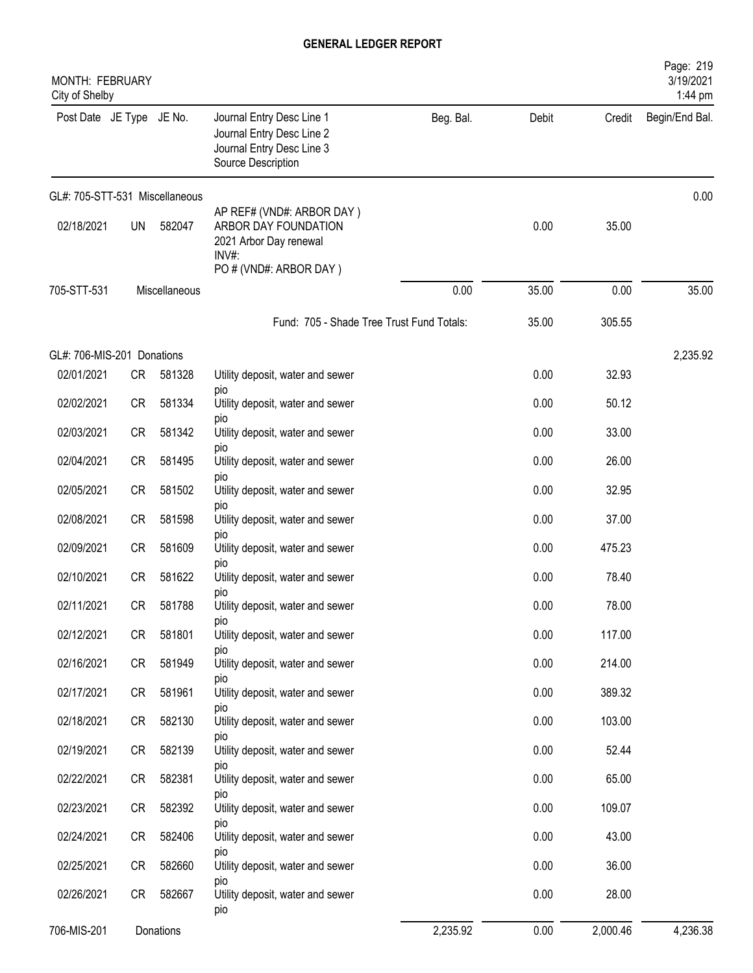| MONTH: FEBRUARY<br>City of Shelby |           |               |                                                                                                                   |           |       |          | Page: 219<br>3/19/2021<br>1:44 pm |
|-----------------------------------|-----------|---------------|-------------------------------------------------------------------------------------------------------------------|-----------|-------|----------|-----------------------------------|
| Post Date JE Type JE No.          |           |               | Journal Entry Desc Line 1<br>Journal Entry Desc Line 2<br>Journal Entry Desc Line 3<br>Source Description         | Beg. Bal. | Debit | Credit   | Begin/End Bal.                    |
| GL#: 705-STT-531 Miscellaneous    |           |               |                                                                                                                   |           |       |          | 0.00                              |
| 02/18/2021                        | <b>UN</b> | 582047        | AP REF# (VND#: ARBOR DAY)<br>ARBOR DAY FOUNDATION<br>2021 Arbor Day renewal<br>$INV#$ :<br>PO # (VND#: ARBOR DAY) |           | 0.00  | 35.00    |                                   |
| 705-STT-531                       |           | Miscellaneous |                                                                                                                   | 0.00      | 35.00 | 0.00     | 35.00                             |
|                                   |           |               | Fund: 705 - Shade Tree Trust Fund Totals:                                                                         |           | 35.00 | 305.55   |                                   |
| GL#: 706-MIS-201 Donations        |           |               |                                                                                                                   |           |       |          | 2,235.92                          |
| 02/01/2021                        | CR        | 581328        | Utility deposit, water and sewer                                                                                  |           | 0.00  | 32.93    |                                   |
| 02/02/2021                        | CR        | 581334        | pio<br>Utility deposit, water and sewer                                                                           |           | 0.00  | 50.12    |                                   |
| 02/03/2021                        | CR        | 581342        | <b>DIO</b><br>Utility deposit, water and sewer                                                                    |           | 0.00  | 33.00    |                                   |
| 02/04/2021                        | CR        | 581495        | pio<br>Utility deposit, water and sewer                                                                           |           | 0.00  | 26.00    |                                   |
| 02/05/2021                        | CR        | 581502        | pio<br>Utility deposit, water and sewer                                                                           |           | 0.00  | 32.95    |                                   |
| 02/08/2021                        | <b>CR</b> | 581598        | pio<br>Utility deposit, water and sewer                                                                           |           | 0.00  | 37.00    |                                   |
| 02/09/2021                        | <b>CR</b> | 581609        | pio<br>Utility deposit, water and sewer                                                                           |           | 0.00  | 475.23   |                                   |
| 02/10/2021                        | CR        | 581622        | pio<br>Utility deposit, water and sewer                                                                           |           | 0.00  | 78.40    |                                   |
| 02/11/2021                        | CR        | 581788        | pio<br>Utility deposit, water and sewer                                                                           |           | 0.00  | 78.00    |                                   |
| 02/12/2021                        | <b>CR</b> | 581801        | pio<br>Utility deposit, water and sewer                                                                           |           | 0.00  | 117.00   |                                   |
| 02/16/2021                        | CR        | 581949        | pio<br>Utility deposit, water and sewer                                                                           |           | 0.00  | 214.00   |                                   |
| 02/17/2021                        | CR        | 581961        | DIO<br>Utility deposit, water and sewer                                                                           |           | 0.00  | 389.32   |                                   |
| 02/18/2021                        | CR        | 582130        | pio<br>Utility deposit, water and sewer                                                                           |           | 0.00  | 103.00   |                                   |
|                                   |           |               | pio                                                                                                               |           |       |          |                                   |
| 02/19/2021                        | CR        | 582139        | Utility deposit, water and sewer<br>pio                                                                           |           | 0.00  | 52.44    |                                   |
| 02/22/2021                        | CR        | 582381        | Utility deposit, water and sewer<br>pio                                                                           |           | 0.00  | 65.00    |                                   |
| 02/23/2021                        | CR        | 582392        | Utility deposit, water and sewer<br>pio                                                                           |           | 0.00  | 109.07   |                                   |
| 02/24/2021                        | CR        | 582406        | Utility deposit, water and sewer<br>pio                                                                           |           | 0.00  | 43.00    |                                   |
| 02/25/2021                        | CR        | 582660        | Utility deposit, water and sewer<br>pio                                                                           |           | 0.00  | 36.00    |                                   |
| 02/26/2021                        | <b>CR</b> | 582667        | Utility deposit, water and sewer<br>pio                                                                           |           | 0.00  | 28.00    |                                   |
| 706-MIS-201                       |           | Donations     |                                                                                                                   | 2,235.92  | 0.00  | 2,000.46 | 4,236.38                          |